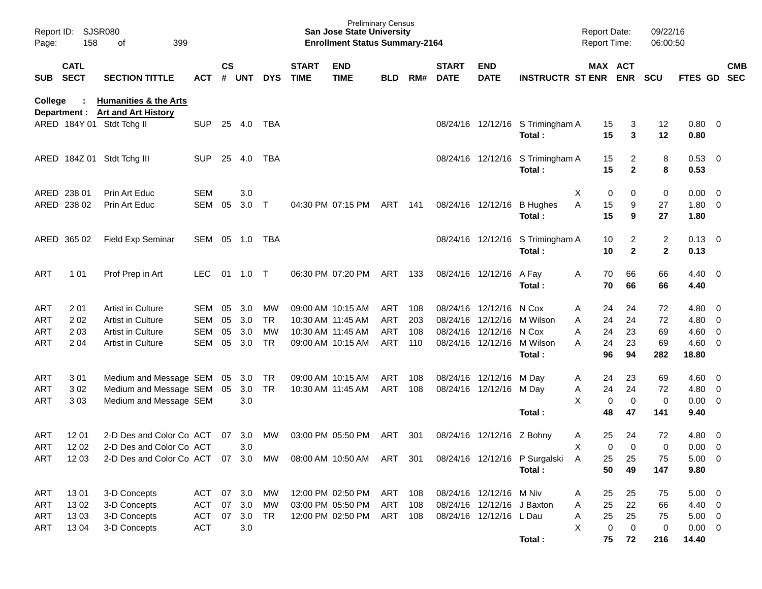| Page:      | Report ID: SJSR080<br>158  | 399<br>of                                                            |            |                    |            |            |                             | <b>Preliminary Census</b><br><b>San Jose State University</b><br><b>Enrollment Status Summary-2164</b> |            |     |                             |                            |                                            | <b>Report Date:</b><br><b>Report Time:</b> |                                | 09/22/16<br>06:00:50           |                     |                         |            |
|------------|----------------------------|----------------------------------------------------------------------|------------|--------------------|------------|------------|-----------------------------|--------------------------------------------------------------------------------------------------------|------------|-----|-----------------------------|----------------------------|--------------------------------------------|--------------------------------------------|--------------------------------|--------------------------------|---------------------|-------------------------|------------|
| SUB        | <b>CATL</b><br><b>SECT</b> | <b>SECTION TITTLE</b>                                                | <b>ACT</b> | $\mathsf{cs}$<br># | <b>UNT</b> | <b>DYS</b> | <b>START</b><br><b>TIME</b> | <b>END</b><br><b>TIME</b>                                                                              | <b>BLD</b> | RM# | <b>START</b><br><b>DATE</b> | <b>END</b><br><b>DATE</b>  | <b>INSTRUCTR ST ENR ENR</b>                |                                            | MAX ACT                        | <b>SCU</b>                     | FTES GD SEC         |                         | <b>CMB</b> |
| College    | ÷                          | <b>Humanities &amp; the Arts</b><br>Department : Art and Art History |            |                    |            |            |                             |                                                                                                        |            |     |                             |                            |                                            |                                            |                                |                                |                     |                         |            |
|            |                            | ARED 184Y 01 Stdt Tchg II                                            | <b>SUP</b> |                    | 25 4.0     | TBA        |                             |                                                                                                        |            |     |                             |                            | 08/24/16 12/12/16 S Trimingham A<br>Total: | 15<br>15                                   | 3<br>3                         | 12<br>12                       | 0.80<br>0.80        | $\overline{\mathbf{0}}$ |            |
|            |                            | ARED 184Z 01 Stdt Tchg III                                           | <b>SUP</b> | 25                 | 4.0        | TBA        |                             |                                                                                                        |            |     |                             |                            | 08/24/16 12/12/16 S Trimingham A<br>Total: | 15<br>15                                   | $\overline{2}$<br>$\mathbf{2}$ | 8<br>8                         | 0.53<br>0.53        | $\overline{\mathbf{0}}$ |            |
|            | ARED 238 01                | Prin Art Educ                                                        | <b>SEM</b> |                    | 3.0        |            |                             |                                                                                                        |            |     |                             |                            |                                            | Χ<br>0                                     | 0                              | 0                              | 0.00                | $\overline{0}$          |            |
|            | ARED 238 02                | Prin Art Educ                                                        | <b>SEM</b> | 05                 | 3.0        | $\top$     |                             | 04:30 PM 07:15 PM                                                                                      | ART        | 141 |                             | 08/24/16 12/12/16          | <b>B</b> Hughes<br>Total:                  | Α<br>15<br>15                              | 9<br>9                         | 27<br>27                       | 1.80<br>1.80        | $\overline{0}$          |            |
|            | ARED 365 02                | <b>Field Exp Seminar</b>                                             | SEM        |                    | 05 1.0     | TBA        |                             |                                                                                                        |            |     |                             |                            | 08/24/16 12/12/16 S Trimingham A<br>Total: | 10<br>10                                   | $\overline{2}$<br>$\mathbf{2}$ | $\overline{2}$<br>$\mathbf{2}$ | 0.13<br>0.13        | $\overline{\mathbf{0}}$ |            |
| ART        | 1 0 1                      | Prof Prep in Art                                                     | LEC.       | 01                 | 1.0        | $\top$     |                             | 06:30 PM 07:20 PM                                                                                      | ART        | 133 |                             | 08/24/16 12/12/16          | A Fay<br>Total:                            | Α<br>70<br>70                              | 66<br>66                       | 66<br>66                       | 4.40<br>4.40        | $\overline{\mathbf{0}}$ |            |
| ART        | 201                        | <b>Artist in Culture</b>                                             | SEM        | 05                 | 3.0        | МW         |                             | 09:00 AM 10:15 AM                                                                                      | ART        | 108 |                             | 08/24/16 12/12/16          | N Cox                                      | 24<br>A                                    | 24                             | 72                             | 4.80                | $\mathbf{0}$            |            |
| ART        | 202                        | Artist in Culture                                                    | <b>SEM</b> | 05                 | 3.0        | <b>TR</b>  |                             | 10:30 AM 11:45 AM                                                                                      | ART        | 203 |                             | 08/24/16 12/12/16          | M Wilson                                   | 24<br>Α                                    | 24                             | 72                             | 4.80                | $\overline{0}$          |            |
| ART        | 2 0 3                      | Artist in Culture                                                    | <b>SEM</b> | 05                 | 3.0        | <b>MW</b>  |                             | 10:30 AM 11:45 AM                                                                                      | <b>ART</b> | 108 |                             | 08/24/16 12/12/16          | N Cox                                      | 24<br>Α                                    | 23                             | 69                             | 4.60                | $\overline{0}$          |            |
| ART        | 2 0 4                      | Artist in Culture                                                    | <b>SEM</b> | 05                 | 3.0        | <b>TR</b>  |                             | 09:00 AM 10:15 AM                                                                                      | ART        | 110 |                             |                            | 08/24/16 12/12/16 M Wilson<br>Total:       | 24<br>А<br>96                              | 23<br>94                       | 69<br>282                      | 4.60<br>18.80       | $\overline{\mathbf{0}}$ |            |
| ART        | 301                        | Medium and Message SEM                                               |            | 05                 | 3.0        | <b>TR</b>  |                             | 09:00 AM 10:15 AM                                                                                      | ART        | 108 |                             | 08/24/16 12/12/16 M Day    |                                            | 24<br>A                                    | 23                             | 69                             | 4.60                | $\overline{0}$          |            |
| ART        | 302                        | Medium and Message SEM                                               |            | 05                 | 3.0        | <b>TR</b>  |                             | 10:30 AM 11:45 AM                                                                                      | ART        | 108 |                             | 08/24/16 12/12/16 M Day    |                                            | 24<br>Α                                    | 24                             | 72                             | 4.80                | $\overline{0}$          |            |
| ART        | 303                        | Medium and Message SEM                                               |            |                    | 3.0        |            |                             |                                                                                                        |            |     |                             |                            |                                            | X<br>0                                     | $\mathbf 0$                    | $\mathbf 0$                    | 0.00                | $\overline{\mathbf{0}}$ |            |
|            |                            |                                                                      |            |                    |            |            |                             |                                                                                                        |            |     |                             |                            | Total:                                     | 48                                         | 47                             | 141                            | 9.40                |                         |            |
| ART        | 12 01                      | 2-D Des and Color Co ACT                                             |            | 07                 | 3.0        | MW         |                             | 03:00 PM 05:50 PM                                                                                      | ART        | 301 |                             | 08/24/16 12/12/16          | Z Bohny                                    | 25<br>A                                    | 24                             | 72                             | 4.80                | $\overline{0}$          |            |
| <b>ART</b> | 12 02                      | 2-D Des and Color Co ACT                                             |            |                    | 3.0        |            |                             |                                                                                                        |            |     |                             |                            |                                            | X<br>0                                     | $\Omega$                       | 0                              | 0.00                | $\overline{0}$          |            |
| ART        | 12 03                      | 2-D Des and Color Co ACT 07 3.0 MW                                   |            |                    |            |            |                             | 08:00 AM 10:50 AM ART 301                                                                              |            |     |                             |                            | 08/24/16 12/12/16 P Surgalski<br>Total:    | $\mathsf{A}$<br>25<br>50                   | 25<br>49                       | 75<br>147                      | $5.00 \t 0$<br>9.80 |                         |            |
| ART        | 1301                       | 3-D Concepts                                                         | ACT        | 07                 | 3.0        | MW         |                             | 12:00 PM 02:50 PM                                                                                      | ART 108    |     |                             | 08/24/16 12/12/16 M Niv    |                                            | 25<br>A                                    | 25                             | 75                             | $5.00 \t 0$         |                         |            |
| ART        | 1302                       | 3-D Concepts                                                         | <b>ACT</b> | 07                 | 3.0        | MW         |                             | 03:00 PM 05:50 PM                                                                                      | ART 108    |     |                             | 08/24/16 12/12/16 J Baxton |                                            | 25<br>Α                                    | 22                             | 66                             | $4.40 \ 0$          |                         |            |
| ART        | 1303                       | 3-D Concepts                                                         | <b>ACT</b> | 07                 | 3.0        | TR         |                             | 12:00 PM 02:50 PM                                                                                      | ART 108    |     |                             | 08/24/16 12/12/16 LDau     |                                            | 25<br>Α                                    | 25                             | 75                             | $5.00 \t 0$         |                         |            |
| ART        | 13 04                      | 3-D Concepts                                                         | <b>ACT</b> |                    | $3.0\,$    |            |                             |                                                                                                        |            |     |                             |                            |                                            | X<br>0                                     | $\mathbf 0$                    | 0                              | $0.00 \t 0$         |                         |            |
|            |                            |                                                                      |            |                    |            |            |                             |                                                                                                        |            |     |                             |                            | Total:                                     | 75                                         | 72                             | 216                            | 14.40               |                         |            |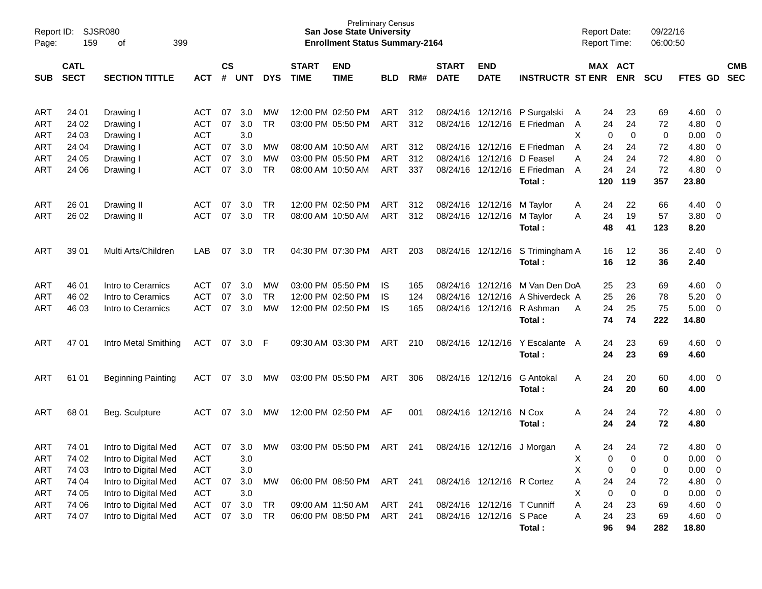| Page:      | <b>SJSR080</b><br>Report ID:<br>159<br>399<br>οf |                           |            |                        |                  |            |              | <b>Preliminary Census</b><br><b>San Jose State University</b><br><b>Enrollment Status Summary-2164</b> |            |     |              |                             |                         |   | <b>Report Date:</b><br><b>Report Time:</b> |             | 09/22/16<br>06:00:50 |         |                         |            |
|------------|--------------------------------------------------|---------------------------|------------|------------------------|------------------|------------|--------------|--------------------------------------------------------------------------------------------------------|------------|-----|--------------|-----------------------------|-------------------------|---|--------------------------------------------|-------------|----------------------|---------|-------------------------|------------|
|            | <b>CATL</b>                                      |                           |            | $\mathbf{c}\mathbf{s}$ |                  |            | <b>START</b> | <b>END</b>                                                                                             |            |     | <b>START</b> | <b>END</b>                  |                         |   | MAX ACT                                    |             |                      |         |                         | <b>CMB</b> |
| <b>SUB</b> | <b>SECT</b>                                      | <b>SECTION TITTLE</b>     | <b>ACT</b> | #                      | <b>UNT</b>       | <b>DYS</b> | <b>TIME</b>  | <b>TIME</b>                                                                                            | <b>BLD</b> | RM# | <b>DATE</b>  | <b>DATE</b>                 | <b>INSTRUCTR ST ENR</b> |   |                                            | <b>ENR</b>  | <b>SCU</b>           | FTES GD |                         | <b>SEC</b> |
| ART        | 24 01                                            | Drawing I                 | ACT        | 07                     | 3.0              | МW         |              | 12:00 PM 02:50 PM                                                                                      | ART        | 312 | 08/24/16     |                             | 12/12/16 P Surgalski    | A | 24                                         | 23          | 69                   | 4.60    | 0                       |            |
| ART        | 24 02                                            | Drawing I                 | <b>ACT</b> | 07                     | 3.0              | <b>TR</b>  |              | 03:00 PM 05:50 PM                                                                                      | <b>ART</b> | 312 | 08/24/16     |                             | 12/12/16 E Friedman     | A | 24                                         | 24          | 72                   | 4.80    | 0                       |            |
| ART        | 24 03                                            | Drawing I                 | <b>ACT</b> |                        | 3.0              |            |              |                                                                                                        |            |     |              |                             |                         | Χ | 0                                          | 0           | 0                    | 0.00    | 0                       |            |
| ART        | 24 04                                            | Drawing I                 | <b>ACT</b> | 07                     | 3.0              | MW         |              | 08:00 AM 10:50 AM                                                                                      | <b>ART</b> | 312 | 08/24/16     | 12/12/16                    | E Friedman              | A | 24                                         | 24          | 72                   | 4.80    | 0                       |            |
| ART        | 24 05                                            | Drawing I                 | <b>ACT</b> | 07                     | 3.0              | MW         |              | 03:00 PM 05:50 PM                                                                                      | <b>ART</b> | 312 | 08/24/16     | 12/12/16                    | D Feasel                | Α | 24                                         | 24          | 72                   | 4.80    | 0                       |            |
| ART        | 24 06                                            | Drawing I                 | <b>ACT</b> | 07                     | 3.0              | TR         |              | 08:00 AM 10:50 AM                                                                                      | <b>ART</b> | 337 | 08/24/16     | 12/12/16                    | E Friedman              | A | 24                                         | 24          | 72                   | 4.80    | 0                       |            |
|            |                                                  |                           |            |                        |                  |            |              |                                                                                                        |            |     |              |                             | Total:                  |   | 120                                        | 119         | 357                  | 23.80   |                         |            |
| ART        | 26 01                                            | Drawing II                | <b>ACT</b> | 07                     | 3.0              | TR         |              | 12:00 PM 02:50 PM                                                                                      | ART        | 312 | 08/24/16     | 12/12/16                    | M Taylor                | A | 24                                         | 22          | 66                   | 4.40    | 0                       |            |
| ART        | 26 02                                            | Drawing II                | <b>ACT</b> | 07                     | 3.0              | <b>TR</b>  |              | 08:00 AM 10:50 AM                                                                                      | <b>ART</b> | 312 | 08/24/16     | 12/12/16                    | M Taylor                | A | 24                                         | 19          | 57                   | 3.80    | 0                       |            |
|            |                                                  |                           |            |                        |                  |            |              |                                                                                                        |            |     |              |                             | Total:                  |   | 48                                         | 41          | 123                  | 8.20    |                         |            |
| ART        | 39 01                                            | Multi Arts/Children       | LAB        | 07                     | 3.0              | TR         |              | 04:30 PM 07:30 PM                                                                                      | ART        | 203 |              | 08/24/16 12/12/16           | S Trimingham A          |   | 16                                         | 12          | 36                   | 2.40    | $\overline{\mathbf{0}}$ |            |
|            |                                                  |                           |            |                        |                  |            |              |                                                                                                        |            |     |              |                             | Total:                  |   | 16                                         | 12          | 36                   | 2.40    |                         |            |
| ART        | 46 01                                            | Intro to Ceramics         | <b>ACT</b> | 07                     | 3.0              | MW         |              | 03:00 PM 05:50 PM                                                                                      | IS         | 165 | 08/24/16     | 12/12/16                    | M Van Den DoA           |   | 25                                         | 23          | 69                   | 4.60    | 0                       |            |
| ART        | 46 02                                            | Intro to Ceramics         | <b>ACT</b> | 07                     | 3.0              | TR         |              | 12:00 PM 02:50 PM                                                                                      | IS         | 124 | 08/24/16     | 12/12/16                    | A Shiverdeck A          |   | 25                                         | 26          | 78                   | 5.20    | 0                       |            |
| ART        | 46 03                                            | Intro to Ceramics         | <b>ACT</b> | 07                     | 3.0              | MW         |              | 12:00 PM 02:50 PM                                                                                      | IS         | 165 | 08/24/16     | 12/12/16                    | R Ashman                | A | 24                                         | 25          | 75                   | 5.00    | 0                       |            |
|            |                                                  |                           |            |                        |                  |            |              |                                                                                                        |            |     |              |                             | Total:                  |   | 74                                         | 74          | 222                  | 14.80   |                         |            |
| ART        | 47 01                                            | Intro Metal Smithing      | <b>ACT</b> | 07                     | 3.0 <sub>2</sub> | -F         |              | 09:30 AM 03:30 PM                                                                                      | ART        | 210 | 08/24/16     | 12/12/16                    | Y Escalante             | A | 24                                         | 23          | 69                   | 4.60    | 0                       |            |
|            |                                                  |                           |            |                        |                  |            |              |                                                                                                        |            |     |              |                             | Total:                  |   | 24                                         | 23          | 69                   | 4.60    |                         |            |
| ART        | 61 01                                            | <b>Beginning Painting</b> | ACT        | 07                     | 3.0              | MW         |              | 03:00 PM 05:50 PM                                                                                      | ART        | 306 | 08/24/16     | 12/12/16                    | <b>G</b> Antokal        | A | 24                                         | 20          | 60                   | 4.00    | - 0                     |            |
|            |                                                  |                           |            |                        |                  |            |              |                                                                                                        |            |     |              |                             | Total:                  |   | 24                                         | 20          | 60                   | 4.00    |                         |            |
| ART        | 68 01                                            | Beg. Sculpture            | ACT        | 07                     | 3.0              | MW         |              | 12:00 PM 02:50 PM                                                                                      | AF         | 001 |              | 08/24/16 12/12/16           | N Cox                   | A | 24                                         | 24          | 72                   | 4.80    | - 0                     |            |
|            |                                                  |                           |            |                        |                  |            |              |                                                                                                        |            |     |              |                             | Total:                  |   | 24                                         | 24          | 72                   | 4.80    |                         |            |
| ART        | 74 01                                            | Intro to Digital Med      | <b>ACT</b> | 07                     | 3.0              | MW         |              | 03:00 PM 05:50 PM                                                                                      | ART        | 241 | 08/24/16     | 12/12/16                    | J Morgan                | Α | 24                                         | 24          | 72                   | 4.80    | $\overline{0}$          |            |
| <b>ART</b> | 74 02                                            | Intro to Digital Med      | <b>ACT</b> |                        | 3.0              |            |              |                                                                                                        |            |     |              |                             |                         | X | 0                                          | 0           | 0                    | 0.00    | $\overline{0}$          |            |
| <b>ART</b> | 74 03                                            | Intro to Digital Med      | ACT        |                        | $3.0\,$          |            |              |                                                                                                        |            |     |              |                             |                         | X | 0                                          | 0           | 0                    | 0.00    | 0                       |            |
| ART        | 74 04                                            | Intro to Digital Med      | <b>ACT</b> | 07                     | 3.0              | <b>MW</b>  |              | 06:00 PM 08:50 PM                                                                                      | ART        | 241 |              | 08/24/16 12/12/16 R Cortez  |                         | Α | 24                                         | 24          | 72                   | 4.80    | $\overline{0}$          |            |
| ART        | 74 05                                            | Intro to Digital Med      | <b>ACT</b> |                        | 3.0              |            |              |                                                                                                        |            |     |              |                             |                         | Χ | $\mathbf 0$                                | $\mathbf 0$ | 0                    | 0.00    | $\overline{0}$          |            |
| <b>ART</b> | 74 06                                            | Intro to Digital Med      | <b>ACT</b> | 07                     | 3.0              | <b>TR</b>  |              | 09:00 AM 11:50 AM                                                                                      | ART        | 241 |              | 08/24/16 12/12/16 T Cunniff |                         | Α | 24                                         | 23          | 69                   | 4.60    | $\overline{0}$          |            |
| ART        | 74 07                                            | Intro to Digital Med      | <b>ACT</b> | 07                     | 3.0              | <b>TR</b>  |              | 06:00 PM 08:50 PM                                                                                      | ART        | 241 |              | 08/24/16 12/12/16 S Pace    |                         | Α | 24                                         | 23          | 69                   | 4.60 0  |                         |            |
|            |                                                  |                           |            |                        |                  |            |              |                                                                                                        |            |     |              |                             | Total:                  |   | 96                                         | 94          | 282                  | 18.80   |                         |            |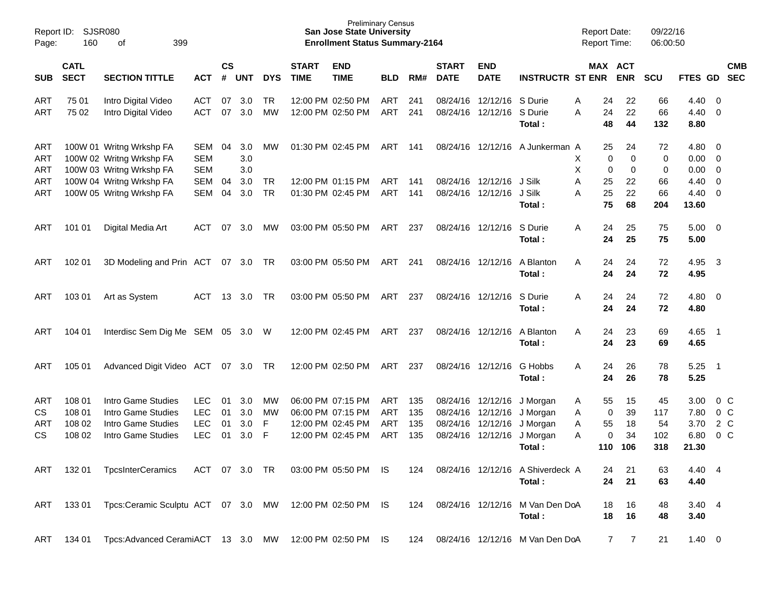| Report ID:<br>Page: | 160                        | <b>SJSR080</b><br>399<br>οf        |               |                    |        |            |                             | <b>Preliminary Census</b><br><b>San Jose State University</b><br><b>Enrollment Status Summary-2164</b> |            |     |                             |                           |                                  | <b>Report Date:</b><br><b>Report Time:</b> |            | 09/22/16<br>06:00:50 |                |                          |                          |
|---------------------|----------------------------|------------------------------------|---------------|--------------------|--------|------------|-----------------------------|--------------------------------------------------------------------------------------------------------|------------|-----|-----------------------------|---------------------------|----------------------------------|--------------------------------------------|------------|----------------------|----------------|--------------------------|--------------------------|
| <b>SUB</b>          | <b>CATL</b><br><b>SECT</b> | <b>SECTION TITTLE</b>              | <b>ACT</b>    | $\mathsf{cs}$<br># | UNT    | <b>DYS</b> | <b>START</b><br><b>TIME</b> | <b>END</b><br><b>TIME</b>                                                                              | <b>BLD</b> | RM# | <b>START</b><br><b>DATE</b> | <b>END</b><br><b>DATE</b> | <b>INSTRUCTR ST ENR</b>          | MAX ACT                                    | <b>ENR</b> | <b>SCU</b>           | <b>FTES GD</b> |                          | <b>CMB</b><br><b>SEC</b> |
| <b>ART</b>          | 75 01                      | Intro Digital Video                | <b>ACT</b>    | 07                 | 3.0    | TR         |                             | 12:00 PM 02:50 PM                                                                                      | ART        | 241 |                             | 08/24/16 12/12/16         | S Durie                          | 24<br>Α                                    | 22         | 66                   | 4.40           | - 0                      |                          |
| <b>ART</b>          | 75 02                      | Intro Digital Video                | <b>ACT</b>    | 07                 | 3.0    | <b>MW</b>  |                             | 12:00 PM 02:50 PM                                                                                      | ART        | 241 |                             | 08/24/16 12/12/16         | S Durie                          | 24<br>А                                    | 22         | 66                   | 4.40           | 0                        |                          |
|                     |                            |                                    |               |                    |        |            |                             |                                                                                                        |            |     |                             |                           | Total:                           | 48                                         | 44         | 132                  | 8.80           |                          |                          |
| ART                 |                            | 100W 01 Writng Wrkshp FA           | SEM           | 04                 | 3.0    | MW         |                             | 01:30 PM 02:45 PM                                                                                      | ART        | 141 |                             |                           | 08/24/16 12/12/16 A Junkerman A  | 25                                         | 24         | 72                   | 4.80           | $\overline{0}$           |                          |
| <b>ART</b>          |                            | 100W 02 Writng Wrkshp FA           | <b>SEM</b>    |                    | 3.0    |            |                             |                                                                                                        |            |     |                             |                           |                                  | Х<br>0                                     | 0          | 0                    | 0.00           | 0                        |                          |
| <b>ART</b>          |                            | 100W 03 Writng Wrkshp FA           | <b>SEM</b>    |                    | 3.0    |            |                             |                                                                                                        |            |     |                             |                           |                                  | X<br>0                                     | 0          | 0                    | 0.00           | 0                        |                          |
| <b>ART</b>          |                            | 100W 04 Writng Wrkshp FA           | <b>SEM</b>    | 04                 | 3.0    | TR         |                             | 12:00 PM 01:15 PM                                                                                      | ART        | 141 |                             | 08/24/16 12/12/16         | J Silk                           | Α<br>25                                    | 22         | 66                   | 4.40           | 0                        |                          |
| <b>ART</b>          |                            | 100W 05 Writng Wrkshp FA           | SEM           | 04                 | 3.0    | <b>TR</b>  |                             | 01:30 PM 02:45 PM                                                                                      | ART        | 141 |                             | 08/24/16 12/12/16         | J Silk                           | 25<br>Α                                    | 22         | 66                   | 4.40           | 0                        |                          |
|                     |                            |                                    |               |                    |        |            |                             |                                                                                                        |            |     |                             |                           | Total:                           | 75                                         | 68         | 204                  | 13.60          |                          |                          |
| ART                 | 101 01                     | Digital Media Art                  | ACT           | 07                 | 3.0    | <b>MW</b>  |                             | 03:00 PM 05:50 PM                                                                                      | ART        | 237 |                             | 08/24/16 12/12/16         | S Durie                          | Α<br>24                                    | 25         | 75                   | 5.00           | $\overline{\phantom{0}}$ |                          |
|                     |                            |                                    |               |                    |        |            |                             |                                                                                                        |            |     |                             |                           | Total:                           | 24                                         | 25         | 75                   | 5.00           |                          |                          |
| ART                 | 102 01                     | 3D Modeling and Prin ACT           |               |                    | 07 3.0 | TR         |                             | 03:00 PM 05:50 PM                                                                                      | ART        | 241 |                             | 08/24/16 12/12/16         | A Blanton                        | Α<br>24                                    | 24         | 72                   | 4.95           | $\overline{\mathbf{3}}$  |                          |
|                     |                            |                                    |               |                    |        |            |                             |                                                                                                        |            |     |                             |                           | Total:                           | 24                                         | 24         | 72                   | 4.95           |                          |                          |
| <b>ART</b>          | 103 01                     | Art as System                      | <b>ACT</b>    | 13                 | 3.0    | TR         |                             | 03:00 PM 05:50 PM                                                                                      | ART        | 237 |                             | 08/24/16 12/12/16         | S Durie                          | Α<br>24                                    | 24         | 72                   | 4.80           | $\overline{\mathbf{0}}$  |                          |
|                     |                            |                                    |               |                    |        |            |                             |                                                                                                        |            |     |                             |                           | Total:                           | 24                                         | 24         | 72                   | 4.80           |                          |                          |
| <b>ART</b>          | 104 01                     | Interdisc Sem Dig Me SEM 05 3.0 W  |               |                    |        |            |                             | 12:00 PM 02:45 PM                                                                                      | ART        | 237 |                             | 08/24/16 12/12/16         | A Blanton                        | Α<br>24                                    | 23         | 69                   | 4.65           | - 1                      |                          |
|                     |                            |                                    |               |                    |        |            |                             |                                                                                                        |            |     |                             |                           | Total:                           | 24                                         | 23         | 69                   | 4.65           |                          |                          |
| <b>ART</b>          | 105 01                     | Advanced Digit Video ACT           |               |                    | 07 3.0 | TR.        |                             | 12:00 PM 02:50 PM                                                                                      | ART        | 237 |                             | 08/24/16 12/12/16         | G Hobbs                          | Α<br>24                                    | 26         | 78                   | 5.25           | - 1                      |                          |
|                     |                            |                                    |               |                    |        |            |                             |                                                                                                        |            |     |                             |                           | Total:                           | 24                                         | 26         | 78                   | 5.25           |                          |                          |
| ART                 | 108 01                     | Intro Game Studies                 | <b>LEC</b>    | 01                 | 3.0    | MW         |                             | 06:00 PM 07:15 PM                                                                                      | ART        | 135 |                             | 08/24/16 12/12/16         | J Morgan                         | 55<br>A                                    | 15         | 45                   | 3.00           | $0\,$ C                  |                          |
| CS                  | 108 01                     | Intro Game Studies                 | <b>LEC</b>    | 01                 | 3.0    | MW         |                             | 06:00 PM 07:15 PM                                                                                      | ART        | 135 |                             | 08/24/16 12/12/16         | J Morgan                         | 0<br>A                                     | 39         | 117                  | 7.80           | $0\,C$                   |                          |
| ART                 | 108 02                     | Intro Game Studies                 | <b>LEC</b>    | 01                 | 3.0    | F          |                             | 12:00 PM 02:45 PM                                                                                      | ART        | 135 |                             | 08/24/16 12/12/16         | J Morgan                         | Α<br>55                                    | 18         | 54                   | 3.70           | 2 C                      |                          |
| CS                  | 108 02                     | Intro Game Studies                 | <b>LEC</b>    | 01                 | 3.0    | F          |                             | 12:00 PM 02:45 PM                                                                                      | <b>ART</b> | 135 |                             | 08/24/16 12/12/16         | J Morgan                         | Α<br>0                                     | 34         | 102                  | 6.80           | 0 <sup>o</sup>           |                          |
|                     |                            |                                    |               |                    |        |            |                             |                                                                                                        |            |     |                             |                           | Total:                           | 110                                        | 106        | 318                  | 21.30          |                          |                          |
| ART                 | 132 01                     | <b>TpcsInterCeramics</b>           | ACT 07 3.0 TR |                    |        |            |                             | 03:00 PM 05:50 PM IS                                                                                   |            | 124 |                             |                           | 08/24/16 12/12/16 A Shiverdeck A | 24                                         | 21         | 63                   | 4.40 4         |                          |                          |
|                     |                            |                                    |               |                    |        |            |                             |                                                                                                        |            |     |                             |                           | Total:                           | 24                                         | 21         | 63                   | 4.40           |                          |                          |
| ART                 | 13301                      | Tpcs:Ceramic Sculptu ACT 07 3.0 MW |               |                    |        |            |                             | 12:00 PM 02:50 PM IS                                                                                   |            | 124 |                             |                           | 08/24/16 12/12/16 M Van Den DoA  | 18                                         | 16         | 48                   | $3.40 \quad 4$ |                          |                          |
|                     |                            |                                    |               |                    |        |            |                             |                                                                                                        |            |     |                             |                           | Total:                           | 18                                         | 16         | 48                   | 3.40           |                          |                          |
| ART                 | 134 01                     | Tpcs:Advanced CeramiACT 13 3.0 MW  |               |                    |        |            |                             | 12:00 PM 02:50 PM IS                                                                                   |            | 124 |                             |                           | 08/24/16 12/12/16 M Van Den DoA  | $\overline{7}$                             | 7          | 21                   | $1.40 \ 0$     |                          |                          |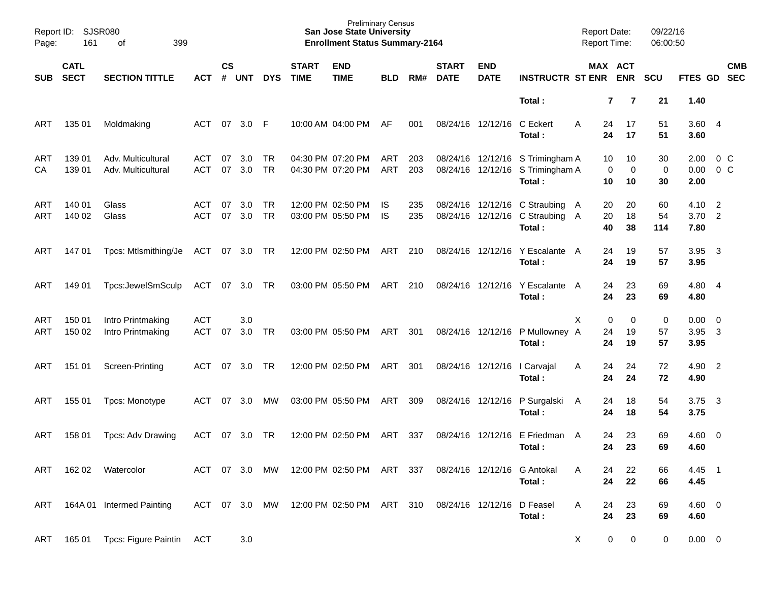| Page:      | Report ID: SJSR080<br>161  | 399<br>of                                |                          |                    |            |                        |                             | <b>Preliminary Census</b><br><b>San Jose State University</b><br><b>Enrollment Status Summary-2164</b> |                 |            |                             |                           |                                                                                | <b>Report Date:</b><br><b>Report Time:</b> |                                  | 09/22/16<br>06:00:50  |                             |                         |
|------------|----------------------------|------------------------------------------|--------------------------|--------------------|------------|------------------------|-----------------------------|--------------------------------------------------------------------------------------------------------|-----------------|------------|-----------------------------|---------------------------|--------------------------------------------------------------------------------|--------------------------------------------|----------------------------------|-----------------------|-----------------------------|-------------------------|
| <b>SUB</b> | <b>CATL</b><br><b>SECT</b> | <b>SECTION TITTLE</b>                    | <b>ACT</b>               | $\mathsf{cs}$<br># | <b>UNT</b> | <b>DYS</b>             | <b>START</b><br><b>TIME</b> | <b>END</b><br><b>TIME</b>                                                                              | <b>BLD</b>      | RM#        | <b>START</b><br><b>DATE</b> | <b>END</b><br><b>DATE</b> | <b>INSTRUCTR ST ENR</b>                                                        |                                            | MAX ACT<br><b>ENR</b>            | <b>SCU</b>            | FTES GD SEC                 | <b>CMB</b>              |
|            |                            |                                          |                          |                    |            |                        |                             |                                                                                                        |                 |            |                             |                           | Total:                                                                         |                                            | $\overline{7}$<br>$\overline{7}$ | 21                    | 1.40                        |                         |
| ART        | 135 01                     | Moldmaking                               | ACT                      | 07                 | 3.0        | -F                     |                             | 10:00 AM 04:00 PM                                                                                      | AF              | 001        |                             | 08/24/16 12/12/16         | C Eckert<br>Total:                                                             | A<br>24<br>24                              | 17<br>17                         | 51<br>51              | 3.604<br>3.60               |                         |
| ART<br>CA  | 139 01<br>139 01           | Adv. Multicultural<br>Adv. Multicultural | ACT<br><b>ACT</b>        | 07<br>07           | 3.0<br>3.0 | <b>TR</b><br><b>TR</b> |                             | 04:30 PM 07:20 PM<br>04:30 PM 07:20 PM                                                                 | ART<br>ART      | 203<br>203 |                             |                           | 08/24/16 12/12/16 S Trimingham A<br>08/24/16 12/12/16 S Trimingham A<br>Total: | 10<br>0<br>10                              | 10<br>0<br>10                    | 30<br>0<br>30         | 2.00<br>0.00<br>2.00        | $0\,C$<br>$0\,C$        |
| ART<br>ART | 140 01<br>140 02           | Glass<br>Glass                           | ACT<br><b>ACT</b>        | 07<br>07           | 3.0<br>3.0 | <b>TR</b><br><b>TR</b> |                             | 12:00 PM 02:50 PM<br>03:00 PM 05:50 PM                                                                 | IS<br><b>IS</b> | 235<br>235 |                             |                           | 08/24/16 12/12/16 C Straubing A<br>08/24/16 12/12/16 C Straubing A<br>Total:   | 20<br>20<br>40                             | 20<br>18<br>38                   | 60<br>54<br>114       | 4.10<br>$3.70$ 2<br>7.80    | $\overline{2}$          |
| ART        | 14701                      | Tpcs: Mtlsmithing/Je                     | ACT 07 3.0 TR            |                    |            |                        |                             | 12:00 PM 02:50 PM                                                                                      | ART             | 210        |                             | 08/24/16 12/12/16         | Y Escalante A<br>Total:                                                        | 24<br>24                                   | 19<br>19                         | 57<br>57              | 3.95<br>3.95                | $\overline{\mathbf{3}}$ |
| ART        | 149 01                     | Tpcs:JewelSmSculp                        | ACT                      | 07                 | 3.0        | <b>TR</b>              |                             | 03:00 PM 05:50 PM                                                                                      | ART             | 210        |                             | 08/24/16 12/12/16         | Y Escalante A<br>Total:                                                        | 24<br>24                                   | 23<br>23                         | 69<br>69              | 4.80 4<br>4.80              |                         |
| ART<br>ART | 150 01<br>150 02           | Intro Printmaking<br>Intro Printmaking   | <b>ACT</b><br><b>ACT</b> | 07                 | 3.0<br>3.0 | TR                     |                             | 03:00 PM 05:50 PM                                                                                      | ART             | 301        |                             | 08/24/16 12/12/16         | P Mullowney A<br>Total:                                                        | X<br>0<br>24<br>24                         | 0<br>19<br>19                    | $\pmb{0}$<br>57<br>57 | $0.00 \t 0$<br>3.95<br>3.95 | $\overline{\mathbf{3}}$ |
| ART        | 151 01                     | Screen-Printing                          | <b>ACT</b>               | 07                 | 3.0        | <b>TR</b>              |                             | 12:00 PM 02:50 PM                                                                                      | ART             | 301        |                             | 08/24/16 12/12/16         | I Carvajal<br>Total:                                                           | 24<br>Α<br>24                              | 24<br>24                         | 72<br>72              | 4.90 2<br>4.90              |                         |
| ART        | 155 01                     | Tpcs: Monotype                           | <b>ACT</b>               | 07                 | 3.0        | МW                     |                             | 03:00 PM 05:50 PM                                                                                      | ART             | 309        |                             | 08/24/16 12/12/16         | P Surgalski<br>Total:                                                          | 24<br>A<br>24                              | 18<br>18                         | 54<br>54              | 3.75<br>3.75                | $\overline{\mathbf{3}}$ |
| ART        | 158 01                     | Tpcs: Adv Drawing                        | <b>ACT</b>               | 07                 | 3.0        | <b>TR</b>              |                             | 12:00 PM 02:50 PM                                                                                      | ART             | 337        |                             | 08/24/16 12/12/16         | E Friedman<br>Total:                                                           | 24<br>A<br>24                              | 23<br>23                         | 69<br>69              | $4.60 \ 0$<br>4.60          |                         |
| ART        | 162 02                     | Watercolor                               | ACT 07 3.0               |                    |            | MW                     |                             | 12:00 PM 02:50 PM ART                                                                                  |                 | - 337      |                             |                           | 08/24/16 12/12/16 G Antokal<br>Total:                                          | 24<br>24                                   | 22<br>22                         | 66<br>66              | 4.45<br>4.45                | - 1                     |
| ART        |                            | 164A 01 Intermed Painting                | ACT 07 3.0 MW            |                    |            |                        |                             | 12:00 PM 02:50 PM ART 310                                                                              |                 |            | 08/24/16 12/12/16           |                           | D Feasel<br>Total:                                                             | 24<br>A<br>24                              | 23<br>23                         | 69<br>69              | $4.60$ 0<br>4.60            |                         |
| ART        | 165 01                     | Tpcs: Figure Paintin                     | ACT                      |                    | $3.0\,$    |                        |                             |                                                                                                        |                 |            |                             |                           |                                                                                | X                                          | 0<br>0                           | 0                     | $0.00 \t 0$                 |                         |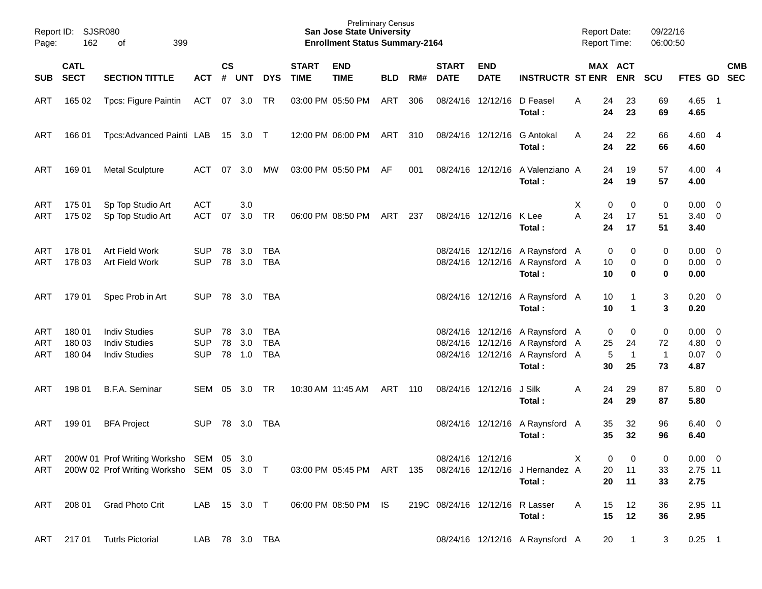| Page:                    | Report ID: SJSR080<br>162  | 399<br>οf                                                                            |                                        |                |                   |                                        |                             | <b>Preliminary Census</b><br><b>San Jose State University</b><br><b>Enrollment Status Summary-2164</b> |            |       |                             |                                 |                                                                                                                 | <b>Report Date:</b><br><b>Report Time:</b> |                    |                               | 09/22/16<br>06:00:50                    |                                           |            |
|--------------------------|----------------------------|--------------------------------------------------------------------------------------|----------------------------------------|----------------|-------------------|----------------------------------------|-----------------------------|--------------------------------------------------------------------------------------------------------|------------|-------|-----------------------------|---------------------------------|-----------------------------------------------------------------------------------------------------------------|--------------------------------------------|--------------------|-------------------------------|-----------------------------------------|-------------------------------------------|------------|
| <b>SUB</b>               | <b>CATL</b><br><b>SECT</b> | <b>SECTION TITTLE</b>                                                                | <b>ACT</b>                             | <b>CS</b>      | # UNT             | <b>DYS</b>                             | <b>START</b><br><b>TIME</b> | <b>END</b><br><b>TIME</b>                                                                              | <b>BLD</b> | RM#   | <b>START</b><br><b>DATE</b> | <b>END</b><br><b>DATE</b>       | <b>INSTRUCTR ST ENR ENR</b>                                                                                     |                                            |                    | MAX ACT                       | <b>SCU</b>                              | FTES GD SEC                               | <b>CMB</b> |
| ART                      | 165 02                     | Tpcs: Figure Paintin                                                                 | ACT 07 3.0 TR                          |                |                   |                                        |                             | 03:00 PM 05:50 PM                                                                                      | ART        | 306   |                             | 08/24/16 12/12/16               | D Feasel<br>Total:                                                                                              | A                                          | 24<br>24           | 23<br>23                      | 69<br>69                                | $4.65$ 1<br>4.65                          |            |
| ART                      | 166 01                     | Tpcs:Advanced Painti LAB 15 3.0 T                                                    |                                        |                |                   |                                        |                             | 12:00 PM 06:00 PM                                                                                      | ART        | 310   |                             | 08/24/16 12/12/16               | <b>G</b> Antokal<br>Total:                                                                                      | A                                          | 24<br>24           | 22<br>22                      | 66<br>66                                | 4.60 4<br>4.60                            |            |
| ART                      | 169 01                     | <b>Metal Sculpture</b>                                                               | ACT                                    | 07             | 3.0               | МW                                     |                             | 03:00 PM 05:50 PM                                                                                      | AF         | 001   |                             |                                 | 08/24/16 12/12/16 A Valenziano A<br>Total:                                                                      |                                            | 24<br>24           | 19<br>19                      | 57<br>57                                | 4.00 4<br>4.00                            |            |
| ART<br>ART               | 175 01<br>175 02           | Sp Top Studio Art<br>Sp Top Studio Art                                               | <b>ACT</b><br><b>ACT</b>               | 07             | 3.0<br>3.0        | TR                                     |                             | 06:00 PM 08:50 PM                                                                                      | ART        | 237   |                             | 08/24/16 12/12/16               | K Lee<br>Total:                                                                                                 | X<br>A                                     | 0<br>24<br>24      | 0<br>17<br>17                 | $\pmb{0}$<br>51<br>51                   | $0.00 \t 0$<br>$3.40 \ 0$<br>3.40         |            |
| ART<br>ART               | 178 01<br>178 03           | Art Field Work<br>Art Field Work                                                     | <b>SUP</b><br><b>SUP</b>               | 78<br>78       | 3.0<br>3.0        | <b>TBA</b><br><b>TBA</b>               |                             |                                                                                                        |            |       |                             |                                 | 08/24/16 12/12/16 A Raynsford A<br>08/24/16 12/12/16 A Raynsford A<br>Total:                                    |                                            | 0<br>10<br>10      | 0<br>0<br>$\bf{0}$            | 0<br>0<br>$\mathbf 0$                   | $0.00 \t 0$<br>$0.00 \t 0$<br>0.00        |            |
| ART                      | 179 01                     | Spec Prob in Art                                                                     | <b>SUP</b>                             |                | 78 3.0            | TBA                                    |                             |                                                                                                        |            |       |                             |                                 | 08/24/16 12/12/16 A Raynsford A<br>Total:                                                                       |                                            | 10<br>10           | 1<br>$\mathbf 1$              | 3<br>3                                  | $0.20 \ 0$<br>0.20                        |            |
| ART<br><b>ART</b><br>ART | 180 01<br>180 03<br>180 04 | <b>Indiv Studies</b><br><b>Indiv Studies</b><br><b>Indiv Studies</b>                 | <b>SUP</b><br><b>SUP</b><br><b>SUP</b> | 78<br>78<br>78 | 3.0<br>3.0<br>1.0 | <b>TBA</b><br><b>TBA</b><br><b>TBA</b> |                             |                                                                                                        |            |       |                             |                                 | 08/24/16 12/12/16 A Raynsford A<br>08/24/16 12/12/16 A Raynsford A<br>08/24/16 12/12/16 A Raynsford A<br>Total: |                                            | 0<br>25<br>5<br>30 | 0<br>24<br>$\mathbf{1}$<br>25 | $\pmb{0}$<br>72<br>$\overline{1}$<br>73 | $0.00 \t 0$<br>4.80 0<br>$0.07$ 0<br>4.87 |            |
| ART                      | 198 01                     | B.F.A. Seminar                                                                       | SEM                                    | 05             | 3.0               | TR                                     |                             | 10:30 AM 11:45 AM                                                                                      | ART        | - 110 |                             | 08/24/16 12/12/16               | J Silk<br>Total:                                                                                                | A                                          | 24<br>24           | 29<br>29                      | 87<br>87                                | 5.80 0<br>5.80                            |            |
| ART                      | 199 01                     | <b>BFA Project</b>                                                                   | SUP                                    | 78             | 3.0               | TBA                                    |                             |                                                                                                        |            |       |                             |                                 | 08/24/16 12/12/16 A Raynsford A<br>Total:                                                                       |                                            | 35<br>35           | 32<br>32                      | 96<br>96                                | $6.40 \quad 0$<br>6.40                    |            |
| ART<br>ART               |                            | 200W 01 Prof Writing Worksho SEM 05 3.0<br>200W 02 Prof Writing Worksho SEM 05 3.0 T |                                        |                |                   |                                        |                             | 03:00 PM 05:45 PM ART                                                                                  |            | 135   |                             | 08/24/16 12/12/16               | 08/24/16 12/12/16 J Hernandez A<br>Total:                                                                       | X                                          | 0<br>20<br>20      | 0<br>11<br>11                 | 0<br>33<br>33                           | $0.00 \t 0$<br>2.75 11<br>2.75            |            |
| ART                      | 208 01                     | <b>Grad Photo Crit</b>                                                               | LAB 15 3.0 T                           |                |                   |                                        |                             | 06:00 PM 08:50 PM IS                                                                                   |            |       |                             | 219C 08/24/16 12/12/16 R Lasser | Total:                                                                                                          | A                                          | 15<br>15           | 12<br>12                      | 36<br>36                                | 2.95 11<br>2.95                           |            |
| ART                      | 217 01                     | <b>Tutrls Pictorial</b>                                                              |                                        |                | LAB 78 3.0 TBA    |                                        |                             |                                                                                                        |            |       |                             |                                 | 08/24/16 12/12/16 A Raynsford A                                                                                 |                                            | 20                 | $\mathbf{1}$                  | 3                                       | $0.25$ 1                                  |            |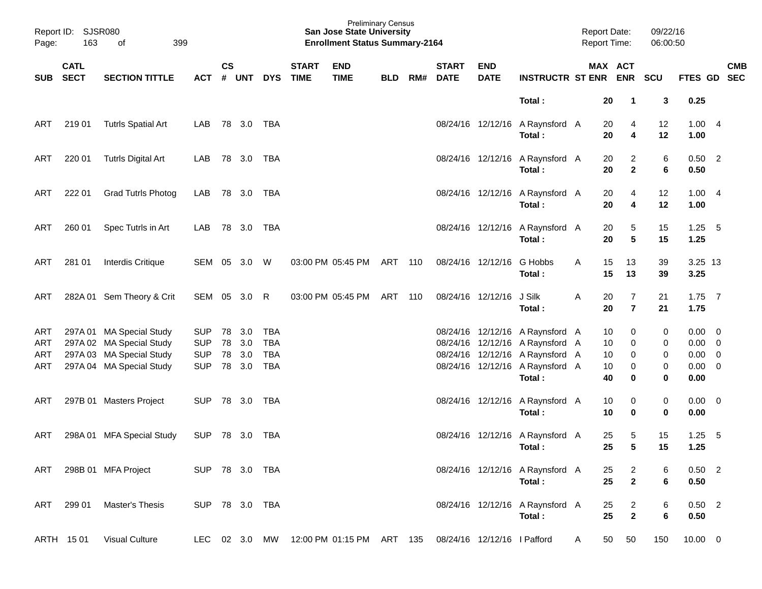| Page: | Report ID: SJSR080<br>163 | 399<br>of                 |                |               |                |            |                             | <b>San Jose State University</b><br><b>Enrollment Status Summary-2164</b> | <b>Preliminary Census</b> |     |                             |                             |                                           | <b>Report Date:</b> | <b>Report Time:</b>  | 09/22/16<br>06:00:50                         |                     |     |            |
|-------|---------------------------|---------------------------|----------------|---------------|----------------|------------|-----------------------------|---------------------------------------------------------------------------|---------------------------|-----|-----------------------------|-----------------------------|-------------------------------------------|---------------------|----------------------|----------------------------------------------|---------------------|-----|------------|
|       | <b>CATL</b><br>SUB SECT   | <b>SECTION TITTLE</b>     | ACT            | $\mathsf{cs}$ | # UNT          | <b>DYS</b> | <b>START</b><br><b>TIME</b> | <b>END</b><br><b>TIME</b>                                                 | <b>BLD</b>                | RM# | <b>START</b><br><b>DATE</b> | <b>END</b><br><b>DATE</b>   | <b>INSTRUCTR ST ENR ENR</b>               |                     | MAX ACT              | <b>SCU</b>                                   | FTES GD SEC         |     | <b>CMB</b> |
|       |                           |                           |                |               |                |            |                             |                                                                           |                           |     |                             |                             | Total:                                    |                     | 20<br>$\mathbf 1$    | 3                                            | 0.25                |     |            |
| ART   | 219 01                    | <b>Tutrls Spatial Art</b> | LAB            |               | 78 3.0 TBA     |            |                             |                                                                           |                           |     |                             |                             | 08/24/16 12/12/16 A Raynsford A<br>Total: |                     | 20<br>20             | 4<br>12<br>4<br>12                           | 1.004<br>1.00       |     |            |
| ART   | 220 01                    | <b>Tutrls Digital Art</b> | LAB            |               | 78 3.0 TBA     |            |                             |                                                                           |                           |     |                             |                             | 08/24/16 12/12/16 A Raynsford A<br>Total: |                     | 20<br>20             | $\overline{2}$<br>6<br>$\overline{2}$<br>6   | $0.50$ 2<br>0.50    |     |            |
| ART   | 222 01                    | <b>Grad Tutrls Photog</b> | LAB            |               | 78 3.0 TBA     |            |                             |                                                                           |                           |     |                             |                             | 08/24/16 12/12/16 A Raynsford A<br>Total: |                     | 20<br>20             | 4<br>12<br>4<br>12                           | 1.004<br>1.00       |     |            |
| ART   | 260 01                    | Spec Tutrls in Art        | LAB            |               | 78 3.0 TBA     |            |                             |                                                                           |                           |     |                             |                             | 08/24/16 12/12/16 A Raynsford A<br>Total: |                     | 20<br>20             | 5<br>15<br>$5\phantom{1}$<br>15              | $1.25 - 5$<br>1.25  |     |            |
| ART   | 281 01                    | Interdis Critique         |                |               | SEM 05 3.0 W   |            |                             | 03:00 PM 05:45 PM                                                         | ART                       | 110 |                             | 08/24/16 12/12/16           | G Hobbs<br>Total:                         | A                   | 15<br>13<br>15<br>13 | 39<br>39                                     | 3.25 13<br>3.25     |     |            |
| ART   |                           | 282A 01 Sem Theory & Crit |                |               | SEM 05 3.0 R   |            |                             | 03:00 PM 05:45 PM                                                         | ART                       | 110 |                             | 08/24/16 12/12/16           | J Silk<br>Total:                          | Α                   | 20<br>20             | $\overline{7}$<br>21<br>$\overline{7}$<br>21 | $1.75$ 7<br>1.75    |     |            |
| ART   |                           | 297A 01 MA Special Study  | <b>SUP</b>     | 78            | 3.0            | <b>TBA</b> |                             |                                                                           |                           |     |                             |                             | 08/24/16 12/12/16 A Raynsford A           |                     | 10                   | 0<br>0                                       | $0.00 \t 0$         |     |            |
| ART   |                           | 297A 02 MA Special Study  | <b>SUP</b>     | 78            | 3.0            | <b>TBA</b> |                             |                                                                           |                           |     |                             |                             | 08/24/16 12/12/16 A Raynsford A           |                     | 10                   | 0<br>0                                       | $0.00 \t 0$         |     |            |
| ART   |                           | 297A 03 MA Special Study  | <b>SUP</b>     | 78            | 3.0            | <b>TBA</b> |                             |                                                                           |                           |     |                             |                             | 08/24/16 12/12/16 A Raynsford A           |                     | 10                   | 0<br>0                                       | $0.00 \t 0$         |     |            |
| ART   |                           | 297A 04 MA Special Study  | <b>SUP</b>     |               | 78 3.0         | <b>TBA</b> |                             |                                                                           |                           |     |                             |                             | 08/24/16 12/12/16 A Raynsford A<br>Total: |                     | 10<br>40             | 0<br>0<br>0<br>0                             | $0.00 \t 0$<br>0.00 |     |            |
| ART   |                           | 297B 01 Masters Project   | <b>SUP</b>     |               | 78 3.0 TBA     |            |                             |                                                                           |                           |     |                             |                             | 08/24/16 12/12/16 A Raynsford A<br>Total: |                     | 10<br>10             | 0<br>0<br>0<br>0                             | $0.00 \t 0$<br>0.00 |     |            |
| ART   |                           | 298A 01 MFA Special Study | <b>SUP</b>     |               | 78 3.0         | TBA        |                             |                                                                           |                           |     |                             |                             | 08/24/16 12/12/16 A Raynsford A<br>Total: |                     | 25<br>25             | 5<br>15<br>$5\phantom{1}$<br>15              | 1.25<br>1.25        | - 5 |            |
| ART   |                           | 298B 01 MFA Project       | SUP 78 3.0 TBA |               |                |            |                             |                                                                           |                           |     |                             |                             | 08/24/16 12/12/16 A Raynsford A<br>Total: |                     | 25<br>25             | $\overline{2}$<br>6<br>$\mathbf{2}$<br>6     | $0.50$ 2<br>0.50    |     |            |
| ART   | 299 01                    | <b>Master's Thesis</b>    |                |               | SUP 78 3.0 TBA |            |                             |                                                                           |                           |     |                             |                             | 08/24/16 12/12/16 A Raynsford A<br>Total: |                     | 25<br>25             | $\overline{c}$<br>6<br>$\mathbf{2}$<br>6     | $0.50$ 2<br>0.50    |     |            |
|       | ARTH 1501                 | <b>Visual Culture</b>     |                |               | LEC 02 3.0 MW  |            |                             | 12:00 PM 01:15 PM ART 135                                                 |                           |     |                             | 08/24/16 12/12/16 I Pafford |                                           | A                   | 50<br>50             | 150                                          | $10.00 \t 0$        |     |            |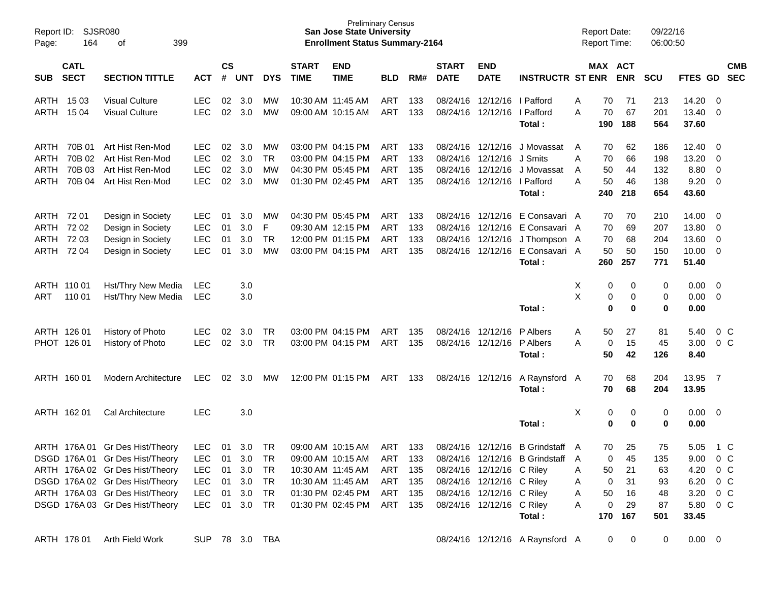| Report ID:<br>Page:                                  | 164                                  | SJSR080<br>399<br>οf                                                                                                                                                                                           |                                                                                  |                            |                                              |                                           |                             | <b>Preliminary Census</b><br><b>San Jose State University</b><br><b>Enrollment Status Summary-2164</b>                     |                                                |                          |                             |                                                                                                                              |                                                                           |                       | <b>Report Date:</b><br><b>Report Time:</b> |                                         | 09/22/16<br>06:00:50                     |                                                       |                                                                   |                          |
|------------------------------------------------------|--------------------------------------|----------------------------------------------------------------------------------------------------------------------------------------------------------------------------------------------------------------|----------------------------------------------------------------------------------|----------------------------|----------------------------------------------|-------------------------------------------|-----------------------------|----------------------------------------------------------------------------------------------------------------------------|------------------------------------------------|--------------------------|-----------------------------|------------------------------------------------------------------------------------------------------------------------------|---------------------------------------------------------------------------|-----------------------|--------------------------------------------|-----------------------------------------|------------------------------------------|-------------------------------------------------------|-------------------------------------------------------------------|--------------------------|
| <b>SUB</b>                                           | <b>CATL</b><br><b>SECT</b>           | <b>SECTION TITTLE</b>                                                                                                                                                                                          | <b>ACT</b>                                                                       | $\mathsf{cs}$<br>#         | <b>UNT</b>                                   | <b>DYS</b>                                | <b>START</b><br><b>TIME</b> | <b>END</b><br><b>TIME</b>                                                                                                  | <b>BLD</b>                                     | RM#                      | <b>START</b><br><b>DATE</b> | <b>END</b><br><b>DATE</b>                                                                                                    | <b>INSTRUCTR ST ENR</b>                                                   |                       |                                            | MAX ACT<br><b>ENR</b>                   | <b>SCU</b>                               | FTES GD                                               |                                                                   | <b>CMB</b><br><b>SEC</b> |
| ARTH 1503<br>ARTH                                    | 15 04                                | <b>Visual Culture</b><br><b>Visual Culture</b>                                                                                                                                                                 | LEC.<br><b>LEC</b>                                                               | 02<br>02                   | 3.0<br>3.0                                   | MW<br><b>MW</b>                           | 10:30 AM 11:45 AM           | 09:00 AM 10:15 AM                                                                                                          | ART<br>ART                                     | 133<br>133               | 08/24/16                    | 12/12/16   Pafford<br>08/24/16 12/12/16                                                                                      | l Pafford<br>Total:                                                       | A<br>A                | 70<br>70<br>190                            | 71<br>67<br>188                         | 213<br>201<br>564                        | 14.20<br>13.40<br>37.60                               | - 0<br>$\Omega$                                                   |                          |
| ARTH<br>ARTH<br>ARTH<br>ARTH                         | 70B 01<br>70B 02<br>70B 03<br>70B 04 | Art Hist Ren-Mod<br>Art Hist Ren-Mod<br>Art Hist Ren-Mod<br>Art Hist Ren-Mod                                                                                                                                   | LEC<br><b>LEC</b><br><b>LEC</b><br><b>LEC</b>                                    | 02<br>02<br>02<br>02       | 3.0<br>3.0<br>3.0<br>3.0                     | MW<br><b>TR</b><br><b>MW</b><br><b>MW</b> |                             | 03:00 PM 04:15 PM<br>03:00 PM 04:15 PM<br>04:30 PM 05:45 PM<br>01:30 PM 02:45 PM                                           | ART<br>ART<br>ART<br>ART                       | 133<br>133<br>135<br>135 | 08/24/16                    | 08/24/16 12/12/16<br>08/24/16 12/12/16 J Smits<br>12/12/16<br>08/24/16 12/12/16 I Pafford                                    | J Movassat<br>J Movassat<br>Total :                                       | A<br>A<br>A<br>A      | 70<br>70<br>50<br>50<br>240                | 62<br>66<br>44<br>46<br>218             | 186<br>198<br>132<br>138<br>654          | 12.40<br>13.20<br>8.80<br>9.20<br>43.60               | - 0<br>0<br>0<br>- 0                                              |                          |
| ARTH 72 01<br>ARTH 72 02<br>ARTH 72 03<br>ARTH 72 04 |                                      | Design in Society<br>Design in Society<br>Design in Society<br>Design in Society                                                                                                                               | <b>LEC</b><br><b>LEC</b><br><b>LEC</b><br><b>LEC</b>                             | 01<br>01<br>01<br>01       | 3.0<br>3.0<br>3.0<br>3.0                     | MW<br>F<br><b>TR</b><br><b>MW</b>         |                             | 04:30 PM 05:45 PM<br>09:30 AM 12:15 PM<br>12:00 PM 01:15 PM<br>03:00 PM 04:15 PM                                           | ART<br>ART<br>ART<br>ART                       | 133<br>133<br>133<br>135 | 08/24/16<br>08/24/16        | 08/24/16 12/12/16<br>08/24/16 12/12/16<br>12/12/16<br>12/12/16                                                               | E Consavari A<br>E Consavari A<br>J Thompson A<br>E Consavari A<br>Total: |                       | 70<br>70<br>70<br>50<br>260                | 70<br>69<br>68<br>50<br>257             | 210<br>207<br>204<br>150<br>771          | 14.00<br>13.80<br>13.60<br>10.00<br>51.40             | - 0<br>- 0<br>0<br>0                                              |                          |
| ARTH 110 01<br>ART                                   | 110 01                               | Hst/Thry New Media<br>Hst/Thry New Media                                                                                                                                                                       | <b>LEC</b><br><b>LEC</b>                                                         |                            | 3.0<br>3.0                                   |                                           |                             |                                                                                                                            |                                                |                          |                             |                                                                                                                              | Total:                                                                    | Χ<br>X                | 0<br>0<br>0                                | 0<br>0<br>0                             | 0<br>0<br>0                              | 0.00<br>0.00<br>0.00                                  | 0<br>- 0                                                          |                          |
| ARTH 126 01<br>PHOT 126 01                           |                                      | History of Photo<br>History of Photo                                                                                                                                                                           | <b>LEC</b><br><b>LEC</b>                                                         | 02<br>02                   | 3.0<br>3.0                                   | <b>TR</b><br><b>TR</b>                    |                             | 03:00 PM 04:15 PM<br>03:00 PM 04:15 PM                                                                                     | ART<br>ART                                     | 135<br>135               | 08/24/16                    | 12/12/16<br>08/24/16 12/12/16                                                                                                | P Albers<br>P Albers<br>Total :                                           | A<br>A                | 50<br>0<br>50                              | 27<br>15<br>42                          | 81<br>45<br>126                          | 5.40<br>3.00<br>8.40                                  | $0\,C$<br>0 <sup>C</sup>                                          |                          |
| ARTH 160 01                                          |                                      | <b>Modern Architecture</b>                                                                                                                                                                                     | <b>LEC</b>                                                                       | 02                         | 3.0                                          | MW                                        |                             | 12:00 PM 01:15 PM                                                                                                          | ART                                            | 133                      | 08/24/16 12/12/16           |                                                                                                                              | A Raynsford A<br>Total :                                                  |                       | 70<br>70                                   | 68<br>68                                | 204<br>204                               | 13.95<br>13.95                                        | $\overline{7}$                                                    |                          |
| ARTH 162 01                                          |                                      | Cal Architecture                                                                                                                                                                                               | <b>LEC</b>                                                                       |                            | 3.0                                          |                                           |                             |                                                                                                                            |                                                |                          |                             |                                                                                                                              | Total:                                                                    | X                     | 0<br>0                                     | 0<br>$\mathbf 0$                        | 0<br>0                                   | 0.00<br>0.00                                          | - 0                                                               |                          |
|                                                      |                                      | ARTH 176A 01 Gr Des Hist/Theory<br>DSGD 176A 01 Gr Des Hist/Theory<br>ARTH 176A 02 Gr Des Hist/Theory<br>DSGD 176A 02 Gr Des Hist/Theory<br>ARTH 176A 03 Gr Des Hist/Theory<br>DSGD 176A 03 Gr Des Hist/Theory | <b>LEC</b><br><b>LEC</b><br><b>LEC</b><br><b>LEC</b><br><b>LEC</b><br><b>LEC</b> | 01<br>01<br>01<br>01<br>01 | 3.0<br>3.0<br>3.0<br>3.0<br>3.0<br>01 3.0 TR | <b>TR</b><br>TR<br>TR<br>TR<br>TR         |                             | 09:00 AM 10:15 AM<br>09:00 AM 10:15 AM<br>10:30 AM 11:45 AM<br>10:30 AM 11:45 AM<br>01:30 PM 02:45 PM<br>01:30 PM 02:45 PM | ART<br>ART<br>ART<br>ART 135<br>ART<br>ART 135 | 133<br>133<br>135<br>135 | 08/24/16                    | 12/12/16<br>08/24/16 12/12/16 C Riley<br>08/24/16 12/12/16 C Riley<br>08/24/16 12/12/16 C Riley<br>08/24/16 12/12/16 C Riley | B Grindstaff A<br>08/24/16 12/12/16 B Grindstaff<br>Total:                | A<br>A<br>A<br>A<br>A | 70<br>0<br>50<br>0<br>50<br>0<br>170       | 25<br>45<br>21<br>31<br>16<br>29<br>167 | 75<br>135<br>63<br>93<br>48<br>87<br>501 | 5.05<br>9.00<br>4.20<br>6.20<br>3.20<br>5.80<br>33.45 | 1 C<br>0 <sup>o</sup><br>$0\,$ C<br>$0\,$ C<br>$0\,$ C<br>$0\,$ C |                          |
|                                                      | ARTH 178 01                          | Arth Field Work                                                                                                                                                                                                | SUP 78 3.0 TBA                                                                   |                            |                                              |                                           |                             |                                                                                                                            |                                                |                          |                             |                                                                                                                              | 08/24/16 12/12/16 A Raynsford A                                           |                       | 0                                          | 0                                       | 0                                        | $0.00 \t 0$                                           |                                                                   |                          |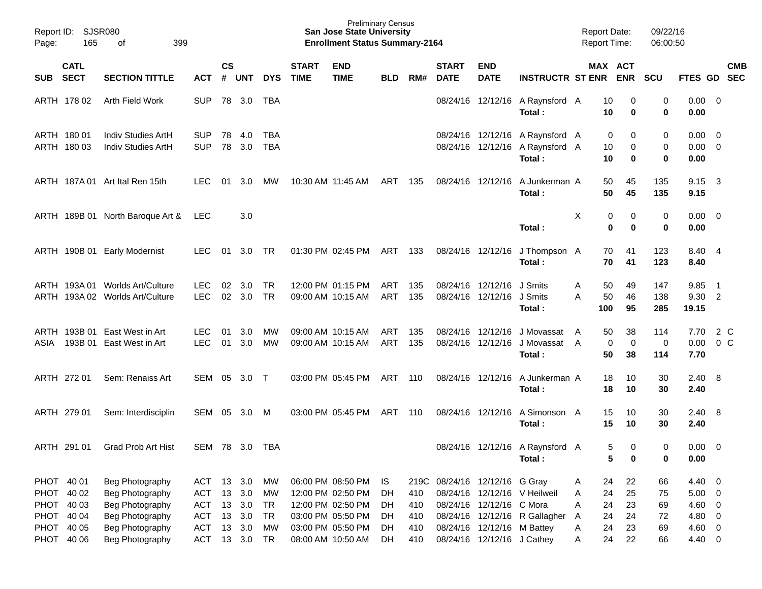| Page:    | Report ID: SJSR080<br>165                                          | 399<br>оf                                                                                   |                                                                    |                      |                                    |                                                 |                             | <b>Preliminary Census</b><br><b>San Jose State University</b><br><b>Enrollment Status Summary-2164</b> |                                |                                  |                             |                                                                                    |                                                                              | <b>Report Date:</b><br><b>Report Time:</b>     |                              | 09/22/16<br>06:00:50       |                                                     |                                                    |            |
|----------|--------------------------------------------------------------------|---------------------------------------------------------------------------------------------|--------------------------------------------------------------------|----------------------|------------------------------------|-------------------------------------------------|-----------------------------|--------------------------------------------------------------------------------------------------------|--------------------------------|----------------------------------|-----------------------------|------------------------------------------------------------------------------------|------------------------------------------------------------------------------|------------------------------------------------|------------------------------|----------------------------|-----------------------------------------------------|----------------------------------------------------|------------|
| SUB SECT | <b>CATL</b>                                                        | <b>SECTION TITTLE</b>                                                                       | <b>ACT</b>                                                         | <b>CS</b><br>#       | UNT                                | <b>DYS</b>                                      | <b>START</b><br><b>TIME</b> | <b>END</b><br><b>TIME</b>                                                                              | <b>BLD</b>                     | RM#                              | <b>START</b><br><b>DATE</b> | <b>END</b><br><b>DATE</b>                                                          | <b>INSTRUCTR ST ENR</b>                                                      |                                                | MAX ACT<br><b>ENR</b>        | <b>SCU</b>                 | FTES GD SEC                                         |                                                    | <b>CMB</b> |
|          | ARTH 178 02                                                        | Arth Field Work                                                                             | <b>SUP</b>                                                         |                      | 78 3.0                             | TBA                                             |                             |                                                                                                        |                                |                                  |                             |                                                                                    | 08/24/16 12/12/16 A Raynsford A<br>Total:                                    | 10<br>10                                       | 0<br>0                       | 0<br>0                     | 0.00<br>0.00                                        | $\overline{\phantom{0}}$                           |            |
|          | ARTH 180 01<br>ARTH 180 03                                         | Indiv Studies ArtH<br>Indiv Studies ArtH                                                    | <b>SUP</b><br><b>SUP</b>                                           | 78<br>78             | 4.0<br>3.0                         | TBA<br><b>TBA</b>                               |                             |                                                                                                        |                                |                                  |                             |                                                                                    | 08/24/16 12/12/16 A Raynsford A<br>08/24/16 12/12/16 A Raynsford A<br>Total: | 10<br>10                                       | 0<br>0<br>0<br>0             | 0<br>0<br>0                | 0.00<br>0.00<br>0.00                                | $\overline{\mathbf{0}}$<br>$\overline{\mathbf{0}}$ |            |
|          |                                                                    | ARTH 187A 01 Art Ital Ren 15th                                                              | <b>LEC</b>                                                         | 01                   | 3.0                                | MW                                              |                             | 10:30 AM 11:45 AM                                                                                      | ART                            | 135                              |                             | 08/24/16 12/12/16                                                                  | A Junkerman A<br>Total:                                                      | 50<br>50                                       | 45<br>45                     | 135<br>135                 | 9.15<br>9.15                                        | $\overline{\mathbf{3}}$                            |            |
|          |                                                                    | ARTH 189B 01 North Baroque Art &                                                            | LEC                                                                |                      | 3.0                                |                                                 |                             |                                                                                                        |                                |                                  |                             |                                                                                    | Total:                                                                       | Χ                                              | 0<br>0<br>$\mathbf 0$<br>0   | 0<br>0                     | $0.00 \quad 0$<br>0.00                              |                                                    |            |
|          |                                                                    | ARTH 190B 01 Early Modernist                                                                | <b>LEC</b>                                                         | 01                   | 3.0                                | TR                                              |                             | 01:30 PM 02:45 PM                                                                                      | ART                            | - 133                            |                             | 08/24/16 12/12/16                                                                  | J Thompson A<br>Total:                                                       | 70<br>70                                       | 41<br>41                     | 123<br>123                 | 8.40<br>8.40                                        | - 4                                                |            |
|          |                                                                    | ARTH 193A 01 Worlds Art/Culture<br>ARTH 193A 02 Worlds Art/Culture                          | <b>LEC</b><br><b>LEC</b>                                           | 02<br>02             | 3.0<br>3.0                         | <b>TR</b><br>TR                                 |                             | 12:00 PM 01:15 PM<br>09:00 AM 10:15 AM                                                                 | ART<br>ART                     | 135<br>135                       |                             | 08/24/16 12/12/16<br>08/24/16 12/12/16                                             | J Smits<br>J Smits<br>Total:                                                 | 50<br>A<br>50<br>А<br>100                      | 49<br>46<br>95               | 147<br>138<br>285          | 9.85<br>9.30 2<br>19.15                             | $\overline{\phantom{1}}$                           |            |
| ASIA     | 193B 01                                                            | ARTH 193B 01 East West in Art<br>East West in Art                                           | <b>LEC</b><br><b>LEC</b>                                           | 01<br>01             | 3.0<br>3.0                         | MW<br>MW                                        |                             | 09:00 AM 10:15 AM<br>09:00 AM 10:15 AM                                                                 | ART<br>ART                     | 135<br>135                       |                             | 08/24/16 12/12/16<br>08/24/16 12/12/16                                             | J Movassat<br>J Movassat<br>Total:                                           | 50<br>A<br>A<br>50                             | 38<br>0<br>$\mathbf 0$<br>38 | 114<br>0<br>114            | 7.70<br>0.00<br>7.70                                | 2 C<br>0 <sup>o</sup>                              |            |
|          | ARTH 272 01                                                        | Sem: Renaiss Art                                                                            | SEM                                                                | 05                   | $3.0$ T                            |                                                 |                             | 03:00 PM 05:45 PM                                                                                      | ART                            | 110                              |                             | 08/24/16 12/12/16                                                                  | A Junkerman A<br>Total:                                                      | 18<br>18                                       | 10<br>10                     | 30<br>30                   | 2.40<br>2.40                                        | - 8                                                |            |
|          | ARTH 279 01                                                        | Sem: Interdisciplin                                                                         | SEM                                                                | 05                   | 3.0                                | M                                               |                             | 03:00 PM 05:45 PM                                                                                      | ART                            | 110                              |                             | 08/24/16 12/12/16                                                                  | A Simonson A<br>Total:                                                       | 15<br>15                                       | 10<br>10                     | 30<br>30                   | 2.40<br>2.40                                        | - 8                                                |            |
|          | ARTH 291 01                                                        | <b>Grad Prob Art Hist</b>                                                                   | SEM 78 3.0                                                         |                      |                                    | TBA                                             |                             |                                                                                                        |                                |                                  |                             |                                                                                    | 08/24/16 12/12/16 A Raynsford A<br>Total:                                    |                                                | 5<br>0<br>5<br>0             | 0<br>0                     | 0.00<br>0.00                                        | $\overline{\phantom{0}}$                           |            |
|          | PHOT 40 01<br>PHOT 40 02<br>PHOT 40 03<br>PHOT 40 04<br>PHOT 40 05 | Beg Photography<br>Beg Photography<br>Beg Photography<br>Beg Photography<br>Beg Photography | <b>ACT</b><br><b>ACT</b><br><b>ACT</b><br><b>ACT</b><br><b>ACT</b> | 13<br>13<br>13<br>13 | 3.0<br>3.0<br>13 3.0<br>3.0<br>3.0 | MW<br><b>MW</b><br>TR<br><b>TR</b><br><b>MW</b> |                             | 06:00 PM 08:50 PM<br>12:00 PM 02:50 PM<br>12:00 PM 02:50 PM<br>03:00 PM 05:50 PM<br>03:00 PM 05:50 PM  | IS<br>DH.<br>DH.<br>DH.<br>DH. | 219C<br>410<br>410<br>410<br>410 |                             | 08/24/16 12/12/16 G Gray<br>08/24/16 12/12/16 C Mora<br>08/24/16 12/12/16 M Battey | 08/24/16 12/12/16 V Heilweil<br>08/24/16 12/12/16 R Gallagher                | 24<br>A<br>24<br>A<br>24<br>Α<br>24<br>A<br>24 | 22<br>25<br>23<br>24<br>23   | 66<br>75<br>69<br>72<br>69 | 4.40 0<br>$5.00 \t 0$<br>4.60 0<br>4.80 0<br>4.60 0 |                                                    |            |
|          | PHOT 40 06                                                         | Beg Photography                                                                             | <b>ACT</b>                                                         |                      | 13 3.0                             | TR                                              |                             | 08:00 AM 10:50 AM                                                                                      | DH.                            | 410                              |                             | 08/24/16 12/12/16 J Cathey                                                         |                                                                              | A<br>24<br>A                                   | 22                           | 66                         | 4.40 0                                              |                                                    |            |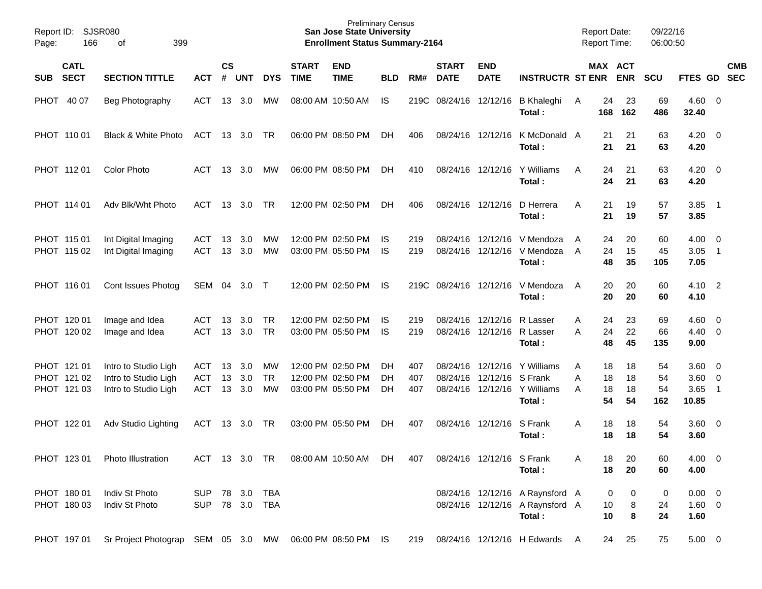| Report ID:<br>Page: | 166                                       | <b>SJSR080</b><br>399<br>οf                                          |                                 |                    |                   |                        |                             | <b>Preliminary Census</b><br><b>San Jose State University</b><br><b>Enrollment Status Summary-2164</b> |                  |                   |                                  |                                                          |                                                                              |             |                      | <b>Report Date:</b><br><b>Report Time:</b> | 09/22/16<br>06:00:50  |                                       |                            |            |
|---------------------|-------------------------------------------|----------------------------------------------------------------------|---------------------------------|--------------------|-------------------|------------------------|-----------------------------|--------------------------------------------------------------------------------------------------------|------------------|-------------------|----------------------------------|----------------------------------------------------------|------------------------------------------------------------------------------|-------------|----------------------|--------------------------------------------|-----------------------|---------------------------------------|----------------------------|------------|
| <b>SUB</b>          | <b>CATL</b><br><b>SECT</b>                | <b>SECTION TITTLE</b>                                                | <b>ACT</b>                      | $\mathsf{cs}$<br># | <b>UNT</b>        | <b>DYS</b>             | <b>START</b><br><b>TIME</b> | <b>END</b><br><b>TIME</b>                                                                              | <b>BLD</b>       | RM#               | <b>START</b><br><b>DATE</b>      | <b>END</b><br><b>DATE</b>                                | <b>INSTRUCTR ST ENR</b>                                                      |             |                      | <b>MAX ACT</b><br><b>ENR</b>               | <b>SCU</b>            | FTES GD SEC                           |                            | <b>CMB</b> |
| <b>PHOT</b>         | 40 07                                     | Beg Photography                                                      | ACT                             | 13                 | 3.0               | МW                     |                             | 08:00 AM 10:50 AM                                                                                      | IS               | 219C              | 08/24/16                         |                                                          | 12/12/16 B Khaleghi<br>Total:                                                | A           | 24<br>168            | 23<br>162                                  | 69<br>486             | $4.60$ 0<br>32.40                     |                            |            |
|                     | PHOT 110 01                               | Black & White Photo                                                  | ACT                             |                    | 13 3.0 TR         |                        |                             | 06:00 PM 08:50 PM                                                                                      | DН               | 406               |                                  |                                                          | 08/24/16 12/12/16 K McDonald A<br>Total:                                     |             | 21<br>21             | 21<br>21                                   | 63<br>63              | $4.20 \ 0$<br>4.20                    |                            |            |
|                     | PHOT 11201                                | <b>Color Photo</b>                                                   | ACT                             | 13                 | - 3.0             | МW                     |                             | 06:00 PM 08:50 PM                                                                                      | DH               | 410               |                                  |                                                          | 08/24/16 12/12/16 Y Williams<br>Total:                                       | A           | 24<br>24             | 21<br>21                                   | 63<br>63              | $4.20 \ 0$<br>4.20                    |                            |            |
|                     | PHOT 114 01                               | Adv Blk/Wht Photo                                                    | ACT.                            |                    | 13 3.0            | <b>TR</b>              |                             | 12:00 PM 02:50 PM                                                                                      | DH               | 406               |                                  | 08/24/16 12/12/16                                        | D Herrera<br>Total:                                                          | Α           | 21<br>21             | 19<br>19                                   | 57<br>57              | 3.85<br>3.85                          | $\overline{1}$             |            |
|                     | PHOT 115 01<br>PHOT 115 02                | Int Digital Imaging<br>Int Digital Imaging                           | ACT<br><b>ACT</b>               | 13<br>13           | 3.0<br>3.0        | МW<br>MW               |                             | 12:00 PM 02:50 PM<br>03:00 PM 05:50 PM                                                                 | IS.<br><b>IS</b> | 219<br>219        | 08/24/16                         |                                                          | 12/12/16 V Mendoza<br>08/24/16 12/12/16 V Mendoza<br>Total:                  | A<br>A      | 24<br>24<br>48       | 20<br>15<br>35                             | 60<br>45<br>105       | $4.00 \ 0$<br>3.05<br>7.05            | $\overline{1}$             |            |
|                     | PHOT 116 01                               | Cont Issues Photog                                                   | SEM                             | 04                 | 3.0               | $\top$                 |                             | 12:00 PM 02:50 PM                                                                                      | IS               |                   |                                  |                                                          | 219C 08/24/16 12/12/16 V Mendoza<br>Total:                                   | A           | 20<br>20             | 20<br>20                                   | 60<br>60              | 4.10<br>4.10                          | $\overline{\phantom{0}}^2$ |            |
|                     | PHOT 120 01<br>PHOT 120 02                | Image and Idea<br>Image and Idea                                     | ACT<br><b>ACT</b>               | 13<br>13           | 3.0<br>3.0        | <b>TR</b><br><b>TR</b> |                             | 12:00 PM 02:50 PM<br>03:00 PM 05:50 PM                                                                 | IS.<br><b>IS</b> | 219<br>219        |                                  | 08/24/16 12/12/16 R Lasser<br>08/24/16 12/12/16 R Lasser | Total:                                                                       | A<br>A      | 24<br>24<br>48       | 23<br>22<br>45                             | 69<br>66<br>135       | $4.60$ 0<br>$4.40 \quad 0$<br>9.00    |                            |            |
|                     | PHOT 121 01<br>PHOT 121 02<br>PHOT 121 03 | Intro to Studio Ligh<br>Intro to Studio Ligh<br>Intro to Studio Ligh | ACT<br><b>ACT</b><br><b>ACT</b> | 13<br>13<br>13     | 3.0<br>3.0<br>3.0 | МW<br><b>TR</b><br>MW  |                             | 12:00 PM 02:50 PM<br>12:00 PM 02:50 PM<br>03:00 PM 05:50 PM                                            | DН<br>DН<br>DH   | 407<br>407<br>407 | 08/24/16<br>08/24/16<br>08/24/16 | 12/12/16 S Frank                                         | 12/12/16 Y Williams<br>12/12/16 Y Williams<br>Total:                         | Α<br>Α<br>A | 18<br>18<br>18<br>54 | 18<br>18<br>18<br>54                       | 54<br>54<br>54<br>162 | $3.60 \ 0$<br>3.60 0<br>3.65<br>10.85 | $\overline{1}$             |            |
|                     | PHOT 122 01                               | Adv Studio Lighting                                                  | <b>ACT</b>                      | 13                 | 3.0               | TR                     |                             | 03:00 PM 05:50 PM                                                                                      | DН               | 407               | 08/24/16                         | 12/12/16                                                 | S Frank<br>Total:                                                            | A           | 18<br>18             | 18<br>18                                   | 54<br>54              | $3.60 \ 0$<br>3.60                    |                            |            |
|                     | PHOT 123 01                               | Photo Illustration                                                   | ACT 13 3.0 TR                   |                    |                   |                        |                             | 08:00 AM 10:50 AM                                                                                      | DH               | 407               |                                  | 08/24/16 12/12/16 S Frank                                | Total:                                                                       | Α           | 18<br>18             | 20<br>20                                   | 60<br>60              | 4.00 0<br>4.00                        |                            |            |
|                     | PHOT 180 01<br>PHOT 180 03                | Indiv St Photo<br>Indiv St Photo                                     | SUP 78 3.0 TBA                  |                    |                   | SUP 78 3.0 TBA         |                             |                                                                                                        |                  |                   |                                  |                                                          | 08/24/16 12/12/16 A Raynsford A<br>08/24/16 12/12/16 A Raynsford A<br>Total: |             | 0<br>10<br>10        | 0<br>8<br>8                                | 0<br>24<br>24         | $0.00 \t 0$<br>$1.60 \t 0$<br>1.60    |                            |            |
|                     |                                           | PHOT 197 01 Sr Project Photograp SEM 05 3.0 MW 06:00 PM 08:50 PM IS  |                                 |                    |                   |                        |                             |                                                                                                        |                  |                   |                                  |                                                          | 219 08/24/16 12/12/16 H Edwards A                                            |             | 24                   | 25                                         | 75                    | $5.00 \t 0$                           |                            |            |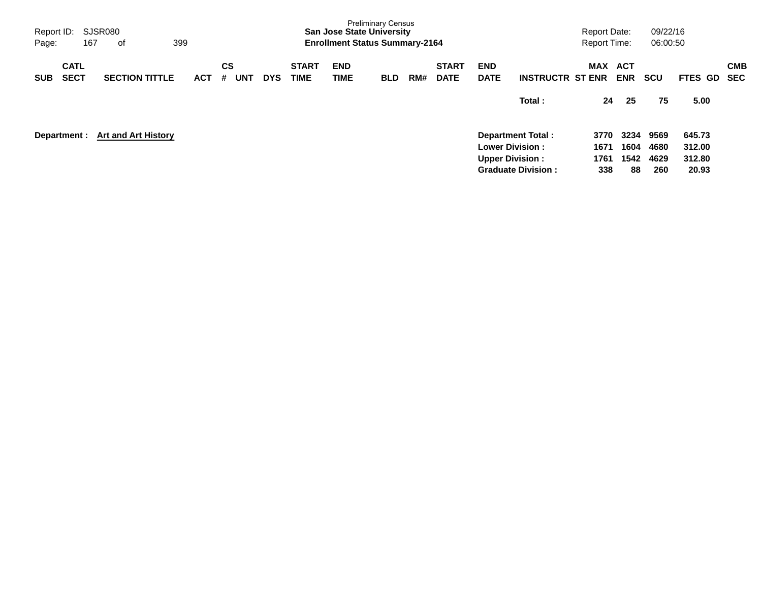| Report ID:<br>Page:<br>167               | SJSR080<br>οf              | 399        |                       |            |                             | <b>San Jose State University</b><br><b>Enrollment Status Summary-2164</b> | <b>Preliminary Census</b> |     |                             |                                                   |                                                | <b>Report Date:</b><br><b>Report Time:</b> |                            | 09/22/16<br>06:00:50        |                                     |                          |
|------------------------------------------|----------------------------|------------|-----------------------|------------|-----------------------------|---------------------------------------------------------------------------|---------------------------|-----|-----------------------------|---------------------------------------------------|------------------------------------------------|--------------------------------------------|----------------------------|-----------------------------|-------------------------------------|--------------------------|
| <b>CATL</b><br><b>SECT</b><br><b>SUB</b> | <b>SECTION TITTLE</b>      | <b>ACT</b> | CS<br><b>UNT</b><br># | <b>DYS</b> | <b>START</b><br><b>TIME</b> | <b>END</b><br>TIME                                                        | <b>BLD</b>                | RM# | <b>START</b><br><b>DATE</b> | <b>END</b><br><b>DATE</b>                         | <b>INSTRUCTR ST ENR</b>                        | <b>MAX</b>                                 | ACT<br><b>ENR</b>          | <b>SCU</b>                  | FTES GD                             | <b>CMB</b><br><b>SEC</b> |
|                                          |                            |            |                       |            |                             |                                                                           |                           |     |                             |                                                   | Total:                                         | 24                                         | 25                         | 75                          | 5.00                                |                          |
| Department :                             | <b>Art and Art History</b> |            |                       |            |                             |                                                                           |                           |     |                             | <b>Lower Division :</b><br><b>Upper Division:</b> | Department Total:<br><b>Graduate Division:</b> | 3770<br>1671<br>1761<br>338                | 3234<br>1604<br>1542<br>88 | 9569<br>4680<br>4629<br>260 | 645.73<br>312.00<br>312.80<br>20.93 |                          |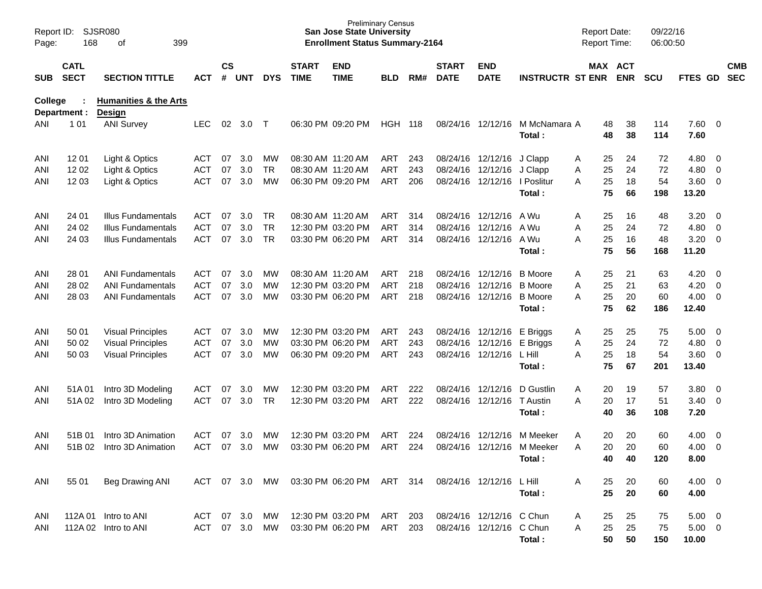| Report ID:<br>Page: | <b>SJSR080</b><br>168      |                                                   |               |                    |            |            | <b>Preliminary Census</b><br><b>San Jose State University</b><br><b>Enrollment Status Summary-2164</b> |                           |            |     |                             |                           | <b>Report Date:</b><br><b>Report Time:</b> |         |          | 09/22/16<br>06:00:50 |            |                |                          |                          |
|---------------------|----------------------------|---------------------------------------------------|---------------|--------------------|------------|------------|--------------------------------------------------------------------------------------------------------|---------------------------|------------|-----|-----------------------------|---------------------------|--------------------------------------------|---------|----------|----------------------|------------|----------------|--------------------------|--------------------------|
| <b>SUB</b>          | <b>CATL</b><br><b>SECT</b> | <b>SECTION TITTLE</b>                             | <b>ACT</b>    | $\mathsf{cs}$<br># | <b>UNT</b> | <b>DYS</b> | <b>START</b><br><b>TIME</b>                                                                            | <b>END</b><br><b>TIME</b> | <b>BLD</b> | RM# | <b>START</b><br><b>DATE</b> | <b>END</b><br><b>DATE</b> | <b>INSTRUCTR ST ENR</b>                    | MAX ACT |          | <b>ENR</b>           | <b>SCU</b> | FTES GD        |                          | <b>CMB</b><br><b>SEC</b> |
| <b>College</b>      | Department :               | <b>Humanities &amp; the Arts</b><br><b>Design</b> |               |                    |            |            |                                                                                                        |                           |            |     |                             |                           |                                            |         |          |                      |            |                |                          |                          |
| ANI                 | 1 0 1                      | <b>ANI Survey</b>                                 | <b>LEC</b>    | 02                 | 3.0        | $\top$     |                                                                                                        | 06:30 PM 09:20 PM         | HGH        | 118 |                             | 08/24/16 12/12/16         | M McNamara A<br>Total:                     |         | 48<br>48 | 38<br>38             | 114<br>114 | 7.60 0<br>7.60 |                          |                          |
| ANI                 | 12 01                      | Light & Optics                                    | ACT           | 07                 | 3.0        | MW.        | 08:30 AM 11:20 AM                                                                                      |                           | ART        | 243 |                             | 08/24/16 12/12/16         | J Clapp                                    | Α       | 25       | 24                   | 72         | $4.80\ 0$      |                          |                          |
| ANI                 | 12 02                      | Light & Optics                                    | <b>ACT</b>    | 07                 | 3.0        | <b>TR</b>  |                                                                                                        | 08:30 AM 11:20 AM         | <b>ART</b> | 243 | 08/24/16                    | 12/12/16                  | J Clapp                                    | Α       | 25       | 24                   | 72         | 4.80 0         |                          |                          |
| ANI                 | 12 03                      | Light & Optics                                    | <b>ACT</b>    | 07                 | 3.0        | <b>MW</b>  |                                                                                                        | 06:30 PM 09:20 PM         | ART        | 206 |                             | 08/24/16 12/12/16         | I Poslitur                                 | A       | 25       | 18                   | 54         | $3.60 \ 0$     |                          |                          |
|                     |                            |                                                   |               |                    |            |            |                                                                                                        |                           |            |     |                             |                           | Total:                                     |         | 75       | 66                   | 198        | 13.20          |                          |                          |
| ANI                 | 24 01                      | <b>Illus Fundamentals</b>                         | ACT           | 07                 | 3.0        | TR         | 08:30 AM 11:20 AM                                                                                      |                           | ART        | 314 |                             | 08/24/16 12/12/16         | A Wu                                       | Α       | 25       | 16                   | 48         | 3.20           | $\overline{\phantom{0}}$ |                          |
| ANI                 | 24 02                      | <b>Illus Fundamentals</b>                         | <b>ACT</b>    | 07                 | 3.0        | <b>TR</b>  |                                                                                                        | 12:30 PM 03:20 PM         | <b>ART</b> | 314 | 08/24/16                    | 12/12/16                  | A Wu                                       | Α       | 25       | 24                   | 72         | $4.80\ 0$      |                          |                          |
| ANI                 | 24 03                      | <b>Illus Fundamentals</b>                         | <b>ACT</b>    | 07                 | 3.0        | <b>TR</b>  |                                                                                                        | 03:30 PM 06:20 PM         | ART        | 314 |                             | 08/24/16 12/12/16         | A Wu                                       | Α       | 25       | 16                   | 48         | $3.20 \ 0$     |                          |                          |
|                     |                            |                                                   |               |                    |            |            |                                                                                                        |                           |            |     |                             |                           | Total:                                     |         | 75       | 56                   | 168        | 11.20          |                          |                          |
| ANI                 | 28 01                      | <b>ANI Fundamentals</b>                           | ACT           | 07                 | 3.0        | MW         |                                                                                                        | 08:30 AM 11:20 AM         | ART        | 218 |                             | 08/24/16 12/12/16         | <b>B</b> Moore                             | Α       | 25       | 21                   | 63         | 4.20           | $\overline{\phantom{0}}$ |                          |
| ANI                 | 28 02                      | <b>ANI Fundamentals</b>                           | <b>ACT</b>    | 07                 | 3.0        | MW         |                                                                                                        | 12:30 PM 03:20 PM         | <b>ART</b> | 218 | 08/24/16                    | 12/12/16                  | <b>B</b> Moore                             | Α       | 25       | 21                   | 63         | 4.20           | $\overline{\phantom{0}}$ |                          |
| ANI                 | 28 03                      | <b>ANI Fundamentals</b>                           | <b>ACT</b>    | 07                 | 3.0        | MW         |                                                                                                        | 03:30 PM 06:20 PM         | ART        | 218 |                             | 08/24/16 12/12/16         | <b>B</b> Moore                             | Α       | 25       | 20                   | 60         | $4.00 \ 0$     |                          |                          |
|                     |                            |                                                   |               |                    |            |            |                                                                                                        |                           |            |     |                             |                           | Total:                                     |         | 75       | 62                   | 186        | 12.40          |                          |                          |
| ANI                 | 50 01                      | <b>Visual Principles</b>                          | ACT           | 07                 | 3.0        | <b>MW</b>  |                                                                                                        | 12:30 PM 03:20 PM         | ART        | 243 | 08/24/16 12/12/16           |                           | E Briggs                                   | Α       | 25       | 25                   | 75         | 5.00           | $\overline{\phantom{0}}$ |                          |
| ANI                 | 50 02                      | <b>Visual Principles</b>                          | <b>ACT</b>    | 07                 | 3.0        | MW         |                                                                                                        | 03:30 PM 06:20 PM         | <b>ART</b> | 243 | 08/24/16                    | 12/12/16                  | E Briggs                                   | Α       | 25       | 24                   | 72         | 4.80 0         |                          |                          |
| ANI                 | 50 03                      | <b>Visual Principles</b>                          | <b>ACT</b>    | 07                 | 3.0        | MW         |                                                                                                        | 06:30 PM 09:20 PM         | ART        | 243 |                             | 08/24/16 12/12/16         | L Hill                                     | Α       | 25       | 18                   | 54         | $3.60 \ 0$     |                          |                          |
|                     |                            |                                                   |               |                    |            |            |                                                                                                        |                           |            |     |                             |                           | Total:                                     |         | 75       | 67                   | 201        | 13.40          |                          |                          |
| ANI                 | 51A 01                     | Intro 3D Modeling                                 | ACT           | 07                 | 3.0        | MW         |                                                                                                        | 12:30 PM 03:20 PM         | ART        | 222 | 08/24/16                    | 12/12/16                  | D Gustlin                                  | Α       | 20       | 19                   | 57         | 3.80           | $\overline{\phantom{0}}$ |                          |
| ANI                 | 51A02                      | Intro 3D Modeling                                 | <b>ACT</b>    | 07                 | 3.0        | <b>TR</b>  |                                                                                                        | 12:30 PM 03:20 PM         | ART        | 222 | 08/24/16                    | 12/12/16                  | T Austin                                   | A       | 20       | 17                   | 51         | $3.40 \ 0$     |                          |                          |
|                     |                            |                                                   |               |                    |            |            |                                                                                                        |                           |            |     |                             |                           | Total:                                     |         | 40       | 36                   | 108        | 7.20           |                          |                          |
| ANI                 | 51B01                      | Intro 3D Animation                                | <b>ACT</b>    | 07                 | 3.0        | <b>MW</b>  |                                                                                                        | 12:30 PM 03:20 PM         | ART        | 224 | 08/24/16                    | 12/12/16                  | M Meeker                                   | Α       | 20       | 20                   | 60         | 4.00           | $\overline{\mathbf{0}}$  |                          |
| ANI                 | 51B 02                     | Intro 3D Animation                                | <b>ACT</b>    | 07                 | 3.0        | МW         |                                                                                                        | 03:30 PM 06:20 PM         | <b>ART</b> | 224 |                             | 08/24/16 12/12/16         | M Meeker                                   | A       | 20       | 20                   | 60         | 4.00           | $\overline{0}$           |                          |
|                     |                            |                                                   |               |                    |            |            |                                                                                                        |                           |            |     |                             |                           | Total:                                     |         | 40       | 40                   | 120        | 8.00           |                          |                          |
| ANI                 | 55 01                      | <b>Beg Drawing ANI</b>                            | ACT 07 3.0 MW |                    |            |            |                                                                                                        | 03:30 PM 06:20 PM         | ART 314    |     | 08/24/16 12/12/16           |                           | L Hill                                     | A       | 25       | 20                   | 60         | $4.00 \ 0$     |                          |                          |
|                     |                            |                                                   |               |                    |            |            |                                                                                                        |                           |            |     |                             |                           | Total:                                     |         | 25       | 20                   | 60         | 4.00           |                          |                          |
| ANI                 |                            | 112A 01 Intro to ANI                              | ACT 07 3.0    |                    |            | MW         |                                                                                                        | 12:30 PM 03:20 PM         | ART        | 203 |                             | 08/24/16 12/12/16 C Chun  |                                            | Α       | 25       | 25                   | 75         | $5.00 \t 0$    |                          |                          |
| ANI                 |                            | 112A 02 Intro to ANI                              | ACT 07 3.0    |                    |            | MW         |                                                                                                        | 03:30 PM 06:20 PM         | ART        | 203 |                             | 08/24/16 12/12/16 C Chun  |                                            | A       | 25       | 25                   | 75         | $5.00 \t 0$    |                          |                          |
|                     |                            |                                                   |               |                    |            |            |                                                                                                        |                           |            |     |                             |                           | Total:                                     |         | 50       | 50                   | 150        | 10.00          |                          |                          |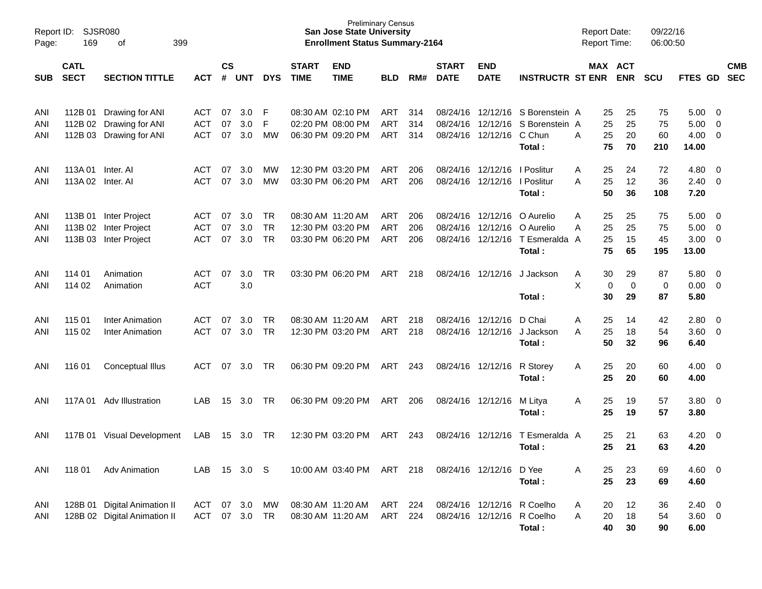| Report ID:<br>Page: | 169                           | <b>SJSR080</b><br>399<br>οf                                           |                                 |                |                   |                              |                             | <b>Preliminary Census</b><br><b>San Jose State University</b><br><b>Enrollment Status Summary-2164</b> |                                        |                   |                                  |                                        |                                                                        | <b>Report Date:</b><br>Report Time: |                      |                         | 09/22/16<br>06:00:50  |                               |                         |                          |
|---------------------|-------------------------------|-----------------------------------------------------------------------|---------------------------------|----------------|-------------------|------------------------------|-----------------------------|--------------------------------------------------------------------------------------------------------|----------------------------------------|-------------------|----------------------------------|----------------------------------------|------------------------------------------------------------------------|-------------------------------------|----------------------|-------------------------|-----------------------|-------------------------------|-------------------------|--------------------------|
| <b>SUB</b>          | <b>CATL</b><br><b>SECT</b>    | <b>SECTION TITTLE</b>                                                 | <b>ACT</b>                      | <b>CS</b><br># | <b>UNT</b>        | <b>DYS</b>                   | <b>START</b><br><b>TIME</b> | <b>END</b><br><b>TIME</b>                                                                              | <b>BLD</b>                             | RM#               | <b>START</b><br><b>DATE</b>      | <b>END</b><br><b>DATE</b>              | <b>INSTRUCTR ST ENR</b>                                                |                                     |                      | MAX ACT<br><b>ENR</b>   | <b>SCU</b>            | FTES GD                       |                         | <b>CMB</b><br><b>SEC</b> |
| ANI<br>ANI<br>ANI   | 112B 01                       | Drawing for ANI<br>112B 02 Drawing for ANI<br>112B 03 Drawing for ANI | ACT<br><b>ACT</b><br><b>ACT</b> | 07<br>07<br>07 | 3.0<br>3.0<br>3.0 | F<br>F<br><b>MW</b>          |                             | 08:30 AM 02:10 PM<br>02:20 PM 08:00 PM<br>06:30 PM 09:20 PM                                            | ART<br><b>ART</b><br>ART               | 314<br>314<br>314 | 08/24/16                         | 12/12/16<br>08/24/16 12/12/16          | 08/24/16 12/12/16 S Borenstein A<br>S Borenstein A<br>C Chun<br>Total: | Α                                   | 25<br>25<br>25<br>75 | 25<br>25<br>20<br>70    | 75<br>75<br>60<br>210 | 5.00<br>5.00<br>4.00<br>14.00 | 0<br>0<br>0             |                          |
| ANI<br>ANI          | 113A 01<br>113A 02 Inter. AI  | Inter, Al                                                             | <b>ACT</b><br><b>ACT</b>        | 07<br>07       | 3.0<br>3.0        | МW<br>МW                     |                             | 12:30 PM 03:20 PM<br>03:30 PM 06:20 PM                                                                 | ART<br><b>ART</b>                      | 206<br>206        | 08/24/16                         | 12/12/16<br>08/24/16 12/12/16          | I Poslitur<br>I Poslitur<br>Total:                                     | Α<br>Α                              | 25<br>25<br>50       | 24<br>12<br>36          | 72<br>36<br>108       | 4.80<br>2.40<br>7.20          | 0<br>$\mathbf 0$        |                          |
| ANI<br>ANI<br>ANI   | 113B 01<br>113B 02<br>113B 03 | Inter Project<br>Inter Project<br>Inter Project                       | ACT<br><b>ACT</b><br><b>ACT</b> | 07<br>07<br>07 | 3.0<br>3.0<br>3.0 | TR<br><b>TR</b><br><b>TR</b> |                             | 08:30 AM 11:20 AM<br>12:30 PM 03:20 PM<br>03:30 PM 06:20 PM                                            | <b>ART</b><br><b>ART</b><br><b>ART</b> | 206<br>206<br>206 | 08/24/16<br>08/24/16<br>08/24/16 | 12/12/16<br>12/12/16<br>12/12/16       | O Aurelio<br>O Aurelio<br>T Esmeralda A<br>Total:                      | Α<br>Α                              | 25<br>25<br>25<br>75 | 25<br>25<br>15<br>65    | 75<br>75<br>45<br>195 | 5.00<br>5.00<br>3.00<br>13.00 | 0<br>0<br>0             |                          |
| ANI<br>ANI          | 114 01<br>114 02              | Animation<br>Animation                                                | <b>ACT</b><br><b>ACT</b>        | 07             | 3.0<br>3.0        | TR                           |                             | 03:30 PM 06:20 PM                                                                                      | ART                                    | 218               | 08/24/16                         | 12/12/16                               | J Jackson<br>Total:                                                    | A<br>X                              | 30<br>0<br>30        | 29<br>$\mathbf 0$<br>29 | 87<br>0<br>87         | 5.80<br>0.00<br>5.80          | 0<br>$\mathbf 0$        |                          |
| ANI<br>ANI          | 115 01<br>115 02              | <b>Inter Animation</b><br><b>Inter Animation</b>                      | ACT<br><b>ACT</b>               | 07<br>07       | 3.0<br>3.0        | TR<br>TR                     |                             | 08:30 AM 11:20 AM<br>12:30 PM 03:20 PM                                                                 | <b>ART</b><br>ART                      | 218<br>218        | 08/24/16<br>08/24/16             | 12/12/16<br>12/12/16                   | D Chai<br>J Jackson<br>Total:                                          | Α<br>A                              | 25<br>25<br>50       | 14<br>18<br>32          | 42<br>54<br>96        | 2.80<br>3.60<br>6.40          | 0<br>$\mathbf 0$        |                          |
| ANI                 | 116 01                        | Conceptual Illus                                                      | ACT                             | 07             | 3.0               | TR                           |                             | 06:30 PM 09:20 PM                                                                                      | ART                                    | 243               |                                  | 08/24/16 12/12/16                      | R Storey<br>Total:                                                     | A                                   | 25<br>25             | 20<br>20                | 60<br>60              | 4.00<br>4.00                  | 0                       |                          |
| ANI                 | 117A 01                       | Adv Illustration                                                      | LAB                             | 15             | 3.0               | TR                           |                             | 06:30 PM 09:20 PM                                                                                      | ART                                    | 206               |                                  | 08/24/16 12/12/16                      | M Litya<br>Total:                                                      | A                                   | 25<br>25             | 19<br>19                | 57<br>57              | 3.80<br>3.80                  | 0                       |                          |
| ANI                 | 117B 01                       | Visual Development                                                    | LAB                             | 15             | 3.0               | TR                           |                             | 12:30 PM 03:20 PM                                                                                      | ART                                    | 243               | 08/24/16                         | 12/12/16                               | T Esmeralda A<br>Total:                                                |                                     | 25<br>25             | 21<br>21                | 63<br>63              | 4.20<br>4.20                  | 0                       |                          |
| ANI                 | 118 01                        | <b>Adv Animation</b>                                                  | LAB                             |                | 15 3.0 S          |                              |                             | 10:00 AM 03:40 PM                                                                                      | ART 218                                |                   |                                  | 08/24/16 12/12/16 D Yee                | Total:                                                                 | Α                                   | 25<br>25             | 23<br>23                | 69<br>69              | 4.60<br>4.60                  | - 0                     |                          |
| ANI<br>ANI          |                               | 128B 01 Digital Animation II<br>128B 02 Digital Animation II          | ACT<br>ACT                      | 07             | 3.0<br>07 3.0     | МW<br>TR                     |                             | 08:30 AM 11:20 AM<br>08:30 AM 11:20 AM                                                                 | ART<br>ART                             | 224<br>224        |                                  | 08/24/16 12/12/16<br>08/24/16 12/12/16 | R Coelho<br>R Coelho<br>Total:                                         | Α<br>Α                              | 20<br>20<br>40       | 12<br>18<br>30          | 36<br>54<br>90        | 2.40<br>$3.60 \t 0$<br>6.00   | $\overline{\mathbf{0}}$ |                          |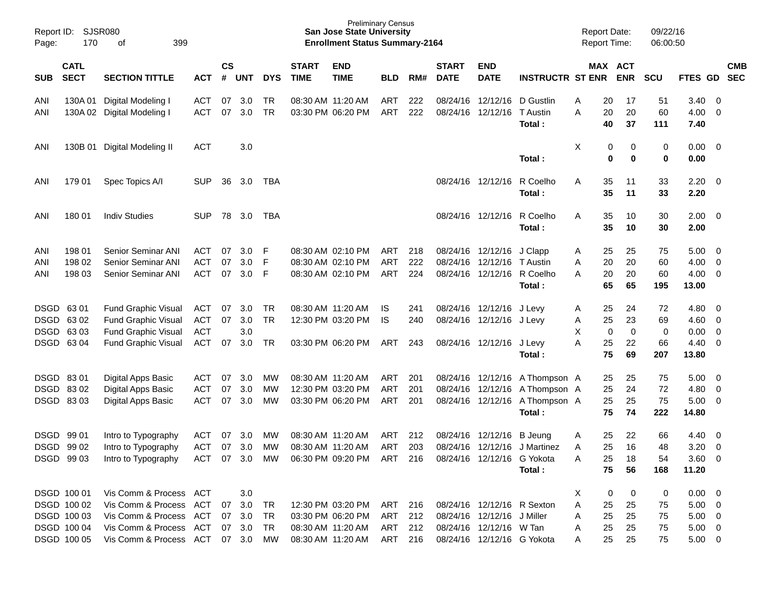| Page:             | SJSR080<br>Report ID:<br>170<br>399<br>оf                                            |                                                                                                                                       |                                           |                    |                                |                                     |                             | <b>Preliminary Census</b><br><b>San Jose State University</b><br><b>Enrollment Status Summary-2164</b> |                                  |                   |                             |                                                                                                                   |                                                                                            | <b>Report Date:</b><br><b>Report Time:</b> |                                     |                           | 09/22/16<br>06:00:50       |                                                                         |                                                    |            |
|-------------------|--------------------------------------------------------------------------------------|---------------------------------------------------------------------------------------------------------------------------------------|-------------------------------------------|--------------------|--------------------------------|-------------------------------------|-----------------------------|--------------------------------------------------------------------------------------------------------|----------------------------------|-------------------|-----------------------------|-------------------------------------------------------------------------------------------------------------------|--------------------------------------------------------------------------------------------|--------------------------------------------|-------------------------------------|---------------------------|----------------------------|-------------------------------------------------------------------------|----------------------------------------------------|------------|
| SUB               | <b>CATL</b><br><b>SECT</b><br><b>SECTION TITTLE</b><br>130A 01<br>Digital Modeling I |                                                                                                                                       | <b>ACT</b>                                | $\mathsf{cs}$<br># | <b>UNT</b>                     | <b>DYS</b>                          | <b>START</b><br><b>TIME</b> | <b>END</b><br><b>TIME</b>                                                                              | <b>BLD</b>                       | RM#               | <b>START</b><br><b>DATE</b> | <b>END</b><br><b>DATE</b>                                                                                         | <b>INSTRUCTR ST ENR</b>                                                                    |                                            | MAX ACT                             | <b>ENR</b>                | <b>SCU</b>                 | FTES GD SEC                                                             |                                                    | <b>CMB</b> |
| ANI<br>ANI        | 130A 02                                                                              | Digital Modeling I                                                                                                                    | <b>ACT</b><br><b>ACT</b>                  | 07<br>07           | 3.0<br>3.0                     | TR<br><b>TR</b>                     |                             | 08:30 AM 11:20 AM<br>03:30 PM 06:20 PM                                                                 | ART<br>ART                       | 222<br>222        |                             | 08/24/16 12/12/16<br>08/24/16 12/12/16                                                                            | D Gustlin<br>T Austin<br>Total:                                                            | Α<br>A                                     | 20<br>20<br>40                      | 17<br>20<br>37            | 51<br>60<br>111            | 3.40<br>4.00<br>7.40                                                    | $\overline{0}$<br>0                                |            |
| ANI               | 130B 01                                                                              | Digital Modeling II                                                                                                                   | <b>ACT</b>                                |                    | 3.0                            |                                     |                             |                                                                                                        |                                  |                   |                             |                                                                                                                   | Total:                                                                                     | X                                          | 0<br>$\mathbf 0$                    | 0<br>$\mathbf 0$          | 0<br>$\bf{0}$              | 0.00<br>0.00                                                            | $\overline{\mathbf{0}}$                            |            |
| ANI               | 179 01                                                                               | Spec Topics A/I                                                                                                                       | <b>SUP</b>                                | 36                 | 3.0                            | TBA                                 |                             |                                                                                                        |                                  |                   |                             | 08/24/16 12/12/16                                                                                                 | R Coelho<br>Total:                                                                         | A                                          | 35<br>35                            | 11<br>11                  | 33<br>33                   | 2.20<br>2.20                                                            | $\overline{\mathbf{0}}$                            |            |
| ANI               | 180 01                                                                               | <b>Indiv Studies</b>                                                                                                                  | <b>SUP</b>                                |                    | 78 3.0                         | TBA                                 |                             |                                                                                                        |                                  |                   |                             | 08/24/16 12/12/16                                                                                                 | R Coelho<br>Total:                                                                         | Α                                          | 35<br>35                            | 10<br>10                  | 30<br>30                   | 2.00<br>2.00                                                            | $\overline{\mathbf{0}}$                            |            |
| ANI<br>ANI<br>ANI | 198 01<br>198 02<br>198 03                                                           | Senior Seminar ANI<br>Senior Seminar ANI<br>Senior Seminar ANI                                                                        | ACT<br><b>ACT</b><br><b>ACT</b>           | 07<br>07<br>07     | 3.0<br>3.0<br>3.0              | F<br>F<br>F                         |                             | 08:30 AM 02:10 PM<br>08:30 AM 02:10 PM<br>08:30 AM 02:10 PM                                            | ART<br><b>ART</b><br>ART         | 218<br>222<br>224 |                             | 08/24/16 12/12/16<br>08/24/16 12/12/16<br>08/24/16 12/12/16                                                       | J Clapp<br>T Austin<br>R Coelho<br>Total:                                                  | A<br>A<br>A                                | 25<br>20<br>20<br>65                | 25<br>20<br>20<br>65      | 75<br>60<br>60<br>195      | 5.00<br>4.00<br>4.00<br>13.00                                           | $\overline{\mathbf{0}}$<br>0<br>$\overline{0}$     |            |
|                   | DSGD 63 01<br>DSGD 63 02<br>DSGD 63 03<br>DSGD 63 04                                 | Fund Graphic Visual<br><b>Fund Graphic Visual</b><br><b>Fund Graphic Visual</b><br><b>Fund Graphic Visual</b>                         | ACT<br>ACT<br><b>ACT</b><br><b>ACT</b>    | 07<br>07<br>07     | 3.0<br>3.0<br>3.0<br>3.0       | TR<br><b>TR</b><br>TR               |                             | 08:30 AM 11:20 AM<br>12:30 PM 03:20 PM<br>03:30 PM 06:20 PM                                            | IS.<br><b>IS</b><br>ART          | 241<br>240<br>243 |                             | 08/24/16 12/12/16<br>08/24/16 12/12/16 J Levy<br>08/24/16 12/12/16                                                | J Levy<br>J Levy<br>Total:                                                                 | A<br>Α<br>X<br>A                           | 25<br>25<br>$\mathbf 0$<br>25<br>75 | 24<br>23<br>0<br>22<br>69 | 72<br>69<br>0<br>66<br>207 | 4.80<br>4.60<br>0.00<br>4.40<br>13.80                                   | 0<br>0<br>$\mathbf 0$<br>0                         |            |
|                   | DSGD 8301<br>DSGD 83 02<br>DSGD 8303                                                 | Digital Apps Basic<br><b>Digital Apps Basic</b><br>Digital Apps Basic                                                                 | ACT<br><b>ACT</b><br><b>ACT</b>           | 07<br>07<br>07     | 3.0<br>3.0<br>3.0              | <b>MW</b><br><b>MW</b><br><b>MW</b> |                             | 08:30 AM 11:20 AM<br>12:30 PM 03:20 PM<br>03:30 PM 06:20 PM                                            | ART<br>ART<br>ART                | 201<br>201<br>201 |                             | 08/24/16 12/12/16                                                                                                 | 08/24/16 12/12/16 A Thompson A<br>08/24/16 12/12/16 A Thompson A<br>A Thompson A<br>Total: |                                            | 25<br>25<br>25<br>75                | 25<br>24<br>25<br>74      | 75<br>72<br>75<br>222      | 5.00<br>4.80<br>5.00<br>14.80                                           | $\overline{0}$<br>$\overline{0}$<br>$\overline{0}$ |            |
|                   | DSGD 99 01<br>DSGD 99 02<br>DSGD 99 03                                               | Intro to Typography<br>Intro to Typography<br>Intro to Typography                                                                     | <b>ACT</b><br><b>ACT</b><br>ACT 07 3.0 MW | 07<br>07           | 3.0<br>3.0                     | <b>MW</b><br>MW                     | 08:30 AM 11:20 AM           | 08:30 AM 11:20 AM<br>06:30 PM 09:20 PM ART 216                                                         | ART<br><b>ART</b>                | 212<br>203        |                             | 08/24/16 12/12/16<br>08/24/16 12/12/16<br>08/24/16 12/12/16 G Yokota                                              | <b>B</b> Jeung<br>J Martinez<br>Total:                                                     | A<br>A<br>A                                | 25<br>25<br>25<br>75                | 22<br>16<br>18<br>56      | 66<br>48<br>54<br>168      | 4.40<br>3.20<br>$3.60 \ 0$<br>11.20                                     | $\overline{\mathbf{0}}$<br>0                       |            |
|                   | DSGD 100 01<br>DSGD 100 02<br>DSGD 100 03<br>DSGD 100 04<br>DSGD 100 05              | Vis Comm & Process ACT<br>Vis Comm & Process ACT<br>Vis Comm & Process ACT<br>Vis Comm & Process ACT<br>Vis Comm & Process ACT 07 3.0 |                                           | 07                 | 3.0<br>3.0<br>07 3.0<br>07 3.0 | TR<br>TR<br>TR<br>MW                |                             | 12:30 PM 03:20 PM<br>03:30 PM 06:20 PM<br>08:30 AM 11:20 AM<br>08:30 AM 11:20 AM                       | ART<br>ART<br>ART 212<br>ART 216 | 216<br>212        |                             | 08/24/16 12/12/16 R Sexton<br>08/24/16 12/12/16 J Miller<br>08/24/16 12/12/16 W Tan<br>08/24/16 12/12/16 G Yokota |                                                                                            | X<br>Α<br>A<br>A<br>A                      | 0<br>25<br>25<br>25<br>25           | 0<br>25<br>25<br>25<br>25 | 0<br>75<br>75<br>75<br>75  | $0.00 \t 0$<br>$5.00 \t 0$<br>$5.00 \t 0$<br>$5.00 \t 0$<br>$5.00 \t 0$ |                                                    |            |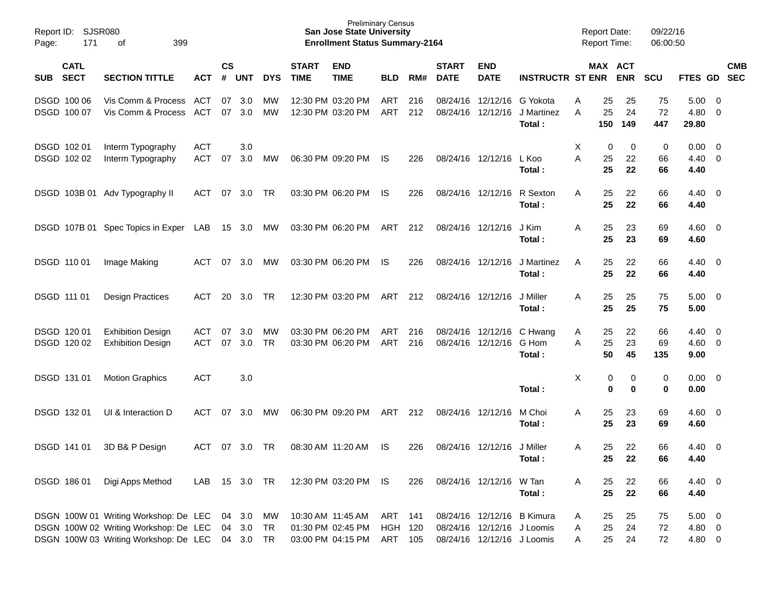| Page: | SJSR080<br>Report ID:<br>171<br>399<br>оf |                                                                                                                         |                          |                    |                               |                 |                             | <b>Preliminary Census</b><br><b>San Jose State University</b><br><b>Enrollment Status Summary-2164</b> |                                  |            |                             |                                                                                        |                                  |             | <b>Report Date:</b><br><b>Report Time:</b> |                 | 09/22/16<br>06:00:50 |                                          |                                            |            |
|-------|-------------------------------------------|-------------------------------------------------------------------------------------------------------------------------|--------------------------|--------------------|-------------------------------|-----------------|-----------------------------|--------------------------------------------------------------------------------------------------------|----------------------------------|------------|-----------------------------|----------------------------------------------------------------------------------------|----------------------------------|-------------|--------------------------------------------|-----------------|----------------------|------------------------------------------|--------------------------------------------|------------|
| SUB   | <b>CATL</b><br><b>SECT</b>                | <b>SECTION TITTLE</b>                                                                                                   | <b>ACT</b>               | $\mathsf{cs}$<br># | <b>UNT</b>                    | <b>DYS</b>      | <b>START</b><br><b>TIME</b> | <b>END</b><br><b>TIME</b>                                                                              | <b>BLD</b>                       | RM#        | <b>START</b><br><b>DATE</b> | <b>END</b><br><b>DATE</b>                                                              | <b>INSTRUCTR ST ENR</b>          |             | MAX ACT                                    | <b>ENR</b>      | <b>SCU</b>           | FTES GD SEC                              |                                            | <b>CMB</b> |
|       | DSGD 100 06<br>DSGD 100 07                | Vis Comm & Process<br>Vis Comm & Process                                                                                | ACT<br>ACT               | 07<br>07           | 3.0<br>3.0                    | MW<br>MW        |                             | 12:30 PM 03:20 PM<br>12:30 PM 03:20 PM                                                                 | ART<br>ART                       | 216<br>212 | 08/24/16<br>08/24/16        | 12/12/16<br>12/12/16                                                                   | G Yokota<br>J Martinez<br>Total: | Α<br>A      | 25<br>25<br>150                            | 25<br>24<br>149 | 75<br>72<br>447      | 5.00<br>4.80<br>29.80                    | $\overline{\phantom{0}}$<br>$\overline{0}$ |            |
|       | DSGD 102 01<br>DSGD 102 02                | Interm Typography<br>Interm Typography                                                                                  | <b>ACT</b><br><b>ACT</b> | 07                 | 3.0<br>3.0                    | МW              |                             | 06:30 PM 09:20 PM                                                                                      | IS                               | 226        |                             | 08/24/16 12/12/16                                                                      | L Koo<br>Total:                  | X<br>A      | 0<br>25<br>25                              | 0<br>22<br>22   | 0<br>66<br>66        | $0.00 \quad 0$<br>$4.40 \quad 0$<br>4.40 |                                            |            |
|       |                                           | DSGD 103B 01 Adv Typography II                                                                                          | ACT                      | 07                 | 3.0                           | TR              |                             | 03:30 PM 06:20 PM                                                                                      | IS                               | 226        |                             | 08/24/16 12/12/16                                                                      | R Sexton<br>Total:               | A           | 25<br>25                                   | 22<br>22        | 66<br>66             | $4.40 \quad 0$<br>4.40                   |                                            |            |
|       |                                           | DSGD 107B 01 Spec Topics in Exper LAB                                                                                   |                          |                    | 15 3.0 MW                     |                 |                             | 03:30 PM 06:20 PM                                                                                      | ART                              | 212        | 08/24/16 12/12/16           |                                                                                        | J Kim<br>Total:                  | Α           | 25<br>25                                   | 23<br>23        | 69<br>69             | $4.60 \quad 0$<br>4.60                   |                                            |            |
|       | DSGD 110 01                               | Image Making                                                                                                            | <b>ACT</b>               | 07                 | 3.0                           | МW              |                             | 03:30 PM 06:20 PM                                                                                      | IS                               | 226        | 08/24/16 12/12/16           |                                                                                        | J Martinez<br>Total:             | A           | 25<br>25                                   | 22<br>22        | 66<br>66             | $4.40 \quad 0$<br>4.40                   |                                            |            |
|       | DSGD 111 01                               | <b>Design Practices</b>                                                                                                 | <b>ACT</b>               | 20                 | 3.0                           | TR              |                             | 12:30 PM 03:20 PM                                                                                      | ART                              | 212        | 08/24/16 12/12/16           |                                                                                        | J Miller<br>Total:               | Α           | 25<br>25                                   | 25<br>25        | 75<br>75             | $5.00 \quad 0$<br>5.00                   |                                            |            |
|       | DSGD 120 01<br>DSGD 120 02                | <b>Exhibition Design</b><br><b>Exhibition Design</b>                                                                    | <b>ACT</b><br><b>ACT</b> | 07<br>07           | 3.0<br>3.0                    | MW<br><b>TR</b> |                             | 03:30 PM 06:20 PM<br>03:30 PM 06:20 PM                                                                 | ART<br>ART                       | 216<br>216 |                             | 08/24/16 12/12/16<br>08/24/16 12/12/16                                                 | C Hwang<br>G Hom<br>Total:       | A<br>A      | 25<br>25<br>50                             | 22<br>23<br>45  | 66<br>69<br>135      | 4.40<br>$4.60$ 0<br>9.00                 | $\overline{\phantom{0}}$                   |            |
|       | DSGD 131 01                               | <b>Motion Graphics</b>                                                                                                  | <b>ACT</b>               |                    | 3.0                           |                 |                             |                                                                                                        |                                  |            |                             |                                                                                        | Total:                           | Х           | 0<br>0                                     | 0<br>0          | 0<br>0               | $0.00 \quad 0$<br>0.00                   |                                            |            |
|       | DSGD 132 01                               | UI & Interaction D                                                                                                      | ACT                      | 07                 | 3.0                           | MW              |                             | 06:30 PM 09:20 PM                                                                                      | ART                              | 212        | 08/24/16 12/12/16           |                                                                                        | M Choi<br>Total:                 | Α           | 25<br>25                                   | 23<br>23        | 69<br>69             | $4.60 \quad 0$<br>4.60                   |                                            |            |
|       | DSGD 141 01                               | 3D B& P Design                                                                                                          | ACT                      | 07                 | 3.0                           | TR              |                             | 08:30 AM 11:20 AM                                                                                      | IS                               | 226        |                             | 08/24/16 12/12/16                                                                      | J Miller<br>Total:               | A           | 25<br>25                                   | 22<br>22        | 66<br>66             | 4.40<br>4.40                             | $\overline{\phantom{0}}$                   |            |
|       | DSGD 186 01                               | Digi Apps Method                                                                                                        | LAB                      |                    | 15 3.0 TR                     |                 |                             | 12:30 PM 03:20 PM                                                                                      | IS                               | 226        |                             | 08/24/16 12/12/16 W Tan                                                                | Total:                           | Α           | 25<br>25                                   | 22<br>22        | 66<br>66             | 4.40 0<br>4.40                           |                                            |            |
|       |                                           | DSGN 100W 01 Writing Workshop: De LEC<br>DSGN 100W 02 Writing Workshop: De LEC<br>DSGN 100W 03 Writing Workshop: De LEC |                          |                    | 04 3.0<br>04 3.0<br>04 3.0 TR | MW<br>TR        |                             | 10:30 AM 11:45 AM<br>01:30 PM 02:45 PM<br>03:00 PM 04:15 PM                                            | ART<br><b>HGH 120</b><br>ART 105 | 141        |                             | 08/24/16 12/12/16 B Kimura<br>08/24/16 12/12/16 J Loomis<br>08/24/16 12/12/16 J Loomis |                                  | A<br>A<br>A | 25<br>25<br>25                             | 25<br>24<br>24  | 75<br>72<br>72       | $5.00 \t 0$<br>4.80 0<br>4.80 0          |                                            |            |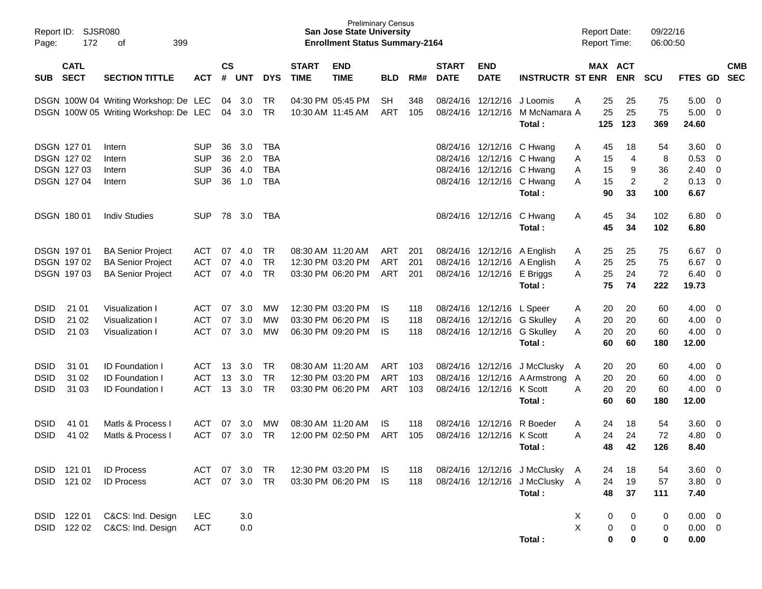| Page:                                     | Report ID: SJSR080<br>172                                      | 399<br>оf                                                                        |                                                      |                      |                          |                                               |                             | <b>Preliminary Census</b><br><b>San Jose State University</b><br><b>Enrollment Status Summary-2164</b> |                                 |                   |                             |                                                                                                                  |                                                                                 | <b>Report Date:</b><br>Report Time:            |                                                   | 09/22/16<br>06:00:50                   |                                      |                                                           |            |
|-------------------------------------------|----------------------------------------------------------------|----------------------------------------------------------------------------------|------------------------------------------------------|----------------------|--------------------------|-----------------------------------------------|-----------------------------|--------------------------------------------------------------------------------------------------------|---------------------------------|-------------------|-----------------------------|------------------------------------------------------------------------------------------------------------------|---------------------------------------------------------------------------------|------------------------------------------------|---------------------------------------------------|----------------------------------------|--------------------------------------|-----------------------------------------------------------|------------|
| SUB                                       | <b>CATL</b><br><b>SECT</b>                                     | <b>SECTION TITTLE</b>                                                            | <b>ACT</b>                                           | $\mathsf{cs}$<br>#   | <b>UNT</b>               | <b>DYS</b>                                    | <b>START</b><br><b>TIME</b> | <b>END</b><br><b>TIME</b>                                                                              | <b>BLD</b>                      | RM#               | <b>START</b><br><b>DATE</b> | <b>END</b><br><b>DATE</b>                                                                                        | <b>INSTRUCTR ST ENR</b>                                                         |                                                | MAX ACT<br><b>ENR</b>                             | <b>SCU</b>                             | FTES GD SEC                          |                                                           | <b>CMB</b> |
|                                           |                                                                | DSGN 100W 04 Writing Workshop: De LEC<br>DSGN 100W 05 Writing Workshop: De LEC   |                                                      | 04                   | 04 3.0<br>3.0            | TR<br>TR                                      | 10:30 AM 11:45 AM           | 04:30 PM 05:45 PM                                                                                      | SH.<br>ART                      | 348<br>105        |                             | 08/24/16 12/12/16<br>08/24/16 12/12/16                                                                           | J Loomis<br>M McNamara A<br>Total:                                              | 25<br>A<br>25<br>125                           | 25<br>25<br>123                                   | 75<br>75<br>369                        | 5.00<br>5.00<br>24.60                | - 0<br>$\overline{0}$                                     |            |
|                                           | <b>DSGN 12701</b><br>DSGN 127 02<br>DSGN 127 03<br>DSGN 127 04 | Intern<br>Intern<br>Intern<br>Intern                                             | <b>SUP</b><br><b>SUP</b><br><b>SUP</b><br><b>SUP</b> | 36<br>36<br>36<br>36 | 3.0<br>2.0<br>4.0<br>1.0 | TBA<br><b>TBA</b><br><b>TBA</b><br><b>TBA</b> |                             |                                                                                                        |                                 |                   |                             | 08/24/16 12/12/16 C Hwang<br>08/24/16 12/12/16 C Hwang<br>08/24/16 12/12/16 C Hwang<br>08/24/16 12/12/16 C Hwang | Total:                                                                          | 45<br>Α<br>15<br>Α<br>15<br>Α<br>15<br>А<br>90 | 18<br>$\overline{4}$<br>9<br>$\overline{c}$<br>33 | 54<br>8<br>36<br>$\overline{2}$<br>100 | 3.60<br>0.53<br>2.40<br>0.13<br>6.67 | - 0<br>0<br>$\overline{0}$<br>$\overline{0}$              |            |
|                                           | <b>DSGN 18001</b>                                              | <b>Indiv Studies</b>                                                             | <b>SUP</b>                                           | 78                   | 3.0                      | TBA                                           |                             |                                                                                                        |                                 |                   |                             | 08/24/16 12/12/16 C Hwang                                                                                        | Total:                                                                          | 45<br>A<br>45                                  | 34<br>34                                          | 102<br>102                             | 6.80<br>6.80                         | $\overline{\phantom{0}}$                                  |            |
|                                           | <b>DSGN 19701</b><br>DSGN 19702<br>DSGN 197 03                 | <b>BA Senior Project</b><br><b>BA Senior Project</b><br><b>BA Senior Project</b> | ACT<br><b>ACT</b><br><b>ACT</b>                      | 07<br>07<br>07       | 4.0<br>4.0<br>4.0        | <b>TR</b><br><b>TR</b><br><b>TR</b>           |                             | 08:30 AM 11:20 AM<br>12:30 PM 03:20 PM<br>03:30 PM 06:20 PM                                            | ART<br><b>ART</b><br>ART        | 201<br>201<br>201 |                             | 08/24/16 12/12/16 E Briggs                                                                                       | 08/24/16 12/12/16 A English<br>08/24/16 12/12/16 A English<br>Total:            | 25<br>A<br>25<br>A<br>25<br>Α<br>75            | 25<br>25<br>24<br>74                              | 75<br>75<br>72<br>222                  | 6.67<br>6.67<br>6.40<br>19.73        | $\overline{\mathbf{0}}$<br>$\mathbf 0$<br>$\overline{0}$  |            |
| <b>DSID</b><br><b>DSID</b><br><b>DSID</b> | 21 01<br>21 02<br>21 03                                        | Visualization I<br>Visualization I<br>Visualization I                            | ACT<br><b>ACT</b><br><b>ACT</b>                      | 07<br>07<br>07       | 3.0<br>3.0<br>3.0        | МW<br><b>MW</b><br>МW                         |                             | 12:30 PM 03:20 PM<br>03:30 PM 06:20 PM<br>06:30 PM 09:20 PM                                            | IS<br>IS<br><b>IS</b>           | 118<br>118<br>118 |                             | 08/24/16 12/12/16                                                                                                | L Speer<br>08/24/16 12/12/16 G Skulley<br>08/24/16 12/12/16 G Skulley<br>Total: | 20<br>A<br>20<br>Α<br>20<br>А<br>60            | 20<br>20<br>20<br>60                              | 60<br>60<br>60<br>180                  | 4.00<br>4.00<br>4.00<br>12.00        | - 0<br>$\overline{\mathbf{0}}$<br>$\overline{\mathbf{0}}$ |            |
| <b>DSID</b><br><b>DSID</b><br><b>DSID</b> | 31 01<br>31 02<br>31 03                                        | <b>ID Foundation I</b><br><b>ID Foundation I</b><br><b>ID Foundation I</b>       | ACT<br><b>ACT</b><br><b>ACT</b>                      | 13<br>13<br>13       | 3.0<br>3.0<br>3.0        | <b>TR</b><br><b>TR</b><br><b>TR</b>           | 08:30 AM 11:20 AM           | 12:30 PM 03:20 PM<br>03:30 PM 06:20 PM                                                                 | ART<br><b>ART</b><br><b>ART</b> | 103<br>103<br>103 |                             | 08/24/16 12/12/16<br>08/24/16 12/12/16<br>08/24/16 12/12/16                                                      | J McClusky<br>A Armstrong<br>K Scott<br>Total:                                  | 20<br>A<br>20<br>A<br>20<br>Α<br>60            | 20<br>20<br>20<br>60                              | 60<br>60<br>60<br>180                  | 4.00<br>4.00<br>4.00<br>12.00        | - 0<br>0<br>$\overline{\mathbf{0}}$                       |            |
| <b>DSID</b><br><b>DSID</b>                | 41 01<br>41 02                                                 | Matls & Process I<br>Matls & Process I                                           | ACT<br><b>ACT</b>                                    | 07<br>07             | 3.0<br>3.0               | МW<br><b>TR</b>                               |                             | 08:30 AM 11:20 AM<br>12:00 PM 02:50 PM                                                                 | IS<br><b>ART</b>                | 118<br>105        |                             | 08/24/16 12/12/16<br>08/24/16 12/12/16                                                                           | R Boeder<br>K Scott<br>Total:                                                   | 24<br>A<br>24<br>А<br>48                       | 18<br>24<br>42                                    | 54<br>72<br>126                        | 3.60<br>4.80<br>8.40                 | $\overline{\mathbf{0}}$<br>0                              |            |
|                                           | DSID 121 01<br>DSID 121 02                                     | <b>ID Process</b><br><b>ID Process</b>                                           | ACT<br><b>ACT</b>                                    | 07                   | 3.0<br>07 3.0 TR         | TR                                            |                             | 12:30 PM 03:20 PM<br>03:30 PM 06:20 PM                                                                 | IS.<br>- IS                     | 118<br>118        |                             |                                                                                                                  | 08/24/16 12/12/16 J McClusky A<br>08/24/16 12/12/16 J McClusky A<br>Total:      | 24<br>24<br>48                                 | 18<br>19<br>37                                    | 54<br>57<br>111                        | 3.60 0<br>$3.80\ 0$<br>7.40          |                                                           |            |
| <b>DSID</b>                               | 122 01<br>DSID 122 02                                          | C&CS: Ind. Design<br>C&CS: Ind. Design                                           | <b>LEC</b><br><b>ACT</b>                             |                      | 3.0<br>0.0               |                                               |                             |                                                                                                        |                                 |                   |                             |                                                                                                                  | Total:                                                                          | X<br>X                                         | 0<br>0<br>0<br>0<br>0<br>0                        | 0<br>0<br>0                            | $0.00 \t 0$<br>$0.00 \t 0$<br>0.00   |                                                           |            |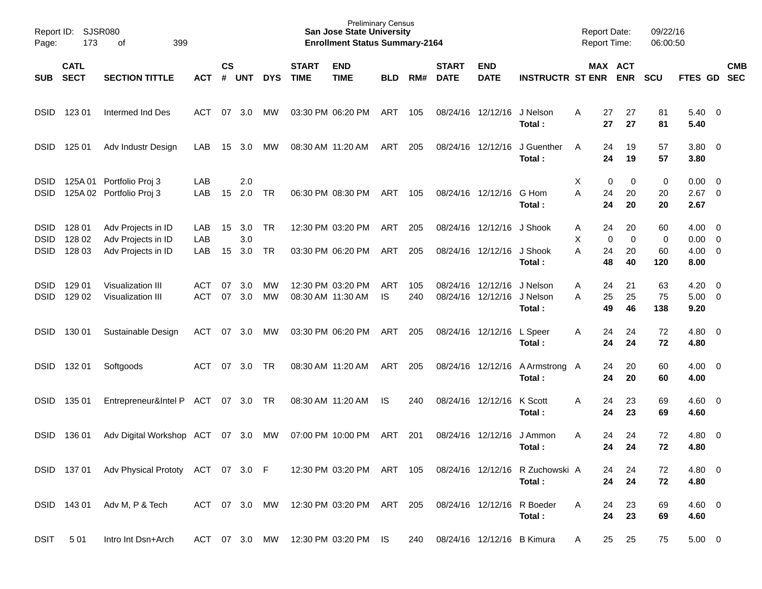| Page:                                     | Report ID: SJSR080<br>173<br>399<br>οf |                                                                |                   |                |                   |                        |                             | <b>Preliminary Census</b><br><b>San Jose State University</b><br><b>Enrollment Status Summary-2164</b> |            |            |                             |                                        |                                           | <b>Report Date:</b><br><b>Report Time:</b> |                          | 09/22/16<br>06:00:50 |                                                 |            |
|-------------------------------------------|----------------------------------------|----------------------------------------------------------------|-------------------|----------------|-------------------|------------------------|-----------------------------|--------------------------------------------------------------------------------------------------------|------------|------------|-----------------------------|----------------------------------------|-------------------------------------------|--------------------------------------------|--------------------------|----------------------|-------------------------------------------------|------------|
| <b>SUB</b>                                | <b>CATL</b><br><b>SECT</b>             | <b>SECTION TITTLE</b>                                          | <b>ACT</b>        | <b>CS</b><br># | <b>UNT</b>        | <b>DYS</b>             | <b>START</b><br><b>TIME</b> | <b>END</b><br><b>TIME</b>                                                                              | <b>BLD</b> | RM#        | <b>START</b><br><b>DATE</b> | <b>END</b><br><b>DATE</b>              | <b>INSTRUCTR ST ENR</b>                   |                                            | MAX ACT<br><b>ENR</b>    | <b>SCU</b>           | FTES GD SEC                                     | <b>CMB</b> |
| <b>DSID</b>                               | 123 01                                 | Intermed Ind Des                                               | ACT               | 07             | 3.0               | <b>MW</b>              |                             | 03:30 PM 06:20 PM                                                                                      | ART        | 105        |                             | 08/24/16 12/12/16                      | J Nelson<br>Total:                        | A<br>27<br>27                              | 27<br>27                 | 81<br>81             | $5.40 \ 0$<br>5.40                              |            |
| <b>DSID</b>                               | 125 01                                 | Adv Industr Design                                             | LAB               | 15             | 3.0               | <b>MW</b>              |                             | 08:30 AM 11:20 AM                                                                                      | ART        | 205        |                             | 08/24/16 12/12/16                      | J Guenther<br>Total:                      | 24<br>A<br>24                              | 19<br>19                 | 57<br>57             | 3.80 0<br>3.80                                  |            |
| <b>DSID</b><br><b>DSID</b>                |                                        | 125A 01 Portfolio Proj 3<br>125A 02 Portfolio Proj 3           | LAB<br>LAB        | 15             | 2.0<br>2.0        | TR                     |                             | 06:30 PM 08:30 PM                                                                                      | ART        | 105        |                             | 08/24/16 12/12/16                      | G Hom<br>Total:                           | X<br>A<br>24<br>24                         | 0<br>0<br>20<br>20       | 0<br>20<br>20        | $0.00 \quad 0$<br>$2.67$ 0<br>2.67              |            |
| <b>DSID</b><br><b>DSID</b><br><b>DSID</b> | 128 01<br>128 02<br>128 03             | Adv Projects in ID<br>Adv Projects in ID<br>Adv Projects in ID | LAB<br>LAB<br>LAB | 15<br>15       | 3.0<br>3.0<br>3.0 | TR.<br>TR              |                             | 12:30 PM 03:20 PM<br>03:30 PM 06:20 PM                                                                 | ART<br>ART | 205<br>205 |                             | 08/24/16 12/12/16<br>08/24/16 12/12/16 | J Shook<br>J Shook<br>Total:              | 24<br>A<br>X<br>A<br>24<br>48              | 20<br>0<br>0<br>20<br>40 | 60<br>0<br>60<br>120 | $4.00 \ 0$<br>$0.00 \t 0$<br>$4.00 \ 0$<br>8.00 |            |
| <b>DSID</b><br><b>DSID</b>                | 129 01<br>129 02                       | Visualization III<br><b>Visualization III</b>                  | ACT<br><b>ACT</b> | 07<br>07       | 3.0<br>3.0        | <b>MW</b><br><b>MW</b> |                             | 12:30 PM 03:20 PM<br>08:30 AM 11:30 AM                                                                 | ART<br>IS  | 105<br>240 |                             | 08/24/16 12/12/16<br>08/24/16 12/12/16 | J Nelson<br>J Nelson<br>Total:            | 24<br>A<br>25<br>A<br>49                   | 21<br>25<br>46           | 63<br>75<br>138      | $4.20 \ 0$<br>$5.00 \t 0$<br>9.20               |            |
| <b>DSID</b>                               | 130 01                                 | Sustainable Design                                             | ACT               | 07             | 3.0               | MW                     |                             | 03:30 PM 06:20 PM                                                                                      | ART        | 205        |                             | 08/24/16 12/12/16                      | L Speer<br>Total:                         | 24<br>A<br>24                              | 24<br>24                 | 72<br>72             | $4.80\ 0$<br>4.80                               |            |
| <b>DSID</b>                               | 132 01                                 | Softgoods                                                      | ACT               | 07             | 3.0               | TR                     |                             | 08:30 AM 11:20 AM                                                                                      | ART        | 205        |                             | 08/24/16 12/12/16                      | A Armstrong A<br>Total:                   | 24<br>24                                   | 20<br>20                 | 60<br>60             | $4.00 \ 0$<br>4.00                              |            |
| <b>DSID</b>                               | 135 01                                 | Entrepreneur&Intel P ACT                                       |                   |                | 07 3.0            | TR                     |                             | 08:30 AM 11:20 AM                                                                                      | IS         | 240        |                             | 08/24/16 12/12/16                      | K Scott<br>Total:                         | 24<br>A<br>24                              | 23<br>23                 | 69<br>69             | $4.60 \quad 0$<br>4.60                          |            |
| DSID                                      | 136 01                                 | Adv Digital Workshop ACT                                       |                   | 07             | 3.0               | MW                     |                             | 07:00 PM 10:00 PM                                                                                      | ART        | 201        |                             | 08/24/16 12/12/16                      | J Ammon<br>Total:                         | 24<br>A<br>24                              | 24<br>24                 | 72<br>72             | $4.80\ 0$<br>4.80                               |            |
|                                           |                                        | DSID 137 01 Adv Physical Prototy ACT 07 3.0 F                  |                   |                |                   |                        |                             | 12:30 PM 03:20 PM                                                                                      | ART        | 105        |                             |                                        | 08/24/16 12/12/16 R Zuchowski A<br>Total: |                                            | 24<br>24<br>24<br>24     | 72<br>72             | $4.80\ 0$<br>4.80                               |            |
|                                           | DSID 143 01                            | Adv M, P & Tech                                                | ACT 07 3.0        |                |                   | MW                     |                             | 12:30 PM 03:20 PM                                                                                      | ART 205    |            |                             |                                        | 08/24/16 12/12/16 R Boeder<br>Total:      | 24<br>A<br>24                              | 23<br>23                 | 69<br>69             | $4.60$ 0<br>4.60                                |            |
| <b>DSIT</b>                               | 501                                    | Intro Int Dsn+Arch                                             | ACT 07 3.0 MW     |                |                   |                        |                             | 12:30 PM 03:20 PM IS                                                                                   |            | 240        |                             |                                        | 08/24/16 12/12/16 B Kimura                | 25<br>A                                    | 25                       | 75                   | $5.00 \t 0$                                     |            |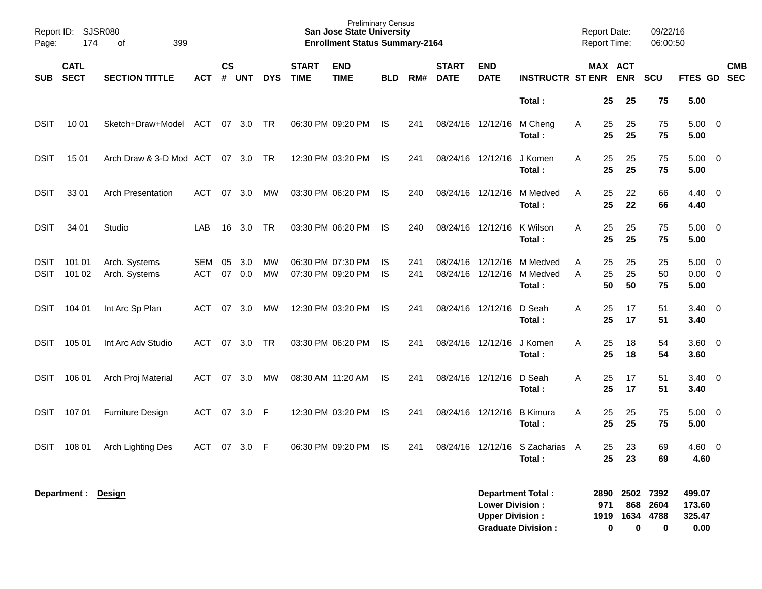| Page:                      | Report ID: SJSR080<br>174<br>399<br>оf |                                |                   |                    |            |                 |                             | <b>Preliminary Census</b><br><b>San Jose State University</b><br><b>Enrollment Status Summary-2164</b> |                  |            |                             |                                                  |                                                       |        | <b>Report Date:</b><br>Report Time: |                          | 09/22/16<br>06:00:50      |                                    |                         |  |
|----------------------------|----------------------------------------|--------------------------------|-------------------|--------------------|------------|-----------------|-----------------------------|--------------------------------------------------------------------------------------------------------|------------------|------------|-----------------------------|--------------------------------------------------|-------------------------------------------------------|--------|-------------------------------------|--------------------------|---------------------------|------------------------------------|-------------------------|--|
| <b>SUB</b>                 | <b>CATL</b><br><b>SECT</b>             | <b>SECTION TITTLE</b>          | <b>ACT</b>        | $\mathsf{cs}$<br># | <b>UNT</b> | <b>DYS</b>      | <b>START</b><br><b>TIME</b> | <b>END</b><br><b>TIME</b>                                                                              | <b>BLD</b>       | RM#        | <b>START</b><br><b>DATE</b> | <b>END</b><br><b>DATE</b>                        | <b>INSTRUCTR ST ENR</b>                               |        |                                     | MAX ACT<br><b>ENR</b>    | <b>SCU</b>                | FTES GD SEC                        | <b>CMB</b>              |  |
|                            |                                        |                                |                   |                    |            |                 |                             |                                                                                                        |                  |            |                             |                                                  | Total:                                                |        | 25                                  | 25                       | 75                        | 5.00                               |                         |  |
| <b>DSIT</b>                | 10 01                                  | Sketch+Draw+Model              | ACT               |                    | 07 3.0     | TR              |                             | 06:30 PM 09:20 PM                                                                                      | IS.              | 241        | 08/24/16 12/12/16           |                                                  | M Cheng<br>Total:                                     | A      | 25<br>25                            | 25<br>25                 | 75<br>75                  | $5.00 \t 0$<br>5.00                |                         |  |
| <b>DSIT</b>                | 15 01                                  | Arch Draw & 3-D Mod ACT        |                   |                    | 07 3.0     | TR              |                             | 12:30 PM 03:20 PM                                                                                      | IS.              | 241        | 08/24/16 12/12/16           |                                                  | J Komen<br>Total:                                     | A      | 25<br>25                            | 25<br>25                 | 75<br>75                  | $5.00 \t 0$<br>5.00                |                         |  |
| <b>DSIT</b>                | 33 01                                  | <b>Arch Presentation</b>       | ACT               | 07                 | 3.0        | MW              |                             | 03:30 PM 06:20 PM                                                                                      | IS.              | 240        | 08/24/16 12/12/16           |                                                  | M Medved<br>Total:                                    | A      | 25<br>25                            | 22<br>22                 | 66<br>66                  | $4.40 \quad 0$<br>4.40             |                         |  |
| <b>DSIT</b>                | 34 01                                  | Studio                         | LAB               | 16                 | 3.0        | <b>TR</b>       |                             | 03:30 PM 06:20 PM                                                                                      | IS               | 240        | 08/24/16 12/12/16           |                                                  | K Wilson<br>Total:                                    | A      | 25<br>25                            | 25<br>25                 | 75<br>75                  | $5.00 \t 0$<br>5.00                |                         |  |
| <b>DSIT</b><br><b>DSIT</b> | 101 01<br>101 02                       | Arch. Systems<br>Arch. Systems | SEM<br><b>ACT</b> | 05<br>07           | 3.0<br>0.0 | MW<br><b>MW</b> |                             | 06:30 PM 07:30 PM<br>07:30 PM 09:20 PM                                                                 | IS.<br><b>IS</b> | 241<br>241 | 08/24/16 12/12/16           | 08/24/16 12/12/16                                | M Medved<br>M Medved<br>Total:                        | A<br>A | 25<br>25<br>50                      | 25<br>25<br>50           | 25<br>50<br>75            | 5.00<br>$0.00 \t 0$<br>5.00        | $\overline{\mathbf{0}}$ |  |
| DSIT                       | 104 01                                 | Int Arc Sp Plan                | ACT               | 07                 | 3.0        | МW              |                             | 12:30 PM 03:20 PM                                                                                      | IS.              | 241        | 08/24/16 12/12/16           |                                                  | D Seah<br>Total:                                      | A      | 25<br>25                            | 17<br>17                 | 51<br>51                  | $3.40 \ 0$<br>3.40                 |                         |  |
| DSIT                       | 105 01                                 | Int Arc Adv Studio             | <b>ACT</b>        | 07                 | 3.0        | <b>TR</b>       |                             | 03:30 PM 06:20 PM                                                                                      | IS               | 241        | 08/24/16 12/12/16           |                                                  | J Komen<br>Total:                                     | A      | 25<br>25                            | 18<br>18                 | 54<br>54                  | 3.60 0<br>3.60                     |                         |  |
| DSIT                       | 106 01                                 | Arch Proj Material             | ACT               | 07                 | 3.0        | MW              |                             | 08:30 AM 11:20 AM                                                                                      | IS               | 241        | 08/24/16 12/12/16           |                                                  | D Seah<br>Total:                                      | A      | 25<br>25                            | 17<br>17                 | 51<br>51                  | $3.40 \ 0$<br>3.40                 |                         |  |
| DSIT                       | 107 01                                 | <b>Furniture Design</b>        | ACT               | 07                 | 3.0        | - F             |                             | 12:30 PM 03:20 PM                                                                                      | IS               | 241        | 08/24/16 12/12/16           |                                                  | <b>B</b> Kimura<br>Total:                             | A      | 25<br>25                            | 25<br>25                 | 75<br>75                  | $5.00 \t 0$<br>5.00                |                         |  |
| DSIT                       | 108 01                                 | <b>Arch Lighting Des</b>       | ACT               |                    | 07 3.0 F   |                 |                             | 06:30 PM 09:20 PM                                                                                      | IS               | 241        |                             |                                                  | 08/24/16 12/12/16 S Zacharias A<br>Total:             |        | 25<br>25                            | 23<br>23                 | 69<br>69                  | 4.60<br>4.60                       | $\overline{0}$          |  |
|                            | Department: Design                     |                                |                   |                    |            |                 |                             |                                                                                                        |                  |            |                             | <b>Lower Division:</b><br><b>Upper Division:</b> | <b>Department Total:</b><br><b>Graduate Division:</b> |        | 2890<br>971<br>1919<br>0            | 2502<br>868<br>1634<br>0 | 7392<br>2604<br>4788<br>0 | 499.07<br>173.60<br>325.47<br>0.00 |                         |  |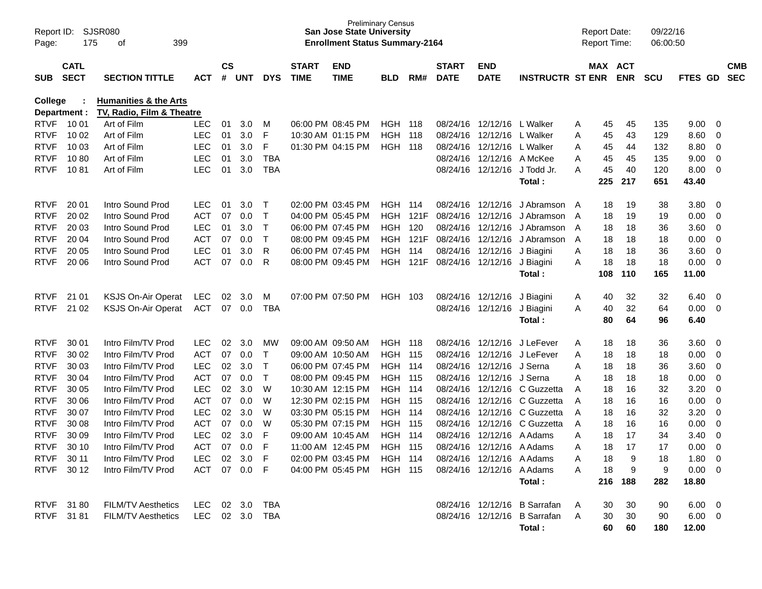| Report ID:<br>Page:        | 175                        | <b>SJSR080</b><br>399<br>οf      |                          |                    |            |            |                             | <b>San Jose State University</b><br><b>Enrollment Status Summary-2164</b> | <b>Preliminary Census</b>    |      |                             |                                                 |                              |        | <b>Report Date:</b><br><b>Report Time:</b> |            | 09/22/16<br>06:00:50 |                |                                  |                          |
|----------------------------|----------------------------|----------------------------------|--------------------------|--------------------|------------|------------|-----------------------------|---------------------------------------------------------------------------|------------------------------|------|-----------------------------|-------------------------------------------------|------------------------------|--------|--------------------------------------------|------------|----------------------|----------------|----------------------------------|--------------------------|
| <b>SUB</b>                 | <b>CATL</b><br><b>SECT</b> | <b>SECTION TITTLE</b>            | ACT                      | $\mathsf{cs}$<br># | UNT        | <b>DYS</b> | <b>START</b><br><b>TIME</b> | <b>END</b><br><b>TIME</b>                                                 | <b>BLD</b>                   | RM#  | <b>START</b><br><b>DATE</b> | <b>END</b><br><b>DATE</b>                       | <b>INSTRUCTR ST ENR</b>      |        | MAX ACT                                    | <b>ENR</b> | <b>SCU</b>           | FTES GD        |                                  | <b>CMB</b><br><b>SEC</b> |
|                            |                            |                                  |                          |                    |            |            |                             |                                                                           |                              |      |                             |                                                 |                              |        |                                            |            |                      |                |                                  |                          |
| College                    |                            | <b>Humanities &amp; the Arts</b> |                          |                    |            |            |                             |                                                                           |                              |      |                             |                                                 |                              |        |                                            |            |                      |                |                                  |                          |
|                            | Department :               | TV, Radio, Film & Theatre        |                          |                    |            |            |                             |                                                                           |                              |      |                             |                                                 |                              |        |                                            |            |                      |                |                                  |                          |
| <b>RTVF</b><br><b>RTVF</b> | 10 01<br>10 02             | Art of Film<br>Art of Film       | <b>LEC</b><br><b>LEC</b> | 01                 | 3.0<br>3.0 | M<br>F     |                             | 06:00 PM 08:45 PM<br>10:30 AM 01:15 PM                                    | <b>HGH 118</b><br><b>HGH</b> | 118  | 08/24/16                    | 08/24/16 12/12/16 L Walker<br>12/12/16 L Walker |                              | A      | 45                                         | 45<br>43   | 135<br>129           | 9.00<br>8.60   | $\overline{\mathbf{0}}$          |                          |
| <b>RTVF</b>                | 10 03                      | Art of Film                      | <b>LEC</b>               | 01                 | 3.0        | F          |                             |                                                                           | <b>HGH 118</b>               |      | 08/24/16                    | 12/12/16 L Walker                               |                              | A<br>A | 45                                         | 44         | 132                  | 8.80           | $\overline{0}$<br>$\overline{0}$ |                          |
| <b>RTVF</b>                | 1080                       | Art of Film                      | <b>LEC</b>               | 01<br>01           | 3.0        | TBA        |                             | 01:30 PM 04:15 PM                                                         |                              |      | 08/24/16                    | 12/12/16                                        | A McKee                      | A      | 45                                         | 45         | 135                  | 9.00           | $\overline{0}$                   |                          |
| <b>RTVF</b>                | 1081                       | Art of Film                      | LEC                      | 01                 | 3.0        | <b>TBA</b> |                             |                                                                           |                              |      |                             |                                                 | 08/24/16 12/12/16 J Todd Jr. |        | 45                                         | 40         | 120                  | 8.00           |                                  |                          |
|                            |                            |                                  |                          |                    |            |            |                             |                                                                           |                              |      |                             |                                                 | Total:                       | A      | 45<br>225                                  | 217        | 651                  | 43.40          | $\overline{\mathbf{0}}$          |                          |
|                            |                            |                                  |                          |                    |            |            |                             |                                                                           |                              |      |                             |                                                 |                              |        |                                            |            |                      |                |                                  |                          |
| <b>RTVF</b>                | 20 01                      | Intro Sound Prod                 | LEC.                     | 01                 | 3.0        | $\top$     |                             | 02:00 PM 03:45 PM                                                         | HGH                          | 114  |                             | 08/24/16 12/12/16                               | J Abramson                   | A      | 18                                         | 19         | 38                   | 3.80           | 0                                |                          |
| <b>RTVF</b>                | 20 02                      | Intro Sound Prod                 | <b>ACT</b>               | 07                 | 0.0        | $\top$     |                             | 04:00 PM 05:45 PM                                                         | <b>HGH</b>                   | 121F | 08/24/16                    | 12/12/16                                        | J Abramson                   | A      | 18                                         | 19         | 19                   | 0.00           | $\overline{0}$                   |                          |
| <b>RTVF</b>                | 20 03                      | Intro Sound Prod                 | <b>LEC</b>               | 01                 | 3.0        | $\top$     |                             | 06:00 PM 07:45 PM                                                         | HGH                          | 120  | 08/24/16                    | 12/12/16                                        | J Abramson                   | A      | 18                                         | 18         | 36                   | 3.60           | $\overline{0}$                   |                          |
| <b>RTVF</b>                | 20 04                      | Intro Sound Prod                 | <b>ACT</b>               | 07                 | 0.0        | $\top$     |                             | 08:00 PM 09:45 PM                                                         | HGH                          |      | 121F 08/24/16               | 12/12/16                                        | J Abramson                   | A      | 18                                         | 18         | 18                   | 0.00           | $\overline{0}$                   |                          |
| <b>RTVF</b>                | 20 05                      | Intro Sound Prod                 | <b>LEC</b>               | 01                 | 3.0        | R          |                             | 06:00 PM 07:45 PM                                                         | HGH                          | 114  |                             | 08/24/16 12/12/16                               | J Biagini                    | A      | 18                                         | 18         | 36                   | 3.60           | $\overline{0}$                   |                          |
| <b>RTVF</b>                | 20 06                      | Intro Sound Prod                 | <b>ACT</b>               | 07                 | 0.0        | R          |                             | 08:00 PM 09:45 PM                                                         | HGH                          |      | 121F 08/24/16 12/12/16      |                                                 | J Biagini                    | A      | 18                                         | 18         | 18                   | 0.00           | $\overline{0}$                   |                          |
|                            |                            |                                  |                          |                    |            |            |                             |                                                                           |                              |      |                             |                                                 | Total:                       |        | 108                                        | 110        | 165                  | 11.00          |                                  |                          |
|                            |                            |                                  |                          |                    |            |            |                             |                                                                           |                              |      |                             |                                                 |                              |        |                                            |            |                      |                |                                  |                          |
| <b>RTVF</b>                | 21 01                      | <b>KSJS On-Air Operat</b>        | <b>LEC</b>               | 02                 | 3.0        | M          |                             | 07:00 PM 07:50 PM                                                         | HGH                          | -103 |                             | 08/24/16 12/12/16                               | J Biagini                    | A      | 40                                         | 32         | 32                   | 6.40           | 0                                |                          |
| <b>RTVF</b>                | 21 02                      | <b>KSJS On-Air Operat</b>        | <b>ACT</b>               | 07                 | 0.0        | TBA        |                             |                                                                           |                              |      |                             | 08/24/16 12/12/16 J Biagini                     |                              | A      | 40                                         | 32         | 64                   | 0.00           | $\overline{0}$                   |                          |
|                            |                            |                                  |                          |                    |            |            |                             |                                                                           |                              |      |                             |                                                 | Total :                      |        | 80                                         | 64         | 96                   | 6.40           |                                  |                          |
| <b>RTVF</b>                | 30 01                      | Intro Film/TV Prod               | <b>LEC</b>               | 02                 | 3.0        | MW         | 09:00 AM 09:50 AM           |                                                                           | <b>HGH</b>                   | 118  |                             |                                                 | 08/24/16 12/12/16 J LeFever  | A      | 18                                         | 18         | 36                   | 3.60           | 0                                |                          |
| <b>RTVF</b>                | 30 02                      | Intro Film/TV Prod               | <b>ACT</b>               | 07                 | 0.0        | $\top$     | 09:00 AM 10:50 AM           |                                                                           | <b>HGH</b>                   | 115  |                             |                                                 | 08/24/16 12/12/16 J LeFever  | A      | 18                                         | 18         | 18                   | 0.00           | $\overline{0}$                   |                          |
| <b>RTVF</b>                | 30 03                      | Intro Film/TV Prod               | <b>LEC</b>               | 02                 | 3.0        | $\top$     |                             | 06:00 PM 07:45 PM                                                         | <b>HGH 114</b>               |      |                             | 08/24/16 12/12/16 J Serna                       |                              | A      | 18                                         | 18         | 36                   | 3.60           | 0                                |                          |
| <b>RTVF</b>                | 30 04                      | Intro Film/TV Prod               | <b>ACT</b>               | 07                 | 0.0        | $\top$     |                             | 08:00 PM 09:45 PM                                                         | <b>HGH 115</b>               |      | 08/24/16                    | 12/12/16 J Serna                                |                              | A      | 18                                         | 18         | 18                   | 0.00           | $\overline{0}$                   |                          |
| <b>RTVF</b>                | 30 05                      | Intro Film/TV Prod               | <b>LEC</b>               | 02                 | 3.0        | W          |                             | 10:30 AM 12:15 PM                                                         | <b>HGH 114</b>               |      | 08/24/16                    |                                                 | 12/12/16 C Guzzetta          | A      | 18                                         | 16         | 32                   | 3.20           | $\overline{0}$                   |                          |
| <b>RTVF</b>                | 30 06                      | Intro Film/TV Prod               | <b>ACT</b>               | 07                 | 0.0        | W          |                             | 12:30 PM 02:15 PM                                                         | <b>HGH 115</b>               |      | 08/24/16                    |                                                 | 12/12/16 C Guzzetta          | A      | 18                                         | 16         | 16                   | 0.00           | $\overline{0}$                   |                          |
| <b>RTVF</b>                | 30 07                      | Intro Film/TV Prod               | <b>LEC</b>               | 02                 | 3.0        | W          |                             | 03:30 PM 05:15 PM                                                         | <b>HGH 114</b>               |      | 08/24/16                    | 12/12/16                                        | C Guzzetta                   | A      | 18                                         | 16         | 32                   | 3.20           | $\mathbf 0$                      |                          |
| <b>RTVF</b>                | 30 08                      | Intro Film/TV Prod               | <b>ACT</b>               | 07                 | 0.0        | W          |                             | 05:30 PM 07:15 PM                                                         | HGH                          | 115  | 08/24/16                    | 12/12/16                                        | C Guzzetta                   | A      | 18                                         | 16         | 16                   | 0.00           | $\overline{0}$                   |                          |
| <b>RTVF</b>                | 30 09                      | Intro Film/TV Prod               | <b>LEC</b>               | 02                 | 3.0        | F          | 09:00 AM 10:45 AM           |                                                                           | <b>HGH</b>                   | 114  | 08/24/16                    | 12/12/16                                        | A Adams                      | A      | 18                                         | 17         | 34                   | 3.40           | $\mathbf 0$                      |                          |
| <b>RTVF</b>                | 30 10                      | Intro Film/TV Prod               | <b>ACT</b>               | 07                 | 0.0        | F          |                             | 11:00 AM 12:45 PM                                                         | HGH                          | -115 | 08/24/16                    | 12/12/16 A Adams                                |                              | A      | 18                                         | 17         | 17                   | 0.00           | $\mathbf 0$                      |                          |
|                            | RTVF 30 11                 | Intro Film/TV Prod               | LEC 02 3.0 F             |                    |            |            |                             | 02:00 PM 03:45 PM HGH 114                                                 |                              |      |                             | 08/24/16 12/12/16 A Adams                       |                              |        | 18                                         |            | 18                   | $1.80 \t 0$    |                                  |                          |
|                            | RTVF 30 12                 | Intro Film/TV Prod               | ACT 07 0.0 F             |                    |            |            |                             | 04:00 PM 05:45 PM HGH 115                                                 |                              |      |                             | 08/24/16 12/12/16 A Adams                       |                              | A      | 18                                         | 9          | 9                    | $0.00 \t 0$    |                                  |                          |
|                            |                            |                                  |                          |                    |            |            |                             |                                                                           |                              |      |                             |                                                 | Total:                       |        |                                            | 216 188    | 282                  | 18.80          |                                  |                          |
|                            |                            |                                  |                          |                    |            |            |                             |                                                                           |                              |      |                             |                                                 |                              |        |                                            |            |                      |                |                                  |                          |
|                            | RTVF 3180                  | <b>FILM/TV Aesthetics</b>        | LEC 02 3.0 TBA           |                    |            |            |                             |                                                                           |                              |      |                             |                                                 | 08/24/16 12/12/16 B Sarrafan | A      | 30                                         | 30         | 90                   | $6.00 \quad 0$ |                                  |                          |
|                            | RTVF 3181                  | <b>FILM/TV Aesthetics</b>        | LEC 02 3.0 TBA           |                    |            |            |                             |                                                                           |                              |      |                             |                                                 | 08/24/16 12/12/16 B Sarrafan | A      | 30                                         | 30         | 90                   | $6.00 \t 0$    |                                  |                          |
|                            |                            |                                  |                          |                    |            |            |                             |                                                                           |                              |      |                             |                                                 | Total:                       |        | 60                                         | 60         | 180                  | 12.00          |                                  |                          |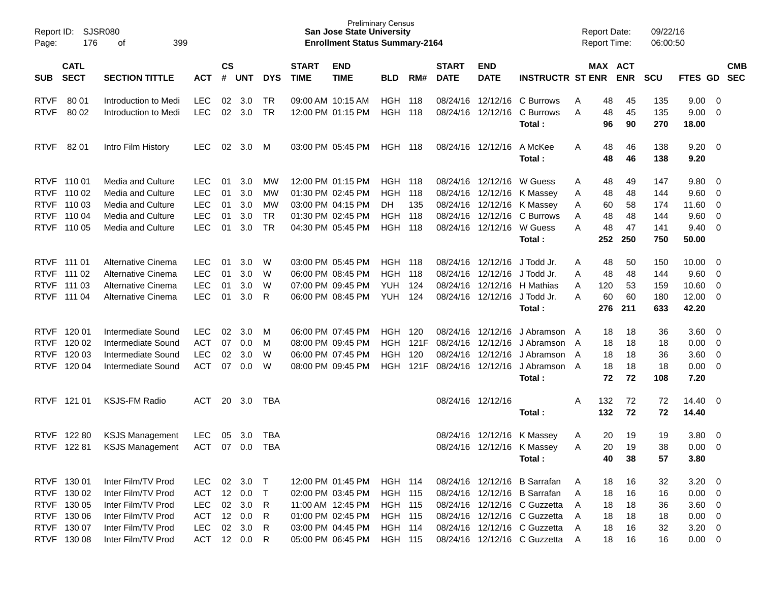| Page:       | <b>SJSR080</b><br>Report ID:<br>176<br>399<br>оf |                        |            |                    |        |            |                             | <b>San Jose State University</b><br><b>Enrollment Status Summary-2164</b> | <b>Preliminary Census</b> |       |                             |                           |                              |   | <b>Report Date:</b><br>Report Time: |            | 09/22/16<br>06:00:50 |                    |                          |                          |
|-------------|--------------------------------------------------|------------------------|------------|--------------------|--------|------------|-----------------------------|---------------------------------------------------------------------------|---------------------------|-------|-----------------------------|---------------------------|------------------------------|---|-------------------------------------|------------|----------------------|--------------------|--------------------------|--------------------------|
| <b>SUB</b>  | <b>CATL</b><br><b>SECT</b>                       | <b>SECTION TITTLE</b>  | <b>ACT</b> | $\mathsf{cs}$<br># | UNT    | <b>DYS</b> | <b>START</b><br><b>TIME</b> | <b>END</b><br><b>TIME</b>                                                 | <b>BLD</b>                | RM#   | <b>START</b><br><b>DATE</b> | <b>END</b><br><b>DATE</b> | <b>INSTRUCTR ST ENR</b>      |   | MAX ACT                             | <b>ENR</b> | <b>SCU</b>           | FTES GD            |                          | <b>CMB</b><br><b>SEC</b> |
| <b>RTVF</b> | 80 01                                            | Introduction to Medi   | <b>LEC</b> | 02                 | 3.0    | TR         |                             | 09:00 AM 10:15 AM                                                         | HGH.                      | - 118 |                             | 08/24/16 12/12/16         | C Burrows                    | Α | 48                                  | 45         | 135                  | 9.00               | $\overline{\phantom{0}}$ |                          |
| <b>RTVF</b> | 80 02                                            | Introduction to Medi   | <b>LEC</b> | 02                 | 3.0    | <b>TR</b>  |                             | 12:00 PM 01:15 PM                                                         | <b>HGH</b>                | 118   |                             | 08/24/16 12/12/16         | C Burrows<br>Total:          | A | 48<br>96                            | 45<br>90   | 135<br>270           | 9.00<br>18.00      | $\overline{\mathbf{0}}$  |                          |
| <b>RTVF</b> | 82 01                                            | Intro Film History     | <b>LEC</b> | 02                 | 3.0    | M          |                             | 03:00 PM 05:45 PM                                                         | <b>HGH 118</b>            |       |                             | 08/24/16 12/12/16         | A McKee<br>Total:            | Α | 48<br>48                            | 46<br>46   | 138<br>138           | $9.20 \ 0$<br>9.20 |                          |                          |
| <b>RTVF</b> | 110 01                                           | Media and Culture      | <b>LEC</b> | 01                 | 3.0    | MW         |                             | 12:00 PM 01:15 PM                                                         | <b>HGH 118</b>            |       |                             | 08/24/16 12/12/16         | W Guess                      | Α | 48                                  | 49         | 147                  | $9.80 \quad 0$     |                          |                          |
| <b>RTVF</b> | 110 02                                           | Media and Culture      | <b>LEC</b> | 01                 | 3.0    | МW         |                             | 01:30 PM 02:45 PM                                                         | <b>HGH</b>                | 118   |                             | 08/24/16 12/12/16         | K Massey                     | Α | 48                                  | 48         | 144                  | 9.60               | $\overline{\phantom{0}}$ |                          |
| <b>RTVF</b> | 110 03                                           | Media and Culture      | <b>LEC</b> | 01                 | 3.0    | MW         |                             | 03:00 PM 04:15 PM                                                         | DH.                       | 135   |                             | 08/24/16 12/12/16         | K Massey                     | Α | 60                                  | 58         | 174                  | 11.60 0            |                          |                          |
| <b>RTVF</b> | 110 04                                           | Media and Culture      | <b>LEC</b> | 01                 | 3.0    | <b>TR</b>  |                             | 01:30 PM 02:45 PM                                                         | <b>HGH</b>                | 118   |                             | 08/24/16 12/12/16         | C Burrows                    | Α | 48                                  | 48         | 144                  | 9.60               | $\overline{\phantom{0}}$ |                          |
| <b>RTVF</b> | 110 05                                           | Media and Culture      | <b>LEC</b> | 01                 | 3.0    | TR         |                             | 04:30 PM 05:45 PM                                                         | HGH                       | 118   |                             | 08/24/16 12/12/16         | W Guess                      | A | 48                                  | 47         | 141                  | 9.40               | $\overline{\phantom{0}}$ |                          |
|             |                                                  |                        |            |                    |        |            |                             |                                                                           |                           |       |                             |                           | Total:                       |   | 252                                 | 250        | 750                  | 50.00              |                          |                          |
| <b>RTVF</b> | 111 01                                           | Alternative Cinema     | <b>LEC</b> | 01                 | 3.0    | W          |                             | 03:00 PM 05:45 PM                                                         | <b>HGH 118</b>            |       |                             | 08/24/16 12/12/16         | J Todd Jr.                   | Α | 48                                  | 50         | 150                  | $10.00 \t 0$       |                          |                          |
| <b>RTVF</b> | 111 02                                           | Alternative Cinema     | <b>LEC</b> | 01                 | 3.0    | W          |                             | 06:00 PM 08:45 PM                                                         | <b>HGH</b>                | - 118 |                             | 08/24/16 12/12/16         | J Todd Jr.                   | Α | 48                                  | 48         | 144                  | 9.60               | $\overline{\phantom{0}}$ |                          |
| <b>RTVF</b> | 111 03                                           | Alternative Cinema     | <b>LEC</b> | 01                 | 3.0    | W          |                             | 07:00 PM 09:45 PM                                                         | YUH                       | - 124 |                             | 08/24/16 12/12/16         | H Mathias                    | Α | 120                                 | 53         | 159                  | 10.60              | $\overline{\mathbf{0}}$  |                          |
| <b>RTVF</b> | 111 04                                           | Alternative Cinema     | <b>LEC</b> | 01                 | 3.0    | R          |                             | 06:00 PM 08:45 PM                                                         | <b>YUH 124</b>            |       |                             | 08/24/16 12/12/16         | J Todd Jr.                   | Α | 60                                  | 60         | 180                  | 12.00 0            |                          |                          |
|             |                                                  |                        |            |                    |        |            |                             |                                                                           |                           |       |                             |                           | Total:                       |   | 276                                 | 211        | 633                  | 42.20              |                          |                          |
| <b>RTVF</b> | 120 01                                           | Intermediate Sound     | <b>LEC</b> | 02                 | 3.0    | M          |                             | 06:00 PM 07:45 PM                                                         | <b>HGH</b>                | - 120 |                             | 08/24/16 12/12/16         | J Abramson                   | A | 18                                  | 18         | 36                   | $3.60 \ 0$         |                          |                          |
| <b>RTVF</b> | 120 02                                           | Intermediate Sound     | <b>ACT</b> | 07                 | 0.0    | M          |                             | 08:00 PM 09:45 PM                                                         | <b>HGH</b>                | 121F  |                             | 08/24/16 12/12/16         | J Abramson A                 |   | 18                                  | 18         | 18                   | 0.00               | $\overline{\phantom{0}}$ |                          |
| <b>RTVF</b> | 120 03                                           | Intermediate Sound     | <b>LEC</b> | 02                 | 3.0    | W          |                             | 06:00 PM 07:45 PM                                                         | <b>HGH</b>                | 120   |                             | 08/24/16 12/12/16         | J Abramson                   | A | 18                                  | 18         | 36                   | 3.60 0             |                          |                          |
| <b>RTVF</b> | 120 04                                           | Intermediate Sound     | <b>ACT</b> | 07                 | 0.0    | W          |                             | 08:00 PM 09:45 PM                                                         | <b>HGH</b>                | 121F  |                             | 08/24/16 12/12/16         | J Abramson A                 |   | 18                                  | 18         | 18                   | $0.00 \t 0$        |                          |                          |
|             |                                                  |                        |            |                    |        |            |                             |                                                                           |                           |       |                             |                           | Total:                       |   | 72                                  | 72         | 108                  | 7.20               |                          |                          |
| <b>RTVF</b> | 121 01                                           | <b>KSJS-FM Radio</b>   | ACT        | 20                 | 3.0    | TBA        |                             |                                                                           |                           |       |                             | 08/24/16 12/12/16         |                              | Α | 132                                 | 72         | 72                   | $14.40 \quad 0$    |                          |                          |
|             |                                                  |                        |            |                    |        |            |                             |                                                                           |                           |       |                             |                           | Total:                       |   | 132                                 | 72         | 72                   | 14.40              |                          |                          |
| <b>RTVF</b> | 122 80                                           | <b>KSJS Management</b> | <b>LEC</b> | 05                 | 3.0    | <b>TBA</b> |                             |                                                                           |                           |       |                             | 08/24/16 12/12/16         | K Massey                     | Α | 20                                  | 19         | 19                   | 3.80               | $\overline{\phantom{0}}$ |                          |
| <b>RTVF</b> | 122 81                                           | <b>KSJS Management</b> | <b>ACT</b> | 07                 | 0.0    | <b>TBA</b> |                             |                                                                           |                           |       |                             |                           | 08/24/16 12/12/16 K Massev   | A | 20                                  | 19         | 38                   | 0.00               | $\overline{0}$           |                          |
|             |                                                  |                        |            |                    |        |            |                             |                                                                           |                           |       |                             |                           | Total:                       |   | 40                                  | 38         | 57                   | 3.80               |                          |                          |
|             | RTVF 130 01                                      | Inter Film/TV Prod     | LEC.       | 02                 | 3.0    | $\top$     |                             | 12:00 PM 01:45 PM                                                         | <b>HGH 114</b>            |       |                             |                           | 08/24/16 12/12/16 B Sarrafan | A | 18                                  | 16         | 32                   | $3.20 \ 0$         |                          |                          |
|             | RTVF 130 02                                      | Inter Film/TV Prod     | ACT        |                    | 12 0.0 | $\top$     |                             | 02:00 PM 03:45 PM                                                         | HGH 115                   |       |                             |                           | 08/24/16 12/12/16 B Sarrafan | A | 18                                  | 16         | 16                   | $0.00 \t 0$        |                          |                          |
|             | RTVF 130 05                                      | Inter Film/TV Prod     | <b>LEC</b> |                    | 02 3.0 | R          |                             | 11:00 AM 12:45 PM                                                         | HGH 115                   |       |                             |                           | 08/24/16 12/12/16 C Guzzetta | A | 18                                  | 18         | 36                   | $3.60 \ 0$         |                          |                          |
|             | RTVF 130 06                                      | Inter Film/TV Prod     | ACT        |                    | 12 0.0 | R          |                             | 01:00 PM 02:45 PM                                                         | HGH 115                   |       |                             |                           | 08/24/16 12/12/16 C Guzzetta | A | 18                                  | 18         | 18                   | $0.00 \t 0$        |                          |                          |
|             | RTVF 130 07                                      | Inter Film/TV Prod     | <b>LEC</b> | $02\,$             | 3.0    | R          |                             | 03:00 PM 04:45 PM                                                         | <b>HGH 114</b>            |       |                             |                           | 08/24/16 12/12/16 C Guzzetta | A | 18                                  | 16         | 32                   | $3.20 \ 0$         |                          |                          |
|             | RTVF 130 08                                      | Inter Film/TV Prod     | ACT 12 0.0 |                    |        | R          |                             | 05:00 PM 06:45 PM                                                         | <b>HGH 115</b>            |       |                             |                           | 08/24/16 12/12/16 C Guzzetta | A | 18                                  | 16         | 16                   | $0.00 \t 0$        |                          |                          |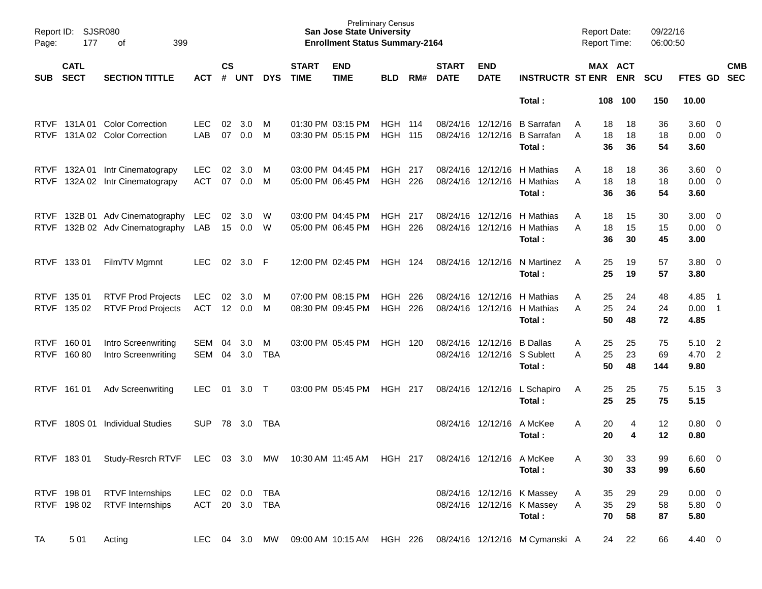| Page:       | Report ID: SJSR080<br>399<br>177<br>оf |                                                                                                 |                                  |                    |                       |                 |                             | <b>San Jose State University</b><br><b>Enrollment Status Summary-2164</b> | <b>Preliminary Census</b> |                |                             |                                                  |                                                                        | <b>Report Date:</b><br><b>Report Time:</b> |                                  | 09/22/16<br>06:00:50 |                                   |                |            |
|-------------|----------------------------------------|-------------------------------------------------------------------------------------------------|----------------------------------|--------------------|-----------------------|-----------------|-----------------------------|---------------------------------------------------------------------------|---------------------------|----------------|-----------------------------|--------------------------------------------------|------------------------------------------------------------------------|--------------------------------------------|----------------------------------|----------------------|-----------------------------------|----------------|------------|
| <b>SUB</b>  | <b>CATL</b><br><b>SECT</b>             | <b>SECTION TITTLE</b>                                                                           | <b>ACT</b>                       | $\mathsf{cs}$<br># | <b>UNT</b>            | <b>DYS</b>      | <b>START</b><br><b>TIME</b> | <b>END</b><br><b>TIME</b>                                                 | <b>BLD</b>                | RM#            | <b>START</b><br><b>DATE</b> | <b>END</b><br><b>DATE</b>                        | <b>INSTRUCTR ST ENR</b>                                                |                                            | MAX ACT<br><b>ENR</b>            | <b>SCU</b>           | FTES GD SEC                       |                | <b>CMB</b> |
|             |                                        |                                                                                                 |                                  |                    |                       |                 |                             |                                                                           |                           |                |                             |                                                  | Total:                                                                 | 108                                        | 100                              | 150                  | 10.00                             |                |            |
| <b>RTVF</b> |                                        | RTVF 131A 01 Color Correction<br>131A 02 Color Correction                                       | LEC.<br>LAB                      | 02<br>07           | 3.0<br>0.0            | M<br>M          |                             | 01:30 PM 03:15 PM<br>03:30 PM 05:15 PM                                    | <b>HGH</b><br>HGH         | - 114<br>- 115 |                             | 08/24/16 12/12/16<br>08/24/16 12/12/16           | <b>B</b> Sarrafan<br><b>B</b> Sarrafan<br>Total:                       | A<br>A                                     | 18<br>18<br>18<br>18<br>36<br>36 | 36<br>18<br>54       | $3.60 \ 0$<br>$0.00 \t 0$<br>3.60 |                |            |
| <b>RTVF</b> |                                        | RTVF 132A 01 Intr Cinematograpy<br>132A 02 Intr Cinematograpy                                   | <b>LEC</b><br><b>ACT</b>         | 02<br>07           | 3.0<br>0.0            | M<br>M          |                             | 03:00 PM 04:45 PM<br>05:00 PM 06:45 PM                                    | HGH<br>HGH                | -217<br>226    |                             | 08/24/16 12/12/16<br>08/24/16 12/12/16           | H Mathias<br>H Mathias<br>Total:                                       | A<br>A                                     | 18<br>18<br>18<br>18<br>36<br>36 | 36<br>18<br>54       | $3.60 \ 0$<br>$0.00 \t 0$<br>3.60 |                |            |
| <b>RTVF</b> |                                        | RTVF 132B 01 Adv Cinematography<br>132B 02 Adv Cinematography                                   | LEC.<br>LAB                      | 15 <sub>1</sub>    | $02 \quad 3.0$<br>0.0 | - W<br>W        |                             | 03:00 PM 04:45 PM<br>05:00 PM 06:45 PM                                    | <b>HGH</b><br><b>HGH</b>  | -217<br>226    |                             | 08/24/16 12/12/16<br>08/24/16 12/12/16           | H Mathias<br>H Mathias<br>Total:                                       | Α<br>A                                     | 15<br>18<br>15<br>18<br>36<br>30 | 30<br>15<br>45       | $3.00 \ 0$<br>$0.00 \t 0$<br>3.00 |                |            |
|             | RTVF 133 01                            | Film/TV Mgmnt                                                                                   | LEC.                             | 02                 | 3.0                   | -F              |                             | 12:00 PM 02:45 PM                                                         | <b>HGH 124</b>            |                |                             | 08/24/16 12/12/16                                | N Martinez<br>Total:                                                   | A                                          | 25<br>19<br>25<br>19             | 57<br>57             | $3.80\ 0$<br>3.80                 |                |            |
|             | RTVF 135 01<br>RTVF 135 02             | <b>RTVF Prod Projects</b><br><b>RTVF Prod Projects</b>                                          | <b>LEC</b><br>ACT                | 02                 | 3.0<br>12 0.0         | M<br>M          |                             | 07:00 PM 08:15 PM<br>08:30 PM 09:45 PM                                    | <b>HGH</b><br><b>HGH</b>  | 226<br>226     |                             | 08/24/16 12/12/16<br>08/24/16 12/12/16           | H Mathias<br>H Mathias<br>Total:                                       | Α<br>A                                     | 25<br>24<br>25<br>24<br>50<br>48 | 48<br>24<br>72       | 4.85<br>$0.00$ 1<br>4.85          | - 1            |            |
|             | RTVF 160 01<br>RTVF 160 80             | Intro Screenwriting<br>Intro Screenwriting                                                      | SEM<br><b>SEM</b>                | 04<br>04           | 3.0<br>3.0            | M<br><b>TBA</b> |                             | 03:00 PM 05:45 PM                                                         | <b>HGH 120</b>            |                |                             | 08/24/16 12/12/16<br>08/24/16 12/12/16 S Sublett | <b>B</b> Dallas<br>Total:                                              | Α<br>A                                     | 25<br>25<br>25<br>23<br>50<br>48 | 75<br>69<br>144      | 5.10<br>4.70 2<br>9.80            | $\overline{2}$ |            |
|             | RTVF 161 01                            | <b>Adv Screenwriting</b>                                                                        | LEC.                             | 01                 | 3.0                   | $\top$          |                             | 03:00 PM 05:45 PM                                                         | <b>HGH 217</b>            |                |                             | 08/24/16 12/12/16                                | L Schapiro<br>Total:                                                   | A                                          | 25<br>25<br>25<br>25             | 75<br>75             | 5.15<br>5.15                      | - 3            |            |
| <b>RTVF</b> | 180S 01                                | <b>Individual Studies</b>                                                                       | <b>SUP</b>                       | 78                 | 3.0                   | TBA             |                             |                                                                           |                           |                |                             | 08/24/16 12/12/16                                | A McKee<br>Total:                                                      | A                                          | 20<br>4<br>20<br>4               | $12 \,$<br>12        | $0.80 \ 0$<br>0.80                |                |            |
|             |                                        | RTVF 183 01 Study-Resrch RTVF LEC 03 3.0 MW 10:30 AM 11:45 AM HGH 217 08/24/16 12/12/16 A McKee |                                  |                    |                       |                 |                             |                                                                           |                           |                |                             |                                                  | Total:                                                                 | Α                                          | 30<br>33<br>30<br>33             | 99<br>99             | 6.60 0<br>6.60                    |                |            |
|             | RTVF 198 01<br>RTVF 198 02             | <b>RTVF Internships</b><br><b>RTVF</b> Internships                                              | LEC 02 0.0 TBA<br>ACT 20 3.0 TBA |                    |                       |                 |                             |                                                                           |                           |                |                             |                                                  | 08/24/16 12/12/16 K Massey<br>08/24/16 12/12/16 K Massey<br>Total:     | A<br>A                                     | 35<br>29<br>35<br>29<br>70<br>58 | 29<br>58<br>87       | $0.00 \t 0$<br>$5.80\ 0$<br>5.80  |                |            |
| TA          | 501                                    | Acting                                                                                          |                                  |                    |                       |                 |                             |                                                                           |                           |                |                             |                                                  | LEC 04 3.0 MW 09:00 AM 10:15 AM HGH 226 08/24/16 12/12/16 M Cymanski A |                                            | 22<br>24                         | 66                   | 4.40 0                            |                |            |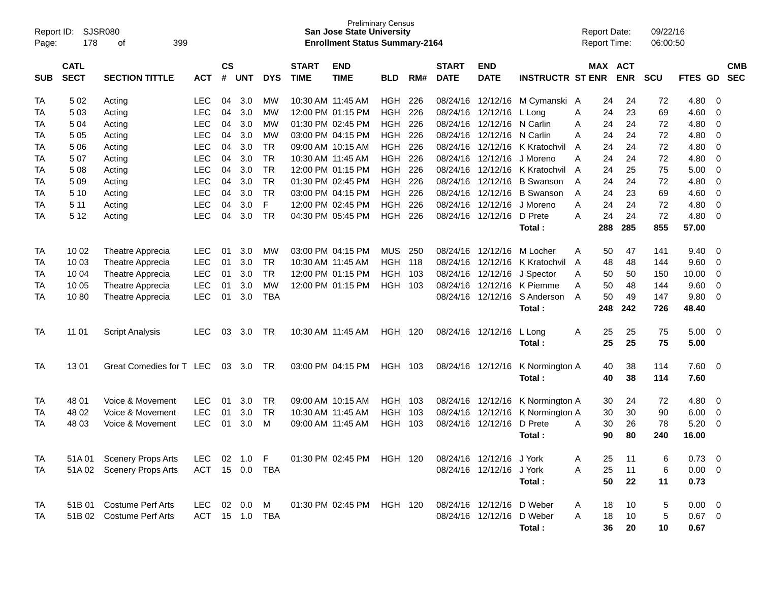| Report ID:<br>Page: | 178                        | SJSR080<br>399<br>οf      |                          |            |            |                             |                           | <b>Preliminary Census</b><br><b>San Jose State University</b><br><b>Enrollment Status Summary-2164</b> |                          |                             |                           |                           |                    |         | <b>Report Date:</b><br><b>Report Time:</b> |          | 09/22/16<br>06:00:50 |                |                          |  |
|---------------------|----------------------------|---------------------------|--------------------------|------------|------------|-----------------------------|---------------------------|--------------------------------------------------------------------------------------------------------|--------------------------|-----------------------------|---------------------------|---------------------------|--------------------|---------|--------------------------------------------|----------|----------------------|----------------|--------------------------|--|
| <b>SUB</b>          | <b>CATL</b><br><b>SECT</b> | <b>ACT</b>                | $\mathsf{cs}$<br>#       | <b>UNT</b> | <b>DYS</b> | <b>START</b><br><b>TIME</b> | <b>END</b><br><b>TIME</b> | <b>BLD</b>                                                                                             | RM#                      | <b>START</b><br><b>DATE</b> | <b>END</b><br><b>DATE</b> | <b>INSTRUCTR ST ENR</b>   |                    | MAX ACT | <b>ENR</b>                                 | SCU      | FTES GD              |                | <b>CMB</b><br><b>SEC</b> |  |
|                     |                            |                           |                          | 04         |            | <b>MW</b>                   | 10:30 AM 11:45 AM         |                                                                                                        |                          |                             |                           |                           |                    |         |                                            |          |                      |                |                          |  |
| TA<br>TA            | 5 0 2<br>503               | Acting                    | <b>LEC</b><br><b>LEC</b> | 04         | 3.0<br>3.0 | МW                          |                           | 12:00 PM 01:15 PM                                                                                      | <b>HGH</b><br><b>HGH</b> | 226<br>226                  | 08/24/16<br>08/24/16      | 12/12/16<br>12/12/16      | M Cymanski         | A<br>A  | 24<br>24                                   | 24<br>23 | 72<br>69             | 4.80<br>4.60   | - 0<br>$\mathbf 0$       |  |
| TA                  | 504                        | Acting<br>Acting          | <b>LEC</b>               | 04         | 3.0        | <b>MW</b>                   |                           | 01:30 PM 02:45 PM                                                                                      | <b>HGH</b>               | 226                         | 08/24/16                  | 12/12/16                  | L Long<br>N Carlin | A       | 24                                         | 24       | 72                   | 4.80           | 0                        |  |
| TA                  | 5 0 5                      | Acting                    | <b>LEC</b>               | 04         | 3.0        | <b>MW</b>                   |                           | 03:00 PM 04:15 PM                                                                                      | <b>HGH</b>               | 226                         | 08/24/16                  | 12/12/16                  | N Carlin           | A       | 24                                         | 24       | 72                   | 4.80           | 0                        |  |
| TA                  | 5 0 6                      | Acting                    | <b>LEC</b>               | 04         | 3.0        | <b>TR</b>                   |                           | 09:00 AM 10:15 AM                                                                                      | <b>HGH</b>               | 226                         | 08/24/16                  | 12/12/16                  | K Kratochvil       | A       | 24                                         | 24       | 72                   | 4.80           | 0                        |  |
| TA                  | 507                        | Acting                    | <b>LEC</b>               | 04         | 3.0        | <b>TR</b>                   | 10:30 AM 11:45 AM         |                                                                                                        | <b>HGH</b>               | 226                         | 08/24/16                  | 12/12/16                  | J Moreno           | Α       | 24                                         | 24       | 72                   | 4.80           | 0                        |  |
| TA                  | 508                        | Acting                    | <b>LEC</b>               | 04         | 3.0        | <b>TR</b>                   |                           | 12:00 PM 01:15 PM                                                                                      | <b>HGH</b>               | 226                         | 08/24/16                  | 12/12/16                  | K Kratochvil       | A       | 24                                         | 25       | 75                   | 5.00           | 0                        |  |
| TA                  | 509                        | Acting                    | <b>LEC</b>               | 04         | 3.0        | <b>TR</b>                   |                           | 01:30 PM 02:45 PM                                                                                      | <b>HGH</b>               | 226                         | 08/24/16                  | 12/12/16                  | <b>B</b> Swanson   | A       | 24                                         | 24       | 72                   | 4.80           | 0                        |  |
| TA                  | 5 10                       | Acting                    | <b>LEC</b>               | 04         | 3.0        | <b>TR</b>                   |                           | 03:00 PM 04:15 PM                                                                                      | <b>HGH</b>               | 226                         | 08/24/16                  | 12/12/16                  | <b>B</b> Swanson   | A       | 24                                         | 23       | 69                   | 4.60           | 0                        |  |
| TA                  | 5 1 1                      | Acting                    | <b>LEC</b>               | 04         | 3.0        | F                           |                           | 12:00 PM 02:45 PM                                                                                      | <b>HGH</b>               | 226                         | 08/24/16                  | 12/12/16                  | J Moreno           | A       | 24                                         | 24       | 72                   | 4.80           | 0                        |  |
| TA                  | 5 1 2                      | Acting                    | <b>LEC</b>               | 04         | 3.0        | <b>TR</b>                   |                           | 04:30 PM 05:45 PM                                                                                      | <b>HGH</b>               | 226                         | 08/24/16                  | 12/12/16                  | D Prete            | A       | 24                                         | 24       | 72                   | 4.80           | $\mathbf 0$              |  |
|                     |                            |                           |                          |            |            |                             |                           |                                                                                                        |                          |                             |                           |                           | Total:             |         | 288                                        | 285      | 855                  | 57.00          |                          |  |
|                     |                            |                           |                          |            |            |                             |                           |                                                                                                        |                          |                             |                           |                           |                    |         |                                            |          |                      |                |                          |  |
| TA                  | 10 02                      | Theatre Apprecia          | <b>LEC</b>               | 01         | 3.0        | <b>MW</b>                   |                           | 03:00 PM 04:15 PM                                                                                      | <b>MUS</b>               | 250                         | 08/24/16                  | 12/12/16                  | M Locher           | A       | 50                                         | 47       | 141                  | 9.40           | $\mathbf 0$              |  |
| ТA                  | 10 03                      | Theatre Apprecia          | <b>LEC</b>               | 01         | 3.0        | <b>TR</b>                   | 10:30 AM 11:45 AM         |                                                                                                        | <b>HGH</b>               | 118                         | 08/24/16                  | 12/12/16                  | K Kratochvil       | A       | 48                                         | 48       | 144                  | 9.60           | 0                        |  |
| TA                  | 10 04                      | <b>Theatre Apprecia</b>   | <b>LEC</b>               | 01         | 3.0        | <b>TR</b>                   |                           | 12:00 PM 01:15 PM                                                                                      | <b>HGH</b>               | 103                         | 08/24/16                  | 12/12/16                  | J Spector          | A       | 50                                         | 50       | 150                  | 10.00          | 0                        |  |
| TA                  | 10 05                      | Theatre Apprecia          | <b>LEC</b>               | 01         | 3.0        | <b>MW</b>                   |                           | 12:00 PM 01:15 PM                                                                                      | <b>HGH</b>               | -103                        | 08/24/16                  | 12/12/16                  | K Piemme           | A       | 50                                         | 48       | 144                  | 9.60           | 0                        |  |
| TA                  | 1080                       | Theatre Apprecia          | <b>LEC</b>               | 01         | 3.0        | <b>TBA</b>                  |                           |                                                                                                        |                          |                             |                           | 08/24/16 12/12/16         | S Anderson         | A       | 50                                         | 49       | 147                  | 9.80           | $\mathbf 0$              |  |
|                     |                            |                           |                          |            |            |                             |                           |                                                                                                        |                          |                             |                           |                           | Total:             |         | 248                                        | 242      | 726                  | 48.40          |                          |  |
|                     |                            |                           |                          |            |            |                             |                           |                                                                                                        |                          |                             |                           |                           |                    |         |                                            |          |                      |                |                          |  |
| TA                  | 11 01                      | <b>Script Analysis</b>    | <b>LEC</b>               | 03         | 3.0        | TR                          |                           | 10:30 AM 11:45 AM                                                                                      | <b>HGH 120</b>           |                             |                           | 08/24/16 12/12/16         | L Long             | Α       | 25                                         | 25       | 75                   | 5.00           | 0                        |  |
|                     |                            |                           |                          |            |            |                             |                           |                                                                                                        |                          |                             |                           |                           | Total:             |         | 25                                         | 25       | 75                   | 5.00           |                          |  |
|                     |                            |                           |                          |            |            |                             |                           |                                                                                                        |                          |                             |                           |                           |                    |         |                                            |          |                      |                |                          |  |
| <b>TA</b>           | 1301                       | Great Comedies for T LEC  |                          | 03         | 3.0        | TR                          |                           | 03:00 PM 04:15 PM                                                                                      | HGH 103                  |                             |                           | 08/24/16 12/12/16         | K Normington A     |         | 40                                         | 38       | 114                  | 7.60           | 0                        |  |
|                     |                            |                           |                          |            |            |                             |                           |                                                                                                        |                          |                             |                           |                           | Total:             |         | 40                                         | 38       | 114                  | 7.60           |                          |  |
|                     |                            |                           |                          |            |            |                             |                           |                                                                                                        |                          |                             |                           |                           |                    |         |                                            |          |                      |                |                          |  |
| TA                  | 48 01                      | Voice & Movement          | <b>LEC</b>               | 01         | 3.0        | <b>TR</b>                   |                           | 09:00 AM 10:15 AM                                                                                      | <b>HGH</b>               | 103                         | 08/24/16                  | 12/12/16                  | K Normington A     |         | 30                                         | 24       | 72                   | 4.80           | 0                        |  |
| ТA                  | 48 02                      | Voice & Movement          | <b>LEC</b>               | 01         | 3.0        | <b>TR</b>                   | 10:30 AM 11:45 AM         |                                                                                                        | <b>HGH</b>               | 103                         | 08/24/16                  | 12/12/16                  | K Normington A     |         | 30                                         | 30       | 90                   | 6.00           | 0                        |  |
| TA                  | 48 03                      | Voice & Movement          | <b>LEC</b>               | 01         | 3.0        | M                           | 09:00 AM 11:45 AM         |                                                                                                        | <b>HGH</b>               | 103                         | 08/24/16                  | 12/12/16                  | D Prete            | A       | 30                                         | 26       | 78                   | 5.20           | $\mathbf 0$              |  |
|                     |                            |                           |                          |            |            |                             |                           |                                                                                                        |                          |                             |                           |                           | Total:             |         | 90                                         | 80       | 240                  | 16.00          |                          |  |
|                     |                            |                           |                          |            |            |                             |                           |                                                                                                        |                          |                             |                           |                           |                    |         |                                            |          |                      |                |                          |  |
| TA                  |                            | 51A 01 Scenery Props Arts | LEC.                     |            | 02 1.0 F   |                             |                           | 01:30 PM 02:45 PM HGH 120                                                                              |                          |                             |                           | 08/24/16 12/12/16 J York  |                    | A       | 25                                         | 11       | 6                    | $0.73 \quad 0$ |                          |  |
| TA                  |                            | 51A 02 Scenery Props Arts | ACT 15 0.0               |            |            | TBA                         |                           |                                                                                                        |                          |                             |                           | 08/24/16 12/12/16         | J York             | Α       | 25                                         | 11       | 6                    | $0.00 \t 0$    |                          |  |
|                     |                            |                           |                          |            |            |                             |                           |                                                                                                        |                          |                             |                           |                           | Total:             |         | 50                                         | 22       | 11                   | 0.73           |                          |  |
|                     |                            |                           |                          |            |            |                             |                           |                                                                                                        |                          |                             |                           |                           |                    |         |                                            |          |                      |                |                          |  |
| TA                  |                            | 51B 01 Costume Perf Arts  | LEC 02 0.0               |            |            | M                           |                           | 01:30 PM 02:45 PM HGH 120                                                                              |                          |                             |                           | 08/24/16 12/12/16 D Weber |                    | A       | 18                                         | 10       | 5                    | $0.00 \t 0$    |                          |  |
| TA                  |                            | 51B 02 Costume Perf Arts  | ACT 15 1.0 TBA           |            |            |                             |                           |                                                                                                        |                          |                             |                           | 08/24/16 12/12/16         | D Weber            | Α       | 18                                         | 10       | 5                    | $0.67$ 0       |                          |  |
|                     |                            |                           |                          |            |            |                             |                           |                                                                                                        |                          |                             |                           |                           | Total:             |         | 36                                         | 20       | 10                   | 0.67           |                          |  |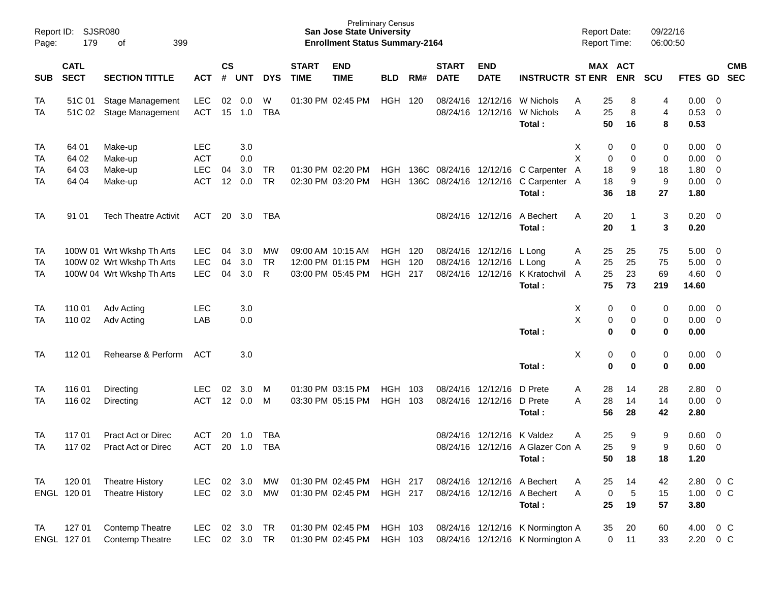| Report ID:<br>Page:         | SJSR080<br>179                   |                                                                                     |                                                      |                |                          |                          | <b>San Jose State University</b><br><b>Enrollment Status Summary-2164</b> | <b>Preliminary Census</b>                                   |                                        |                   |                             |                                               | <b>Report Date:</b><br>Report Time:                                  |             | 09/22/16<br>06:00:50                               |                          |                                      |                                                             |            |
|-----------------------------|----------------------------------|-------------------------------------------------------------------------------------|------------------------------------------------------|----------------|--------------------------|--------------------------|---------------------------------------------------------------------------|-------------------------------------------------------------|----------------------------------------|-------------------|-----------------------------|-----------------------------------------------|----------------------------------------------------------------------|-------------|----------------------------------------------------|--------------------------|--------------------------------------|-------------------------------------------------------------|------------|
| <b>SUB</b>                  | <b>CATL</b><br><b>SECT</b>       | <b>SECTION TITTLE</b>                                                               | <b>ACT</b>                                           | <b>CS</b><br># | <b>UNT</b>               | <b>DYS</b>               | <b>START</b><br><b>TIME</b>                                               | <b>END</b><br><b>TIME</b>                                   | <b>BLD</b>                             | RM#               | <b>START</b><br><b>DATE</b> | <b>END</b><br><b>DATE</b>                     | <b>INSTRUCTR ST ENR</b>                                              |             | MAX ACT<br><b>ENR</b>                              | <b>SCU</b>               | FTES GD SEC                          |                                                             | <b>CMB</b> |
| <b>TA</b><br>TA             | 51C 01<br>51C 02                 | <b>Stage Management</b><br>Stage Management                                         | LEC<br><b>ACT</b>                                    | 02<br>15       | 0.0<br>1.0               | W<br><b>TBA</b>          |                                                                           | 01:30 PM 02:45 PM                                           | <b>HGH</b>                             | 120               |                             | 08/24/16 12/12/16<br>08/24/16 12/12/16        | W Nichols<br>W Nichols<br>Total:                                     | Α<br>A      | 25<br>8<br>25<br>8<br>50<br>16                     | 4<br>$\overline{4}$<br>8 | 0.00<br>0.53<br>0.53                 | - 0<br>$\overline{0}$                                       |            |
| <b>TA</b><br>TA<br>TA<br>TA | 64 01<br>64 02<br>64 03<br>64 04 | Make-up<br>Make-up<br>Make-up<br>Make-up                                            | <b>LEC</b><br><b>ACT</b><br><b>LEC</b><br><b>ACT</b> | 04<br>12       | 3.0<br>0.0<br>3.0<br>0.0 | <b>TR</b><br><b>TR</b>   |                                                                           | 01:30 PM 02:20 PM<br>02:30 PM 03:20 PM                      | HGH<br><b>HGH</b>                      | 136C              |                             | 08/24/16 12/12/16                             | 136C 08/24/16 12/12/16 C Carpenter<br>C Carpenter A<br>Total:        | X<br>X<br>A | 0<br>0<br>0<br>0<br>18<br>9<br>18<br>9<br>36<br>18 | 0<br>0<br>18<br>9<br>27  | 0.00<br>0.00<br>1.80<br>0.00<br>1.80 | - 0<br>$\overline{0}$<br>$\overline{0}$<br>$\overline{0}$   |            |
| <b>TA</b>                   | 91 01                            | <b>Tech Theatre Activit</b>                                                         | ACT                                                  | 20             | 3.0                      | TBA                      |                                                                           |                                                             |                                        |                   |                             | 08/24/16 12/12/16                             | A Bechert<br>Total:                                                  | A           | 20<br>1<br>20<br>$\blacktriangleleft$              | 3<br>$\mathbf{3}$        | 0.20<br>0.20                         | $\overline{\mathbf{0}}$                                     |            |
| TA<br>TA<br>TA              |                                  | 100W 01 Wrt Wkshp Th Arts<br>100W 02 Wrt Wkshp Th Arts<br>100W 04 Wrt Wkshp Th Arts | <b>LEC</b><br><b>LEC</b><br><b>LEC</b>               | 04<br>04<br>04 | 3.0<br>3.0<br>3.0        | MW<br>TR<br>R            |                                                                           | 09:00 AM 10:15 AM<br>12:00 PM 01:15 PM<br>03:00 PM 05:45 PM | <b>HGH</b><br><b>HGH</b><br><b>HGH</b> | 120<br>120<br>217 |                             | 08/24/16 12/12/16<br>08/24/16 12/12/16 L Long | L Lona<br>08/24/16 12/12/16 K Kratochvil<br>Total:                   | Α<br>A<br>A | 25<br>25<br>25<br>25<br>23<br>25<br>75<br>73       | 75<br>75<br>69<br>219    | 5.00<br>5.00<br>4.60<br>14.60        | $\overline{\mathbf{0}}$<br>$\overline{0}$<br>$\overline{0}$ |            |
| TA<br>TA                    | 110 01<br>110 02                 | Adv Acting<br>Adv Acting                                                            | <b>LEC</b><br>LAB                                    |                | 3.0<br>0.0               |                          |                                                                           |                                                             |                                        |                   |                             |                                               | Total:                                                               | х<br>X      | 0<br>0<br>0<br>0<br>$\bf{0}$<br>0                  | 0<br>0<br>$\bf{0}$       | 0.00<br>0.00<br>0.00                 | $\overline{0}$<br>$\overline{0}$                            |            |
| <b>TA</b>                   | 112 01                           | Rehearse & Perform                                                                  | ACT                                                  |                | 3.0                      |                          |                                                                           |                                                             |                                        |                   |                             |                                               | Total:                                                               | X           | 0<br>0<br>$\bf{0}$<br>0                            | 0<br>$\bf{0}$            | 0.00<br>0.00                         | $\overline{0}$                                              |            |
| TA<br>TA                    | 116 01<br>116 02                 | Directing<br>Directing                                                              | LEC.<br><b>ACT</b>                                   | 02             | 3.0<br>12 0.0            | м<br>М                   |                                                                           | 01:30 PM 03:15 PM<br>03:30 PM 05:15 PM                      | <b>HGH</b><br><b>HGH</b>               | 103<br>103        |                             | 08/24/16 12/12/16<br>08/24/16 12/12/16        | D Prete<br>D Prete<br>Total:                                         | Α<br>A      | 28<br>14<br>28<br>14<br>56<br>28                   | 28<br>14<br>42           | 2.80<br>0.00<br>2.80                 | $\overline{0}$<br>$\overline{\mathbf{0}}$                   |            |
| TA<br><b>TA</b>             | 117 01<br>117 02                 | <b>Pract Act or Direc</b><br><b>Pract Act or Direc</b>                              | <b>ACT</b><br><b>ACT</b>                             | 20<br>20       | 1.0<br>1.0               | <b>TBA</b><br><b>TBA</b> |                                                                           |                                                             |                                        |                   | 08/24/16                    | 12/12/16                                      | K Valdez<br>08/24/16 12/12/16 A Glazer Con A<br>Total:               | Α           | 25<br>9<br>25<br>9<br>50<br>18                     | 9<br>9<br>18             | 0.60<br>0.60<br>1.20                 | $\overline{0}$<br>$\overline{0}$                            |            |
| <b>TA</b>                   | 120 01<br>ENGL 120 01            | <b>Theatre History</b><br><b>Theatre History</b>                                    | LEC<br><b>LEC</b>                                    |                | 02 3.0<br>02 3.0         | MW<br>MW                 |                                                                           | 01:30 PM 02:45 PM<br>01:30 PM 02:45 PM                      | <b>HGH 217</b><br><b>HGH 217</b>       |                   |                             |                                               | 08/24/16 12/12/16 A Bechert<br>08/24/16 12/12/16 A Bechert<br>Total: | A<br>A      | 25<br>14<br>$\sqrt{5}$<br>0<br>25<br>19            | 42<br>15<br>57           | 2.80<br>1.00<br>3.80                 | 0 <sup>o</sup><br>$0\,$ C                                   |            |
| <b>TA</b>                   | 127 01<br>ENGL 127 01            | Contemp Theatre<br>Contemp Theatre                                                  | LEC<br>LEC 02 3.0 TR                                 |                | 02 3.0                   | TR                       |                                                                           | 01:30 PM 02:45 PM<br>01:30 PM 02:45 PM                      | HGH 103<br>HGH 103                     |                   |                             |                                               | 08/24/16 12/12/16 K Normington A<br>08/24/16 12/12/16 K Normington A |             | 35<br>20<br>0<br>11                                | 60<br>33                 | 4.00<br>2.20 0 C                     |                                                             | $0\,C$     |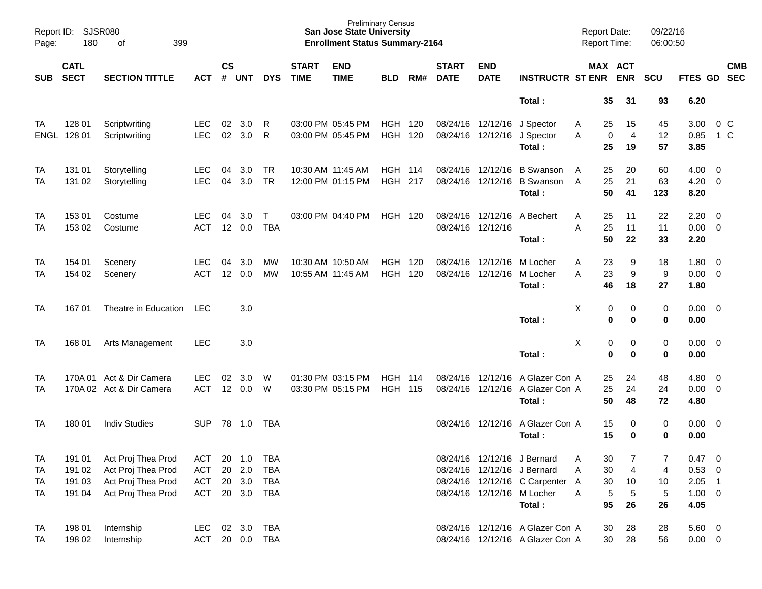| Page:      | Report ID: SJSR080<br>180  | 399<br>of                      |                          |                |            |            |                             | <b>San Jose State University</b><br><b>Enrollment Status Summary-2164</b> | <b>Preliminary Census</b> |            |                             |                                        |                                      | <b>Report Date:</b><br>Report Time: |                                | 09/22/16<br>06:00:50 |                     |                          |            |
|------------|----------------------------|--------------------------------|--------------------------|----------------|------------|------------|-----------------------------|---------------------------------------------------------------------------|---------------------------|------------|-----------------------------|----------------------------------------|--------------------------------------|-------------------------------------|--------------------------------|----------------------|---------------------|--------------------------|------------|
| <b>SUB</b> | <b>CATL</b><br><b>SECT</b> | <b>SECTION TITTLE</b>          | <b>ACT</b>               | <b>CS</b><br># | <b>UNT</b> | <b>DYS</b> | <b>START</b><br><b>TIME</b> | <b>END</b><br><b>TIME</b>                                                 | <b>BLD</b>                | RM#        | <b>START</b><br><b>DATE</b> | <b>END</b><br><b>DATE</b>              | <b>INSTRUCTR ST ENR ENR</b>          |                                     | MAX ACT                        | <b>SCU</b>           | FTES GD SEC         |                          | <b>CMB</b> |
|            |                            |                                |                          |                |            |            |                             |                                                                           |                           |            |                             |                                        | Total:                               | 35                                  | 31                             | 93                   | 6.20                |                          |            |
| ТA<br>ENGL | 128 01<br>128 01           | Scriptwriting<br>Scriptwriting | <b>LEC</b><br><b>LEC</b> | 02<br>02       | 3.0<br>3.0 | R<br>R     |                             | 03:00 PM 05:45 PM<br>03:00 PM 05:45 PM                                    | HGH<br><b>HGH</b>         | 120<br>120 |                             | 08/24/16 12/12/16<br>08/24/16 12/12/16 | J Spector<br>J Spector               | 25<br>A<br>A                        | 15<br>$\overline{4}$<br>0      | 45<br>12             | 3.00<br>0.85        | 0 <sup>C</sup><br>$1\,C$ |            |
|            |                            |                                |                          |                |            |            |                             |                                                                           |                           |            |                             |                                        | Total:                               | 25                                  | 19                             | 57                   | 3.85                |                          |            |
| TA         | 131 01                     | Storytelling                   | <b>LEC</b>               | 04             | 3.0        | TR         |                             | 10:30 AM 11:45 AM                                                         | <b>HGH 114</b>            |            |                             |                                        | 08/24/16 12/12/16 B Swanson          | 25<br>A                             | 20                             | 60                   | 4.00                | - 0                      |            |
| TA         | 131 02                     | Storytelling                   | <b>LEC</b>               | 04             | 3.0        | <b>TR</b>  |                             | 12:00 PM 01:15 PM                                                         | HGH                       | 217        |                             | 08/24/16 12/12/16                      | <b>B</b> Swanson<br>Total:           | 25<br>A<br>50                       | 21<br>41                       | 63<br>123            | 4.20<br>8.20        | $\overline{\mathbf{0}}$  |            |
| TA         | 153 01                     | Costume                        | <b>LEC</b>               | 04             | 3.0        | $\top$     |                             | 03:00 PM 04:40 PM                                                         | <b>HGH 120</b>            |            |                             | 08/24/16 12/12/16                      | A Bechert                            | 25<br>A                             | 11                             | 22                   | 2.20                | $\overline{\mathbf{0}}$  |            |
| TA         | 153 02                     | Costume                        | <b>ACT</b>               |                | 12 0.0     | <b>TBA</b> |                             |                                                                           |                           |            |                             | 08/24/16 12/12/16                      | Total:                               | 25<br>A<br>50                       | 11<br>22                       | 11<br>33             | $0.00 \t 0$<br>2.20 |                          |            |
| TA         | 154 01                     | Scenery                        | <b>LEC</b>               | 04             | 3.0        | MW         |                             | 10:30 AM 10:50 AM                                                         | <b>HGH</b>                | 120        |                             | 08/24/16 12/12/16                      | M Locher                             | 23<br>A                             | 9                              | 18                   | 1.80                | - 0                      |            |
| TA         | 154 02                     | Scenery                        | <b>ACT</b>               | 12             | 0.0        | <b>MW</b>  |                             | 10:55 AM 11:45 AM                                                         | <b>HGH</b>                | 120        |                             | 08/24/16 12/12/16                      | M Locher<br>Total:                   | 23<br>A<br>46                       | 9<br>18                        | 9<br>27              | $0.00 \t 0$<br>1.80 |                          |            |
| <b>TA</b>  | 167 01                     | Theatre in Education           | LEC.                     |                | 3.0        |            |                             |                                                                           |                           |            |                             |                                        | Total:                               | X                                   | 0<br>0<br>$\bf{0}$<br>$\bf{0}$ | 0<br>$\bf{0}$        | 0.00                | $\overline{\phantom{0}}$ |            |
|            |                            |                                |                          |                |            |            |                             |                                                                           |                           |            |                             |                                        |                                      |                                     |                                |                      | 0.00                |                          |            |
| TA         | 168 01                     | Arts Management                | <b>LEC</b>               |                | 3.0        |            |                             |                                                                           |                           |            |                             |                                        | Total:                               | X                                   | 0<br>0<br>$\bf{0}$<br>0        | 0<br>$\bf{0}$        | 0.00<br>0.00        | $\overline{\mathbf{0}}$  |            |
| TA         |                            | 170A 01 Act & Dir Camera       | LEC                      | 02             | 3.0        | W          |                             | 01:30 PM 03:15 PM                                                         | <b>HGH</b>                | - 114      |                             | 08/24/16 12/12/16                      | A Glazer Con A                       | 25                                  | 24                             | 48                   | 4.80                | $\overline{0}$           |            |
| TA         |                            | 170A 02 Act & Dir Camera       | <b>ACT</b>               |                | 12 0.0     | W          |                             | 03:30 PM 05:15 PM                                                         | <b>HGH</b>                | 115        |                             | 08/24/16 12/12/16                      | A Glazer Con A<br>Total:             | 25<br>50                            | 24<br>48                       | 24<br>72             | $0.00 \t 0$<br>4.80 |                          |            |
| TA         | 180 01                     | <b>Indiv Studies</b>           | SUP                      | 78             | 1.0        | TBA        |                             |                                                                           |                           |            |                             |                                        | 08/24/16 12/12/16 A Glazer Con A     | 15                                  | 0                              | 0                    | 0.00                | $\overline{\phantom{0}}$ |            |
|            |                            |                                |                          |                |            |            |                             |                                                                           |                           |            |                             |                                        | Total:                               | 15                                  | 0                              | 0                    | 0.00                |                          |            |
| <b>TA</b>  | 191 01                     | Act Proj Thea Prod             | ACT                      | 20             | 1.0        | <b>TBA</b> |                             |                                                                           |                           |            |                             |                                        | 08/24/16 12/12/16 J Bernard          | 30<br>Α                             |                                | $\overline{7}$       | $0.47 \ 0$          |                          |            |
| TA         | 191 02                     | Act Proj Thea Prod             | <b>ACT</b>               | 20             | 2.0        | <b>TBA</b> |                             |                                                                           |                           |            |                             |                                        | 08/24/16 12/12/16 J Bernard          | 30<br>Α                             | 4                              | 4                    | 0.53 0              |                          |            |
| TA         | 191 03                     | Act Proj Thea Prod             | <b>ACT</b>               |                | 20 3.0     | <b>TBA</b> |                             |                                                                           |                           |            |                             |                                        | 08/24/16 12/12/16 C Carpenter A      | 30                                  | 10                             | 10                   | $2.05$ 1            |                          |            |
| TA         | 191 04                     | Act Proj Thea Prod             | ACT                      |                | 20 3.0     | <b>TBA</b> |                             |                                                                           |                           |            |                             |                                        | 08/24/16 12/12/16 M Locher<br>Total: | Α<br>95                             | 5<br>5<br>26                   | $\sqrt{5}$<br>26     | $1.00 \t 0$<br>4.05 |                          |            |
| <b>TA</b>  | 198 01                     | Internship                     | LEC<br>ACT 20 0.0 TBA    |                | 02 3.0     | <b>TBA</b> |                             |                                                                           |                           |            |                             |                                        | 08/24/16 12/12/16 A Glazer Con A     | 30                                  | 28                             | 28                   | $5.60$ 0            |                          |            |
| TA         | 198 02                     | Internship                     |                          |                |            |            |                             |                                                                           |                           |            |                             |                                        | 08/24/16 12/12/16 A Glazer Con A     | 30                                  | 28                             | 56                   | $0.00 \t 0$         |                          |            |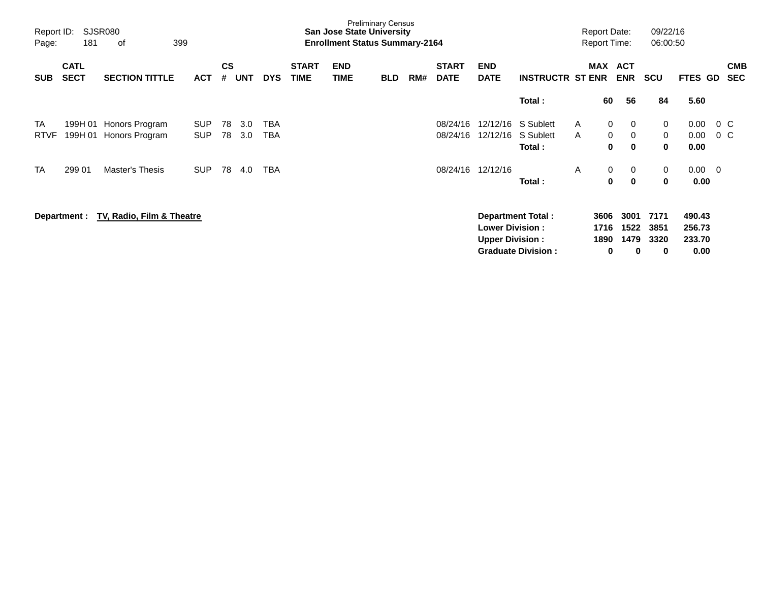| Page:       | SJSR080<br>Report ID:<br>181<br>399<br>of |                           |            |                |            |            |                             | <b>San Jose State University</b><br><b>Enrollment Status Summary-2164</b> | <b>Preliminary Census</b> |     |                             |                                                  |                           |   | <b>Report Date:</b><br><b>Report Time:</b> |                          | 09/22/16<br>06:00:50 |                  |                          |
|-------------|-------------------------------------------|---------------------------|------------|----------------|------------|------------|-----------------------------|---------------------------------------------------------------------------|---------------------------|-----|-----------------------------|--------------------------------------------------|---------------------------|---|--------------------------------------------|--------------------------|----------------------|------------------|--------------------------|
| <b>SUB</b>  | <b>CATL</b><br><b>SECT</b>                | <b>SECTION TITTLE</b>     | <b>ACT</b> | <b>CS</b><br># | <b>UNT</b> | <b>DYS</b> | <b>START</b><br><b>TIME</b> | <b>END</b><br><b>TIME</b>                                                 | <b>BLD</b>                | RM# | <b>START</b><br><b>DATE</b> | <b>END</b><br><b>DATE</b>                        | <b>INSTRUCTR ST ENR</b>   |   | <b>MAX</b>                                 | <b>ACT</b><br><b>ENR</b> | <b>SCU</b>           | <b>FTES GD</b>   | <b>CMB</b><br><b>SEC</b> |
|             |                                           |                           |            |                |            |            |                             |                                                                           |                           |     |                             |                                                  | Total:                    |   | 60                                         | 56                       | 84                   | 5.60             |                          |
| TA          | 199H 01                                   | Honors Program            | <b>SUP</b> | 78             | 3.0        | TBA        |                             |                                                                           |                           |     | 08/24/16                    |                                                  | 12/12/16 S Sublett        | A | 0                                          | 0                        | 0                    | 0.00             | $0\,$ C                  |
| <b>RTVF</b> | 199H 01                                   | Honors Program            | <b>SUP</b> | 78             | 3.0        | TBA        |                             |                                                                           |                           |     | 08/24/16                    | 12/12/16                                         | S Sublett<br>Total:       | A | $\mathbf 0$<br>$\bf{0}$                    | 0<br>$\mathbf{0}$        | 0<br>$\bf{0}$        | 0.00<br>0.00     | $0\,$ C                  |
| <b>TA</b>   | 299 01                                    | <b>Master's Thesis</b>    | <b>SUP</b> | 78             | 4.0        | <b>TBA</b> |                             |                                                                           |                           |     | 08/24/16                    | 12/12/16                                         |                           | A | 0                                          | 0                        | 0                    | $0.00 \t 0$      |                          |
|             |                                           |                           |            |                |            |            |                             |                                                                           |                           |     |                             |                                                  | Total:                    |   | 0                                          | $\mathbf 0$              | 0                    | 0.00             |                          |
|             | Department :                              | TV, Radio, Film & Theatre |            |                |            |            |                             |                                                                           |                           |     |                             |                                                  | <b>Department Total:</b>  |   | 3606                                       | 3001                     | 7171                 | 490.43           |                          |
|             |                                           |                           |            |                |            |            |                             |                                                                           |                           |     |                             | <b>Lower Division:</b><br><b>Upper Division:</b> |                           |   | 1716<br>1890                               | 1522<br>1479             | 3851<br>3320         | 256.73<br>233.70 |                          |
|             |                                           |                           |            |                |            |            |                             |                                                                           |                           |     |                             |                                                  | <b>Graduate Division:</b> |   | 0                                          | 0                        | 0                    | 0.00             |                          |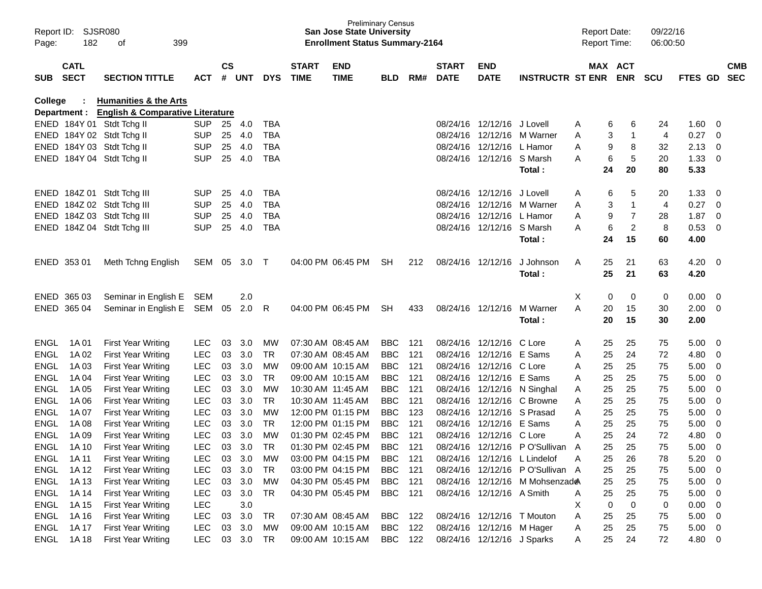| Report ID:<br>Page: | <b>SJSR080</b><br>182 | 399<br>οf                                   |            |               |            |            |                   | <b>Preliminary Census</b><br><b>San Jose State University</b><br><b>Enrollment Status Summary-2164</b> |            |     |              |                            |                                 | <b>Report Date:</b><br><b>Report Time:</b> |    |                | 09/22/16<br>06:00:50 |         |                         |            |
|---------------------|-----------------------|---------------------------------------------|------------|---------------|------------|------------|-------------------|--------------------------------------------------------------------------------------------------------|------------|-----|--------------|----------------------------|---------------------------------|--------------------------------------------|----|----------------|----------------------|---------|-------------------------|------------|
|                     | <b>CATL</b>           |                                             |            | $\mathsf{cs}$ |            |            | <b>START</b>      | <b>END</b>                                                                                             |            |     | <b>START</b> | <b>END</b>                 |                                 |                                            |    | MAX ACT        |                      |         |                         | <b>CMB</b> |
| <b>SUB</b>          | <b>SECT</b>           | <b>SECTION TITTLE</b>                       | ACT        | #             | <b>UNT</b> | <b>DYS</b> | <b>TIME</b>       | <b>TIME</b>                                                                                            | <b>BLD</b> | RM# | <b>DATE</b>  | <b>DATE</b>                | <b>INSTRUCTR ST ENR</b>         |                                            |    | <b>ENR</b>     | <b>SCU</b>           | FTES GD |                         | <b>SEC</b> |
| College             |                       | <b>Humanities &amp; the Arts</b>            |            |               |            |            |                   |                                                                                                        |            |     |              |                            |                                 |                                            |    |                |                      |         |                         |            |
|                     | Department :          | <b>English &amp; Comparative Literature</b> |            |               |            |            |                   |                                                                                                        |            |     |              |                            |                                 |                                            |    |                |                      |         |                         |            |
|                     |                       | ENED 184Y 01 Stdt Tchg II                   | SUP.       | 25            | 4.0        | TBA        |                   |                                                                                                        |            |     | 08/24/16     | 12/12/16                   | J Lovell                        | A                                          | 6  | 6              | 24                   | 1.60    | - 0                     |            |
| <b>ENED</b>         |                       | 184Y 02 Stdt Tchg II                        | <b>SUP</b> | 25            | 4.0        | <b>TBA</b> |                   |                                                                                                        |            |     | 08/24/16     |                            | 12/12/16 M Warner               | A                                          | 3  | -1             | 4                    | 0.27    | $\overline{0}$          |            |
| ENED                |                       | 184Y 03 Stdt Tchg II                        | <b>SUP</b> | 25            | 4.0        | <b>TBA</b> |                   |                                                                                                        |            |     | 08/24/16     | 12/12/16                   | L Hamor                         | A                                          | 9  | 8              | 32                   | 2.13    | $\overline{0}$          |            |
| ENED                |                       | 184Y 04 Stdt Tchg II                        | <b>SUP</b> | 25            | 4.0        | <b>TBA</b> |                   |                                                                                                        |            |     |              | 08/24/16 12/12/16 S Marsh  |                                 | A                                          | 6  | 5              | 20                   | 1.33    | - 0                     |            |
|                     |                       |                                             |            |               |            |            |                   |                                                                                                        |            |     |              |                            | Total:                          |                                            | 24 | 20             | 80                   | 5.33    |                         |            |
| <b>ENED</b>         |                       | 184Z 01 Stdt Tchg III                       | <b>SUP</b> | 25            | 4.0        | TBA        |                   |                                                                                                        |            |     | 08/24/16     | 12/12/16                   | J Lovell                        | A                                          | 6  | 5              | 20                   | 1.33    | -0                      |            |
| <b>ENED</b>         |                       | 184Z 02 Stdt Tchg III                       | <b>SUP</b> | 25            | 4.0        | <b>TBA</b> |                   |                                                                                                        |            |     | 08/24/16     |                            | 12/12/16 M Warner               | A                                          | 3  | -1             | 4                    | 0.27    | $\overline{0}$          |            |
| ENED                |                       | 184Z 03 Stdt Tchg III                       | <b>SUP</b> | 25            | 4.0        | <b>TBA</b> |                   |                                                                                                        |            |     | 08/24/16     | 12/12/16                   | L Hamor                         | A                                          | 9  | 7              | 28                   | 1.87    | $\overline{0}$          |            |
| ENED                |                       | 184Z 04 Stdt Tchg III                       | <b>SUP</b> | 25            | 4.0        | <b>TBA</b> |                   |                                                                                                        |            |     |              | 08/24/16 12/12/16 S Marsh  |                                 | A                                          | 6  | $\overline{2}$ | 8                    | 0.53    | - 0                     |            |
|                     |                       |                                             |            |               |            |            |                   |                                                                                                        |            |     |              |                            | Total:                          |                                            | 24 | 15             | 60                   | 4.00    |                         |            |
|                     | ENED 353 01           | Meth Tchng English                          | SEM        | 05            | 3.0        | $\top$     |                   | 04:00 PM 06:45 PM                                                                                      | <b>SH</b>  | 212 |              | 08/24/16 12/12/16          | J Johnson                       | A                                          | 25 | 21             | 63                   | 4.20    | - 0                     |            |
|                     |                       |                                             |            |               |            |            |                   |                                                                                                        |            |     |              |                            | Total :                         |                                            | 25 | 21             | 63                   | 4.20    |                         |            |
|                     |                       |                                             |            |               |            |            |                   |                                                                                                        |            |     |              |                            |                                 |                                            |    |                |                      |         |                         |            |
| ENED                | 365 03                | Seminar in English E                        | <b>SEM</b> |               | 2.0        |            |                   |                                                                                                        |            |     |              |                            |                                 | X                                          | 0  | 0              | 0                    | 0.00    | 0                       |            |
|                     | ENED 365 04           | Seminar in English E                        | SEM        | 05            | 2.0        | R          |                   | 04:00 PM 06:45 PM                                                                                      | <b>SH</b>  | 433 |              | 08/24/16 12/12/16          | M Warner                        | A                                          | 20 | 15             | 30                   | 2.00    | - 0                     |            |
|                     |                       |                                             |            |               |            |            |                   |                                                                                                        |            |     |              |                            | Total :                         |                                            | 20 | 15             | 30                   | 2.00    |                         |            |
| <b>ENGL</b>         | 1A 01                 | <b>First Year Writing</b>                   | <b>LEC</b> | 03            | 3.0        | МW         | 07:30 AM 08:45 AM |                                                                                                        | <b>BBC</b> | 121 | 08/24/16     | 12/12/16                   | C Lore                          | A                                          | 25 | 25             | 75                   | 5.00    | - 0                     |            |
| <b>ENGL</b>         | 1A 02                 | <b>First Year Writing</b>                   | <b>LEC</b> | 03            | 3.0        | <b>TR</b>  |                   | 07:30 AM 08:45 AM                                                                                      | <b>BBC</b> | 121 | 08/24/16     | 12/12/16                   | E Sams                          | A                                          | 25 | 24             | 72                   | 4.80    | - 0                     |            |
| <b>ENGL</b>         | 1A03                  | <b>First Year Writing</b>                   | <b>LEC</b> | 03            | 3.0        | <b>MW</b>  |                   | 09:00 AM 10:15 AM                                                                                      | <b>BBC</b> | 121 | 08/24/16     | 12/12/16                   | C Lore                          | A                                          | 25 | 25             | 75                   | 5.00    | 0                       |            |
| <b>ENGL</b>         | 1A 04                 | <b>First Year Writing</b>                   | <b>LEC</b> | 03            | 3.0        | <b>TR</b>  |                   | 09:00 AM 10:15 AM                                                                                      | <b>BBC</b> | 121 | 08/24/16     | 12/12/16 E Sams            |                                 | A                                          | 25 | 25             | 75                   | 5.00    | 0                       |            |
| <b>ENGL</b>         | 1A 05                 | <b>First Year Writing</b>                   | <b>LEC</b> | 03            | 3.0        | МW         |                   | 10:30 AM 11:45 AM                                                                                      | <b>BBC</b> | 121 | 08/24/16     |                            | 12/12/16 N Singhal              | A                                          | 25 | 25             | 75                   | 5.00    | 0                       |            |
| <b>ENGL</b>         | 1A 06                 | <b>First Year Writing</b>                   | <b>LEC</b> | 03            | 3.0        | <b>TR</b>  |                   | 10:30 AM 11:45 AM                                                                                      | <b>BBC</b> | 121 | 08/24/16     |                            | 12/12/16 C Browne               | A                                          | 25 | 25             | 75                   | 5.00    | 0                       |            |
| <b>ENGL</b>         | 1A 07                 | <b>First Year Writing</b>                   | <b>LEC</b> | 03            | 3.0        | <b>MW</b>  |                   | 12:00 PM 01:15 PM                                                                                      | <b>BBC</b> | 123 | 08/24/16     | 12/12/16 S Prasad          |                                 | A                                          | 25 | 25             | 75                   | 5.00    | 0                       |            |
| <b>ENGL</b>         | 1A 08                 | <b>First Year Writing</b>                   | <b>LEC</b> | 03            | 3.0        | <b>TR</b>  |                   | 12:00 PM 01:15 PM                                                                                      | <b>BBC</b> | 121 | 08/24/16     | 12/12/16                   | E Sams                          | A                                          | 25 | 25             | 75                   | 5.00    | 0                       |            |
| <b>ENGL</b>         | 1A 09                 | <b>First Year Writing</b>                   | <b>LEC</b> | 03            | 3.0        | <b>MW</b>  |                   | 01:30 PM 02:45 PM                                                                                      | <b>BBC</b> | 121 |              | 08/24/16 12/12/16 C Lore   |                                 | A                                          | 25 | 24             | 72                   | 4.80    | 0                       |            |
| ENGL                | 1A 10                 | <b>First Year Writing</b>                   | <b>LEC</b> |               | 03 3.0     | <b>TR</b>  |                   | 01:30 PM 02:45 PM                                                                                      | <b>BBC</b> | 121 |              |                            | 08/24/16 12/12/16 PO'Sullivan A |                                            | 25 | 25             | 75                   | 5.00    | $\mathbf 0$             |            |
| ENGL                | 1A 11                 | <b>First Year Writing</b>                   | <b>LEC</b> |               | 03 3.0     | МW         |                   | 03:00 PM 04:15 PM                                                                                      | BBC        | 121 |              |                            | 08/24/16 12/12/16 L Lindelof    | A                                          | 25 | 26             | 78                   | 5.20    | $\overline{\mathbf{0}}$ |            |
| <b>ENGL</b>         | 1A 12                 | <b>First Year Writing</b>                   | <b>LEC</b> | 03            | 3.0        | TR         |                   | 03:00 PM 04:15 PM                                                                                      | <b>BBC</b> | 121 |              |                            | 08/24/16 12/12/16 PO'Sullivan A |                                            | 25 | 25             | 75                   | 5.00    | $\overline{\mathbf{0}}$ |            |
| <b>ENGL</b>         | 1A 13                 | <b>First Year Writing</b>                   | LEC        | 03            | 3.0        | МW         |                   | 04:30 PM 05:45 PM                                                                                      | BBC        | 121 |              |                            | 08/24/16 12/12/16 M Mohsenzade  |                                            | 25 | 25             | 75                   | 5.00    | $\overline{\mathbf{0}}$ |            |
| <b>ENGL</b>         | 1A 14                 | <b>First Year Writing</b>                   | <b>LEC</b> | 03            | 3.0        | <b>TR</b>  |                   | 04:30 PM 05:45 PM                                                                                      | <b>BBC</b> | 121 |              | 08/24/16 12/12/16 A Smith  |                                 | A                                          | 25 | 25             | 75                   | 5.00    | $\overline{\mathbf{0}}$ |            |
| <b>ENGL</b>         | 1A 15                 | <b>First Year Writing</b>                   | <b>LEC</b> |               | 3.0        |            |                   |                                                                                                        |            |     |              |                            |                                 | X                                          | 0  | 0              | 0                    | 0.00    | $\overline{\mathbf{0}}$ |            |
| ENGL                | 1A 16                 | <b>First Year Writing</b>                   | <b>LEC</b> | 03            | 3.0        | TR         |                   | 07:30 AM 08:45 AM                                                                                      | BBC        | 122 |              | 08/24/16 12/12/16 T Mouton |                                 | A                                          | 25 | 25             | 75                   | 5.00    | $\overline{\mathbf{0}}$ |            |
| <b>ENGL</b>         | 1A 17                 | <b>First Year Writing</b>                   | <b>LEC</b> | 03            | 3.0        | МW         |                   | 09:00 AM 10:15 AM                                                                                      | <b>BBC</b> | 122 |              | 08/24/16 12/12/16 M Hager  |                                 | A                                          | 25 | 25             | 75                   | 5.00    | $\overline{\mathbf{0}}$ |            |
| <b>ENGL</b>         | 1A 18                 | <b>First Year Writing</b>                   | <b>LEC</b> |               | 03 3.0     | TR         |                   | 09:00 AM 10:15 AM                                                                                      | BBC 122    |     |              | 08/24/16 12/12/16 J Sparks |                                 | A                                          | 25 | 24             | 72                   | 4.80 0  |                         |            |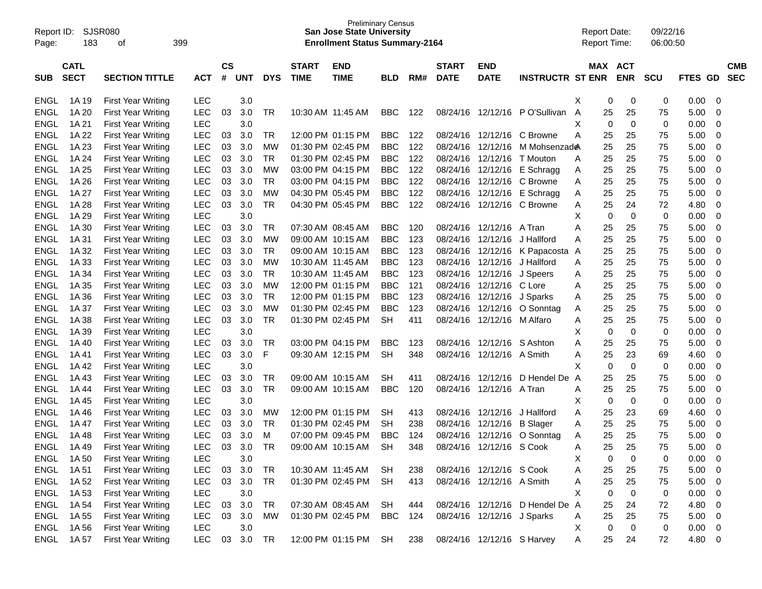| Report ID:<br>Page: | 183         | SJSR080<br>399<br>οf      |            |               |            |            |                   | <b>Preliminary Census</b><br><b>San Jose State University</b><br><b>Enrollment Status Summary-2164</b> |            |     |              |                            |                                 | <b>Report Date:</b><br><b>Report Time:</b> |            |                  | 09/22/16<br>06:00:50 |             |                |            |
|---------------------|-------------|---------------------------|------------|---------------|------------|------------|-------------------|--------------------------------------------------------------------------------------------------------|------------|-----|--------------|----------------------------|---------------------------------|--------------------------------------------|------------|------------------|----------------------|-------------|----------------|------------|
|                     | <b>CATL</b> |                           |            | $\mathsf{cs}$ |            |            | <b>START</b>      | <b>END</b>                                                                                             |            |     | <b>START</b> | <b>END</b>                 |                                 |                                            | <b>MAX</b> | <b>ACT</b>       |                      |             |                | <b>CMB</b> |
| <b>SUB</b>          | <b>SECT</b> | <b>SECTION TITTLE</b>     | <b>ACT</b> | #             | <b>UNT</b> | <b>DYS</b> | <b>TIME</b>       | <b>TIME</b>                                                                                            | <b>BLD</b> | RM# | <b>DATE</b>  | <b>DATE</b>                | <b>INSTRUCTR ST ENR</b>         |                                            |            | <b>ENR</b>       | <b>SCU</b>           | <b>FTES</b> | GD             | <b>SEC</b> |
| <b>ENGL</b>         | 1A 19       | <b>First Year Writing</b> | <b>LEC</b> |               | 3.0        |            |                   |                                                                                                        |            |     |              |                            |                                 | X                                          | 0          | 0                | 0                    | 0.00        | 0              |            |
| <b>ENGL</b>         | 1A 20       | <b>First Year Writing</b> | <b>LEC</b> | 03            | 3.0        | TR         |                   | 10:30 AM 11:45 AM                                                                                      | <b>BBC</b> | 122 | 08/24/16     | 12/12/16                   | P O'Sullivan                    | A                                          | 25         | 25               | 75                   | 5.00        | 0              |            |
| <b>ENGL</b>         | 1A 21       | <b>First Year Writing</b> | <b>LEC</b> |               | 3.0        |            |                   |                                                                                                        |            |     |              |                            |                                 | X                                          | 0          | $\mathbf 0$      | 0                    | 0.00        | $\mathbf 0$    |            |
| <b>ENGL</b>         | 1A 22       | <b>First Year Writing</b> | <b>LEC</b> | 03            | 3.0        | <b>TR</b>  |                   | 12:00 PM 01:15 PM                                                                                      | <b>BBC</b> | 122 | 08/24/16     | 12/12/16                   | C Browne                        | А                                          | 25         | 25               | 75                   | 5.00        | $\mathbf 0$    |            |
| <b>ENGL</b>         | 1A 23       | <b>First Year Writing</b> | <b>LEC</b> | 03            | 3.0        | МW         |                   | 01:30 PM 02:45 PM                                                                                      | <b>BBC</b> | 122 | 08/24/16     | 12/12/16                   | M Mohsenzad <b>e</b>            |                                            | 25         | 25               | 75                   | 5.00        | 0              |            |
| <b>ENGL</b>         | 1A 24       | <b>First Year Writing</b> | LEC        | 03            | 3.0        | <b>TR</b>  |                   | 01:30 PM 02:45 PM                                                                                      | <b>BBC</b> | 122 | 08/24/16     | 12/12/16                   | T Mouton                        | A                                          | 25         | 25               | 75                   | 5.00        | 0              |            |
| <b>ENGL</b>         | 1A 25       | <b>First Year Writing</b> | <b>LEC</b> | 03            | 3.0        | <b>MW</b>  |                   | 03:00 PM 04:15 PM                                                                                      | <b>BBC</b> | 122 | 08/24/16     | 12/12/16                   | E Schragg                       | A                                          | 25         | 25               | 75                   | 5.00        | 0              |            |
| <b>ENGL</b>         | 1A 26       | <b>First Year Writing</b> | <b>LEC</b> | 03            | 3.0        | <b>TR</b>  |                   | 03:00 PM 04:15 PM                                                                                      | <b>BBC</b> | 122 | 08/24/16     | 12/12/16                   | C Browne                        | Α                                          | 25         | 25               | 75                   | 5.00        | 0              |            |
| <b>ENGL</b>         | 1A 27       | <b>First Year Writing</b> | <b>LEC</b> | 03            | 3.0        | <b>MW</b>  |                   | 04:30 PM 05:45 PM                                                                                      | <b>BBC</b> | 122 | 08/24/16     | 12/12/16                   | E Schragg                       | A                                          | 25         | 25               | 75                   | 5.00        | 0              |            |
| <b>ENGL</b>         | 1A 28       | <b>First Year Writing</b> | <b>LEC</b> | 03            | 3.0        | <b>TR</b>  |                   | 04:30 PM 05:45 PM                                                                                      | <b>BBC</b> | 122 | 08/24/16     | 12/12/16                   | C Browne                        | A                                          | 25         | 24               | 72                   | 4.80        | 0              |            |
| <b>ENGL</b>         | 1A 29       | <b>First Year Writing</b> | <b>LEC</b> |               | 3.0        |            |                   |                                                                                                        |            |     |              |                            |                                 | X                                          | 0          | $\mathbf 0$      | 0                    | 0.00        | 0              |            |
| <b>ENGL</b>         | 1A 30       | <b>First Year Writing</b> | <b>LEC</b> | 03            | 3.0        | <b>TR</b>  |                   | 07:30 AM 08:45 AM                                                                                      | <b>BBC</b> | 120 | 08/24/16     | 12/12/16                   | A Tran                          | Α                                          | 25         | 25               | 75                   | 5.00        | 0              |            |
| <b>ENGL</b>         | 1A 31       | <b>First Year Writing</b> | <b>LEC</b> | 03            | 3.0        | МW         | 09:00 AM 10:15 AM |                                                                                                        | <b>BBC</b> | 123 | 08/24/16     | 12/12/16                   | J Hallford                      | Α                                          | 25         | 25               | 75                   | 5.00        | 0              |            |
| <b>ENGL</b>         | 1A 32       | <b>First Year Writing</b> | <b>LEC</b> | 03            | 3.0        | <b>TR</b>  |                   | 09:00 AM 10:15 AM                                                                                      | <b>BBC</b> | 123 | 08/24/16     | 12/12/16                   | K Papacosta A                   |                                            | 25         | 25               | 75                   | 5.00        | 0              |            |
| <b>ENGL</b>         | 1A 33       | <b>First Year Writing</b> | <b>LEC</b> | 03            | 3.0        | <b>MW</b>  |                   | 10:30 AM 11:45 AM                                                                                      | <b>BBC</b> | 123 | 08/24/16     | 12/12/16                   | J Hallford                      | A                                          | 25         | 25               | 75                   | 5.00        | 0              |            |
| <b>ENGL</b>         | 1A 34       | <b>First Year Writing</b> | <b>LEC</b> | 03            | 3.0        | <b>TR</b>  |                   | 10:30 AM 11:45 AM                                                                                      | <b>BBC</b> | 123 | 08/24/16     | 12/12/16                   | J Speers                        | Α                                          | 25         | 25               | 75                   | 5.00        | 0              |            |
| <b>ENGL</b>         | 1A 35       | <b>First Year Writing</b> | <b>LEC</b> | 03            | 3.0        | МW         |                   | 12:00 PM 01:15 PM                                                                                      | <b>BBC</b> | 121 | 08/24/16     | 12/12/16                   | C Lore                          | Α                                          | 25         | 25               | 75                   | 5.00        | 0              |            |
| <b>ENGL</b>         | 1A 36       | <b>First Year Writing</b> | <b>LEC</b> | 03            | 3.0        | <b>TR</b>  |                   | 12:00 PM 01:15 PM                                                                                      | <b>BBC</b> | 123 | 08/24/16     | 12/12/16                   | J Sparks                        | Α                                          | 25         | 25               | 75                   | 5.00        | 0              |            |
| <b>ENGL</b>         | 1A 37       | <b>First Year Writing</b> | <b>LEC</b> | 03            | 3.0        | <b>MW</b>  |                   | 01:30 PM 02:45 PM                                                                                      | <b>BBC</b> | 123 | 08/24/16     | 12/12/16                   | O Sonntag                       | Α                                          | 25         | 25               | 75                   | 5.00        | 0              |            |
| <b>ENGL</b>         | 1A 38       | <b>First Year Writing</b> | <b>LEC</b> | 03            | 3.0        | <b>TR</b>  |                   | 01:30 PM 02:45 PM                                                                                      | <b>SH</b>  | 411 | 08/24/16     | 12/12/16                   | M Alfaro                        | Α                                          | 25         | 25               | 75                   | 5.00        | 0              |            |
| <b>ENGL</b>         | 1A 39       | <b>First Year Writing</b> | <b>LEC</b> |               | 3.0        |            |                   |                                                                                                        |            |     |              |                            |                                 | X                                          | 0          | $\mathbf 0$      | 0                    | 0.00        | 0              |            |
| <b>ENGL</b>         | 1A 40       | <b>First Year Writing</b> | <b>LEC</b> | 03            | 3.0        | TR         |                   | 03:00 PM 04:15 PM                                                                                      | <b>BBC</b> | 123 | 08/24/16     | 12/12/16                   | S Ashton                        | Α                                          | 25         | 25               | 75                   | 5.00        | 0              |            |
| <b>ENGL</b>         | 1A 41       | <b>First Year Writing</b> | <b>LEC</b> | 03            | 3.0        | F          |                   | 09:30 AM 12:15 PM                                                                                      | <b>SH</b>  | 348 | 08/24/16     | 12/12/16                   | A Smith                         | Α                                          | 25         | 23               | 69                   | 4.60        | 0              |            |
| <b>ENGL</b>         | 1A42        | <b>First Year Writing</b> | <b>LEC</b> |               | 3.0        |            |                   |                                                                                                        |            |     |              |                            |                                 | X                                          | 0          | $\mathbf 0$      | 0                    | 0.00        | 0              |            |
| <b>ENGL</b>         | 1A43        | <b>First Year Writing</b> | <b>LEC</b> | 03            | 3.0        | TR         |                   | 09:00 AM 10:15 AM                                                                                      | <b>SH</b>  | 411 | 08/24/16     | 12/12/16                   | D Hendel De                     | A                                          | 25         | 25               | 75                   | 5.00        | 0              |            |
| <b>ENGL</b>         | 1A 44       | <b>First Year Writing</b> | <b>LEC</b> | 03            | 3.0        | <b>TR</b>  |                   | 09:00 AM 10:15 AM                                                                                      | <b>BBC</b> | 120 | 08/24/16     | 12/12/16                   | A Tran                          | Α                                          | 25         | 25               | 75                   | 5.00        | 0              |            |
| <b>ENGL</b>         | 1A 45       | <b>First Year Writing</b> | <b>LEC</b> |               | 3.0        |            |                   |                                                                                                        |            |     |              |                            |                                 | X                                          | 0          | $\mathbf 0$      | 0                    | 0.00        | 0              |            |
| <b>ENGL</b>         | 1A46        | <b>First Year Writing</b> | <b>LEC</b> | 03            | 3.0        | МW         |                   | 12:00 PM 01:15 PM                                                                                      | <b>SH</b>  | 413 | 08/24/16     | 12/12/16                   | J Hallford                      | Α                                          | 25         | 23               | 69                   | 4.60        | 0              |            |
| <b>ENGL</b>         | 1A 47       | <b>First Year Writing</b> | <b>LEC</b> | 03            | 3.0        | <b>TR</b>  |                   | 01:30 PM 02:45 PM                                                                                      | <b>SH</b>  | 238 | 08/24/16     | 12/12/16                   | <b>B</b> Slager                 | A                                          | 25         | 25               | 75                   | 5.00        | 0              |            |
| <b>ENGL</b>         | 1A48        | <b>First Year Writing</b> | <b>LEC</b> | 03            | 3.0        | M          |                   | 07:00 PM 09:45 PM                                                                                      | <b>BBC</b> | 124 | 08/24/16     | 12/12/16                   | O Sonntag                       | A                                          | 25         | 25               | 75                   | 5.00        | 0              |            |
| ENGL                | 1A 49       | <b>First Year Writing</b> | LEC        |               | 03 3.0     | <b>TR</b>  |                   | 09:00 AM 10:15 AM                                                                                      | SH         | 348 |              | 08/24/16 12/12/16 S Cook   |                                 | A                                          | 25         | 25               | 75                   | 5.00        | $\mathbf 0$    |            |
| ENGL                | 1A 50       | <b>First Year Writing</b> | <b>LEC</b> |               | 3.0        |            |                   |                                                                                                        |            |     |              |                            |                                 | X                                          | 0          | $\boldsymbol{0}$ | 0                    | 0.00        | 0              |            |
| <b>ENGL</b>         | 1A 51       | First Year Writing        | <b>LEC</b> | 03            | 3.0        | TR         |                   | 10:30 AM 11:45 AM SH                                                                                   |            | 238 |              | 08/24/16 12/12/16 S Cook   |                                 | A                                          | 25         | 25               | 75                   | 5.00        | 0              |            |
| ENGL                | 1A 52       | <b>First Year Writing</b> | <b>LEC</b> | 03            | 3.0        | TR         |                   | 01:30 PM 02:45 PM SH                                                                                   |            | 413 |              | 08/24/16 12/12/16 A Smith  |                                 | Α                                          | 25         | 25               | 75                   | 5.00        | $\mathbf 0$    |            |
| ENGL                | 1A 53       | First Year Writing        | <b>LEC</b> |               | 3.0        |            |                   |                                                                                                        |            |     |              |                            |                                 | X                                          | 0          | $\mathbf 0$      | 0                    | 0.00        | 0              |            |
| ENGL                | 1A 54       | First Year Writing        | <b>LEC</b> | 03            | 3.0        | <b>TR</b>  |                   | 07:30 AM 08:45 AM                                                                                      | SH         | 444 |              |                            | 08/24/16 12/12/16 D Hendel De A |                                            | 25         | 24               | 72                   | 4.80        | 0              |            |
| ENGL                | 1A 55       | <b>First Year Writing</b> | <b>LEC</b> | 03            | 3.0        | MW         |                   | 01:30 PM 02:45 PM                                                                                      | BBC        | 124 |              | 08/24/16 12/12/16 J Sparks |                                 | Α                                          | 25         | 25               | 75                   | 5.00        | $\overline{0}$ |            |
| ENGL                | 1A 56       | <b>First Year Writing</b> | <b>LEC</b> |               | 3.0        |            |                   |                                                                                                        |            |     |              |                            |                                 | X                                          | 0          | $\overline{0}$   | 0                    | 0.00        |                |            |
| ENGL                |             |                           | <b>LEC</b> |               | 03 3.0     |            |                   | 12:00 PM 01:15 PM SH                                                                                   |            |     |              |                            |                                 |                                            | 25         |                  | 72                   |             | $\overline{0}$ |            |
|                     | 1A 57       | <b>First Year Writing</b> |            |               |            | TR         |                   |                                                                                                        |            | 238 |              | 08/24/16 12/12/16 S Harvey |                                 | A                                          |            | 24               |                      | 4.80 0      |                |            |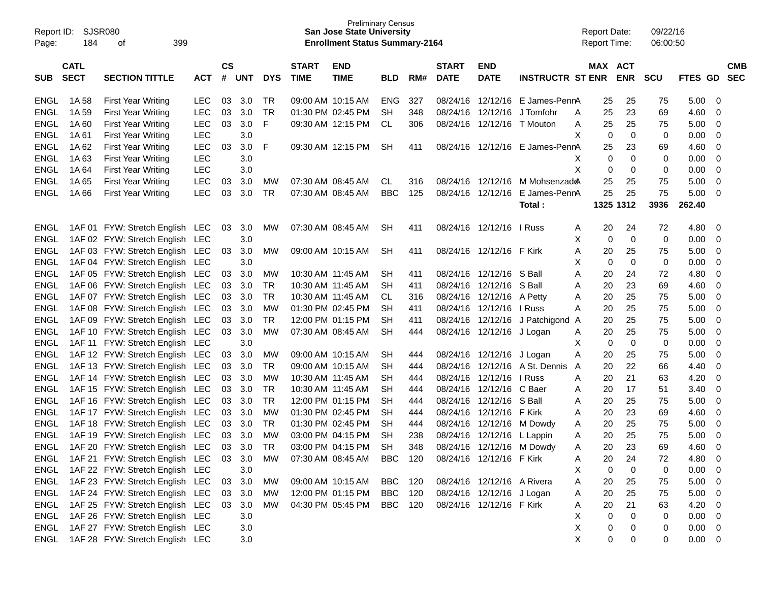| Report ID:<br>Page: | <b>SJSR080</b><br>184                              | 399<br>οf                              |            |           |            |            |                   | <b>Preliminary Census</b><br><b>San Jose State University</b><br><b>Enrollment Status Summary-2164</b> |            |     |              |                            |                         | <b>Report Date:</b><br><b>Report Time:</b> |           |            | 09/22/16<br>06:00:50 |                   |                |            |
|---------------------|----------------------------------------------------|----------------------------------------|------------|-----------|------------|------------|-------------------|--------------------------------------------------------------------------------------------------------|------------|-----|--------------|----------------------------|-------------------------|--------------------------------------------|-----------|------------|----------------------|-------------------|----------------|------------|
|                     | <b>CATL</b>                                        |                                        |            | <b>CS</b> |            |            | <b>START</b>      | <b>END</b>                                                                                             |            |     | <b>START</b> | <b>END</b>                 |                         |                                            | MAX ACT   |            |                      |                   |                | <b>CMB</b> |
| <b>SUB</b>          | <b>SECT</b><br><b>SECTION TITTLE</b><br><b>ACT</b> |                                        |            | #         | <b>UNT</b> | <b>DYS</b> | <b>TIME</b>       | <b>TIME</b>                                                                                            | <b>BLD</b> | RM# | <b>DATE</b>  | <b>DATE</b>                | <b>INSTRUCTR ST ENR</b> |                                            |           | <b>ENR</b> | <b>SCU</b>           | <b>FTES</b><br>GD |                | <b>SEC</b> |
| ENGL                | 1A 58                                              | <b>First Year Writing</b>              | LEC        | 03        | 3.0        | TR         | 09:00 AM 10:15 AM |                                                                                                        | <b>ENG</b> | 327 | 08/24/16     | 12/12/16                   | E James-PennA           |                                            | 25        | 25         | 75                   | 5.00              | 0              |            |
| <b>ENGL</b>         | 1A 59                                              | First Year Writing                     | <b>LEC</b> | 03        | 3.0        | TR         | 01:30 PM 02:45 PM |                                                                                                        | <b>SH</b>  | 348 | 08/24/16     | 12/12/16                   | J Tomfohr               | A                                          | 25        | 23         | 69                   | 4.60              | 0              |            |
| <b>ENGL</b>         | 1A 60                                              | <b>First Year Writing</b>              | <b>LEC</b> | 03        | 3.0        | F          |                   | 09:30 AM 12:15 PM                                                                                      | CL         | 306 | 08/24/16     | 12/12/16                   | T Mouton                | A                                          | 25        | 25         | 75                   | 5.00              | 0              |            |
| <b>ENGL</b>         | 1A 61                                              | <b>First Year Writing</b>              | <b>LEC</b> |           | 3.0        |            |                   |                                                                                                        |            |     |              |                            |                         | X                                          | 0         | 0          | 0                    | 0.00              | 0              |            |
| <b>ENGL</b>         | 1A 62                                              | First Year Writing                     | <b>LEC</b> | 03        | 3.0        | F          |                   | 09:30 AM 12:15 PM                                                                                      | <b>SH</b>  | 411 | 08/24/16     | 12/12/16                   | E James-PennA           |                                            | 25        | 23         | 69                   | 4.60              | 0              |            |
| <b>ENGL</b>         | 1A63                                               | <b>First Year Writing</b>              | <b>LEC</b> |           | 3.0        |            |                   |                                                                                                        |            |     |              |                            |                         | х                                          | 0         | 0          | 0                    | 0.00              | 0              |            |
| <b>ENGL</b>         | 1A 64                                              | <b>First Year Writing</b>              | <b>LEC</b> |           | 3.0        |            |                   |                                                                                                        |            |     |              |                            |                         | X                                          | 0         | 0          | 0                    | 0.00              | 0              |            |
| <b>ENGL</b>         | 1A 65                                              | <b>First Year Writing</b>              | <b>LEC</b> | 03        | 3.0        | <b>MW</b>  | 07:30 AM 08:45 AM |                                                                                                        | CL.        | 316 | 08/24/16     | 12/12/16                   | M Mohsenzade            |                                            | 25        | 25         | 75                   | 5.00              | 0              |            |
| <b>ENGL</b>         | 1A 66                                              | <b>First Year Writing</b>              | <b>LEC</b> | 03        | 3.0        | TR         | 07:30 AM 08:45 AM |                                                                                                        | <b>BBC</b> | 125 | 08/24/16     | 12/12/16                   | E James-PennA           |                                            | 25        | 25         | 75                   | 5.00              | 0              |            |
|                     |                                                    |                                        |            |           |            |            |                   |                                                                                                        |            |     |              |                            | Total:                  |                                            | 1325 1312 |            | 3936                 | 262.40            |                |            |
| <b>ENGL</b>         |                                                    | 1AF 01 FYW: Stretch English            | LEC        | 03        | 3.0        | MW         | 07:30 AM 08:45 AM |                                                                                                        | <b>SH</b>  | 411 |              | 08/24/16 12/12/16          | I Russ                  | A                                          | 20        | 24         | 72                   | 4.80              | 0              |            |
| <b>ENGL</b>         |                                                    | 1AF 02 FYW: Stretch English            | LEC        |           | 3.0        |            |                   |                                                                                                        |            |     |              |                            |                         | х                                          | 0         | 0          | 0                    | 0.00              | 0              |            |
| <b>ENGL</b>         |                                                    | 1AF 03 FYW: Stretch English            | <b>LEC</b> | 03        | 3.0        | <b>MW</b>  | 09:00 AM 10:15 AM |                                                                                                        | <b>SH</b>  | 411 |              | 08/24/16 12/12/16 F Kirk   |                         | Α                                          | 20        | 25         | 75                   | 5.00              | 0              |            |
| <b>ENGL</b>         |                                                    | 1AF 04 FYW: Stretch English            | LEC        |           | 3.0        |            |                   |                                                                                                        |            |     |              |                            |                         | х                                          | 0         | 0          | 0                    | 0.00              | 0              |            |
| <b>ENGL</b>         |                                                    | 1AF 05 FYW: Stretch English            | <b>LEC</b> | 03        | 3.0        | МW         | 10:30 AM 11:45 AM |                                                                                                        | <b>SH</b>  | 411 | 08/24/16     | 12/12/16                   | S Ball                  | A                                          | 20        | 24         | 72                   | 4.80              | 0              |            |
| <b>ENGL</b>         |                                                    | 1AF 06 FYW: Stretch English            | <b>LEC</b> | 03        | 3.0        | TR         | 10:30 AM 11:45 AM |                                                                                                        | <b>SH</b>  | 411 | 08/24/16     | 12/12/16                   | S Ball                  | Α                                          | 20        | 23         | 69                   | 4.60              | 0              |            |
| <b>ENGL</b>         |                                                    | 1AF 07 FYW: Stretch English            | <b>LEC</b> | 03        | 3.0        | <b>TR</b>  | 10:30 AM 11:45 AM |                                                                                                        | CL.        | 316 | 08/24/16     | 12/12/16                   | A Petty                 | Α                                          | 20        | 25         | 75                   | 5.00              | 0              |            |
| <b>ENGL</b>         |                                                    | 1AF 08 FYW: Stretch English            | <b>LEC</b> | 03        | 3.0        | <b>MW</b>  | 01:30 PM 02:45 PM |                                                                                                        | SН         | 411 | 08/24/16     | 12/12/16                   | I Russ                  | Α                                          | 20        | 25         | 75                   | 5.00              | 0              |            |
| <b>ENGL</b>         |                                                    | 1AF 09 FYW: Stretch English            | <b>LEC</b> | 03        | 3.0        | TR.        | 12:00 PM 01:15 PM |                                                                                                        | SН         | 411 | 08/24/16     | 12/12/16                   | J Patchigond            | A                                          | 20        | 25         | 75                   | 5.00              | 0              |            |
| <b>ENGL</b>         |                                                    | 1AF 10 FYW: Stretch English            | <b>LEC</b> | 03        | 3.0        | <b>MW</b>  | 07:30 AM 08:45 AM |                                                                                                        | SН         | 444 | 08/24/16     | 12/12/16 J Logan           |                         | A                                          | 20        | 25         | 75                   | 5.00              | 0              |            |
| <b>ENGL</b>         |                                                    | 1AF 11 FYW: Stretch English            | LEC        |           | 3.0        |            |                   |                                                                                                        |            |     |              |                            |                         | Χ                                          | 0         | 0          | 0                    | 0.00              | 0              |            |
| <b>ENGL</b>         |                                                    | 1AF 12 FYW: Stretch English            | <b>LEC</b> | 03        | 3.0        | <b>MW</b>  | 09:00 AM 10:15 AM |                                                                                                        | <b>SH</b>  | 444 | 08/24/16     | 12/12/16                   | J Logan                 | Α                                          | 20        | 25         | 75                   | 5.00              | 0              |            |
| <b>ENGL</b>         |                                                    | 1AF 13 FYW: Stretch English            | <b>LEC</b> | 03        | 3.0        | TR         | 09:00 AM 10:15 AM |                                                                                                        | <b>SH</b>  | 444 | 08/24/16     | 12/12/16                   | A St. Dennis            | A                                          | 20        | 22         | 66                   | 4.40              | 0              |            |
| <b>ENGL</b>         |                                                    | 1AF 14 FYW: Stretch English            | <b>LEC</b> | 03        | 3.0        | <b>MW</b>  | 10:30 AM 11:45 AM |                                                                                                        | <b>SH</b>  | 444 | 08/24/16     | 12/12/16                   | I Russ                  | A                                          | 20        | 21         | 63                   | 4.20              | 0              |            |
| <b>ENGL</b>         |                                                    | 1AF 15 FYW: Stretch English            | <b>LEC</b> | 03        | 3.0        | TR         | 10:30 AM 11:45 AM |                                                                                                        | <b>SH</b>  | 444 | 08/24/16     | 12/12/16                   | C Baer                  | Α                                          | 20        | 17         | 51                   | 3.40              | 0              |            |
| <b>ENGL</b>         |                                                    | 1AF 16 FYW: Stretch English            | <b>LEC</b> | 03        | 3.0        | <b>TR</b>  | 12:00 PM 01:15 PM |                                                                                                        | <b>SH</b>  | 444 | 08/24/16     | 12/12/16                   | S Ball                  | A                                          | 20        | 25         | 75                   | 5.00              | 0              |            |
| <b>ENGL</b>         |                                                    | 1AF 17 FYW: Stretch English            | <b>LEC</b> | 03        | 3.0        | <b>MW</b>  | 01:30 PM 02:45 PM |                                                                                                        | <b>SH</b>  | 444 | 08/24/16     | 12/12/16                   | F Kirk                  | A                                          | 20        | 23         | 69                   | 4.60              | 0              |            |
| <b>ENGL</b>         |                                                    | 1AF 18 FYW: Stretch English            | <b>LEC</b> | 03        | 3.0        | TR         | 01:30 PM 02:45 PM |                                                                                                        | <b>SH</b>  | 444 | 08/24/16     | 12/12/16                   | M Dowdy                 | A                                          | 20        | 25         | 75                   | 5.00              | 0              |            |
| <b>ENGL</b>         |                                                    | 1AF 19 FYW: Stretch English            | LEC        | 03        | 3.0        | MW         | 03:00 PM 04:15 PM |                                                                                                        | <b>SH</b>  | 238 |              | 08/24/16 12/12/16 L Lappin |                         | A                                          | 20        | 25         | 75                   | 5.00              | 0              |            |
| <b>ENGL</b>         |                                                    | 1AF 20 FYW: Stretch English LEC 03 3.0 |            |           |            | TR         |                   | 03:00 PM 04:15 PM                                                                                      | SH         | 348 |              | 08/24/16 12/12/16 M Dowdy  |                         | A                                          | 20        | 23         | 69                   | 4.60              | 0              |            |
| ENGL                |                                                    | 1AF 21 FYW: Stretch English LEC 03 3.0 |            |           |            | MW         |                   | 07:30 AM 08:45 AM BBC 120                                                                              |            |     |              | 08/24/16 12/12/16 F Kirk   |                         | A                                          | 20        | 24         | 72                   | 4.80              | $\overline{0}$ |            |
| ENGL                |                                                    | 1AF 22 FYW: Stretch English LEC        |            |           | 3.0        |            |                   |                                                                                                        |            |     |              |                            |                         | Χ                                          | 0         | 0          | 0                    | 0.00              | $\overline{0}$ |            |
| <b>ENGL</b>         |                                                    | 1AF 23 FYW: Stretch English LEC        |            | 03        | 3.0        | MW         |                   | 09:00 AM 10:15 AM                                                                                      | BBC        | 120 |              | 08/24/16 12/12/16 A Rivera |                         | A                                          | 20        | 25         | 75                   | 5.00              | 0              |            |
| <b>ENGL</b>         |                                                    | 1AF 24 FYW: Stretch English LEC        |            |           | 03 3.0     | MW         |                   | 12:00 PM 01:15 PM                                                                                      | BBC        | 120 |              | 08/24/16 12/12/16 J Logan  |                         | A                                          | 20        | 25         | 75                   | 5.00              | 0              |            |
| <b>ENGL</b>         |                                                    | 1AF 25 FYW: Stretch English LEC        |            |           | 03 3.0     | MW         |                   | 04:30 PM 05:45 PM                                                                                      | BBC 120    |     |              | 08/24/16 12/12/16 F Kirk   |                         | A                                          | 20        | 21         | 63                   | 4.20              | 0              |            |
| <b>ENGL</b>         |                                                    | 1AF 26 FYW: Stretch English LEC        |            |           | 3.0        |            |                   |                                                                                                        |            |     |              |                            |                         | Χ                                          | 0         | 0          | 0                    | 0.00              | $\overline{0}$ |            |
| <b>ENGL</b>         |                                                    | 1AF 27 FYW: Stretch English LEC        |            |           | 3.0        |            |                   |                                                                                                        |            |     |              |                            |                         | Χ                                          | 0         | 0          | 0                    | 0.00              | $\overline{0}$ |            |
| <b>ENGL</b>         |                                                    | 1AF 28 FYW: Stretch English LEC        |            |           | 3.0        |            |                   |                                                                                                        |            |     |              |                            |                         | Χ                                          | 0         | 0          | 0                    | $0.00 \t 0$       |                |            |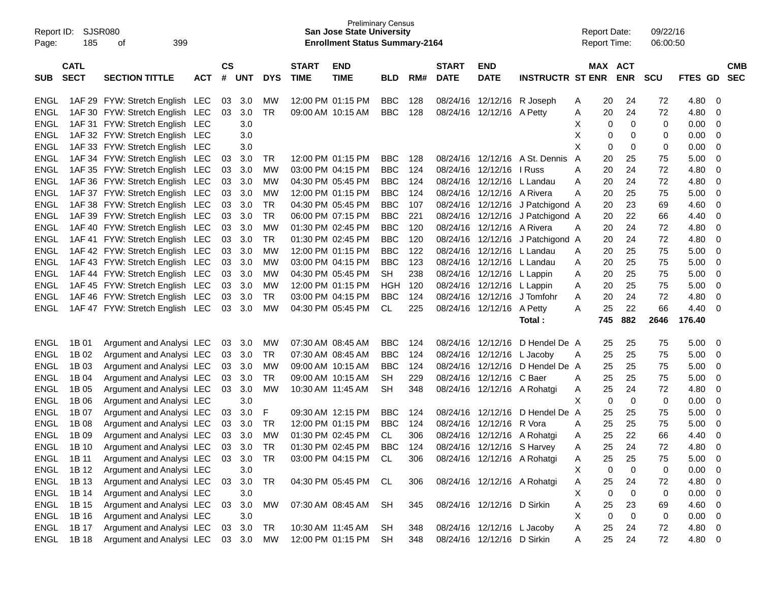| Report ID:<br>Page: | <b>SJSR080</b><br>185      | 399<br>οf                       |            |                |            |            |                             | <b>Preliminary Census</b><br><b>San Jose State University</b><br><b>Enrollment Status Summary-2164</b> |            |     |                             |                            |                             |   | <b>Report Date:</b><br><b>Report Time:</b> |             | 09/22/16<br>06:00:50 |             |                         |                          |
|---------------------|----------------------------|---------------------------------|------------|----------------|------------|------------|-----------------------------|--------------------------------------------------------------------------------------------------------|------------|-----|-----------------------------|----------------------------|-----------------------------|---|--------------------------------------------|-------------|----------------------|-------------|-------------------------|--------------------------|
| <b>SUB</b>          | <b>CATL</b><br><b>SECT</b> | <b>SECTION TITTLE</b>           | <b>ACT</b> | <b>CS</b><br># | <b>UNT</b> | <b>DYS</b> | <b>START</b><br><b>TIME</b> | <b>END</b><br><b>TIME</b>                                                                              | <b>BLD</b> | RM# | <b>START</b><br><b>DATE</b> | <b>END</b><br><b>DATE</b>  | <b>INSTRUCTR ST ENR</b>     |   | MAX ACT                                    | <b>ENR</b>  | <b>SCU</b>           | <b>FTES</b> | <b>GD</b>               | <b>CMB</b><br><b>SEC</b> |
| ENGL                |                            | 1AF 29 FYW: Stretch English LEC |            | 03             | 3.0        | MW         | 12:00 PM 01:15 PM           |                                                                                                        | <b>BBC</b> | 128 | 08/24/16                    | 12/12/16                   | R Joseph                    | Α | 20                                         | 24          | 72                   | 4.80        | -0                      |                          |
| <b>ENGL</b>         |                            | 1AF 30 FYW: Stretch English LEC |            | 03             | 3.0        | <b>TR</b>  | 09:00 AM 10:15 AM           |                                                                                                        | <b>BBC</b> | 128 | 08/24/16                    | 12/12/16                   | A Petty                     | Α | 20                                         | 24          | 72                   | 4.80        | 0                       |                          |
| <b>ENGL</b>         |                            | 1AF 31 FYW: Stretch English LEC |            |                | 3.0        |            |                             |                                                                                                        |            |     |                             |                            |                             | х | 0                                          | 0           | 0                    | 0.00        | 0                       |                          |
| <b>ENGL</b>         |                            | 1AF 32 FYW: Stretch English LEC |            |                | 3.0        |            |                             |                                                                                                        |            |     |                             |                            |                             | X | 0                                          | 0           | 0                    | 0.00        | 0                       |                          |
| <b>ENGL</b>         |                            | 1AF 33 FYW: Stretch English LEC |            |                | 3.0        |            |                             |                                                                                                        |            |     |                             |                            |                             | X | 0                                          | 0           | 0                    | 0.00        | 0                       |                          |
| <b>ENGL</b>         |                            | 1AF 34 FYW: Stretch English LEC |            | 03             | 3.0        | TR         | 12:00 PM 01:15 PM           |                                                                                                        | <b>BBC</b> | 128 | 08/24/16                    | 12/12/16                   | A St. Dennis                | A | 20                                         | 25          | 75                   | 5.00        | 0                       |                          |
| <b>ENGL</b>         |                            | 1AF 35 FYW: Stretch English LEC |            | 03             | 3.0        | МW         | 03:00 PM 04:15 PM           |                                                                                                        | <b>BBC</b> | 124 | 08/24/16                    | 12/12/16                   | I Russ                      | Α | 20                                         | 24          | 72                   | 4.80        | 0                       |                          |
| <b>ENGL</b>         |                            | 1AF 36 FYW: Stretch English LEC |            | 03             | 3.0        | <b>MW</b>  | 04:30 PM 05:45 PM           |                                                                                                        | <b>BBC</b> | 124 | 08/24/16                    | 12/12/16                   | L Landau                    | Α | 20                                         | 24          | 72                   | 4.80        | 0                       |                          |
| <b>ENGL</b>         |                            | 1AF 37 FYW: Stretch English LEC |            | 03             | 3.0        | <b>MW</b>  | 12:00 PM 01:15 PM           |                                                                                                        | <b>BBC</b> | 124 | 08/24/16                    | 12/12/16                   | A Rivera                    | A | 20                                         | 25          | 75                   | 5.00        | 0                       |                          |
| <b>ENGL</b>         |                            | 1AF 38 FYW: Stretch English LEC |            | 03             | 3.0        | <b>TR</b>  | 04:30 PM 05:45 PM           |                                                                                                        | <b>BBC</b> | 107 | 08/24/16                    | 12/12/16                   | J Patchigond A              |   | 20                                         | 23          | 69                   | 4.60        | 0                       |                          |
| <b>ENGL</b>         |                            | 1AF 39 FYW: Stretch English LEC |            | 03             | 3.0        | <b>TR</b>  | 06:00 PM 07:15 PM           |                                                                                                        | <b>BBC</b> | 221 | 08/24/16                    | 12/12/16                   | J Patchigond A              |   | 20                                         | 22          | 66                   | 4.40        | 0                       |                          |
| <b>ENGL</b>         |                            | 1AF 40 FYW: Stretch English LEC |            | 03             | 3.0        | <b>MW</b>  | 01:30 PM 02:45 PM           |                                                                                                        | <b>BBC</b> | 120 | 08/24/16                    | 12/12/16                   | A Rivera                    | Α | 20                                         | 24          | 72                   | 4.80        | 0                       |                          |
| <b>ENGL</b>         |                            | 1AF 41 FYW: Stretch English LEC |            | 03             | 3.0        | <b>TR</b>  | 01:30 PM 02:45 PM           |                                                                                                        | <b>BBC</b> | 120 | 08/24/16                    | 12/12/16                   | J Patchigond A              |   | 20                                         | 24          | 72                   | 4.80        | 0                       |                          |
| <b>ENGL</b>         |                            | 1AF 42 FYW: Stretch English LEC |            | 03             | 3.0        | <b>MW</b>  | 12:00 PM 01:15 PM           |                                                                                                        | <b>BBC</b> | 122 | 08/24/16                    | 12/12/16                   | L Landau                    | A | 20                                         | 25          | 75                   | 5.00        | 0                       |                          |
| <b>ENGL</b>         |                            | 1AF 43 FYW: Stretch English LEC |            | 03             | 3.0        | <b>MW</b>  | 03:00 PM 04:15 PM           |                                                                                                        | <b>BBC</b> | 123 | 08/24/16                    | 12/12/16                   | L Landau                    | A | 20                                         | 25          | 75                   | 5.00        | 0                       |                          |
| <b>ENGL</b>         |                            | 1AF 44 FYW: Stretch English LEC |            | 03             | 3.0        | <b>MW</b>  | 04:30 PM 05:45 PM           |                                                                                                        | <b>SH</b>  | 238 | 08/24/16                    | 12/12/16                   | L Lappin                    | A | 20                                         | 25          | 75                   | 5.00        | 0                       |                          |
| <b>ENGL</b>         |                            | 1AF 45 FYW: Stretch English LEC |            | 03             | 3.0        | МW         | 12:00 PM 01:15 PM           |                                                                                                        | <b>HGH</b> | 120 | 08/24/16                    | 12/12/16                   | L Lappin                    | A | 20                                         | 25          | 75                   | 5.00        | 0                       |                          |
| <b>ENGL</b>         |                            | 1AF 46 FYW: Stretch English LEC |            | 03             | 3.0        | <b>TR</b>  | 03:00 PM 04:15 PM           |                                                                                                        | <b>BBC</b> | 124 | 08/24/16                    | 12/12/16                   | J Tomfohr                   | Α | 20                                         | 24          | 72                   | 4.80        | 0                       |                          |
| <b>ENGL</b>         |                            | 1AF 47 FYW: Stretch English LEC |            | 03             | 3.0        | <b>MW</b>  | 04:30 PM 05:45 PM           |                                                                                                        | <b>CL</b>  | 225 |                             | 08/24/16 12/12/16          | A Petty                     | Α | 25                                         | 22          | 66                   | 4.40        | 0                       |                          |
|                     |                            |                                 |            |                |            |            |                             |                                                                                                        |            |     |                             |                            | Total:                      |   | 745                                        | 882         | 2646                 | 176.40      |                         |                          |
| <b>ENGL</b>         | 1B 01                      | Argument and Analysi LEC        |            | 03             | 3.0        | MW         | 07:30 AM 08:45 AM           |                                                                                                        | <b>BBC</b> | 124 | 08/24/16                    | 12/12/16                   | D Hendel De A               |   | 25                                         | 25          | 75                   | 5.00        | 0                       |                          |
| <b>ENGL</b>         | 1B 02                      | Argument and Analysi LEC        |            | 03             | 3.0        | <b>TR</b>  | 07:30 AM 08:45 AM           |                                                                                                        | <b>BBC</b> | 124 |                             | 08/24/16 12/12/16          | L Jacoby                    | Α | 25                                         | 25          | 75                   | 5.00        | 0                       |                          |
| <b>ENGL</b>         | 1B 03                      | Argument and Analysi LEC        |            | 03             | 3.0        | МW         | 09:00 AM 10:15 AM           |                                                                                                        | <b>BBC</b> | 124 | 08/24/16                    | 12/12/16                   | D Hendel De A               |   | 25                                         | 25          | 75                   | 5.00        | 0                       |                          |
| <b>ENGL</b>         | 1B 04                      | Argument and Analysi LEC        |            | 03             | 3.0        | <b>TR</b>  | 09:00 AM 10:15 AM           |                                                                                                        | SН         | 229 | 08/24/16                    | 12/12/16                   | C Baer                      | A | 25                                         | 25          | 75                   | 5.00        | 0                       |                          |
| <b>ENGL</b>         | 1B 05                      | Argument and Analysi LEC        |            | 03             | 3.0        | <b>MW</b>  | 10:30 AM 11:45 AM           |                                                                                                        | SH         | 348 |                             |                            | 08/24/16 12/12/16 A Rohatgi | Α | 25                                         | 24          | 72                   | 4.80        | 0                       |                          |
| <b>ENGL</b>         | 1B 06                      | Argument and Analysi LEC        |            |                | 3.0        |            |                             |                                                                                                        |            |     |                             |                            |                             | X | 0                                          | $\mathbf 0$ | 0                    | 0.00        | 0                       |                          |
| <b>ENGL</b>         | 1B 07                      | Argument and Analysi LEC        |            | 03             | 3.0        | F          | 09:30 AM 12:15 PM           |                                                                                                        | <b>BBC</b> | 124 | 08/24/16                    | 12/12/16                   | D Hendel De A               |   | 25                                         | 25          | 75                   | 5.00        | 0                       |                          |
| <b>ENGL</b>         | 1B 08                      | Argument and Analysi LEC        |            | 03             | 3.0        | TR         | 12:00 PM 01:15 PM           |                                                                                                        | <b>BBC</b> | 124 | 08/24/16                    | 12/12/16                   | R Vora                      | A | 25                                         | 25          | 75                   | 5.00        | 0                       |                          |
| <b>ENGL</b>         | 1B 09                      | Argument and Analysi LEC        |            | 03             | 3.0        | <b>MW</b>  |                             | 01:30 PM 02:45 PM                                                                                      | CL.        | 306 |                             |                            | 08/24/16 12/12/16 A Rohatgi | Α | 25                                         | 22          | 66                   | 4.40        | 0                       |                          |
| ENGL                | 1B 10                      | Argument and Analysi LEC 03     |            |                | 3.0        | <b>TR</b>  |                             | 01:30 PM 02:45 PM                                                                                      | <b>BBC</b> | 124 |                             | 08/24/16 12/12/16 S Harvey |                             | A | 25                                         | 24          | 72                   | 4.80        | 0                       |                          |
| ENGL 1B 11          |                            | Argument and Analysi LEC        |            |                | 03 3.0     | TR         |                             | 03:00 PM 04:15 PM CL                                                                                   |            | 306 |                             |                            | 08/24/16 12/12/16 A Rohatgi | Α | 25                                         | 25          | 75                   | 5.00        | - 0                     |                          |
| <b>ENGL</b>         | 1B 12                      | Argument and Analysi LEC        |            |                | 3.0        |            |                             |                                                                                                        |            |     |                             |                            |                             | Χ | $\mathbf 0$                                | $\mathbf 0$ | 0                    | 0.00        | $\overline{0}$          |                          |
| ENGL                | 1B 13                      | Argument and Analysi LEC        |            | 03             | 3.0        | TR         |                             | 04:30 PM 05:45 PM CL                                                                                   |            | 306 |                             |                            | 08/24/16 12/12/16 A Rohatgi | Α | 25                                         | 24          | 72                   | 4.80        | 0                       |                          |
| ENGL                | 1B 14                      | Argument and Analysi LEC        |            |                | 3.0        |            |                             |                                                                                                        |            |     |                             |                            |                             | X | 0                                          | 0           | 0                    | 0.00        | 0                       |                          |
| ENGL                | 1B 15                      | Argument and Analysi LEC        |            | 03             | 3.0        | MW         |                             | 07:30 AM 08:45 AM SH                                                                                   |            | 345 |                             | 08/24/16 12/12/16 D Sirkin |                             | Α | 25                                         | 23          | 69                   | 4.60        | 0                       |                          |
| ENGL                | 1B 16                      | Argument and Analysi LEC        |            |                | 3.0        |            |                             |                                                                                                        |            |     |                             |                            |                             | X | $\mathbf 0$                                | 0           | 0                    | 0.00        | - 0                     |                          |
| <b>ENGL</b>         | 1B 17                      | Argument and Analysi LEC        |            | 03             | 3.0        | TR         |                             | 10:30 AM 11:45 AM                                                                                      | SH         | 348 |                             | 08/24/16 12/12/16 L Jacoby |                             | Α | 25                                         | 24          | 72                   | 4.80        | $\overline{\mathbf{0}}$ |                          |
| ENGL                | 1B 18                      | Argument and Analysi LEC        |            |                | 03 3.0     | MW         |                             | 12:00 PM 01:15 PM SH                                                                                   |            | 348 |                             | 08/24/16 12/12/16 D Sirkin |                             | Α | 25                                         | 24          | 72                   | 4.80 0      |                         |                          |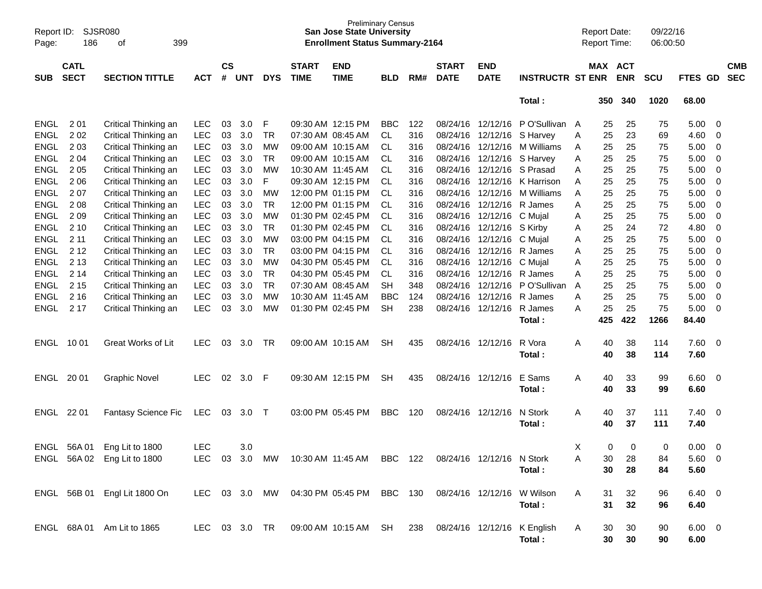| Page:       | SJSR080<br>Report ID:<br>186<br>399<br>οf |                              |            |                    |            |            |                             | <b>Preliminary Census</b><br><b>San Jose State University</b><br><b>Enrollment Status Summary-2164</b> |            |     |                             |                           |                                 |   | <b>Report Date:</b><br><b>Report Time:</b> |            | 09/22/16<br>06:00:50 |                |                          |                          |
|-------------|-------------------------------------------|------------------------------|------------|--------------------|------------|------------|-----------------------------|--------------------------------------------------------------------------------------------------------|------------|-----|-----------------------------|---------------------------|---------------------------------|---|--------------------------------------------|------------|----------------------|----------------|--------------------------|--------------------------|
| <b>SUB</b>  | <b>CATL</b><br><b>SECT</b>                | <b>SECTION TITTLE</b>        | <b>ACT</b> | $\mathsf{cs}$<br># | <b>UNT</b> | <b>DYS</b> | <b>START</b><br><b>TIME</b> | <b>END</b><br><b>TIME</b>                                                                              | <b>BLD</b> | RM# | <b>START</b><br><b>DATE</b> | <b>END</b><br><b>DATE</b> | <b>INSTRUCTR ST ENR</b>         |   | MAX ACT                                    | <b>ENR</b> | <b>SCU</b>           | <b>FTES GD</b> |                          | <b>CMB</b><br><b>SEC</b> |
|             |                                           |                              |            |                    |            |            |                             |                                                                                                        |            |     |                             |                           | Total:                          |   | 350                                        | 340        | 1020                 | 68.00          |                          |                          |
| <b>ENGL</b> | 2 0 1                                     | Critical Thinking an         | <b>LEC</b> | 03                 | 3.0        | F          |                             | 09:30 AM 12:15 PM                                                                                      | <b>BBC</b> | 122 |                             |                           | 08/24/16 12/12/16 PO'Sullivan A |   | 25                                         | 25         | 75                   | 5.00           | $\overline{0}$           |                          |
| <b>ENGL</b> | 202                                       | Critical Thinking an         | LEC        | 03                 | 3.0        | <b>TR</b>  |                             | 07:30 AM 08:45 AM                                                                                      | <b>CL</b>  | 316 | 08/24/16                    | 12/12/16 S Harvey         |                                 | Α | 25                                         | 23         | 69                   | 4.60           | 0                        |                          |
| <b>ENGL</b> | 203                                       | Critical Thinking an         | LEC        | 03                 | 3.0        | <b>MW</b>  |                             | 09:00 AM 10:15 AM                                                                                      | <b>CL</b>  | 316 | 08/24/16                    | 12/12/16                  | M Williams                      | A | 25                                         | 25         | 75                   | 5.00           | 0                        |                          |
| <b>ENGL</b> | 2 0 4                                     | Critical Thinking an         | LEC        | 03                 | 3.0        | <b>TR</b>  |                             | 09:00 AM 10:15 AM                                                                                      | CL         | 316 | 08/24/16                    | 12/12/16 S Harvey         |                                 | Α | 25                                         | 25         | 75                   | 5.00           | 0                        |                          |
| <b>ENGL</b> | 205                                       | Critical Thinking an         | LEC        | 03                 | 3.0        | <b>MW</b>  |                             | 10:30 AM 11:45 AM                                                                                      | CL         | 316 | 08/24/16                    | 12/12/16 S Prasad         |                                 | Α | 25                                         | 25         | 75                   | 5.00           | 0                        |                          |
| <b>ENGL</b> | 206                                       | Critical Thinking an         | LEC        | 03                 | 3.0        | F          |                             | 09:30 AM 12:15 PM                                                                                      | <b>CL</b>  | 316 | 08/24/16                    |                           | 12/12/16 K Harrison             | Α | 25                                         | 25         | 75                   | 5.00           | 0                        |                          |
| <b>ENGL</b> | 207                                       | Critical Thinking an         | LEC        | 03                 | 3.0        | <b>MW</b>  |                             | 12:00 PM 01:15 PM                                                                                      | <b>CL</b>  | 316 | 08/24/16                    | 12/12/16                  | M Williams                      | A | 25                                         | 25         | 75                   | 5.00           | 0                        |                          |
| <b>ENGL</b> | 208                                       | Critical Thinking an         | LEC        | 03                 | 3.0        | <b>TR</b>  |                             | 12:00 PM 01:15 PM                                                                                      | <b>CL</b>  | 316 | 08/24/16                    | 12/12/16 R James          |                                 | A | 25                                         | 25         | 75                   | 5.00           | 0                        |                          |
| <b>ENGL</b> | 209                                       | Critical Thinking an         | LEC        | 03                 | 3.0        | <b>MW</b>  |                             | 01:30 PM 02:45 PM                                                                                      | CL         | 316 | 08/24/16                    | 12/12/16 C Mujal          |                                 | A | 25                                         | 25         | 75                   | 5.00           | 0                        |                          |
| <b>ENGL</b> | 210                                       | Critical Thinking an         | LEC        | 03                 | 3.0        | <b>TR</b>  |                             | 01:30 PM 02:45 PM                                                                                      | CL         | 316 | 08/24/16                    | 12/12/16 S Kirby          |                                 | A | 25                                         | 24         | 72                   | 4.80           | 0                        |                          |
| <b>ENGL</b> | 2 1 1                                     | Critical Thinking an         | LEC        | 03                 | 3.0        | <b>MW</b>  |                             | 03:00 PM 04:15 PM                                                                                      | CL         | 316 | 08/24/16                    | 12/12/16 C Mujal          |                                 | Α | 25                                         | 25         | 75                   | 5.00           | 0                        |                          |
| <b>ENGL</b> | 2 1 2                                     | Critical Thinking an         | LEC        | 03                 | 3.0        | <b>TR</b>  |                             | 03:00 PM 04:15 PM                                                                                      | CL         | 316 | 08/24/16                    | 12/12/16 R James          |                                 | A | 25                                         | 25         | 75                   | 5.00           | 0                        |                          |
| <b>ENGL</b> | 2 1 3                                     | Critical Thinking an         | LEC        | 03                 | 3.0        | <b>MW</b>  |                             | 04:30 PM 05:45 PM                                                                                      | CL         | 316 | 08/24/16                    | 12/12/16                  | C Mujal                         | A | 25                                         | 25         | 75                   | 5.00           | 0                        |                          |
| <b>ENGL</b> | 2 14                                      | Critical Thinking an         | LEC        | 03                 | 3.0        | <b>TR</b>  |                             | 04:30 PM 05:45 PM                                                                                      | <b>CL</b>  | 316 | 08/24/16                    | 12/12/16 R James          |                                 | A | 25                                         | 25         | 75                   | 5.00           | 0                        |                          |
| <b>ENGL</b> | 2 1 5                                     | Critical Thinking an         | LEC        | 03                 | 3.0        | <b>TR</b>  |                             | 07:30 AM 08:45 AM                                                                                      | <b>SH</b>  | 348 | 08/24/16                    |                           | 12/12/16 PO'Sullivan            | A | 25                                         | 25         | 75                   | 5.00           | 0                        |                          |
| <b>ENGL</b> | 2 1 6                                     | Critical Thinking an         | LEC        | 03                 | 3.0        | <b>MW</b>  |                             | 10:30 AM 11:45 AM                                                                                      | <b>BBC</b> | 124 | 08/24/16                    | 12/12/16 R James          |                                 | Α | 25                                         | 25         | 75                   | 5.00           | 0                        |                          |
| ENGL        | 2 1 7                                     | Critical Thinking an         | <b>LEC</b> | 03                 | 3.0        | МW         |                             | 01:30 PM 02:45 PM                                                                                      | <b>SH</b>  | 238 |                             | 08/24/16 12/12/16         | R James                         | A | 25                                         | 25         | 75                   | 5.00           | 0                        |                          |
|             |                                           |                              |            |                    |            |            |                             |                                                                                                        |            |     |                             |                           | Total:                          |   | 425                                        | 422        | 1266                 | 84.40          |                          |                          |
| ENGL 1001   |                                           | <b>Great Works of Lit</b>    | <b>LEC</b> | 03                 | 3.0        | <b>TR</b>  |                             | 09:00 AM 10:15 AM                                                                                      | <b>SH</b>  | 435 |                             | 08/24/16 12/12/16         | R Vora                          | Α | 40                                         | 38         | 114                  | 7.60           | $\overline{\mathbf{0}}$  |                          |
|             |                                           |                              |            |                    |            |            |                             |                                                                                                        |            |     |                             |                           | Total:                          |   | 40                                         | 38         | 114                  | 7.60           |                          |                          |
| ENGL 2001   |                                           | <b>Graphic Novel</b>         | <b>LEC</b> |                    | 02 3.0     | -F         |                             | 09:30 AM 12:15 PM                                                                                      | <b>SH</b>  | 435 |                             | 08/24/16 12/12/16         | E Sams                          | Α | 40                                         | 33         | 99                   | 6.60           | $\overline{\phantom{0}}$ |                          |
|             |                                           |                              |            |                    |            |            |                             |                                                                                                        |            |     |                             |                           | Total:                          |   | 40                                         | 33         | 99                   | 6.60           |                          |                          |
| ENGL 22 01  |                                           | <b>Fantasy Science Fic</b>   | LEC        | 03                 | 3.0        | $\top$     |                             | 03:00 PM 05:45 PM                                                                                      | <b>BBC</b> | 120 |                             | 08/24/16 12/12/16         | N Stork                         | A | 40                                         | 37         | 111                  | 7.40           | $\overline{\mathbf{0}}$  |                          |
|             |                                           |                              |            |                    |            |            |                             |                                                                                                        |            |     |                             |                           | Total:                          |   | 40                                         | 37         | 111                  | 7.40           |                          |                          |
| <b>ENGL</b> | 56A01                                     | Eng Lit to 1800              | LEC        |                    | 3.0        |            |                             |                                                                                                        |            |     |                             |                           |                                 | х | 0                                          | 0          | 0                    | 0.00           | 0                        |                          |
|             |                                           | ENGL 56A 02 Eng Lit to 1800  |            |                    |            |            |                             | LEC 03 3.0 MW 10:30 AM 11:45 AM BBC 122 08/24/16 12/12/16 N Stork                                      |            |     |                             |                           |                                 | A | 30                                         | 28         | 84                   | 5.60 0         |                          |                          |
|             |                                           |                              |            |                    |            |            |                             |                                                                                                        |            |     |                             |                           | Total:                          |   | 30                                         | 28         | 84                   | 5.60           |                          |                          |
|             |                                           | ENGL 56B 01 Engl Lit 1800 On |            |                    |            |            |                             | LEC 03 3.0 MW 04:30 PM 05:45 PM BBC 130 08/24/16 12/12/16 W Wilson                                     |            |     |                             |                           |                                 | Α | 31                                         | 32         | 96                   | $6.40\quad 0$  |                          |                          |
|             |                                           |                              |            |                    |            |            |                             |                                                                                                        |            |     |                             |                           | Total:                          |   | 31                                         | 32         | 96                   | 6.40           |                          |                          |
|             |                                           | ENGL 68A 01 Am Lit to 1865   |            |                    |            |            |                             | LEC 03 3.0 TR  09:00 AM  10:15 AM  SH  238  08/24/16  12/12/16  K  English                             |            |     |                             |                           |                                 | A | 30                                         | $30\,$     | 90                   | $6.00 \quad 0$ |                          |                          |
|             |                                           |                              |            |                    |            |            |                             |                                                                                                        |            |     |                             |                           | Total:                          |   | 30                                         | 30         | 90                   | 6.00           |                          |                          |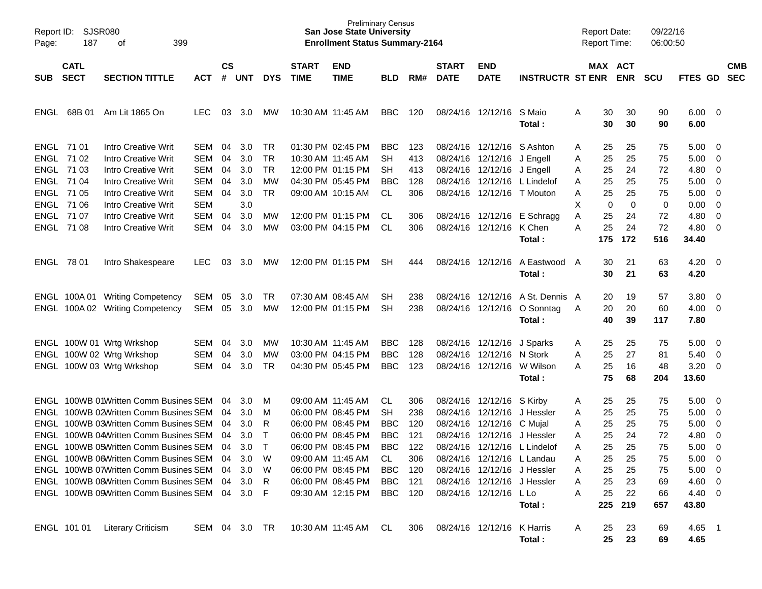| Page:      | SJSR080<br>Report ID:<br>187<br>399<br>оf                                                                    |                                                                                                                                                                                                                                                                                                                                                                                      |                                                             |                                              |                                                                   |                                                             |                             | <b>Preliminary Census</b><br><b>San Jose State University</b><br><b>Enrollment Status Summary-2164</b>                                                               |                                                                                       |                                                             |                                  |                                                                                           |                                                                                                                                                                         |                                           | <b>Report Date:</b><br><b>Report Time:</b>                |                                                           | 09/22/16<br>06:00:50                                      |                                                                                              |                                                                |                          |
|------------|--------------------------------------------------------------------------------------------------------------|--------------------------------------------------------------------------------------------------------------------------------------------------------------------------------------------------------------------------------------------------------------------------------------------------------------------------------------------------------------------------------------|-------------------------------------------------------------|----------------------------------------------|-------------------------------------------------------------------|-------------------------------------------------------------|-----------------------------|----------------------------------------------------------------------------------------------------------------------------------------------------------------------|---------------------------------------------------------------------------------------|-------------------------------------------------------------|----------------------------------|-------------------------------------------------------------------------------------------|-------------------------------------------------------------------------------------------------------------------------------------------------------------------------|-------------------------------------------|-----------------------------------------------------------|-----------------------------------------------------------|-----------------------------------------------------------|----------------------------------------------------------------------------------------------|----------------------------------------------------------------|--------------------------|
| <b>SUB</b> | <b>CATL</b><br><b>SECT</b>                                                                                   | <b>SECTION TITTLE</b>                                                                                                                                                                                                                                                                                                                                                                | ACT                                                         | $\mathsf{cs}$<br>#                           | <b>UNT</b>                                                        | <b>DYS</b>                                                  | <b>START</b><br><b>TIME</b> | <b>END</b><br><b>TIME</b>                                                                                                                                            | <b>BLD</b>                                                                            | RM#                                                         | <b>START</b><br><b>DATE</b>      | <b>END</b><br><b>DATE</b>                                                                 | <b>INSTRUCTR ST ENR ENR</b>                                                                                                                                             |                                           |                                                           | MAX ACT                                                   | <b>SCU</b>                                                | FTES GD                                                                                      |                                                                | <b>CMB</b><br><b>SEC</b> |
|            | ENGL 68B 01                                                                                                  | Am Lit 1865 On                                                                                                                                                                                                                                                                                                                                                                       | LEC                                                         | 03                                           | 3.0                                                               | мw                                                          |                             | 10:30 AM 11:45 AM                                                                                                                                                    | <b>BBC</b>                                                                            | 120                                                         |                                  | 08/24/16 12/12/16 S Maio                                                                  | Total:                                                                                                                                                                  | Α                                         | 30<br>30                                                  | 30<br>30                                                  | 90<br>90                                                  | $6.00 \quad 0$<br>6.00                                                                       |                                                                |                          |
|            | ENGL 71 01<br>ENGL 71 02<br>ENGL 71 03<br>ENGL 71 04<br>ENGL 71 05<br>ENGL 71 06<br>ENGL 71 07<br>ENGL 71 08 | Intro Creative Writ<br><b>Intro Creative Writ</b><br><b>Intro Creative Writ</b><br><b>Intro Creative Writ</b><br><b>Intro Creative Writ</b><br><b>Intro Creative Writ</b><br><b>Intro Creative Writ</b><br><b>Intro Creative Writ</b>                                                                                                                                                | SEM<br>SEM<br>SEM<br>SEM<br>SEM<br><b>SEM</b><br>SEM<br>SEM | 04<br>04<br>04<br>04<br>04<br>04<br>04       | 3.0 <sub>2</sub><br>3.0<br>3.0<br>3.0<br>3.0<br>3.0<br>3.0<br>3.0 | TR<br><b>TR</b><br><b>TR</b><br>МW<br><b>TR</b><br>МW<br>МW |                             | 01:30 PM 02:45 PM<br>10:30 AM 11:45 AM<br>12:00 PM 01:15 PM<br>04:30 PM 05:45 PM<br>09:00 AM 10:15 AM<br>12:00 PM 01:15 PM<br>03:00 PM 04:15 PM                      | <b>BBC</b><br><b>SH</b><br>SН<br><b>BBC</b><br><b>CL</b><br>CL.<br>CL.                | 123<br>413<br>413<br>128<br>306<br>306<br>306               | 08/24/16                         | 08/24/16 12/12/16<br>08/24/16 12/12/16<br>08/24/16 12/12/16 J Engell<br>08/24/16 12/12/16 | S Ashton<br>J Engell<br>12/12/16 L Lindelof<br>08/24/16 12/12/16 T Mouton<br>08/24/16 12/12/16 E Schragg<br>K Chen                                                      | Α<br>Α<br>Α<br>A<br>Α<br>х<br>Α<br>A      | 25<br>25<br>25<br>25<br>25<br>0<br>25<br>25               | 25<br>25<br>24<br>25<br>25<br>0<br>24<br>24               | 75<br>75<br>72<br>75<br>75<br>0<br>72<br>72               | 5.00<br>5.00<br>4.80<br>5.00<br>5.00<br>0.00<br>4.80<br>4.80                                 | - 0<br>0<br>0<br>0<br>0<br>$\mathbf 0$<br>$\mathbf 0$<br>0     |                          |
| ENGL 78 01 |                                                                                                              | Intro Shakespeare                                                                                                                                                                                                                                                                                                                                                                    | LEC                                                         | 03                                           | 3.0                                                               | МW                                                          |                             | 12:00 PM 01:15 PM                                                                                                                                                    | SН                                                                                    | 444                                                         |                                  | 08/24/16 12/12/16                                                                         | Total:<br>A Eastwood<br>Total:                                                                                                                                          | A                                         | 175<br>30<br>30                                           | 172<br>21<br>21                                           | 516<br>63<br>63                                           | 34.40<br>4.20<br>4.20                                                                        | - 0                                                            |                          |
| ENGL       |                                                                                                              | ENGL 100A 01 Writing Competency<br>100A 02 Writing Competency                                                                                                                                                                                                                                                                                                                        | <b>SEM</b><br><b>SEM</b>                                    | 05<br>05                                     | 3.0<br>3.0                                                        | TR<br>MW                                                    |                             | 07:30 AM 08:45 AM<br>12:00 PM 01:15 PM                                                                                                                               | SН<br>SН                                                                              | 238<br>238                                                  |                                  |                                                                                           | 08/24/16 12/12/16 A St. Dennis A<br>08/24/16 12/12/16 O Sonntag<br>Total:                                                                                               | A                                         | 20<br>20<br>40                                            | 19<br>20<br>39                                            | 57<br>60<br>117                                           | 3.80<br>4.00<br>7.80                                                                         | 0<br>$\overline{0}$                                            |                          |
|            |                                                                                                              | ENGL 100W 01 Wrtg Wrkshop<br>ENGL 100W 02 Wrtg Wrkshop<br>ENGL 100W 03 Wrtg Wrkshop                                                                                                                                                                                                                                                                                                  | SEM<br>SEM<br>SEM                                           | 04<br>04<br>04                               | 3.0<br>3.0<br>3.0                                                 | МW<br>MW<br><b>TR</b>                                       |                             | 10:30 AM 11:45 AM<br>03:00 PM 04:15 PM<br>04:30 PM 05:45 PM                                                                                                          | <b>BBC</b><br><b>BBC</b><br><b>BBC</b>                                                | 128<br>128<br>123                                           | 08/24/16                         | 08/24/16 12/12/16<br>12/12/16<br>08/24/16 12/12/16                                        | J Sparks<br>N Stork<br>W Wilson<br>Total:                                                                                                                               | Α<br>Α<br>A                               | 25<br>25<br>25<br>75                                      | 25<br>27<br>16<br>68                                      | 75<br>81<br>48<br>204                                     | 5.00<br>5.40<br>3.20<br>13.60                                                                | $\overline{\mathbf{0}}$<br>0<br>$\mathbf 0$                    |                          |
|            |                                                                                                              | ENGL 100WB 01Written Comm Busines SEM<br>ENGL 100WB 02Written Comm Busines SEM<br>ENGL 100WB 03Written Comm Busines SEM<br>ENGL 100WB 04Written Comm Busines SEM<br>ENGL 100WB 05Written Comm Busines SEM<br>ENGL 100WB 06Written Comm Busines SEM<br>ENGL 100WB 07Written Comm Busines SEM<br>ENGL 100WB 08Written Comm Busines SEM<br>ENGL 100WB 09Written Comm Busines SEM 04 3.0 |                                                             | 04<br>04<br>04<br>04<br>04<br>04<br>04<br>04 | 3.0<br>3.0<br>3.0<br>3.0<br>3.0<br>3.0<br>3.0<br>3.0              | M<br>M<br>R<br>$\top$<br>$\top$<br>W<br>W<br>R<br>- F       | 09:00 AM 11:45 AM           | 06:00 PM 08:45 PM<br>06:00 PM 08:45 PM<br>06:00 PM 08:45 PM<br>06:00 PM 08:45 PM<br>09:00 AM 11:45 AM<br>06:00 PM 08:45 PM<br>06:00 PM 08:45 PM<br>09:30 AM 12:15 PM | CL<br>SН<br><b>BBC</b><br><b>BBC</b><br><b>BBC</b><br>CL.<br><b>BBC</b><br>BBC<br>BBC | 306<br>238<br>120<br>121<br>122<br>306<br>120<br>121<br>120 | 08/24/16<br>08/24/16<br>08/24/16 | 08/24/16 12/12/16<br>12/12/16<br>12/12/16 C Mujal<br>12/12/16<br>08/24/16 12/12/16 L Lo   | S Kirby<br>J Hessler<br>J Hessler<br>08/24/16 12/12/16 L Lindelof<br>08/24/16 12/12/16 L Landau<br>08/24/16 12/12/16 J Hessler<br>08/24/16 12/12/16 J Hessler<br>Total: | Α<br>Α<br>Α<br>A<br>Α<br>А<br>A<br>Α<br>Α | 25<br>25<br>25<br>25<br>25<br>25<br>25<br>25<br>25<br>225 | 25<br>25<br>25<br>24<br>25<br>25<br>25<br>23<br>22<br>219 | 75<br>75<br>75<br>72<br>75<br>75<br>75<br>69<br>66<br>657 | 5.00<br>5.00<br>5.00<br>4.80<br>5.00<br>5.00<br>$5.00 \t 0$<br>4.60 0<br>$4.40 \ 0$<br>43.80 | $\overline{0}$<br>0<br>0<br>0<br>0<br>$\overline{\phantom{0}}$ |                          |
|            | ENGL 101 01                                                                                                  | <b>Literary Criticism</b>                                                                                                                                                                                                                                                                                                                                                            | SEM 04 3.0 TR                                               |                                              |                                                                   |                                                             |                             | 10:30 AM 11:45 AM                                                                                                                                                    | - CL                                                                                  | 306                                                         |                                  | 08/24/16 12/12/16 K Harris                                                                | Total:                                                                                                                                                                  | Α                                         | 25<br>25                                                  | 23<br>23                                                  | 69<br>69                                                  | 4.65 1<br>4.65                                                                               |                                                                |                          |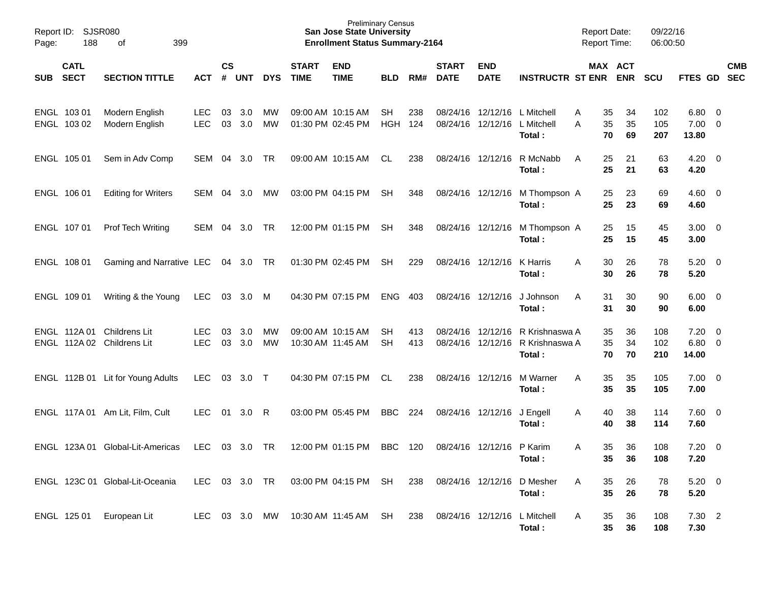| Report ID:<br>Page: | 188                        | <b>SJSR080</b><br>399<br>of                              |                          |               |            |            |                                        | <b>Preliminary Census</b><br><b>San Jose State University</b><br><b>Enrollment Status Summary-2164</b> |            |            |                             |                           |                                                                                | <b>Report Date:</b><br><b>Report Time:</b> |                       | 09/22/16<br>06:00:50 |                                  |            |
|---------------------|----------------------------|----------------------------------------------------------|--------------------------|---------------|------------|------------|----------------------------------------|--------------------------------------------------------------------------------------------------------|------------|------------|-----------------------------|---------------------------|--------------------------------------------------------------------------------|--------------------------------------------|-----------------------|----------------------|----------------------------------|------------|
| <b>SUB</b>          | <b>CATL</b><br><b>SECT</b> | <b>SECTION TITTLE</b>                                    | <b>ACT</b>               | $\mathsf{cs}$ | # UNT      | <b>DYS</b> | <b>START</b><br><b>TIME</b>            | <b>END</b><br><b>TIME</b>                                                                              | <b>BLD</b> | RM#        | <b>START</b><br><b>DATE</b> | <b>END</b><br><b>DATE</b> | <b>INSTRUCTR ST ENR</b>                                                        |                                            | MAX ACT<br><b>ENR</b> | <b>SCU</b>           | FTES GD SEC                      | <b>CMB</b> |
|                     | ENGL 103 01<br>ENGL 103 02 | Modern English<br>Modern English                         | <b>LEC</b><br><b>LEC</b> | 03<br>03      | 3.0<br>3.0 | МW<br>MW   | 09:00 AM 10:15 AM<br>01:30 PM 02:45 PM |                                                                                                        | SH<br>HGH  | 238<br>124 |                             | 08/24/16 12/12/16         | 08/24/16 12/12/16 L Mitchell<br>L Mitchell<br>Total:                           | 35<br>A<br>35<br>A<br>70                   | 34<br>35<br>69        | 102<br>105<br>207    | $6.80$ 0<br>$7.00 \t 0$<br>13.80 |            |
|                     | ENGL 105 01                | Sem in Adv Comp                                          | SEM 04                   |               | 3.0        | TR         |                                        | 09:00 AM 10:15 AM                                                                                      | CL.        | 238        |                             | 08/24/16 12/12/16         | R McNabb<br>Total:                                                             | 25<br>A<br>25                              | 21<br>21              | 63<br>63             | $4.20 \ 0$<br>4.20               |            |
|                     | ENGL 106 01                | <b>Editing for Writers</b>                               | SEM                      | 04            | -3.0       | МW         |                                        | 03:00 PM 04:15 PM                                                                                      | SH         | 348        |                             | 08/24/16 12/12/16         | M Thompson A<br>Total:                                                         | 25<br>25                                   | 23<br>23              | 69<br>69             | $4.60 \ 0$<br>4.60               |            |
|                     | ENGL 107 01                | <b>Prof Tech Writing</b>                                 | SEM                      | 04            | 3.0        | TR         |                                        | 12:00 PM 01:15 PM                                                                                      | <b>SH</b>  | 348        |                             | 08/24/16 12/12/16         | M Thompson A<br>Total:                                                         | 25<br>25                                   | 15<br>15              | 45<br>45             | $3.00 \ 0$<br>3.00               |            |
|                     | ENGL 108 01                | Gaming and Narrative LEC 04 3.0 TR                       |                          |               |            |            |                                        | 01:30 PM 02:45 PM                                                                                      | <b>SH</b>  | 229        |                             | 08/24/16 12/12/16         | K Harris<br>Total:                                                             | 30<br>A<br>30                              | 26<br>26              | 78<br>78             | $5.20 \ 0$<br>5.20               |            |
|                     | ENGL 109 01                | Writing & the Young                                      | LEC                      | 03            | 3.0 M      |            | 04:30 PM 07:15 PM                      |                                                                                                        | ENG        | 403        | 08/24/16 12/12/16           |                           | J Johnson<br>Total:                                                            | 31<br>A<br>31                              | 30<br>30              | 90<br>90             | $6.00 \quad 0$<br>6.00           |            |
|                     |                            | ENGL 112A 01 Childrens Lit<br>ENGL 112A 02 Childrens Lit | <b>LEC</b><br><b>LEC</b> | 03<br>03      | 3.0<br>3.0 | МW<br>MW   | 09:00 AM 10:15 AM<br>10:30 AM 11:45 AM |                                                                                                        | SН<br>SН   | 413<br>413 |                             |                           | 08/24/16 12/12/16 R Krishnaswa A<br>08/24/16 12/12/16 R Krishnaswa A<br>Total: | 35<br>35<br>70                             | 36<br>34<br>70        | 108<br>102<br>210    | $7.20 \t 0$<br>$6.80$ 0<br>14.00 |            |
|                     |                            | ENGL 112B 01 Lit for Young Adults                        | <b>LEC</b>               | 03            | 3.0        | $\top$     |                                        | 04:30 PM 07:15 PM                                                                                      | CL         | 238        |                             | 08/24/16 12/12/16         | M Warner<br>Total:                                                             | 35<br>A<br>35                              | 35<br>35              | 105<br>105           | $7.00 \t 0$<br>7.00              |            |
|                     |                            | ENGL 117A 01 Am Lit, Film, Cult                          | <b>LEC</b>               | 01            | 3.0        | R          |                                        | 03:00 PM 05:45 PM                                                                                      | BBC        | 224        | 08/24/16 12/12/16           |                           | J Engell<br>Total:                                                             | 40<br>A<br>40                              | 38<br>38              | 114<br>114           | 7.60 0<br>7.60                   |            |
|                     |                            | ENGL 123A 01 Global-Lit-Americas                         | <b>LEC</b>               |               | 03 3.0     | TR         |                                        | 12:00 PM 01:15 PM                                                                                      | BBC        | 120        |                             | 08/24/16 12/12/16 P Karim | Total:                                                                         | 35<br>A<br>35                              | 36<br>36              | 108<br>108           | $7.20 \t 0$<br>7.20              |            |
|                     |                            | ENGL 123C 01 Global-Lit-Oceania                          | <b>LEC</b>               |               | 03 3.0 TR  |            |                                        | 03:00 PM 04:15 PM SH                                                                                   |            | 238        |                             |                           | 08/24/16 12/12/16 D Mesher<br>Total:                                           | 35<br>A<br>35                              | 26<br>26              | 78<br>78             | $5.20 \ 0$<br>5.20               |            |
|                     | ENGL 125 01                | European Lit                                             | LEC 03 3.0 MW            |               |            |            | 10:30 AM 11:45 AM                      |                                                                                                        | SH         | 238        | 08/24/16 12/12/16           |                           | L Mitchell<br>Total:                                                           | 35<br>A<br>35                              | 36<br>36              | 108<br>108           | 7.30 2<br>7.30                   |            |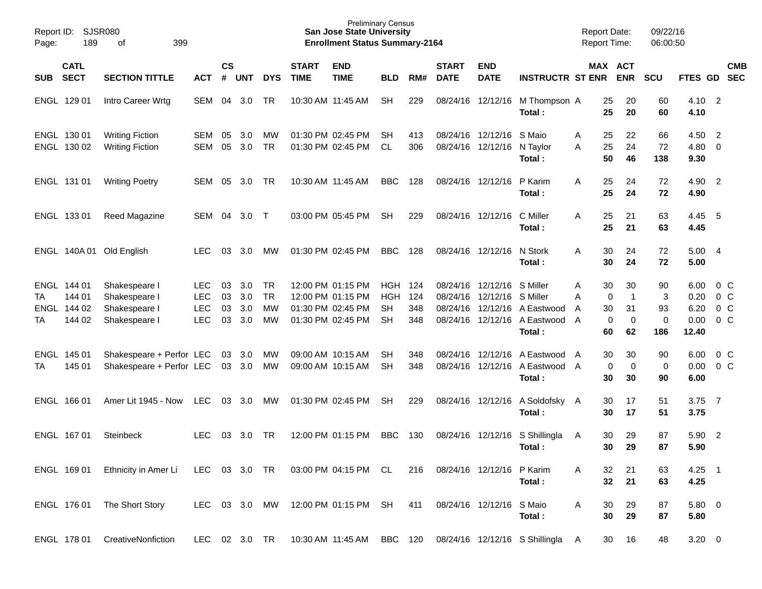| Report ID:<br>Page: |                                           |                                                                  |                                                      |                      |                                       | <b>Preliminary Census</b><br><b>San Jose State University</b><br><b>Enrollment Status Summary-2164</b> |                             |                                                                                  |                                             |                          |                                  | <b>Report Date:</b><br><b>Report Time:</b> |                                                                              | 09/22/16<br>06:00:50 |                                                                   |                                     |                                       |                                                               |            |
|---------------------|-------------------------------------------|------------------------------------------------------------------|------------------------------------------------------|----------------------|---------------------------------------|--------------------------------------------------------------------------------------------------------|-----------------------------|----------------------------------------------------------------------------------|---------------------------------------------|--------------------------|----------------------------------|--------------------------------------------|------------------------------------------------------------------------------|----------------------|-------------------------------------------------------------------|-------------------------------------|---------------------------------------|---------------------------------------------------------------|------------|
| <b>SUB</b>          | <b>CATL</b><br><b>SECT</b>                | <b>SECTION TITTLE</b>                                            | <b>ACT</b>                                           | <b>CS</b><br>#       | <b>UNT</b>                            | <b>DYS</b>                                                                                             | <b>START</b><br><b>TIME</b> | <b>END</b><br><b>TIME</b>                                                        | <b>BLD</b>                                  | RM#                      | <b>START</b><br><b>DATE</b>      | <b>END</b><br><b>DATE</b>                  | <b>INSTRUCTR ST ENR</b>                                                      |                      | MAX ACT<br><b>ENR</b>                                             | <b>SCU</b>                          | FTES GD SEC                           |                                                               | <b>CMB</b> |
|                     | ENGL 129 01                               | Intro Career Wrtg                                                | SEM                                                  | 04                   | 3.0                                   | <b>TR</b>                                                                                              |                             | 10:30 AM 11:45 AM                                                                | <b>SH</b>                                   | 229                      | 08/24/16                         | 12/12/16                                   | M Thompson A<br>Total:                                                       |                      | 25<br>20<br>25<br>20                                              | 60<br>60                            | 4.10<br>4.10                          | $\overline{\phantom{0}}^2$                                    |            |
|                     | ENGL 130 01<br>ENGL 130 02                | <b>Writing Fiction</b><br><b>Writing Fiction</b>                 | SEM<br><b>SEM</b>                                    | 05<br>05             | 3.0 <sub>2</sub><br>3.0               | МW<br><b>TR</b>                                                                                        |                             | 01:30 PM 02:45 PM<br>01:30 PM 02:45 PM                                           | SН<br>CL.                                   | 413<br>306               |                                  | 08/24/16 12/12/16<br>08/24/16 12/12/16     | S Maio<br>N Tavlor<br>Total:                                                 | A<br>A               | 25<br>22<br>24<br>25<br>50<br>46                                  | 66<br>72<br>138                     | 4.50<br>4.80<br>9.30                  | $\overline{2}$<br>$\mathbf 0$                                 |            |
|                     | ENGL 131 01                               | <b>Writing Poetry</b>                                            | SEM                                                  | 05                   | 3.0                                   | <b>TR</b>                                                                                              |                             | 10:30 AM 11:45 AM                                                                | <b>BBC</b>                                  | 128                      |                                  | 08/24/16 12/12/16                          | P Karim<br>Total:                                                            | A                    | 25<br>24<br>25<br>24                                              | 72<br>72                            | 4.90<br>4.90                          | $\overline{\phantom{0}}^2$                                    |            |
|                     | ENGL 133 01                               | Reed Magazine                                                    | SEM                                                  | 04                   | 3.0 <sub>2</sub>                      | $\top$                                                                                                 |                             | 03:00 PM 05:45 PM                                                                | SН                                          | 229                      |                                  | 08/24/16 12/12/16                          | C Miller<br>Total:                                                           | A                    | 25<br>21<br>25<br>21                                              | 63<br>63                            | 4.45<br>4.45                          | - 5                                                           |            |
|                     |                                           | ENGL 140A 01 Old English                                         | <b>LEC</b>                                           | 03                   | 3.0                                   | MW                                                                                                     |                             | 01:30 PM 02:45 PM                                                                | <b>BBC</b>                                  | 128                      |                                  | 08/24/16 12/12/16                          | N Stork<br>Total:                                                            | A                    | 30<br>24<br>30<br>24                                              | 72<br>72                            | 5.00<br>5.00                          | $\overline{4}$                                                |            |
| TA<br>ENGL<br>TA    | ENGL 144 01<br>144 01<br>144 02<br>144 02 | Shakespeare I<br>Shakespeare I<br>Shakespeare I<br>Shakespeare I | <b>LEC</b><br><b>LEC</b><br><b>LEC</b><br><b>LEC</b> | 03<br>03<br>03<br>03 | 3.0 <sub>2</sub><br>3.0<br>3.0<br>3.0 | <b>TR</b><br><b>TR</b><br>MW<br>MW                                                                     |                             | 12:00 PM 01:15 PM<br>12:00 PM 01:15 PM<br>01:30 PM 02:45 PM<br>01:30 PM 02:45 PM | HGH<br><b>HGH</b><br><b>SH</b><br><b>SH</b> | 124<br>124<br>348<br>348 | 08/24/16<br>08/24/16<br>08/24/16 | 12/12/16<br>12/12/16<br>12/12/16           | S Miller<br>S Miller<br>A Eastwood<br>08/24/16 12/12/16 A Eastwood<br>Total: | Α<br>Α<br>A<br>A     | 30<br>30<br>0<br>$\overline{1}$<br>31<br>30<br>0<br>0<br>60<br>62 | 90<br>3<br>93<br>$\mathbf 0$<br>186 | 6.00<br>0.20<br>6.20<br>0.00<br>12.40 | $0\,$ C<br>0 <sup>o</sup><br>0 <sup>o</sup><br>0 <sup>o</sup> |            |
| TA                  | ENGL 145 01<br>145 01                     | Shakespeare + Perfor LEC<br>Shakespeare + Perfor LEC             |                                                      | 03                   | 3.0<br>03 3.0                         | МW<br>МW                                                                                               |                             | 09:00 AM 10:15 AM<br>09:00 AM 10:15 AM                                           | SН<br><b>SH</b>                             | 348<br>348               | 08/24/16<br>08/24/16             | 12/12/16                                   | A Eastwood<br>12/12/16 A Eastwood A<br>Total:                                | A                    | 30<br>30<br>0<br>0<br>30<br>30                                    | 90<br>0<br>90                       | 6.00<br>0.00<br>6.00                  | $0\,$ C<br>0 <sup>o</sup>                                     |            |
|                     | ENGL 166 01                               | Amer Lit 1945 - Now                                              | <b>LEC</b>                                           | 03                   | 3.0                                   | МW                                                                                                     |                             | 01:30 PM 02:45 PM                                                                | SН                                          | 229                      |                                  | 08/24/16 12/12/16                          | A Soldofsky A<br>Total:                                                      |                      | 30<br>17<br>17<br>30                                              | 51<br>51                            | 3.75<br>3.75                          | $\overline{7}$                                                |            |
|                     | ENGL 167 01                               | Steinbeck                                                        | <b>LEC</b>                                           | 03                   | 3.0                                   | TR                                                                                                     |                             | 12:00 PM 01:15 PM                                                                | <b>BBC</b>                                  | 130                      | 08/24/16                         | 12/12/16                                   | S Shillingla<br>Total:                                                       | A                    | 30<br>29<br>29<br>30                                              | 87<br>87                            | 5.90<br>5.90                          | $\overline{\phantom{a}}$                                      |            |
|                     | ENGL 169 01                               | Ethnicity in Amer Li                                             | LEC 03 3.0 TR                                        |                      |                                       |                                                                                                        |                             | 03:00 PM 04:15 PM CL                                                             |                                             | 216                      |                                  | 08/24/16 12/12/16 P Karim                  | Total:                                                                       | A                    | 32<br>21<br>32<br>21                                              | 63<br>63                            | $4.25$ 1<br>4.25                      |                                                               |            |
|                     | ENGL 176 01                               | The Short Story                                                  | LEC 03 3.0 MW                                        |                      |                                       |                                                                                                        |                             | 12:00 PM 01:15 PM                                                                | SH                                          | 411                      |                                  | 08/24/16 12/12/16 S Maio                   | Total:                                                                       | A                    | 30<br>29<br>30<br>29                                              | 87<br>87                            | 5.80 0<br>5.80                        |                                                               |            |
|                     | ENGL 178 01                               | CreativeNonfiction                                               | LEC 02 3.0 TR                                        |                      |                                       |                                                                                                        |                             | 10:30 AM 11:45 AM                                                                | BBC 120                                     |                          |                                  |                                            | 08/24/16 12/12/16 S Shillingla A                                             |                      | 30<br>16                                                          | 48                                  | $3.20 \ 0$                            |                                                               |            |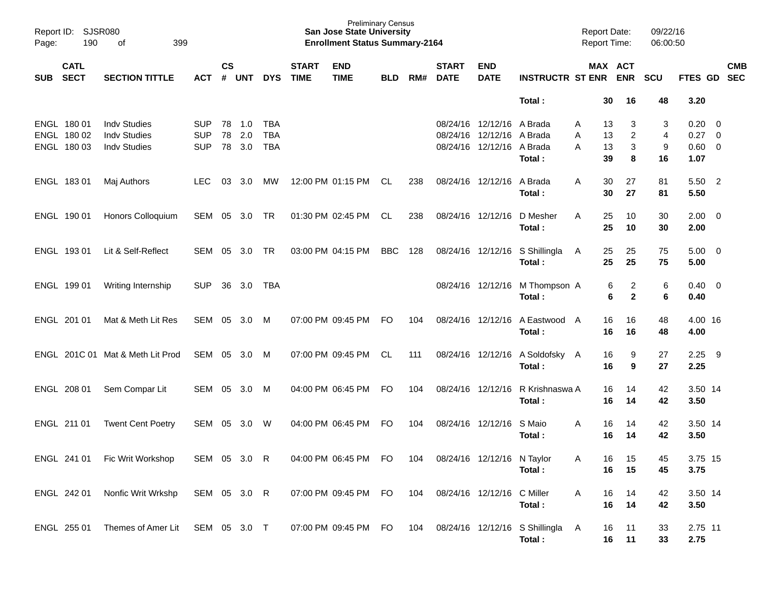| Page: | Report ID: SJSR080<br>190<br>399<br>of    |                                                                   |                                        |               |                         |                                        |                             | <b>Preliminary Census</b><br><b>San Jose State University</b><br><b>Enrollment Status Summary-2164</b> |            |     |                             |                                                                                     |                                          | <b>Report Date:</b><br>Report Time: |                                          | 09/22/16<br>06:00:50           |                                        |                                                     |            |
|-------|-------------------------------------------|-------------------------------------------------------------------|----------------------------------------|---------------|-------------------------|----------------------------------------|-----------------------------|--------------------------------------------------------------------------------------------------------|------------|-----|-----------------------------|-------------------------------------------------------------------------------------|------------------------------------------|-------------------------------------|------------------------------------------|--------------------------------|----------------------------------------|-----------------------------------------------------|------------|
| SUB   | <b>CATL</b><br><b>SECT</b>                | <b>SECTION TITTLE</b>                                             | <b>ACT</b>                             | $\mathsf{cs}$ | # UNT                   | <b>DYS</b>                             | <b>START</b><br><b>TIME</b> | <b>END</b><br><b>TIME</b>                                                                              | <b>BLD</b> | RM# | <b>START</b><br><b>DATE</b> | <b>END</b><br><b>DATE</b>                                                           | <b>INSTRUCTR ST ENR</b>                  |                                     | MAX ACT<br><b>ENR</b>                    | <b>SCU</b>                     | FTES GD SEC                            |                                                     | <b>CMB</b> |
|       |                                           |                                                                   |                                        |               |                         |                                        |                             |                                                                                                        |            |     |                             |                                                                                     | Total:                                   | 30                                  | 16                                       | 48                             | 3.20                                   |                                                     |            |
|       | ENGL 180 01<br>ENGL 180 02<br>ENGL 180 03 | <b>Indv Studies</b><br><b>Indv Studies</b><br><b>Indv Studies</b> | <b>SUP</b><br><b>SUP</b><br><b>SUP</b> | 78            | 78 1.0<br>2.0<br>78 3.0 | <b>TBA</b><br><b>TBA</b><br><b>TBA</b> |                             |                                                                                                        |            |     |                             | 08/24/16 12/12/16 A Brada<br>08/24/16 12/12/16 A Brada<br>08/24/16 12/12/16 A Brada | Total:                                   | 13<br>A<br>13<br>A<br>13<br>A<br>39 | 3<br>$\overline{c}$<br>3<br>8            | 3<br>$\overline{4}$<br>9<br>16 | 0.20<br>0.27<br>$0.60 \quad 0$<br>1.07 | $\overline{\phantom{0}}$<br>$\overline{\mathbf{0}}$ |            |
|       | ENGL 183 01                               | Maj Authors                                                       | <b>LEC</b>                             | 03            | 3.0                     | МW                                     |                             | 12:00 PM 01:15 PM                                                                                      | CL         | 238 | 08/24/16 12/12/16           |                                                                                     | A Brada<br>Total:                        | 30<br>A<br>30                       | 27<br>27                                 | 81<br>81                       | 5.50 2<br>5.50                         |                                                     |            |
|       | ENGL 190 01                               | Honors Colloquium                                                 | SEM                                    |               | 05 3.0                  | <b>TR</b>                              |                             | 01:30 PM 02:45 PM                                                                                      | CL.        | 238 | 08/24/16 12/12/16           |                                                                                     | D Mesher<br>Total:                       | 25<br>A<br>25                       | 10<br>10                                 | 30<br>30                       | $2.00 \t 0$<br>2.00                    |                                                     |            |
|       | ENGL 193 01                               | Lit & Self-Reflect                                                | <b>SEM</b>                             | 05            | 3.0                     | <b>TR</b>                              |                             | 03:00 PM 04:15 PM                                                                                      | <b>BBC</b> | 128 |                             | 08/24/16 12/12/16                                                                   | S Shillingla<br>Total:                   | 25<br>A<br>25                       | 25<br>25                                 | 75<br>75                       | $5.00 \quad 0$<br>5.00                 |                                                     |            |
|       | ENGL 199 01                               | Writing Internship                                                | <b>SUP</b>                             | 36            | 3.0                     | <b>TBA</b>                             |                             |                                                                                                        |            |     |                             | 08/24/16 12/12/16                                                                   | M Thompson A<br>Total:                   |                                     | 6<br>$\overline{c}$<br>$\mathbf{2}$<br>6 | 6<br>6                         | $0.40 \quad 0$<br>0.40                 |                                                     |            |
|       | ENGL 201 01                               | Mat & Meth Lit Res                                                | SEM                                    | 05            | 3.0                     | M                                      |                             | 07:00 PM 09:45 PM                                                                                      | <b>FO</b>  | 104 |                             | 08/24/16 12/12/16                                                                   | A Eastwood A<br>Total:                   | 16<br>16                            | 16<br>16                                 | 48<br>48                       | 4.00 16<br>4.00                        |                                                     |            |
|       |                                           | ENGL 201C 01 Mat & Meth Lit Prod                                  | SEM                                    | 05            | 3.0                     | M                                      |                             | 07:00 PM 09:45 PM                                                                                      | CL.        | 111 |                             | 08/24/16 12/12/16                                                                   | A Soldofsky A<br>Total:                  | 16<br>16                            | 9<br>9                                   | 27<br>27                       | 2.25<br>2.25                           | - 9                                                 |            |
|       | ENGL 208 01                               | Sem Compar Lit                                                    | SEM                                    | 05            | 3.0                     | M                                      |                             | 04:00 PM 06:45 PM                                                                                      | <b>FO</b>  | 104 | 08/24/16 12/12/16           |                                                                                     | R Krishnaswa A<br>Total:                 | 16<br>16                            | 14<br>14                                 | 42<br>42                       | 3.50 14<br>3.50                        |                                                     |            |
|       | ENGL 211 01                               | <b>Twent Cent Poetry</b>                                          | SEM                                    | 05            | 3.0                     | W                                      |                             | 04:00 PM 06:45 PM                                                                                      | <b>FO</b>  | 104 | 08/24/16 12/12/16           |                                                                                     | S Maio<br>Total:                         | A<br>16<br>16                       | 14<br>14                                 | 42<br>42                       | 3.50 14<br>3.50                        |                                                     |            |
|       |                                           | ENGL 241 01 Fic Writ Workshop                                     | SEM 05 3.0 R                           |               |                         |                                        |                             | 04:00 PM 06:45 PM                                                                                      | FO         | 104 |                             | 08/24/16 12/12/16 N Taylor                                                          | Total:                                   | 16<br>Α<br>16                       | 15<br>15                                 | 45<br>45                       | 3.75 15<br>3.75                        |                                                     |            |
|       | ENGL 242 01                               | Nonfic Writ Wrkshp                                                | SEM 05 3.0 R                           |               |                         |                                        |                             | 07:00 PM 09:45 PM FO                                                                                   |            | 104 | 08/24/16 12/12/16 C Miller  |                                                                                     | Total:                                   | 16<br>Α<br>16                       | 14<br>14                                 | 42<br>42                       | 3.50 14<br>3.50                        |                                                     |            |
|       | ENGL 255 01                               | Themes of Amer Lit SEM 05 3.0 T                                   |                                        |               |                         |                                        |                             | 07:00 PM 09:45 PM FO                                                                                   |            | 104 |                             |                                                                                     | 08/24/16 12/12/16 S Shillingla<br>Total: | 16<br>A<br>16                       | 11<br>$-11$                              | 33<br>33                       | 2.75 11<br>2.75                        |                                                     |            |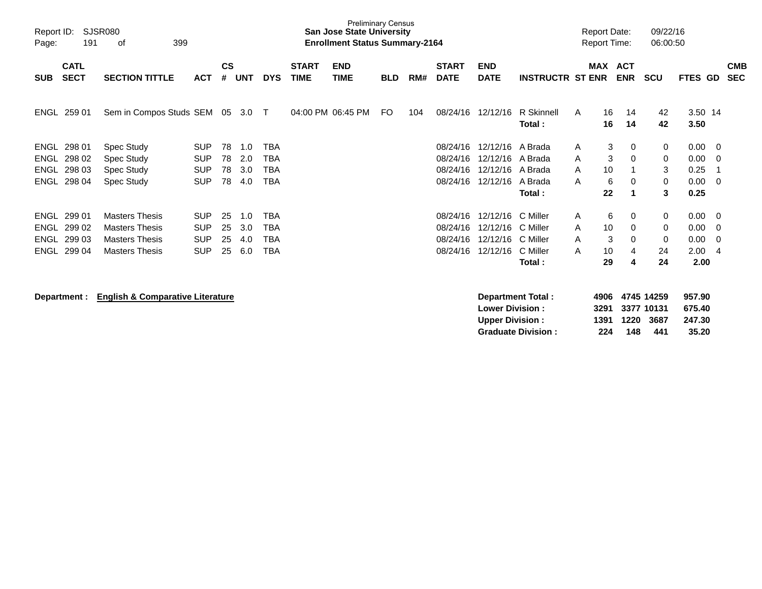| Report ID:<br>Page: | 191                        | <b>SJSR080</b><br>399<br>οf                 |            |                    |            |            |                             | <b>Preliminary Census</b><br><b>San Jose State University</b><br><b>Enrollment Status Summary-2164</b> |            |     |                             |                                                   |                          |   | <b>Report Date:</b><br><b>Report Time:</b> |                          | 09/22/16<br>06:00:50             |                            |     |                          |
|---------------------|----------------------------|---------------------------------------------|------------|--------------------|------------|------------|-----------------------------|--------------------------------------------------------------------------------------------------------|------------|-----|-----------------------------|---------------------------------------------------|--------------------------|---|--------------------------------------------|--------------------------|----------------------------------|----------------------------|-----|--------------------------|
| <b>SUB</b>          | <b>CATL</b><br><b>SECT</b> | <b>SECTION TITTLE</b>                       | <b>ACT</b> | $\mathsf{cs}$<br># | <b>UNT</b> | <b>DYS</b> | <b>START</b><br><b>TIME</b> | <b>END</b><br><b>TIME</b>                                                                              | <b>BLD</b> | RM# | <b>START</b><br><b>DATE</b> | <b>END</b><br><b>DATE</b>                         | <b>INSTRUCTR ST ENR</b>  |   | MAX                                        | <b>ACT</b><br><b>ENR</b> | <b>SCU</b>                       | FTES GD                    |     | <b>CMB</b><br><b>SEC</b> |
| <b>ENGL</b>         | 259 01                     | Sem in Compos Studs SEM 05                  |            |                    | 3.0        | $\top$     |                             | 04:00 PM 06:45 PM                                                                                      | FO         | 104 | 08/24/16                    | 12/12/16                                          | R Skinnell<br>Total:     | A | 16<br>16                                   | 14<br>14                 | 42<br>42                         | 3.50 14<br>3.50            |     |                          |
| ENGL                | 298 01                     | Spec Study                                  | <b>SUP</b> | 78                 | 1.0        | <b>TBA</b> |                             |                                                                                                        |            |     | 08/24/16                    | 12/12/16 A Brada                                  |                          | Α | 3                                          | 0                        | 0                                | 0.00                       | - 0 |                          |
| <b>ENGL</b>         | 298 02                     | Spec Study                                  | <b>SUP</b> | 78                 | 2.0        | <b>TBA</b> |                             |                                                                                                        |            |     | 08/24/16                    | 12/12/16 A Brada                                  |                          | A | 3                                          | $\mathbf 0$              | 0                                | 0.00                       | - 0 |                          |
| <b>ENGL</b>         | 298 03                     | Spec Study                                  | <b>SUP</b> | 78                 | 3.0        | <b>TBA</b> |                             |                                                                                                        |            |     | 08/24/16                    | 12/12/16 A Brada                                  |                          | A | 10                                         |                          | 3                                | 0.25                       | - 1 |                          |
| <b>ENGL</b>         | 298 04                     | Spec Study                                  | <b>SUP</b> | 78                 | 4.0        | <b>TBA</b> |                             |                                                                                                        |            |     | 08/24/16                    | 12/12/16                                          | A Brada                  | A | 6                                          | 0                        | 0                                | 0.00                       | - 0 |                          |
|                     |                            |                                             |            |                    |            |            |                             |                                                                                                        |            |     |                             |                                                   | Total:                   |   | 22                                         | 1                        | 3                                | 0.25                       |     |                          |
|                     | ENGL 299 01                | <b>Masters Thesis</b>                       | <b>SUP</b> | 25                 | 1.0        | <b>TBA</b> |                             |                                                                                                        |            |     | 08/24/16                    | 12/12/16                                          | C Miller                 | A | 6                                          | 0                        | 0                                | 0.00                       | - 0 |                          |
| ENGL                | 299 02                     | <b>Masters Thesis</b>                       | <b>SUP</b> | 25                 | 3.0        | <b>TBA</b> |                             |                                                                                                        |            |     | 08/24/16                    | 12/12/16                                          | C Miller                 | A | 10                                         | 0                        | 0                                | 0.00                       | - 0 |                          |
| <b>ENGL</b>         | 299 03                     | <b>Masters Thesis</b>                       | <b>SUP</b> | 25                 | 4.0        | <b>TBA</b> |                             |                                                                                                        |            |     | 08/24/16                    | 12/12/16                                          | C Miller                 | A | 3                                          | $\Omega$                 | 0                                | 0.00                       | - 0 |                          |
| <b>ENGL</b>         | 299 04                     | <b>Masters Thesis</b>                       | <b>SUP</b> | 25                 | 6.0        | <b>TBA</b> |                             |                                                                                                        |            |     | 08/24/16                    | 12/12/16                                          | C Miller                 | A | 10                                         | 4                        | 24                               | 2.00                       | -4  |                          |
|                     |                            |                                             |            |                    |            |            |                             |                                                                                                        |            |     |                             |                                                   | Total:                   |   | 29                                         | 4                        | 24                               | 2.00                       |     |                          |
|                     | Department :               | <b>English &amp; Comparative Literature</b> |            |                    |            |            |                             |                                                                                                        |            |     |                             | <b>Lower Division :</b><br><b>Upper Division:</b> | <b>Department Total:</b> |   | 4906<br>3291<br>1391                       | 1220                     | 4745 14259<br>3377 10131<br>3687 | 957.90<br>675.40<br>247.30 |     |                          |

**Graduate Division : 224 148 441 35.20**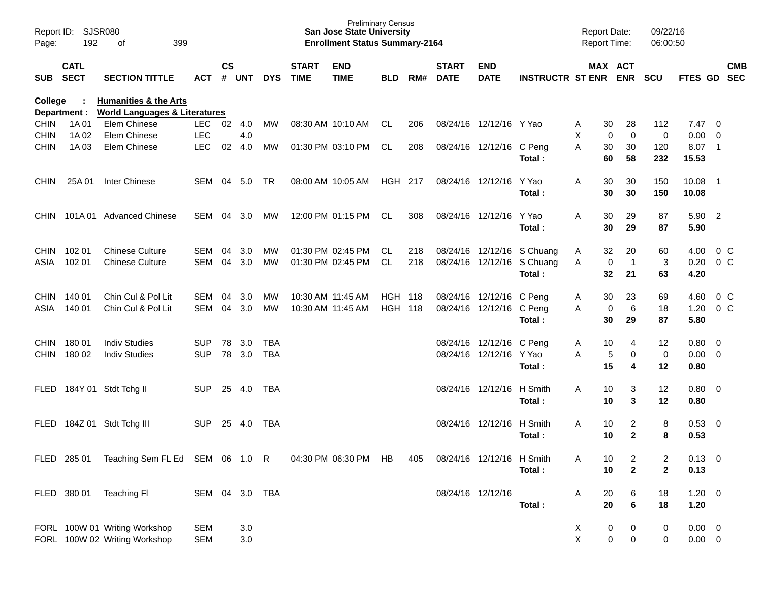| Report ID:<br>Page: | SJSR080<br>192             |                                                                              |                |           |       |            | <b>Preliminary Census</b><br><b>San Jose State University</b><br><b>Enrollment Status Summary-2164</b> |                           |            |     |                             |                           | <b>Report Date:</b><br><b>Report Time:</b> |   | 09/22/16<br>06:00:50  |              |                |                            |                          |
|---------------------|----------------------------|------------------------------------------------------------------------------|----------------|-----------|-------|------------|--------------------------------------------------------------------------------------------------------|---------------------------|------------|-----|-----------------------------|---------------------------|--------------------------------------------|---|-----------------------|--------------|----------------|----------------------------|--------------------------|
| <b>SUB</b>          | <b>CATL</b><br><b>SECT</b> | <b>SECTION TITTLE</b>                                                        | ACT            | <b>CS</b> | # UNT | <b>DYS</b> | <b>START</b><br><b>TIME</b>                                                                            | <b>END</b><br><b>TIME</b> | <b>BLD</b> | RM# | <b>START</b><br><b>DATE</b> | <b>END</b><br><b>DATE</b> | <b>INSTRUCTR ST ENR</b>                    |   | MAX ACT<br><b>ENR</b> | <b>SCU</b>   | FTES GD        |                            | <b>CMB</b><br><b>SEC</b> |
| College             | Department :               | <b>Humanities &amp; the Arts</b><br><b>World Languages &amp; Literatures</b> |                |           |       |            |                                                                                                        |                           |            |     |                             |                           |                                            |   |                       |              |                |                            |                          |
| <b>CHIN</b>         | 1A 01                      | Elem Chinese                                                                 | LEC 02 4.0     |           |       | MW         |                                                                                                        | 08:30 AM 10:10 AM         | CL         | 206 |                             | 08/24/16 12/12/16 Y Yao   |                                            | A | 30<br>28              | 112          | 7.47           | $\overline{\mathbf{0}}$    |                          |
| <b>CHIN</b>         | 1A 02                      | Elem Chinese                                                                 | <b>LEC</b>     |           | 4.0   |            |                                                                                                        |                           |            |     |                             |                           |                                            | X | $\mathbf 0$<br>0      | $\pmb{0}$    | 0.00           | $\overline{0}$             |                          |
| <b>CHIN</b>         | 1A03                       | Elem Chinese                                                                 | <b>LEC</b>     | 02        | 4.0   | MW         |                                                                                                        | 01:30 PM 03:10 PM         | CL         | 208 |                             | 08/24/16 12/12/16         | C Peng<br>Total:                           | A | 30<br>30<br>58<br>60  | 120<br>232   | 8.07<br>15.53  | $\overline{\phantom{0}}$ 1 |                          |
| <b>CHIN</b>         | 25A 01                     | Inter Chinese                                                                | SEM            | 04        | 5.0   | TR.        |                                                                                                        | 08:00 AM 10:05 AM         | HGH 217    |     |                             | 08/24/16 12/12/16         | Y Yao<br>Total:                            | A | 30<br>30<br>30<br>30  | 150<br>150   | 10.08<br>10.08 | $\overline{1}$             |                          |
| <b>CHIN</b>         |                            | 101A 01 Advanced Chinese                                                     | SEM 04         |           | 3.0   | МW         |                                                                                                        | 12:00 PM 01:15 PM         | CL         | 308 |                             | 08/24/16 12/12/16         | Y Yao<br>Total:                            | A | 30<br>29<br>29<br>30  | 87<br>87     | 5.90<br>5.90   | $\overline{2}$             |                          |
| <b>CHIN</b>         | 102 01                     | <b>Chinese Culture</b>                                                       | SEM            | 04        | 3.0   | MW         |                                                                                                        | 01:30 PM 02:45 PM         | CL         | 218 |                             | 08/24/16 12/12/16         | S Chuang                                   | A | 20<br>32              | 60           | 4.00           | $0\,C$                     |                          |
| ASIA                | 102 01                     | <b>Chinese Culture</b>                                                       | <b>SEM</b>     | 04        | 3.0   | MW         |                                                                                                        | 01:30 PM 02:45 PM         | CL.        | 218 |                             | 08/24/16 12/12/16         | S Chuang                                   | A | $\overline{1}$<br>0   | 3            | 0.20           | $0\,C$                     |                          |
|                     |                            |                                                                              |                |           |       |            |                                                                                                        |                           |            |     |                             |                           | Total:                                     |   | 32<br>21              | 63           | 4.20           |                            |                          |
| <b>CHIN</b>         | 140 01                     | Chin Cul & Pol Lit                                                           | SEM            | 04        | 3.0   | MW         |                                                                                                        | 10:30 AM 11:45 AM         | HGH        | 118 |                             | 08/24/16 12/12/16         | C Peng                                     | A | 23<br>30              | 69           | 4.60           | $0\,C$                     |                          |
| ASIA                | 140 01                     | Chin Cul & Pol Lit                                                           | SEM            | 04        | 3.0   | MW         |                                                                                                        | 10:30 AM 11:45 AM         | HGH        | 118 |                             | 08/24/16 12/12/16         | C Peng                                     | A | $\,6\,$<br>0          | 18           | 1.20           | $0\,C$                     |                          |
|                     |                            |                                                                              |                |           |       |            |                                                                                                        |                           |            |     |                             |                           | Total:                                     |   | 30<br>29              | 87           | 5.80           |                            |                          |
| <b>CHIN</b>         | 18001                      | <b>Indiv Studies</b>                                                         | <b>SUP</b>     | 78        | 3.0   | TBA        |                                                                                                        |                           |            |     |                             | 08/24/16 12/12/16         | C Peng                                     | A | 10<br>4               | 12           | 0.80           | $\overline{0}$             |                          |
| <b>CHIN</b>         | 180 02                     | <b>Indiv Studies</b>                                                         | <b>SUP</b>     | 78        | 3.0   | TBA        |                                                                                                        |                           |            |     |                             | 08/24/16 12/12/16         | Y Yao                                      | A | 5<br>0                | $\pmb{0}$    | 0.00           | $\overline{0}$             |                          |
|                     |                            |                                                                              |                |           |       |            |                                                                                                        |                           |            |     |                             |                           | Total:                                     |   | 15<br>4               | 12           | 0.80           |                            |                          |
| FLED                |                            | 184Y 01 Stdt Tchg II                                                         | <b>SUP</b>     | 25        | 4.0   | TBA        |                                                                                                        |                           |            |     |                             | 08/24/16 12/12/16         | H Smith                                    | A | 3<br>10               | 12           | 0.80           | $\overline{\mathbf{0}}$    |                          |
|                     |                            |                                                                              |                |           |       |            |                                                                                                        |                           |            |     |                             |                           | Total:                                     |   | 3<br>10               | 12           | 0.80           |                            |                          |
| FLED                |                            | 184Z 01 Stdt Tchg III                                                        | <b>SUP</b>     | 25        | 4.0   | TBA        |                                                                                                        |                           |            |     |                             | 08/24/16 12/12/16         | H Smith                                    | A | $\overline{c}$<br>10  | 8            | 0.53           | $\overline{\mathbf{0}}$    |                          |
|                     |                            |                                                                              |                |           |       |            |                                                                                                        |                           |            |     |                             |                           | Total:                                     |   | $\mathbf{2}$<br>10    | 8            | 0.53           |                            |                          |
|                     |                            |                                                                              |                |           |       |            |                                                                                                        |                           |            |     |                             |                           |                                            |   |                       |              |                |                            |                          |
|                     |                            | FLED 285 01 Teaching Sem FL Ed SEM 06 1.0 R                                  |                |           |       |            |                                                                                                        | 04:30 PM 06:30 PM HB      |            | 405 |                             | 08/24/16 12/12/16 H Smith |                                            | Α | 10<br>$\overline{c}$  | 2            | $0.13 \ 0$     |                            |                          |
|                     |                            |                                                                              |                |           |       |            |                                                                                                        |                           |            |     |                             |                           | Total:                                     |   | $\mathbf{2}$<br>10    | $\mathbf{2}$ | 0.13           |                            |                          |
|                     | FLED 380 01                | Teaching Fl                                                                  | SEM 04 3.0 TBA |           |       |            |                                                                                                        |                           |            |     |                             | 08/24/16 12/12/16         |                                            | A | 20<br>6               | 18           | $1.20 \t 0$    |                            |                          |
|                     |                            |                                                                              |                |           |       |            |                                                                                                        |                           |            |     |                             |                           | Total:                                     |   | 20<br>6               | 18           | 1.20           |                            |                          |
|                     |                            |                                                                              |                |           |       |            |                                                                                                        |                           |            |     |                             |                           |                                            |   |                       |              |                |                            |                          |
|                     |                            | FORL 100W 01 Writing Workshop                                                | <b>SEM</b>     |           | 3.0   |            |                                                                                                        |                           |            |     |                             |                           |                                            | X | $\boldsymbol{0}$<br>0 | 0            | $0.00 \t 0$    |                            |                          |
|                     |                            | FORL 100W 02 Writing Workshop                                                | <b>SEM</b>     |           | 3.0   |            |                                                                                                        |                           |            |     |                             |                           |                                            | X | 0<br>0                | 0            | $0.00 \t 0$    |                            |                          |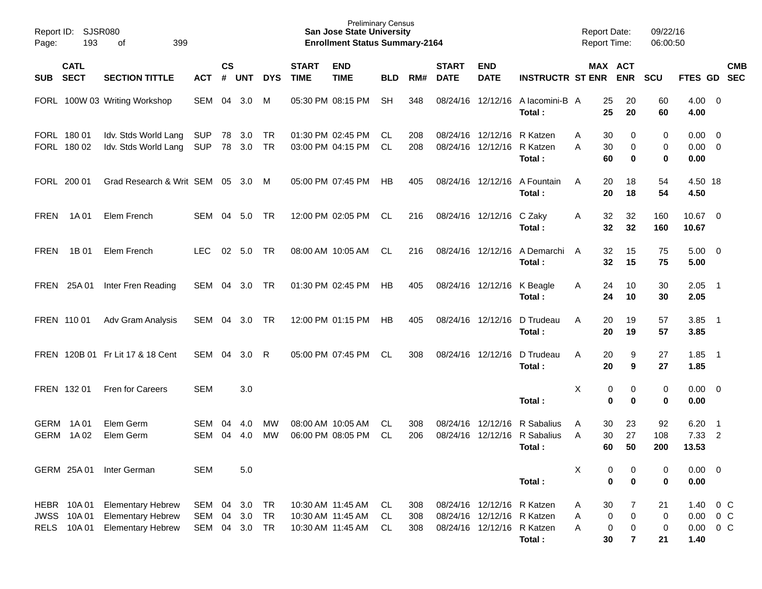| Page:                              | Report ID:<br><b>SJSR080</b><br>193<br>399<br>of |                                                                                  |                          |                    |                   |                       |                             | <b>Preliminary Census</b><br><b>San Jose State University</b><br><b>Enrollment Status Summary-2164</b> |                  |                   |                             |                                                                                        |                                             | <b>Report Date:</b><br><b>Report Time:</b> |                                                                  | 09/22/16<br>06:00:50 |                                       |                                  |            |
|------------------------------------|--------------------------------------------------|----------------------------------------------------------------------------------|--------------------------|--------------------|-------------------|-----------------------|-----------------------------|--------------------------------------------------------------------------------------------------------|------------------|-------------------|-----------------------------|----------------------------------------------------------------------------------------|---------------------------------------------|--------------------------------------------|------------------------------------------------------------------|----------------------|---------------------------------------|----------------------------------|------------|
| <b>SUB</b>                         | <b>CATL</b><br><b>SECT</b>                       | <b>SECTION TITTLE</b>                                                            | <b>ACT</b>               | $\mathsf{cs}$<br># | <b>UNT</b>        | <b>DYS</b>            | <b>START</b><br><b>TIME</b> | <b>END</b><br><b>TIME</b>                                                                              | <b>BLD</b>       | RM#               | <b>START</b><br><b>DATE</b> | <b>END</b><br><b>DATE</b>                                                              | <b>INSTRUCTR ST ENR</b>                     |                                            | MAX ACT<br><b>ENR</b>                                            | <b>SCU</b>           | FTES GD SEC                           |                                  | <b>CMB</b> |
|                                    |                                                  | FORL 100W 03 Writing Workshop                                                    | SEM                      | 04                 | 3.0               | M                     |                             | 05:30 PM 08:15 PM                                                                                      | <b>SH</b>        | 348               | 08/24/16                    | 12/12/16                                                                               | A lacomini-B A<br>Total:                    | 25<br>25                                   | 20<br>20                                                         | 60<br>60             | $4.00 \ 0$<br>4.00                    |                                  |            |
|                                    | FORL 180 01<br>FORL 180 02                       | Idv. Stds World Lang<br>Idv. Stds World Lang                                     | <b>SUP</b><br><b>SUP</b> |                    | 78 3.0<br>78 3.0  | TR<br><b>TR</b>       |                             | 01:30 PM 02:45 PM<br>03:00 PM 04:15 PM                                                                 | CL.<br><b>CL</b> | 208<br>208        |                             | 08/24/16 12/12/16 R Katzen<br>08/24/16 12/12/16 R Katzen                               | Total:                                      | 30<br>A<br>A<br>30<br>60                   | 0<br>0<br>0                                                      | 0<br>0<br>0          | $0.00 \quad 0$<br>$0.00 \t 0$<br>0.00 |                                  |            |
|                                    | FORL 200 01                                      | Grad Research & Writ SEM 05 3.0 M                                                |                          |                    |                   |                       |                             | 05:00 PM 07:45 PM                                                                                      | НB               | 405               |                             | 08/24/16 12/12/16                                                                      | A Fountain<br>Total:                        | A<br>20<br>20                              | 18<br>18                                                         | 54<br>54             | 4.50 18<br>4.50                       |                                  |            |
| <b>FREN</b>                        | 1A 01                                            | Elem French                                                                      | SEM                      | 04                 | 5.0               | <b>TR</b>             |                             | 12:00 PM 02:05 PM                                                                                      | CL.              | 216               |                             | 08/24/16 12/12/16 C Zaky                                                               | Total:                                      | 32<br>A<br>32                              | 32<br>32                                                         | 160<br>160           | 10.67 0<br>10.67                      |                                  |            |
| <b>FREN</b>                        | 1B 01                                            | Elem French                                                                      | <b>LEC</b>               | 02                 | 5.0               | <b>TR</b>             |                             | 08:00 AM 10:05 AM                                                                                      | CL               | 216               |                             | 08/24/16 12/12/16                                                                      | A Demarchi<br>Total:                        | 32<br>A<br>32                              | 15<br>15                                                         | 75<br>75             | $5.00 \t 0$<br>5.00                   |                                  |            |
| <b>FREN</b>                        | 25A 01                                           | Inter Fren Reading                                                               | SEM                      | 04                 | 3.0               | <b>TR</b>             |                             | 01:30 PM 02:45 PM                                                                                      | HB               | 405               |                             |                                                                                        | 08/24/16 12/12/16 K Beagle<br>Total:        | A<br>24                                    | 24<br>10<br>10                                                   | 30<br>30             | 2.05<br>2.05                          | $\overline{\phantom{0}}$         |            |
|                                    | FREN 110 01                                      | Adv Gram Analysis                                                                | SEM                      | 04                 | 3.0               | <b>TR</b>             |                             | 12:00 PM 01:15 PM                                                                                      | НB               | 405               |                             | 08/24/16 12/12/16                                                                      | D Trudeau<br>Total:                         | 20<br>A<br>20                              | 19<br>19                                                         | 57<br>57             | 3.85<br>3.85                          | $\overline{\phantom{0}}$         |            |
|                                    |                                                  | FREN 120B 01 Fr Lit 17 & 18 Cent                                                 | SEM                      | 04                 | 3.0               | R                     |                             | 05:00 PM 07:45 PM                                                                                      | CL.              | 308               |                             | 08/24/16 12/12/16                                                                      | D Trudeau<br>Total:                         | 20<br>A<br>20                              | 9<br>9                                                           | 27<br>27             | 1.85<br>1.85                          | $\overline{\phantom{0}}$         |            |
|                                    | FREN 132 01                                      | <b>Fren for Careers</b>                                                          | <b>SEM</b>               |                    | 3.0               |                       |                             |                                                                                                        |                  |                   |                             |                                                                                        | Total:                                      | Χ                                          | 0<br>0<br>0<br>0                                                 | 0<br>0               | $0.00 \t 0$<br>0.00                   |                                  |            |
| <b>GERM</b>                        | GERM 1A01<br>1A 02                               | Elem Germ<br>Elem Germ                                                           | SEM<br><b>SEM</b>        | 04<br>04           | 4.0<br>4.0        | МW<br>МW              |                             | 08:00 AM 10:05 AM<br>06:00 PM 08:05 PM                                                                 | CL.<br><b>CL</b> | 308<br>206        | 08/24/16<br>08/24/16        | 12/12/16                                                                               | R Sabalius<br>12/12/16 R Sabalius<br>Total: | 30<br>A<br>30<br>A<br>60                   | 23<br>27<br>50                                                   | 92<br>108<br>200     | 6.20<br>7.33<br>13.53                 | $\overline{1}$<br>$\overline{2}$ |            |
|                                    | GERM 25A 01                                      | Inter German                                                                     | <b>SEM</b>               |                    | 5.0               |                       |                             |                                                                                                        |                  |                   |                             |                                                                                        | Total:                                      | Χ                                          | 0<br>0<br>$\bf{0}$<br>0                                          | 0<br>0               | $0.00 \t 0$<br>0.00                   |                                  |            |
| HEBR<br><b>JWSS</b><br><b>RELS</b> | 10A 01<br>10A 01<br>10A 01                       | <b>Elementary Hebrew</b><br><b>Elementary Hebrew</b><br><b>Elementary Hebrew</b> | SEM<br><b>SEM</b><br>SEM | 04<br>04<br>04     | 3.0<br>3.0<br>3.0 | TR<br><b>TR</b><br>TR |                             | 10:30 AM 11:45 AM<br>10:30 AM 11:45 AM<br>10:30 AM 11:45 AM                                            | CL<br>CL.<br>CL. | 308<br>308<br>308 |                             | 08/24/16 12/12/16 R Katzen<br>08/24/16 12/12/16 R Katzen<br>08/24/16 12/12/16 R Katzen | Total:                                      | $30\,$<br>Α<br>Α<br>Α<br>30                | 7<br>$\pmb{0}$<br>0<br>0<br>$\pmb{0}$<br>$\overline{\mathbf{r}}$ | 21<br>0<br>0<br>21   | 1.40<br>$0.00 \t 0 C$<br>0.00<br>1.40 | 0 <sup>o</sup><br>$0\,C$         |            |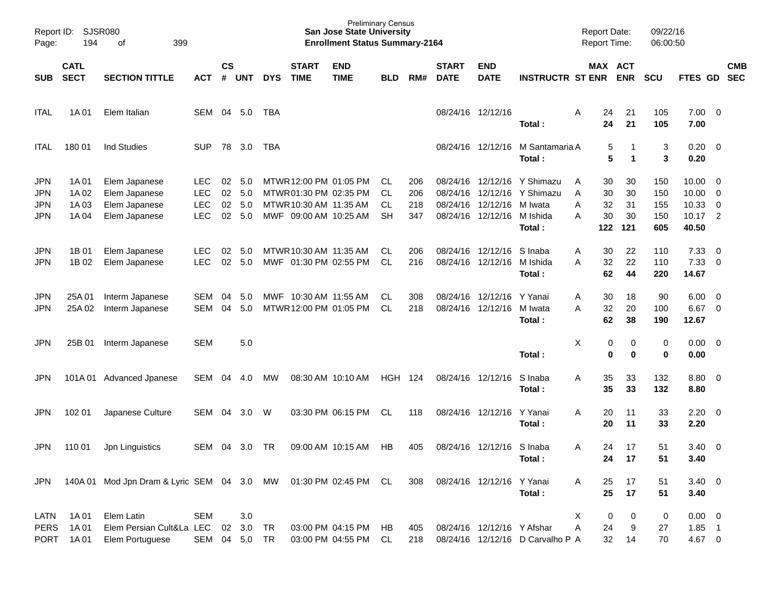| Page:                                                | Report ID: SJSR080<br>194<br>399<br>оf |                                                                  |                                                      |                      |                          |            |                                                                           | <b>Preliminary Census</b><br><b>San Jose State University</b><br><b>Enrollment Status Summary-2164</b> |                         |                          |                                  |                                           |                                                                  | <b>Report Date:</b><br><b>Report Time:</b>      |                             | 09/22/16<br>06:00:50            |                                               |                                                                                 |                          |
|------------------------------------------------------|----------------------------------------|------------------------------------------------------------------|------------------------------------------------------|----------------------|--------------------------|------------|---------------------------------------------------------------------------|--------------------------------------------------------------------------------------------------------|-------------------------|--------------------------|----------------------------------|-------------------------------------------|------------------------------------------------------------------|-------------------------------------------------|-----------------------------|---------------------------------|-----------------------------------------------|---------------------------------------------------------------------------------|--------------------------|
| <b>SUB</b>                                           | <b>CATL</b><br><b>SECT</b>             | <b>SECTION TITTLE</b>                                            | ACT                                                  | <b>CS</b><br>#       | <b>UNT</b>               | <b>DYS</b> | <b>START</b><br><b>TIME</b>                                               | <b>END</b><br><b>TIME</b>                                                                              | <b>BLD</b>              | RM#                      | <b>START</b><br><b>DATE</b>      | <b>END</b><br><b>DATE</b>                 | <b>INSTRUCTR ST ENR</b>                                          | MAX ACT                                         | <b>ENR</b>                  | <b>SCU</b>                      | <b>FTES GD</b>                                |                                                                                 | <b>CMB</b><br><b>SEC</b> |
| <b>ITAL</b>                                          | 1A 01                                  | Elem Italian                                                     | SEM                                                  | 04                   | 5.0                      | TBA        |                                                                           |                                                                                                        |                         |                          |                                  | 08/24/16 12/12/16                         | Total:                                                           | Α<br>24<br>24                                   | 21<br>21                    | 105<br>105                      | $7.00 \t 0$<br>7.00                           |                                                                                 |                          |
| <b>ITAL</b>                                          | 180 01                                 | Ind Studies                                                      | SUP                                                  | 78                   | 3.0                      | TBA        |                                                                           |                                                                                                        |                         |                          |                                  | 08/24/16 12/12/16                         | M Santamaria A<br>Total:                                         | 5<br>5                                          | $\mathbf 1$                 | 3<br>3                          | 0.20<br>0.20                                  | $\overline{\phantom{0}}$                                                        |                          |
| <b>JPN</b><br><b>JPN</b><br><b>JPN</b><br><b>JPN</b> | 1A 01<br>1A 02<br>1A 03<br>1A 04       | Elem Japanese<br>Elem Japanese<br>Elem Japanese<br>Elem Japanese | <b>LEC</b><br><b>LEC</b><br><b>LEC</b><br><b>LEC</b> | 02<br>02<br>02<br>02 | 5.0<br>5.0<br>5.0<br>5.0 |            | MTWR 01:30 PM 02:35 PM<br>MTWR 10:30 AM 11:35 AM<br>MWF 09:00 AM 10:25 AM | MTWR 12:00 PM 01:05 PM                                                                                 | CL.<br>CL.<br>CL.<br>SН | 206<br>206<br>218<br>347 | 08/24/16<br>08/24/16<br>08/24/16 | 12/12/16<br>12/12/16<br>08/24/16 12/12/16 | 12/12/16 Y Shimazu<br>Y Shimazu<br>M Iwata<br>M Ishida<br>Total: | 30<br>A<br>30<br>Α<br>32<br>Α<br>30<br>Α<br>122 | 30<br>30<br>31<br>30<br>121 | 150<br>150<br>155<br>150<br>605 | 10.00<br>10.00<br>10.33<br>$10.17$ 2<br>40.50 | $\overline{\phantom{0}}$<br>$\overline{\mathbf{0}}$<br>$\overline{\phantom{0}}$ |                          |
| <b>JPN</b><br><b>JPN</b>                             | 1B 01<br>1B 02                         | Elem Japanese<br>Elem Japanese                                   | <b>LEC</b><br><b>LEC</b>                             | 02<br>02             | 5.0<br>5.0               |            | MTWR 10:30 AM 11:35 AM<br>MWF 01:30 PM 02:55 PM                           |                                                                                                        | CL.<br>CL.              | 206<br>216               | 08/24/16<br>08/24/16             | 12/12/16<br>12/12/16                      | S Inaba<br>M Ishida<br>Total:                                    | 30<br>Α<br>32<br>Α<br>62                        | 22<br>22<br>44              | 110<br>110<br>220               | 7.33<br>7.33<br>14.67                         | $\overline{\phantom{0}}$<br>$\overline{\phantom{0}}$                            |                          |
| <b>JPN</b><br><b>JPN</b>                             | 25A01<br>25A 02                        | Interm Japanese<br>Interm Japanese                               | <b>SEM</b><br>SEM                                    | 04<br>04             | 5.0<br>5.0               |            | MWF 10:30 AM 11:55 AM<br>MTWR 12:00 PM 01:05 PM                           |                                                                                                        | CL.<br>CL.              | 308<br>218               | 08/24/16<br>08/24/16             | 12/12/16<br>12/12/16                      | Y Yanai<br>M Iwata<br>Total:                                     | 30<br>Α<br>32<br>A<br>62                        | 18<br>20<br>38              | 90<br>100<br>190                | 6.00<br>6.67<br>12.67                         | $\overline{\mathbf{0}}$<br>$\overline{0}$                                       |                          |
| <b>JPN</b>                                           | 25B 01                                 | Interm Japanese                                                  | <b>SEM</b>                                           |                      | 5.0                      |            |                                                                           |                                                                                                        |                         |                          |                                  |                                           | Total:                                                           | х<br>0<br>0                                     | 0<br>0                      | 0<br>0                          | 0.00<br>0.00                                  | $\overline{\phantom{0}}$                                                        |                          |
| JPN                                                  | 101A 01                                | Advanced Jpanese                                                 | SEM                                                  | 04                   | 4.0                      | <b>MW</b>  |                                                                           | 08:30 AM 10:10 AM                                                                                      | HGH                     | 124                      |                                  | 08/24/16 12/12/16                         | S Inaba<br>Total:                                                | 35<br>Α<br>35                                   | 33<br>33                    | 132<br>132                      | $8.80\quad 0$<br>8.80                         |                                                                                 |                          |
| <b>JPN</b>                                           | 102 01                                 | Japanese Culture                                                 | SEM                                                  | 04                   | 3.0                      | W          |                                                                           | 03:30 PM 06:15 PM                                                                                      | CL                      | 118                      |                                  | 08/24/16 12/12/16                         | Y Yanai<br>Total:                                                | 20<br>Α<br>20                                   | 11<br>11                    | 33<br>33                        | 2.20<br>2.20                                  | $\overline{\phantom{0}}$                                                        |                          |
| <b>JPN</b>                                           | 110 01                                 | Jpn Linguistics                                                  | SEM                                                  | 04                   | 3.0                      | TR         |                                                                           | 09:00 AM 10:15 AM                                                                                      | HB                      | 405                      |                                  | 08/24/16 12/12/16 S Inaba                 | Total:                                                           | Α<br>24<br>24                                   | 17<br>17                    | 51<br>51                        | 3.40<br>3.40                                  | $\overline{\mathbf{0}}$                                                         |                          |
| <b>JPN</b>                                           |                                        | 140A 01 Mod Jpn Dram & Lyric SEM 04 3.0 MW 01:30 PM 02:45 PM CL  |                                                      |                      |                          |            |                                                                           |                                                                                                        |                         | 308                      |                                  | 08/24/16 12/12/16 Y Yanai                 | Total:                                                           | 25<br>A<br>25                                   | 17<br>17                    | 51<br>51                        | $3.40 \ 0$<br>3.40                            |                                                                                 |                          |
| LATN<br><b>PERS</b><br><b>PORT</b>                   | 1A 01<br>1A 01<br>1A 01                | <b>Elem Latin</b><br>Elem Persian Cult&La LEC<br>Elem Portuguese | <b>SEM</b><br>SEM 04 5.0 TR                          | 02                   | 3.0<br>3.0               | <b>TR</b>  |                                                                           | 03:00 PM 04:15 PM<br>03:00 PM 04:55 PM                                                                 | HB<br>CL.               | 405<br>218               |                                  | 08/24/16 12/12/16 Y Afshar                | 08/24/16 12/12/16 D Carvalho P A                                 | Х<br>0<br>24<br>Α<br>32                         | 0<br>9<br>14                | 0<br>27<br>70                   | $0.00 \t 0$<br>$1.85$ 1<br>4.67 0             |                                                                                 |                          |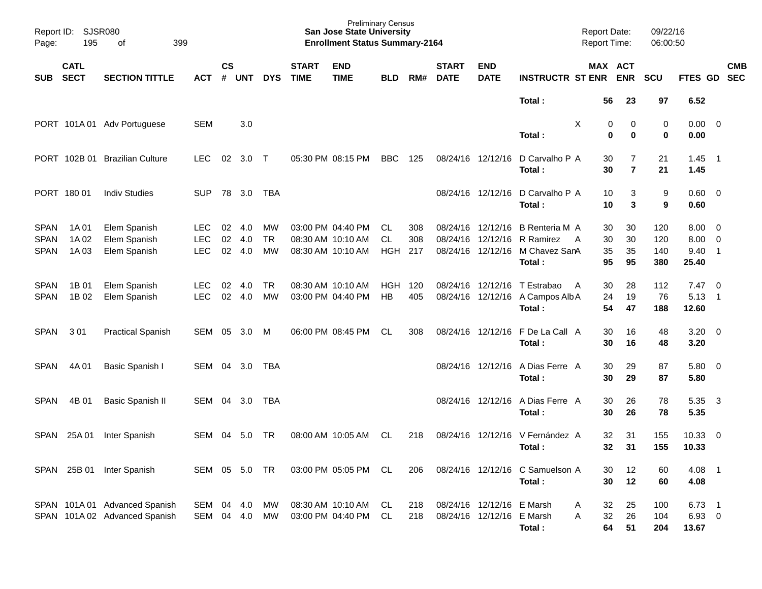| Page:                                     | Report ID:<br><b>SJSR080</b><br>195<br>399<br>оf |                                                                |                                        |                    |                   |                              |                                                             | <b>Preliminary Census</b><br><b>San Jose State University</b><br><b>Enrollment Status Summary-2164</b> |                          |                   |                                  |                                                        |                                                         | <b>Report Date:</b><br><b>Report Time:</b> |                       | 09/22/16<br>06:00:50     |                               |                                                                                  |  |
|-------------------------------------------|--------------------------------------------------|----------------------------------------------------------------|----------------------------------------|--------------------|-------------------|------------------------------|-------------------------------------------------------------|--------------------------------------------------------------------------------------------------------|--------------------------|-------------------|----------------------------------|--------------------------------------------------------|---------------------------------------------------------|--------------------------------------------|-----------------------|--------------------------|-------------------------------|----------------------------------------------------------------------------------|--|
| <b>SUB</b>                                | <b>CATL</b><br><b>SECT</b>                       | <b>SECTION TITTLE</b>                                          | ACT                                    | $\mathsf{cs}$<br># | <b>UNT</b>        | <b>DYS</b>                   | <b>START</b><br><b>TIME</b>                                 | <b>END</b><br><b>TIME</b>                                                                              | <b>BLD</b>               | RM#               | <b>START</b><br><b>DATE</b>      | <b>END</b><br><b>DATE</b>                              | <b>INSTRUCTR ST ENR</b>                                 |                                            | MAX ACT<br><b>ENR</b> | SCU                      | FTES GD                       | <b>CMB</b><br><b>SEC</b>                                                         |  |
|                                           |                                                  |                                                                |                                        |                    |                   |                              |                                                             |                                                                                                        |                          |                   |                                  |                                                        | Total:                                                  | 56                                         | 23                    | 97                       | 6.52                          |                                                                                  |  |
|                                           | PORT 101A01                                      | Adv Portuguese                                                 | <b>SEM</b>                             |                    | 3.0               |                              |                                                             |                                                                                                        |                          |                   |                                  |                                                        | Total:                                                  | X                                          | 0<br>0<br>0<br>0      | 0<br>0                   | $0.00 \t 0$<br>0.00           |                                                                                  |  |
|                                           | PORT 102B 01                                     | <b>Brazilian Culture</b>                                       | <b>LEC</b>                             | 02                 | 3.0               | Т                            | 05:30 PM 08:15 PM                                           |                                                                                                        | <b>BBC</b>               | 125               | 08/24/16 12/12/16                |                                                        | D Carvalho P A<br>Total:                                | 30<br>30                                   | 7<br>$\overline{7}$   | 21<br>21                 | 1.45<br>1.45                  | $\overline{\phantom{1}}$                                                         |  |
|                                           | PORT 180 01                                      | <b>Indiv Studies</b>                                           | <b>SUP</b>                             | 78                 | 3.0               | TBA                          |                                                             |                                                                                                        |                          |                   | 08/24/16 12/12/16                |                                                        | D Carvalho P A<br>Total :                               | 10<br>10                                   | 3<br>3                | 9<br>9                   | $0.60 \quad 0$<br>0.60        |                                                                                  |  |
| <b>SPAN</b><br><b>SPAN</b><br><b>SPAN</b> | 1A 01<br>1A 02<br>1A03                           | Elem Spanish<br>Elem Spanish<br>Elem Spanish                   | <b>LEC</b><br><b>LEC</b><br><b>LEC</b> | 02<br>02<br>02     | 4.0<br>4.0<br>4.0 | MW<br><b>TR</b><br><b>MW</b> | 03:00 PM 04:40 PM<br>08:30 AM 10:10 AM<br>08:30 AM 10:10 AM |                                                                                                        | CL.<br>CL.<br><b>HGH</b> | 308<br>308<br>217 | 08/24/16<br>08/24/16<br>08/24/16 | 12/12/16<br>12/12/16<br>12/12/16                       | B Renteria M A<br>R Ramirez<br>M Chavez SanA<br>Total : | 30<br>30<br>A<br>35<br>95                  | 30<br>30<br>35<br>95  | 120<br>120<br>140<br>380 | 8.00<br>8.00<br>9.40<br>25.40 | $\overline{\phantom{0}}$<br>$\overline{\phantom{0}}$<br>$\overline{\phantom{1}}$ |  |
| <b>SPAN</b><br><b>SPAN</b>                | 1B 01<br>1B 02                                   | Elem Spanish<br>Elem Spanish                                   | <b>LEC</b><br><b>LEC</b>               | 02<br>02           | 4.0<br>4.0        | <b>TR</b><br><b>MW</b>       | 08:30 AM 10:10 AM<br>03:00 PM 04:40 PM                      |                                                                                                        | <b>HGH</b><br>HB         | 120<br>405        | 08/24/16<br>08/24/16 12/12/16    | 12/12/16                                               | T Estrabao<br>A Campos Alb A<br>Total:                  | 30<br>A<br>24<br>54                        | 28<br>19<br>47        | 112<br>76<br>188         | 7.47<br>5.13<br>12.60         | $\overline{\mathbf{0}}$<br>- 1                                                   |  |
| <b>SPAN</b>                               | 301                                              | <b>Practical Spanish</b>                                       | SEM                                    | 05                 | 3.0               | M                            | 06:00 PM 08:45 PM                                           |                                                                                                        | <b>CL</b>                | 308               |                                  | 08/24/16 12/12/16                                      | F De La Call A<br>Total:                                | 30<br>30                                   | 16<br>16              | 48<br>48                 | $3.20 \ 0$<br>3.20            |                                                                                  |  |
| <b>SPAN</b>                               | 4A 01                                            | Basic Spanish I                                                | SEM                                    | 04                 | 3.0               | TBA                          |                                                             |                                                                                                        |                          |                   |                                  | 08/24/16 12/12/16                                      | A Dias Ferre A<br>Total:                                | 30<br>30                                   | 29<br>29              | 87<br>87                 | 5.80 0<br>5.80                |                                                                                  |  |
| <b>SPAN</b>                               | 4B 01                                            | Basic Spanish II                                               | SEM                                    | 04                 | 3.0               | TBA                          |                                                             |                                                                                                        |                          |                   |                                  | 08/24/16 12/12/16                                      | A Dias Ferre A<br>Total:                                | 30<br>30                                   | 26<br>26              | 78<br>78                 | 5.35<br>5.35                  | $\overline{\mathbf{3}}$                                                          |  |
| SPAN                                      | 25A 01                                           | Inter Spanish                                                  | SEM                                    | 04                 | 5.0               | TR                           | 08:00 AM 10:05 AM                                           |                                                                                                        | <b>CL</b>                | 218               | 08/24/16                         |                                                        | 12/12/16 V Fernández A<br>Total:                        | 32<br>32                                   | 31<br>31              | 155<br>155               | 10.33<br>10.33                | $\overline{\mathbf{0}}$                                                          |  |
|                                           |                                                  | SPAN 25B 01 Inter Spanish                                      | SEM 05 5.0 TR                          |                    |                   |                              |                                                             | 03:00 PM 05:05 PM CL                                                                                   |                          | 206               |                                  |                                                        | 08/24/16 12/12/16 C Samuelson A<br>Total:               | 30<br>30                                   | 12<br>12              | 60<br>60                 | 4.08 1<br>4.08                |                                                                                  |  |
|                                           |                                                  | SPAN 101A 01 Advanced Spanish<br>SPAN 101A 02 Advanced Spanish | SEM 04 4.0<br>SEM 04 4.0               |                    |                   | MW<br>МW                     | 03:00 PM 04:40 PM                                           | 08:30 AM 10:10 AM                                                                                      | CL<br>CL                 | 218<br>218        |                                  | 08/24/16 12/12/16 E Marsh<br>08/24/16 12/12/16 E Marsh | Total:                                                  | 32<br>A<br>32<br>Α<br>64                   | 25<br>26<br>51        | 100<br>104<br>204        | $6.73$ 1<br>6.93 0<br>13.67   |                                                                                  |  |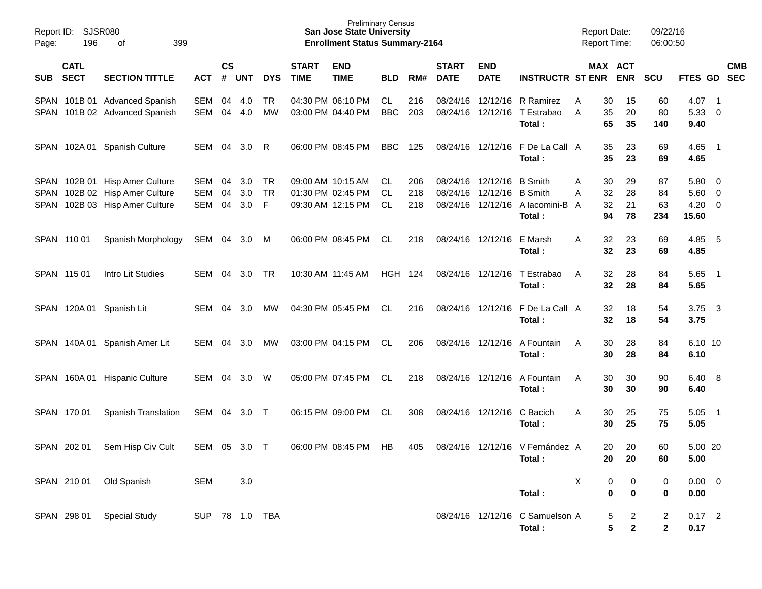| Report ID:<br>Page: | <b>SJSR080</b><br>196      |                                                                                                    |                   |                |                   |                      | <b>Preliminary Census</b><br><b>San Jose State University</b><br><b>Enrollment Status Summary-2164</b> |                                                             |                  |                   |                             |                                                | <b>Report Date:</b><br><b>Report Time:</b>          |                                     | 09/22/16<br>06:00:50                     |                                |                                           |                          |            |
|---------------------|----------------------------|----------------------------------------------------------------------------------------------------|-------------------|----------------|-------------------|----------------------|--------------------------------------------------------------------------------------------------------|-------------------------------------------------------------|------------------|-------------------|-----------------------------|------------------------------------------------|-----------------------------------------------------|-------------------------------------|------------------------------------------|--------------------------------|-------------------------------------------|--------------------------|------------|
| <b>SUB</b>          | <b>CATL</b><br><b>SECT</b> | <b>SECTION TITTLE</b>                                                                              | <b>ACT</b>        | <b>CS</b><br># | UNT               | <b>DYS</b>           | <b>START</b><br><b>TIME</b>                                                                            | <b>END</b><br><b>TIME</b>                                   | <b>BLD</b>       | RM#               | <b>START</b><br><b>DATE</b> | <b>END</b><br><b>DATE</b>                      | <b>INSTRUCTR ST ENR</b>                             |                                     | MAX ACT<br><b>ENR</b>                    | <b>SCU</b>                     | FTES GD SEC                               |                          | <b>CMB</b> |
|                     |                            | SPAN 101B 01 Advanced Spanish<br>SPAN 101B 02 Advanced Spanish                                     | SEM<br>SEM        | 04<br>04       | 4.0<br>4.0        | <b>TR</b><br>MW      |                                                                                                        | 04:30 PM 06:10 PM<br>03:00 PM 04:40 PM                      | CL<br><b>BBC</b> | 216<br>203        | 08/24/16                    | 08/24/16 12/12/16                              | 12/12/16 R Ramirez<br>T Estrabao<br>Total:          | 30<br>Α<br>35<br>A<br>65            | 15<br>20<br>35                           | 60<br>80<br>140                | 4.07<br>5.33 0<br>9.40                    | $\overline{\phantom{0}}$ |            |
|                     |                            | SPAN 102A 01 Spanish Culture                                                                       | SEM 04            |                | 3.0               | R                    |                                                                                                        | 06:00 PM 08:45 PM                                           | BBC              | 125               |                             |                                                | 08/24/16 12/12/16 F De La Call A<br>Total:          | 35<br>35                            | 23<br>23                                 | 69<br>69                       | $4.65$ 1<br>4.65                          |                          |            |
|                     |                            | SPAN 102B 01 Hisp Amer Culture<br>SPAN 102B 02 Hisp Amer Culture<br>SPAN 102B 03 Hisp Amer Culture | SEM<br>SEM<br>SEM | 04<br>04<br>04 | 3.0<br>3.0<br>3.0 | TR<br><b>TR</b><br>F |                                                                                                        | 09:00 AM 10:15 AM<br>01:30 PM 02:45 PM<br>09:30 AM 12:15 PM | CL.<br>CL.<br>CL | 206<br>218<br>218 |                             | 08/24/16 12/12/16<br>08/24/16 12/12/16 B Smith | B Smith<br>08/24/16 12/12/16 A lacomini-B<br>Total: | 30<br>Α<br>32<br>A<br>32<br>A<br>94 | 29<br>28<br>21<br>78                     | 87<br>84<br>63<br>234          | 5.80 0<br>$5.60$ 0<br>$4.20 \ 0$<br>15.60 |                          |            |
|                     | SPAN 110 01                | Spanish Morphology                                                                                 | SEM 04            |                | 3.0 M             |                      |                                                                                                        | 06:00 PM 08:45 PM                                           | CL               | 218               |                             | 08/24/16 12/12/16                              | E Marsh<br>Total:                                   | 32<br>A<br>32                       | 23<br>23                                 | 69<br>69                       | 4.85<br>4.85                              | $-5$                     |            |
|                     | SPAN 115 01                | Intro Lit Studies                                                                                  | SEM               | 04             | 3.0               | TR                   |                                                                                                        | 10:30 AM 11:45 AM                                           | HGH 124          |                   |                             | 08/24/16 12/12/16                              | T Estrabao<br>Total:                                | 32<br>A<br>32                       | 28<br>28                                 | 84<br>84                       | 5.65<br>5.65                              | $\overline{\phantom{1}}$ |            |
|                     |                            | SPAN 120A 01 Spanish Lit                                                                           | SEM               | 04             | 3.0               | МW                   |                                                                                                        | 04:30 PM 05:45 PM                                           | CL               | 216               |                             | 08/24/16 12/12/16                              | F De La Call A<br>Total:                            | 32<br>32                            | 18<br>18                                 | 54<br>54                       | 3.75<br>3.75                              | $\overline{\mathbf{3}}$  |            |
|                     |                            | SPAN 140A 01 Spanish Amer Lit                                                                      | SEM               | 04             | 3.0               | MW                   |                                                                                                        | 03:00 PM 04:15 PM                                           | CL               | 206               |                             | 08/24/16 12/12/16                              | A Fountain<br>Total:                                | 30<br>A<br>30                       | 28<br>28                                 | 84<br>84                       | 6.10 10<br>6.10                           |                          |            |
|                     |                            | SPAN 160A 01 Hispanic Culture                                                                      | SEM               | 04             | 3.0               | W                    |                                                                                                        | 05:00 PM 07:45 PM                                           | CL               | 218               |                             | 08/24/16 12/12/16                              | A Fountain<br>Total:                                | 30<br>Α<br>30                       | 30<br>30                                 | 90<br>90                       | 6.40 8<br>6.40                            |                          |            |
|                     | SPAN 170 01                | Spanish Translation                                                                                | SEM 04            |                | 3.0               | $\top$               |                                                                                                        | 06:15 PM 09:00 PM                                           | CL               | 308               |                             | 08/24/16 12/12/16                              | C Bacich<br>Total:                                  | 30<br>Α<br>30                       | 25<br>25                                 | 75<br>75                       | 5.05<br>5.05                              | $\overline{\phantom{1}}$ |            |
|                     | SPAN 202 01                | Sem Hisp Civ Cult                                                                                  | SEM 05 3.0        |                |                   | $\top$               |                                                                                                        | 06:00 PM 08:45 PM                                           | HB               | 405               |                             |                                                | 08/24/16 12/12/16 V Fernández A<br>Total:           | 20<br>20                            | 20<br>20                                 | 60<br>60                       | 5.00 20<br>5.00                           |                          |            |
|                     |                            | SPAN 210 01 Old Spanish                                                                            | <b>SEM</b>        |                | 3.0               |                      |                                                                                                        |                                                             |                  |                   |                             |                                                | Total:                                              | X                                   | 0<br>0<br>$\bf{0}$<br>0                  | 0<br>0                         | $0.00 \t 0$<br>0.00                       |                          |            |
|                     | SPAN 298 01                | <b>Special Study</b>                                                                               | SUP 78 1.0 TBA    |                |                   |                      |                                                                                                        |                                                             |                  |                   |                             |                                                | 08/24/16 12/12/16 C Samuelson A<br>Total:           |                                     | $\overline{c}$<br>5<br>5<br>$\mathbf{2}$ | $\overline{a}$<br>$\mathbf{2}$ | $0.17$ 2<br>0.17                          |                          |            |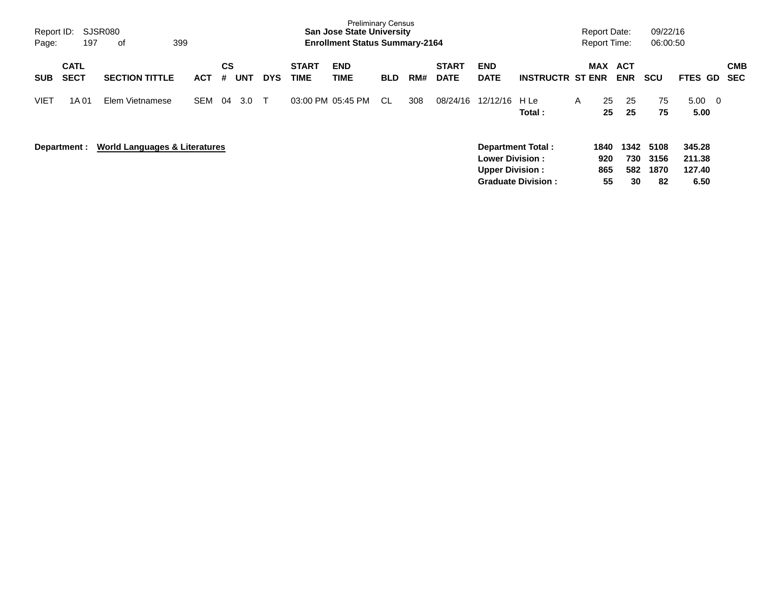| Report ID:<br>Page: | 197                        | SJSR080<br>399<br>of                     |            |                |            |              |                             | <b>Preliminary Census</b><br><b>San Jose State University</b><br><b>Enrollment Status Summary-2164</b> |            |     |                             |                                                  |                                                       |   | <b>Report Date:</b><br><b>Report Time:</b> |                          | 09/22/16<br>06:00:50       |                                         |                          |
|---------------------|----------------------------|------------------------------------------|------------|----------------|------------|--------------|-----------------------------|--------------------------------------------------------------------------------------------------------|------------|-----|-----------------------------|--------------------------------------------------|-------------------------------------------------------|---|--------------------------------------------|--------------------------|----------------------------|-----------------------------------------|--------------------------|
| <b>SUB</b>          | <b>CATL</b><br><b>SECT</b> | <b>SECTION TITTLE</b>                    | <b>ACT</b> | <b>CS</b><br># | <b>UNT</b> | <b>DYS</b>   | <b>START</b><br><b>TIME</b> | <b>END</b><br>TIME                                                                                     | <b>BLD</b> | RM# | <b>START</b><br><b>DATE</b> | <b>END</b><br><b>DATE</b>                        | <b>INSTRUCTR ST ENR</b>                               |   | <b>MAX</b>                                 | <b>ACT</b><br><b>ENR</b> | <b>SCU</b>                 | FTES GD                                 | <b>CMB</b><br><b>SEC</b> |
| <b>VIET</b>         | 1A 01                      | Elem Vietnamese                          | <b>SEM</b> | 04             | 3.0        | $\mathsf{T}$ |                             | 03:00 PM 05:45 PM                                                                                      | CL.        | 308 | 08/24/16                    | 12/12/16                                         | H Le<br>Total:                                        | A | 25<br>25                                   | 25<br>25                 | 75<br>75                   | 5.00<br>$\overline{\mathbf{0}}$<br>5.00 |                          |
|                     | Department :               | <b>World Languages &amp; Literatures</b> |            |                |            |              |                             |                                                                                                        |            |     |                             | <b>Lower Division:</b><br><b>Upper Division:</b> | <b>Department Total:</b><br><b>Graduate Division:</b> |   | 1840<br>920<br>865<br>55                   | 1342<br>730<br>582<br>30 | 5108<br>3156<br>1870<br>82 | 345.28<br>211.38<br>127.40<br>6.50      |                          |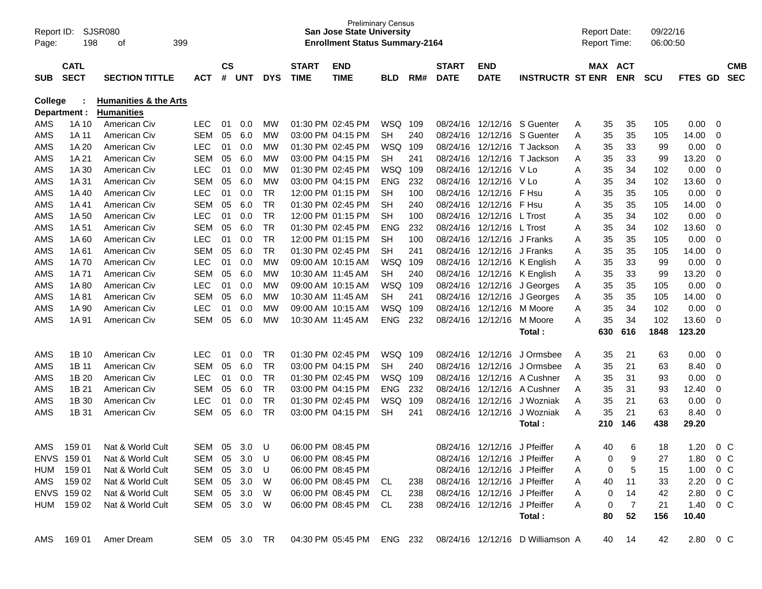| Report ID:<br>Page: | 198                        | SJSR080<br>399<br>οf             |               |                    |     |            |                             | <b>Preliminary Census</b><br><b>San Jose State University</b><br><b>Enrollment Status Summary-2164</b> |            |     |                             |                              |                                                            | <b>Report Date:</b><br><b>Report Time:</b> |     |                       | 09/22/16<br>06:00:50 |             |         |                          |
|---------------------|----------------------------|----------------------------------|---------------|--------------------|-----|------------|-----------------------------|--------------------------------------------------------------------------------------------------------|------------|-----|-----------------------------|------------------------------|------------------------------------------------------------|--------------------------------------------|-----|-----------------------|----------------------|-------------|---------|--------------------------|
| <b>SUB</b>          | <b>CATL</b><br><b>SECT</b> | <b>SECTION TITTLE</b>            | ACT           | $\mathsf{cs}$<br># | UNT | <b>DYS</b> | <b>START</b><br><b>TIME</b> | <b>END</b><br><b>TIME</b>                                                                              | <b>BLD</b> | RM# | <b>START</b><br><b>DATE</b> | <b>END</b><br><b>DATE</b>    | <b>INSTRUCTR ST ENR</b>                                    |                                            |     | MAX ACT<br><b>ENR</b> | <b>SCU</b>           | <b>FTES</b> | GD.     | <b>CMB</b><br><b>SEC</b> |
| <b>College</b>      |                            | <b>Humanities &amp; the Arts</b> |               |                    |     |            |                             |                                                                                                        |            |     |                             |                              |                                                            |                                            |     |                       |                      |             |         |                          |
|                     | Department :               | <b>Humanities</b>                |               |                    |     |            |                             |                                                                                                        |            |     |                             |                              |                                                            |                                            |     |                       |                      |             |         |                          |
| AMS                 | 1A 10                      | American Civ                     | <b>LEC</b>    | 01                 | 0.0 | МW         |                             | 01:30 PM 02:45 PM                                                                                      | WSQ        | 109 | 08/24/16                    | 12/12/16                     | S Guenter                                                  | Α                                          | 35  | 35                    | 105                  | 0.00        | 0       |                          |
| AMS                 | 1A 11                      | American Civ                     | <b>SEM</b>    | 05                 | 6.0 | МW         |                             | 03:00 PM 04:15 PM                                                                                      | <b>SH</b>  | 240 | 08/24/16                    | 12/12/16                     | S Guenter                                                  | A                                          | 35  | 35                    | 105                  | 14.00       | 0       |                          |
| AMS                 | 1A 20                      | American Civ                     | <b>LEC</b>    | 01                 | 0.0 | МW         |                             | 01:30 PM 02:45 PM                                                                                      | <b>WSQ</b> | 109 | 08/24/16                    | 12/12/16                     | T Jackson                                                  | Α                                          | 35  | 33                    | 99                   | 0.00        | 0       |                          |
| AMS                 | 1A 21                      | American Civ                     | SEM           | 05                 | 6.0 | МW         |                             | 03:00 PM 04:15 PM                                                                                      | SН         | 241 | 08/24/16                    |                              | 12/12/16 T Jackson                                         | Α                                          | 35  | 33                    | 99                   | 13.20       | 0       |                          |
| AMS                 | 1A 30                      | American Civ                     | <b>LEC</b>    | 01                 | 0.0 | МW         |                             | 01:30 PM 02:45 PM                                                                                      | <b>WSQ</b> | 109 | 08/24/16                    | 12/12/16 V Lo                |                                                            | A                                          | 35  | 34                    | 102                  | 0.00        | 0       |                          |
| AMS                 | 1A 31                      | American Civ                     | <b>SEM</b>    | 05                 | 6.0 | МW         |                             | 03:00 PM 04:15 PM                                                                                      | <b>ENG</b> | 232 | 08/24/16                    | 12/12/16                     | V Lo                                                       | Α                                          | 35  | 34                    | 102                  | 13.60       | 0       |                          |
| AMS                 | 1A 40                      | American Civ                     | <b>LEC</b>    | 01                 | 0.0 | TR         |                             | 12:00 PM 01:15 PM                                                                                      | SН         | 100 | 08/24/16                    | 12/12/16                     | F Hsu                                                      | Α                                          | 35  | 35                    | 105                  | 0.00        | 0       |                          |
| AMS                 | 1A 41                      | American Civ                     | SEM           | 05                 | 6.0 | <b>TR</b>  |                             | 01:30 PM 02:45 PM                                                                                      | SН         | 240 | 08/24/16                    | 12/12/16                     | F Hsu                                                      | Α                                          | 35  | 35                    | 105                  | 14.00       | 0       |                          |
| AMS                 | 1A 50                      | American Civ                     | <b>LEC</b>    | 01                 | 0.0 | <b>TR</b>  |                             | 12:00 PM 01:15 PM                                                                                      | SН         | 100 | 08/24/16                    | 12/12/16                     | L Trost                                                    | Α                                          | 35  | 34                    | 102                  | 0.00        | 0       |                          |
| AMS                 | 1A 51                      | American Civ                     | SEM           | 05                 | 6.0 | <b>TR</b>  |                             | 01:30 PM 02:45 PM                                                                                      | <b>ENG</b> | 232 | 08/24/16                    | 12/12/16 L Trost             |                                                            | Α                                          | 35  | 34                    | 102                  | 13.60       | 0       |                          |
| AMS                 | 1A60                       | American Civ                     | <b>LEC</b>    | 01                 | 0.0 | <b>TR</b>  |                             | 12:00 PM 01:15 PM                                                                                      | SН         | 100 | 08/24/16                    | 12/12/16                     | J Franks                                                   | Α                                          | 35  | 35                    | 105                  | 0.00        | 0       |                          |
| AMS                 | 1A 61                      | American Civ                     | SEM           | 05                 | 6.0 | <b>TR</b>  |                             | 01:30 PM 02:45 PM                                                                                      | SН         | 241 | 08/24/16                    | 12/12/16 J Franks            |                                                            | Α                                          | 35  | 35                    | 105                  | 14.00       | 0       |                          |
| AMS                 | 1A 70                      | American Civ                     | <b>LEC</b>    | 01                 | 0.0 | МW         | 09:00 AM 10:15 AM           |                                                                                                        | <b>WSQ</b> | 109 | 08/24/16                    |                              | 12/12/16 K English                                         | A                                          | 35  | 33                    | 99                   | 0.00        | 0       |                          |
| AMS                 | 1A 71                      | American Civ                     | SEM           | 05                 | 6.0 | МW         |                             | 10:30 AM 11:45 AM                                                                                      | <b>SH</b>  | 240 | 08/24/16                    |                              | 12/12/16 K English                                         | A                                          | 35  | 33                    | 99                   | 13.20       | 0       |                          |
| AMS                 | 1A 80                      | American Civ                     | <b>LEC</b>    | 01                 | 0.0 | МW         | 09:00 AM 10:15 AM           |                                                                                                        | <b>WSQ</b> | 109 | 08/24/16                    | 12/12/16                     | J Georges                                                  | A                                          | 35  | 35                    | 105                  | 0.00        | 0       |                          |
| AMS                 | 1A 81                      | American Civ                     | SEM           | 05                 | 6.0 | МW         |                             | 10:30 AM 11:45 AM                                                                                      | <b>SH</b>  | 241 | 08/24/16                    | 12/12/16                     | J Georges                                                  | A                                          | 35  | 35                    | 105                  | 14.00       | 0       |                          |
| AMS                 | 1A 90                      | American Civ                     | <b>LEC</b>    | 01                 | 0.0 | МW         | 09:00 AM 10:15 AM           |                                                                                                        | <b>WSQ</b> | 109 | 08/24/16                    | 12/12/16                     | M Moore                                                    | A                                          | 35  | 34                    | 102                  | 0.00        | 0       |                          |
| AMS                 | 1A 91                      | American Civ                     | SEM           | 05                 | 6.0 | МW         | 10:30 AM 11:45 AM           |                                                                                                        | <b>ENG</b> | 232 | 08/24/16                    | 12/12/16                     | M Moore                                                    | A                                          | 35  | 34                    | 102                  | 13.60       | 0       |                          |
|                     |                            |                                  |               |                    |     |            |                             |                                                                                                        |            |     |                             |                              | Total :                                                    |                                            | 630 | 616                   | 1848                 | 123.20      |         |                          |
| AMS                 | 1B 10                      | American Civ                     | <b>LEC</b>    | 01                 | 0.0 | TR         |                             | 01:30 PM 02:45 PM                                                                                      | WSQ        | 109 | 08/24/16                    | 12/12/16                     | J Ormsbee                                                  | A                                          | 35  | 21                    | 63                   | 0.00        | 0       |                          |
| AMS                 | 1B 11                      | American Civ                     | SEM           | 05                 | 6.0 | TR         |                             | 03:00 PM 04:15 PM                                                                                      | SН         | 240 | 08/24/16                    | 12/12/16                     | J Ormsbee                                                  | A                                          | 35  | 21                    | 63                   | 8.40        | 0       |                          |
| AMS                 | 1B 20                      | American Civ                     | <b>LEC</b>    | 01                 | 0.0 | <b>TR</b>  |                             | 01:30 PM 02:45 PM                                                                                      | <b>WSQ</b> | 109 | 08/24/16                    | 12/12/16                     | A Cushner                                                  | A                                          | 35  | 31                    | 93                   | 0.00        | 0       |                          |
| AMS                 | 1B 21                      | American Civ                     | SEM           | 05                 | 6.0 | <b>TR</b>  |                             | 03:00 PM 04:15 PM                                                                                      | <b>ENG</b> | 232 | 08/24/16                    | 12/12/16                     | A Cushner                                                  | A                                          | 35  | 31                    | 93                   | 12.40       | 0       |                          |
| AMS                 | 1B 30                      | American Civ                     | <b>LEC</b>    | 01                 | 0.0 | TR         |                             | 01:30 PM 02:45 PM                                                                                      | <b>WSQ</b> | 109 | 08/24/16                    | 12/12/16                     | J Wozniak                                                  | A                                          | 35  | 21                    | 63                   | 0.00        | 0       |                          |
| AMS                 | 1B 31                      | American Civ                     | SEM           | 05                 | 6.0 | <b>TR</b>  |                             | 03:00 PM 04:15 PM                                                                                      | <b>SH</b>  | 241 | 08/24/16                    | 12/12/16                     | J Wozniak                                                  | A                                          | 35  | 21                    | 63                   | 8.40        | 0       |                          |
|                     |                            |                                  |               |                    |     |            |                             |                                                                                                        |            |     |                             |                              | Total :                                                    |                                            | 210 | 146                   | 438                  | 29.20       |         |                          |
| AMS                 | 159 01                     | Nat & World Cult                 | SEM           | 05                 | 3.0 | U          |                             | 06:00 PM 08:45 PM                                                                                      |            |     |                             | 08/24/16 12/12/16            | J Pfeiffer                                                 | A                                          | 40  | 6                     | 18                   | 1.20        | $0\,C$  |                          |
|                     | ENVS 159 01                | Nat & World Cult                 | SEM 05 3.0    |                    |     | - U        |                             | 06:00 PM 08:45 PM                                                                                      |            |     |                             | 08/24/16 12/12/16 J Pfeiffer |                                                            | Α                                          | 0   | 9                     | 27                   | 1.80        | $0\,$ C |                          |
|                     | HUM 159 01                 | Nat & World Cult                 | SEM           | 05                 | 3.0 | U          |                             | 06:00 PM 08:45 PM                                                                                      |            |     |                             | 08/24/16 12/12/16 J Pfeiffer |                                                            | A                                          | 0   | 5                     | 15                   | 1.00        | $0\,$ C |                          |
|                     | AMS 159 02                 | Nat & World Cult                 | SEM 05 3.0    |                    |     | W          |                             | 06:00 PM 08:45 PM CL                                                                                   |            | 238 |                             | 08/24/16 12/12/16 J Pfeiffer |                                                            | A                                          | 40  | 11                    | 33                   | 2.20        | $0\,$ C |                          |
|                     | ENVS 159 02                | Nat & World Cult                 | SEM 05        |                    | 3.0 | W          |                             | 06:00 PM 08:45 PM CL                                                                                   |            | 238 |                             | 08/24/16 12/12/16 J Pfeiffer |                                                            | A                                          | 0   | 14                    | 42                   | 2.80 0 C    |         |                          |
|                     | HUM 159 02                 | Nat & World Cult                 | SEM 05 3.0    |                    |     | - W        |                             | 06:00 PM 08:45 PM CL                                                                                   |            | 238 |                             | 08/24/16 12/12/16 J Pfeiffer |                                                            | A                                          | 0   | $\overline{7}$        | 21                   | 1.40        | $0\,$ C |                          |
|                     |                            |                                  |               |                    |     |            |                             |                                                                                                        |            |     |                             |                              | Total:                                                     |                                            | 80  | 52                    | 156                  | 10.40       |         |                          |
|                     | AMS 169 01                 | Amer Dream                       | SEM 05 3.0 TR |                    |     |            |                             |                                                                                                        |            |     |                             |                              | 04:30 PM 05:45 PM ENG 232 08/24/16 12/12/16 D Williamson A |                                            |     | 40 14                 | 42                   | 2.80 0 C    |         |                          |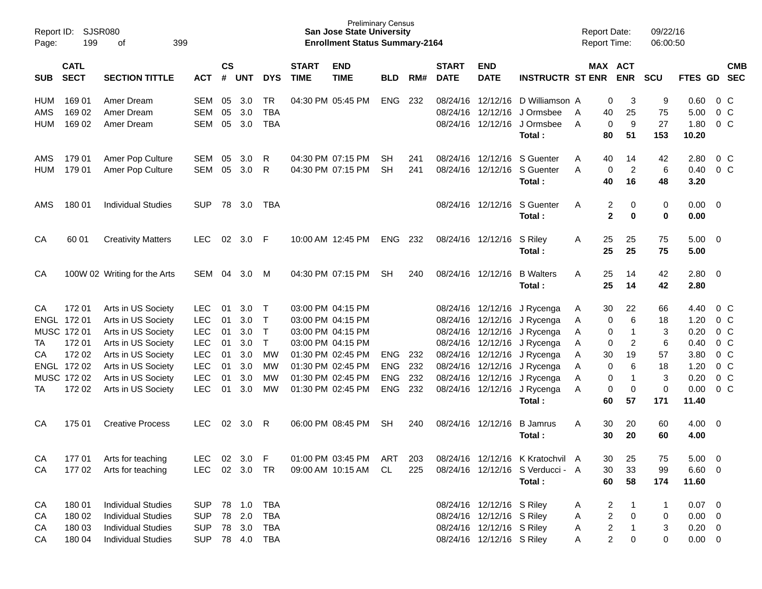| Report ID:<br>Page:             | 199                        | SJSR080<br>399<br>of                   |                                 |                |                   |                                |                             | <b>Preliminary Census</b><br><b>San Jose State University</b><br><b>Enrollment Status Summary-2164</b> |                 |            |                             |                           |                                                                               | <b>Report Date:</b><br><b>Report Time:</b> |                              |                            | 09/22/16<br>06:00:50 |                               |                                            |
|---------------------------------|----------------------------|----------------------------------------|---------------------------------|----------------|-------------------|--------------------------------|-----------------------------|--------------------------------------------------------------------------------------------------------|-----------------|------------|-----------------------------|---------------------------|-------------------------------------------------------------------------------|--------------------------------------------|------------------------------|----------------------------|----------------------|-------------------------------|--------------------------------------------|
| <b>SUB</b>                      | <b>CATL</b><br><b>SECT</b> | <b>SECTION TITTLE</b>                  | <b>ACT</b>                      | <b>CS</b><br># | UNT               | <b>DYS</b>                     | <b>START</b><br><b>TIME</b> | <b>END</b><br><b>TIME</b>                                                                              | <b>BLD</b>      | RM#        | <b>START</b><br><b>DATE</b> | <b>END</b><br><b>DATE</b> | <b>INSTRUCTR ST ENR</b>                                                       | MAX ACT                                    |                              | <b>ENR</b>                 | <b>SCU</b>           | FTES GD SEC                   | <b>CMB</b>                                 |
| <b>HUM</b><br>AMS<br><b>HUM</b> | 169 01<br>169 02<br>169 02 | Amer Dream<br>Amer Dream<br>Amer Dream | SEM<br><b>SEM</b><br><b>SEM</b> | 05<br>05<br>05 | 3.0<br>3.0<br>3.0 | TR<br><b>TBA</b><br><b>TBA</b> |                             | 04:30 PM 05:45 PM                                                                                      | <b>ENG</b>      | 232        | 08/24/16<br>08/24/16        | 12/12/16                  | 12/12/16 D Williamson A<br>J Ormsbee<br>08/24/16 12/12/16 J Ormsbee<br>Total: | A<br>A                                     | 0<br>40<br>$\pmb{0}$<br>80   | 3<br>25<br>9<br>51         | 9<br>75<br>27<br>153 | 0.60<br>5.00<br>1.80<br>10.20 | 0 <sup>o</sup><br>0 <sup>o</sup><br>$0\,C$ |
| AMS<br><b>HUM</b>               | 179 01<br>179 01           | Amer Pop Culture<br>Amer Pop Culture   | SEM<br>SEM                      | 05<br>05       | 3.0<br>3.0        | R<br>R                         |                             | 04:30 PM 07:15 PM<br>04:30 PM 07:15 PM                                                                 | SН<br><b>SH</b> | 241<br>241 |                             |                           | 08/24/16 12/12/16 S Guenter<br>08/24/16 12/12/16 S Guenter<br>Total:          | A<br>A                                     | 40<br>$\pmb{0}$<br>40        | 14<br>$\overline{c}$<br>16 | 42<br>6<br>48        | 2.80<br>0.40<br>3.20          | $0\,C$<br>$0\,C$                           |
| AMS                             | 180 01                     | <b>Individual Studies</b>              | <b>SUP</b>                      | 78             | 3.0               | TBA                            |                             |                                                                                                        |                 |            |                             | 08/24/16 12/12/16         | S Guenter<br>Total:                                                           | A                                          | 2<br>$\overline{\mathbf{2}}$ | 0<br>$\bf{0}$              | 0<br>$\mathbf 0$     | $0.00 \t 0$<br>0.00           |                                            |
| CA                              | 60 01                      | <b>Creativity Matters</b>              | <b>LEC</b>                      | 02             | 3.0               | - F                            |                             | 10:00 AM 12:45 PM                                                                                      | <b>ENG</b>      | 232        |                             | 08/24/16 12/12/16 S Riley | Total:                                                                        | Α                                          | 25<br>25                     | 25<br>25                   | 75<br>75             | $5.00 \t 0$<br>5.00           |                                            |
| CA                              |                            | 100W 02 Writing for the Arts           | SEM                             | 04             | 3.0               | M                              |                             | 04:30 PM 07:15 PM                                                                                      | SH              | 240        |                             | 08/24/16 12/12/16         | <b>B</b> Walters<br>Total:                                                    | A                                          | 25<br>25                     | 14<br>14                   | 42<br>42             | $2.80 \t 0$<br>2.80           |                                            |
| СA                              | 172 01                     | Arts in US Society                     | <b>LEC</b>                      | 01             | 3.0 <sub>2</sub>  | $\top$                         |                             | 03:00 PM 04:15 PM                                                                                      |                 |            |                             |                           | 08/24/16 12/12/16 J Rycenga                                                   | A                                          | 30                           | 22                         | 66                   | 4.40                          | 0 C                                        |
|                                 | ENGL 172 01                | Arts in US Society                     | <b>LEC</b>                      | 01             | 3.0               | $\top$                         |                             | 03:00 PM 04:15 PM                                                                                      |                 |            |                             |                           | 08/24/16 12/12/16 J Rycenga                                                   | Α                                          | 0                            | 6                          | 18                   | 1.20                          | 0 <sup>o</sup>                             |
|                                 | MUSC 172 01                | Arts in US Society                     | <b>LEC</b>                      | 01             | 3.0               | $\top$                         |                             | 03:00 PM 04:15 PM                                                                                      |                 |            |                             |                           | 08/24/16 12/12/16 J Rycenga                                                   | Α                                          | 0                            | 1                          | $\sqrt{3}$           | 0.20                          | $0\,C$                                     |
| TA                              | 172 01                     | Arts in US Society                     | <b>LEC</b>                      | 01             | 3.0               | $\mathsf{T}$                   |                             | 03:00 PM 04:15 PM                                                                                      |                 |            |                             |                           | 08/24/16 12/12/16 J Rycenga                                                   | Α                                          | 0                            | $\overline{c}$             | 6                    | 0.40                          | 0 <sup>o</sup>                             |
| СA                              | 172 02                     | Arts in US Society                     | <b>LEC</b>                      | 01             | 3.0               | MW                             |                             | 01:30 PM 02:45 PM                                                                                      | <b>ENG</b>      | 232        |                             |                           | 08/24/16 12/12/16 J Rycenga                                                   | Α                                          | 30                           | 19                         | 57                   | 3.80                          | $0\,C$                                     |
|                                 | ENGL 172 02                | Arts in US Society                     | <b>LEC</b>                      | 01             | 3.0               | MW                             |                             | 01:30 PM 02:45 PM                                                                                      | <b>ENG</b>      | 232        |                             |                           | 08/24/16 12/12/16 J Rycenga                                                   | Α                                          | 0                            | 6                          | 18                   | 1.20                          | $0\,C$                                     |
|                                 | MUSC 172 02                | Arts in US Society                     | <b>LEC</b>                      | 01             | 3.0               | MW                             |                             | 01:30 PM 02:45 PM                                                                                      | <b>ENG</b>      | 232        | 08/24/16                    |                           | 12/12/16 J Rycenga                                                            | Α                                          | 0                            | $\mathbf{1}$               | $\mathbf{3}$         | 0.20                          | $0\,C$                                     |
| ТA                              | 172 02                     | Arts in US Society                     | <b>LEC</b>                      | 01             | 3.0               | МW                             |                             | 01:30 PM 02:45 PM                                                                                      | <b>ENG</b>      | 232        |                             |                           | 08/24/16 12/12/16 J Rycenga                                                   | A                                          | 0                            | $\mathbf 0$                | $\mathbf 0$          | 0.00                          | $0\,C$                                     |
|                                 |                            |                                        |                                 |                |                   |                                |                             |                                                                                                        |                 |            |                             |                           | Total:                                                                        |                                            | 60                           | 57                         | 171                  | 11.40                         |                                            |
| CА                              | 175 01                     | <b>Creative Process</b>                | <b>LEC</b>                      | 02             | 3.0               | R                              |                             | 06:00 PM 08:45 PM                                                                                      | SН              | 240        | 08/24/16                    | 12/12/16                  | <b>B</b> Jamrus<br>Total:                                                     | A                                          | 30<br>30                     | 20<br>20                   | 60<br>60             | $4.00 \ 0$<br>4.00            |                                            |
| CA                              | 177 01                     | Arts for teaching                      | <b>LEC</b>                      |                | 02 3.0 F          |                                |                             | 01:00 PM 03:45 PM                                                                                      | ART             | 203        |                             |                           | 08/24/16 12/12/16 K Kratochvil A                                              |                                            | 30                           | 25                         | 75                   | $5.00 \t 0$                   |                                            |
| CA                              | 17702                      | Arts for teaching                      | LEC                             |                | 02 3.0 TR         |                                |                             | 09:00 AM 10:15 AM                                                                                      | CL              | 225        |                             |                           | 08/24/16 12/12/16 S Verducci - A                                              |                                            | 30                           | 33                         | 99                   | $6.60$ 0                      |                                            |
|                                 |                            |                                        |                                 |                |                   |                                |                             |                                                                                                        |                 |            |                             |                           | Total:                                                                        |                                            | 60                           | 58                         | 174                  | 11.60                         |                                            |
| CA                              | 180 01                     | <b>Individual Studies</b>              | <b>SUP</b>                      |                | 78 1.0            | TBA                            |                             |                                                                                                        |                 |            |                             | 08/24/16 12/12/16 S Riley |                                                                               | A                                          | $\overline{c}$               | 1                          | 1                    | $0.07$ 0                      |                                            |
| CA                              | 180 02                     | <b>Individual Studies</b>              | <b>SUP</b>                      |                | 78 2.0            | <b>TBA</b>                     |                             |                                                                                                        |                 |            |                             | 08/24/16 12/12/16 S Riley |                                                                               | A                                          | $\overline{c}$               | 0                          | 0                    | $0.00 \t 0$                   |                                            |
| CA                              | 180 03                     | <b>Individual Studies</b>              | <b>SUP</b>                      |                | 78 3.0            | <b>TBA</b>                     |                             |                                                                                                        |                 |            |                             | 08/24/16 12/12/16 S Riley |                                                                               | A                                          | $\overline{\mathbf{c}}$      | $\mathbf{1}$               | 3                    | $0.20 \ 0$                    |                                            |
| CA                              | 180 04                     | <b>Individual Studies</b>              | <b>SUP</b>                      |                | 78  4.0  TBA      |                                |                             |                                                                                                        |                 |            |                             | 08/24/16 12/12/16 S Riley |                                                                               | A                                          | 2                            | 0                          | 0                    | $0.00 \t 0$                   |                                            |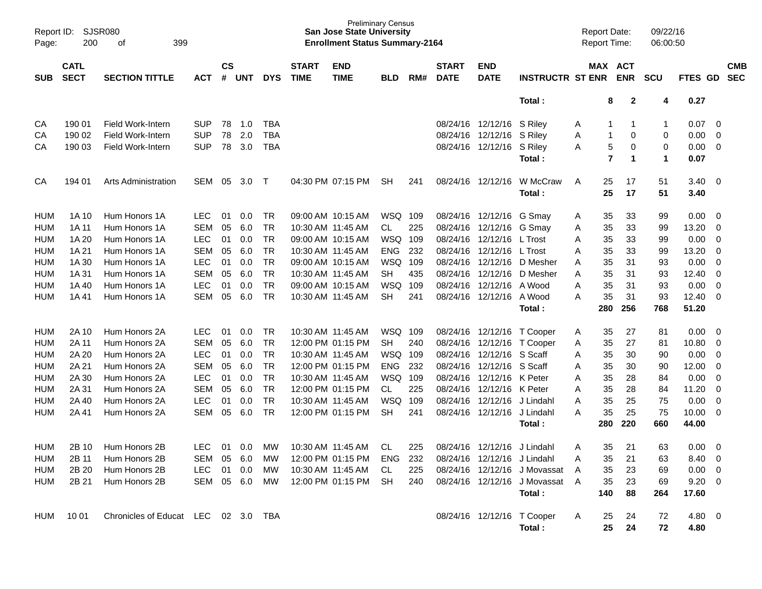| Page:      | SJSR080<br>Report ID:<br>399<br>200<br>οf |                                     |            |                    |            |            |                             | <b>Preliminary Census</b><br><b>San Jose State University</b><br><b>Enrollment Status Summary-2164</b> |            |     |                             |                             |                                      | <b>Report Date:</b><br><b>Report Time:</b> |                |              | 09/22/16<br>06:00:50 |                |                |            |
|------------|-------------------------------------------|-------------------------------------|------------|--------------------|------------|------------|-----------------------------|--------------------------------------------------------------------------------------------------------|------------|-----|-----------------------------|-----------------------------|--------------------------------------|--------------------------------------------|----------------|--------------|----------------------|----------------|----------------|------------|
| <b>SUB</b> | <b>CATL</b><br><b>SECT</b>                | <b>SECTION TITTLE</b>               | ACT        | $\mathsf{cs}$<br># | <b>UNT</b> | <b>DYS</b> | <b>START</b><br><b>TIME</b> | <b>END</b><br><b>TIME</b>                                                                              | <b>BLD</b> | RM# | <b>START</b><br><b>DATE</b> | <b>END</b><br><b>DATE</b>   | <b>INSTRUCTR ST ENR</b>              | MAX ACT                                    | <b>ENR</b>     | <b>SCU</b>   |                      | FTES GD SEC    |                | <b>CMB</b> |
|            |                                           |                                     |            |                    |            |            |                             |                                                                                                        |            |     |                             |                             | Total:                               |                                            | 8              | $\mathbf{2}$ | 4                    | 0.27           |                |            |
| CA         | 190 01                                    | Field Work-Intern                   | <b>SUP</b> | 78                 | 1.0        | <b>TBA</b> |                             |                                                                                                        |            |     |                             | 08/24/16 12/12/16           | S Riley                              | A                                          | 1              | -1           | 1                    | 0.07           | 0              |            |
| CA         | 190 02                                    | <b>Field Work-Intern</b>            | <b>SUP</b> | 78                 | 2.0        | <b>TBA</b> |                             |                                                                                                        |            |     |                             | 08/24/16 12/12/16           | S Riley                              | A                                          | 1              | 0            | 0                    | 0.00           | 0              |            |
| CA         | 190 03                                    | Field Work-Intern                   | <b>SUP</b> | 78                 | 3.0        | <b>TBA</b> |                             |                                                                                                        |            |     |                             | 08/24/16 12/12/16           | S Riley                              | Α                                          | 5              | 0            | 0                    | 0.00           | 0              |            |
|            |                                           |                                     |            |                    |            |            |                             |                                                                                                        |            |     |                             |                             | Total:                               |                                            | $\overline{7}$ | 1            | 1                    | 0.07           |                |            |
| CA         | 194 01                                    | Arts Administration                 | SEM        | 05                 | 3.0        | $\top$     |                             | 04:30 PM 07:15 PM                                                                                      | <b>SH</b>  | 241 |                             | 08/24/16 12/12/16           | W McCraw                             | 25<br>A                                    |                | 17           | 51                   | 3.40           | - 0            |            |
|            |                                           |                                     |            |                    |            |            |                             |                                                                                                        |            |     |                             |                             | Total:                               | 25                                         |                | 17           | 51                   | 3.40           |                |            |
| HUM        | 1A 10                                     | Hum Honors 1A                       | LEC.       | 01                 | 0.0        | TR         |                             | 09:00 AM 10:15 AM                                                                                      | WSQ 109    |     |                             | 08/24/16 12/12/16           | G Smay                               | 35<br>A                                    |                | 33           | 99                   | 0.00           | 0              |            |
| <b>HUM</b> | 1A 11                                     | Hum Honors 1A                       | <b>SEM</b> | 05                 | 6.0        | <b>TR</b>  |                             | 10:30 AM 11:45 AM                                                                                      | CL         | 225 |                             | 08/24/16 12/12/16           | G Smav                               | 35<br>A                                    |                | 33           | 99                   | 13.20          | 0              |            |
| <b>HUM</b> | 1A 20                                     | Hum Honors 1A                       | <b>LEC</b> | 01                 | 0.0        | TR         |                             | 09:00 AM 10:15 AM                                                                                      | WSQ 109    |     |                             | 08/24/16 12/12/16           | L Trost                              | 35<br>A                                    |                | 33           | 99                   | 0.00           | 0              |            |
| <b>HUM</b> | 1A 21                                     | Hum Honors 1A                       | <b>SEM</b> | 05                 | 6.0        | <b>TR</b>  | 10:30 AM 11:45 AM           |                                                                                                        | <b>ENG</b> | 232 | 08/24/16                    | 12/12/16                    | L Trost                              | 35<br>Α                                    |                | 33           | 99                   | 13.20          | 0              |            |
| <b>HUM</b> | 1A 30                                     | Hum Honors 1A                       | <b>LEC</b> | 01                 | 0.0        | <b>TR</b>  |                             | 09:00 AM 10:15 AM                                                                                      | WSQ 109    |     | 08/24/16                    | 12/12/16                    | D Mesher                             | 35<br>Α                                    |                | 31           | 93                   | 0.00           | 0              |            |
| <b>HUM</b> | 1A 31                                     | Hum Honors 1A                       | <b>SEM</b> | 05                 | 6.0        | <b>TR</b>  |                             | 10:30 AM 11:45 AM                                                                                      | <b>SH</b>  | 435 | 08/24/16                    | 12/12/16                    | D Mesher                             | 35<br>Α                                    |                | 31           | 93                   | 12.40          | 0              |            |
| <b>HUM</b> | 1A 40                                     | Hum Honors 1A                       | <b>LEC</b> | 01                 | 0.0        | <b>TR</b>  |                             | 09:00 AM 10:15 AM                                                                                      | WSQ        | 109 | 08/24/16                    | 12/12/16                    | A Wood                               | 35<br>Α                                    |                | 31           | 93                   | 0.00           | 0              |            |
| <b>HUM</b> | 1A41                                      | Hum Honors 1A                       | <b>SEM</b> | 05                 | 6.0        | <b>TR</b>  |                             | 10:30 AM 11:45 AM                                                                                      | <b>SH</b>  | 241 |                             | 08/24/16 12/12/16           | A Wood                               | 35<br>A                                    |                | 31           | 93                   | 12.40          | 0              |            |
|            |                                           |                                     |            |                    |            |            |                             |                                                                                                        |            |     |                             |                             | Total:                               | 280                                        | 256            |              | 768                  | 51.20          |                |            |
| HUM        | 2A 10                                     | Hum Honors 2A                       | <b>LEC</b> | 01                 | 0.0        | TR         |                             | 10:30 AM 11:45 AM                                                                                      | WSQ 109    |     |                             |                             | 08/24/16 12/12/16 T Cooper           | 35<br>Α                                    |                | 27           | 81                   | 0.00           | 0              |            |
| <b>HUM</b> | 2A 11                                     | Hum Honors 2A                       | <b>SEM</b> | 05                 | 6.0        | <b>TR</b>  |                             | 12:00 PM 01:15 PM                                                                                      | <b>SH</b>  | 240 |                             |                             | 08/24/16 12/12/16 T Cooper           | 35<br>A                                    |                | 27           | 81                   | 10.80          | 0              |            |
| HUM        | 2A 20                                     | Hum Honors 2A                       | <b>LEC</b> | 01                 | 0.0        | <b>TR</b>  |                             | 10:30 AM 11:45 AM                                                                                      | WSQ 109    |     | 08/24/16                    | 12/12/16                    | S Scaff                              | 35<br>A                                    |                | 30           | 90                   | 0.00           | 0              |            |
| <b>HUM</b> | 2A 21                                     | Hum Honors 2A                       | <b>SEM</b> | 05                 | 6.0        | <b>TR</b>  |                             | 12:00 PM 01:15 PM                                                                                      | <b>ENG</b> | 232 | 08/24/16                    | 12/12/16 S Scaff            |                                      | 35<br>Α                                    |                | 30           | 90                   | 12.00          | 0              |            |
| <b>HUM</b> | 2A 30                                     | Hum Honors 2A                       | <b>LEC</b> | 01                 | 0.0        | <b>TR</b>  |                             | 10:30 AM 11:45 AM                                                                                      | WSQ 109    |     | 08/24/16                    | 12/12/16                    | K Peter                              | 35<br>Α                                    |                | 28           | 84                   | 0.00           | 0              |            |
| <b>HUM</b> | 2A 31                                     | Hum Honors 2A                       | <b>SEM</b> | 05                 | 6.0        | <b>TR</b>  |                             | 12:00 PM 01:15 PM                                                                                      | CL         | 225 |                             | 08/24/16 12/12/16           | K Peter                              | 35<br>Α                                    |                | 28           | 84                   | 11.20          | 0              |            |
| HUM        | 2A 40                                     | Hum Honors 2A                       | <b>LEC</b> | 01                 | 0.0        | <b>TR</b>  |                             | 10:30 AM 11:45 AM                                                                                      | WSQ        | 109 | 08/24/16                    | 12/12/16                    | J Lindahl                            | 35<br>Α                                    |                | 25           | 75                   | 0.00           | 0              |            |
| <b>HUM</b> | 2A 41                                     | Hum Honors 2A                       | <b>SEM</b> | 05                 | 6.0        | <b>TR</b>  |                             | 12:00 PM 01:15 PM                                                                                      | <b>SH</b>  | 241 |                             | 08/24/16 12/12/16           | J Lindahl                            | 35<br>A                                    |                | 25           | 75                   | 10.00          | 0              |            |
|            |                                           |                                     |            |                    |            |            |                             |                                                                                                        |            |     |                             |                             | Total:                               | 280                                        | 220            |              | 660                  | 44.00          |                |            |
| <b>HUM</b> | 2B 10                                     | Hum Honors 2B                       | LEC.       | 01                 | 0.0        | MW         |                             | 10:30 AM 11:45 AM                                                                                      | CL.        | 225 |                             | 08/24/16 12/12/16           | J Lindahl                            | A                                          | 35             | 21           | 63                   | 0.00           | $\overline{0}$ |            |
| HUM        | 2B 11                                     | Hum Honors 2B                       | SEM 05 6.0 |                    |            | MW         |                             | 12:00 PM 01:15 PM                                                                                      | ENG 232    |     |                             | 08/24/16 12/12/16 J Lindahl |                                      | 35                                         |                | 21           | 63                   | 8.40 0         |                |            |
| <b>HUM</b> | 2B 20                                     | Hum Honors 2B                       | LEC        |                    | 01 0.0     | MW         | 10:30 AM 11:45 AM           |                                                                                                        | CL.        | 225 |                             |                             | 08/24/16 12/12/16 J Movassat         | 35<br>A                                    |                | 23           | 69                   | $0.00 \t 0$    |                |            |
| <b>HUM</b> | 2B 21                                     | Hum Honors 2B                       | SEM 05 6.0 |                    |            | MW         |                             | 12:00 PM 01:15 PM                                                                                      | SH         | 240 |                             |                             | 08/24/16 12/12/16 J Movassat         | 35<br>A                                    |                | 23           | 69                   | $9.20 \ 0$     |                |            |
|            |                                           |                                     |            |                    |            |            |                             |                                                                                                        |            |     |                             |                             | Total:                               | 140                                        |                | 88           | 264                  | 17.60          |                |            |
| HUM        | 10 01                                     | Chronicles of Educat LEC 02 3.0 TBA |            |                    |            |            |                             |                                                                                                        |            |     |                             |                             | 08/24/16 12/12/16 T Cooper<br>Total: | A<br>25                                    | 25             | 24<br>24     | 72<br>72             | 4.80 0<br>4.80 |                |            |
|            |                                           |                                     |            |                    |            |            |                             |                                                                                                        |            |     |                             |                             |                                      |                                            |                |              |                      |                |                |            |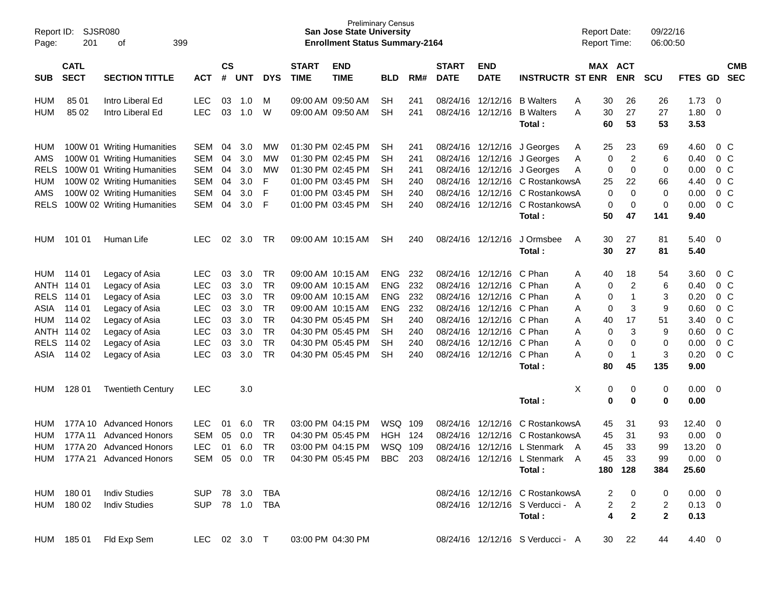| Page:       | Report ID:<br>SJSR080<br>201<br>399<br>οf |                             |                |                             |            |            |                             | <b>Preliminary Census</b><br><b>San Jose State University</b><br><b>Enrollment Status Summary-2164</b> |            |     |                             |                           |                                  |   |          | <b>Report Date:</b><br><b>Report Time:</b> | 09/22/16<br>06:00:50 |                |                |                          |
|-------------|-------------------------------------------|-----------------------------|----------------|-----------------------------|------------|------------|-----------------------------|--------------------------------------------------------------------------------------------------------|------------|-----|-----------------------------|---------------------------|----------------------------------|---|----------|--------------------------------------------|----------------------|----------------|----------------|--------------------------|
| <b>SUB</b>  | <b>CATL</b><br><b>SECT</b>                | <b>SECTION TITTLE</b>       | <b>ACT</b>     | $\mathbf{c}\mathbf{s}$<br># | <b>UNT</b> | <b>DYS</b> | <b>START</b><br><b>TIME</b> | <b>END</b><br><b>TIME</b>                                                                              | <b>BLD</b> | RM# | <b>START</b><br><b>DATE</b> | <b>END</b><br><b>DATE</b> | <b>INSTRUCTR ST ENR</b>          |   |          | MAX ACT<br><b>ENR</b>                      | <b>SCU</b>           | <b>FTES GD</b> |                | <b>CMB</b><br><b>SEC</b> |
| HUM         | 85 01                                     | Intro Liberal Ed            | <b>LEC</b>     | 03                          | 1.0        | м          |                             | 09:00 AM 09:50 AM                                                                                      | <b>SH</b>  | 241 | 08/24/16                    | 12/12/16                  | <b>B</b> Walters                 | Α | 30       | 26                                         | 26                   | 1.73           | 0              |                          |
| <b>HUM</b>  | 85 02                                     | Intro Liberal Ed            | <b>LEC</b>     | 03                          | 1.0        | W          |                             | 09:00 AM 09:50 AM                                                                                      | <b>SH</b>  | 241 | 08/24/16                    | 12/12/16                  | <b>B</b> Walters<br>Total:       | Α | 30<br>60 | 27<br>53                                   | 27<br>53             | 1.80<br>3.53   | 0              |                          |
| HUM         |                                           | 100W 01 Writing Humanities  | <b>SEM</b>     | 04                          | 3.0        | МW         |                             | 01:30 PM 02:45 PM                                                                                      | <b>SH</b>  | 241 |                             | 08/24/16 12/12/16         | J Georges                        | A | 25       | 23                                         | 69                   | 4.60           | $0\,$ C        |                          |
| AMS         |                                           | 100W 01 Writing Humanities  | <b>SEM</b>     | 04                          | 3.0        | MW         |                             | 01:30 PM 02:45 PM                                                                                      | <b>SH</b>  | 241 | 08/24/16                    | 12/12/16                  | J Georges                        | A | 0        | $\overline{2}$                             | 6                    | 0.40           | 0 <sup>o</sup> |                          |
| <b>RELS</b> |                                           | 100W 01 Writing Humanities  | <b>SEM</b>     | 04                          | 3.0        | MW         |                             | 01:30 PM 02:45 PM                                                                                      | <b>SH</b>  | 241 | 08/24/16                    | 12/12/16                  | J Georges                        | Α | 0        | 0                                          | 0                    | 0.00           | 0 <sup>o</sup> |                          |
| <b>HUM</b>  |                                           | 100W 02 Writing Humanities  | <b>SEM</b>     | 04                          | 3.0        | F          |                             | 01:00 PM 03:45 PM                                                                                      | SН         | 240 | 08/24/16                    | 12/12/16                  | C RostankowsA                    |   | 25       | 22                                         | 66                   | 4.40           | 0 <sup>o</sup> |                          |
| AMS         |                                           | 100W 02 Writing Humanities  | <b>SEM</b>     | 04                          | 3.0        | F          |                             | 01:00 PM 03:45 PM                                                                                      | <b>SH</b>  | 240 | 08/24/16                    | 12/12/16                  | C RostankowsA                    |   | 0        | 0                                          | 0                    | 0.00           | 0 <sup>o</sup> |                          |
| <b>RELS</b> |                                           | 100W 02 Writing Humanities  | <b>SEM</b>     | 04                          | 3.0        | F          |                             | 01:00 PM 03:45 PM                                                                                      | <b>SH</b>  | 240 | 08/24/16                    | 12/12/16                  | C RostankowsA                    |   | 0        | 0                                          | 0                    | 0.00           | 0 <sup>o</sup> |                          |
|             |                                           |                             |                |                             |            |            |                             |                                                                                                        |            |     |                             |                           | Total:                           |   | 50       | 47                                         | 141                  | 9.40           |                |                          |
| HUM         | 101 01                                    | Human Life                  | <b>LEC</b>     | 02                          | 3.0        | TR         |                             | 09:00 AM 10:15 AM                                                                                      | <b>SH</b>  | 240 |                             | 08/24/16 12/12/16         | J Ormsbee<br>Total:              | A | 30<br>30 | 27<br>27                                   | 81<br>81             | 5.40<br>5.40   | 0              |                          |
| HUM         | 114 01                                    | Legacy of Asia              | <b>LEC</b>     | 03                          | 3.0        | TR         |                             | 09:00 AM 10:15 AM                                                                                      | <b>ENG</b> | 232 | 08/24/16                    | 12/12/16                  | C Phan                           | Α | 40       | 18                                         | 54                   | 3.60           | $0\,$ C        |                          |
|             | ANTH 114 01                               | Legacy of Asia              | <b>LEC</b>     | 03                          | 3.0        | TR         |                             | 09:00 AM 10:15 AM                                                                                      | <b>ENG</b> | 232 | 08/24/16                    | 12/12/16                  | C Phan                           | Α | 0        | $\overline{2}$                             | 6                    | 0.40           | 0 <sup>o</sup> |                          |
| <b>RELS</b> | 114 01                                    | Legacy of Asia              | <b>LEC</b>     | 03                          | 3.0        | <b>TR</b>  |                             | 09:00 AM 10:15 AM                                                                                      | <b>ENG</b> | 232 | 08/24/16                    | 12/12/16                  | C Phan                           | Α | 0        | 1                                          | 3                    | 0.20           | 0 <sup>o</sup> |                          |
| ASIA        | 114 01                                    | Legacy of Asia              | <b>LEC</b>     | 03                          | 3.0        | TR         |                             | 09:00 AM 10:15 AM                                                                                      | <b>ENG</b> | 232 | 08/24/16                    | 12/12/16                  | C Phan                           | Α | 0        | 3                                          | 9                    | 0.60           | 0 <sup>o</sup> |                          |
| <b>HUM</b>  | 114 02                                    | Legacy of Asia              | <b>LEC</b>     | 03                          | 3.0        | TR         |                             | 04:30 PM 05:45 PM                                                                                      | <b>SH</b>  | 240 | 08/24/16                    | 12/12/16                  | C Phan                           | Α | 40       | 17                                         | 51                   | 3.40           | 0 <sup>o</sup> |                          |
|             | ANTH 114 02                               | Legacy of Asia              | <b>LEC</b>     | 03                          | 3.0        | <b>TR</b>  |                             | 04:30 PM 05:45 PM                                                                                      | SН         | 240 | 08/24/16                    | 12/12/16                  | C Phan                           | Α | 0        | 3                                          | 9                    | 0.60           | 0 <sup>o</sup> |                          |
| <b>RELS</b> | 114 02                                    | Legacy of Asia              | <b>LEC</b>     | 03                          | 3.0        | <b>TR</b>  |                             | 04:30 PM 05:45 PM                                                                                      | <b>SH</b>  | 240 | 08/24/16                    | 12/12/16                  | C Phan                           | Α | 0        | 0                                          | 0                    | 0.00           | 0 <sup>o</sup> |                          |
| ASIA        | 114 02                                    | Legacy of Asia              | <b>LEC</b>     | 03                          | 3.0        | TR         |                             | 04:30 PM 05:45 PM                                                                                      | <b>SH</b>  | 240 | 08/24/16                    | 12/12/16                  | C Phan                           | A | 0        | -1                                         | 3                    | 0.20           | 0 <sup>o</sup> |                          |
|             |                                           |                             |                |                             |            |            |                             |                                                                                                        |            |     |                             |                           | Total:                           |   | 80       | 45                                         | 135                  | 9.00           |                |                          |
| HUM         | 128 01                                    | <b>Twentieth Century</b>    | <b>LEC</b>     |                             | 3.0        |            |                             |                                                                                                        |            |     |                             |                           |                                  | Х | 0        | 0                                          | 0                    | 0.00           | 0              |                          |
|             |                                           |                             |                |                             |            |            |                             |                                                                                                        |            |     |                             |                           | Total:                           |   | 0        | 0                                          | 0                    | 0.00           |                |                          |
| HUM         | 177A 10                                   | <b>Advanced Honors</b>      | <b>LEC</b>     | 01                          | 6.0        | TR         |                             | 03:00 PM 04:15 PM                                                                                      | WSQ        | 109 | 08/24/16                    | 12/12/16                  | C RostankowsA                    |   | 45       | 31                                         | 93                   | 12.40          | 0              |                          |
| <b>HUM</b>  | 177A 11                                   | <b>Advanced Honors</b>      | <b>SEM</b>     | 05                          | 0.0        | TR         |                             | 04:30 PM 05:45 PM                                                                                      | <b>HGH</b> | 124 | 08/24/16                    | 12/12/16                  | C RostankowsA                    |   | 45       | 31                                         | 93                   | 0.00           | 0              |                          |
| <b>HUM</b>  |                                           | 177A 20 Advanced Honors     | <b>LEC</b>     | 01                          | 6.0        | <b>TR</b>  |                             | 03:00 PM 04:15 PM                                                                                      | WSQ        | 109 | 08/24/16                    | 12/12/16                  | L Stenmark A                     |   | 45       | 33                                         | 99                   | 13.20          | 0              |                          |
|             |                                           | HUM 177A 21 Advanced Honors | SEM 05 0.0 TR  |                             |            |            |                             | 04:30 PM 05:45 PM BBC 203                                                                              |            |     |                             |                           | 08/24/16 12/12/16 L Stenmark A   |   | 45       | 33                                         | 99                   | $0.00 \t 0$    |                |                          |
|             |                                           |                             |                |                             |            |            |                             |                                                                                                        |            |     |                             |                           | Total:                           |   |          | 180 128                                    | 384                  | 25.60          |                |                          |
|             | HUM 180 01                                | <b>Indiv Studies</b>        | SUP 78 3.0     |                             |            | <b>TBA</b> |                             |                                                                                                        |            |     |                             |                           | 08/24/16 12/12/16 C RostankowsA  |   | 2        | 0                                          | $\mathbf 0$          | $0.00 \quad 0$ |                |                          |
|             | HUM 180 02                                | <b>Indiv Studies</b>        | SUP 78 1.0 TBA |                             |            |            |                             |                                                                                                        |            |     |                             |                           | 08/24/16 12/12/16 S Verducci - A |   | 2        | $\overline{2}$                             | 2                    | $0.13 \ 0$     |                |                          |
|             |                                           |                             |                |                             |            |            |                             |                                                                                                        |            |     |                             |                           | Total:                           |   | 4        | $\overline{2}$                             | $\mathbf{2}$         | 0.13           |                |                          |
|             | HUM 185 01                                | Fld Exp Sem                 | LEC 02 3.0 T   |                             |            |            |                             | 03:00 PM 04:30 PM                                                                                      |            |     |                             |                           | 08/24/16 12/12/16 S Verducci - A |   | 30       | 22                                         | 44                   | 4.40 0         |                |                          |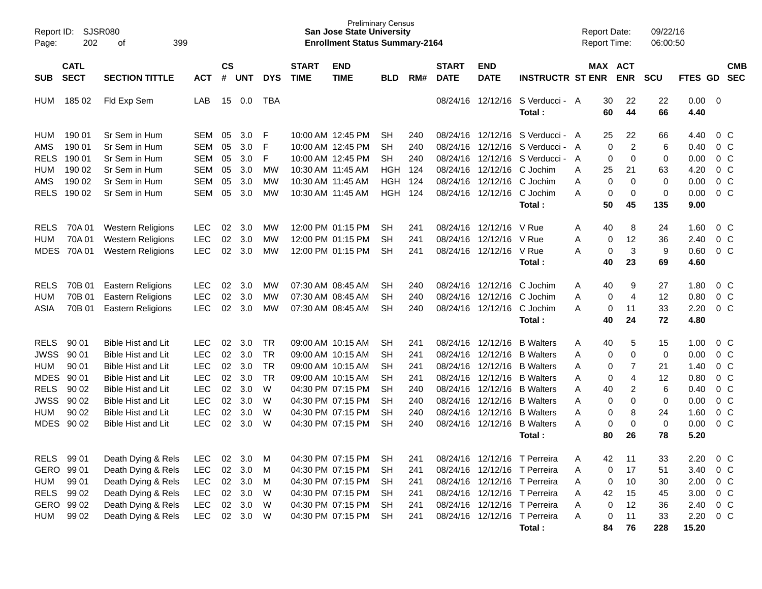| Report ID:<br>Page: | SJSR080<br>202             | 399                       |            |                |            |            | <b>Preliminary Census</b><br><b>San Jose State University</b><br><b>Enrollment Status Summary-2164</b> |                           |            |     |                             |                           | <b>Report Date:</b><br><b>Report Time:</b> |   |           | 09/22/16<br>06:00:50  |             |                     |         |                          |
|---------------------|----------------------------|---------------------------|------------|----------------|------------|------------|--------------------------------------------------------------------------------------------------------|---------------------------|------------|-----|-----------------------------|---------------------------|--------------------------------------------|---|-----------|-----------------------|-------------|---------------------|---------|--------------------------|
| <b>SUB</b>          | <b>CATL</b><br><b>SECT</b> | <b>SECTION TITTLE</b>     | <b>ACT</b> | <b>CS</b><br># | <b>UNT</b> | <b>DYS</b> | <b>START</b><br><b>TIME</b>                                                                            | <b>END</b><br><b>TIME</b> | <b>BLD</b> | RM# | <b>START</b><br><b>DATE</b> | <b>END</b><br><b>DATE</b> | <b>INSTRUCTR ST ENR</b>                    |   |           | MAX ACT<br><b>ENR</b> | <b>SCU</b>  | FTES GD             |         | <b>CMB</b><br><b>SEC</b> |
| <b>HUM</b>          | 185 02                     | Fld Exp Sem               | LAB        | 15             | 0.0        | <b>TBA</b> |                                                                                                        |                           |            |     | 08/24/16                    | 12/12/16                  | S Verducci - A<br>Total:                   |   | 30<br>60  | 22<br>44              | 22<br>66    | $0.00 \t 0$<br>4.40 |         |                          |
| HUM                 | 190 01                     | Sr Sem in Hum             | SEM        | 05             | 3.0        | F          |                                                                                                        | 10:00 AM 12:45 PM         | SН         | 240 | 08/24/16                    |                           | 12/12/16 S Verducci - A                    |   | 25        | 22                    | 66          | 4.40                |         | 0 C                      |
| AMS                 | 190 01                     | Sr Sem in Hum             | <b>SEM</b> | 05             | 3.0        | F          |                                                                                                        | 10:00 AM 12:45 PM         | <b>SH</b>  | 240 | 08/24/16                    | 12/12/16                  | S Verducci -                               | A | 0         | $\overline{c}$        | 6           | 0.40                |         | $0\,C$                   |
| <b>RELS</b>         | 190 01                     | Sr Sem in Hum             | <b>SEM</b> | 05             | 3.0        | F          |                                                                                                        | 10:00 AM 12:45 PM         | <b>SH</b>  | 240 | 08/24/16                    | 12/12/16                  | S Verducci -                               | A | 0         | $\Omega$              | 0           | 0.00                |         | $0\,C$                   |
| <b>HUM</b>          | 190 02                     | Sr Sem in Hum             | SEM        | 05             | 3.0        | MW         |                                                                                                        | 10:30 AM 11:45 AM         | <b>HGH</b> | 124 | 08/24/16                    | 12/12/16                  | C Jochim                                   | Α | 25        | 21                    | 63          | 4.20                |         | $0\,C$                   |
| AMS                 | 190 02                     | Sr Sem in Hum             | <b>SEM</b> | 05             | 3.0        | MW         |                                                                                                        | 10:30 AM 11:45 AM         | <b>HGH</b> | 124 | 08/24/16                    | 12/12/16                  | C Jochim                                   | A | 0         | $\mathbf 0$           | 0           | 0.00                |         | $0\,C$                   |
| <b>RELS</b>         | 190 02                     | Sr Sem in Hum             | SEM        | 05             | 3.0        | <b>MW</b>  |                                                                                                        | 10:30 AM 11:45 AM         | <b>HGH</b> | 124 | 08/24/16                    |                           | 12/12/16 C Jochim                          | A | 0         | $\mathbf 0$           | $\mathbf 0$ | 0.00                |         | $0\,C$                   |
|                     |                            |                           |            |                |            |            |                                                                                                        |                           |            |     |                             |                           | Total:                                     |   | 50        | 45                    | 135         | 9.00                |         |                          |
| <b>RELS</b>         | 70A 01                     | <b>Western Religions</b>  | <b>LEC</b> | 02             | 3.0        | МW         |                                                                                                        | 12:00 PM 01:15 PM         | SН         | 241 | 08/24/16                    | 12/12/16                  | V Rue                                      | Α | 40        | 8                     | 24          | 1.60                |         | $0\,$ C                  |
| <b>HUM</b>          | 70A 01                     | <b>Western Religions</b>  | <b>LEC</b> | 02             | 3.0        | MW         |                                                                                                        | 12:00 PM 01:15 PM         | <b>SH</b>  | 241 | 08/24/16                    | 12/12/16                  | V Rue                                      | A | 0         | 12                    | 36          | 2.40                |         | $0\,C$                   |
| <b>MDES</b>         | 70A 01                     | <b>Western Religions</b>  | <b>LEC</b> | 02             | 3.0        | MW         |                                                                                                        | 12:00 PM 01:15 PM         | SН         | 241 |                             | 08/24/16 12/12/16 V Rue   |                                            | A | 0         | 3                     | 9           | 0.60                |         | $0\,C$                   |
|                     |                            |                           |            |                |            |            |                                                                                                        |                           |            |     |                             |                           | Total:                                     |   | 40        | 23                    | 69          | 4.60                |         |                          |
| <b>RELS</b>         | 70B 01                     | <b>Eastern Religions</b>  | <b>LEC</b> | 02             | 3.0        | МW         |                                                                                                        | 07:30 AM 08:45 AM         | SН         | 240 | 08/24/16                    | 12/12/16                  | C Jochim                                   | Α | 40        | 9                     | 27          | 1.80                |         | $0\,$ C                  |
| <b>HUM</b>          | 70B 01                     | Eastern Religions         | <b>LEC</b> | 02             | 3.0        | MW         |                                                                                                        | 07:30 AM 08:45 AM         | <b>SH</b>  | 240 | 08/24/16                    | 12/12/16                  | C Jochim                                   | A | 0         | $\overline{4}$        | 12          | 0.80                |         | $0\,C$                   |
| <b>ASIA</b>         | 70B 01                     | <b>Eastern Religions</b>  | <b>LEC</b> | 02             | 3.0        | MW         |                                                                                                        | 07:30 AM 08:45 AM         | SН         | 240 |                             |                           | 08/24/16 12/12/16 C Jochim                 | A | $\pmb{0}$ | 11                    | 33          | 2.20                |         | $0\,C$                   |
|                     |                            |                           |            |                |            |            |                                                                                                        |                           |            |     |                             |                           | Total:                                     |   | 40        | 24                    | 72          | 4.80                |         |                          |
| <b>RELS</b>         | 90 01                      | <b>Bible Hist and Lit</b> | <b>LEC</b> | 02             | 3.0        | <b>TR</b>  |                                                                                                        | 09:00 AM 10:15 AM         | SН         | 241 | 08/24/16                    | 12/12/16                  | <b>B</b> Walters                           | Α | 40        | 5                     | 15          | 1.00                |         | $0\,$ C                  |
| <b>JWSS</b>         | 90 01                      | Bible Hist and Lit        | <b>LEC</b> | 02             | 3.0        | <b>TR</b>  |                                                                                                        | 09:00 AM 10:15 AM         | <b>SH</b>  | 241 | 08/24/16                    | 12/12/16                  | <b>B</b> Walters                           | A | 0         | $\mathbf 0$           | 0           | 0.00                |         | $0\,C$                   |
| <b>HUM</b>          | 90 01                      | Bible Hist and Lit        | <b>LEC</b> | 02             | 3.0        | <b>TR</b>  |                                                                                                        | 09:00 AM 10:15 AM         | <b>SH</b>  | 241 | 08/24/16                    | 12/12/16                  | <b>B</b> Walters                           | A | $\pmb{0}$ | $\overline{7}$        | 21          | 1.40                |         | $0\,C$                   |
| <b>MDES</b>         | 90 01                      | Bible Hist and Lit        | <b>LEC</b> | 02             | 3.0        | <b>TR</b>  |                                                                                                        | 09:00 AM 10:15 AM         | <b>SH</b>  | 241 | 08/24/16                    | 12/12/16                  | <b>B</b> Walters                           | A | 0         | $\overline{4}$        | 12          | 0.80                |         | $0\,C$                   |
| <b>RELS</b>         | 90 02                      | Bible Hist and Lit        | <b>LEC</b> | 02             | 3.0        | W          |                                                                                                        | 04:30 PM 07:15 PM         | <b>SH</b>  | 240 | 08/24/16                    | 12/12/16                  | <b>B</b> Walters                           | A | 40        | 2                     | 6           | 0.40                |         | $0\,C$                   |
| <b>JWSS</b>         | 90 02                      | Bible Hist and Lit        | <b>LEC</b> | 02             | 3.0        | W          |                                                                                                        | 04:30 PM 07:15 PM         | <b>SH</b>  | 240 | 08/24/16                    | 12/12/16                  | <b>B</b> Walters                           | A | 0         | 0                     | $\mathbf 0$ | 0.00                |         | $0\,C$                   |
| <b>HUM</b>          | 90 02                      | Bible Hist and Lit        | LEC        | 02             | 3.0        | W          |                                                                                                        | 04:30 PM 07:15 PM         | <b>SH</b>  | 240 | 08/24/16                    | 12/12/16                  | <b>B</b> Walters                           | A | 0         | 8                     | 24          | 1.60                |         | $0\,C$                   |
| <b>MDES</b>         | 90 02                      | Bible Hist and Lit        | <b>LEC</b> | 02             | 3.0        | W          |                                                                                                        | 04:30 PM 07:15 PM         | <b>SH</b>  | 240 | 08/24/16                    | 12/12/16                  | <b>B</b> Walters                           | A | 0         | $\mathbf 0$           | $\mathbf 0$ | 0.00                |         | $0\,C$                   |
|                     |                            |                           |            |                |            |            |                                                                                                        |                           |            |     |                             |                           | Total:                                     |   | 80        | 26                    | 78          | 5.20                |         |                          |
|                     | RELS 99 01                 | Death Dying & Rels        | <b>LEC</b> | 02             | 3.0        | M          |                                                                                                        | 04:30 PM 07:15 PM         | <b>SH</b>  | 241 |                             |                           | 08/24/16 12/12/16 T Perreira               | Α | 42        | 11                    | 33          | 2.20                |         | $0\,C$                   |
|                     | GERO 99 01                 | Death Dying & Rels        | <b>LEC</b> |                | 02 3.0     | M          |                                                                                                        | 04:30 PM 07:15 PM         | <b>SH</b>  | 241 |                             |                           | 08/24/16 12/12/16 T Perreira               | Α | 0         | 17                    | 51          | 3.40                |         | $0\,$ C                  |
| <b>HUM</b>          | 99 01                      | Death Dying & Rels        | LEC        |                | 02 3.0     | M          |                                                                                                        | 04:30 PM 07:15 PM         | <b>SH</b>  | 241 |                             |                           | 08/24/16 12/12/16 T Perreira               | Α | 0         | 10                    | 30          | 2.00 0 C            |         |                          |
|                     | RELS 99 02                 | Death Dying & Rels        | LEC        |                | 02 3.0     | - W        |                                                                                                        | 04:30 PM 07:15 PM         | SH         | 241 |                             |                           | 08/24/16 12/12/16 T Perreira               | Α | 42        | 15                    | 45          | 3.00                | $0\,$ C |                          |
|                     | GERO 99 02                 | Death Dying & Rels        | LEC        |                | 02 3.0     | W          |                                                                                                        | 04:30 PM 07:15 PM         | <b>SH</b>  | 241 |                             |                           | 08/24/16 12/12/16 T Perreira               | Α | 0         | 12                    | 36          | 2.40 0 C            |         |                          |
| <b>HUM</b>          | 99 02                      | Death Dying & Rels        | LEC        |                | 02 3.0     | - W        |                                                                                                        | 04:30 PM 07:15 PM         | SH         | 241 |                             |                           | 08/24/16 12/12/16 T Perreira               | Α | 0         | 11                    | 33          | 2.20 0 C            |         |                          |
|                     |                            |                           |            |                |            |            |                                                                                                        |                           |            |     |                             |                           | Total:                                     |   | 84        | 76                    | 228         | 15.20               |         |                          |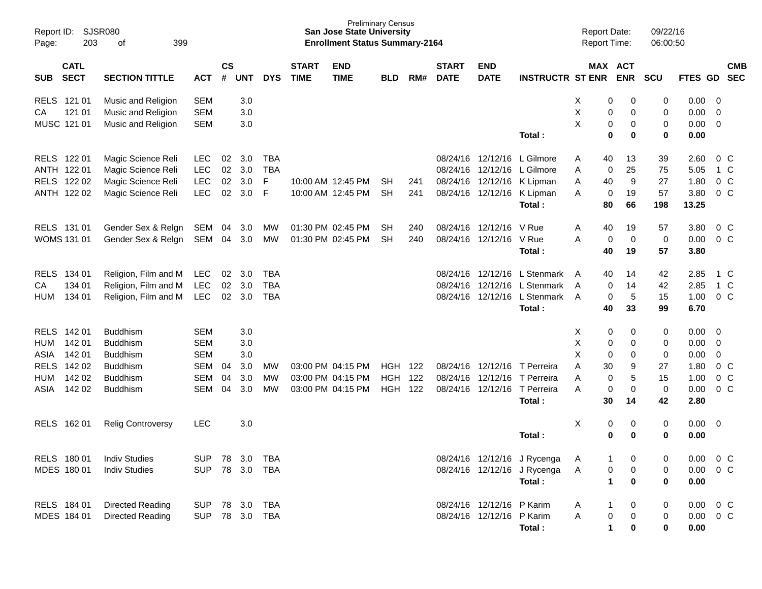| Report ID:<br>Page:                      | <b>SJSR080</b><br>203<br>399<br>οf  |            |                |            |            |                             | <b>San Jose State University</b><br><b>Enrollment Status Summary-2164</b> | <b>Preliminary Census</b> |     |                             |                           |                                        | <b>Report Date:</b><br>Report Time: |                          | 09/22/16<br>06:00:50 |               |                         |                          |
|------------------------------------------|-------------------------------------|------------|----------------|------------|------------|-----------------------------|---------------------------------------------------------------------------|---------------------------|-----|-----------------------------|---------------------------|----------------------------------------|-------------------------------------|--------------------------|----------------------|---------------|-------------------------|--------------------------|
| <b>CATL</b><br><b>SECT</b><br><b>SUB</b> | <b>SECTION TITTLE</b><br><b>ACT</b> |            | <b>CS</b><br># | <b>UNT</b> | <b>DYS</b> | <b>START</b><br><b>TIME</b> | <b>END</b><br><b>TIME</b>                                                 | <b>BLD</b>                | RM# | <b>START</b><br><b>DATE</b> | <b>END</b><br><b>DATE</b> | <b>INSTRUCTR ST ENR</b>                |                                     | MAX ACT<br><b>ENR</b>    | <b>SCU</b>           | FTES GD       |                         | <b>CMB</b><br><b>SEC</b> |
| RELS 121 01                              | Music and Religion                  | <b>SEM</b> |                | 3.0        |            |                             |                                                                           |                           |     |                             |                           |                                        | X                                   | 0<br>0                   | 0                    | 0.00          | 0                       |                          |
| 121 01<br>CA                             | Music and Religion                  | <b>SEM</b> |                | 3.0        |            |                             |                                                                           |                           |     |                             |                           |                                        | Χ                                   | 0<br>0                   | 0                    | 0.00          | 0                       |                          |
| MUSC 121 01                              | Music and Religion                  | <b>SEM</b> |                | 3.0        |            |                             |                                                                           |                           |     |                             |                           |                                        | X                                   | 0<br>0                   | 0                    | 0.00          | $\mathbf 0$             |                          |
|                                          |                                     |            |                |            |            |                             |                                                                           |                           |     |                             |                           | Total:                                 |                                     | $\bf{0}$<br>$\bf{0}$     | $\mathbf 0$          | 0.00          |                         |                          |
| RELS 122 01                              | Magic Science Reli                  | <b>LEC</b> | 02             | 3.0        | <b>TBA</b> |                             |                                                                           |                           |     |                             | 08/24/16 12/12/16         | L Gilmore                              | 40<br>A                             | 13                       | 39                   | 2.60          | 0 <sup>C</sup>          |                          |
| ANTH 122 01                              | Magic Science Reli                  | LEC        | 02             | 3.0        | <b>TBA</b> |                             |                                                                           |                           |     | 08/24/16                    | 12/12/16                  | L Gilmore                              | A                                   | 25<br>0                  | 75                   | 5.05          | 1 C                     |                          |
| RELS 122 02                              | Magic Science Reli                  | LEC        | 02             | 3.0        | F          |                             | 10:00 AM 12:45 PM                                                         | <b>SH</b>                 | 241 |                             |                           | 08/24/16 12/12/16 K Lipman             | Α<br>40                             | 9                        | 27                   | 1.80          | $0\,C$                  |                          |
| ANTH 122 02                              | Magic Science Reli                  | LEC        | 02             | 3.0        | F          |                             | 10:00 AM 12:45 PM                                                         | <b>SH</b>                 | 241 |                             |                           | 08/24/16 12/12/16 K Lipman<br>Total:   | A<br>80                             | 19<br>0<br>66            | 57<br>198            | 3.80<br>13.25 | $0\,C$                  |                          |
|                                          |                                     |            |                |            |            |                             |                                                                           |                           |     |                             |                           |                                        |                                     |                          |                      |               |                         |                          |
| RELS 131 01                              | Gender Sex & Relgn                  | <b>SEM</b> | 04             | 3.0        | MW         |                             | 01:30 PM 02:45 PM                                                         | <b>SH</b>                 | 240 | 08/24/16                    | 12/12/16                  | V Rue                                  | Α<br>40                             | 19                       | 57                   | 3.80          | 0 <sup>C</sup>          |                          |
| WOMS 131 01                              | Gender Sex & Relgn                  | SEM        | 04             | 3.0        | MW         |                             | 01:30 PM 02:45 PM                                                         | <b>SH</b>                 | 240 |                             | 08/24/16 12/12/16 V Rue   |                                        | A                                   | $\mathbf 0$<br>0         | 0                    | 0.00          | $0\,C$                  |                          |
|                                          |                                     |            |                |            |            |                             |                                                                           |                           |     |                             |                           | Total:                                 | 40                                  | 19                       | 57                   | 3.80          |                         |                          |
| <b>RELS</b><br>134 01                    | Religion, Film and M                | <b>LEC</b> | 02             | 3.0        | <b>TBA</b> |                             |                                                                           |                           |     | 08/24/16                    |                           | 12/12/16 L Stenmark                    | 40<br>A                             | 14                       | 42                   | 2.85          | 1 C                     |                          |
| 134 01<br>CA                             | Religion, Film and M                | LEC        | 02             | 3.0        | <b>TBA</b> |                             |                                                                           |                           |     | 08/24/16                    |                           | 12/12/16 L Stenmark                    | A                                   | 14<br>0                  | 42                   | 2.85          | $1\,C$                  |                          |
| 134 01<br><b>HUM</b>                     | Religion, Film and M                | <b>LEC</b> | $02\,$         | 3.0        | <b>TBA</b> |                             |                                                                           |                           |     |                             |                           | 08/24/16 12/12/16 L Stenmark           | A                                   | $\overline{5}$<br>0      | 15                   | 1.00          | $0\,C$                  |                          |
|                                          |                                     |            |                |            |            |                             |                                                                           |                           |     |                             |                           | Total:                                 | 40                                  | 33                       | 99                   | 6.70          |                         |                          |
| <b>RELS</b><br>142 01                    | <b>Buddhism</b>                     | <b>SEM</b> |                | 3.0        |            |                             |                                                                           |                           |     |                             |                           |                                        | х                                   | 0<br>0                   | 0                    | 0.00          | 0                       |                          |
| 142 01<br><b>HUM</b>                     | <b>Buddhism</b>                     | <b>SEM</b> |                | 3.0        |            |                             |                                                                           |                           |     |                             |                           |                                        | Χ                                   | 0<br>$\mathbf 0$         | 0                    | 0.00          | $\mathbf 0$             |                          |
| 142 01<br>ASIA                           | <b>Buddhism</b>                     | <b>SEM</b> |                | 3.0        |            |                             |                                                                           |                           |     |                             |                           |                                        | X                                   | 0<br>0                   | 0                    | 0.00          | $\mathbf 0$             |                          |
| 142 02<br><b>RELS</b>                    | <b>Buddhism</b>                     | <b>SEM</b> | 04             | 3.0        | MW         |                             | 03:00 PM 04:15 PM                                                         | <b>HGH</b>                | 122 | 08/24/16                    | 12/12/16                  | T Perreira                             | A<br>30                             | 9                        | 27                   | 1.80          | $0\,C$                  |                          |
| 142 02<br><b>HUM</b>                     | <b>Buddhism</b>                     | <b>SEM</b> | 04             | 3.0        | <b>MW</b>  |                             | 03:00 PM 04:15 PM                                                         | <b>HGH</b>                | 122 | 08/24/16                    | 12/12/16                  | T Perreira                             | A                                   | 5<br>0                   | 15                   | 1.00          | $0\,C$                  |                          |
| 142 02<br>ASIA                           | <b>Buddhism</b>                     | SEM        | 04             | 3.0        | <b>MW</b>  |                             | 03:00 PM 04:15 PM                                                         | <b>HGH</b>                | 122 |                             |                           | 08/24/16 12/12/16 T Perreira<br>Total: | A<br>30                             | $\mathbf 0$<br>0<br>14   | 0<br>42              | 0.00<br>2.80  | $0\,C$                  |                          |
|                                          |                                     |            |                |            |            |                             |                                                                           |                           |     |                             |                           |                                        |                                     |                          |                      |               |                         |                          |
| 162 01<br><b>RELS</b>                    | <b>Relig Controversy</b>            | <b>LEC</b> |                | 3.0        |            |                             |                                                                           |                           |     |                             |                           |                                        | X                                   | 0<br>0                   | 0                    | 0.00          | $\overline{\mathbf{0}}$ |                          |
|                                          |                                     |            |                |            |            |                             |                                                                           |                           |     |                             |                           | Total:                                 |                                     | $\mathbf 0$<br>0         | 0                    | 0.00          |                         |                          |
| RELS 180 01                              | <b>Indiv Studies</b>                | <b>SUP</b> |                | 78 3.0     | TBA        |                             |                                                                           |                           |     |                             |                           | 08/24/16 12/12/16 J Rycenga            | A                                   | 0                        | 0                    | 0.00          | $0\,C$                  |                          |
| MDES 180 01                              | <b>Indiv Studies</b>                | <b>SUP</b> |                |            | 78 3.0 TBA |                             |                                                                           |                           |     |                             |                           | 08/24/16 12/12/16 J Rycenga            | A                                   | 0<br>0                   | 0                    | 0.00          | $0\,C$                  |                          |
|                                          |                                     |            |                |            |            |                             |                                                                           |                           |     |                             |                           | Total:                                 |                                     | 1<br>0                   | $\mathbf 0$          | 0.00          |                         |                          |
| RELS 184 01                              | Directed Reading                    | <b>SUP</b> |                | 78 3.0     | <b>TBA</b> |                             |                                                                           |                           |     |                             | 08/24/16 12/12/16 P Karim |                                        | A                                   | 0                        | 0                    | 0.00          | $0\,$ C                 |                          |
| MDES 184 01                              | <b>Directed Reading</b>             | <b>SUP</b> |                |            | 78 3.0 TBA |                             |                                                                           |                           |     |                             | 08/24/16 12/12/16 P Karim |                                        | Α                                   | $\pmb{0}$<br>$\mathbf 0$ | 0                    | $0.00 \t 0 C$ |                         |                          |
|                                          |                                     |            |                |            |            |                             |                                                                           |                           |     |                             |                           | Total:                                 |                                     | 1<br>0                   | 0                    | 0.00          |                         |                          |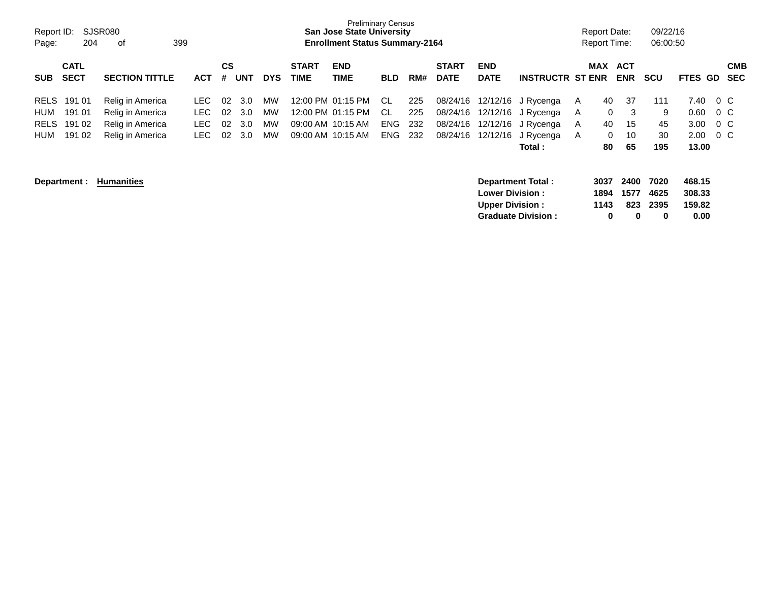| Report ID:<br>Page:                      | SJSR080<br>204 | 399<br>оf             |            |                |            |            |                             | <b>Preliminary Census</b><br><b>San Jose State University</b><br><b>Enrollment Status Summary-2164</b> |            |     |                             |                                                                              |                           |              | <b>Report Date:</b><br><b>Report Time:</b> |                          | 09/22/16<br>06:00:50      |                                    |         |                          |
|------------------------------------------|----------------|-----------------------|------------|----------------|------------|------------|-----------------------------|--------------------------------------------------------------------------------------------------------|------------|-----|-----------------------------|------------------------------------------------------------------------------|---------------------------|--------------|--------------------------------------------|--------------------------|---------------------------|------------------------------------|---------|--------------------------|
| <b>CATL</b><br><b>SECT</b><br><b>SUB</b> |                | <b>SECTION TITTLE</b> | <b>ACT</b> | <b>CS</b><br># | <b>UNT</b> | <b>DYS</b> | <b>START</b><br><b>TIME</b> | <b>END</b><br>TIME                                                                                     | <b>BLD</b> | RM# | <b>START</b><br><b>DATE</b> | <b>END</b><br><b>DATE</b>                                                    | <b>INSTRUCTR ST ENR</b>   |              | <b>MAX</b>                                 | ACT<br><b>ENR</b>        | <b>SCU</b>                | <b>FTES</b>                        | GD.     | <b>CMB</b><br><b>SEC</b> |
| 191 01<br><b>RELS</b>                    |                | Relig in America      | LEC.       | 02             | 3.0        | MW         |                             | 12:00 PM 01:15 PM                                                                                      | CL         | 225 | 08/24/16                    | 12/12/16                                                                     | J Rycenga                 | A            | 40                                         | 37                       | 111                       | 7.40                               | $0\,$ C |                          |
| 191 01<br>HUM                            |                | Relig in America      | LEC.       | 02             | 3.0        | MW         |                             | 12:00 PM 01:15 PM                                                                                      | CL         | 225 | 08/24/16                    | 12/12/16                                                                     | J Rycenga                 | A            | $\mathbf 0$                                | 3                        | 9                         | 0.60                               | 0 C     |                          |
| 191 02<br><b>RELS</b>                    |                | Relig in America      | LEC.       | 02             | 3.0        | MW         |                             | 09:00 AM 10:15 AM                                                                                      | <b>ENG</b> | 232 | 08/24/16                    | 12/12/16                                                                     | J Rycenga                 | A            | 40                                         | 15                       | 45                        | 3.00                               | $0\,C$  |                          |
| 191 02<br>HUM                            |                | Relig in America      | LEC.       | 02             | 3.0        | MW         |                             | 09:00 AM 10:15 AM                                                                                      | <b>ENG</b> | 232 | 08/24/16                    | 12/12/16                                                                     | J Rycenga                 | $\mathsf{A}$ | $\mathbf 0$                                | 10                       | 30                        | 2.00                               | $0\,$ C |                          |
|                                          |                |                       |            |                |            |            |                             |                                                                                                        |            |     |                             |                                                                              | Total:                    |              | 80                                         | 65                       | 195                       | 13.00                              |         |                          |
| Department :                             |                | <b>Humanities</b>     |            |                |            |            |                             |                                                                                                        |            |     |                             | <b>Department Total:</b><br><b>Lower Division:</b><br><b>Upper Division:</b> | <b>Graduate Division:</b> |              | 3037<br>1894<br>1143<br>$\mathbf 0$        | 2400<br>1577<br>823<br>0 | 7020<br>4625<br>2395<br>0 | 468.15<br>308.33<br>159.82<br>0.00 |         |                          |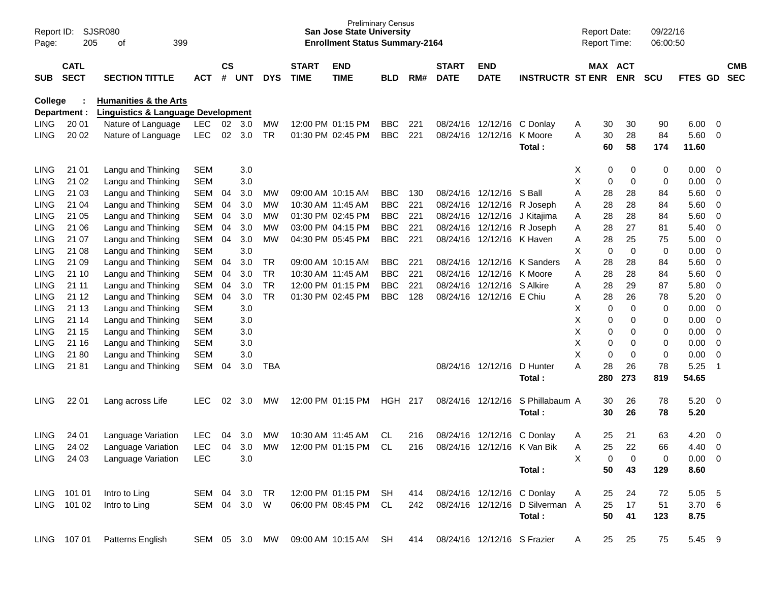| Page:          | SJSR080<br>Report ID:<br>205<br>399<br>οf<br><b>CATL</b> |                                                                                   |               |                    |              |            |                             | <b>San Jose State University</b><br><b>Enrollment Status Summary-2164</b> | <b>Preliminary Census</b> |     |                                 |                            |                                 | <b>Report Date:</b><br><b>Report Time:</b> |                              | 09/22/16<br>06:00:50 |                |                          |                          |
|----------------|----------------------------------------------------------|-----------------------------------------------------------------------------------|---------------|--------------------|--------------|------------|-----------------------------|---------------------------------------------------------------------------|---------------------------|-----|---------------------------------|----------------------------|---------------------------------|--------------------------------------------|------------------------------|----------------------|----------------|--------------------------|--------------------------|
| <b>SUB</b>     | <b>SECT</b>                                              | <b>SECTION TITTLE</b>                                                             | ACT           | $\mathsf{cs}$<br># | UNT          | <b>DYS</b> | <b>START</b><br><b>TIME</b> | <b>END</b><br><b>TIME</b>                                                 | <b>BLD</b>                | RM# | <b>START</b><br><b>DATE</b>     | <b>END</b><br><b>DATE</b>  | <b>INSTRUCTR ST ENR</b>         |                                            | <b>MAX ACT</b><br><b>ENR</b> | <b>SCU</b>           | <b>FTES GD</b> |                          | <b>CMB</b><br><b>SEC</b> |
| <b>College</b> | Department :                                             | <b>Humanities &amp; the Arts</b><br><b>Linguistics &amp; Language Development</b> |               |                    |              |            |                             |                                                                           |                           |     |                                 |                            |                                 |                                            |                              |                      |                |                          |                          |
| <b>LING</b>    | 20 01                                                    | Nature of Language                                                                | <b>LEC</b>    | 02                 | 3.0          | MW         |                             | 12:00 PM 01:15 PM                                                         | <b>BBC</b>                | 221 | 08/24/16                        | 12/12/16 C Donlav          |                                 | Α                                          | 30<br>30                     | 90                   | 6.00           | - 0                      |                          |
| <b>LING</b>    | 20 02                                                    | Nature of Language                                                                | <b>LEC</b>    | 02                 | 3.0          | <b>TR</b>  |                             | 01:30 PM 02:45 PM                                                         | <b>BBC</b>                | 221 | 08/24/16                        | 12/12/16                   | K Moore<br>Total:               | A                                          | 30<br>28<br>60<br>58         | 84<br>174            | 5.60<br>11.60  | - 0                      |                          |
| <b>LING</b>    | 21 01                                                    | Langu and Thinking                                                                | <b>SEM</b>    |                    | 3.0          |            |                             |                                                                           |                           |     |                                 |                            |                                 | X                                          | 0                            | 0<br>0               | 0.00           | - 0                      |                          |
| <b>LING</b>    | 21 02                                                    | Langu and Thinking                                                                | <b>SEM</b>    |                    | 3.0          |            |                             |                                                                           |                           |     |                                 |                            |                                 | X                                          | 0<br>0                       | 0                    | 0.00           | $\overline{0}$           |                          |
| <b>LING</b>    | 21 03                                                    | Langu and Thinking                                                                | <b>SEM</b>    | 04                 | 3.0          | МW         |                             | 09:00 AM 10:15 AM                                                         | <b>BBC</b>                | 130 | 08/24/16                        | 12/12/16                   | S Ball                          | Α                                          | 28<br>28                     | 84                   | 5.60           | $\overline{0}$           |                          |
| <b>LING</b>    | 21 04                                                    | Langu and Thinking                                                                | <b>SEM</b>    | 04                 | 3.0          | МW         |                             | 10:30 AM 11:45 AM                                                         | <b>BBC</b>                | 221 | 08/24/16                        | 12/12/16                   | R Joseph                        | Α                                          | 28<br>28                     | 84                   | 5.60           | $\overline{0}$           |                          |
| <b>LING</b>    | 21 05                                                    | Langu and Thinking                                                                | <b>SEM</b>    | 04                 | 3.0          | МW         |                             | 01:30 PM 02:45 PM                                                         | <b>BBC</b>                | 221 | 08/24/16                        | 12/12/16                   | J Kitajima                      | Α                                          | 28<br>28                     | 84                   | 5.60           | $\overline{0}$           |                          |
| <b>LING</b>    | 21 06                                                    | Langu and Thinking                                                                | <b>SEM</b>    | 04                 | 3.0          | МW         |                             | 03:00 PM 04:15 PM                                                         | <b>BBC</b>                | 221 | 08/24/16                        |                            | 12/12/16 R Joseph               | Α                                          | 28<br>27                     | 81                   | 5.40           | $\mathbf 0$              |                          |
| <b>LING</b>    | 21 07                                                    | Langu and Thinking                                                                | <b>SEM</b>    | 04                 | 3.0          | <b>MW</b>  |                             | 04:30 PM 05:45 PM                                                         | <b>BBC</b>                | 221 | 08/24/16                        | 12/12/16 K Haven           |                                 | Α                                          | 28<br>25                     | 75                   | 5.00           | $\overline{0}$           |                          |
| <b>LING</b>    | 21 08                                                    | Langu and Thinking                                                                | <b>SEM</b>    |                    | 3.0          |            |                             |                                                                           |                           |     |                                 |                            |                                 | х                                          | $\mathbf 0$<br>0             | $\mathbf 0$          | 0.00           | $\overline{0}$           |                          |
| <b>LING</b>    | 21 09                                                    | Langu and Thinking                                                                | <b>SEM</b>    | 04                 | 3.0          | TR         | 09:00 AM 10:15 AM           |                                                                           | <b>BBC</b>                | 221 | 08/24/16                        | 12/12/16                   | K Sanders                       | A                                          | 28<br>28                     | 84                   | 5.60           | $\mathbf 0$              |                          |
| <b>LING</b>    | 21 10                                                    | Langu and Thinking                                                                | <b>SEM</b>    | 04                 | 3.0          | <b>TR</b>  |                             | 10:30 AM 11:45 AM                                                         | <b>BBC</b>                | 221 | 08/24/16                        | 12/12/16                   | K Moore                         | Α                                          | 28<br>28                     | 84                   | 5.60           | $\overline{0}$           |                          |
| <b>LING</b>    | 21 11                                                    | Langu and Thinking                                                                | <b>SEM</b>    | 04                 | 3.0          | <b>TR</b>  |                             | 12:00 PM 01:15 PM                                                         | <b>BBC</b>                | 221 | 08/24/16                        | 12/12/16                   | S Alkire                        | A                                          | 28<br>29                     | 87                   | 5.80           | $\overline{0}$           |                          |
| <b>LING</b>    | 21 12                                                    | Langu and Thinking                                                                | SEM           | 04                 | 3.0          | <b>TR</b>  |                             | 01:30 PM 02:45 PM                                                         | <b>BBC</b>                | 128 | 08/24/16                        | 12/12/16 E Chiu            |                                 | Α                                          | 28<br>26                     | 78                   | 5.20           | $\mathbf 0$              |                          |
| <b>LING</b>    | 21 13                                                    | Langu and Thinking                                                                | <b>SEM</b>    |                    | 3.0          |            |                             |                                                                           |                           |     |                                 |                            |                                 | х                                          | 0                            | 0<br>0               | 0.00           | $\mathbf 0$              |                          |
| <b>LING</b>    | 21 14                                                    | Langu and Thinking                                                                | <b>SEM</b>    |                    | 3.0          |            |                             |                                                                           |                           |     |                                 |                            |                                 | Χ                                          | 0                            | 0<br>0               | 0.00           | $\overline{0}$           |                          |
| <b>LING</b>    | 21 15                                                    | Langu and Thinking                                                                | <b>SEM</b>    |                    | 3.0          |            |                             |                                                                           |                           |     |                                 |                            |                                 | Χ                                          | 0                            | 0<br>0               | 0.00           | $\overline{0}$           |                          |
| <b>LING</b>    | 21 16                                                    | Langu and Thinking                                                                | <b>SEM</b>    |                    | 3.0          |            |                             |                                                                           |                           |     |                                 |                            |                                 | Χ                                          | 0                            | 0<br>0               | 0.00           | $\overline{0}$           |                          |
| <b>LING</b>    | 21 80                                                    | Langu and Thinking                                                                | <b>SEM</b>    |                    | 3.0          |            |                             |                                                                           |                           |     |                                 |                            |                                 | Χ                                          | $\mathbf 0$<br>0             | $\mathbf 0$          | 0.00           | $\overline{0}$           |                          |
| <b>LING</b>    | 2181                                                     | Langu and Thinking                                                                | <b>SEM</b>    | 04                 | 3.0          | <b>TBA</b> |                             |                                                                           |                           |     |                                 | 08/24/16 12/12/16          | D Hunter<br>Total:              | A<br>280                                   | 28<br>26<br>273              | 78<br>819            | 5.25<br>54.65  | $\overline{\phantom{1}}$ |                          |
| <b>LING</b>    | 22 01                                                    | Lang across Life                                                                  | <b>LEC</b>    | 02                 | 3.0          | МW         |                             | 12:00 PM 01:15 PM                                                         | HGH                       | 217 |                                 | 08/24/16 12/12/16          | S Phillabaum A                  |                                            | 26<br>30                     | 78                   | 5.20           | - 0                      |                          |
|                |                                                          |                                                                                   |               |                    |              |            |                             |                                                                           |                           |     |                                 |                            | Total:                          |                                            | 30<br>26                     | 78                   | 5.20           |                          |                          |
| <b>LING</b>    | 24 01                                                    | Language Variation                                                                | LEC           | 04                 | 3.0          | МW         |                             | 10:30 AM 11:45 AM                                                         | CL                        | 216 | 08/24/16                        | 12/12/16                   | C Donlay                        | Α                                          | 21<br>25                     | 63                   | 4.20           | 0                        |                          |
| <b>LING</b>    | 24 02                                                    | Language Variation                                                                | <b>LEC</b>    | 04                 | 3.0          | MW         |                             | 12:00 PM 01:15 PM                                                         | CL.                       | 216 |                                 |                            | 08/24/16 12/12/16 K Van Bik     | A                                          | 25<br>22                     | 66                   | 4.40           | $\mathbf 0$              |                          |
|                | LING 24 03                                               | Language Variation                                                                | LEC           |                    | 3.0          |            |                             |                                                                           |                           |     |                                 |                            |                                 | X                                          | $\mathbf 0$<br>0             | 0                    | $0.00 \t 0$    |                          |                          |
|                |                                                          |                                                                                   |               |                    |              |            |                             |                                                                           |                           |     |                                 |                            | Total:                          |                                            | 50<br>43                     | 129                  | 8.60           |                          |                          |
|                | LING 101 01                                              | Intro to Ling                                                                     | SEM 04 3.0    |                    |              | <b>TR</b>  |                             | 12:00 PM 01:15 PM SH                                                      |                           | 414 |                                 | 08/24/16 12/12/16 C Donlay |                                 | A                                          | 24<br>25                     | 72                   | 5.05 5         |                          |                          |
|                | LING 101 02                                              | Intro to Ling                                                                     |               |                    | SEM 04 3.0 W |            |                             | 06:00 PM 08:45 PM CL                                                      |                           | 242 |                                 |                            | 08/24/16 12/12/16 D Silverman A |                                            | 17<br>25                     | 51                   | 3.70 6         |                          |                          |
|                |                                                          |                                                                                   |               |                    |              |            |                             |                                                                           |                           |     |                                 |                            | Total:                          |                                            | 50<br>41                     | 123                  | 8.75           |                          |                          |
|                | LING 107 01                                              | Patterns English                                                                  | SEM 05 3.0 MW |                    |              |            |                             | 09:00 AM 10:15 AM SH                                                      |                           |     | 414 08/24/16 12/12/16 S Frazier |                            |                                 | A                                          | 25<br>25                     | 75                   | 5.45 9         |                          |                          |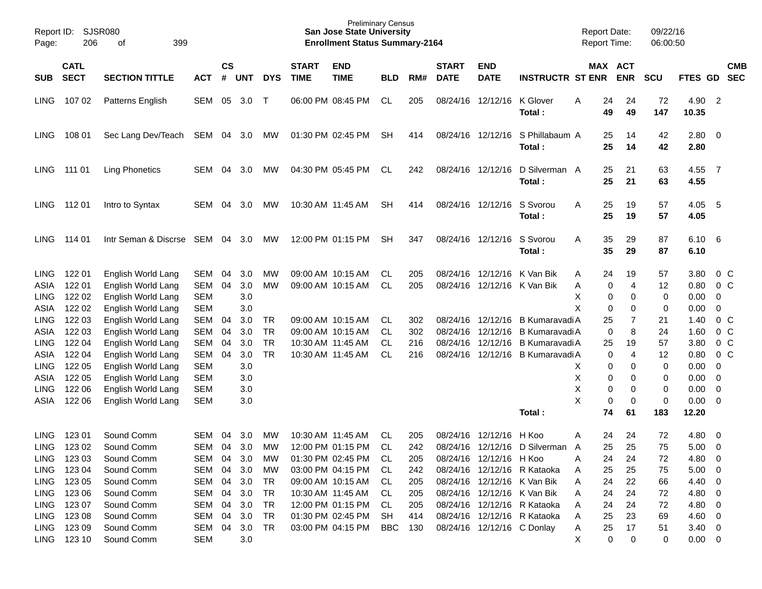| Report ID:<br>Page: | 206                        | <b>SJSR080</b><br>399<br>οf |            |                    |            |            |                             | <b>Preliminary Census</b><br><b>San Jose State University</b><br><b>Enrollment Status Summary-2164</b> |            |     |                             |                            |                                 |   | <b>Report Date:</b><br>Report Time: |            | 09/22/16<br>06:00:50 |               |                          |                          |
|---------------------|----------------------------|-----------------------------|------------|--------------------|------------|------------|-----------------------------|--------------------------------------------------------------------------------------------------------|------------|-----|-----------------------------|----------------------------|---------------------------------|---|-------------------------------------|------------|----------------------|---------------|--------------------------|--------------------------|
| <b>SUB</b>          | <b>CATL</b><br><b>SECT</b> | <b>SECTION TITTLE</b>       | <b>ACT</b> | $\mathsf{cs}$<br># | <b>UNT</b> | <b>DYS</b> | <b>START</b><br><b>TIME</b> | <b>END</b><br><b>TIME</b>                                                                              | <b>BLD</b> | RM# | <b>START</b><br><b>DATE</b> | <b>END</b><br><b>DATE</b>  | <b>INSTRUCTR ST ENR</b>         |   | MAX ACT                             | <b>ENR</b> | <b>SCU</b>           | FTES GD       |                          | <b>CMB</b><br><b>SEC</b> |
| <b>LING</b>         | 10702                      | Patterns English            | SEM        | 05                 | 3.0        | $\top$     |                             | 06:00 PM 08:45 PM                                                                                      | CL         | 205 |                             | 08/24/16 12/12/16          | K Glover<br>Total:              | A | 24<br>49                            | 24<br>49   | 72<br>147            | 4.90<br>10.35 | $\overline{2}$           |                          |
| <b>LING</b>         | 108 01                     | Sec Lang Dev/Teach          | SEM 04     |                    | 3.0        | МW         |                             | 01:30 PM 02:45 PM                                                                                      | <b>SH</b>  | 414 |                             | 08/24/16 12/12/16          | S Phillabaum A<br>Total:        |   | 25<br>25                            | 14<br>14   | 42<br>42             | 2.80<br>2.80  | $\overline{\phantom{0}}$ |                          |
| <b>LING</b>         | 111 01                     | <b>Ling Phonetics</b>       | SEM        | 04                 | 3.0        | MW         |                             | 04:30 PM 05:45 PM                                                                                      | CL         | 242 |                             | 08/24/16 12/12/16          | D Silverman A<br>Total:         |   | 25<br>25                            | 21<br>21   | 63<br>63             | 4.55<br>4.55  | $\overline{7}$           |                          |
| <b>LING</b>         | 11201                      | Intro to Syntax             | SEM        | 04                 | 3.0        | MW         |                             | 10:30 AM 11:45 AM                                                                                      | <b>SH</b>  | 414 |                             | 08/24/16 12/12/16          | S Svorou<br>Total:              | A | 25<br>25                            | 19<br>19   | 57<br>57             | 4.05<br>4.05  | 5                        |                          |
| <b>LING</b>         | 114 01                     | Intr Seman & Discrse        | SEM        | 04                 | 3.0        | МW         |                             | 12:00 PM 01:15 PM                                                                                      | SH.        | 347 |                             | 08/24/16 12/12/16          | S Svorou<br>Total:              | A | 35<br>35                            | 29<br>29   | 87<br>87             | 6.10<br>6.10  | - 6                      |                          |
| <b>LING</b>         | 122 01                     | English World Lang          | SEM        | 04                 | 3.0        | MW         |                             | 09:00 AM 10:15 AM                                                                                      | CL.        | 205 |                             | 08/24/16 12/12/16          | K Van Bik                       | A | 24                                  | 19         | 57                   | 3.80          |                          | $0\,C$                   |
| ASIA                | 122 01                     | English World Lang          | SEM        | 04                 | 3.0        | <b>MW</b>  |                             | 09:00 AM 10:15 AM                                                                                      | <b>CL</b>  | 205 |                             |                            | 08/24/16 12/12/16 K Van Bik     | Α | 0                                   | 4          | 12                   | 0.80          |                          | 0 <sup>C</sup>           |
| <b>LING</b>         | 122 02                     | English World Lang          | <b>SEM</b> |                    | 3.0        |            |                             |                                                                                                        |            |     |                             |                            |                                 | Χ | 0                                   | 0          | 0                    | 0.00          | $\mathbf 0$              |                          |
| <b>ASIA</b>         | 122 02                     | English World Lang          | <b>SEM</b> |                    | 3.0        |            |                             |                                                                                                        |            |     |                             |                            |                                 | Χ | $\mathbf 0$                         | 0          | 0                    | 0.00          | $\mathbf 0$              |                          |
| <b>LING</b>         | 122 03                     | English World Lang          | SEM        | 04                 | 3.0        | <b>TR</b>  |                             | 09:00 AM 10:15 AM                                                                                      | CL.        | 302 |                             | 08/24/16 12/12/16          | B Kumaravadi A                  |   | 25                                  | 7          | 21                   | 1.40          |                          | $0\,C$                   |
| ASIA                | 122 03                     | English World Lang          | <b>SEM</b> | 04                 | 3.0        | <b>TR</b>  |                             | 09:00 AM 10:15 AM                                                                                      | CL.        | 302 |                             | 08/24/16 12/12/16          | B Kumaravadi A                  |   | 0                                   | 8          | 24                   | 1.60          |                          | 0 <sup>C</sup>           |
| <b>LING</b>         | 122 04                     | English World Lang          | <b>SEM</b> | 04                 | 3.0        | <b>TR</b>  |                             | 10:30 AM 11:45 AM                                                                                      | CL.        | 216 |                             | 08/24/16 12/12/16          | B Kumaravadi A                  |   | 25                                  | 19         | 57                   | 3.80          |                          | $0\,C$                   |
| <b>ASIA</b>         | 122 04                     | English World Lang          | SEM        | 04                 | 3.0        | <b>TR</b>  |                             | 10:30 AM 11:45 AM                                                                                      | <b>CL</b>  | 216 |                             | 08/24/16 12/12/16          | <b>B Kumaravadi A</b>           |   | 0                                   | 4          | 12                   | 0.80          |                          | $0\,C$                   |
| <b>LING</b>         | 122 05                     | English World Lang          | <b>SEM</b> |                    | 3.0        |            |                             |                                                                                                        |            |     |                             |                            |                                 | х | 0                                   | 0          | 0                    | 0.00          | $\mathbf 0$              |                          |
| ASIA                | 122 05                     | English World Lang          | <b>SEM</b> |                    | 3.0        |            |                             |                                                                                                        |            |     |                             |                            |                                 | X | 0                                   | 0          | 0                    | 0.00          | $\overline{0}$           |                          |
| <b>LING</b>         | 122 06                     | English World Lang          | <b>SEM</b> |                    | 3.0        |            |                             |                                                                                                        |            |     |                             |                            |                                 | X | 0                                   | 0          | 0                    | 0.00          | $\overline{0}$           |                          |
| ASIA                | 122 06                     | English World Lang          | <b>SEM</b> |                    | 3.0        |            |                             |                                                                                                        |            |     |                             |                            |                                 | X | 0                                   | 0          | $\mathbf 0$          | 0.00          | 0                        |                          |
|                     |                            |                             |            |                    |            |            |                             |                                                                                                        |            |     |                             |                            | Total:                          |   | 74                                  | 61         | 183                  | 12.20         |                          |                          |
| <b>LING</b>         | 123 01                     | Sound Comm                  | SEM        | 04                 | 3.0        | МW         |                             | 10:30 AM 11:45 AM                                                                                      | CL.        | 205 | 08/24/16                    | 12/12/16                   | H Koo                           | A | 24                                  | 24         | 72                   | 4.80          | - 0                      |                          |
| <b>LING</b>         | 123 02                     | Sound Comm                  | SEM        | 04                 | 3.0        | MW         |                             | 12:00 PM 01:15 PM                                                                                      | <b>CL</b>  | 242 |                             |                            | 08/24/16 12/12/16 D Silverman A |   | 25                                  | 25         | 75                   | 5.00          | $\mathbf 0$              |                          |
|                     | LING 123 03                | Sound Comm                  | SEM 04     |                    | 3.0        | МW         |                             | 01:30 PM 02:45 PM                                                                                      | CL.        | 205 |                             | 08/24/16 12/12/16 H Koo    |                                 | Α | 24                                  | 24         | 72                   | 4.80 0        |                          |                          |
| <b>LING</b>         | 123 04                     | Sound Comm                  | SEM        | 04                 | 3.0        | МW         |                             | 03:00 PM 04:15 PM                                                                                      | CL.        | 242 |                             |                            | 08/24/16 12/12/16 R Kataoka     | A | 25                                  | 25         | 75                   | $5.00 \t 0$   |                          |                          |
|                     | LING 123 05                | Sound Comm                  | SEM 04     |                    | 3.0        | TR         |                             | 09:00 AM 10:15 AM                                                                                      | CL.        | 205 |                             |                            | 08/24/16 12/12/16 K Van Bik     | A | 24                                  | 22         | 66                   | 4.40 0        |                          |                          |
| LING                | 123 06                     | Sound Comm                  | SEM        | 04                 | 3.0        | TR         |                             | 10:30 AM 11:45 AM                                                                                      | CL.        | 205 |                             |                            | 08/24/16 12/12/16 K Van Bik     | A | 24                                  | 24         | 72                   | 4.80 0        |                          |                          |
| LING                | 123 07                     | Sound Comm                  | SEM        | 04                 | 3.0        | TR         |                             | 12:00 PM 01:15 PM                                                                                      | CL.        | 205 |                             |                            | 08/24/16 12/12/16 R Kataoka     | A | 24                                  | 24         | 72                   | 4.80 0        |                          |                          |
| <b>LING</b>         | 123 08                     | Sound Comm                  | SEM        | 04                 | 3.0        | <b>TR</b>  |                             | 01:30 PM 02:45 PM                                                                                      | SH         | 414 |                             |                            | 08/24/16 12/12/16 R Kataoka     | A | 25                                  | 23         | 69                   | 4.60 0        |                          |                          |
|                     | LING 123 09                | Sound Comm                  | SEM 04     |                    | 3.0        | TR         |                             | 03:00 PM 04:15 PM                                                                                      | BBC        | 130 |                             | 08/24/16 12/12/16 C Donlay |                                 | A | 25                                  | 17         | 51                   | $3.40 \ 0$    |                          |                          |
|                     | LING 123 10                | Sound Comm                  | SEM        |                    | 3.0        |            |                             |                                                                                                        |            |     |                             |                            |                                 | Х | 0                                   | 0          | 0                    | $0.00 \t 0$   |                          |                          |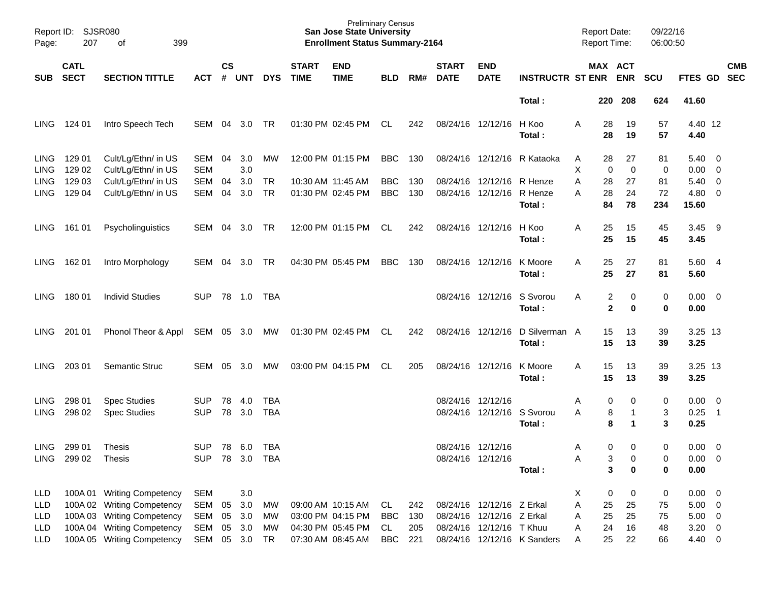| Page:                | Report ID: SJSR080<br>207  | 399<br>оf                                  |                   |                    |            |            |                             | <b>Preliminary Census</b><br><b>San Jose State University</b><br><b>Enrollment Status Summary-2164</b> |            |     |                             |                            |                             | <b>Report Date:</b><br><b>Report Time:</b> |                              | 09/22/16<br>06:00:50 |                 |                                  |                          |
|----------------------|----------------------------|--------------------------------------------|-------------------|--------------------|------------|------------|-----------------------------|--------------------------------------------------------------------------------------------------------|------------|-----|-----------------------------|----------------------------|-----------------------------|--------------------------------------------|------------------------------|----------------------|-----------------|----------------------------------|--------------------------|
| SUB                  | <b>CATL</b><br><b>SECT</b> | <b>SECTION TITTLE</b>                      | <b>ACT</b>        | $\mathsf{cs}$<br># | UNT        | <b>DYS</b> | <b>START</b><br><b>TIME</b> | <b>END</b><br><b>TIME</b>                                                                              | <b>BLD</b> | RM# | <b>START</b><br><b>DATE</b> | <b>END</b><br><b>DATE</b>  | <b>INSTRUCTR ST ENR ENR</b> |                                            | MAX ACT                      | <b>SCU</b>           | FTES GD         |                                  | <b>CMB</b><br><b>SEC</b> |
|                      |                            |                                            |                   |                    |            |            |                             |                                                                                                        |            |     |                             |                            | Total:                      | 220                                        | 208                          | 624                  | 41.60           |                                  |                          |
| LING.                | 124 01                     | Intro Speech Tech                          | SEM               | 04                 | 3.0        | TR         |                             | 01:30 PM 02:45 PM                                                                                      | CL         | 242 |                             | 08/24/16 12/12/16          | H Koo<br>Total:             | Α                                          | 28<br>19<br>28<br>19         | 57<br>57             | 4.40 12<br>4.40 |                                  |                          |
| LING.<br><b>LING</b> | 129 01<br>129 02           | Cult/Lg/Ethn/ in US<br>Cult/Lg/Ethn/ in US | SEM<br><b>SEM</b> | 04                 | 3.0<br>3.0 | МW         |                             | 12:00 PM 01:15 PM                                                                                      | <b>BBC</b> | 130 |                             | 08/24/16 12/12/16          | R Kataoka                   | A<br>Χ                                     | 28<br>27<br>0<br>$\mathbf 0$ | 81<br>0              | 5.40<br>0.00    | $\overline{0}$<br>$\overline{0}$ |                          |
| <b>LING</b>          | 129 03                     | Cult/Lg/Ethn/ in US                        | <b>SEM</b>        | 04                 | 3.0        | <b>TR</b>  |                             | 10:30 AM 11:45 AM                                                                                      | <b>BBC</b> | 130 |                             | 08/24/16 12/12/16          | R Henze                     | Α                                          | 28<br>27                     | 81                   | 5.40            | $\overline{0}$                   |                          |
| <b>LING</b>          | 129 04                     | Cult/Lg/Ethn/ in US                        | <b>SEM</b>        | 04                 | 3.0        | <b>TR</b>  |                             | 01:30 PM 02:45 PM                                                                                      | <b>BBC</b> | 130 |                             | 08/24/16 12/12/16          | R Henze                     | Α                                          | 28<br>24                     | 72                   | 4.80            | $\overline{0}$                   |                          |
|                      |                            |                                            |                   |                    |            |            |                             |                                                                                                        |            |     |                             |                            | Total:                      |                                            | 84<br>78                     | 234                  | 15.60           |                                  |                          |
| LING.                | 161 01                     | Psycholinguistics                          | SEM               | 04                 | 3.0        | TR         |                             | 12:00 PM 01:15 PM                                                                                      | CL         | 242 |                             | 08/24/16 12/12/16          | H Koo                       | Α                                          | 25<br>15                     | 45                   | 3.45            | - 9                              |                          |
|                      |                            |                                            |                   |                    |            |            |                             |                                                                                                        |            |     |                             |                            | Total:                      |                                            | 25<br>15                     | 45                   | 3.45            |                                  |                          |
| LING.                | 162 01                     | Intro Morphology                           | SEM               | 04                 | 3.0        | TR         |                             | 04:30 PM 05:45 PM                                                                                      | <b>BBC</b> | 130 |                             | 08/24/16 12/12/16          | K Moore                     | A                                          | 25<br>27<br>25<br>27         | 81                   | 5.604           |                                  |                          |
|                      |                            |                                            |                   |                    |            |            |                             |                                                                                                        |            |     |                             |                            | Total:                      |                                            |                              | 81                   | 5.60            |                                  |                          |
| LING.                | 180 01                     | <b>Individ Studies</b>                     | <b>SUP</b>        |                    |            | TBA        |                             |                                                                                                        |            |     |                             | 08/24/16 12/12/16          | S Svorou                    | Α                                          | 2<br>0                       | 0                    | 0.00            | $\overline{\mathbf{0}}$          |                          |
|                      |                            |                                            |                   |                    |            |            |                             |                                                                                                        |            |     |                             |                            | Total:                      |                                            | $\mathbf 2$<br>0             | $\bf{0}$             | 0.00            |                                  |                          |
| LING.                | 201 01                     | Phonol Theor & Appl                        | SEM 05 3.0        |                    |            | MW         |                             | 01:30 PM 02:45 PM                                                                                      | CL         | 242 |                             | 08/24/16 12/12/16          | D Silverman A               |                                            | 15<br>13                     | 39                   | 3.25 13         |                                  |                          |
|                      |                            |                                            |                   |                    |            |            |                             |                                                                                                        |            |     |                             |                            | Total:                      |                                            | 15<br>13                     | 39                   | 3.25            |                                  |                          |
|                      |                            |                                            |                   |                    |            |            |                             |                                                                                                        |            |     |                             |                            |                             |                                            |                              |                      |                 |                                  |                          |
| LING.                | 203 01                     | Semantic Struc                             | SEM               | 05                 | 3.0        | МW         |                             | 03:00 PM 04:15 PM                                                                                      | CL.        | 205 |                             | 08/24/16 12/12/16          | K Moore                     | A                                          | 15<br>13                     | 39                   | 3.25 13         |                                  |                          |
|                      |                            |                                            |                   |                    |            |            |                             |                                                                                                        |            |     |                             |                            | Total:                      |                                            | 15<br>13                     | 39                   | 3.25            |                                  |                          |
| <b>LING</b>          | 298 01                     | <b>Spec Studies</b>                        | <b>SUP</b>        | 78                 | 4.0        | TBA        |                             |                                                                                                        |            |     |                             | 08/24/16 12/12/16          |                             | Α                                          | 0<br>0                       | 0                    | 0.00            | $\overline{\mathbf{0}}$          |                          |
| <b>LING</b>          | 298 02                     | <b>Spec Studies</b>                        | <b>SUP</b>        | 78                 | 3.0        | <b>TBA</b> |                             |                                                                                                        |            |     |                             | 08/24/16 12/12/16 S Svorou |                             | A                                          | 8                            | 3                    | 0.25            | $\overline{\phantom{0}}$ 1       |                          |
|                      |                            |                                            |                   |                    |            |            |                             |                                                                                                        |            |     |                             |                            | Total:                      |                                            | 8<br>1                       | 3                    | 0.25            |                                  |                          |
| <b>LING</b>          | 299 01                     | <b>Thesis</b>                              | <b>SUP</b>        |                    | 78 6.0     | TBA        |                             |                                                                                                        |            |     |                             | 08/24/16 12/12/16          |                             | A                                          | 0<br>$\Omega$                | 0                    | 0.00            | $\overline{\mathbf{0}}$          |                          |
| LING                 | 299 02                     | Thesis                                     | <b>SUP</b>        |                    | 78 3.0 TBA |            |                             |                                                                                                        |            |     |                             | 08/24/16 12/12/16          |                             | Α                                          | 3<br>0                       | 0                    | 0.00            | $\overline{\mathbf{0}}$          |                          |
|                      |                            |                                            |                   |                    |            |            |                             |                                                                                                        |            |     |                             |                            | Total:                      |                                            | 3<br>0                       | 0                    | 0.00            |                                  |                          |
| LLD                  |                            | 100A 01 Writing Competency                 | <b>SEM</b>        |                    | 3.0        |            |                             |                                                                                                        |            |     |                             |                            |                             | X                                          | 0<br>0                       | $\pmb{0}$            | 0.00            | $\overline{\mathbf{0}}$          |                          |
| LLD                  |                            | 100A 02 Writing Competency                 | <b>SEM</b>        | 05                 | 3.0        | MW         |                             | 09:00 AM 10:15 AM                                                                                      | CL         | 242 |                             | 08/24/16 12/12/16 Z Erkal  |                             | Α                                          | 25<br>25                     | 75                   | $5.00 \t 0$     |                                  |                          |
| LLD                  |                            | 100A 03 Writing Competency                 | SEM               | 05                 | 3.0        | МW         |                             | 03:00 PM 04:15 PM                                                                                      | <b>BBC</b> | 130 |                             | 08/24/16 12/12/16 Z Erkal  |                             | Α                                          | 25<br>25                     | 75                   | $5.00 \t 0$     |                                  |                          |
| LLD                  |                            | 100A 04 Writing Competency                 | SEM               | 05                 | 3.0        | MW         |                             | 04:30 PM 05:45 PM                                                                                      | CL         | 205 |                             | 08/24/16 12/12/16 TKhuu    |                             | Α                                          | 24<br>16                     | 48                   | $3.20 \ 0$      |                                  |                          |
| <b>LLD</b>           |                            | 100A 05 Writing Competency                 | SEM               |                    | 05 3.0 TR  |            |                             | 07:30 AM 08:45 AM                                                                                      | <b>BBC</b> | 221 |                             |                            | 08/24/16 12/12/16 K Sanders | Α                                          | 25<br>22                     | 66                   | 4.40 0          |                                  |                          |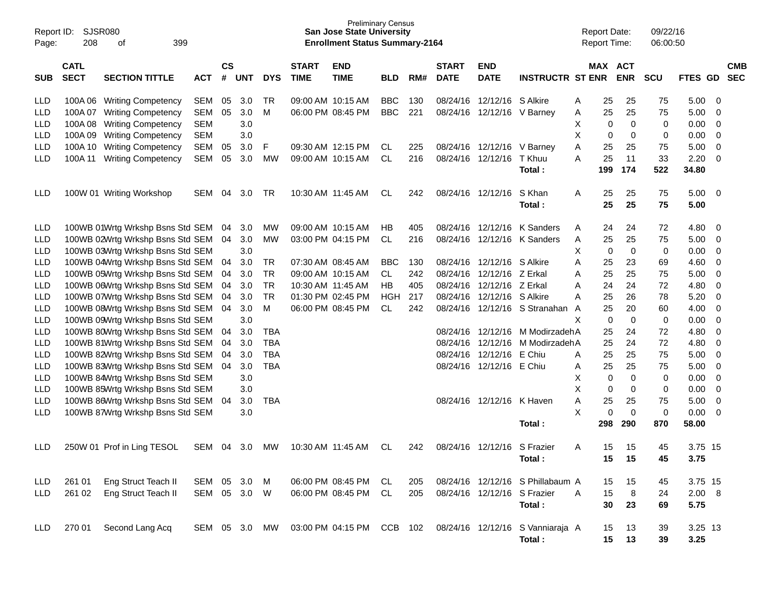| Report ID:<br>Page: | 208         | SJSR080<br>399<br>οf             |            |                        |            |               |                   | <b>Preliminary Census</b><br><b>San Jose State University</b><br><b>Enrollment Status Summary-2164</b> |            |     |                   |                             |                                                            | <b>Report Date:</b><br><b>Report Time:</b> |             | 09/22/16<br>06:00:50 |         |   |            |
|---------------------|-------------|----------------------------------|------------|------------------------|------------|---------------|-------------------|--------------------------------------------------------------------------------------------------------|------------|-----|-------------------|-----------------------------|------------------------------------------------------------|--------------------------------------------|-------------|----------------------|---------|---|------------|
|                     | <b>CATL</b> |                                  |            | $\mathbf{c}\mathbf{s}$ |            |               | <b>START</b>      | <b>END</b>                                                                                             |            |     | <b>START</b>      | <b>END</b>                  |                                                            | MAX ACT                                    |             |                      |         |   | <b>CMB</b> |
| <b>SUB</b>          | <b>SECT</b> | <b>SECTION TITTLE</b>            | <b>ACT</b> | #                      | <b>UNT</b> | <b>DYS</b>    | <b>TIME</b>       | <b>TIME</b>                                                                                            | <b>BLD</b> | RM# | <b>DATE</b>       | <b>DATE</b>                 | <b>INSTRUCTR ST ENR</b>                                    |                                            | <b>ENR</b>  | <b>SCU</b>           | FTES GD |   | <b>SEC</b> |
| LLD                 | 100A06      | <b>Writing Competency</b>        | <b>SEM</b> | 05                     | 3.0        | TR            | 09:00 AM 10:15 AM |                                                                                                        | <b>BBC</b> | 130 | 08/24/16          | 12/12/16                    | S Alkire                                                   | 25<br>Α                                    | 25          | 75                   | 5.00    | 0 |            |
| LLD                 | 100A07      | <b>Writing Competency</b>        | SEM        | 05                     | 3.0        | M             | 06:00 PM 08:45 PM |                                                                                                        | <b>BBC</b> | 221 | 08/24/16          | 12/12/16                    | V Barnev                                                   | 25<br>A                                    | 25          | 75                   | 5.00    | 0 |            |
| LLD                 | 100A08      | <b>Writing Competency</b>        | <b>SEM</b> |                        | 3.0        |               |                   |                                                                                                        |            |     |                   |                             |                                                            | х<br>0                                     | 0           | 0                    | 0.00    | 0 |            |
| LLD                 | 100A09      | <b>Writing Competency</b>        | <b>SEM</b> |                        | 3.0        |               |                   |                                                                                                        |            |     |                   |                             |                                                            | х<br>0                                     | 0           | 0                    | 0.00    | 0 |            |
| LLD                 | 100A 10     | <b>Writing Competency</b>        | <b>SEM</b> | 05                     | 3.0        | F             | 09:30 AM 12:15 PM |                                                                                                        | CL         | 225 |                   | 08/24/16 12/12/16           | V Barney                                                   | Α<br>25                                    | 25          | 75                   | 5.00    | 0 |            |
| LLD                 | 100A 11     | <b>Writing Competency</b>        | SEM        | 05                     | 3.0        | MW            | 09:00 AM 10:15 AM |                                                                                                        | CL         | 216 | 08/24/16 12/12/16 |                             | T Khuu                                                     | A<br>25                                    | 11          | 33                   | 2.20    | 0 |            |
|                     |             |                                  |            |                        |            |               |                   |                                                                                                        |            |     |                   |                             | Total :                                                    | 199                                        | 174         | 522                  | 34.80   |   |            |
| LLD                 |             | 100W 01 Writing Workshop         | <b>SEM</b> | 04                     | 3.0        | TR            | 10:30 AM 11:45 AM |                                                                                                        | CL         | 242 | 08/24/16 12/12/16 |                             | S Khan                                                     | Α<br>25                                    | 25          | 75                   | 5.00    | 0 |            |
|                     |             |                                  |            |                        |            |               |                   |                                                                                                        |            |     |                   |                             | Total :                                                    | 25                                         | 25          | 75                   | 5.00    |   |            |
| LLD                 |             | 100WB 01Wrtg Wrkshp Bsns Std SEM |            | 04                     | 3.0        | MW            | 09:00 AM 10:15 AM |                                                                                                        | HВ         | 405 | 08/24/16          | 12/12/16                    | K Sanders                                                  | Α<br>24                                    | 24          | 72                   | 4.80    | 0 |            |
| LLD                 |             | 100WB 02Wrtg Wrkshp Bsns Std SEM |            | 04                     | 3.0        | MW            | 03:00 PM 04:15 PM |                                                                                                        | CL         | 216 | 08/24/16          | 12/12/16                    | K Sanders                                                  | 25<br>Α                                    | 25          | 75                   | 5.00    | 0 |            |
| LLD                 |             | 100WB 03Wrtg Wrkshp Bsns Std SEM |            |                        | 3.0        |               |                   |                                                                                                        |            |     |                   |                             |                                                            | х<br>0                                     | 0           | 0                    | 0.00    | 0 |            |
| LLD                 |             | 100WB 04Wrtg Wrkshp Bsns Std SEM |            | 04                     | 3.0        | TR            | 07:30 AM 08:45 AM |                                                                                                        | <b>BBC</b> | 130 | 08/24/16          | 12/12/16                    | S Alkire                                                   | A<br>25                                    | 23          | 69                   | 4.60    | 0 |            |
| LLD                 |             | 100WB 05Wrtg Wrkshp Bsns Std SEM |            | 04                     | 3.0        | TR            | 09:00 AM 10:15 AM |                                                                                                        | CL.        | 242 | 08/24/16          | 12/12/16                    | Z Erkal                                                    | 25<br>A                                    | 25          | 75                   | 5.00    | 0 |            |
| LLD                 |             | 100WB 06Wrtg Wrkshp Bsns Std SEM |            | 04                     | 3.0        | TR            | 10:30 AM 11:45 AM |                                                                                                        | HB         | 405 | 08/24/16          | 12/12/16                    | Z Erkal                                                    | A<br>24                                    | 24          | 72                   | 4.80    | 0 |            |
| LLD                 |             | 100WB 07Wrtg Wrkshp Bsns Std SEM |            | 04                     | 3.0        | TR            | 01:30 PM 02:45 PM |                                                                                                        | HGH        | 217 | 08/24/16          | 12/12/16                    | S Alkire                                                   | 25<br>A                                    | 26          | 78                   | 5.20    | 0 |            |
| LLD                 |             | 100WB 08Wrtg Wrkshp Bsns Std SEM |            | 04                     | 3.0        | м             | 06:00 PM 08:45 PM |                                                                                                        | CL         | 242 | 08/24/16          | 12/12/16                    | S Stranahan                                                | 25<br>A                                    | 20          | 60                   | 4.00    | 0 |            |
| LLD                 |             | 100WB 09Wrtg Wrkshp Bsns Std SEM |            |                        | 3.0        |               |                   |                                                                                                        |            |     |                   |                             |                                                            | X<br>0                                     | 0           | 0                    | 0.00    | 0 |            |
| LLD                 |             | 100WB 80Wrtg Wrkshp Bsns Std SEM |            | 04                     | 3.0        | <b>TBA</b>    |                   |                                                                                                        |            |     | 08/24/16          | 12/12/16                    | M ModirzadehA                                              | 25                                         | 24          | 72                   | 4.80    | 0 |            |
| LLD                 |             | 100WB 81Wrtg Wrkshp Bsns Std SEM |            | 04                     | 3.0        | <b>TBA</b>    |                   |                                                                                                        |            |     | 08/24/16          | 12/12/16                    | M ModirzadehA                                              | 25                                         | 24          | 72                   | 4.80    | 0 |            |
| LLD                 |             | 100WB 82Wrtg Wrkshp Bsns Std SEM |            | 04                     | 3.0        | <b>TBA</b>    |                   |                                                                                                        |            |     | 08/24/16          | 12/12/16                    | E Chiu                                                     | 25<br>Α                                    | 25          | 75                   | 5.00    | 0 |            |
| LLD                 |             | 100WB 83Wrtg Wrkshp Bsns Std SEM |            | 04                     | 3.0        | <b>TBA</b>    |                   |                                                                                                        |            |     |                   | 08/24/16 12/12/16           | E Chiu                                                     | 25<br>A                                    | 25          | 75                   | 5.00    | 0 |            |
| LLD                 |             | 100WB 84Wrtg Wrkshp Bsns Std SEM |            |                        | 3.0        |               |                   |                                                                                                        |            |     |                   |                             |                                                            | х<br>0                                     | 0           | 0                    | 0.00    | 0 |            |
| LLD                 |             | 100WB 85Wrtg Wrkshp Bsns Std SEM |            |                        | 3.0        |               |                   |                                                                                                        |            |     |                   |                             |                                                            | х<br>0                                     | 0           | 0                    | 0.00    | 0 |            |
| LLD                 |             | 100WB 86Wrtg Wrkshp Bsns Std SEM |            | 04                     | 3.0        | TBA           |                   |                                                                                                        |            |     |                   | 08/24/16 12/12/16           | K Haven                                                    | Α<br>25                                    | 25          | 75                   | 5.00    | 0 |            |
| LLD                 |             | 100WB 87Wrtg Wrkshp Bsns Std SEM |            |                        | 3.0        |               |                   |                                                                                                        |            |     |                   |                             |                                                            | X<br>0                                     | $\mathbf 0$ | 0                    | 0.00    | 0 |            |
|                     |             |                                  |            |                        |            |               |                   |                                                                                                        |            |     |                   |                             | Total:                                                     | 298                                        | 290         | 870                  | 58.00   |   |            |
| LLD                 |             | 250W 01 Prof in Ling TESOL       | SEM 04 3.0 |                        |            | MW            | 10:30 AM 11:45 AM |                                                                                                        | CL.        | 242 |                   | 08/24/16 12/12/16 S Frazier |                                                            | A                                          | 15<br>15    | 45                   | 3.75 15 |   |            |
|                     |             |                                  |            |                        |            |               |                   |                                                                                                        |            |     |                   |                             | Total:                                                     | 15                                         | 15          | 45                   | 3.75    |   |            |
| LLD                 | 261 01      | Eng Struct Teach II              | SEM 05 3.0 |                        |            | M             |                   | 06:00 PM 08:45 PM                                                                                      | CL         | 205 |                   |                             | 08/24/16 12/12/16 S Phillabaum A                           | 15                                         | 15          | 45                   | 3.75 15 |   |            |
| LLD                 | 261 02      | Eng Struct Teach II              | SEM 05 3.0 |                        |            | W             |                   | 06:00 PM 08:45 PM                                                                                      | CL         | 205 | 08/24/16 12/12/16 |                             | S Frazier                                                  | A<br>15                                    | 8           | 24                   | 2.00 8  |   |            |
|                     |             |                                  |            |                        |            |               |                   |                                                                                                        |            |     |                   |                             | Total:                                                     | 30                                         | 23          | 69                   | 5.75    |   |            |
| LLD.                | 270 01      | Second Lang Acq                  |            |                        |            | SEM 05 3.0 MW |                   |                                                                                                        |            |     |                   |                             | 03:00 PM 04:15 PM CCB 102 08/24/16 12/12/16 S Vanniaraja A | 15                                         | 13          | 39                   | 3.25 13 |   |            |
|                     |             |                                  |            |                        |            |               |                   |                                                                                                        |            |     |                   |                             | Total:                                                     | 15                                         | 13          | 39                   | 3.25    |   |            |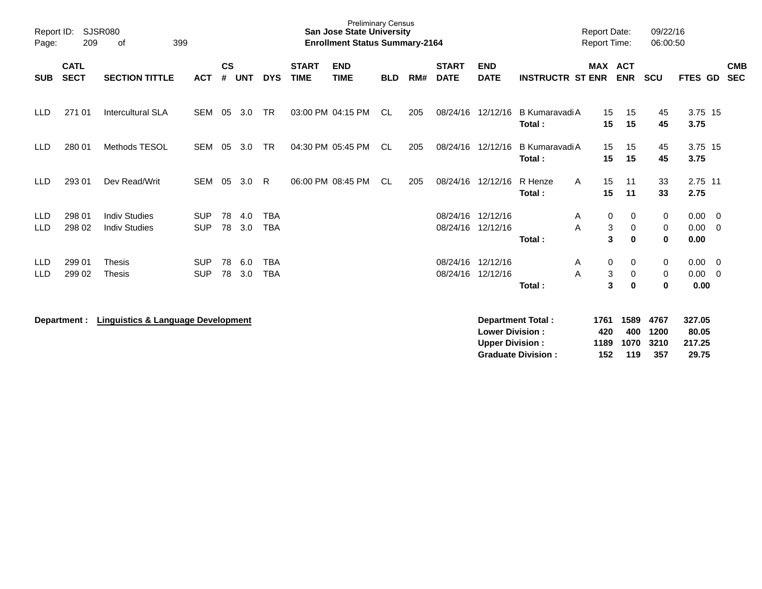| Report ID:<br>Page: | 209                        | <b>SJSR080</b><br>399<br>οf                   |            |                |            |            |                             | <b>Preliminary Census</b><br><b>San Jose State University</b><br><b>Enrollment Status Summary-2164</b> |            |     |                             |                                                  |                          | <b>Report Date:</b><br>Report Time: |                          | 09/22/16<br>06:00:50 |                           |                          |
|---------------------|----------------------------|-----------------------------------------------|------------|----------------|------------|------------|-----------------------------|--------------------------------------------------------------------------------------------------------|------------|-----|-----------------------------|--------------------------------------------------|--------------------------|-------------------------------------|--------------------------|----------------------|---------------------------|--------------------------|
| <b>SUB</b>          | <b>CATL</b><br><b>SECT</b> | <b>SECTION TITTLE</b>                         | <b>ACT</b> | <b>CS</b><br># | <b>UNT</b> | <b>DYS</b> | <b>START</b><br><b>TIME</b> | <b>END</b><br><b>TIME</b>                                                                              | <b>BLD</b> | RM# | <b>START</b><br><b>DATE</b> | <b>END</b><br><b>DATE</b>                        | <b>INSTRUCTR ST ENR</b>  | <b>MAX</b>                          | <b>ACT</b><br><b>ENR</b> | <b>SCU</b>           | FTES GD                   | <b>CMB</b><br><b>SEC</b> |
| LLD.                | 271 01                     | <b>Intercultural SLA</b>                      | <b>SEM</b> | 05             | 3.0        | <b>TR</b>  |                             | 03:00 PM 04:15 PM                                                                                      | CL         | 205 | 08/24/16                    | 12/12/16                                         | B Kumaravadi A<br>Total: | 15<br>15                            | 15<br>15                 | 45<br>45             | 3.75 15<br>3.75           |                          |
| <b>LLD</b>          | 280 01                     | Methods TESOL                                 | <b>SEM</b> | 05             | 3.0        | <b>TR</b>  |                             | 04:30 PM 05:45 PM                                                                                      | CL.        | 205 | 08/24/16                    | 12/12/16                                         | B Kumaravadi A<br>Total: | 15<br>15                            | 15<br>15                 | 45<br>45             | 3.75 15<br>3.75           |                          |
| <b>LLD</b>          | 293 01                     | Dev Read/Writ                                 | <b>SEM</b> | 05             | 3.0        | R          |                             | 06:00 PM 08:45 PM                                                                                      | <b>CL</b>  | 205 | 08/24/16                    | 12/12/16                                         | R Henze<br>A<br>Total:   | 15<br>15                            | 11<br>11                 | 33<br>33             | 2.75 11<br>2.75           |                          |
| <b>LLD</b>          | 298 01                     | <b>Indiv Studies</b>                          | <b>SUP</b> | 78             | 4.0        | <b>TBA</b> |                             |                                                                                                        |            |     | 08/24/16                    | 12/12/16                                         | A                        | 0                                   | 0                        | 0                    | 0.00                      | $\overline{\mathbf{0}}$  |
| LLD                 | 298 02                     | <b>Indiv Studies</b>                          | <b>SUP</b> | 78             | 3.0        | <b>TBA</b> |                             |                                                                                                        |            |     |                             | 08/24/16 12/12/16                                | A                        | 3                                   | 0                        | 0                    | 0.00                      | $\overline{0}$           |
|                     |                            |                                               |            |                |            |            |                             |                                                                                                        |            |     |                             |                                                  | Total:                   | 3                                   | $\bf{0}$                 | $\bf{0}$             | 0.00                      |                          |
| <b>LLD</b>          | 299 01                     | <b>Thesis</b>                                 | <b>SUP</b> | 78             | 6.0        | <b>TBA</b> |                             |                                                                                                        |            |     | 08/24/16                    | 12/12/16                                         | A                        | 0                                   | 0                        | 0                    | 0.00                      | $\overline{\mathbf{0}}$  |
| LLD                 | 299 02                     | Thesis                                        | <b>SUP</b> | 78             | 3.0        | <b>TBA</b> |                             |                                                                                                        |            |     | 08/24/16                    | 12/12/16                                         | A                        | 3                                   | $\mathbf 0$              | 0                    | 0.00                      | $\overline{0}$           |
|                     |                            |                                               |            |                |            |            |                             |                                                                                                        |            |     |                             |                                                  | Total:                   | 3                                   | $\bf{0}$                 | $\bf{0}$             | 0.00                      |                          |
|                     | Department :               | <b>Linguistics &amp; Language Development</b> |            |                |            |            |                             |                                                                                                        |            |     |                             | <b>Lower Division:</b><br><b>Upper Division:</b> | <b>Department Total:</b> | 1761<br>420<br>1189                 | 1589<br>400<br>1070      | 4767<br>1200<br>3210 | 327.05<br>80.05<br>217.25 |                          |

**Graduate Division : 152 119 357 29.75**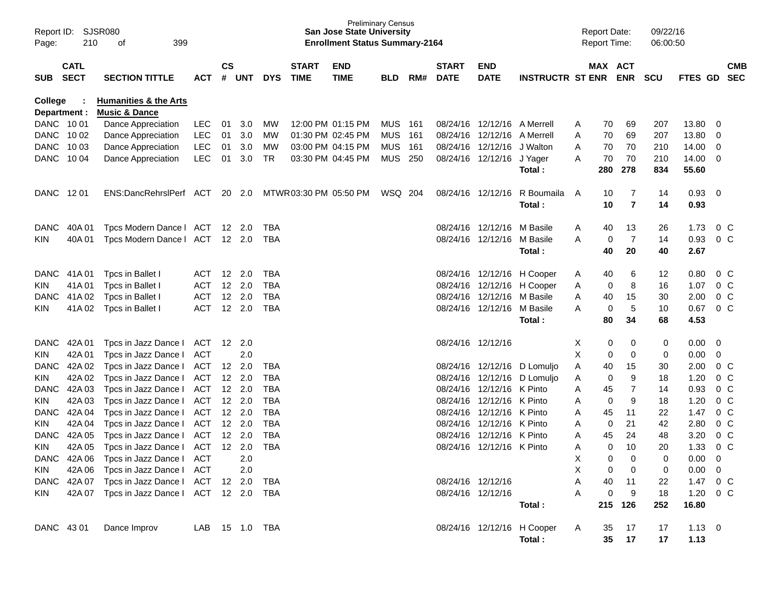| Page:                   | Report ID: SJSR080<br>210 | 399<br>оf                                                    |            |           |                |            |                             | <b>San Jose State University</b><br><b>Enrollment Status Summary-2164</b> | <b>Preliminary Census</b> |     |                             |                             |                                      |   | <b>Report Date:</b><br><b>Report Time:</b> |                     | 09/22/16<br>06:00:50 |                    |                |                          |
|-------------------------|---------------------------|--------------------------------------------------------------|------------|-----------|----------------|------------|-----------------------------|---------------------------------------------------------------------------|---------------------------|-----|-----------------------------|-----------------------------|--------------------------------------|---|--------------------------------------------|---------------------|----------------------|--------------------|----------------|--------------------------|
| SUB SECT                | <b>CATL</b>               | <b>SECTION TITTLE</b>                                        | ACT        | <b>CS</b> | # UNT          | <b>DYS</b> | <b>START</b><br><b>TIME</b> | <b>END</b><br><b>TIME</b>                                                 | BLD                       | RM# | <b>START</b><br><b>DATE</b> | <b>END</b><br><b>DATE</b>   | <b>INSTRUCTR ST ENR ENR</b>          |   | MAX ACT                                    |                     | <b>SCU</b>           | <b>FTES GD</b>     |                | <b>CMB</b><br><b>SEC</b> |
| College<br>Department : |                           | <b>Humanities &amp; the Arts</b><br><b>Music &amp; Dance</b> |            |           |                |            |                             |                                                                           |                           |     |                             |                             |                                      |   |                                            |                     |                      |                    |                |                          |
| DANC 1001               |                           | Dance Appreciation                                           | <b>LEC</b> | 01        | 3.0            | МW         |                             | 12:00 PM 01:15 PM                                                         | <b>MUS</b>                | 161 |                             | 08/24/16 12/12/16 A Merrell |                                      | A | 70                                         | 69                  | 207                  | 13.80              | $\mathbf 0$    |                          |
| DANC 1002               |                           | Dance Appreciation                                           | <b>LEC</b> | 01        | 3.0            | МW         |                             | 01:30 PM 02:45 PM                                                         | <b>MUS</b>                | 161 |                             | 08/24/16 12/12/16 A Merrell |                                      | Α | 70                                         | 69                  | 207                  | 13.80              | 0              |                          |
| DANC 1003               |                           | Dance Appreciation                                           | <b>LEC</b> | 01        | 3.0            | МW         |                             | 03:00 PM 04:15 PM                                                         | <b>MUS</b>                | 161 |                             | 08/24/16 12/12/16 J Walton  |                                      | A | 70                                         | 70                  | 210                  | 14.00              | 0              |                          |
| DANC 1004               |                           | Dance Appreciation                                           | <b>LEC</b> | 01        | 3.0            | <b>TR</b>  |                             | 03:30 PM 04:45 PM                                                         | MUS 250                   |     |                             | 08/24/16 12/12/16 J Yager   | Total:                               | A | 70<br>280                                  | 70<br>278           | 210<br>834           | 14.00<br>55.60     | 0              |                          |
| DANC 1201               |                           | ENS:DancRehrslPerf ACT 20 2.0                                |            |           |                |            | MTWR 03:30 PM 05:50 PM      |                                                                           | WSQ 204                   |     |                             | 08/24/16 12/12/16           | R Boumaila<br>Total:                 | A | 10<br>10                                   | 7<br>$\overline{7}$ | 14<br>14             | 0.93<br>0.93       | $\overline{0}$ |                          |
| <b>DANC</b>             | 40A 01                    | Tpcs Modern Dance   ACT 12 2.0                               |            |           |                | TBA        |                             |                                                                           |                           |     |                             | 08/24/16 12/12/16 M Basile  |                                      | A | 40                                         | 13                  | 26                   | 1.73               | $0\,C$         |                          |
| KIN.                    | 40A 01                    | Tpcs Modern Dance   ACT 12 2.0                               |            |           |                | TBA        |                             |                                                                           |                           |     |                             | 08/24/16 12/12/16 M Basile  |                                      | Α | 0                                          | $\overline{7}$      | 14                   | 0.93               | 0 C            |                          |
|                         |                           |                                                              |            |           |                |            |                             |                                                                           |                           |     |                             |                             | Total:                               |   | 40                                         | 20                  | 40                   | 2.67               |                |                          |
|                         | DANC 41A01                | Tpcs in Ballet I                                             | ACT        |           | $12 \quad 2.0$ | TBA        |                             |                                                                           |                           |     |                             |                             | 08/24/16 12/12/16 H Cooper           | A | 40                                         | 6                   | 12                   | 0.80               | $0\,C$         |                          |
| KIN                     | 41A 01                    | Tpcs in Ballet I                                             | ACT        |           | 12 2.0         | <b>TBA</b> |                             |                                                                           |                           |     |                             |                             | 08/24/16 12/12/16 H Cooper           | Α | 0                                          | 8                   | 16                   | 1.07               | 0 <sup>C</sup> |                          |
| <b>DANC</b>             | 41A 02                    | Tpcs in Ballet I                                             | ACT        |           | 12 2.0         | <b>TBA</b> |                             |                                                                           |                           |     |                             | 08/24/16 12/12/16 M Basile  |                                      | Α | 40                                         | 15                  | 30                   | 2.00               | 0 <sup>C</sup> |                          |
| KIN.                    | 41A 02                    | Tpcs in Ballet I                                             | <b>ACT</b> |           | 12 2.0         | <b>TBA</b> |                             |                                                                           |                           |     |                             | 08/24/16 12/12/16 M Basile  |                                      | A | 0                                          | 5                   | 10                   | 0.67               | 0 C            |                          |
|                         |                           |                                                              |            |           |                |            |                             |                                                                           |                           |     |                             |                             | Total:                               |   | 80                                         | 34                  | 68                   | 4.53               |                |                          |
| <b>DANC</b>             | 42A 01                    | Tpcs in Jazz Dance I                                         | ACT        |           | $12 \quad 2.0$ |            |                             |                                                                           |                           |     |                             | 08/24/16 12/12/16           |                                      | X | 0                                          | 0                   | 0                    | 0.00               | 0              |                          |
| <b>KIN</b>              | 42A 01                    | Tpcs in Jazz Dance I                                         | ACT        |           | 2.0            |            |                             |                                                                           |                           |     |                             |                             |                                      | X | $\mathbf 0$                                | 0                   | 0                    | 0.00               | 0              |                          |
| <b>DANC</b>             | 42A 02                    | Tpcs in Jazz Dance I                                         | ACT        |           | $12 \quad 2.0$ | TBA        |                             |                                                                           |                           |     |                             |                             | 08/24/16 12/12/16 D Lomuljo          | Α | 40                                         | 15                  | 30                   | 2.00               | $0\,C$         |                          |
| KIN                     | 42A 02                    | Tpcs in Jazz Dance I                                         | ACT        |           | $12 \quad 2.0$ | TBA        |                             |                                                                           |                           |     |                             |                             | 08/24/16 12/12/16 D Lomuljo          | Α | 0                                          | 9                   | 18                   | 1.20               | 0 <sup>C</sup> |                          |
| <b>DANC</b>             | 42A 03                    | Tpcs in Jazz Dance I                                         | ACT        |           | 12 2.0         | <b>TBA</b> |                             |                                                                           |                           |     |                             | 08/24/16 12/12/16 K Pinto   |                                      | Α | 45                                         | 7                   | 14                   | 0.93               | 0 <sup>C</sup> |                          |
| KIN                     | 42A 03                    | Tpcs in Jazz Dance I                                         | ACT        |           | 12 2.0         | <b>TBA</b> |                             |                                                                           |                           |     |                             | 08/24/16 12/12/16 K Pinto   |                                      | Α | $\mathbf 0$                                | 9                   | 18                   | 1.20               | 0 <sup>C</sup> |                          |
| <b>DANC</b>             | 42A 04                    | Tpcs in Jazz Dance I                                         | ACT        |           | 12 2.0         | <b>TBA</b> |                             |                                                                           |                           |     |                             | 08/24/16 12/12/16 K Pinto   |                                      | Α | 45                                         | 11                  | 22                   | 1.47               | 0 <sup>C</sup> |                          |
| KIN                     | 42A 04                    | Tpcs in Jazz Dance I                                         | ACT        |           | 12 2.0         | <b>TBA</b> |                             |                                                                           |                           |     |                             | 08/24/16 12/12/16 K Pinto   |                                      | Α | $\mathbf 0$                                | 21                  | 42                   | 2.80               | 0 <sup>C</sup> |                          |
| <b>DANC</b>             | 42A 05                    | Tpcs in Jazz Dance I                                         | ACT        |           | 12 2.0         | <b>TBA</b> |                             |                                                                           |                           |     |                             | 08/24/16 12/12/16 K Pinto   |                                      | A | 45                                         | 24                  | 48                   | 3.20               | 0 <sup>C</sup> |                          |
| KIN                     | 42A 05                    | Tpcs in Jazz Dance I ACT                                     |            |           | $12 \quad 2.0$ | <b>TBA</b> |                             |                                                                           |                           |     |                             | 08/24/16 12/12/16 K Pinto   |                                      | Α | 0                                          | 10                  | 20                   | 1.33               | 0 <sup>o</sup> |                          |
|                         |                           | DANC 42A 06 Tpcs in Jazz Dance I ACT                         |            |           | 2.0            |            |                             |                                                                           |                           |     |                             |                             |                                      | Χ | 0                                          | 0                   | 0                    | 0.00               | $\mathbf 0$    |                          |
| KIN                     |                           | 42A 06 Tpcs in Jazz Dance I                                  | <b>ACT</b> |           | 2.0            |            |                             |                                                                           |                           |     |                             |                             |                                      | X | $\mathbf 0$                                | 0                   | 0                    | 0.00               | $\mathbf 0$    |                          |
|                         |                           | DANC 42A 07 Tpcs in Jazz Dance I ACT                         |            |           | 12 2.0         | TBA        |                             |                                                                           |                           |     |                             | 08/24/16 12/12/16           |                                      | Α | 40                                         | 11                  | 22                   | 1.47               | $0\,C$         |                          |
| KIN                     |                           | 42A 07 Tpcs in Jazz Dance   ACT 12 2.0                       |            |           |                | TBA        |                             |                                                                           |                           |     |                             | 08/24/16 12/12/16           | Total:                               | A | $\mathbf 0$                                | 9<br>215 126        | 18<br>252            | 1.20<br>16.80      | $0\,C$         |                          |
| DANC 43 01              |                           | Dance Improv                                                 | LAB        |           | 15 1.0 TBA     |            |                             |                                                                           |                           |     |                             |                             | 08/24/16 12/12/16 H Cooper<br>Total: | A | 35<br>35                                   | 17<br>17            | 17<br>17             | $1.13 \ 0$<br>1.13 |                |                          |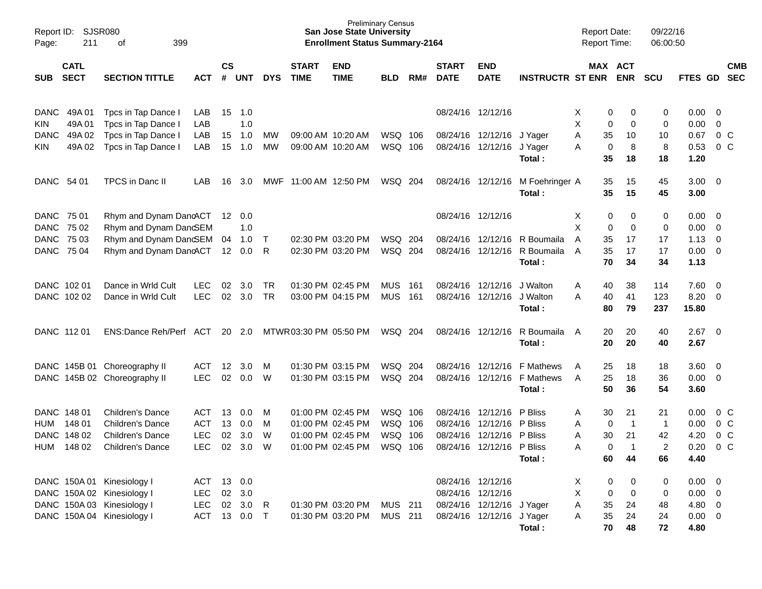| Page:       | Report ID:<br>SJSR080<br>399<br>211<br>οf |                              |            |                    |            |              |                             | <b>Preliminary Census</b><br><b>San Jose State University</b><br><b>Enrollment Status Summary-2164</b> |            |     |                             |                           |                         | <b>Report Date:</b><br>Report Time: |                       | 09/22/16<br>06:00:50 |                |                         |                          |
|-------------|-------------------------------------------|------------------------------|------------|--------------------|------------|--------------|-----------------------------|--------------------------------------------------------------------------------------------------------|------------|-----|-----------------------------|---------------------------|-------------------------|-------------------------------------|-----------------------|----------------------|----------------|-------------------------|--------------------------|
| <b>SUB</b>  | <b>CATL</b><br><b>SECT</b>                | <b>SECTION TITTLE</b>        | <b>ACT</b> | $\mathsf{cs}$<br># | <b>UNT</b> | <b>DYS</b>   | <b>START</b><br><b>TIME</b> | <b>END</b><br><b>TIME</b>                                                                              | <b>BLD</b> | RM# | <b>START</b><br><b>DATE</b> | <b>END</b><br><b>DATE</b> | <b>INSTRUCTR ST ENR</b> |                                     | MAX ACT<br><b>ENR</b> | <b>SCU</b>           | <b>FTES GD</b> |                         | <b>CMB</b><br><b>SEC</b> |
|             |                                           |                              |            |                    |            |              |                             |                                                                                                        |            |     |                             |                           |                         |                                     |                       |                      |                |                         |                          |
| <b>DANC</b> | 49A 01                                    | Tpcs in Tap Dance I          | LAB        | 15                 | 1.0        |              |                             |                                                                                                        |            |     | 08/24/16 12/12/16           |                           |                         | 0<br>X                              | 0                     | 0                    | 0.00           | - 0                     |                          |
| <b>KIN</b>  | 49A01                                     | Tpcs in Tap Dance I          | LAB        |                    | 1.0        |              |                             |                                                                                                        |            |     |                             |                           |                         | X<br>0                              | 0                     | 0                    | 0.00           | $\mathbf 0$             |                          |
| <b>DANC</b> | 49A 02                                    | Tpcs in Tap Dance I          | LAB        | 15                 | 1.0        | MW           |                             | 09:00 AM 10:20 AM                                                                                      | WSQ        | 106 | 08/24/16                    | 12/12/16                  | J Yager                 | Α<br>35                             | 10                    | 10                   | 0.67           | 0 <sup>o</sup>          |                          |
| <b>KIN</b>  | 49A 02                                    | Tpcs in Tap Dance I          | LAB        | 15                 | 1.0        | MW           |                             | 09:00 AM 10:20 AM                                                                                      | WSQ 106    |     | 08/24/16                    | 12/12/16                  | J Yager                 | 0<br>A                              | 8                     | 8                    | 0.53           | 0 <sup>o</sup>          |                          |
|             |                                           |                              |            |                    |            |              |                             |                                                                                                        |            |     |                             |                           | Total:                  | 35                                  | 18                    | 18                   | 1.20           |                         |                          |
| DANC 54 01  |                                           | TPCS in Danc II              | LAB        | 16                 | 3.0        | MWF          | 11:00 AM 12:50 PM           |                                                                                                        | WSQ 204    |     | 08/24/16                    | 12/12/16                  | M Foehringer A          | 35                                  | 15                    | 45                   | $3.00 \ 0$     |                         |                          |
|             |                                           |                              |            |                    |            |              |                             |                                                                                                        |            |     |                             |                           | Total:                  | 35                                  | 15                    | 45                   | 3.00           |                         |                          |
| DANC 75 01  |                                           | Rhym and Dynam DancACT       |            | 12                 | 0.0        |              |                             |                                                                                                        |            |     | 08/24/16 12/12/16           |                           |                         | Х<br>0                              | 0                     | 0                    | 0.00           | $\overline{\mathbf{0}}$ |                          |
| DANC 75 02  |                                           | Rhym and Dynam DanGEM        |            |                    | 1.0        |              |                             |                                                                                                        |            |     |                             |                           |                         | X<br>0                              | 0                     | 0                    | 0.00           | 0                       |                          |
| DANC 75 03  |                                           | Rhym and Dynam DancSEM       |            | 04                 | 1.0        | $\top$       | 02:30 PM 03:20 PM           |                                                                                                        | WSQ        | 204 | 08/24/16                    | 12/12/16                  | R Boumaila              | A<br>35                             | 17                    | 17                   | 1.13           | $\overline{0}$          |                          |
| DANC 75 04  |                                           | Rhym and Dynam DancACT       |            | 12 <sup>°</sup>    | 0.0        | R            |                             | 02:30 PM 03:20 PM                                                                                      | WSQ 204    |     | 08/24/16                    | 12/12/16                  | R Boumaila              | 35<br>A                             | 17                    | 17                   | 0.00           | $\overline{0}$          |                          |
|             |                                           |                              |            |                    |            |              |                             |                                                                                                        |            |     |                             |                           | Total:                  | 70                                  | 34                    | 34                   | 1.13           |                         |                          |
| DANC 102 01 |                                           | Dance in Wrld Cult           | <b>LEC</b> | 02                 | 3.0        | <b>TR</b>    | 01:30 PM 02:45 PM           |                                                                                                        | <b>MUS</b> | 161 | 08/24/16                    | 12/12/16                  | J Walton                | 40<br>A                             | 38                    | 114                  | 7.60           | $\overline{\mathbf{0}}$ |                          |
|             | DANC 102 02                               | Dance in Wrld Cult           | <b>LEC</b> | 02                 | 3.0        | TR           |                             | 03:00 PM 04:15 PM                                                                                      | <b>MUS</b> | 161 | 08/24/16                    | 12/12/16                  | J Walton                | A<br>40                             | 41                    | 123                  | 8.20           | $\overline{\mathbf{0}}$ |                          |
|             |                                           |                              |            |                    |            |              |                             |                                                                                                        |            |     |                             |                           | Total:                  | 80                                  | 79                    | 237                  | 15.80          |                         |                          |
| DANC 112 01 |                                           | ENS:Dance Reh/Perf ACT       |            | 20                 | 2.0        |              | MTWR 03:30 PM 05:50 PM      |                                                                                                        | WSQ 204    |     | 08/24/16                    | 12/12/16                  | R Boumaila              | 20<br>A                             | 20                    | 40                   | 2.67           | $\overline{\mathbf{0}}$ |                          |
|             |                                           |                              |            |                    |            |              |                             |                                                                                                        |            |     |                             |                           | Total:                  | 20                                  | 20                    | 40                   | 2.67           |                         |                          |
|             | DANC 145B 01                              | Choreography II              | ACT        | 12                 | 3.0        | M            | 01:30 PM 03:15 PM           |                                                                                                        | WSQ        | 204 | 08/24/16                    | 12/12/16                  | <b>F</b> Mathews        | 25<br>A                             | 18                    | 18                   | 3.60           | $\overline{\mathbf{0}}$ |                          |
|             |                                           | DANC 145B 02 Choreography II | <b>LEC</b> | 02                 | 0.0        | W            |                             | 01:30 PM 03:15 PM                                                                                      | WSQ 204    |     | 08/24/16                    | 12/12/16                  | F Mathews               | 25<br>A                             | 18                    | 36                   | 0.00           | - 0                     |                          |
|             |                                           |                              |            |                    |            |              |                             |                                                                                                        |            |     |                             |                           | Total:                  | 50                                  | 36                    | 54                   | 3.60           |                         |                          |
| DANC 148 01 |                                           | <b>Children's Dance</b>      | ACT        | 13                 | 0.0        | M            |                             | 01:00 PM 02:45 PM                                                                                      | WSQ        | 106 | 08/24/16                    | 12/12/16                  | P Bliss                 | 30<br>A                             | 21                    | 21                   | 0.00           | 0 C                     |                          |
| <b>HUM</b>  | 148 01                                    | <b>Children's Dance</b>      | <b>ACT</b> | 13                 | 0.0        | М            |                             | 01:00 PM 02:45 PM                                                                                      | WSQ        | 106 | 08/24/16                    | 12/12/16                  | P Bliss                 | 0<br>Α                              | -1                    | $\mathbf 1$          | 0.00           | 0 <sup>o</sup>          |                          |
|             | DANC 148 02                               | <b>Children's Dance</b>      | <b>LEC</b> | 02                 | 3.0        | W            |                             | 01:00 PM 02:45 PM                                                                                      | WSQ        | 106 | 08/24/16                    | 12/12/16                  | P Bliss                 | Α<br>30                             | 21                    | 42                   | 4.20           |                         | 0 <sup>o</sup>           |
| <b>HUM</b>  | 148 02                                    | Children's Dance             | <b>LEC</b> | 02                 | 3.0        | W            |                             | 01:00 PM 02:45 PM                                                                                      | WSQ        | 106 | 08/24/16                    | 12/12/16                  | P Bliss                 | Α                                   | 0<br>-1               | 2                    | 0.20           |                         | $0\,C$                   |
|             |                                           |                              |            |                    |            |              |                             |                                                                                                        |            |     |                             |                           | Total:                  | 60                                  | 44                    | 66                   | 4.40           |                         |                          |
|             |                                           | DANC 150A 01 Kinesiology I   | ACT        | 13                 | 0.0        |              |                             |                                                                                                        |            |     |                             | 08/24/16 12/12/16         |                         | 0<br>X                              | 0                     | 0                    | $0.00 \t 0$    |                         |                          |
|             |                                           | DANC 150A 02 Kinesiology I   | <b>LEC</b> | 02                 | 3.0        |              |                             |                                                                                                        |            |     |                             | 08/24/16 12/12/16         |                         | X<br>0                              | $\mathbf 0$           | 0                    | $0.00 \t 0$    |                         |                          |
|             |                                           | DANC 150A 03 Kinesiology I   | <b>LEC</b> | $02\,$             | 3.0        | $\mathsf{R}$ |                             | 01:30 PM 03:20 PM                                                                                      | MUS 211    |     |                             | 08/24/16 12/12/16 J Yager |                         | A<br>35                             | 24                    | 48                   | 4.80 0         |                         |                          |
|             |                                           | DANC 150A 04 Kinesiology I   | <b>ACT</b> |                    | 13 0.0     | $\top$       |                             | 01:30 PM 03:20 PM                                                                                      | MUS 211    |     |                             | 08/24/16 12/12/16 J Yager |                         | 35<br>A                             | 24                    | 24                   | $0.00 \t 0$    |                         |                          |
|             |                                           |                              |            |                    |            |              |                             |                                                                                                        |            |     |                             |                           | Total:                  | 70                                  | 48                    | 72                   | 4.80           |                         |                          |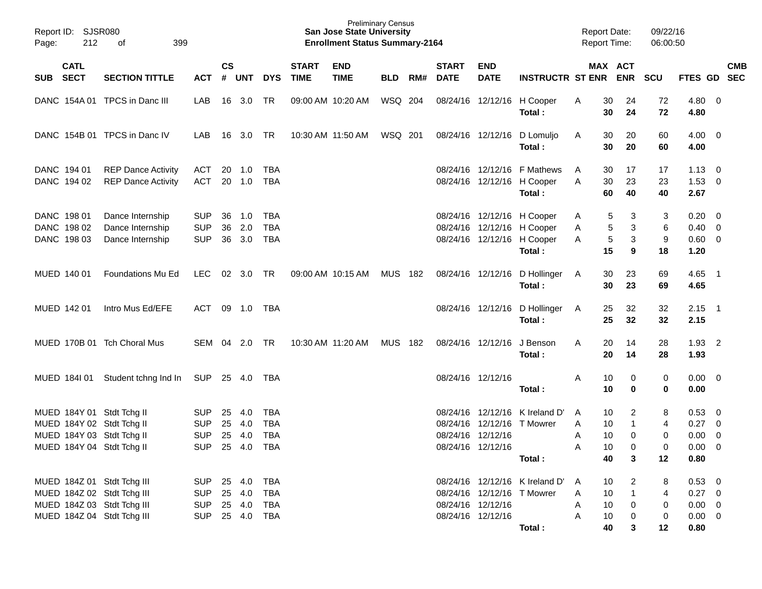| Page:                                                                                                                | Report ID: SJSR080<br>212<br>399<br>of                   |                                                      |                |                             |                                                      |                             | <b>San Jose State University</b><br><b>Enrollment Status Summary-2164</b> | <b>Preliminary Census</b> |     |                             |                                        |                                                                                                  | <b>Report Date:</b><br>Report Time: |                                                                      | 09/22/16<br>06:00:50          |                                                            |                                           |            |
|----------------------------------------------------------------------------------------------------------------------|----------------------------------------------------------|------------------------------------------------------|----------------|-----------------------------|------------------------------------------------------|-----------------------------|---------------------------------------------------------------------------|---------------------------|-----|-----------------------------|----------------------------------------|--------------------------------------------------------------------------------------------------|-------------------------------------|----------------------------------------------------------------------|-------------------------------|------------------------------------------------------------|-------------------------------------------|------------|
| <b>CATL</b><br><b>SECT</b><br>SUB                                                                                    | <b>SECTION TITTLE</b>                                    | ACT # UNT                                            | $\mathsf{cs}$  |                             | <b>DYS</b>                                           | <b>START</b><br><b>TIME</b> | <b>END</b><br><b>TIME</b>                                                 | <b>BLD</b>                | RM# | <b>START</b><br><b>DATE</b> | <b>END</b><br><b>DATE</b>              | <b>INSTRUCTR ST ENR ENR</b>                                                                      |                                     | MAX ACT                                                              | <b>SCU</b>                    | FTES GD SEC                                                |                                           | <b>CMB</b> |
|                                                                                                                      | DANC 154A 01 TPCS in Danc III                            | LAB                                                  |                | 16 3.0                      | - TR                                                 | 09:00 AM 10:20 AM           |                                                                           | WSQ 204                   |     |                             |                                        | 08/24/16 12/12/16 H Cooper<br>Total:                                                             | A                                   | 30<br>24<br>30<br>24                                                 | 72<br>72                      | $4.80\ 0$<br>4.80                                          |                                           |            |
|                                                                                                                      | DANC 154B 01 TPCS in Danc IV                             | LAB                                                  |                | 16 3.0 TR                   |                                                      |                             | 10:30 AM 11:50 AM                                                         | WSQ 201                   |     |                             |                                        | 08/24/16 12/12/16 D Lomuljo<br>Total:                                                            | A                                   | 30<br>20<br>30<br>20                                                 | 60<br>60                      | $4.00 \quad 0$<br>4.00                                     |                                           |            |
| DANC 194 01<br>DANC 194 02                                                                                           | <b>REP Dance Activity</b><br><b>REP Dance Activity</b>   | ACT<br>ACT                                           |                | 20 1.0                      | TBA<br>20 1.0 TBA                                    |                             |                                                                           |                           |     |                             |                                        | 08/24/16 12/12/16 F Mathews<br>08/24/16 12/12/16 H Cooper<br>Total:                              | A<br>A                              | 17<br>30<br>30<br>23<br>60<br>40                                     | 17<br>23<br>40                | $1.13 \ 0$<br>$1.53 \t 0$<br>2.67                          |                                           |            |
| DANC 198 01<br>DANC 198 02<br>DANC 198 03                                                                            | Dance Internship<br>Dance Internship<br>Dance Internship | <b>SUP</b><br><b>SUP</b><br><b>SUP</b>               | 36<br>36<br>36 | 1.0<br>2.0<br>3.0           | <b>TBA</b><br><b>TBA</b><br><b>TBA</b>               |                             |                                                                           |                           |     |                             |                                        | 08/24/16 12/12/16 H Cooper<br>08/24/16 12/12/16 H Cooper<br>08/24/16 12/12/16 H Cooper<br>Total: | A<br>A<br>A                         | 3<br>5<br>5<br>3<br>$\,$ 5 $\,$<br>3<br>15<br>9                      | 3<br>6<br>9<br>18             | $0.20 \ 0$<br>$0.40 \quad 0$<br>$0.60 \quad 0$<br>1.20     |                                           |            |
| MUED 140 01                                                                                                          | Foundations Mu Ed                                        | LEC.                                                 |                | 02 3.0 TR                   |                                                      | 09:00 AM 10:15 AM           |                                                                           | MUS 182                   |     |                             |                                        | 08/24/16 12/12/16 D Hollinger<br>Total:                                                          | A                                   | 30<br>23<br>30<br>23                                                 | 69<br>69                      | $4.65$ 1<br>4.65                                           |                                           |            |
| MUED 142 01                                                                                                          | Intro Mus Ed/EFE                                         | ACT                                                  |                |                             | 09 1.0 TBA                                           |                             |                                                                           |                           |     |                             |                                        | 08/24/16 12/12/16 D Hollinger<br>Total:                                                          | A                                   | 25<br>32<br>25<br>32                                                 | 32<br>32                      | $2.15$ 1<br>2.15                                           |                                           |            |
|                                                                                                                      | MUED 170B 01 Tch Choral Mus                              | SEM 04 2.0 TR                                        |                |                             |                                                      |                             | 10:30 AM 11:20 AM                                                         | MUS 182                   |     |                             | 08/24/16 12/12/16                      | J Benson<br>Total:                                                                               | A                                   | 20<br>14<br>20<br>14                                                 | 28<br>28                      | $1.93$ 2<br>1.93                                           |                                           |            |
| MUED 184101                                                                                                          | Student tchng Ind In                                     | SUP 25 4.0 TBA                                       |                |                             |                                                      |                             |                                                                           |                           |     |                             | 08/24/16 12/12/16                      | Total:                                                                                           | A                                   | 10<br>0<br>10<br>0                                                   | 0<br>0                        | $0.00 \quad 0$<br>0.00                                     |                                           |            |
| MUED 184Y 01 Stdt Tchg II<br>MUED 184Y 02 Stdt Tchg II<br>MUED 184Y 03 Stdt Tchg II<br>MUED 184Y 04 Stdt Tchg II     |                                                          | <b>SUP</b><br><b>SUP</b><br><b>SUP</b><br><b>SUP</b> | 25<br>25<br>25 | 4.0<br>4.0<br>4.0<br>25 4.0 | <b>TBA</b><br><b>TBA</b><br><b>TBA</b><br><b>TBA</b> |                             |                                                                           |                           |     |                             | 08/24/16 12/12/16<br>08/24/16 12/12/16 | 08/24/16 12/12/16 K Ireland D'<br>08/24/16 12/12/16 T Mowrer<br>Total:                           | A<br>A<br>A<br>A                    | 2<br>10<br>10<br>$\mathbf 1$<br>10<br>0<br>10<br>$\Omega$<br>40<br>3 | 8<br>4<br>0<br>$\Omega$<br>12 | $0.53 \ 0$<br>$0.27 \ 0$<br>0.00<br>0.00<br>0.80           | $\overline{0}$<br>$\overline{\mathbf{0}}$ |            |
| MUED 184Z 01 Stdt Tchg III<br>MUED 184Z 02 Stdt Tchg III<br>MUED 184Z 03 Stdt Tchg III<br>MUED 184Z 04 Stdt Tchg III |                                                          | <b>SUP</b><br><b>SUP</b><br><b>SUP</b><br><b>SUP</b> |                | 25 4.0                      | <b>TBA</b><br>25 4.0 TBA<br>25 4.0 TBA<br>25 4.0 TBA |                             |                                                                           |                           |     |                             | 08/24/16 12/12/16<br>08/24/16 12/12/16 | 08/24/16 12/12/16 K Ireland D'<br>08/24/16 12/12/16 T Mowrer<br>Total:                           | A<br>A<br>A<br>А                    | 10<br>2<br>10<br>10<br>0<br>10<br>0<br>40<br>3                       | 8<br>4<br>0<br>0<br>12        | 0.53 0<br>$0.27 \ 0$<br>$0.00 \t 0$<br>$0.00 \t 0$<br>0.80 |                                           |            |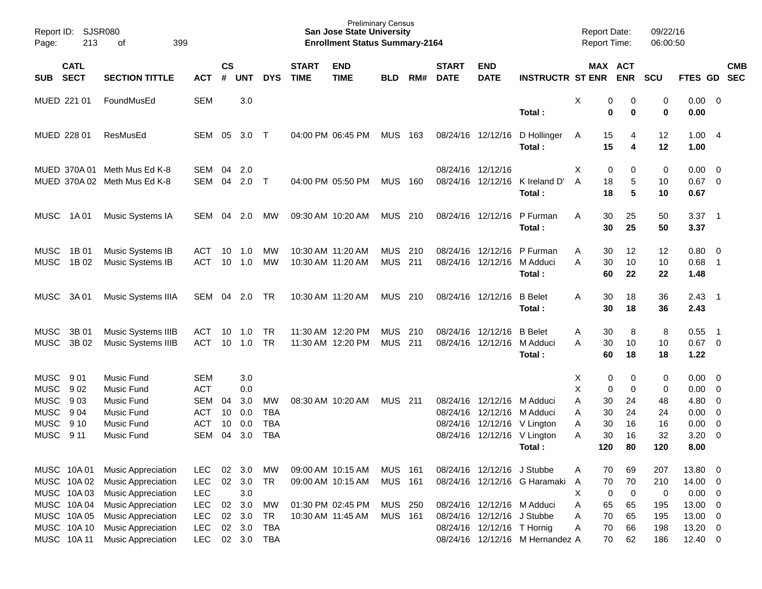| Report ID:<br>Page: | 213          | SJSR080<br>399<br>οf         |            |               |            |            |              | <b>Preliminary Census</b><br><b>San Jose State University</b><br><b>Enrollment Status Summary-2164</b> |                |     |                   |                            |                                 |   |     | Report Date:<br><b>Report Time:</b> | 09/22/16<br>06:00:50 |              |                            |            |
|---------------------|--------------|------------------------------|------------|---------------|------------|------------|--------------|--------------------------------------------------------------------------------------------------------|----------------|-----|-------------------|----------------------------|---------------------------------|---|-----|-------------------------------------|----------------------|--------------|----------------------------|------------|
|                     | <b>CATL</b>  |                              |            | $\mathsf{cs}$ |            |            | <b>START</b> | <b>END</b>                                                                                             |                |     | <b>START</b>      | <b>END</b>                 |                                 |   |     | MAX ACT                             |                      |              |                            | <b>CMB</b> |
| <b>SUB</b>          | <b>SECT</b>  | <b>SECTION TITTLE</b>        | <b>ACT</b> | #             | <b>UNT</b> | <b>DYS</b> | <b>TIME</b>  | <b>TIME</b>                                                                                            | <b>BLD</b>     | RM# | <b>DATE</b>       | <b>DATE</b>                | <b>INSTRUCTR ST ENR</b>         |   |     | <b>ENR</b>                          | <b>SCU</b>           | FTES GD      |                            | <b>SEC</b> |
| MUED 221 01         |              | FoundMusEd                   | <b>SEM</b> |               | 3.0        |            |              |                                                                                                        |                |     |                   |                            |                                 | Х | 0   | 0                                   | 0                    | 0.00         | $\overline{\mathbf{0}}$    |            |
|                     |              |                              |            |               |            |            |              |                                                                                                        |                |     |                   |                            | Total:                          |   | 0   | 0                                   | 0                    | 0.00         |                            |            |
| MUED 228 01         |              | ResMusEd                     | SEM        | 05            | 3.0        | $\top$     |              | 04:00 PM 06:45 PM                                                                                      | <b>MUS</b>     | 163 | 08/24/16          | 12/12/16                   | D Hollinger                     | A | 15  | 4                                   | 12                   | 1.00         | - 4                        |            |
|                     |              |                              |            |               |            |            |              |                                                                                                        |                |     |                   |                            | Total:                          |   | 15  | 4                                   | 12                   | 1.00         |                            |            |
|                     | MUED 370A 01 | Meth Mus Ed K-8              | <b>SEM</b> | 04            | 2.0        |            |              |                                                                                                        |                |     | 08/24/16 12/12/16 |                            |                                 | X | 0   | 0                                   | 0                    | 0.00         | 0                          |            |
|                     |              | MUED 370A 02 Meth Mus Ed K-8 | SEM        | 04            | 2.0        | $\top$     |              | 04:00 PM 05:50 PM                                                                                      | <b>MUS</b>     | 160 | 08/24/16          | 12/12/16                   | K Ireland D'                    | A | 18  | 5                                   | 10                   | 0.67         | $\overline{0}$             |            |
|                     |              |                              |            |               |            |            |              |                                                                                                        |                |     |                   |                            | Total :                         |   | 18  | 5                                   | 10                   | 0.67         |                            |            |
| <b>MUSC</b>         | 1A 01        | Music Systems IA             | SEM        | 04            | 2.0        | МW         |              | 09:30 AM 10:20 AM                                                                                      | <b>MUS</b>     | 210 | 08/24/16          | 12/12/16                   | P Furman                        | A | 30  | 25                                  | 50                   | 3.37         | $\overline{\phantom{0}}$ 1 |            |
|                     |              |                              |            |               |            |            |              |                                                                                                        |                |     |                   |                            | Total:                          |   | 30  | 25                                  | 50                   | 3.37         |                            |            |
| <b>MUSC</b>         | 1B 01        | Music Systems IB             | <b>ACT</b> | 10            | 1.0        | МW         |              | 10:30 AM 11:20 AM                                                                                      | <b>MUS</b>     | 210 | 08/24/16          | 12/12/16                   | P Furman                        | A | 30  | 12                                  | 12                   | 0.80         | $\overline{0}$             |            |
| <b>MUSC</b>         | 1B 02        | Music Systems IB             | <b>ACT</b> | 10            | 1.0        | МW         |              | 10:30 AM 11:20 AM                                                                                      | <b>MUS</b>     | 211 | 08/24/16          | 12/12/16                   | M Adduci                        | Α | 30  | 10                                  | 10                   | 0.68         | $\overline{1}$             |            |
|                     |              |                              |            |               |            |            |              |                                                                                                        |                |     |                   |                            | Total:                          |   | 60  | 22                                  | 22                   | 1.48         |                            |            |
| <b>MUSC</b>         | 3A 01        | Music Systems IIIA           | SEM        | 04            | 2.0        | TR         |              | 10:30 AM 11:20 AM                                                                                      | <b>MUS</b>     | 210 |                   | 08/24/16 12/12/16          | <b>B</b> Belet                  | A | 30  | 18                                  | 36                   | 2.43         | $\overline{\phantom{0}}$ 1 |            |
|                     |              |                              |            |               |            |            |              |                                                                                                        |                |     |                   |                            | Total :                         |   | 30  | 18                                  | 36                   | 2.43         |                            |            |
| <b>MUSC</b>         | 3B 01        | Music Systems IIIB           | <b>ACT</b> | 10            | 1.0        | <b>TR</b>  |              | 11:30 AM 12:20 PM                                                                                      | <b>MUS</b>     | 210 | 08/24/16          | 12/12/16                   | <b>B</b> Belet                  | Α | 30  | 8                                   | 8                    | 0.55         | - 1                        |            |
| <b>MUSC</b>         | 3B 02        | Music Systems IIIB           | <b>ACT</b> | 10            | 1.0        | <b>TR</b>  |              | 11:30 AM 12:20 PM                                                                                      | <b>MUS</b>     | 211 | 08/24/16          | 12/12/16                   | M Adduci                        | Α | 30  | 10                                  | 10                   | 0.67         | $\overline{0}$             |            |
|                     |              |                              |            |               |            |            |              |                                                                                                        |                |     |                   |                            | Total:                          |   | 60  | 18                                  | 18                   | 1.22         |                            |            |
| <b>MUSC</b>         | 901          | <b>Music Fund</b>            | <b>SEM</b> |               | 3.0        |            |              |                                                                                                        |                |     |                   |                            |                                 | Χ | 0   | 0                                   | 0                    | 0.00         | $\overline{0}$             |            |
| <b>MUSC</b>         | 902          | <b>Music Fund</b>            | <b>ACT</b> |               | 0.0        |            |              |                                                                                                        |                |     |                   |                            |                                 | X | 0   | 0                                   | 0                    | 0.00         | 0                          |            |
| <b>MUSC</b>         | 903          | Music Fund                   | <b>SEM</b> | 04            | 3.0        | MW         |              | 08:30 AM 10:20 AM                                                                                      | <b>MUS</b>     | 211 | 08/24/16          | 12/12/16                   | M Adduci                        | Α | 30  | 24                                  | 48                   | 4.80         | 0                          |            |
| <b>MUSC</b>         | 9 0 4        | Music Fund                   | <b>ACT</b> | 10            | 0.0        | <b>TBA</b> |              |                                                                                                        |                |     | 08/24/16          | 12/12/16                   | M Adduci                        | Α | 30  | 24                                  | 24                   | 0.00         | 0                          |            |
| <b>MUSC</b>         | 9 10         | Music Fund                   | <b>ACT</b> | 10            | 0.0        | <b>TBA</b> |              |                                                                                                        |                |     | 08/24/16          | 12/12/16                   | V Lington                       | Α | 30  | 16                                  | 16                   | 0.00         | 0                          |            |
| <b>MUSC</b>         | 9 11         | Music Fund                   | <b>SEM</b> | 04            | 3.0        | <b>TBA</b> |              |                                                                                                        |                |     | 08/24/16          |                            | 12/12/16 V Lington              | Α | 30  | 16                                  | 32                   | 3.20         | $\mathbf 0$                |            |
|                     |              |                              |            |               |            |            |              |                                                                                                        |                |     |                   |                            | Total:                          |   | 120 | 80                                  | 120                  | 8.00         |                            |            |
| MUSC 10A 01         |              | Music Appreciation           | LEC        | 02            | 3.0        | MW         |              | 09:00 AM 10:15 AM                                                                                      | <b>MUS 161</b> |     |                   | 08/24/16 12/12/16 J Stubbe |                                 | A | 70  | 69                                  | 207                  | 13.80 0      |                            |            |
|                     | MUSC 10A 02  | <b>Music Appreciation</b>    | LEC        | 02            | 3.0        | <b>TR</b>  |              | 09:00 AM 10:15 AM                                                                                      | <b>MUS</b>     | 161 |                   |                            | 08/24/16 12/12/16 G Haramaki    | A | 70  | $70\,$                              | 210                  | 14.00        | $\overline{0}$             |            |
| MUSC 10A03          |              | Music Appreciation           | LEC        |               | 3.0        |            |              |                                                                                                        |                |     |                   |                            |                                 | Χ | 0   | $\mathbf 0$                         | 0                    | 0.00         | $\overline{0}$             |            |
|                     | MUSC 10A04   | Music Appreciation           | LEC        | 02            | 3.0        | MW         |              | 01:30 PM 02:45 PM                                                                                      | MUS 250        |     |                   |                            | 08/24/16 12/12/16 M Adduci      | Α | 65  | 65                                  | 195                  | 13.00        | $\overline{0}$             |            |
| MUSC 10A 05         |              | Music Appreciation           | LEC        | 02            | 3.0        | <b>TR</b>  |              | 10:30 AM 11:45 AM                                                                                      | <b>MUS 161</b> |     |                   | 08/24/16 12/12/16 J Stubbe |                                 | Α | 70  | 65                                  | 195                  | 13.00        | $\overline{0}$             |            |
|                     | MUSC 10A 10  | Music Appreciation           | LEC        | 02            | 3.0        | <b>TBA</b> |              |                                                                                                        |                |     |                   | 08/24/16 12/12/16 T Hornig |                                 | Α | 70  | 66                                  | 198                  | 13.20        | $\mathbf 0$                |            |
| MUSC 10A 11         |              | Music Appreciation           | LEC        |               | 02 3.0     | <b>TBA</b> |              |                                                                                                        |                |     |                   |                            | 08/24/16 12/12/16 M Hernandez A |   | 70  | 62                                  | 186                  | $12.40 \t 0$ |                            |            |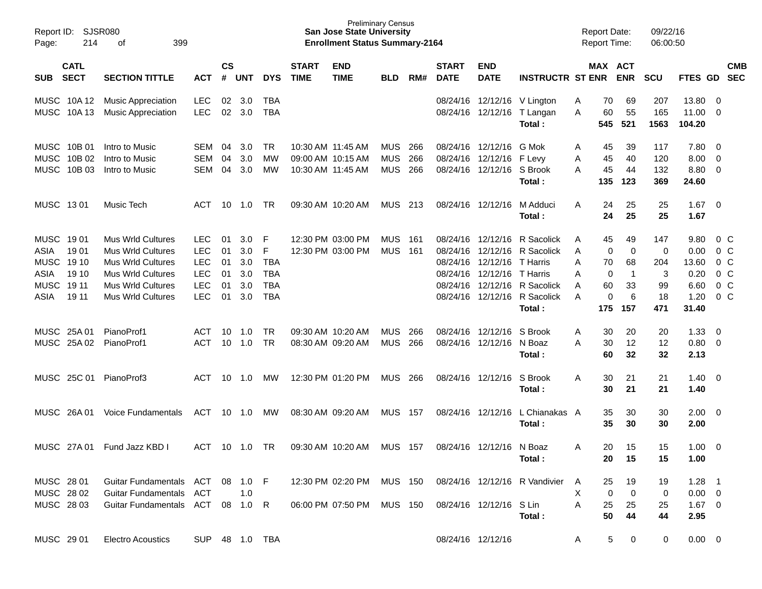| Page:                                                           | Report ID: SJSR080<br>214<br>399<br>οf    |                                                                                                                                                 |                                                                                  |                                  |                                        |                                                                |                             | <b>San Jose State University</b><br><b>Enrollment Status Summary-2164</b> | <b>Preliminary Census</b>       |                   |                             |                                                                            |                                                                                                                                              |                            |                                      | <b>Report Date:</b><br><b>Report Time:</b> | 09/22/16<br>06:00:50                    |                                                        |                                                                               |                                                                                            |
|-----------------------------------------------------------------|-------------------------------------------|-------------------------------------------------------------------------------------------------------------------------------------------------|----------------------------------------------------------------------------------|----------------------------------|----------------------------------------|----------------------------------------------------------------|-----------------------------|---------------------------------------------------------------------------|---------------------------------|-------------------|-----------------------------|----------------------------------------------------------------------------|----------------------------------------------------------------------------------------------------------------------------------------------|----------------------------|--------------------------------------|--------------------------------------------|-----------------------------------------|--------------------------------------------------------|-------------------------------------------------------------------------------|--------------------------------------------------------------------------------------------|
| <b>SUB</b>                                                      | <b>CATL</b><br><b>SECT</b>                | <b>SECTION TITTLE</b>                                                                                                                           | <b>ACT</b>                                                                       | $\mathsf{cs}$<br>#               | UNT                                    | <b>DYS</b>                                                     | <b>START</b><br><b>TIME</b> | <b>END</b><br><b>TIME</b>                                                 | <b>BLD</b>                      | RM#               | <b>START</b><br><b>DATE</b> | <b>END</b><br><b>DATE</b>                                                  | <b>INSTRUCTR ST ENR</b>                                                                                                                      |                            |                                      | MAX ACT<br><b>ENR</b>                      | <b>SCU</b>                              | FTES GD SEC                                            |                                                                               | <b>CMB</b>                                                                                 |
|                                                                 | MUSC 10A12<br>MUSC 10A13                  | <b>Music Appreciation</b><br><b>Music Appreciation</b>                                                                                          | <b>LEC</b><br><b>LEC</b>                                                         | 02<br>02                         | 3.0<br>3.0                             | TBA<br><b>TBA</b>                                              |                             |                                                                           |                                 |                   |                             | 08/24/16 12/12/16 V Lington                                                | 08/24/16 12/12/16 T Langan<br>Total:                                                                                                         | Α<br>Α                     | 70<br>60<br>545                      | 69<br>55<br>521                            | 207<br>165<br>1563                      | 13.80<br>11.00<br>104.20                               | - 0<br>- 0                                                                    |                                                                                            |
|                                                                 | MUSC 10B 01<br>MUSC 10B 02<br>MUSC 10B 03 | Intro to Music<br>Intro to Music<br>Intro to Music                                                                                              | SEM<br><b>SEM</b><br><b>SEM</b>                                                  | 04<br>04<br>04                   | 3.0<br>3.0<br>3.0                      | TR<br>MW<br>MW                                                 |                             | 10:30 AM 11:45 AM<br>09:00 AM 10:15 AM<br>10:30 AM 11:45 AM               | MUS<br><b>MUS</b><br><b>MUS</b> | 266<br>266<br>266 |                             | 08/24/16 12/12/16<br>08/24/16 12/12/16 F Levy<br>08/24/16 12/12/16 S Brook | G Mok<br>Total:                                                                                                                              | A<br>Α<br>Α                | 45<br>45<br>45<br>135                | 39<br>40<br>44<br>123                      | 117<br>120<br>132<br>369                | 7.80<br>8.00<br>8.80<br>24.60                          | $\overline{\mathbf{0}}$<br>$\overline{\mathbf{0}}$<br>$\overline{\mathbf{0}}$ |                                                                                            |
| MUSC 1301                                                       |                                           | Music Tech                                                                                                                                      | ACT                                                                              |                                  | $10 \quad 1.0$                         | TR                                                             |                             | 09:30 AM 10:20 AM                                                         | MUS 213                         |                   |                             | 08/24/16 12/12/16                                                          | M Adduci<br>Total :                                                                                                                          | Α                          | 24<br>24                             | 25<br>25                                   | 25<br>25                                | 1.67<br>1.67                                           | $\overline{\phantom{0}}$                                                      |                                                                                            |
| MUSC 1901<br>ASIA<br><b>MUSC</b><br>ASIA<br><b>MUSC</b><br>ASIA | 1901<br>19 10<br>19 10<br>19 11<br>19 11  | Mus Wrld Cultures<br><b>Mus Wrld Cultures</b><br>Mus Wrld Cultures<br>Mus Wrld Cultures<br><b>Mus Wrld Cultures</b><br><b>Mus Wrld Cultures</b> | <b>LEC</b><br><b>LEC</b><br><b>LEC</b><br><b>LEC</b><br><b>LEC</b><br><b>LEC</b> | 01<br>01<br>01<br>01<br>01<br>01 | 3.0<br>3.0<br>3.0<br>3.0<br>3.0<br>3.0 | F<br>F<br><b>TBA</b><br><b>TBA</b><br><b>TBA</b><br><b>TBA</b> |                             | 12:30 PM 03:00 PM<br>12:30 PM 03:00 PM                                    | MUS<br><b>MUS 161</b>           | - 161             |                             | 08/24/16 12/12/16<br>08/24/16 12/12/16<br>08/24/16 12/12/16                | R Sacolick<br>08/24/16 12/12/16 R Sacolick<br>T Harris<br>T Harris<br>08/24/16 12/12/16 R Sacolick<br>08/24/16 12/12/16 R Sacolick<br>Total: | A<br>A<br>Α<br>Α<br>A<br>A | 45<br>0<br>70<br>0<br>60<br>0<br>175 | 49<br>0<br>68<br>-1<br>33<br>6<br>157      | 147<br>0<br>204<br>3<br>99<br>18<br>471 | 9.80<br>0.00<br>13.60<br>0.20<br>6.60<br>1.20<br>31.40 |                                                                               | $0\,$ C<br>$0\,$ C<br>0 <sup>o</sup><br>0 <sup>o</sup><br>0 <sup>o</sup><br>0 <sup>o</sup> |
|                                                                 | MUSC 25A 01<br>MUSC 25A 02                | PianoProf1<br>PianoProf1                                                                                                                        | ACT<br><b>ACT</b>                                                                | 10<br>10                         | 1.0<br>1.0                             | TR<br><b>TR</b>                                                |                             | 09:30 AM 10:20 AM<br>08:30 AM 09:20 AM                                    | <b>MUS</b><br><b>MUS</b>        | 266<br>266        |                             | 08/24/16 12/12/16<br>08/24/16 12/12/16 N Boaz                              | S Brook<br>Total:                                                                                                                            | A<br>Α                     | 30<br>30<br>60                       | 20<br>12<br>32                             | 20<br>12<br>32                          | 1.33<br>0.80<br>2.13                                   | $\overline{\mathbf{0}}$<br>$\overline{\phantom{0}}$                           |                                                                                            |
|                                                                 | MUSC 25C 01                               | PianoProf3                                                                                                                                      | ACT                                                                              | 10                               | 1.0                                    | MW                                                             |                             | 12:30 PM 01:20 PM                                                         | MUS                             | 266               |                             | 08/24/16 12/12/16                                                          | S Brook<br>Total:                                                                                                                            | Α                          | 30<br>30                             | 21<br>21                                   | 21<br>21                                | 1.40<br>1.40                                           | - 0                                                                           |                                                                                            |
|                                                                 | MUSC 26A01                                | <b>Voice Fundamentals</b>                                                                                                                       | ACT                                                                              | 10                               | 1.0                                    | МW                                                             |                             | 08:30 AM 09:20 AM                                                         | <b>MUS</b>                      | - 157             |                             | 08/24/16 12/12/16                                                          | L Chianakas A<br>Total:                                                                                                                      |                            | 35<br>35                             | 30<br>30                                   | 30<br>30                                | 2.00<br>2.00                                           | $\overline{\mathbf{0}}$                                                       |                                                                                            |
|                                                                 | MUSC 27A 01                               | Fund Jazz KBD I                                                                                                                                 | ACT                                                                              |                                  | 10 1.0                                 | . TR                                                           |                             | 09:30 AM 10:20 AM                                                         | MUS                             | - 157             |                             | 08/24/16 12/12/16 N Boaz                                                   | Total:                                                                                                                                       | Α                          | 20<br>20                             | 15<br>15                                   | 15<br>15                                | 1.00<br>1.00                                           | - 0                                                                           |                                                                                            |
| MUSC 28 01<br>MUSC 28 02<br>MUSC 28 03                          |                                           | Guitar Fundamentals ACT 08 1.0 F<br><b>Guitar Fundamentals</b><br>Guitar Fundamentals ACT 08 1.0 R                                              | ACT                                                                              |                                  | 1.0                                    |                                                                |                             | 12:30 PM 02:20 PM MUS 150<br>06:00 PM 07:50 PM MUS 150                    |                                 |                   |                             | 08/24/16 12/12/16 S Lin                                                    | 08/24/16 12/12/16 R Vandivier<br>Total:                                                                                                      | A<br>X.<br>A               | 25<br>$\mathbf 0$<br>25<br>50        | 19<br>$\mathbf 0$<br>25<br>44              | 19<br>0<br>25<br>44                     | $1.28$ 1<br>$0.00 \quad 0$<br>$1.67 \t 0$<br>2.95      |                                                                               |                                                                                            |
| MUSC 29 01                                                      |                                           | <b>Electro Acoustics</b>                                                                                                                        | SUP 48 1.0 TBA                                                                   |                                  |                                        |                                                                |                             |                                                                           |                                 |                   |                             | 08/24/16 12/12/16                                                          |                                                                                                                                              | A                          | 5                                    | 0                                          | 0                                       | $0.00 \t 0$                                            |                                                                               |                                                                                            |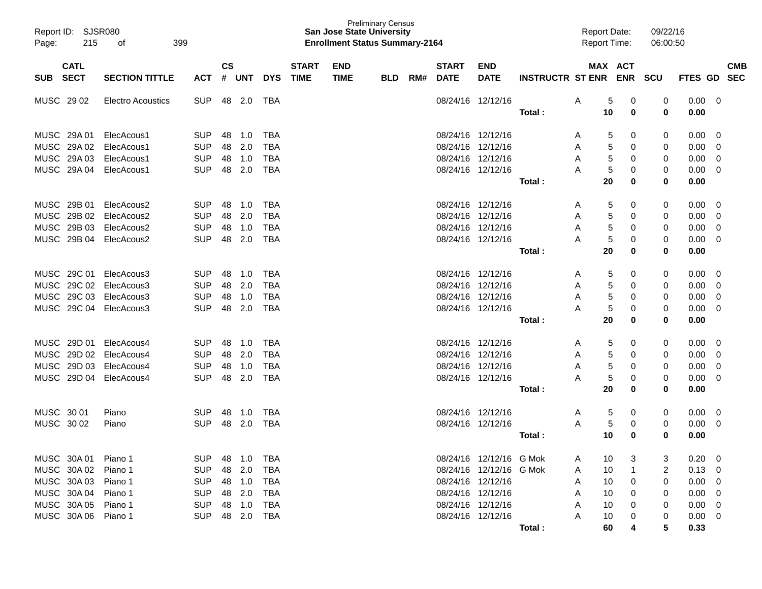| Report ID: SJSR080<br>Page: | 215                        | 399<br>οf                |            |                    |              |            |                             | <b>San Jose State University</b><br><b>Enrollment Status Summary-2164</b> | <b>Preliminary Census</b> |     |                             |                           |                         | <b>Report Date:</b><br><b>Report Time:</b> |                       | 09/22/16<br>06:00:50 |                |                |                          |
|-----------------------------|----------------------------|--------------------------|------------|--------------------|--------------|------------|-----------------------------|---------------------------------------------------------------------------|---------------------------|-----|-----------------------------|---------------------------|-------------------------|--------------------------------------------|-----------------------|----------------------|----------------|----------------|--------------------------|
| <b>SUB</b>                  | <b>CATL</b><br><b>SECT</b> | <b>SECTION TITTLE</b>    | <b>ACT</b> | $\mathsf{cs}$<br># | <b>UNT</b>   | <b>DYS</b> | <b>START</b><br><b>TIME</b> | <b>END</b><br><b>TIME</b>                                                 | <b>BLD</b>                | RM# | <b>START</b><br><b>DATE</b> | <b>END</b><br><b>DATE</b> | <b>INSTRUCTR ST ENR</b> |                                            | MAX ACT<br><b>ENR</b> | <b>SCU</b>           | FTES GD        |                | <b>CMB</b><br><b>SEC</b> |
| MUSC 29 02                  |                            | <b>Electro Acoustics</b> | <b>SUP</b> | 48                 | 2.0          | TBA        |                             |                                                                           |                           |     |                             | 08/24/16 12/12/16         |                         | Α                                          | 0<br>5                | 0                    | 0.00           | 0              |                          |
|                             |                            |                          |            |                    |              |            |                             |                                                                           |                           |     |                             |                           | <b>Total:</b>           | 10                                         | 0                     | 0                    | 0.00           |                |                          |
| MUSC 29A 01                 |                            | ElecAcous1               | <b>SUP</b> | 48                 | 1.0          | <b>TBA</b> |                             |                                                                           |                           |     |                             | 08/24/16 12/12/16         |                         | A                                          | 0<br>5                | 0                    | 0.00           | 0              |                          |
| MUSC 29A 02                 |                            | ElecAcous1               | <b>SUP</b> | 48                 | 2.0          | <b>TBA</b> |                             |                                                                           |                           |     | 08/24/16 12/12/16           |                           |                         | A                                          | 5<br>0                | 0                    | 0.00           | $\overline{0}$ |                          |
| <b>MUSC</b>                 | 29A 03                     | ElecAcous1               | <b>SUP</b> | 48                 | 1.0          | <b>TBA</b> |                             |                                                                           |                           |     | 08/24/16 12/12/16           |                           |                         | Α                                          | 5<br>0                | 0                    | 0.00           | 0              |                          |
| <b>MUSC</b>                 | 29A 04                     | ElecAcous1               | <b>SUP</b> | 48                 | 2.0          | <b>TBA</b> |                             |                                                                           |                           |     | 08/24/16 12/12/16           |                           |                         | А                                          | 5<br>0                | 0                    | 0.00           | $\mathbf 0$    |                          |
|                             |                            |                          |            |                    |              |            |                             |                                                                           |                           |     |                             |                           | <b>Total:</b>           |                                            | 20<br>0               | 0                    | 0.00           |                |                          |
| MUSC 29B 01                 |                            | ElecAcous2               | <b>SUP</b> | 48                 | 1.0          | <b>TBA</b> |                             |                                                                           |                           |     |                             | 08/24/16 12/12/16         |                         | A                                          | 0<br>5                | 0                    | 0.00           | 0              |                          |
| MUSC 29B 02                 |                            | ElecAcous2               | <b>SUP</b> | 48                 | 2.0          | <b>TBA</b> |                             |                                                                           |                           |     | 08/24/16 12/12/16           |                           |                         | A                                          | 5<br>0                | 0                    | 0.00           | 0              |                          |
| MUSC 29B 03                 |                            | ElecAcous2               | <b>SUP</b> | 48                 | 1.0          | <b>TBA</b> |                             |                                                                           |                           |     | 08/24/16 12/12/16           |                           |                         | Α                                          | 5<br>0                | 0                    | 0.00           | 0              |                          |
| <b>MUSC</b>                 | 29B 04                     | ElecAcous2               | <b>SUP</b> | 48                 | 2.0          | <b>TBA</b> |                             |                                                                           |                           |     |                             | 08/24/16 12/12/16         |                         | А                                          | 5<br>0                | 0                    | 0.00           | 0              |                          |
|                             |                            |                          |            |                    |              |            |                             |                                                                           |                           |     |                             |                           | <b>Total:</b>           |                                            | 20<br>0               | 0                    | 0.00           |                |                          |
| MUSC 29C 01                 |                            | ElecAcous3               | <b>SUP</b> | 48                 | 1.0          | <b>TBA</b> |                             |                                                                           |                           |     |                             | 08/24/16 12/12/16         |                         | A                                          | 0<br>5                | 0                    | 0.00           | 0              |                          |
| <b>MUSC</b>                 | 29C 02                     | ElecAcous3               | <b>SUP</b> | 48                 | 2.0          | <b>TBA</b> |                             |                                                                           |                           |     | 08/24/16 12/12/16           |                           |                         | A                                          | 5<br>0                | 0                    | 0.00           | 0              |                          |
| <b>MUSC</b>                 | 29C 03                     | ElecAcous3               | <b>SUP</b> | 48                 | 1.0          | <b>TBA</b> |                             |                                                                           |                           |     | 08/24/16 12/12/16           |                           |                         | Α                                          | 5<br>0                | 0                    | 0.00           | 0              |                          |
| <b>MUSC</b>                 | 29C 04                     | ElecAcous3               | <b>SUP</b> | 48                 | 2.0          | <b>TBA</b> |                             |                                                                           |                           |     | 08/24/16 12/12/16           |                           |                         | Α                                          | 5<br>0                | 0                    | 0.00           | $\mathbf 0$    |                          |
|                             |                            |                          |            |                    |              |            |                             |                                                                           |                           |     |                             |                           | <b>Total:</b>           |                                            | 20<br>0               | 0                    | 0.00           |                |                          |
| MUSC 29D 01                 |                            | ElecAcous4               | <b>SUP</b> | 48                 | 1.0          | <b>TBA</b> |                             |                                                                           |                           |     |                             | 08/24/16 12/12/16         |                         | A                                          | 0<br>5                | 0                    | 0.00           | 0              |                          |
| <b>MUSC</b>                 | 29D 02                     | ElecAcous4               | <b>SUP</b> | 48                 | 2.0          | <b>TBA</b> |                             |                                                                           |                           |     | 08/24/16 12/12/16           |                           |                         | Α                                          | 5<br>0                | 0                    | 0.00           | 0              |                          |
| <b>MUSC</b>                 | 29D 03                     | ElecAcous4               | <b>SUP</b> | 48                 | 1.0          | <b>TBA</b> |                             |                                                                           |                           |     | 08/24/16 12/12/16           |                           |                         | Α                                          | 5<br>0                | 0                    | 0.00           | 0              |                          |
| <b>MUSC</b>                 | 29D 04                     | ElecAcous4               | <b>SUP</b> | 48                 | 2.0          | <b>TBA</b> |                             |                                                                           |                           |     | 08/24/16 12/12/16           |                           |                         | Α                                          | 5<br>0                | 0                    | 0.00           | 0              |                          |
|                             |                            |                          |            |                    |              |            |                             |                                                                           |                           |     |                             |                           | <b>Total:</b>           |                                            | 20<br>0               | 0                    | 0.00           |                |                          |
| MUSC 30 01                  |                            | Piano                    | <b>SUP</b> | 48                 | 1.0          | <b>TBA</b> |                             |                                                                           |                           |     |                             | 08/24/16 12/12/16         |                         | A                                          | 5<br>0                | 0                    | 0.00           | 0              |                          |
| MUSC 30 02                  |                            | Piano                    | <b>SUP</b> | 48                 | 2.0          | <b>TBA</b> |                             |                                                                           |                           |     | 08/24/16 12/12/16           |                           |                         | Α                                          | 5<br>0                | 0                    | 0.00           | 0              |                          |
|                             |                            |                          |            |                    |              |            |                             |                                                                           |                           |     |                             |                           | Total :                 |                                            | 10<br>0               | 0                    | 0.00           |                |                          |
| MUSC 30A 01                 |                            | Piano 1                  | <b>SUP</b> |                    | 48 1.0       | TBA        |                             |                                                                           |                           |     |                             | 08/24/16 12/12/16 G Mok   |                         | A                                          | 10                    |                      | $0.20 \ 0$     |                |                          |
| MUSC 30A 02                 |                            | Piano 1                  | <b>SUP</b> |                    | 48 2.0       | TBA        |                             |                                                                           |                           |     |                             | 08/24/16 12/12/16 G Mok   |                         | A                                          | 10                    | 2                    | $0.13 \ 0$     |                |                          |
| MUSC 30A 03                 |                            | Piano 1                  | <b>SUP</b> |                    | 48 1.0       | TBA        |                             |                                                                           |                           |     | 08/24/16 12/12/16           |                           |                         | A                                          | 10<br>0               | 0                    | $0.00 \quad 0$ |                |                          |
| MUSC 30A 04                 |                            | Piano 1                  | <b>SUP</b> |                    | 48 2.0       | TBA        |                             |                                                                           |                           |     | 08/24/16 12/12/16           |                           |                         | A                                          | 10<br>0               | 0                    | $0.00 \quad 0$ |                |                          |
| MUSC 30A 05                 |                            | Piano 1                  | <b>SUP</b> |                    | 48 1.0       | TBA        |                             |                                                                           |                           |     | 08/24/16 12/12/16           |                           |                         | A                                          | 10<br>0               | 0                    | $0.00 \quad 0$ |                |                          |
| MUSC 30A 06 Piano 1         |                            |                          | <b>SUP</b> |                    | 48  2.0  TBA |            |                             |                                                                           |                           |     | 08/24/16 12/12/16           |                           |                         |                                            | 10                    | 0                    | $0.00 \t 0$    |                |                          |
|                             |                            |                          |            |                    |              |            |                             |                                                                           |                           |     |                             |                           | Total:                  |                                            | 60                    | 5                    | 0.33           |                |                          |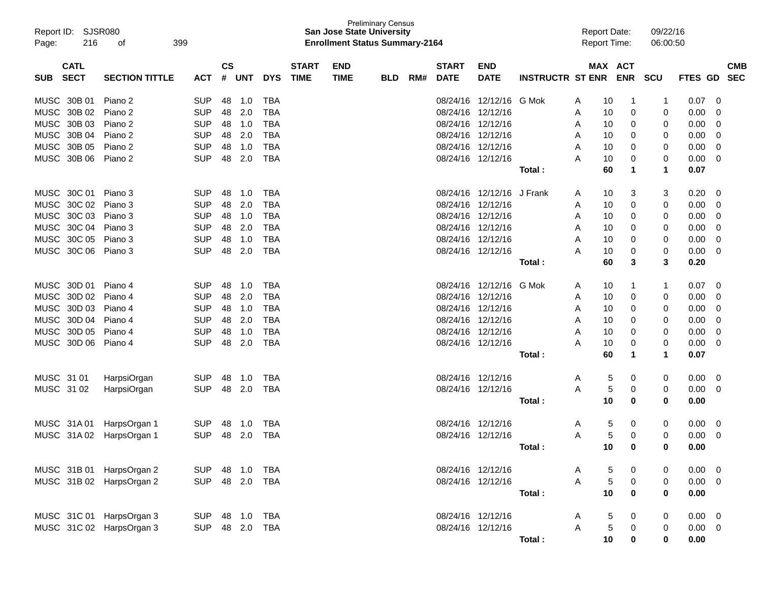| Report ID: SJSR080<br>216<br>Page: | 399<br>οf             |            |               |            |            |              | <b>San Jose State University</b><br><b>Enrollment Status Summary-2164</b> | <b>Preliminary Census</b> |     |                   |                   |                         |   | <b>Report Date:</b><br><b>Report Time:</b> |            | 09/22/16<br>06:00:50 |                |                         |
|------------------------------------|-----------------------|------------|---------------|------------|------------|--------------|---------------------------------------------------------------------------|---------------------------|-----|-------------------|-------------------|-------------------------|---|--------------------------------------------|------------|----------------------|----------------|-------------------------|
| <b>CATL</b>                        |                       |            | $\mathsf{cs}$ |            |            | <b>START</b> | <b>END</b>                                                                |                           |     | <b>START</b>      | <b>END</b>        |                         |   | MAX ACT                                    |            |                      |                | <b>CMB</b>              |
| <b>SECT</b><br><b>SUB</b>          | <b>SECTION TITTLE</b> | <b>ACT</b> | #             | <b>UNT</b> | <b>DYS</b> | <b>TIME</b>  | <b>TIME</b>                                                               | <b>BLD</b>                | RM# | <b>DATE</b>       | <b>DATE</b>       | <b>INSTRUCTR ST ENR</b> |   |                                            | <b>ENR</b> | <b>SCU</b>           | FTES GD        | <b>SEC</b>              |
| MUSC 30B 01                        | Piano 2               | <b>SUP</b> | 48            | 1.0        | <b>TBA</b> |              |                                                                           |                           |     | 08/24/16          | 12/12/16          | G Mok                   | A | 10                                         | 1          | -1                   | 0.07           | 0                       |
| MUSC 30B 02                        | Piano 2               | <b>SUP</b> | 48            | 2.0        | <b>TBA</b> |              |                                                                           |                           |     | 08/24/16          | 12/12/16          |                         | A | 10                                         | 0          | 0                    | 0.00           | 0                       |
| MUSC 30B 03                        | Piano 2               | <b>SUP</b> | 48            | 1.0        | <b>TBA</b> |              |                                                                           |                           |     | 08/24/16          | 12/12/16          |                         | A | 10                                         | 0          | 0                    | 0.00           | 0                       |
| MUSC 30B 04                        | Piano 2               | <b>SUP</b> | 48            | 2.0        | <b>TBA</b> |              |                                                                           |                           |     | 08/24/16          | 12/12/16          |                         | A | 10                                         | 0          | 0                    | 0.00           | 0                       |
| MUSC 30B 05                        | Piano 2               | <b>SUP</b> | 48            | 1.0        | <b>TBA</b> |              |                                                                           |                           |     | 08/24/16          | 12/12/16          |                         | A | 10                                         | 0          | 0                    | 0.00           | 0                       |
| MUSC<br>30B 06                     | Piano 2               | <b>SUP</b> | 48            | 2.0        | <b>TBA</b> |              |                                                                           |                           |     | 08/24/16          | 12/12/16          |                         | Α | 10                                         | 0          | 0                    | 0.00           | 0                       |
|                                    |                       |            |               |            |            |              |                                                                           |                           |     |                   |                   | Total:                  |   | 60                                         | 1          | $\mathbf 1$          | 0.07           |                         |
| MUSC 30C 01                        | Piano 3               | <b>SUP</b> | 48            | 1.0        | TBA        |              |                                                                           |                           |     |                   | 08/24/16 12/12/16 | J Frank                 | A | 10                                         | 3          | 3                    | 0.20           | 0                       |
| MUSC 30C 02                        | Piano 3               | <b>SUP</b> | 48            | 2.0        | <b>TBA</b> |              |                                                                           |                           |     | 08/24/16          | 12/12/16          |                         | A | 10                                         | 0          | 0                    | 0.00           | 0                       |
| MUSC 30C 03                        | Piano 3               | <b>SUP</b> | 48            | 1.0        | <b>TBA</b> |              |                                                                           |                           |     | 08/24/16          | 12/12/16          |                         | A | 10                                         | 0          | 0                    | 0.00           | 0                       |
| MUSC 30C 04                        | Piano 3               | <b>SUP</b> | 48            | 2.0        | <b>TBA</b> |              |                                                                           |                           |     | 08/24/16          | 12/12/16          |                         | A | 10                                         | 0          | 0                    | 0.00           | 0                       |
| MUSC 30C 05                        | Piano 3               | <b>SUP</b> | 48            | 1.0        | <b>TBA</b> |              |                                                                           |                           |     | 08/24/16          | 12/12/16          |                         | A | 10                                         | 0          | 0                    | 0.00           | 0                       |
| MUSC 30C 06                        | Piano 3               | <b>SUP</b> | 48            | 2.0        | <b>TBA</b> |              |                                                                           |                           |     | 08/24/16 12/12/16 |                   |                         | Α | 10                                         | 0          | 0                    | 0.00           | 0                       |
|                                    |                       |            |               |            |            |              |                                                                           |                           |     |                   |                   | Total:                  |   | 60                                         | 3          | 3                    | 0.20           |                         |
| MUSC 30D 01                        | Piano 4               | <b>SUP</b> | 48            | 1.0        | TBA        |              |                                                                           |                           |     |                   | 08/24/16 12/12/16 | G Mok                   | A | 10                                         | 1          | $\mathbf{1}$         | 0.07           | 0                       |
| MUSC 30D 02                        | Piano 4               | <b>SUP</b> | 48            | 2.0        | <b>TBA</b> |              |                                                                           |                           |     | 08/24/16          | 12/12/16          |                         | A | 10                                         | 0          | 0                    | 0.00           | 0                       |
| MUSC 30D 03                        | Piano 4               | <b>SUP</b> | 48            | 1.0        | <b>TBA</b> |              |                                                                           |                           |     | 08/24/16          | 12/12/16          |                         | A | 10                                         | 0          | 0                    | 0.00           | 0                       |
| MUSC 30D 04                        | Piano 4               | <b>SUP</b> | 48            | 2.0        | <b>TBA</b> |              |                                                                           |                           |     | 08/24/16          | 12/12/16          |                         | A | 10                                         | 0          | 0                    | 0.00           | 0                       |
| MUSC 30D 05                        | Piano 4               | <b>SUP</b> | 48            | 1.0        | <b>TBA</b> |              |                                                                           |                           |     | 08/24/16          | 12/12/16          |                         | A | 10                                         | 0          | 0                    | 0.00           | 0                       |
| MUSC 30D 06                        | Piano 4               | <b>SUP</b> | 48            | 2.0        | <b>TBA</b> |              |                                                                           |                           |     | 08/24/16 12/12/16 |                   |                         | Α | 10                                         | 0          | 0                    | 0.00           | 0                       |
|                                    |                       |            |               |            |            |              |                                                                           |                           |     |                   |                   | Total:                  |   | 60                                         | 1          | $\mathbf 1$          | 0.07           |                         |
| MUSC 31 01                         | HarpsiOrgan           | <b>SUP</b> | 48            | 1.0        | TBA        |              |                                                                           |                           |     | 08/24/16 12/12/16 |                   |                         | A | 5                                          | 0          | 0                    | 0.00           | 0                       |
| MUSC 31 02                         | HarpsiOrgan           | <b>SUP</b> | 48            | 2.0        | <b>TBA</b> |              |                                                                           |                           |     | 08/24/16 12/12/16 |                   |                         | Α | 5                                          | 0          | 0                    | 0.00           | 0                       |
|                                    |                       |            |               |            |            |              |                                                                           |                           |     |                   |                   | Total:                  |   | 10                                         | 0          | 0                    | 0.00           |                         |
| MUSC 31A 01                        | HarpsOrgan 1          | <b>SUP</b> | 48            | 1.0        | TBA        |              |                                                                           |                           |     | 08/24/16 12/12/16 |                   |                         | A | 5                                          | 0          | 0                    | 0.00           | 0                       |
| MUSC 31A02                         | HarpsOrgan 1          | <b>SUP</b> | 48            | 2.0        | <b>TBA</b> |              |                                                                           |                           |     | 08/24/16          | 12/12/16          |                         | A | $\sqrt{5}$                                 | 0          | 0                    | 0.00           | 0                       |
|                                    |                       |            |               |            |            |              |                                                                           |                           |     |                   |                   | Total:                  |   | 10                                         | 0          | $\bf{0}$             | 0.00           |                         |
| MUSC 31B 01                        | HarpsOrgan 2          | <b>SUP</b> |               | 48 1.0     | TBA        |              |                                                                           |                           |     |                   | 08/24/16 12/12/16 |                         | A | 5                                          | 0          | 0                    | 0.00           | $\overline{\mathbf{0}}$ |
| MUSC 31B 02                        | HarpsOrgan 2          | <b>SUP</b> |               | 48 2.0     | TBA        |              |                                                                           |                           |     |                   | 08/24/16 12/12/16 |                         | A | 5                                          | $\pmb{0}$  | 0                    | 0.00           | 0                       |
|                                    |                       |            |               |            |            |              |                                                                           |                           |     |                   |                   | Total:                  |   | 10                                         | 0          | $\mathbf 0$          | 0.00           |                         |
| MUSC 31C 01 HarpsOrgan 3           |                       | <b>SUP</b> |               | 48 1.0     | TBA        |              |                                                                           |                           |     |                   | 08/24/16 12/12/16 |                         | A | 5                                          | 0          | 0                    | $0.00 \quad 0$ |                         |
| MUSC 31C 02 HarpsOrgan 3           |                       | <b>SUP</b> |               | 48 2.0     | <b>TBA</b> |              |                                                                           |                           |     |                   | 08/24/16 12/12/16 |                         | Α | 5                                          | 0          | 0                    | $0.00 \t 0$    |                         |
|                                    |                       |            |               |            |            |              |                                                                           |                           |     |                   |                   | Total:                  |   | 10                                         | 0          | 0                    | 0.00           |                         |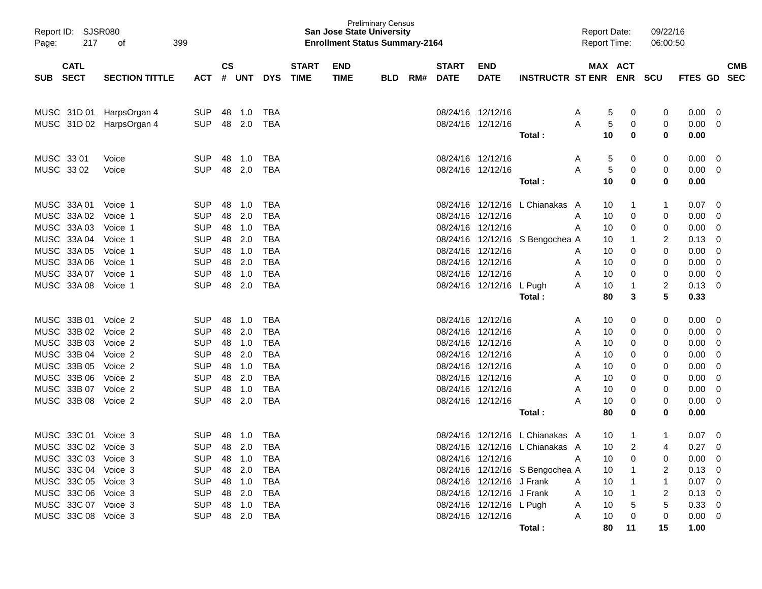| Page:                                                             | Report ID: SJSR080<br>217<br>399<br>оf<br><b>CATL</b> |                                        |                    |                            |                                 |                             | <b>San Jose State University</b><br><b>Enrollment Status Summary-2164</b> | <b>Preliminary Census</b> |     |                             |                                                                                    |                                                                    |        | <b>Report Date:</b><br><b>Report Time:</b> | 09/22/16<br>06:00:50 |                                |                          |                          |
|-------------------------------------------------------------------|-------------------------------------------------------|----------------------------------------|--------------------|----------------------------|---------------------------------|-----------------------------|---------------------------------------------------------------------------|---------------------------|-----|-----------------------------|------------------------------------------------------------------------------------|--------------------------------------------------------------------|--------|--------------------------------------------|----------------------|--------------------------------|--------------------------|--------------------------|
| <b>SECT</b><br><b>SUB</b>                                         | <b>SECTION TITTLE</b>                                 | <b>ACT</b>                             | $\mathsf{cs}$<br># | <b>UNT</b>                 | <b>DYS</b>                      | <b>START</b><br><b>TIME</b> | <b>END</b><br><b>TIME</b>                                                 | <b>BLD</b>                | RM# | <b>START</b><br><b>DATE</b> | <b>END</b><br><b>DATE</b>                                                          | <b>INSTRUCTR ST ENR ENR</b>                                        |        | MAX ACT                                    | SCU                  | FTES GD                        |                          | <b>CMB</b><br><b>SEC</b> |
| MUSC 31D 01<br>MUSC 31D 02                                        | HarpsOrgan 4<br>HarpsOrgan 4                          | <b>SUP</b><br><b>SUP</b>               | 48<br>48           | 1.0<br>2.0                 | TBA<br><b>TBA</b>               |                             |                                                                           |                           |     |                             | 08/24/16 12/12/16<br>08/24/16 12/12/16                                             |                                                                    | A<br>A | 5<br>0<br>5<br>0                           | 0<br>0               | 0.00<br>0.00                   | - 0<br>$\overline{0}$    |                          |
|                                                                   |                                                       |                                        |                    |                            |                                 |                             |                                                                           |                           |     |                             | 08/24/16 12/12/16                                                                  | Total:                                                             |        | 10<br>$\bf{0}$                             | 0                    | 0.00                           |                          |                          |
| MUSC 33 01<br>MUSC 33 02                                          | Voice<br>Voice                                        | <b>SUP</b><br><b>SUP</b>               | 48<br>48           | 1.0<br>2.0                 | TBA<br><b>TBA</b>               |                             |                                                                           |                           |     |                             | 08/24/16 12/12/16                                                                  | Total:                                                             | A<br>A | 5<br>0<br>5<br>0<br>10<br>$\bf{0}$         | 0<br>0<br>0          | $0.00 \quad 0$<br>0.00<br>0.00 | $\overline{0}$           |                          |
| MUSC 33A 01                                                       | Voice 1                                               | <b>SUP</b>                             | 48                 | 1.0                        | TBA                             |                             |                                                                           |                           |     |                             |                                                                                    | 08/24/16 12/12/16 L Chianakas A                                    |        | 10<br>1                                    | 1                    | 0.07                           | - 0                      |                          |
| MUSC 33A 02<br>MUSC 33A 03                                        | Voice 1<br>Voice 1                                    | <b>SUP</b><br><b>SUP</b>               | 48                 | 2.0<br>48 1.0              | <b>TBA</b><br><b>TBA</b>        |                             |                                                                           |                           |     | 08/24/16 12/12/16           | 08/24/16 12/12/16                                                                  |                                                                    | A<br>A | 0<br>10<br>10<br>0                         | 0<br>0               | 0.00<br>0.00                   | - 0<br>0                 |                          |
| MUSC 33A 04<br>MUSC 33A 05                                        | Voice 1<br>Voice 1                                    | <b>SUP</b><br><b>SUP</b>               | 48<br>48           | 2.0<br>1.0                 | <b>TBA</b><br><b>TBA</b>        |                             |                                                                           |                           |     |                             | 08/24/16 12/12/16                                                                  | 08/24/16 12/12/16 S Bengochea A                                    | A      | 10<br>1<br>0<br>10                         | 2<br>0               | 0.13<br>0.00                   | 0<br>0                   |                          |
| MUSC 33A 06<br>MUSC 33A 07                                        | Voice 1<br>Voice 1                                    | <b>SUP</b><br><b>SUP</b>               | 48<br>48           | 2.0<br>1.0                 | <b>TBA</b><br><b>TBA</b>        |                             |                                                                           |                           |     |                             | 08/24/16 12/12/16<br>08/24/16 12/12/16                                             |                                                                    | A<br>A | 0<br>10<br>0<br>10                         | 0<br>0               | 0.00<br>0.00                   | $\mathbf 0$<br>0         |                          |
| MUSC 33A 08                                                       | Voice 1                                               | <b>SUP</b>                             | 48                 | 2.0                        | <b>TBA</b>                      |                             |                                                                           |                           |     |                             | 08/24/16 12/12/16 L Pugh                                                           | Total:                                                             | A      | 10<br>1<br>3<br>80                         | $\overline{2}$<br>5  | 0.13<br>0.33                   | - 0                      |                          |
| MUSC 33B 01<br>MUSC 33B 02                                        | Voice 2<br>Voice 2                                    | <b>SUP</b><br><b>SUP</b>               | 48<br>48           | 1.0<br>2.0                 | TBA<br><b>TBA</b>               |                             |                                                                           |                           |     |                             | 08/24/16 12/12/16<br>08/24/16 12/12/16                                             |                                                                    | A<br>A | 10<br>0<br>10<br>0                         | 0<br>0               | 0.00<br>0.00                   | - 0<br>- 0               |                          |
| MUSC 33B 03<br>MUSC 33B 04                                        | Voice 2<br>Voice 2                                    | <b>SUP</b><br><b>SUP</b>               |                    | 48 1.0<br>48 2.0           | <b>TBA</b><br><b>TBA</b>        |                             |                                                                           |                           |     |                             | 08/24/16 12/12/16<br>08/24/16 12/12/16                                             |                                                                    | A<br>A | 10<br>0<br>10<br>0                         | 0<br>0               | 0.00<br>0.00                   | 0<br>0                   |                          |
| MUSC 33B 05<br>MUSC 33B 06                                        | Voice 2<br>Voice 2                                    | <b>SUP</b><br><b>SUP</b>               | 48<br>48           | 1.0<br>2.0                 | <b>TBA</b><br><b>TBA</b>        |                             |                                                                           |                           |     |                             | 08/24/16 12/12/16<br>08/24/16 12/12/16                                             |                                                                    | A<br>A | 10<br>0<br>10<br>0                         | 0<br>0               | 0.00<br>0.00                   | 0<br>0                   |                          |
| MUSC 33B 07<br>MUSC 33B 08                                        | Voice 2<br>Voice 2                                    | <b>SUP</b><br><b>SUP</b>               | 48<br>48           | 1.0<br>2.0                 | <b>TBA</b><br><b>TBA</b>        |                             |                                                                           |                           |     |                             | 08/24/16 12/12/16<br>08/24/16 12/12/16                                             |                                                                    | A<br>А | 10<br>0<br>10<br>0                         | 0<br>0               | 0.00<br>0.00                   | 0<br>- 0                 |                          |
|                                                                   |                                                       |                                        |                    |                            |                                 |                             |                                                                           |                           |     |                             |                                                                                    | Total:                                                             |        | 80<br>0                                    | 0                    | 0.00                           |                          |                          |
| MUSC 33C 01<br>MUSC 33C 02 Voice 3                                | Voice 3                                               | <b>SUP</b><br><b>SUP</b>               | 48                 | 1.0<br>48 2.0              | TBA<br><b>TBA</b>               |                             |                                                                           |                           |     |                             |                                                                                    | 08/24/16 12/12/16 L Chianakas A<br>08/24/16 12/12/16 L Chianakas A |        | 10<br>1<br>$\overline{2}$<br>10            | 1<br>4               | 0.07<br>0.27                   | 0<br>$\Omega$            |                          |
| MUSC 33C 03 Voice 3<br>MUSC 33C 04 Voice 3                        |                                                       | SUP 48 1.0<br><b>SUP</b>               |                    | 48 2.0                     | <b>TBA</b><br><b>TBA</b>        |                             |                                                                           |                           |     |                             | 08/24/16 12/12/16                                                                  | 08/24/16 12/12/16 S Bengochea A                                    | A      | 10<br>0<br>10                              | 2                    | $0.00 \t 0$<br>$0.13 \ 0$      |                          |                          |
| MUSC 33C 05 Voice 3<br>MUSC 33C 06 Voice 3<br>MUSC 33C 07 Voice 3 |                                                       | <b>SUP</b><br><b>SUP</b><br><b>SUP</b> |                    | 48 1.0<br>48 2.0<br>48 1.0 | <b>TBA</b><br><b>TBA</b><br>TBA |                             |                                                                           |                           |     |                             | 08/24/16 12/12/16 J Frank<br>08/24/16 12/12/16 J Frank<br>08/24/16 12/12/16 L Pugh |                                                                    | A<br>A | 10<br>10<br>10<br>5                        | 2                    | $0.07$ 0<br>$0.13 \ 0$<br>0.33 |                          |                          |
| MUSC 33C 08 Voice 3                                               |                                                       | SUP 48 2.0                             |                    |                            | <b>TBA</b>                      |                             |                                                                           |                           |     |                             | 08/24/16 12/12/16                                                                  | Total:                                                             | A<br>A | 10<br>0<br>80<br>11                        | 0<br>15              | $0.00 \t 0$<br>1.00            | $\overline{\phantom{0}}$ |                          |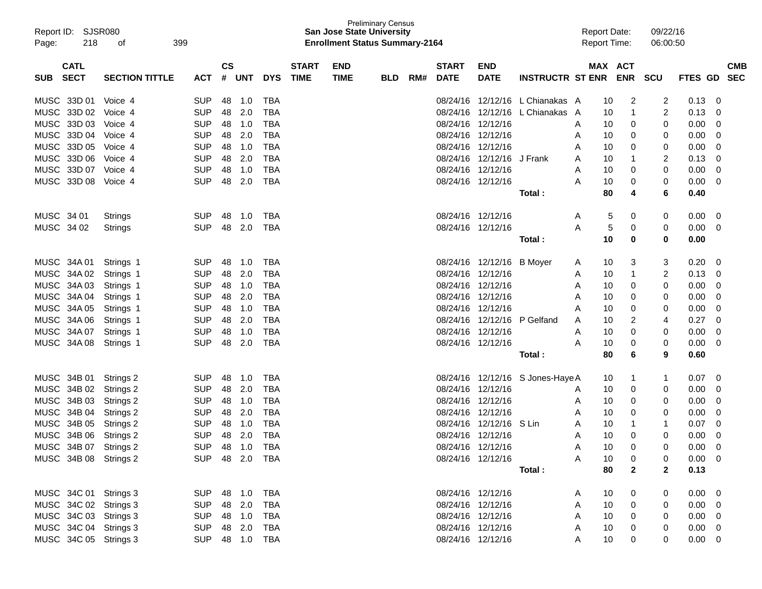| Report ID: SJSR080<br>Page: | 399    |                       |                |               |            | <b>San Jose State University</b><br><b>Enrollment Status Summary-2164</b> | <b>Preliminary Census</b> |             |            |     |              |                           | <b>Report Date:</b><br><b>Report Time:</b> |   | 09/22/16<br>06:00:50 |              |              |                |            |
|-----------------------------|--------|-----------------------|----------------|---------------|------------|---------------------------------------------------------------------------|---------------------------|-------------|------------|-----|--------------|---------------------------|--------------------------------------------|---|----------------------|--------------|--------------|----------------|------------|
| <b>CATL</b>                 |        |                       |                | $\mathsf{cs}$ |            |                                                                           | <b>START</b>              | <b>END</b>  |            |     | <b>START</b> | <b>END</b>                |                                            |   |                      | MAX ACT      |              |                | <b>CMB</b> |
| <b>SECT</b><br><b>SUB</b>   |        | <b>SECTION TITTLE</b> | <b>ACT</b>     | #             | <b>UNT</b> | <b>DYS</b>                                                                | <b>TIME</b>               | <b>TIME</b> | <b>BLD</b> | RM# | <b>DATE</b>  | <b>DATE</b>               | <b>INSTRUCTR ST ENR</b>                    |   |                      | <b>ENR</b>   | <b>SCU</b>   | <b>FTES GD</b> | <b>SEC</b> |
| MUSC 33D 01                 |        | Voice 4               | <b>SUP</b>     | 48            | 1.0        | TBA                                                                       |                           |             |            |     |              |                           | 08/24/16 12/12/16 L Chianakas A            |   | 10                   | 2            | 2            | 0.13           | 0          |
| MUSC 33D 02                 |        | Voice 4               | <b>SUP</b>     | 48            | 2.0        | <b>TBA</b>                                                                |                           |             |            |     |              |                           | 08/24/16 12/12/16 L Chianakas              | A | 10                   | 1            | 2            | 0.13           | 0          |
| MUSC 33D 03                 |        | Voice 4               | <b>SUP</b>     | 48            | 1.0        | <b>TBA</b>                                                                |                           |             |            |     |              | 08/24/16 12/12/16         |                                            | A | 10                   | 0            | 0            | 0.00           | 0          |
| MUSC 33D 04                 |        | Voice 4               | <b>SUP</b>     | 48            | 2.0        | <b>TBA</b>                                                                |                           |             |            |     |              | 08/24/16 12/12/16         |                                            | A | 10                   | 0            | 0            | 0.00           | 0          |
| MUSC 33D 05                 |        | Voice 4               | <b>SUP</b>     | 48            | 1.0        | <b>TBA</b>                                                                |                           |             |            |     |              | 08/24/16 12/12/16         |                                            | Α | 10                   | 0            | 0            | 0.00           | 0          |
| MUSC 33D 06                 |        | Voice 4               | <b>SUP</b>     | 48            | 2.0        | <b>TBA</b>                                                                |                           |             |            |     |              | 08/24/16 12/12/16 J Frank |                                            | A | 10                   | 1            | 2            | 0.13           | 0          |
| MUSC 33D 07                 |        | Voice 4               | <b>SUP</b>     | 48            | 1.0        | TBA                                                                       |                           |             |            |     |              | 08/24/16 12/12/16         |                                            | Α | 10                   | 0            | 0            | 0.00           | 0          |
| <b>MUSC</b>                 | 33D 08 | Voice 4               | <b>SUP</b>     | 48            | 2.0        | <b>TBA</b>                                                                |                           |             |            |     |              | 08/24/16 12/12/16         |                                            | A | 10                   | 0            | 0            | 0.00           | 0          |
|                             |        |                       |                |               |            |                                                                           |                           |             |            |     |              |                           | Total :                                    |   | 80                   | 4            | 6            | 0.40           |            |
| MUSC 34 01                  |        | Strings               | <b>SUP</b>     | 48            | 1.0        | TBA                                                                       |                           |             |            |     |              | 08/24/16 12/12/16         |                                            | A | 5                    | 0            | 0            | 0.00           | 0          |
| MUSC 34 02                  |        | <b>Strings</b>        | <b>SUP</b>     | 48            | 2.0        | TBA                                                                       |                           |             |            |     |              | 08/24/16 12/12/16         |                                            | A | 5                    | 0            | 0            | 0.00           | 0          |
|                             |        |                       |                |               |            |                                                                           |                           |             |            |     |              |                           | Total :                                    |   | 10                   | 0            | 0            | 0.00           |            |
| MUSC 34A 01                 |        | Strings 1             | <b>SUP</b>     | 48            | 1.0        | TBA                                                                       |                           |             |            |     |              | 08/24/16 12/12/16 B Moyer |                                            | A | 10                   | 3            | 3            | 0.20           | 0          |
| MUSC 34A 02                 |        | Strings 1             | <b>SUP</b>     | 48            | 2.0        | <b>TBA</b>                                                                |                           |             |            |     |              | 08/24/16 12/12/16         |                                            | A | 10                   | 1            | 2            | 0.13           | 0          |
| MUSC 34A 03                 |        | Strings 1             | <b>SUP</b>     | 48            | 1.0        | <b>TBA</b>                                                                |                           |             |            |     |              | 08/24/16 12/12/16         |                                            | A | 10                   | 0            | 0            | 0.00           | 0          |
| MUSC 34A 04                 |        | Strings 1             | <b>SUP</b>     | 48            | 2.0        | <b>TBA</b>                                                                |                           |             |            |     |              | 08/24/16 12/12/16         |                                            | Α | 10                   | 0            | 0            | 0.00           | 0          |
| MUSC 34A 05                 |        | Strings 1             | <b>SUP</b>     | 48            | 1.0        | <b>TBA</b>                                                                |                           |             |            |     |              | 08/24/16 12/12/16         |                                            | Α | 10                   | 0            | 0            | 0.00           | 0          |
| MUSC 34A 06                 |        | Strings 1             | <b>SUP</b>     | 48            | 2.0        | <b>TBA</b>                                                                |                           |             |            |     |              |                           | 08/24/16 12/12/16 P Gelfand                | Α | 10                   | 2            | 4            | 0.27           | 0          |
| MUSC 34A 07                 |        | Strings 1             | <b>SUP</b>     | 48            | 1.0        | <b>TBA</b>                                                                |                           |             |            |     |              | 08/24/16 12/12/16         |                                            | Α | 10                   | 0            | 0            | 0.00           | 0          |
| MUSC 34A 08                 |        | Strings 1             | <b>SUP</b>     | 48            | 2.0        | TBA                                                                       |                           |             |            |     |              | 08/24/16 12/12/16         |                                            | A | 10                   | 0            | 0            | 0.00           | 0          |
|                             |        |                       |                |               |            |                                                                           |                           |             |            |     |              |                           | Total :                                    |   | 80                   | 6            | 9            | 0.60           |            |
| MUSC 34B 01                 |        | Strings 2             | <b>SUP</b>     | 48            | 1.0        | TBA                                                                       |                           |             |            |     |              |                           | 08/24/16 12/12/16 S Jones-Haye A           |   | 10                   | 1            | 1            | 0.07           | 0          |
| MUSC 34B 02                 |        | Strings 2             | <b>SUP</b>     | 48            | 2.0        | <b>TBA</b>                                                                |                           |             |            |     |              | 08/24/16 12/12/16         |                                            | A | 10                   | 0            | 0            | 0.00           | 0          |
| MUSC 34B 03                 |        | Strings 2             | <b>SUP</b>     | 48            | 1.0        | <b>TBA</b>                                                                |                           |             |            |     |              | 08/24/16 12/12/16         |                                            | A | 10                   | 0            | 0            | 0.00           | 0          |
| MUSC 34B 04                 |        | Strings 2             | <b>SUP</b>     | 48            | 2.0        | <b>TBA</b>                                                                |                           |             |            |     |              | 08/24/16 12/12/16         |                                            | Α | 10                   | 0            | 0            | 0.00           | 0          |
| MUSC 34B 05                 |        | Strings 2             | <b>SUP</b>     | 48            | 1.0        | <b>TBA</b>                                                                |                           |             |            |     |              | 08/24/16 12/12/16 S Lin   |                                            | Α | 10                   | 1            | 1            | 0.07           | 0          |
| MUSC 34B 06                 |        | Strings 2             | <b>SUP</b>     | 48            | 2.0        | <b>TBA</b>                                                                |                           |             |            |     |              | 08/24/16 12/12/16         |                                            | A | 10                   | 0            | 0            | 0.00           | 0          |
| MUSC 34B 07 Strings 2       |        |                       | SUP            |               | 48 1.0     | <b>TBA</b>                                                                |                           |             |            |     |              | 08/24/16 12/12/16         |                                            | А | 10                   | ∩            | 0            | 0.00           | 0          |
| MUSC 34B 08 Strings 2       |        |                       | SUP 48 2.0 TBA |               |            |                                                                           |                           |             |            |     |              | 08/24/16 12/12/16         |                                            | A | 10                   | 0            | 0            | $0.00 \t 0$    |            |
|                             |        |                       |                |               |            |                                                                           |                           |             |            |     |              |                           | Total :                                    |   | 80                   | $\mathbf{2}$ | $\mathbf{2}$ | 0.13           |            |
|                             |        |                       |                |               |            |                                                                           |                           |             |            |     |              |                           |                                            |   |                      |              |              |                |            |
| MUSC 34C 01 Strings 3       |        |                       | SUP 48 1.0 TBA |               |            |                                                                           |                           |             |            |     |              | 08/24/16 12/12/16         |                                            | A | 10                   | 0            | 0            | $0.00 \t 0$    |            |
| MUSC 34C 02 Strings 3       |        |                       | SUP            |               | 48 2.0     | TBA                                                                       |                           |             |            |     |              | 08/24/16 12/12/16         |                                            | A | 10                   | 0            | 0            | $0.00 \t 0$    |            |
| MUSC 34C 03 Strings 3       |        |                       | SUP            |               | 48 1.0     | TBA                                                                       |                           |             |            |     |              | 08/24/16 12/12/16         |                                            | A | 10                   | 0            | 0            | $0.00 \t 0$    |            |
| MUSC 34C 04 Strings 3       |        |                       | <b>SUP</b>     |               | 48 2.0     | TBA                                                                       |                           |             |            |     |              | 08/24/16 12/12/16         |                                            | A | 10                   | 0            |              | $0.00 \t 0$    |            |
| MUSC 34C 05 Strings 3       |        |                       | SUP 48 1.0 TBA |               |            |                                                                           |                           |             |            |     |              | 08/24/16 12/12/16         |                                            | A | 10                   | 0            | 0            | $0.00 \t 0$    |            |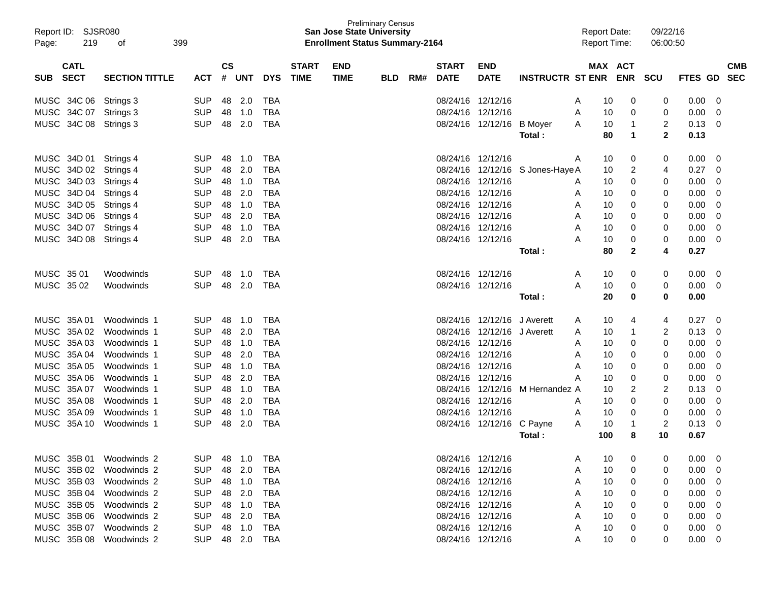| Report ID:<br>Page: | 219         | <b>SJSR080</b><br>399<br>οf |            |               |                |            |              | <b>San Jose State University</b><br><b>Enrollment Status Summary-2164</b> | <b>Preliminary Census</b> |     |              |                             |                         | <b>Report Date:</b><br><b>Report Time:</b> |          |                      | 09/22/16<br>06:00:50 |                |            |
|---------------------|-------------|-----------------------------|------------|---------------|----------------|------------|--------------|---------------------------------------------------------------------------|---------------------------|-----|--------------|-----------------------------|-------------------------|--------------------------------------------|----------|----------------------|----------------------|----------------|------------|
|                     | <b>CATL</b> |                             |            | $\mathsf{cs}$ |                |            | <b>START</b> | <b>END</b>                                                                |                           |     | <b>START</b> | <b>END</b>                  |                         |                                            |          | MAX ACT              |                      |                | <b>CMB</b> |
| <b>SUB</b>          | <b>SECT</b> | <b>SECTION TITTLE</b>       | <b>ACT</b> | $\pmb{\#}$    | <b>UNT</b>     | <b>DYS</b> | <b>TIME</b>  | <b>TIME</b>                                                               | <b>BLD</b>                | RM# | <b>DATE</b>  | <b>DATE</b>                 | <b>INSTRUCTR ST ENR</b> |                                            |          | <b>ENR</b>           | <b>SCU</b>           | <b>FTES GD</b> | <b>SEC</b> |
|                     | MUSC 34C 06 | Strings 3                   | <b>SUP</b> | 48            | 2.0            | <b>TBA</b> |              |                                                                           |                           |     |              | 08/24/16 12/12/16           |                         | A                                          | 10       | 0                    | 0                    | 0.00           | 0          |
|                     | MUSC 34C 07 | Strings 3                   | <b>SUP</b> | 48            | 1.0            | <b>TBA</b> |              |                                                                           |                           |     |              | 08/24/16 12/12/16           |                         | Α                                          | 10       | 0                    | 0                    | 0.00           | 0          |
|                     | MUSC 34C 08 | Strings 3                   | <b>SUP</b> | 48            | 2.0            | <b>TBA</b> |              |                                                                           |                           |     |              | 08/24/16 12/12/16           | <b>B</b> Moyer          | A                                          | 10       | 1                    | 2                    | 0.13           | 0          |
|                     |             |                             |            |               |                |            |              |                                                                           |                           |     |              |                             | Total:                  |                                            | 80       | $\blacktriangleleft$ | $\mathbf 2$          | 0.13           |            |
|                     | MUSC 34D 01 | Strings 4                   | <b>SUP</b> | 48            | 1.0            | <b>TBA</b> |              |                                                                           |                           |     |              | 08/24/16 12/12/16           |                         | A                                          | 10       | 0                    | 0                    | 0.00           | 0          |
|                     | MUSC 34D 02 | Strings 4                   | <b>SUP</b> | 48            | 2.0            | <b>TBA</b> |              |                                                                           |                           |     |              | 08/24/16 12/12/16           | S Jones-Haye A          |                                            | 10       | $\overline{2}$       | 4                    | 0.27           | 0          |
|                     | MUSC 34D 03 | Strings 4                   | <b>SUP</b> | 48            | 1.0            | <b>TBA</b> |              |                                                                           |                           |     |              | 08/24/16 12/12/16           |                         | A                                          | 10       | 0                    | 0                    | 0.00           | 0          |
|                     | MUSC 34D 04 | Strings 4                   | <b>SUP</b> | 48            | 2.0            | <b>TBA</b> |              |                                                                           |                           |     |              | 08/24/16 12/12/16           |                         | A                                          | 10       | 0                    | 0                    | 0.00           | 0          |
|                     | MUSC 34D 05 | Strings 4                   | <b>SUP</b> | 48            | 1.0            | <b>TBA</b> |              |                                                                           |                           |     |              | 08/24/16 12/12/16           |                         | A                                          | 10       | 0                    | 0                    | 0.00           | 0          |
|                     | MUSC 34D 06 | Strings 4                   | <b>SUP</b> | 48            | 2.0            | <b>TBA</b> |              |                                                                           |                           |     |              | 08/24/16 12/12/16           |                         | A                                          | 10       | 0                    | 0                    | 0.00           | 0          |
|                     | MUSC 34D 07 | Strings 4                   | <b>SUP</b> | 48            | 1.0            | <b>TBA</b> |              |                                                                           |                           |     |              | 08/24/16 12/12/16           |                         | A                                          | 10       | 0                    | 0                    | 0.00           | 0          |
|                     | MUSC 34D 08 | Strings 4                   | <b>SUP</b> | 48            | 2.0            | <b>TBA</b> |              |                                                                           |                           |     |              | 08/24/16 12/12/16           |                         | A                                          | 10<br>80 | 0                    | 0<br>4               | 0.00<br>0.27   | 0          |
|                     |             |                             |            |               |                |            |              |                                                                           |                           |     |              |                             | Total :                 |                                            |          | $\mathbf{2}$         |                      |                |            |
| MUSC 35 01          |             | Woodwinds                   | <b>SUP</b> | 48            | 1.0            | <b>TBA</b> |              |                                                                           |                           |     |              | 08/24/16 12/12/16           |                         | A                                          | 10       | 0                    | 0                    | 0.00           | 0          |
| MUSC 3502           |             | Woodwinds                   | <b>SUP</b> | 48            | 2.0            | <b>TBA</b> |              |                                                                           |                           |     |              | 08/24/16 12/12/16           |                         | A                                          | 10       | 0                    | 0                    | 0.00           | 0          |
|                     |             |                             |            |               |                |            |              |                                                                           |                           |     |              |                             | Total :                 |                                            | 20       | 0                    | 0                    | 0.00           |            |
|                     | MUSC 35A 01 | Woodwinds 1                 | <b>SUP</b> | 48            | 1.0            | <b>TBA</b> |              |                                                                           |                           |     |              | 08/24/16 12/12/16 J Averett |                         | A                                          | 10       | 4                    | 4                    | 0.27           | 0          |
|                     | MUSC 35A 02 | Woodwinds 1                 | <b>SUP</b> | 48            | 2.0            | <b>TBA</b> |              |                                                                           |                           |     |              | 08/24/16 12/12/16 J Averett |                         | A                                          | 10       | 1                    | 2                    | 0.13           | 0          |
|                     | MUSC 35A 03 | Woodwinds 1                 | <b>SUP</b> | 48            | 1.0            | <b>TBA</b> |              |                                                                           |                           |     |              | 08/24/16 12/12/16           |                         | Α                                          | 10       | 0                    | 0                    | 0.00           | 0          |
|                     | MUSC 35A 04 | Woodwinds 1                 | <b>SUP</b> | 48            | 2.0            | <b>TBA</b> |              |                                                                           |                           |     |              | 08/24/16 12/12/16           |                         | A                                          | 10       | $\Omega$             | 0                    | 0.00           | 0          |
|                     | MUSC 35A 05 | Woodwinds 1                 | <b>SUP</b> | 48            | 1.0            | <b>TBA</b> |              |                                                                           |                           |     |              | 08/24/16 12/12/16           |                         | A                                          | 10       | 0                    | 0                    | 0.00           | 0          |
|                     | MUSC 35A 06 | Woodwinds 1                 | <b>SUP</b> | 48            | 2.0            | <b>TBA</b> |              |                                                                           |                           |     |              | 08/24/16 12/12/16           |                         | A                                          | 10       | 0                    | 0                    | 0.00           | 0          |
|                     | MUSC 35A 07 | Woodwinds 1                 | <b>SUP</b> | 48            | 1.0            | <b>TBA</b> |              |                                                                           |                           |     |              | 08/24/16 12/12/16           | M Hernandez A           |                                            | 10       | $\overline{2}$       | 2                    | 0.13           | 0          |
|                     | MUSC 35A 08 | Woodwinds 1                 | <b>SUP</b> | 48            | 2.0            | <b>TBA</b> |              |                                                                           |                           |     |              | 08/24/16 12/12/16           |                         | A                                          | 10       | $\Omega$             | 0                    | 0.00           | 0          |
|                     | MUSC 35A 09 | Woodwinds 1                 | <b>SUP</b> | 48            | 1.0            | <b>TBA</b> |              |                                                                           |                           |     |              | 08/24/16 12/12/16           |                         | A                                          | 10       | 0                    | 0                    | 0.00           | 0          |
|                     | MUSC 35A 10 | Woodwinds 1                 | <b>SUP</b> | 48            | 2.0            | <b>TBA</b> |              |                                                                           |                           |     |              | 08/24/16 12/12/16           | C Payne                 | A                                          | 10       | 1                    | 2                    | 0.13           | 0          |
|                     |             |                             |            |               |                |            |              |                                                                           |                           |     |              |                             | Total :                 |                                            | 100      | 8                    | 10                   | 0.67           |            |
|                     |             | MUSC 35B 01 Woodwinds 2     | <b>SUP</b> |               | 48 1.0         | <b>TBA</b> |              |                                                                           |                           |     |              | 08/24/16 12/12/16           |                         | Α                                          | 10       | 0                    | O                    | 0.00           | 0          |
|                     |             | MUSC 35B 02 Woodwinds 2     | <b>SUP</b> |               | 48 2.0         | <b>TBA</b> |              |                                                                           |                           |     |              | 08/24/16 12/12/16           |                         | A                                          | 10       | 0                    | Ω                    | 0.00           | 0          |
|                     |             | MUSC 35B 03 Woodwinds 2     | <b>SUP</b> | 48            | 1.0            | <b>TBA</b> |              |                                                                           |                           |     |              | 08/24/16 12/12/16           |                         | Α                                          | 10       | 0                    | 0                    | 0.00           | 0          |
|                     |             | MUSC 35B 04 Woodwinds 2     | <b>SUP</b> |               | 48 2.0         | <b>TBA</b> |              |                                                                           |                           |     |              | 08/24/16 12/12/16           |                         | Α                                          | 10       | 0                    | O                    | 0.00           | 0          |
|                     | MUSC 35B 05 | Woodwinds 2                 | <b>SUP</b> | 48            | 1.0            | TBA        |              |                                                                           |                           |     |              | 08/24/16 12/12/16           |                         | Α                                          | 10       | 0                    | Ω                    | 0.00           | 0          |
|                     | MUSC 35B 06 | Woodwinds 2                 | <b>SUP</b> |               | 48 2.0         | <b>TBA</b> |              |                                                                           |                           |     |              | 08/24/16 12/12/16           |                         | Α                                          | 10       | 0                    | 0                    | 0.00           | 0          |
|                     | MUSC 35B 07 | Woodwinds 2                 | <b>SUP</b> |               | 48 1.0         | <b>TBA</b> |              |                                                                           |                           |     |              | 08/24/16 12/12/16           |                         | A                                          | 10       | 0                    | 0                    | 0.00           | 0          |
|                     |             | MUSC 35B 08 Woodwinds 2     |            |               | SUP 48 2.0 TBA |            |              |                                                                           |                           |     |              | 08/24/16 12/12/16           |                         | A                                          | 10       | 0                    | 0                    | $0.00 \t 0$    |            |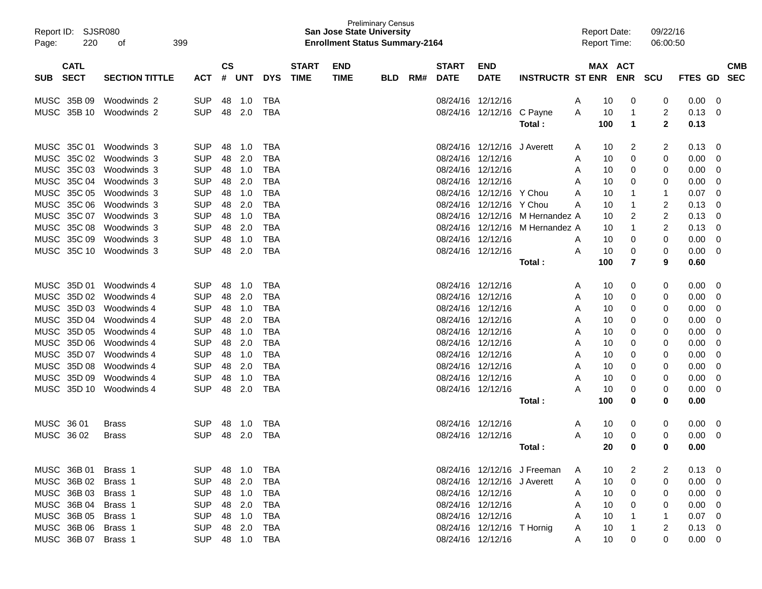| Page:       | Report ID: SJSR080<br>220  | 399<br>οf             |            |                    |            |            |                             | <b>San Jose State University</b><br><b>Enrollment Status Summary-2164</b> | <b>Preliminary Census</b> |     |                             |                             |                                 |        | <b>Report Date:</b><br><b>Report Time:</b> |                | 09/22/16<br>06:00:50 |                |                         |            |
|-------------|----------------------------|-----------------------|------------|--------------------|------------|------------|-----------------------------|---------------------------------------------------------------------------|---------------------------|-----|-----------------------------|-----------------------------|---------------------------------|--------|--------------------------------------------|----------------|----------------------|----------------|-------------------------|------------|
| <b>SUB</b>  | <b>CATL</b><br><b>SECT</b> | <b>SECTION TITTLE</b> | <b>ACT</b> | $\mathsf{cs}$<br># | <b>UNT</b> | <b>DYS</b> | <b>START</b><br><b>TIME</b> | <b>END</b><br><b>TIME</b>                                                 | <b>BLD</b>                | RM# | <b>START</b><br><b>DATE</b> | <b>END</b><br><b>DATE</b>   | INSTRUCTR ST ENR ENR SCU        |        | MAX ACT                                    |                |                      | FTES GD SEC    |                         | <b>CMB</b> |
|             | MUSC 35B 09                | Woodwinds 2           | <b>SUP</b> | 48                 | 1.0        | TBA        |                             |                                                                           |                           |     |                             | 08/24/16 12/12/16           |                                 | A      | 10                                         | 0              | 0                    | 0.00           | - 0                     |            |
|             | MUSC 35B 10                | Woodwinds 2           | <b>SUP</b> | 48                 | 2.0        | <b>TBA</b> |                             |                                                                           |                           |     |                             | 08/24/16 12/12/16 C Payne   |                                 | A      | 10                                         | $\mathbf{1}$   | 2                    | 0.13           | 0                       |            |
|             |                            |                       |            |                    |            |            |                             |                                                                           |                           |     |                             |                             | Total:                          |        | 100                                        | 1              | $\mathbf{2}$         | 0.13           |                         |            |
|             | MUSC 35C 01                | Woodwinds 3           | <b>SUP</b> | 48                 | 1.0        | TBA        |                             |                                                                           |                           |     |                             | 08/24/16 12/12/16 J Averett |                                 | A      | 10                                         | 2              | 2                    | 0.13           | - 0                     |            |
|             | MUSC 35C 02                | Woodwinds 3           | <b>SUP</b> | 48                 | 2.0        | <b>TBA</b> |                             |                                                                           |                           |     | 08/24/16 12/12/16           |                             |                                 | A      | 10                                         | 0              | 0                    | 0.00           | - 0                     |            |
|             | MUSC 35C 03                | Woodwinds 3           | <b>SUP</b> | 48                 | 1.0        | <b>TBA</b> |                             |                                                                           |                           |     | 08/24/16 12/12/16           |                             |                                 | A      | 10                                         | 0              | 0                    | 0.00           | 0                       |            |
|             | MUSC 35C 04                | Woodwinds 3           | <b>SUP</b> | 48                 | 2.0        | <b>TBA</b> |                             |                                                                           |                           |     | 08/24/16 12/12/16           |                             |                                 | A      | 10                                         | 0              | 0                    | 0.00           | 0                       |            |
| <b>MUSC</b> | 35C 05                     | Woodwinds 3           | <b>SUP</b> | 48                 | 1.0        | <b>TBA</b> |                             |                                                                           |                           |     |                             | 08/24/16 12/12/16           | Y Chou                          | A      | 10                                         | 1              | 1                    | 0.07           | 0                       |            |
| <b>MUSC</b> | 35C 06                     | Woodwinds 3           | <b>SUP</b> | 48                 | 2.0        | <b>TBA</b> |                             |                                                                           |                           |     |                             | 08/24/16 12/12/16 Y Chou    |                                 | A      | 10                                         | 1              | 2                    | 0.13           | 0                       |            |
|             | MUSC 35C 07                | Woodwinds 3           | <b>SUP</b> | 48                 | 1.0        | <b>TBA</b> |                             |                                                                           |                           |     |                             |                             | 08/24/16 12/12/16 M Hernandez A |        | 10                                         | 2              | 2                    | 0.13           | 0                       |            |
|             | MUSC 35C 08                | Woodwinds 3           | <b>SUP</b> | 48                 | 2.0        | <b>TBA</b> |                             |                                                                           |                           |     |                             |                             | 08/24/16 12/12/16 M Hernandez A |        | 10                                         | 1              | 2                    | 0.13           | 0                       |            |
|             | MUSC 35C 09                | Woodwinds 3           | <b>SUP</b> | 48                 | 1.0        | <b>TBA</b> |                             |                                                                           |                           |     | 08/24/16 12/12/16           |                             |                                 | A      | 10                                         | 0              | 0                    | 0.00           | 0                       |            |
|             | MUSC 35C 10                | Woodwinds 3           | <b>SUP</b> | 48                 | 2.0        | <b>TBA</b> |                             |                                                                           |                           |     |                             | 08/24/16 12/12/16           |                                 | A      | 10                                         | 0              | 0                    | 0.00           | - 0                     |            |
|             |                            |                       |            |                    |            |            |                             |                                                                           |                           |     |                             |                             | Total:                          |        | 100                                        | $\overline{7}$ | 9                    | 0.60           |                         |            |
|             | MUSC 35D 01                | Woodwinds 4           | <b>SUP</b> | 48                 | 1.0        | TBA        |                             |                                                                           |                           |     | 08/24/16 12/12/16           |                             |                                 | A      | 10                                         | 0              | 0                    | 0.00           | - 0                     |            |
|             | MUSC 35D 02                | Woodwinds 4           | <b>SUP</b> | 48                 | 2.0        | <b>TBA</b> |                             |                                                                           |                           |     | 08/24/16 12/12/16           |                             |                                 | A      | 10                                         | 0              | 0                    | 0.00           | 0                       |            |
|             | MUSC 35D 03                | Woodwinds 4           | <b>SUP</b> | 48                 | 1.0        | <b>TBA</b> |                             |                                                                           |                           |     | 08/24/16 12/12/16           |                             |                                 | A      | 10                                         | 0              | 0                    | 0.00           | 0                       |            |
|             | MUSC 35D 04                | Woodwinds 4           | <b>SUP</b> | 48                 | 2.0        | <b>TBA</b> |                             |                                                                           |                           |     | 08/24/16 12/12/16           |                             |                                 | A      | 10                                         | 0              | 0                    | 0.00           | 0                       |            |
| <b>MUSC</b> | 35D 05                     | Woodwinds 4           | <b>SUP</b> | 48                 | 1.0        | <b>TBA</b> |                             |                                                                           |                           |     | 08/24/16 12/12/16           |                             |                                 | A      | 10                                         | 0              | 0                    | 0.00           | 0                       |            |
| <b>MUSC</b> | 35D 06                     | Woodwinds 4           | <b>SUP</b> | 48                 | 2.0        | <b>TBA</b> |                             |                                                                           |                           |     | 08/24/16 12/12/16           |                             |                                 | A      | 10                                         | 0              | 0                    | 0.00           | 0                       |            |
|             | MUSC 35D 07                | Woodwinds 4           | <b>SUP</b> | 48                 | 1.0        | <b>TBA</b> |                             |                                                                           |                           |     | 08/24/16 12/12/16           |                             |                                 | A      | 10                                         | 0              | 0                    | 0.00           | 0                       |            |
|             | MUSC 35D 08                | Woodwinds 4           | <b>SUP</b> | 48                 | 2.0        | <b>TBA</b> |                             |                                                                           |                           |     | 08/24/16 12/12/16           |                             |                                 | A      | 10                                         | 0              | 0                    | 0.00           | 0                       |            |
|             | MUSC 35D 09                | Woodwinds 4           | <b>SUP</b> | 48                 | 1.0        | <b>TBA</b> |                             |                                                                           |                           |     | 08/24/16 12/12/16           |                             |                                 | A      | 10                                         | 0              | 0                    | 0.00           | 0                       |            |
|             | MUSC 35D 10                | Woodwinds 4           | <b>SUP</b> | 48                 | 2.0        | <b>TBA</b> |                             |                                                                           |                           |     | 08/24/16 12/12/16           |                             |                                 | A      | 10                                         | 0              | 0                    | 0.00           | - 0                     |            |
|             |                            |                       |            |                    |            |            |                             |                                                                           |                           |     |                             |                             | Total:                          |        | 100                                        | 0              | 0                    | 0.00           |                         |            |
| MUSC 36 01  |                            | <b>Brass</b>          | <b>SUP</b> | 48                 | 1.0        | TBA        |                             |                                                                           |                           |     | 08/24/16 12/12/16           |                             |                                 | A      | 10                                         | 0              | 0                    | $0.00\,$       | - 0                     |            |
| MUSC 36 02  |                            | <b>Brass</b>          | <b>SUP</b> | 48                 | 2.0        | <b>TBA</b> |                             |                                                                           |                           |     | 08/24/16 12/12/16           |                             |                                 | A      | 10                                         | 0              | 0                    | 0.00           | 0                       |            |
|             |                            |                       |            |                    |            |            |                             |                                                                           |                           |     |                             |                             | Total :                         |        | 20                                         | 0              | 0                    | 0.00           |                         |            |
|             |                            | MUSC 36B 01 Brass 1   | <b>SUP</b> |                    | 48 1.0     | TBA        |                             |                                                                           |                           |     |                             |                             | 08/24/16 12/12/16 J Freeman     | A      | 10                                         | 2              |                      | $0.13 \quad 0$ |                         |            |
|             |                            | MUSC 36B 02 Brass 1   | <b>SUP</b> |                    | 48 2.0     | TBA        |                             |                                                                           |                           |     |                             | 08/24/16 12/12/16 J Averett |                                 |        |                                            | 0              | 0                    | $0.00 \quad 0$ |                         |            |
|             |                            | MUSC 36B 03 Brass 1   | <b>SUP</b> |                    | 48 1.0     | TBA        |                             |                                                                           |                           |     | 08/24/16 12/12/16           |                             |                                 | A<br>A | 10<br>10                                   | 0              | 0                    | $0.00 \quad 0$ |                         |            |
|             |                            | MUSC 36B 04 Brass 1   | <b>SUP</b> |                    | 48 2.0     | <b>TBA</b> |                             |                                                                           |                           |     |                             | 08/24/16 12/12/16           |                                 | A      | 10                                         | 0              | 0                    | 0.00           | - 0                     |            |
|             |                            | MUSC 36B 05 Brass 1   | <b>SUP</b> |                    | 48 1.0     | TBA        |                             |                                                                           |                           |     |                             | 08/24/16 12/12/16           |                                 | A      | 10                                         |                |                      | $0.07 \ 0$     |                         |            |
|             |                            | MUSC 36B 06 Brass 1   | <b>SUP</b> |                    | 48 2.0     | <b>TBA</b> |                             |                                                                           |                           |     |                             | 08/24/16 12/12/16 T Hornig  |                                 | A      | 10                                         |                | 2                    | 0.13           | $\overline{\mathbf{0}}$ |            |
|             |                            | MUSC 36B 07 Brass 1   | <b>SUP</b> |                    | 48 1.0     | TBA        |                             |                                                                           |                           |     |                             | 08/24/16 12/12/16           |                                 | A      | 10                                         | 0              | 0                    | $0.00 \t 0$    |                         |            |
|             |                            |                       |            |                    |            |            |                             |                                                                           |                           |     |                             |                             |                                 |        |                                            |                |                      |                |                         |            |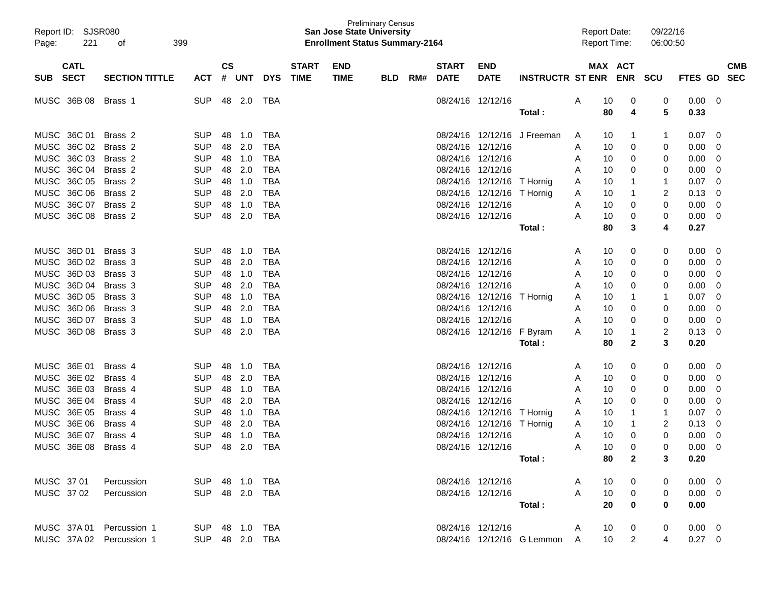| Report ID: SJSR080<br>221<br>Page: | 399<br>οf             |                |               |        |            |              | <b>San Jose State University</b><br><b>Enrollment Status Summary-2164</b> | <b>Preliminary Census</b> |     |                   |                            |                              | <b>Report Date:</b><br><b>Report Time:</b> |    |                | 09/22/16<br>06:00:50 |                        |          |            |
|------------------------------------|-----------------------|----------------|---------------|--------|------------|--------------|---------------------------------------------------------------------------|---------------------------|-----|-------------------|----------------------------|------------------------------|--------------------------------------------|----|----------------|----------------------|------------------------|----------|------------|
| <b>CATL</b>                        |                       |                | $\mathsf{cs}$ |        |            | <b>START</b> | <b>END</b>                                                                |                           |     | <b>START</b>      | <b>END</b>                 |                              |                                            |    | MAX ACT        |                      |                        |          | <b>CMB</b> |
| <b>SECT</b><br>SUB                 | <b>SECTION TITTLE</b> | ACT            |               | # UNT  | <b>DYS</b> | <b>TIME</b>  | <b>TIME</b>                                                               | <b>BLD</b>                | RM# | <b>DATE</b>       | <b>DATE</b>                | <b>INSTRUCTR ST ENR</b>      |                                            |    | <b>ENR</b>     | <b>SCU</b>           | FTES GD                |          | <b>SEC</b> |
| MUSC 36B 08                        | Brass 1               | <b>SUP</b>     | 48            | 2.0    | TBA        |              |                                                                           |                           |     |                   | 08/24/16 12/12/16          |                              | A                                          | 10 | 0              | 0                    | 0.00                   | - 0      |            |
|                                    |                       |                |               |        |            |              |                                                                           |                           |     |                   |                            | Total :                      |                                            | 80 | 4              | 5                    | 0.33                   |          |            |
| MUSC 36C 01                        | Brass 2               | <b>SUP</b>     | 48            | 1.0    | TBA        |              |                                                                           |                           |     |                   |                            | 08/24/16 12/12/16 J Freeman  | A                                          | 10 | 1              | 1                    | 0.07                   | 0        |            |
| MUSC 36C 02                        | Brass 2               | <b>SUP</b>     | 48            | 2.0    | TBA        |              |                                                                           |                           |     |                   | 08/24/16 12/12/16          |                              | A                                          | 10 | 0              | 0                    | 0.00                   | 0        |            |
| MUSC 36C 03                        | Brass 2               | <b>SUP</b>     | 48            | 1.0    | TBA        |              |                                                                           |                           |     |                   | 08/24/16 12/12/16          |                              | A                                          | 10 | 0              | 0                    | 0.00                   | 0        |            |
| MUSC 36C 04                        | Brass 2               | <b>SUP</b>     | 48            | 2.0    | TBA        |              |                                                                           |                           |     |                   | 08/24/16 12/12/16          |                              | A                                          | 10 | 0              | 0                    | 0.00                   | 0        |            |
| MUSC 36C 05                        | Brass 2               | <b>SUP</b>     | 48            | 1.0    | TBA        |              |                                                                           |                           |     |                   | 08/24/16 12/12/16 T Hornig |                              | A                                          | 10 | 1              | 1                    | 0.07                   | 0        |            |
| MUSC 36C 06                        | Brass 2               | <b>SUP</b>     | 48            | 2.0    | TBA        |              |                                                                           |                           |     |                   | 08/24/16 12/12/16 T Hornig |                              | A                                          | 10 | 1              | 2                    | 0.13                   | 0        |            |
| MUSC 36C 07                        | Brass 2               | <b>SUP</b>     | 48            | 1.0    | TBA        |              |                                                                           |                           |     |                   | 08/24/16 12/12/16          |                              | A                                          | 10 | 0              | 0                    | 0.00                   | 0        |            |
| MUSC 36C 08                        | Brass <sub>2</sub>    | <b>SUP</b>     | 48            | 2.0    | TBA        |              |                                                                           |                           |     |                   | 08/24/16 12/12/16          |                              | A                                          | 10 | 0              | 0                    | 0.00                   | 0        |            |
|                                    |                       |                |               |        |            |              |                                                                           |                           |     |                   |                            | Total :                      |                                            | 80 | 3              | 4                    | 0.27                   |          |            |
| MUSC 36D 01                        | Brass 3               | <b>SUP</b>     | 48            | 1.0    | TBA        |              |                                                                           |                           |     |                   | 08/24/16 12/12/16          |                              | A                                          | 10 | 0              | 0                    | 0.00                   | 0        |            |
| MUSC 36D 02                        | Brass 3               | <b>SUP</b>     | 48            | 2.0    | TBA        |              |                                                                           |                           |     |                   | 08/24/16 12/12/16          |                              | A                                          | 10 | 0              | 0                    | 0.00                   | 0        |            |
| MUSC 36D 03                        | Brass 3               | <b>SUP</b>     | 48            | 1.0    | TBA        |              |                                                                           |                           |     |                   | 08/24/16 12/12/16          |                              | A                                          | 10 | 0              | 0                    | 0.00                   | 0        |            |
| MUSC 36D 04                        | Brass 3               | <b>SUP</b>     | 48            | 2.0    | TBA        |              |                                                                           |                           |     |                   | 08/24/16 12/12/16          |                              | A                                          | 10 | 0              | 0                    | 0.00                   | 0        |            |
| MUSC 36D 05                        | Brass 3               | <b>SUP</b>     | 48            | 1.0    | TBA        |              |                                                                           |                           |     |                   | 08/24/16 12/12/16 T Hornig |                              | A                                          | 10 | 1              | -1                   | 0.07                   | 0        |            |
| MUSC 36D 06                        | Brass 3               | <b>SUP</b>     | 48            | 2.0    | TBA        |              |                                                                           |                           |     |                   | 08/24/16 12/12/16          |                              | A                                          | 10 | 0              | 0                    | 0.00                   | 0        |            |
| MUSC 36D 07                        | Brass 3               | <b>SUP</b>     | 48            | 1.0    | TBA        |              |                                                                           |                           |     |                   | 08/24/16 12/12/16          |                              | A                                          | 10 | 0              | 0                    | 0.00                   | 0        |            |
| MUSC 36D 08                        | Brass 3               | <b>SUP</b>     | 48            | 2.0    | TBA        |              |                                                                           |                           |     |                   | 08/24/16 12/12/16          | F Byram                      | A                                          | 10 | 1              | 2                    | 0.13                   | 0        |            |
|                                    |                       |                |               |        |            |              |                                                                           |                           |     |                   |                            | Total :                      |                                            | 80 | 2              | 3                    | 0.20                   |          |            |
| MUSC 36E 01                        | Brass 4               | <b>SUP</b>     | 48            | 1.0    | TBA        |              |                                                                           |                           |     | 08/24/16 12/12/16 |                            |                              | A                                          | 10 | 0              | 0                    | 0.00                   | 0        |            |
| MUSC 36E 02                        | Brass 4               | <b>SUP</b>     | 48            | 2.0    | TBA        |              |                                                                           |                           |     | 08/24/16 12/12/16 |                            |                              | A                                          | 10 | 0              | 0                    | 0.00                   | 0        |            |
| MUSC 36E 03                        | Brass 4               | <b>SUP</b>     | 48            | 1.0    | TBA        |              |                                                                           |                           |     |                   | 08/24/16 12/12/16          |                              | A                                          | 10 | 0              | 0                    | 0.00                   | 0        |            |
| MUSC 36E 04                        | Brass 4               | <b>SUP</b>     | 48            | 2.0    | TBA        |              |                                                                           |                           |     | 08/24/16 12/12/16 |                            |                              | A                                          | 10 | 0              | 0                    | 0.00                   | 0        |            |
| MUSC 36E 05                        | Brass 4               | <b>SUP</b>     | 48            | 1.0    | TBA        |              |                                                                           |                           |     |                   | 08/24/16 12/12/16 T Hornig |                              | A                                          | 10 |                | 1                    | 0.07                   | 0        |            |
| MUSC 36E 06                        | Brass 4               | <b>SUP</b>     | 48            | 2.0    | TBA        |              |                                                                           |                           |     |                   | 08/24/16 12/12/16 T Hornig |                              | A                                          | 10 | 1              | 2                    | 0.13                   | 0        |            |
| MUSC 36E 07                        | Brass 4               | <b>SUP</b>     | 48            | 1.0    | <b>TBA</b> |              |                                                                           |                           |     | 08/24/16 12/12/16 |                            |                              | A                                          | 10 | 0              | 0                    | 0.00                   | 0        |            |
| MUSC 36E 08                        | Brass 4               | <b>SUP</b>     |               | 48 2.0 | <b>TBA</b> |              |                                                                           |                           |     |                   | 08/24/16 12/12/16          |                              | Α                                          | 10 | 0              | 0                    | 0.00                   | $\Omega$ |            |
|                                    |                       |                |               |        |            |              |                                                                           |                           |     |                   |                            | Total :                      |                                            | 80 | 2              | 3                    | 0.20                   |          |            |
| MUSC 3701                          | Percussion            | SUP 48 1.0 TBA |               |        |            |              |                                                                           |                           |     |                   | 08/24/16 12/12/16          |                              | A                                          | 10 | $\mathbf{0}$   | 0                    | $0.00 \quad 0$         |          |            |
| MUSC 3702                          |                       | SUP 48 2.0 TBA |               |        |            |              |                                                                           |                           |     |                   | 08/24/16 12/12/16          |                              | A                                          | 10 |                | 0                    |                        |          |            |
|                                    | Percussion            |                |               |        |            |              |                                                                           |                           |     |                   |                            | Total:                       |                                            | 20 | 0<br>$\bf{0}$  | 0                    | $0.00 \quad 0$<br>0.00 |          |            |
|                                    |                       |                |               |        |            |              |                                                                           |                           |     |                   |                            |                              |                                            |    |                |                      |                        |          |            |
| MUSC 37A01 Percussion 1            |                       | SUP 48 1.0 TBA |               |        |            |              |                                                                           |                           |     |                   | 08/24/16 12/12/16          |                              | A                                          | 10 | 0              | 0                    | $0.00 \quad 0$         |          |            |
| MUSC 37A 02 Percussion 1           |                       | SUP 48 2.0 TBA |               |        |            |              |                                                                           |                           |     |                   |                            | 08/24/16 12/12/16 G Lemmon A |                                            | 10 | $\overline{2}$ | 4                    | $0.27 \ 0$             |          |            |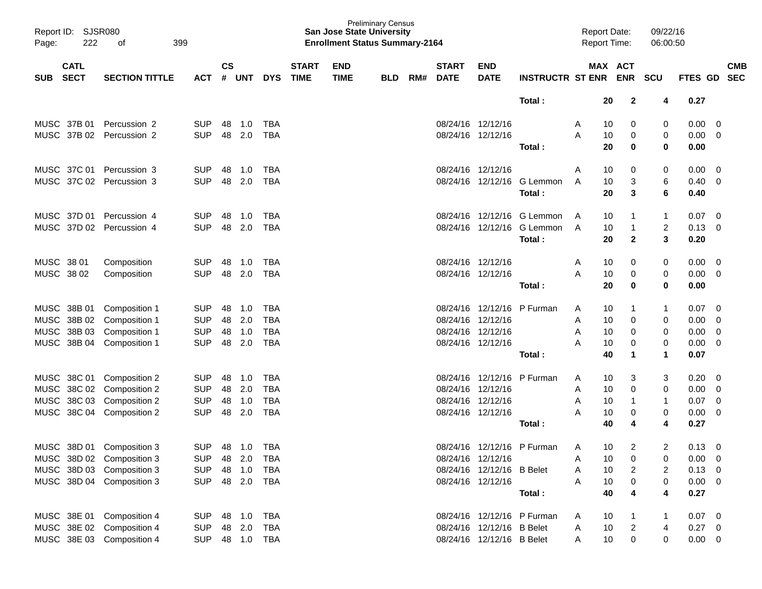| Report ID:<br>Page:                      | <b>SJSR080</b><br>222 | 399<br>οf                 |                |                    |            |            |                             | <b>San Jose State University</b><br><b>Enrollment Status Summary-2164</b> | <b>Preliminary Census</b> |     |                             |                           |                            | <b>Report Date:</b><br><b>Report Time:</b> |    |                       | 09/22/16<br>06:00:50 |             |                          |                          |
|------------------------------------------|-----------------------|---------------------------|----------------|--------------------|------------|------------|-----------------------------|---------------------------------------------------------------------------|---------------------------|-----|-----------------------------|---------------------------|----------------------------|--------------------------------------------|----|-----------------------|----------------------|-------------|--------------------------|--------------------------|
| <b>CATL</b><br><b>SECT</b><br><b>SUB</b> |                       | <b>SECTION TITTLE</b>     | <b>ACT</b>     | $\mathsf{cs}$<br># | <b>UNT</b> | <b>DYS</b> | <b>START</b><br><b>TIME</b> | <b>END</b><br><b>TIME</b>                                                 | <b>BLD</b>                | RM# | <b>START</b><br><b>DATE</b> | <b>END</b><br><b>DATE</b> | <b>INSTRUCTR ST ENR</b>    |                                            |    | MAX ACT<br><b>ENR</b> | <b>SCU</b>           | FTES GD     |                          | <b>CMB</b><br><b>SEC</b> |
|                                          |                       |                           |                |                    |            |            |                             |                                                                           |                           |     |                             |                           | Total:                     |                                            | 20 | $\mathbf{2}$          | 4                    | 0.27        |                          |                          |
|                                          |                       |                           |                |                    |            |            |                             |                                                                           |                           |     |                             |                           |                            |                                            |    |                       |                      |             |                          |                          |
| MUSC 37B 01                              |                       | Percussion 2              | <b>SUP</b>     | 48                 | 1.0        | <b>TBA</b> |                             |                                                                           |                           |     |                             | 08/24/16 12/12/16         |                            | A                                          | 10 | 0                     | 0                    | 0.00        | 0                        |                          |
| MUSC 37B 02                              |                       | Percussion 2              | <b>SUP</b>     | 48                 | 2.0        | <b>TBA</b> |                             |                                                                           |                           |     |                             | 08/24/16 12/12/16         |                            | A                                          | 10 | 0                     | 0                    | 0.00        | 0                        |                          |
|                                          |                       |                           |                |                    |            |            |                             |                                                                           |                           |     |                             |                           | Total:                     |                                            | 20 | 0                     | 0                    | 0.00        |                          |                          |
| MUSC 37C 01                              |                       | Percussion 3              | <b>SUP</b>     | 48                 | 1.0        | <b>TBA</b> |                             |                                                                           |                           |     |                             | 08/24/16 12/12/16         |                            | A                                          | 10 | 0                     | 0                    | 0.00        | 0                        |                          |
| MUSC 37C 02                              |                       | Percussion 3              | <b>SUP</b>     | 48                 | 2.0        | <b>TBA</b> |                             |                                                                           |                           |     |                             | 08/24/16 12/12/16         | G Lemmon                   | A                                          | 10 | 3                     | 6                    | 0.40        | 0                        |                          |
|                                          |                       |                           |                |                    |            |            |                             |                                                                           |                           |     |                             |                           | Total:                     |                                            | 20 | 3                     | 6                    | 0.40        |                          |                          |
| MUSC 37D 01                              |                       | Percussion 4              | <b>SUP</b>     | 48                 | 1.0        | <b>TBA</b> |                             |                                                                           |                           |     | 08/24/16                    | 12/12/16                  | G Lemmon                   | A                                          | 10 | 1                     | 1                    | 0.07        | 0                        |                          |
| MUSC 37D 02                              |                       | Percussion 4              | <b>SUP</b>     | 48                 | 2.0        | <b>TBA</b> |                             |                                                                           |                           |     |                             | 08/24/16 12/12/16         | G Lemmon                   | A                                          | 10 | $\mathbf{1}$          | $\overline{c}$       | 0.13        | 0                        |                          |
|                                          |                       |                           |                |                    |            |            |                             |                                                                           |                           |     |                             |                           | Total:                     |                                            | 20 | $\mathbf{2}$          | 3                    | 0.20        |                          |                          |
| MUSC 38 01                               |                       | Composition               | <b>SUP</b>     | 48                 | 1.0        | <b>TBA</b> |                             |                                                                           |                           |     |                             | 08/24/16 12/12/16         |                            | Α                                          | 10 | 0                     | 0                    | 0.00        | 0                        |                          |
| MUSC 38 02                               |                       | Composition               | <b>SUP</b>     | 48                 | 2.0        | <b>TBA</b> |                             |                                                                           |                           |     |                             | 08/24/16 12/12/16         |                            | A                                          | 10 | 0                     | 0                    | 0.00        | 0                        |                          |
|                                          |                       |                           |                |                    |            |            |                             |                                                                           |                           |     |                             |                           | Total:                     |                                            | 20 | $\mathbf 0$           | 0                    | 0.00        |                          |                          |
| MUSC                                     | 38B 01                | Composition 1             | <b>SUP</b>     | 48                 | 1.0        | <b>TBA</b> |                             |                                                                           |                           |     |                             |                           | 08/24/16 12/12/16 P Furman | A                                          | 10 | $\mathbf 1$           | 1                    | 0.07        | 0                        |                          |
| MUSC                                     | 38B 02                | Composition 1             | <b>SUP</b>     | 48                 | 2.0        | <b>TBA</b> |                             |                                                                           |                           |     | 08/24/16                    | 12/12/16                  |                            | A                                          | 10 | 0                     | 0                    | 0.00        | 0                        |                          |
| <b>MUSC</b>                              | 38B 03                | Composition 1             | <b>SUP</b>     | 48                 | 1.0        | <b>TBA</b> |                             |                                                                           |                           |     |                             | 08/24/16 12/12/16         |                            | A                                          | 10 | 0                     | 0                    | 0.00        | 0                        |                          |
| MUSC 38B 04                              |                       | Composition 1             | <b>SUP</b>     | 48                 | 2.0        | <b>TBA</b> |                             |                                                                           |                           |     |                             | 08/24/16 12/12/16         |                            | A                                          | 10 | 0                     | 0                    | 0.00        | 0                        |                          |
|                                          |                       |                           |                |                    |            |            |                             |                                                                           |                           |     |                             |                           | Total:                     |                                            | 40 | $\mathbf 1$           | 1                    | 0.07        |                          |                          |
| MUSC 38C 01                              |                       | Composition 2             | <b>SUP</b>     | 48                 | 1.0        | <b>TBA</b> |                             |                                                                           |                           |     |                             | 08/24/16 12/12/16         | P Furman                   | A                                          | 10 | 3                     | 3                    | 0.20        | - 0                      |                          |
| <b>MUSC</b>                              | 38C 02                | Composition 2             | <b>SUP</b>     | 48                 | 2.0        | <b>TBA</b> |                             |                                                                           |                           |     |                             | 08/24/16 12/12/16         |                            | A                                          | 10 | 0                     | 0                    | 0.00        | 0                        |                          |
| <b>MUSC</b>                              | 38C 03                | Composition 2             | <b>SUP</b>     | 48                 | 1.0        | <b>TBA</b> |                             |                                                                           |                           |     |                             | 08/24/16 12/12/16         |                            | A                                          | 10 | 1                     | 1                    | 0.07        | 0                        |                          |
| MUSC 38C 04                              |                       | Composition 2             | <b>SUP</b>     | 48                 | 2.0        | <b>TBA</b> |                             |                                                                           |                           |     |                             | 08/24/16 12/12/16         |                            | А                                          | 10 | 0                     | 0                    | 0.00        | 0                        |                          |
|                                          |                       |                           |                |                    |            |            |                             |                                                                           |                           |     |                             |                           | Total:                     |                                            | 40 | 4                     | 4                    | 0.27        |                          |                          |
|                                          |                       | MUSC 38D 01 Composition 3 | SUP 48 1.0 TBA |                    |            |            |                             |                                                                           |                           |     |                             |                           | 08/24/16 12/12/16 P Furman | A                                          | 10 | 2                     | 2                    | $0.13 \ 0$  |                          |                          |
|                                          |                       | MUSC 38D 02 Composition 3 | <b>SUP</b>     |                    | 48 2.0     | TBA        |                             |                                                                           |                           |     |                             | 08/24/16 12/12/16         |                            | Α                                          | 10 | 0                     | 0                    | 0.00        | - 0                      |                          |
|                                          |                       | MUSC 38D 03 Composition 3 | <b>SUP</b>     |                    | 48 1.0     | TBA        |                             |                                                                           |                           |     |                             | 08/24/16 12/12/16 B Belet |                            | Α                                          | 10 | $\overline{2}$        | 2                    | 0.13        | $\overline{\phantom{0}}$ |                          |
|                                          |                       | MUSC 38D 04 Composition 3 | <b>SUP</b>     |                    | 48 2.0     | TBA        |                             |                                                                           |                           |     |                             | 08/24/16 12/12/16         |                            | A                                          | 10 | $\pmb{0}$             | 0                    | $0.00 \t 0$ |                          |                          |
|                                          |                       |                           |                |                    |            |            |                             |                                                                           |                           |     |                             |                           | Total:                     |                                            | 40 | 4                     | 4                    | 0.27        |                          |                          |
| MUSC 38E 01                              |                       | Composition 4             | <b>SUP</b>     |                    | 48 1.0     | TBA        |                             |                                                                           |                           |     |                             |                           | 08/24/16 12/12/16 P Furman | A                                          | 10 |                       | 1                    | $0.07$ 0    |                          |                          |
| MUSC 38E 02                              |                       | Composition 4             | <b>SUP</b>     | 48                 | 2.0        | TBA        |                             |                                                                           |                           |     |                             | 08/24/16 12/12/16 B Belet |                            | Α                                          | 10 | $\overline{c}$        | 4                    | 0.27        | $\overline{\phantom{0}}$ |                          |
|                                          |                       | MUSC 38E 03 Composition 4 | <b>SUP</b>     |                    | 48 1.0     | <b>TBA</b> |                             |                                                                           |                           |     |                             | 08/24/16 12/12/16 B Belet |                            | A                                          | 10 | 0                     | 0                    | $0.00 \t 0$ |                          |                          |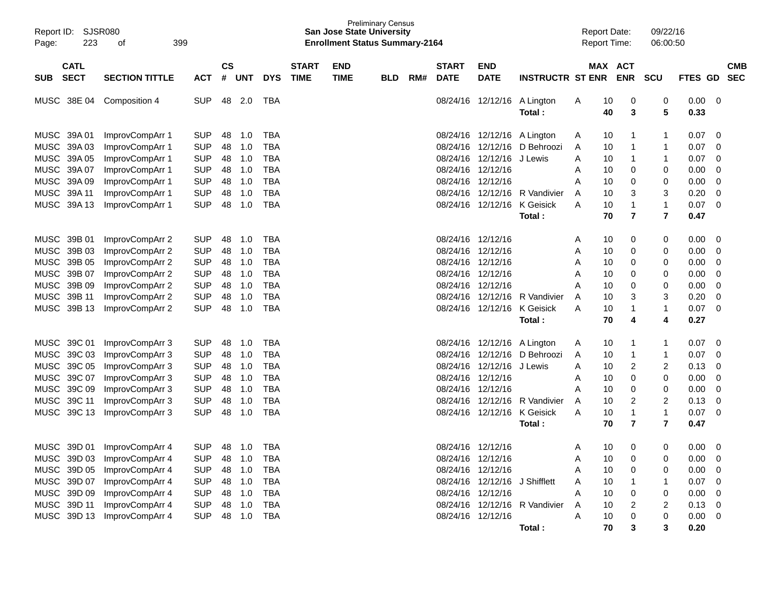| Report ID: SJSR080<br>Page: | 223         | 399<br>оf                   |            |           |        |            |              | <b>San Jose State University</b><br><b>Enrollment Status Summary-2164</b> | <b>Preliminary Census</b> |     |              |                               |                               |   | <b>Report Date:</b><br><b>Report Time:</b> |                | 09/22/16<br>06:00:50 |                        |            |
|-----------------------------|-------------|-----------------------------|------------|-----------|--------|------------|--------------|---------------------------------------------------------------------------|---------------------------|-----|--------------|-------------------------------|-------------------------------|---|--------------------------------------------|----------------|----------------------|------------------------|------------|
|                             | <b>CATL</b> |                             |            | <b>CS</b> |        |            | <b>START</b> | <b>END</b>                                                                |                           |     | <b>START</b> | <b>END</b>                    |                               |   | MAX ACT                                    |                |                      |                        | <b>CMB</b> |
| <b>SUB</b>                  | <b>SECT</b> | <b>SECTION TITTLE</b>       | <b>ACT</b> | #         | UNT    | <b>DYS</b> | <b>TIME</b>  | <b>TIME</b>                                                               | <b>BLD</b>                | RM# | <b>DATE</b>  | <b>DATE</b>                   | <b>INSTRUCTR ST ENR</b>       |   | <b>ENR</b>                                 | <b>SCU</b>     | FTES GD              |                        | <b>SEC</b> |
| MUSC 38E 04                 |             | Composition 4               | <b>SUP</b> | 48        | 2.0    | TBA        |              |                                                                           |                           |     |              | 08/24/16 12/12/16             | A Lington<br>Total:           | A | 0<br>10<br>40<br>3                         | 0<br>5         | 0.00<br>0.33         | 0                      |            |
| MUSC 39A 01                 |             | ImprovCompArr 1             | <b>SUP</b> | 48        | 1.0    | <b>TBA</b> |              |                                                                           |                           |     |              | 08/24/16 12/12/16 A Lington   |                               | A | 10<br>1                                    |                | 0.07                 | 0                      |            |
| MUSC                        | 39A 03      | ImprovCompArr 1             | <b>SUP</b> | 48        | 1.0    | <b>TBA</b> |              |                                                                           |                           |     |              | 08/24/16 12/12/16             | D Behroozi                    | A | 10<br>1                                    |                | 0.07                 | 0                      |            |
| MUSC                        | 39A 05      | ImprovCompArr 1             | <b>SUP</b> | 48        | 1.0    | <b>TBA</b> |              |                                                                           |                           |     |              | 08/24/16 12/12/16             | J Lewis                       | A | 10<br>1                                    | 1              | 0.07                 | 0                      |            |
| <b>MUSC</b>                 | 39A 07      | ImprovCompArr 1             | <b>SUP</b> | 48        | 1.0    | <b>TBA</b> |              |                                                                           |                           |     |              | 08/24/16 12/12/16             |                               | A | 10<br>0                                    | 0              | 0.00                 | 0                      |            |
| <b>MUSC</b>                 | 39A 09      | ImprovCompArr 1             | <b>SUP</b> | 48        | 1.0    | <b>TBA</b> |              |                                                                           |                           |     |              | 08/24/16 12/12/16             |                               | Α | 10<br>0                                    | 0              | 0.00                 | 0                      |            |
| <b>MUSC</b>                 | 39A 11      | ImprovCompArr 1             | <b>SUP</b> | 48        | 1.0    | <b>TBA</b> |              |                                                                           |                           |     |              | 08/24/16 12/12/16             | R Vandivier                   | A | 3<br>10                                    | 3              | 0.20                 |                        | 0          |
| MUSC 39A 13                 |             | ImprovCompArr 1             | <b>SUP</b> | 48        | 1.0    | <b>TBA</b> |              |                                                                           |                           |     |              | 08/24/16 12/12/16             | K Geisick                     | A | 10<br>1                                    | 1              | 0.07                 | 0                      |            |
|                             |             |                             |            |           |        |            |              |                                                                           |                           |     |              |                               | Total:                        |   | $\overline{\mathbf{r}}$<br>70              | $\overline{7}$ | 0.47                 |                        |            |
| MUSC 39B 01                 |             | ImprovCompArr 2             | <b>SUP</b> | 48        | 1.0    | <b>TBA</b> |              |                                                                           |                           |     |              | 08/24/16 12/12/16             |                               | A | 10<br>0                                    | 0              | 0.00                 | 0                      |            |
| <b>MUSC</b>                 | 39B 03      | ImprovCompArr 2             | <b>SUP</b> | 48        | 1.0    | <b>TBA</b> |              |                                                                           |                           |     | 08/24/16     | 12/12/16                      |                               | A | 0<br>10                                    | 0              | 0.00                 | 0                      |            |
| MUSC                        | 39B 05      | ImprovCompArr 2             | <b>SUP</b> | 48        | 1.0    | <b>TBA</b> |              |                                                                           |                           |     | 08/24/16     | 12/12/16                      |                               | A | 0<br>10                                    | 0              | 0.00                 |                        | 0          |
| MUSC                        | 39B 07      | ImprovCompArr 2             | <b>SUP</b> | 48        | 1.0    | <b>TBA</b> |              |                                                                           |                           |     |              | 08/24/16 12/12/16             |                               | A | 0<br>10                                    | 0              | 0.00                 |                        | 0          |
| <b>MUSC</b>                 | 39B 09      | ImprovCompArr 2             | <b>SUP</b> | 48        | 1.0    | <b>TBA</b> |              |                                                                           |                           |     |              | 08/24/16 12/12/16             |                               | Α | 0<br>10                                    | 0              | 0.00                 | 0                      |            |
| <b>MUSC</b>                 | 39B 11      | ImprovCompArr 2             | <b>SUP</b> | 48        | 1.0    | <b>TBA</b> |              |                                                                           |                           |     |              | 08/24/16 12/12/16             | R Vandivier                   | A | 10<br>3                                    | 3              | 0.20                 | 0                      |            |
| <b>MUSC</b>                 | 39B 13      | ImprovCompArr 2             | <b>SUP</b> | 48        | 1.0    | <b>TBA</b> |              |                                                                           |                           |     |              | 08/24/16 12/12/16             | K Geisick                     | Α | 10<br>1                                    | 1              | 0.07                 | 0                      |            |
|                             |             |                             |            |           |        |            |              |                                                                           |                           |     |              |                               | Total:                        |   | 70<br>4                                    | 4              | 0.27                 |                        |            |
| MUSC 39C 01                 |             | ImprovCompArr 3             | <b>SUP</b> | 48        | 1.0    | <b>TBA</b> |              |                                                                           |                           |     |              | 08/24/16 12/12/16             | A Lington                     | A | 10<br>1                                    |                | 0.07                 | 0                      |            |
| <b>MUSC</b>                 | 39C 03      | ImprovCompArr 3             | <b>SUP</b> | 48        | 1.0    | <b>TBA</b> |              |                                                                           |                           |     | 08/24/16     | 12/12/16                      | D Behroozi                    | A | 10<br>1                                    | 1              | 0.07                 | 0                      |            |
| <b>MUSC</b>                 | 39C 05      | ImprovCompArr 3             | <b>SUP</b> | 48        | 1.0    | <b>TBA</b> |              |                                                                           |                           |     | 08/24/16     | 12/12/16                      | J Lewis                       | A | 2<br>10                                    | 2              | 0.13                 | 0                      |            |
| <b>MUSC</b>                 | 39C 07      | ImprovCompArr 3             | <b>SUP</b> | 48        | 1.0    | <b>TBA</b> |              |                                                                           |                           |     |              | 08/24/16 12/12/16             |                               | A | 10<br>0                                    | 0              | 0.00                 | 0                      |            |
| <b>MUSC</b>                 | 39C 09      | ImprovCompArr 3             | <b>SUP</b> | 48        | 1.0    | <b>TBA</b> |              |                                                                           |                           |     |              | 08/24/16 12/12/16             |                               | A | 10<br>0                                    | 0              | 0.00                 | 0                      |            |
| <b>MUSC</b>                 | 39C 11      | ImprovCompArr 3             | <b>SUP</b> | 48        | 1.0    | <b>TBA</b> |              |                                                                           |                           |     | 08/24/16     | 12/12/16                      | R Vandivier                   | A | 2<br>10                                    | 2              | 0.13                 | 0                      |            |
| <b>MUSC</b>                 | 39C 13      | ImprovCompArr 3             | <b>SUP</b> | 48        | 1.0    | <b>TBA</b> |              |                                                                           |                           |     |              | 08/24/16 12/12/16             | K Geisick                     | A | 10<br>1                                    | $\mathbf 1$    | 0.07                 | 0                      |            |
|                             |             |                             |            |           |        |            |              |                                                                           |                           |     |              |                               | Total:                        |   | 70<br>7                                    | $\overline{7}$ | 0.47                 |                        |            |
|                             |             | MUSC 39D 01 ImprovCompArr 4 | <b>SUP</b> | 48        | 1.0    | TBA        |              |                                                                           |                           |     |              | 08/24/16 12/12/16             |                               | A | 0<br>10                                    | 0              |                      | 0.00<br>$\overline{0}$ |            |
|                             |             | MUSC 39D 03 ImprovCompArr 4 | <b>SUP</b> | 48        | 1.0    | <b>TBA</b> |              |                                                                           |                           |     |              | 08/24/16 12/12/16             |                               | Α | 10<br>0                                    | 0              | 0.00                 | $\overline{0}$         |            |
| MUSC 39D 05                 |             | ImprovCompArr 4             | <b>SUP</b> |           | 48 1.0 | <b>TBA</b> |              |                                                                           |                           |     |              | 08/24/16 12/12/16             |                               | Α | 10<br>0                                    | 0              | 0.00                 | 0                      |            |
| MUSC 39D 07                 |             | ImprovCompArr 4             | <b>SUP</b> |           | 48 1.0 | <b>TBA</b> |              |                                                                           |                           |     |              | 08/24/16 12/12/16 J Shifflett |                               | Α | 10                                         |                | 0.07                 | 0                      |            |
| MUSC 39D 09                 |             | ImprovCompArr 4             | <b>SUP</b> |           | 48 1.0 | <b>TBA</b> |              |                                                                           |                           |     |              | 08/24/16 12/12/16             |                               | Α | 10<br>0                                    | 0              | 0.00                 | - 0                    |            |
| MUSC 39D 11                 |             | ImprovCompArr 4             | <b>SUP</b> |           | 48 1.0 | TBA        |              |                                                                           |                           |     |              |                               | 08/24/16 12/12/16 R Vandivier | A | 2<br>10                                    | 2              | 0.13                 | - 0                    |            |
|                             |             | MUSC 39D 13 ImprovCompArr 4 | <b>SUP</b> |           | 48 1.0 | TBA        |              |                                                                           |                           |     |              | 08/24/16 12/12/16             |                               | A | 10<br>0                                    | 0              |                      | 0.00<br>$\overline{0}$ |            |
|                             |             |                             |            |           |        |            |              |                                                                           |                           |     |              |                               | Total:                        |   | 70<br>3                                    | 3              | 0.20                 |                        |            |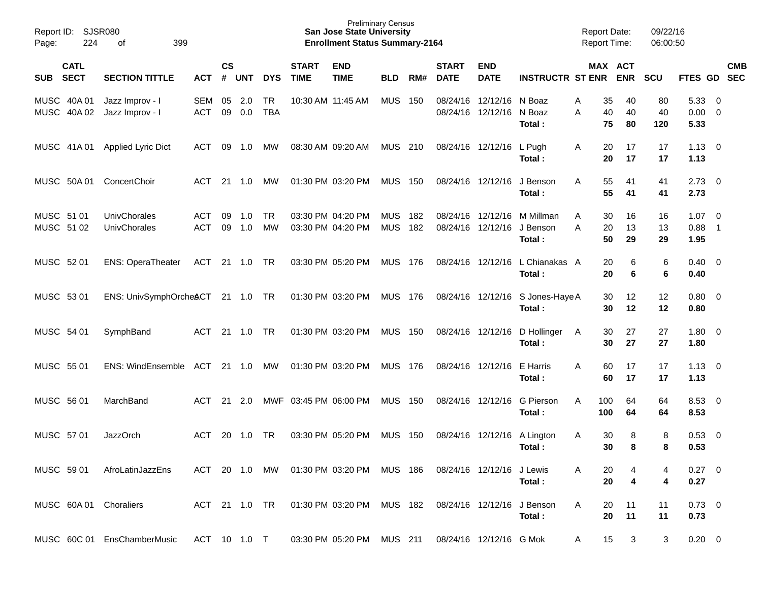| Report ID:<br>224<br>Page:               | <b>SJSR080</b><br>399<br>οf        |                   |                    |            |                  |                             | <b>Preliminary Census</b><br><b>San Jose State University</b><br><b>Enrollment Status Summary-2164</b> |                          |            |                             |                                        |                                 | <b>Report Date:</b><br><b>Report Time:</b> |                                  | 09/22/16<br>06:00:50 |                             |                         |            |
|------------------------------------------|------------------------------------|-------------------|--------------------|------------|------------------|-----------------------------|--------------------------------------------------------------------------------------------------------|--------------------------|------------|-----------------------------|----------------------------------------|---------------------------------|--------------------------------------------|----------------------------------|----------------------|-----------------------------|-------------------------|------------|
| <b>CATL</b><br><b>SECT</b><br><b>SUB</b> | <b>SECTION TITTLE</b>              | <b>ACT</b>        | $\mathsf{cs}$<br># | <b>UNT</b> | <b>DYS</b>       | <b>START</b><br><b>TIME</b> | <b>END</b><br><b>TIME</b>                                                                              | <b>BLD</b>               | RM#        | <b>START</b><br><b>DATE</b> | <b>END</b><br><b>DATE</b>              | <b>INSTRUCTR ST ENR</b>         |                                            | MAX ACT<br><b>ENR</b>            | <b>SCU</b>           | FTES GD SEC                 |                         | <b>CMB</b> |
| MUSC 40A 01<br>MUSC 40A 02               | Jazz Improv - I<br>Jazz Improv - I | SEM<br><b>ACT</b> | 05<br>09           | 2.0<br>0.0 | TR<br><b>TBA</b> |                             | 10:30 AM 11:45 AM                                                                                      | <b>MUS</b>               | 150        |                             | 08/24/16 12/12/16<br>08/24/16 12/12/16 | N Boaz<br>N Boaz<br>Total:      | A<br>A                                     | 35<br>40<br>40<br>40<br>75<br>80 | 80<br>40<br>120      | 5.33<br>$0.00 \t 0$<br>5.33 | $\overline{0}$          |            |
| MUSC 41A 01                              | <b>Applied Lyric Dict</b>          | ACT               | 09                 | 1.0        | МW               |                             | 08:30 AM 09:20 AM                                                                                      | MUS 210                  |            |                             | 08/24/16 12/12/16                      | L Pugh<br>Total:                | A                                          | 20<br>17<br>20<br>17             | 17<br>17             | 1.13<br>1.13                | $\overline{\mathbf{0}}$ |            |
| MUSC 50A 01                              | ConcertChoir                       | ACT               |                    | 21 1.0     | MW               |                             | 01:30 PM 03:20 PM                                                                                      | <b>MUS 150</b>           |            |                             | 08/24/16 12/12/16                      | J Benson<br>Total:              | A                                          | 55<br>41<br>55<br>41             | 41<br>41             | 2.73<br>2.73                | $\overline{\mathbf{0}}$ |            |
| MUSC 51 01<br>MUSC 51 02                 | UnivChorales<br>UnivChorales       | ACT<br><b>ACT</b> | 09<br>09           | 1.0<br>1.0 | <b>TR</b><br>MW  |                             | 03:30 PM 04:20 PM<br>03:30 PM 04:20 PM                                                                 | <b>MUS</b><br><b>MUS</b> | 182<br>182 |                             | 08/24/16 12/12/16<br>08/24/16 12/12/16 | M Millman<br>J Benson<br>Total: | A<br>A                                     | 30<br>16<br>13<br>20<br>50<br>29 | 16<br>13<br>29       | $1.07 \t 0$<br>0.88<br>1.95 | $\overline{1}$          |            |
| MUSC 52 01                               | <b>ENS: OperaTheater</b>           | ACT               |                    | 21 1.0     | TR               |                             | 03:30 PM 05:20 PM                                                                                      | MUS 176                  |            |                             | 08/24/16 12/12/16                      | L Chianakas A<br>Total:         |                                            | 6<br>20<br>20<br>6               | 6<br>6               | $0.40 \quad 0$<br>0.40      |                         |            |
| MUSC 53 01                               | ENS: UnivSymphOrcheACT 21 1.0 TR   |                   |                    |            |                  |                             | 01:30 PM 03:20 PM                                                                                      | MUS 176                  |            |                             | 08/24/16 12/12/16                      | S Jones-Haye A<br>Total:        |                                            | 12<br>30<br>12<br>30             | 12<br>12             | $0.80 \ 0$<br>0.80          |                         |            |
| MUSC 54 01                               | SymphBand                          | ACT               |                    | 21 1.0     | <b>TR</b>        |                             | 01:30 PM 03:20 PM                                                                                      | <b>MUS 150</b>           |            |                             | 08/24/16 12/12/16                      | D Hollinger<br>Total:           | A                                          | 30<br>27<br>30<br>27             | 27<br>27             | $1.80 \ 0$<br>1.80          |                         |            |
| MUSC 55 01                               | ENS: WindEnsemble ACT              |                   |                    | $21 \t1.0$ | MW               |                             | 01:30 PM 03:20 PM                                                                                      | MUS 176                  |            |                             | 08/24/16 12/12/16                      | E Harris<br>Total:              | A                                          | 60<br>17<br>60<br>17             | 17<br>17             | 1.13<br>1.13                | $\overline{\mathbf{0}}$ |            |
| MUSC 56 01                               | MarchBand                          | ACT               | 21                 | 2.0        |                  | MWF 03:45 PM 06:00 PM       |                                                                                                        | <b>MUS 150</b>           |            |                             | 08/24/16 12/12/16                      | G Pierson<br>Total:             | 100<br>A<br>100                            | 64<br>64                         | 64<br>64             | 8.53<br>8.53                | $\overline{\mathbf{0}}$ |            |
| MUSC 57 01                               | <b>JazzOrch</b>                    | ACT               | 20                 | 1.0        | <b>TR</b>        |                             | 03:30 PM 05:20 PM                                                                                      | <b>MUS</b>               | 150        |                             | 08/24/16 12/12/16                      | A Lington<br>Total:             | A                                          | 8<br>30<br>8<br>30               | 8<br>8               | 0.53<br>0.53                | $\overline{0}$          |            |
|                                          | MUSC 59 01 AfroLatinJazzEns        | ACT 20 1.0        |                    |            |                  |                             | MW  01:30 PM  03:20 PM  MUS  186                                                                       |                          |            |                             | 08/24/16 12/12/16 J Lewis              | Total:                          |                                            | 20<br>20<br>4                    | 4                    | $0.27 \quad 0$<br>0.27      |                         |            |
| MUSC 60A 01 Choraliers                   |                                    |                   |                    |            |                  |                             | ACT 21 1.0 TR  01:30 PM  03:20 PM  MUS  182                                                            |                          |            |                             | 08/24/16 12/12/16                      | J Benson<br>Total:              | A                                          | 11<br>20<br>20<br>11             | 11<br>11             | $0.73 \quad 0$<br>0.73      |                         |            |
|                                          | MUSC 60C 01 EnsChamberMusic        |                   |                    |            |                  |                             | ACT 10 1.0 T 03:30 PM 05:20 PM MUS 211                                                                 |                          |            |                             | 08/24/16 12/12/16 G Mok                |                                 | A                                          | 15<br>3                          | 3                    | $0.20 \ 0$                  |                         |            |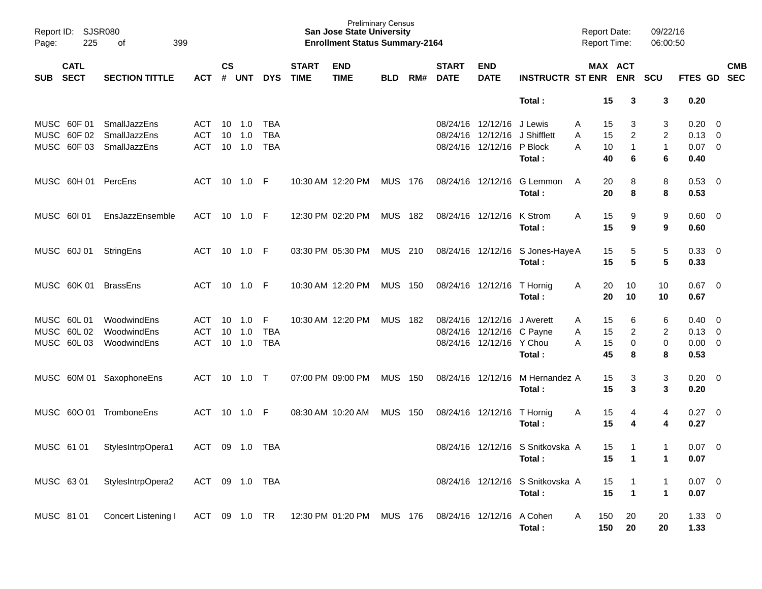| Page:                                  | Report ID: SJSR080<br>225  | 399<br>оf                                    |                                  |               |                      |                                 |                             | <b>Preliminary Census</b><br><b>San Jose State University</b><br><b>Enrollment Status Summary-2164</b> |                |     |                             |                                                                            |                                             | <b>Report Date:</b><br><b>Report Time:</b> |                                          | 09/22/16<br>06:00:50                     |                                               |                                                    |
|----------------------------------------|----------------------------|----------------------------------------------|----------------------------------|---------------|----------------------|---------------------------------|-----------------------------|--------------------------------------------------------------------------------------------------------|----------------|-----|-----------------------------|----------------------------------------------------------------------------|---------------------------------------------|--------------------------------------------|------------------------------------------|------------------------------------------|-----------------------------------------------|----------------------------------------------------|
| <b>SUB</b>                             | <b>CATL</b><br><b>SECT</b> | <b>SECTION TITTLE</b>                        | <b>ACT</b>                       | $\mathsf{cs}$ | # UNT                | <b>DYS</b>                      | <b>START</b><br><b>TIME</b> | <b>END</b><br><b>TIME</b>                                                                              | <b>BLD</b>     | RM# | <b>START</b><br><b>DATE</b> | <b>END</b><br><b>DATE</b>                                                  | <b>INSTRUCTR ST ENR</b>                     |                                            | MAX ACT<br><b>ENR</b>                    | <b>SCU</b>                               |                                               | <b>CMB</b><br>FTES GD SEC                          |
|                                        |                            |                                              |                                  |               |                      |                                 |                             |                                                                                                        |                |     |                             |                                                                            | Total:                                      | 15                                         | 3                                        | 3                                        | 0.20                                          |                                                    |
| MUSC 60F 01<br>MUSC 60F 02             | MUSC 60F03                 | SmallJazzEns<br>SmallJazzEns<br>SmallJazzEns | ACT.<br><b>ACT</b><br><b>ACT</b> | 10<br>10      | 1.0<br>1.0<br>10 1.0 | TBA<br><b>TBA</b><br><b>TBA</b> |                             |                                                                                                        |                |     |                             | 08/24/16 12/12/16<br>08/24/16 12/12/16<br>08/24/16 12/12/16                | J Lewis<br>J Shifflett<br>P Block<br>Total: | 15<br>A<br>15<br>Α<br>Α<br>10<br>40        | 3<br>$\overline{c}$<br>$\mathbf{1}$<br>6 | 3<br>$\overline{2}$<br>$\mathbf{1}$<br>6 | 0.20<br>0.13<br>$0.07 \ 0$<br>0.40            | $\overline{\mathbf{0}}$<br>$\overline{\mathbf{0}}$ |
|                                        | MUSC 60H 01                | PercEns                                      | ACT                              |               | 10 1.0               | -F                              |                             | 10:30 AM 12:20 PM                                                                                      | <b>MUS 176</b> |     | 08/24/16 12/12/16           |                                                                            | G Lemmon<br>Total:                          | 20<br>A<br>20                              | 8<br>8                                   | 8<br>8                                   | 0.53<br>0.53                                  | $\overline{\mathbf{0}}$                            |
| MUSC 601 01                            |                            | EnsJazzEnsemble                              | ACT                              |               | 10 1.0               | -F                              |                             | 12:30 PM 02:20 PM                                                                                      | <b>MUS 182</b> |     | 08/24/16 12/12/16           |                                                                            | K Strom<br>Total:                           | 15<br>A<br>15                              | 9<br>9                                   | 9<br>9                                   | $0.60 \quad 0$<br>0.60                        |                                                    |
| MUSC 60J 01                            |                            | StringEns                                    | ACT                              |               | 10 1.0               | -F                              |                             | 03:30 PM 05:30 PM                                                                                      | MUS 210        |     |                             |                                                                            | 08/24/16 12/12/16 S Jones-Haye A<br>Total:  | 15<br>15                                   | 5<br>5                                   | 5<br>5                                   | 0.33<br>0.33                                  | $\overline{\phantom{0}}$                           |
|                                        | MUSC 60K 01                | <b>BrassEns</b>                              | ACT                              |               | 10 1.0               | -F                              |                             | 10:30 AM 12:20 PM                                                                                      | <b>MUS 150</b> |     |                             | 08/24/16 12/12/16                                                          | T Hornig<br>Total:                          | 20<br>A<br>20                              | 10<br>10                                 | 10<br>10                                 | $0.67$ 0<br>0.67                              |                                                    |
| MUSC 60L01<br>MUSC 60L02<br>MUSC 60L03 |                            | WoodwindEns<br>WoodwindEns<br>WoodwindEns    | ACT<br><b>ACT</b><br><b>ACT</b>  | 10<br>10      | 1.0<br>1.0<br>10 1.0 | F<br><b>TBA</b><br><b>TBA</b>   |                             | 10:30 AM 12:20 PM                                                                                      | <b>MUS 182</b> |     |                             | 08/24/16 12/12/16<br>08/24/16 12/12/16 C Payne<br>08/24/16 12/12/16 Y Chou | J Averett<br>Total:                         | 15<br>A<br>15<br>A<br>15<br>Α<br>45        | 6<br>2<br>0<br>8                         | 6<br>$\overline{2}$<br>0<br>8            | 0.40<br>$0.13 \quad 0$<br>$0.00 \t 0$<br>0.53 | $\overline{\mathbf{0}}$                            |
|                                        |                            | MUSC 60M 01 SaxophoneEns                     | ACT                              | 10            | 1.0                  | $\top$                          |                             | 07:00 PM 09:00 PM                                                                                      | MUS            | 150 |                             | 08/24/16 12/12/16                                                          | M Hernandez A<br>Total:                     | 15<br>15                                   | 3<br>3                                   | 3<br>3                                   | 0.20<br>0.20                                  | $\overline{\phantom{0}}$                           |
|                                        |                            | MUSC 60O 01 TromboneEns                      | ACT                              | 10            | 1.0                  | F                               |                             | 08:30 AM 10:20 AM                                                                                      | MUS            | 150 |                             | 08/24/16 12/12/16                                                          | T Hornig<br>Total:                          | 15<br>A<br>15                              | 4<br>4                                   | 4<br>4                                   | 0.27<br>0.27                                  | $\overline{\phantom{0}}$                           |
| MUSC 61 01                             |                            | StylesIntrpOpera1                            | ACT                              |               | 09 1.0               | TBA                             |                             |                                                                                                        |                |     |                             |                                                                            | 08/24/16 12/12/16 S Snitkovska A<br>Total:  | 15<br>15                                   | 1<br>$\mathbf 1$                         | $\mathbf{1}$<br>1                        | $0.07 \quad 0$<br>0.07                        |                                                    |
| MUSC 63 01                             |                            | StylesIntrpOpera2                            | <b>ACT</b>                       |               | 09 1.0 TBA           |                                 |                             |                                                                                                        |                |     |                             |                                                                            | 08/24/16 12/12/16 S Snitkovska A<br>Total:  | 15<br>15                                   | $\overline{1}$                           | 1<br>$\mathbf{1}$                        | $0.07$ 0<br>0.07                              |                                                    |
| MUSC 81 01                             |                            | Concert Listening I                          | ACT 09 1.0 TR                    |               |                      |                                 |                             | 12:30 PM 01:20 PM MUS 176                                                                              |                |     | 08/24/16 12/12/16           |                                                                            | A Cohen<br>Total:                           | 150<br>A<br>150                            | 20<br>20                                 | 20<br>20                                 | $1.33 \ 0$<br>1.33                            |                                                    |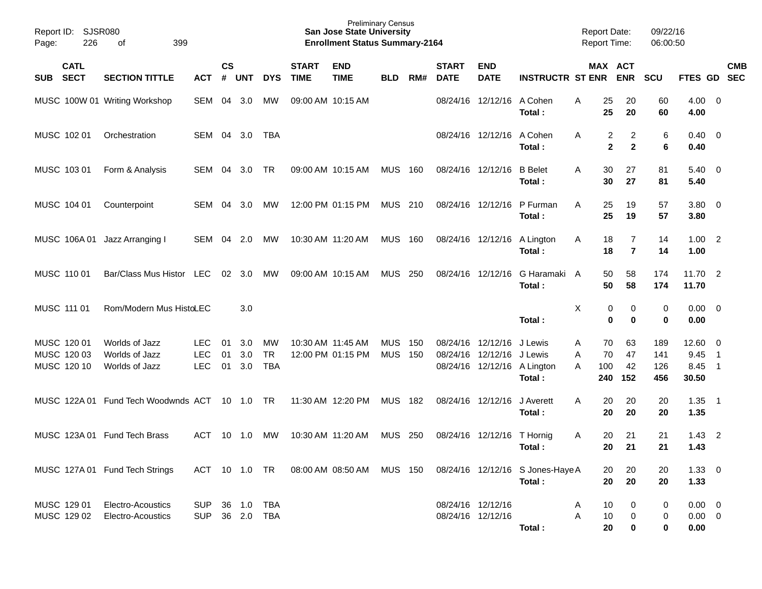| Report ID:<br>226<br>Page:                | <b>SJSR080</b><br>399<br>of                        |                                 |                    |                      |                               |                             | <b>Preliminary Census</b><br><b>San Jose State University</b><br><b>Enrollment Status Summary-2164</b> |                          |            |                                        |                           |                                                             | <b>Report Date:</b><br><b>Report Time:</b> |                                                    | 09/22/16<br>06:00:50     |                                       |                                              |            |
|-------------------------------------------|----------------------------------------------------|---------------------------------|--------------------|----------------------|-------------------------------|-----------------------------|--------------------------------------------------------------------------------------------------------|--------------------------|------------|----------------------------------------|---------------------------|-------------------------------------------------------------|--------------------------------------------|----------------------------------------------------|--------------------------|---------------------------------------|----------------------------------------------|------------|
| <b>CATL</b><br><b>SECT</b><br><b>SUB</b>  | <b>SECTION TITTLE</b>                              | <b>ACT</b>                      | $\mathsf{cs}$<br># | <b>UNT</b>           | <b>DYS</b>                    | <b>START</b><br><b>TIME</b> | <b>END</b><br><b>TIME</b>                                                                              | <b>BLD</b>               | RM#        | <b>START</b><br><b>DATE</b>            | <b>END</b><br><b>DATE</b> | <b>INSTRUCTR ST ENR</b>                                     |                                            | MAX ACT<br><b>ENR</b>                              | <b>SCU</b>               | FTES GD SEC                           |                                              | <b>CMB</b> |
|                                           | MUSC 100W 01 Writing Workshop                      | SEM                             | 04                 | 3.0                  | MW                            | 09:00 AM 10:15 AM           |                                                                                                        |                          |            | 08/24/16                               | 12/12/16 A Cohen          | Total:                                                      | 25<br>A<br>25                              | 20<br>20                                           | 60<br>60                 | $4.00 \ 0$<br>4.00                    |                                              |            |
| MUSC 102 01                               | Orchestration                                      | SEM                             |                    | 04 3.0               | TBA                           |                             |                                                                                                        |                          |            |                                        | 08/24/16 12/12/16         | A Cohen<br>Total:                                           | A                                          | 2<br>$\overline{2}$<br>$\mathbf 2$<br>$\mathbf{2}$ | 6<br>6                   | $0.40 \quad 0$<br>0.40                |                                              |            |
| MUSC 103 01                               | Form & Analysis                                    | SEM                             | 04                 | 3.0                  | <b>TR</b>                     | 09:00 AM 10:15 AM           |                                                                                                        | <b>MUS</b>               | 160        | 08/24/16 12/12/16                      |                           | <b>B</b> Belet<br>Total:                                    | 30<br>A<br>30                              | 27<br>27                                           | 81<br>81                 | $5.40 \ 0$<br>5.40                    |                                              |            |
| MUSC 104 01                               | Counterpoint                                       | SEM                             | 04                 | 3.0                  | МW                            |                             | 12:00 PM 01:15 PM                                                                                      | <b>MUS 210</b>           |            | 08/24/16 12/12/16                      |                           | P Furman<br>Total:                                          | 25<br>A<br>25                              | 19<br>19                                           | 57<br>57                 | 3.80 0<br>3.80                        |                                              |            |
| MUSC 106A01                               | Jazz Arranging I                                   | SEM                             | 04                 | 2.0                  | МW                            | 10:30 AM 11:20 AM           |                                                                                                        | <b>MUS 160</b>           |            | 08/24/16 12/12/16                      |                           | A Lington<br>Total:                                         | Α<br>18<br>18                              | 7<br>$\overline{7}$                                | 14<br>14                 | $1.00$ 2<br>1.00                      |                                              |            |
| MUSC 110 01                               | Bar/Class Mus Histor LEC                           |                                 | 02                 | 3.0                  | МW                            | 09:00 AM 10:15 AM           |                                                                                                        | <b>MUS</b>               | 250        | 08/24/16 12/12/16                      |                           | G Haramaki A<br>Total:                                      | 50<br>50                                   | 58<br>58                                           | 174<br>174               | 11.70 2<br>11.70                      |                                              |            |
| MUSC 111 01                               | Rom/Modern Mus HistoLEC                            |                                 |                    | 3.0                  |                               |                             |                                                                                                        |                          |            |                                        |                           | Total:                                                      | Χ                                          | 0<br>0<br>$\bf{0}$<br>$\bf{0}$                     | 0<br>$\mathbf 0$         | $0.00 \t 0$<br>0.00                   |                                              |            |
| MUSC 120 01<br>MUSC 120 03<br>MUSC 120 10 | Worlds of Jazz<br>Worlds of Jazz<br>Worlds of Jazz | LEC<br><b>LEC</b><br><b>LEC</b> | 01<br>01<br>01     | 3.0<br>3.0<br>3.0    | МW<br><b>TR</b><br><b>TBA</b> | 10:30 AM 11:45 AM           | 12:00 PM 01:15 PM                                                                                      | <b>MUS</b><br><b>MUS</b> | 150<br>150 | 08/24/16<br>08/24/16                   | 12/12/16<br>12/12/16      | J Lewis<br>J Lewis<br>08/24/16 12/12/16 A Lington<br>Total: | 70<br>Α<br>70<br>Α<br>A<br>100<br>240      | 63<br>47<br>42<br>152                              | 189<br>141<br>126<br>456 | $12.60 \t 0$<br>9.45<br>8.45<br>30.50 | $\overline{1}$<br>$\overline{\phantom{0}}$ 1 |            |
|                                           | MUSC 122A 01 Fund Tech Woodwnds ACT 10 1.0         |                                 |                    |                      | <b>TR</b>                     |                             | 11:30 AM 12:20 PM                                                                                      | <b>MUS</b>               | 182        | 08/24/16 12/12/16                      |                           | J Averett<br>Total:                                         | 20<br>A<br>20                              | 20<br>20                                           | 20<br>20                 | 1.35<br>1.35                          | $\overline{\phantom{0}}$                     |            |
|                                           | MUSC 123A 01 Fund Tech Brass                       | ACT                             | 10                 | 1.0                  | МW                            | 10:30 AM 11:20 AM           |                                                                                                        | <b>MUS</b>               | 250        | 08/24/16                               | 12/12/16                  | T Hornig<br>Total:                                          | 20<br>Α<br>20                              | 21<br>21                                           | 21<br>21                 | 1.43<br>1.43                          | $\overline{2}$                               |            |
|                                           | MUSC 127A 01 Fund Tech Strings                     |                                 |                    |                      |                               |                             | ACT 10 1.0 TR 08:00 AM 08:50 AM MUS 150                                                                |                          |            |                                        |                           | 08/24/16 12/12/16 S Jones-Haye A<br>Total:                  | 20<br>20                                   | 20<br>20                                           | 20<br>20                 | $1.33 \ 0$<br>1.33                    |                                              |            |
| MUSC 129 01<br>MUSC 129 02                | Electro-Acoustics<br>Electro-Acoustics             | <b>SUP</b><br><b>SUP</b>        |                    | 36 1.0<br>36 2.0 TBA | <b>TBA</b>                    |                             |                                                                                                        |                          |            | 08/24/16 12/12/16<br>08/24/16 12/12/16 |                           | Total:                                                      | 10<br>A<br>A<br>10<br>20                   | 0<br>0<br>0                                        | 0<br>0<br>0              | $0.00 \t 0$<br>$0.00 \t 0$<br>0.00    |                                              |            |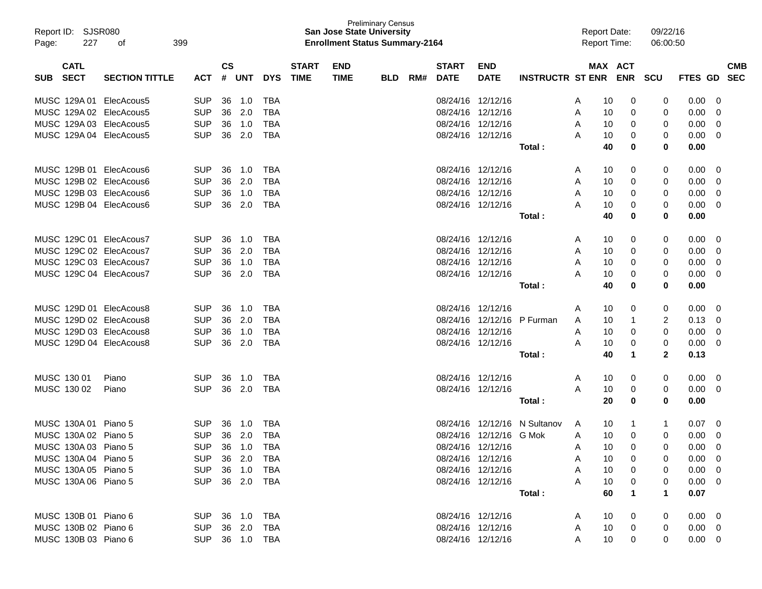| Report ID: SJSR080<br>Page: | 227 | 399<br>οf               |                |               |              |            |              | <b>San Jose State University</b><br><b>Enrollment Status Summary-2164</b> | <b>Preliminary Census</b> |     |              |                         |                              |   | <b>Report Date:</b><br><b>Report Time:</b> |            | 09/22/16<br>06:00:50 |                |            |
|-----------------------------|-----|-------------------------|----------------|---------------|--------------|------------|--------------|---------------------------------------------------------------------------|---------------------------|-----|--------------|-------------------------|------------------------------|---|--------------------------------------------|------------|----------------------|----------------|------------|
| <b>CATL</b>                 |     |                         |                | $\mathsf{cs}$ |              |            | <b>START</b> | <b>END</b>                                                                |                           |     | <b>START</b> | <b>END</b>              |                              |   |                                            | MAX ACT    |                      |                | <b>CMB</b> |
| <b>SECT</b><br><b>SUB</b>   |     | <b>SECTION TITTLE</b>   | <b>ACT</b>     | #             | <b>UNT</b>   | <b>DYS</b> | <b>TIME</b>  | <b>TIME</b>                                                               | <b>BLD</b>                | RM# | <b>DATE</b>  | <b>DATE</b>             | <b>INSTRUCTR ST ENR</b>      |   |                                            | <b>ENR</b> | <b>SCU</b>           | <b>FTES GD</b> | <b>SEC</b> |
|                             |     | MUSC 129A 01 ElecAcous5 | <b>SUP</b>     | 36            | 1.0          | <b>TBA</b> |              |                                                                           |                           |     |              | 08/24/16 12/12/16       |                              | A | 10                                         | 0          | 0                    | 0.00           | 0          |
|                             |     | MUSC 129A 02 ElecAcous5 | <b>SUP</b>     | 36            | 2.0          | TBA        |              |                                                                           |                           |     |              | 08/24/16 12/12/16       |                              | A | 10                                         | 0          | 0                    | 0.00           | 0          |
|                             |     | MUSC 129A 03 ElecAcous5 | <b>SUP</b>     | 36            | 1.0          | <b>TBA</b> |              |                                                                           |                           |     |              | 08/24/16 12/12/16       |                              | A | 10                                         | 0          | 0                    | 0.00           | 0          |
|                             |     | MUSC 129A 04 ElecAcous5 | <b>SUP</b>     | 36            | 2.0          | <b>TBA</b> |              |                                                                           |                           |     |              | 08/24/16 12/12/16       |                              | A | 10                                         | 0          | 0                    | 0.00           | 0          |
|                             |     |                         |                |               |              |            |              |                                                                           |                           |     |              |                         | Total:                       |   | 40                                         | 0          | 0                    | 0.00           |            |
|                             |     | MUSC 129B 01 ElecAcous6 | <b>SUP</b>     | 36            | 1.0          | <b>TBA</b> |              |                                                                           |                           |     |              | 08/24/16 12/12/16       |                              | A | 10                                         | 0          | 0                    | 0.00           | 0          |
|                             |     | MUSC 129B 02 ElecAcous6 | <b>SUP</b>     | 36            | 2.0          | <b>TBA</b> |              |                                                                           |                           |     |              | 08/24/16 12/12/16       |                              | A | 10                                         | 0          | 0                    | 0.00           | 0          |
|                             |     | MUSC 129B 03 ElecAcous6 | <b>SUP</b>     | 36            | 1.0          | <b>TBA</b> |              |                                                                           |                           |     |              | 08/24/16 12/12/16       |                              | A | 10                                         | 0          | 0                    | 0.00           | 0          |
|                             |     | MUSC 129B 04 ElecAcous6 | <b>SUP</b>     | 36            | 2.0          | <b>TBA</b> |              |                                                                           |                           |     |              | 08/24/16 12/12/16       |                              | A | 10                                         | 0          | 0                    | 0.00           | 0          |
|                             |     |                         |                |               |              |            |              |                                                                           |                           |     |              |                         | Total:                       |   | 40                                         | 0          | 0                    | 0.00           |            |
|                             |     | MUSC 129C 01 ElecAcous7 | SUP            | 36            | 1.0          | <b>TBA</b> |              |                                                                           |                           |     |              | 08/24/16 12/12/16       |                              | A | 10                                         | 0          | 0                    | 0.00           | 0          |
|                             |     | MUSC 129C 02 ElecAcous7 | <b>SUP</b>     | 36            | 2.0          | TBA        |              |                                                                           |                           |     |              | 08/24/16 12/12/16       |                              | A | 10                                         | 0          | 0                    | 0.00           | 0          |
|                             |     | MUSC 129C 03 ElecAcous7 | <b>SUP</b>     | 36            | 1.0          | TBA        |              |                                                                           |                           |     |              | 08/24/16 12/12/16       |                              | A | 10                                         | 0          | 0                    | 0.00           | 0          |
|                             |     | MUSC 129C 04 ElecAcous7 | <b>SUP</b>     | 36            | 2.0          | <b>TBA</b> |              |                                                                           |                           |     |              | 08/24/16 12/12/16       |                              | А | 10                                         | 0          | 0                    | 0.00           | 0          |
|                             |     |                         |                |               |              |            |              |                                                                           |                           |     |              |                         | Total:                       |   | 40                                         | 0          | 0                    | 0.00           |            |
|                             |     | MUSC 129D 01 ElecAcous8 | <b>SUP</b>     | 36            | 1.0          | <b>TBA</b> |              |                                                                           |                           |     |              | 08/24/16 12/12/16       |                              | A | 10                                         | 0          | 0                    | 0.00           | 0          |
|                             |     | MUSC 129D 02 ElecAcous8 | <b>SUP</b>     | 36            | 2.0          | <b>TBA</b> |              |                                                                           |                           |     |              | 08/24/16 12/12/16       | P Furman                     | A | 10                                         | -1         | 2                    | 0.13           | 0          |
|                             |     | MUSC 129D 03 ElecAcous8 | <b>SUP</b>     | 36            | 1.0          | <b>TBA</b> |              |                                                                           |                           |     |              | 08/24/16 12/12/16       |                              | A | 10                                         | 0          | 0                    | 0.00           | 0          |
|                             |     | MUSC 129D 04 ElecAcous8 | <b>SUP</b>     | 36            | 2.0          | <b>TBA</b> |              |                                                                           |                           |     |              | 08/24/16 12/12/16       |                              | A | 10                                         | 0          | 0                    | 0.00           | 0          |
|                             |     |                         |                |               |              |            |              |                                                                           |                           |     |              |                         | Total:                       |   | 40                                         | 1          | $\mathbf{2}$         | 0.13           |            |
| MUSC 130 01                 |     | Piano                   | <b>SUP</b>     | 36            | 1.0          | <b>TBA</b> |              |                                                                           |                           |     |              | 08/24/16 12/12/16       |                              | A | 10                                         | 0          | 0                    | 0.00           | 0          |
| MUSC 130 02                 |     | Piano                   | <b>SUP</b>     | 36            | 2.0          | TBA        |              |                                                                           |                           |     |              | 08/24/16 12/12/16       |                              | A | 10                                         | 0          | 0                    | 0.00           | 0          |
|                             |     |                         |                |               |              |            |              |                                                                           |                           |     |              |                         | Total:                       |   | 20                                         | 0          | 0                    | 0.00           |            |
| MUSC 130A 01 Piano 5        |     |                         | SUP            | 36            | 1.0          | TBA        |              |                                                                           |                           |     |              |                         | 08/24/16 12/12/16 N Sultanov | A | 10                                         | 1          | 1                    | 0.07           | 0          |
| MUSC 130A 02 Piano 5        |     |                         | <b>SUP</b>     | 36            | 2.0          | <b>TBA</b> |              |                                                                           |                           |     |              | 08/24/16 12/12/16 G Mok |                              | A | 10                                         | 0          | 0                    | 0.00           | 0          |
| MUSC 130A 03 Piano 5        |     |                         | <b>SUP</b>     |               | 36 1.0       | <b>TBA</b> |              |                                                                           |                           |     |              | 08/24/16 12/12/16       |                              | A | 10                                         | 0          | 0                    | 0.00           | $\Omega$   |
| MUSC 130A 04 Piano 5        |     |                         | SUP            |               |              |            |              |                                                                           |                           |     |              | 08/24/16 12/12/16       |                              | A | 10                                         | 0          | 0                    | $0.00 \quad 0$ |            |
| MUSC 130A 05 Piano 5        |     |                         | <b>SUP</b>     |               | 36 1.0       | TBA        |              |                                                                           |                           |     |              | 08/24/16 12/12/16       |                              | A | 10                                         | 0          | 0                    | $0.00 \t 0$    |            |
| MUSC 130A 06 Piano 5        |     |                         | <b>SUP</b>     |               | 36  2.0  TBA |            |              |                                                                           |                           |     |              | 08/24/16 12/12/16       |                              | A | 10                                         | 0          | $\Omega$             | $0.00 \t 0$    |            |
|                             |     |                         |                |               |              |            |              |                                                                           |                           |     |              |                         | Total:                       |   | 60                                         | 1          | 1                    | 0.07           |            |
| MUSC 130B 01 Piano 6        |     |                         | SUP 36 1.0 TBA |               |              |            |              |                                                                           |                           |     |              | 08/24/16 12/12/16       |                              | A | 10                                         | 0          | 0                    | $0.00 \quad 0$ |            |
| MUSC 130B 02 Piano 6        |     |                         | SUP            |               | 36 2.0 TBA   |            |              |                                                                           |                           |     |              | 08/24/16 12/12/16       |                              | A | 10                                         | 0          | 0                    | $0.00 \quad 0$ |            |
| MUSC 130B 03 Piano 6        |     |                         | SUP 36 1.0 TBA |               |              |            |              |                                                                           |                           |     |              | 08/24/16 12/12/16       |                              | A | 10                                         | 0          | 0                    | $0.00 \t 0$    |            |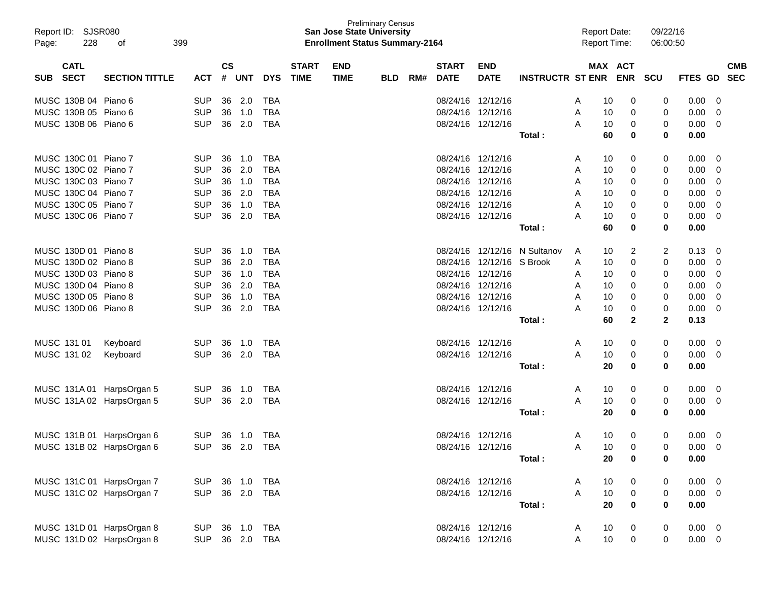| Page: | Report ID: SJSR080<br>228  | 399<br>of                 |            |               |            |            |                             | <b>San Jose State University</b><br><b>Enrollment Status Summary-2164</b> | <b>Preliminary Census</b> |     |                             |                           |                              |   | <b>Report Date:</b><br><b>Report Time:</b> |              | 09/22/16<br>06:00:50 |                   |                          |
|-------|----------------------------|---------------------------|------------|---------------|------------|------------|-----------------------------|---------------------------------------------------------------------------|---------------------------|-----|-----------------------------|---------------------------|------------------------------|---|--------------------------------------------|--------------|----------------------|-------------------|--------------------------|
| SUB   | <b>CATL</b><br><b>SECT</b> | <b>SECTION TITTLE</b>     | <b>ACT</b> | $\mathsf{cs}$ | # UNT      | <b>DYS</b> | <b>START</b><br><b>TIME</b> | <b>END</b><br><b>TIME</b>                                                 | <b>BLD</b>                | RM# | <b>START</b><br><b>DATE</b> | <b>END</b><br><b>DATE</b> | <b>INSTRUCTR ST ENR ENR</b>  |   |                                            | MAX ACT      | <b>SCU</b>           | FTES GD           | <b>CMB</b><br><b>SEC</b> |
|       |                            |                           |            |               |            |            |                             |                                                                           |                           |     |                             |                           |                              |   |                                            |              |                      |                   |                          |
|       | MUSC 130B 04 Piano 6       |                           | <b>SUP</b> | 36            | 2.0        | TBA        |                             |                                                                           |                           |     |                             | 08/24/16 12/12/16         |                              | A | 10                                         | 0            | 0                    | 0.00              | 0                        |
|       | MUSC 130B 05 Piano 6       |                           | <b>SUP</b> | 36            | 1.0        | <b>TBA</b> |                             |                                                                           |                           |     |                             | 08/24/16 12/12/16         |                              | Α | 10                                         | 0            | 0                    | 0.00              | 0                        |
|       | MUSC 130B 06 Piano 6       |                           | <b>SUP</b> | 36            | 2.0        | <b>TBA</b> |                             |                                                                           |                           |     |                             | 08/24/16 12/12/16         | Total :                      | A | 10<br>60                                   | 0<br>0       | 0<br>0               | 0.00<br>0.00      | $\mathbf 0$              |
|       |                            |                           |            |               |            |            |                             |                                                                           |                           |     |                             |                           |                              |   |                                            |              |                      |                   |                          |
|       | MUSC 130C 01 Piano 7       |                           | <b>SUP</b> | 36            | 1.0        | <b>TBA</b> |                             |                                                                           |                           |     |                             | 08/24/16 12/12/16         |                              | A | 10                                         | 0            | 0                    | 0.00              | 0                        |
|       | MUSC 130C 02 Piano 7       |                           | <b>SUP</b> | 36            | 2.0        | <b>TBA</b> |                             |                                                                           |                           |     |                             | 08/24/16 12/12/16         |                              | A | 10                                         | 0            | 0                    | 0.00              | 0                        |
|       | MUSC 130C 03 Piano 7       |                           | <b>SUP</b> | 36            | 1.0        | <b>TBA</b> |                             |                                                                           |                           |     |                             | 08/24/16 12/12/16         |                              | A | 10                                         | 0            | 0                    | 0.00              | 0                        |
|       | MUSC 130C 04 Piano 7       |                           | <b>SUP</b> | 36            | 2.0        | <b>TBA</b> |                             |                                                                           |                           |     |                             | 08/24/16 12/12/16         |                              | A | 10                                         | 0            | 0                    | 0.00              | 0                        |
|       | MUSC 130C 05 Piano 7       |                           | <b>SUP</b> | 36            | 1.0        | <b>TBA</b> |                             |                                                                           |                           |     |                             | 08/24/16 12/12/16         |                              | A | 10                                         | $\Omega$     | 0                    | 0.00              | 0                        |
|       | MUSC 130C 06 Piano 7       |                           | <b>SUP</b> | 36            | 2.0        | <b>TBA</b> |                             |                                                                           |                           |     |                             | 08/24/16 12/12/16         |                              | A | 10                                         | 0            | 0                    | 0.00              | 0                        |
|       |                            |                           |            |               |            |            |                             |                                                                           |                           |     |                             |                           | Total :                      |   | 60                                         | 0            | 0                    | 0.00              |                          |
|       | MUSC 130D 01 Piano 8       |                           | <b>SUP</b> | 36            | 1.0        | TBA        |                             |                                                                           |                           |     |                             |                           | 08/24/16 12/12/16 N Sultanov | A | 10                                         | 2            | 2                    | 0.13              | 0                        |
|       | MUSC 130D 02 Piano 8       |                           | <b>SUP</b> | 36            | 2.0        | <b>TBA</b> |                             |                                                                           |                           |     |                             | 08/24/16 12/12/16 S Brook |                              | A | 10                                         | 0            | 0                    | 0.00              | 0                        |
|       | MUSC 130D 03 Piano 8       |                           | <b>SUP</b> | 36            | 1.0        | <b>TBA</b> |                             |                                                                           |                           |     |                             | 08/24/16 12/12/16         |                              | A | 10                                         | 0            | 0                    | 0.00              | 0                        |
|       | MUSC 130D 04 Piano 8       |                           | <b>SUP</b> | 36            | 2.0        | <b>TBA</b> |                             |                                                                           |                           |     |                             | 08/24/16 12/12/16         |                              | A | 10                                         | 0            | 0                    | 0.00              | 0                        |
|       | MUSC 130D 05 Piano 8       |                           | <b>SUP</b> | 36            | 1.0        | <b>TBA</b> |                             |                                                                           |                           |     |                             | 08/24/16 12/12/16         |                              | A | 10                                         | $\Omega$     | 0                    | 0.00              | 0                        |
|       | MUSC 130D 06 Piano 8       |                           | <b>SUP</b> | 36            | 2.0        | <b>TBA</b> |                             |                                                                           |                           |     |                             | 08/24/16 12/12/16         |                              | A | 10                                         | 0            | 0                    | 0.00              | 0                        |
|       |                            |                           |            |               |            |            |                             |                                                                           |                           |     |                             |                           | Total :                      |   | 60                                         | $\mathbf{2}$ | $\mathbf{2}$         | 0.13              |                          |
|       | MUSC 131 01                | Keyboard                  | <b>SUP</b> | 36            | 1.0        | <b>TBA</b> |                             |                                                                           |                           |     |                             | 08/24/16 12/12/16         |                              | A | 10                                         | 0            | 0                    | 0.00              | 0                        |
|       | MUSC 131 02                | Keyboard                  | <b>SUP</b> | 36            | 2.0        | <b>TBA</b> |                             |                                                                           |                           |     |                             | 08/24/16 12/12/16         |                              | A | 10                                         | 0            | 0                    | 0.00              | $\overline{0}$           |
|       |                            |                           |            |               |            |            |                             |                                                                           |                           |     |                             |                           | Total:                       |   | 20                                         | 0            | 0                    | 0.00              |                          |
|       |                            | MUSC 131A 01 HarpsOrgan 5 | <b>SUP</b> | 36            | 1.0        | <b>TBA</b> |                             |                                                                           |                           |     |                             | 08/24/16 12/12/16         |                              | A | 10                                         | 0            | 0                    | 0.00              | 0                        |
|       |                            | MUSC 131A 02 HarpsOrgan 5 | <b>SUP</b> | 36            | 2.0        | <b>TBA</b> |                             |                                                                           |                           |     |                             | 08/24/16 12/12/16         |                              | A | 10                                         | 0            | 0                    | 0.00              | 0                        |
|       |                            |                           |            |               |            |            |                             |                                                                           |                           |     |                             |                           | Total:                       |   | 20                                         | 0            | 0                    | 0.00              |                          |
|       |                            |                           |            |               |            |            |                             |                                                                           |                           |     |                             |                           |                              |   |                                            |              |                      |                   |                          |
|       |                            | MUSC 131B 01 HarpsOrgan 6 | <b>SUP</b> | 36            | 1.0        | <b>TBA</b> |                             |                                                                           |                           |     |                             | 08/24/16 12/12/16         |                              | A | 10                                         | 0            | 0                    | 0.00              | 0                        |
|       |                            | MUSC 131B 02 HarpsOrgan 6 | <b>SUP</b> |               | 36 2.0     | TBA        |                             |                                                                           |                           |     |                             | 08/24/16 12/12/16         |                              | A | 10                                         | $\Omega$     | 0                    | 0.00 <sub>1</sub> | $\Omega$                 |
|       |                            |                           |            |               |            |            |                             |                                                                           |                           |     |                             |                           | Total:                       |   | 20                                         | 0            | 0                    | 0.00              |                          |
|       |                            | MUSC 131C 01 HarpsOrgan 7 | SUP        |               | 36 1.0     | TBA        |                             |                                                                           |                           |     |                             | 08/24/16 12/12/16         |                              | A | 10                                         | 0            | 0                    | $0.00 \t 0$       |                          |
|       |                            | MUSC 131C 02 HarpsOrgan 7 | <b>SUP</b> |               | 36 2.0 TBA |            |                             |                                                                           |                           |     |                             | 08/24/16 12/12/16         |                              | A | 10                                         | 0            | 0                    | $0.00 \t 0$       |                          |
|       |                            |                           |            |               |            |            |                             |                                                                           |                           |     |                             |                           | Total:                       |   | 20                                         | $\mathbf 0$  | $\mathbf 0$          | 0.00              |                          |
|       |                            | MUSC 131D 01 HarpsOrgan 8 | <b>SUP</b> |               | 36 1.0     | TBA        |                             |                                                                           |                           |     |                             | 08/24/16 12/12/16         |                              | A | 10                                         | 0            | 0                    | $0.00 \quad 0$    |                          |
|       |                            | MUSC 131D 02 HarpsOrgan 8 | <b>SUP</b> |               | 36 2.0 TBA |            |                             |                                                                           |                           |     |                             | 08/24/16 12/12/16         |                              | A | 10                                         | 0            | 0                    | $0.00 \t 0$       |                          |
|       |                            |                           |            |               |            |            |                             |                                                                           |                           |     |                             |                           |                              |   |                                            |              |                      |                   |                          |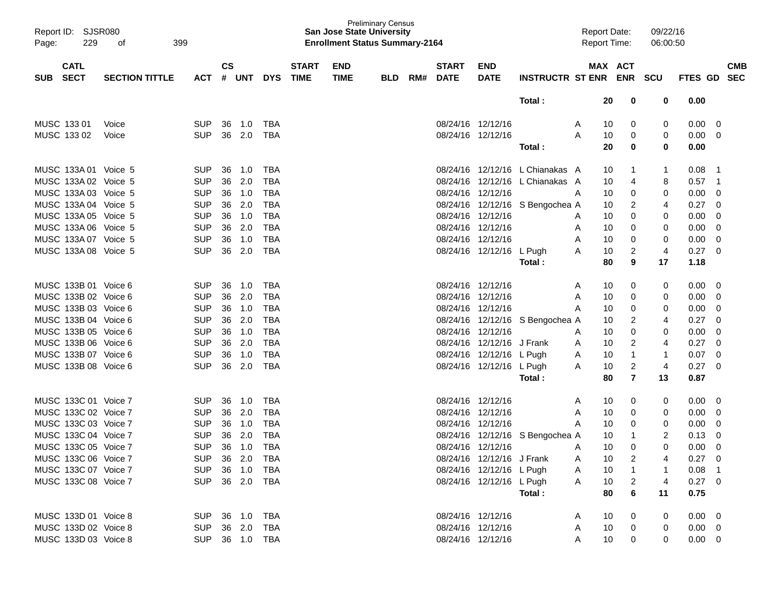| Report ID: SJSR080                       |                       |                |               |       |            |                             |                           | <b>Preliminary Census</b><br><b>San Jose State University</b> |     |                             |                           |                                 | <b>Report Date:</b> |         |                | 09/22/16 |                 |                          |
|------------------------------------------|-----------------------|----------------|---------------|-------|------------|-----------------------------|---------------------------|---------------------------------------------------------------|-----|-----------------------------|---------------------------|---------------------------------|---------------------|---------|----------------|----------|-----------------|--------------------------|
| 229<br>Page:                             | 399<br>οf             |                |               |       |            |                             |                           | <b>Enrollment Status Summary-2164</b>                         |     |                             |                           |                                 | <b>Report Time:</b> |         |                | 06:00:50 |                 |                          |
| <b>CATL</b><br><b>SECT</b><br><b>SUB</b> | <b>SECTION TITTLE</b> | <b>ACT</b>     | $\mathsf{cs}$ | # UNT | <b>DYS</b> | <b>START</b><br><b>TIME</b> | <b>END</b><br><b>TIME</b> | <b>BLD</b>                                                    | RM# | <b>START</b><br><b>DATE</b> | <b>END</b><br><b>DATE</b> | INSTRUCTR ST ENR ENR SCU        |                     | MAX ACT |                |          | FTES GD         | <b>CMB</b><br><b>SEC</b> |
|                                          |                       |                |               |       |            |                             |                           |                                                               |     |                             |                           | Total:                          |                     | 20      | 0              | 0        | 0.00            |                          |
| MUSC 133 01                              | Voice                 | <b>SUP</b>     | 36            | 1.0   | TBA        |                             |                           |                                                               |     | 08/24/16 12/12/16           |                           |                                 | A                   | 10      | 0              | 0        | 0.00            | $\overline{\mathbf{0}}$  |
| MUSC 133 02                              | Voice                 | <b>SUP</b>     | 36            | 2.0   | <b>TBA</b> |                             |                           |                                                               |     |                             | 08/24/16 12/12/16         |                                 | A                   | 10      | 0              | 0        | 0.00            | $\overline{0}$           |
|                                          |                       |                |               |       |            |                             |                           |                                                               |     |                             |                           | Total:                          |                     | 20      | 0              | 0        | 0.00            |                          |
| MUSC 133A 01 Voice 5                     |                       | <b>SUP</b>     | 36            | 1.0   | TBA        |                             |                           |                                                               |     |                             |                           | 08/24/16 12/12/16 L Chianakas A |                     | 10      | 1              |          | 0.08            | $\overline{1}$           |
| MUSC 133A 02 Voice 5                     |                       | <b>SUP</b>     | 36            | 2.0   | <b>TBA</b> |                             |                           |                                                               |     |                             |                           | 08/24/16 12/12/16 L Chianakas A |                     | 10      | 4              | 8        | 0.57            | $\overline{1}$           |
| MUSC 133A 03 Voice 5                     |                       | <b>SUP</b>     | 36            | 1.0   | <b>TBA</b> |                             |                           |                                                               |     | 08/24/16 12/12/16           |                           |                                 | A                   | 10      | 0              | 0        | 0.00            | 0                        |
| MUSC 133A 04 Voice 5                     |                       | <b>SUP</b>     | 36            | 2.0   | <b>TBA</b> |                             |                           |                                                               |     |                             |                           | 08/24/16 12/12/16 S Bengochea A |                     | 10      | 2              | 4        | 0.27            | 0                        |
| MUSC 133A 05 Voice 5                     |                       | <b>SUP</b>     | 36            | 1.0   | <b>TBA</b> |                             |                           |                                                               |     | 08/24/16 12/12/16           |                           |                                 | A                   | 10      | 0              | 0        | 0.00            | 0                        |
| MUSC 133A 06 Voice 5                     |                       | <b>SUP</b>     | 36            | 2.0   | <b>TBA</b> |                             |                           |                                                               |     |                             | 08/24/16 12/12/16         |                                 | A                   | 10      | 0              | 0        | 0.00            | 0                        |
| MUSC 133A 07 Voice 5                     |                       | <b>SUP</b>     | 36            | 1.0   | <b>TBA</b> |                             |                           |                                                               |     | 08/24/16 12/12/16           |                           |                                 | A                   | 10      | 0              | 0        | 0.00            | $\mathbf 0$              |
| MUSC 133A 08 Voice 5                     |                       | <b>SUP</b>     | 36            | 2.0   | <b>TBA</b> |                             |                           |                                                               |     |                             | 08/24/16 12/12/16 L Pugh  |                                 | A                   | 10      | 2              | 4        | 0.27            | $\overline{0}$           |
|                                          |                       |                |               |       |            |                             |                           |                                                               |     |                             |                           | Total:                          |                     | 80      | 9              | 17       | 1.18            |                          |
| MUSC 133B 01 Voice 6                     |                       | <b>SUP</b>     | 36            | 1.0   | TBA        |                             |                           |                                                               |     | 08/24/16 12/12/16           |                           |                                 | A                   | 10      | 0              | 0        | 0.00            | $\overline{\mathbf{0}}$  |
| MUSC 133B 02 Voice 6                     |                       | <b>SUP</b>     | 36            | 2.0   | <b>TBA</b> |                             |                           |                                                               |     | 08/24/16 12/12/16           |                           |                                 | A                   | 10      | 0              | 0        | 0.00            | $\mathbf 0$              |
| MUSC 133B 03 Voice 6                     |                       | <b>SUP</b>     | 36            | 1.0   | <b>TBA</b> |                             |                           |                                                               |     | 08/24/16 12/12/16           |                           |                                 | Α                   | 10      | 0              | 0        | 0.00            | 0                        |
| MUSC 133B 04 Voice 6                     |                       | <b>SUP</b>     | 36            | 2.0   | <b>TBA</b> |                             |                           |                                                               |     |                             |                           | 08/24/16 12/12/16 S Bengochea A |                     | 10      | 2              | 4        | 0.27            | 0                        |
| MUSC 133B 05 Voice 6                     |                       | <b>SUP</b>     | 36            | 1.0   | <b>TBA</b> |                             |                           |                                                               |     | 08/24/16 12/12/16           |                           |                                 | A                   | 10      | 0              | 0        | 0.00            | 0                        |
| MUSC 133B 06 Voice 6                     |                       | <b>SUP</b>     | 36            | 2.0   | <b>TBA</b> |                             |                           |                                                               |     |                             | 08/24/16 12/12/16 J Frank |                                 | A                   | 10      | 2              | 4        | 0.27            | 0                        |
| MUSC 133B 07 Voice 6                     |                       | <b>SUP</b>     | 36            | 1.0   | <b>TBA</b> |                             |                           |                                                               |     |                             | 08/24/16 12/12/16 L Pugh  |                                 | A                   | 10      | 1              | 1        | 0.07            | 0                        |
| MUSC 133B 08 Voice 6                     |                       | <b>SUP</b>     | 36            | 2.0   | <b>TBA</b> |                             |                           |                                                               |     |                             | 08/24/16 12/12/16 L Pugh  |                                 | A                   | 10      | 2              | 4        | 0.27            | $\overline{0}$           |
|                                          |                       |                |               |       |            |                             |                           |                                                               |     |                             |                           | Total:                          |                     | 80      | $\overline{7}$ | 13       | 0.87            |                          |
| MUSC 133C 01 Voice 7                     |                       | <b>SUP</b>     | 36            | 1.0   | TBA        |                             |                           |                                                               |     | 08/24/16 12/12/16           |                           |                                 | A                   | 10      | 0              | 0        | 0.00            | $\overline{0}$           |
| MUSC 133C 02 Voice 7                     |                       | <b>SUP</b>     | 36            | 2.0   | TBA        |                             |                           |                                                               |     | 08/24/16 12/12/16           |                           |                                 | Α                   | 10      | 0              | 0        | 0.00            | $\overline{0}$           |
| MUSC 133C 03 Voice 7                     |                       | <b>SUP</b>     | 36            | 1.0   | <b>TBA</b> |                             |                           |                                                               |     | 08/24/16 12/12/16           |                           |                                 | A                   | 10      | 0              | 0        | 0.00            | 0                        |
| MUSC 133C 04 Voice 7                     |                       | <b>SUP</b>     | 36            | 2.0   | <b>TBA</b> |                             |                           |                                                               |     |                             |                           | 08/24/16 12/12/16 S Bengochea A |                     | 10      | 1              | 2        | 0.13            | 0                        |
| MUSC 133C 05 Voice 7                     |                       | <b>SUP</b>     | 36            | 1.0   | <b>TBA</b> |                             |                           |                                                               |     | 08/24/16 12/12/16           |                           |                                 | A                   | 10      | 0              | 0        | 0.00            | 0                        |
| MUSC 133C 06 Voice 7                     |                       | SUP 36 2.0 TBA |               |       |            |                             |                           |                                                               |     |                             | 08/24/16 12/12/16 J Frank |                                 | A                   | 10      | 2              |          | $0.27 \quad 0$  |                          |
| MUSC 133C 07 Voice 7                     |                       | SUP 36 1.0     |               |       | TBA        |                             |                           |                                                               |     |                             | 08/24/16 12/12/16 L Pugh  |                                 | A                   | 10      |                |          | $0.08$ 1        |                          |
| MUSC 133C 08 Voice 7                     |                       | SUP 36 2.0 TBA |               |       |            |                             |                           |                                                               |     |                             | 08/24/16 12/12/16 L Pugh  |                                 | A                   | 10      | 2              | 4        | $0.27 \ 0$      |                          |
|                                          |                       |                |               |       |            |                             |                           |                                                               |     |                             |                           | Total:                          |                     | 80      | 6              | 11       | 0.75            |                          |
| MUSC 133D 01 Voice 8                     |                       | SUP 36 1.0 TBA |               |       |            |                             |                           |                                                               |     |                             | 08/24/16 12/12/16         |                                 | A                   | 10      | 0              | 0        | $0.00 \quad 0$  |                          |
| MUSC 133D 02 Voice 8                     |                       | SUP 36 2.0 TBA |               |       |            |                             |                           |                                                               |     |                             | 08/24/16 12/12/16         |                                 | A                   | 10      | 0              | 0        | $0.00 \quad 0$  |                          |
| MUSC 133D 03 Voice 8                     |                       | SUP 36 1.0 TBA |               |       |            |                             |                           |                                                               |     |                             | 08/24/16 12/12/16         |                                 | A                   | 10      | 0              | 0        | $0.00\quad$ $0$ |                          |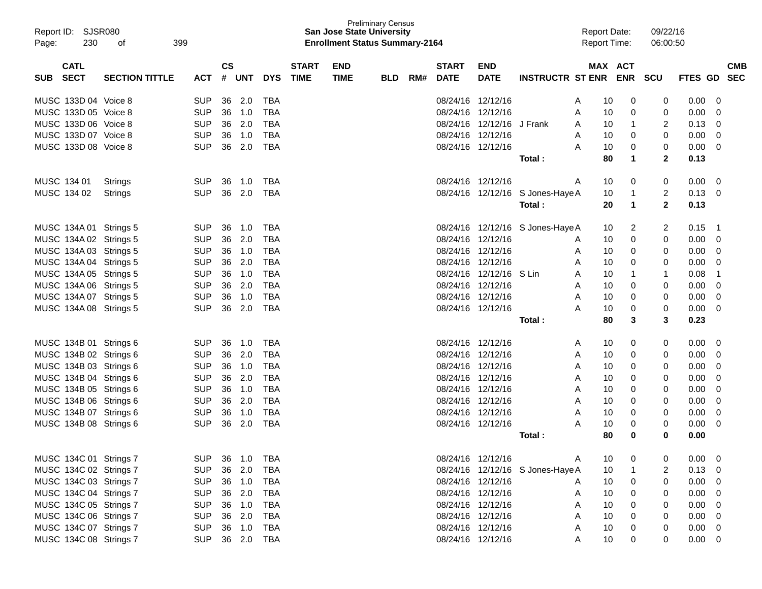| Report ID: SJSR080<br>230<br>Page: | 399<br>οf             |            |               |        |            |              | <b>San Jose State University</b><br><b>Enrollment Status Summary-2164</b> | <b>Preliminary Census</b> |     |              |                           |                                  | <b>Report Date:</b><br><b>Report Time:</b> |                      | 09/22/16<br>06:00:50 |                |            |
|------------------------------------|-----------------------|------------|---------------|--------|------------|--------------|---------------------------------------------------------------------------|---------------------------|-----|--------------|---------------------------|----------------------------------|--------------------------------------------|----------------------|----------------------|----------------|------------|
| <b>CATL</b>                        |                       |            | $\mathsf{cs}$ |        |            | <b>START</b> | <b>END</b>                                                                |                           |     | <b>START</b> | <b>END</b>                |                                  |                                            | MAX ACT              |                      |                | <b>CMB</b> |
| <b>SECT</b><br><b>SUB</b>          | <b>SECTION TITTLE</b> | <b>ACT</b> |               | # UNT  | <b>DYS</b> | <b>TIME</b>  | <b>TIME</b>                                                               | <b>BLD</b>                | RM# | <b>DATE</b>  | <b>DATE</b>               | <b>INSTRUCTR ST ENR ENR</b>      |                                            |                      | <b>SCU</b>           | <b>FTES GD</b> | <b>SEC</b> |
| MUSC 133D 04 Voice 8               |                       | <b>SUP</b> | 36            | 2.0    | TBA        |              |                                                                           |                           |     |              | 08/24/16 12/12/16         |                                  | 10<br>A                                    | 0                    | 0                    | 0.00           | 0          |
| MUSC 133D 05 Voice 8               |                       | <b>SUP</b> | 36            | 1.0    | <b>TBA</b> |              |                                                                           |                           |     |              | 08/24/16 12/12/16         |                                  | 10<br>A                                    | 0                    | 0                    | 0.00           | 0          |
| MUSC 133D 06 Voice 8               |                       | <b>SUP</b> | 36            | 2.0    | <b>TBA</b> |              |                                                                           |                           |     |              | 08/24/16 12/12/16 J Frank |                                  | 10<br>A                                    | 1                    | 2                    | 0.13           | 0          |
| MUSC 133D 07 Voice 8               |                       | <b>SUP</b> | 36            | 1.0    | <b>TBA</b> |              |                                                                           |                           |     |              | 08/24/16 12/12/16         |                                  | 10<br>A                                    | 0                    | 0                    | 0.00           | 0          |
| MUSC 133D 08 Voice 8               |                       | <b>SUP</b> | 36            | 2.0    | <b>TBA</b> |              |                                                                           |                           |     |              | 08/24/16 12/12/16         |                                  | A<br>10                                    | 0                    | 0                    | 0.00           | 0          |
|                                    |                       |            |               |        |            |              |                                                                           |                           |     |              |                           | Total:                           | 80                                         | 1                    | $\mathbf{2}$         | 0.13           |            |
| MUSC 134 01                        | Strings               | <b>SUP</b> | 36            | 1.0    | TBA        |              |                                                                           |                           |     |              | 08/24/16 12/12/16         |                                  | 10<br>A                                    | 0                    | 0                    | 0.00           | 0          |
| MUSC 134 02                        | Strings               | <b>SUP</b> | 36            | 2.0    | TBA        |              |                                                                           |                           |     |              |                           | 08/24/16 12/12/16 S Jones-Haye A | 10                                         | 1                    | 2                    | 0.13           | 0          |
|                                    |                       |            |               |        |            |              |                                                                           |                           |     |              |                           | Total :                          | 20                                         | $\blacktriangleleft$ | $\mathbf{2}$         | 0.13           |            |
| MUSC 134A 01 Strings 5             |                       | <b>SUP</b> | 36            | 1.0    | TBA        |              |                                                                           |                           |     |              |                           | 08/24/16 12/12/16 S Jones-Haye A | 10                                         | 2                    | 2                    | 0.15           | -1         |
| MUSC 134A 02 Strings 5             |                       | <b>SUP</b> | 36            | 2.0    | <b>TBA</b> |              |                                                                           |                           |     |              | 08/24/16 12/12/16         |                                  | 10<br>A                                    | 0                    | 0                    | 0.00           | 0          |
| MUSC 134A 03 Strings 5             |                       | <b>SUP</b> | 36            | 1.0    | <b>TBA</b> |              |                                                                           |                           |     |              | 08/24/16 12/12/16         |                                  | 10<br>A                                    | 0                    | 0                    | 0.00           | 0          |
| MUSC 134A 04 Strings 5             |                       | <b>SUP</b> | 36            | 2.0    | <b>TBA</b> |              |                                                                           |                           |     |              | 08/24/16 12/12/16         |                                  | 10<br>A                                    | 0                    | 0                    | 0.00           | 0          |
| MUSC 134A 05 Strings 5             |                       | <b>SUP</b> | 36            | 1.0    | <b>TBA</b> |              |                                                                           |                           |     |              | 08/24/16 12/12/16 S Lin   |                                  | 10<br>A                                    | 1                    | 1                    | 0.08           | -1         |
| MUSC 134A 06 Strings 5             |                       | <b>SUP</b> | 36            | 2.0    | <b>TBA</b> |              |                                                                           |                           |     |              | 08/24/16 12/12/16         |                                  | 10<br>A                                    | 0                    | 0                    | 0.00           | 0          |
| MUSC 134A 07 Strings 5             |                       | <b>SUP</b> | 36            | 1.0    | <b>TBA</b> |              |                                                                           |                           |     |              | 08/24/16 12/12/16         |                                  | Α<br>10                                    | 0                    | 0                    | 0.00           | 0          |
| MUSC 134A 08 Strings 5             |                       | <b>SUP</b> | 36            | 2.0    | <b>TBA</b> |              |                                                                           |                           |     |              | 08/24/16 12/12/16         |                                  | A<br>10                                    | 0                    | 0                    | 0.00           | 0          |
|                                    |                       |            |               |        |            |              |                                                                           |                           |     |              |                           | Total:                           | 80                                         | 3                    | 3                    | 0.23           |            |
| MUSC 134B 01 Strings 6             |                       | <b>SUP</b> | 36            | 1.0    | TBA        |              |                                                                           |                           |     |              | 08/24/16 12/12/16         |                                  | 10<br>A                                    | 0                    | 0                    | 0.00           | 0          |
| MUSC 134B 02 Strings 6             |                       | <b>SUP</b> | 36            | 2.0    | <b>TBA</b> |              |                                                                           |                           |     |              | 08/24/16 12/12/16         |                                  | 10<br>A                                    | 0                    | 0                    | 0.00           | 0          |
| MUSC 134B 03 Strings 6             |                       | <b>SUP</b> | 36            | 1.0    | <b>TBA</b> |              |                                                                           |                           |     |              | 08/24/16 12/12/16         |                                  | 10<br>A                                    | 0                    | 0                    | 0.00           | 0          |
| MUSC 134B 04 Strings 6             |                       | <b>SUP</b> | 36            | 2.0    | <b>TBA</b> |              |                                                                           |                           |     |              | 08/24/16 12/12/16         |                                  | 10<br>A                                    | 0                    | 0                    | 0.00           | 0          |
| MUSC 134B 05 Strings 6             |                       | <b>SUP</b> | 36            | 1.0    | <b>TBA</b> |              |                                                                           |                           |     |              | 08/24/16 12/12/16         |                                  | 10<br>A                                    | 0                    | 0                    | 0.00           | 0          |
| MUSC 134B 06 Strings 6             |                       | <b>SUP</b> | 36            | 2.0    | <b>TBA</b> |              |                                                                           |                           |     |              | 08/24/16 12/12/16         |                                  | 10<br>A                                    | 0                    | 0                    | 0.00           | 0          |
| MUSC 134B 07 Strings 6             |                       | <b>SUP</b> | 36            | 1.0    | <b>TBA</b> |              |                                                                           |                           |     |              | 08/24/16 12/12/16         |                                  | 10<br>Α                                    | 0                    | 0                    | 0.00           | 0          |
| MUSC 134B 08 Strings 6             |                       | <b>SUP</b> | 36            | 2.0    | <b>TBA</b> |              |                                                                           |                           |     |              | 08/24/16 12/12/16         |                                  | 10<br>A                                    | 0                    | 0                    | 0.00           | 0          |
|                                    |                       |            |               |        |            |              |                                                                           |                           |     |              |                           | Total :                          | 80                                         | 0                    | 0                    | 0.00           |            |
| MUSC 134C 01 Strings 7             |                       | <b>SUP</b> |               | 36 1.0 | TBA        |              |                                                                           |                           |     |              | 08/24/16 12/12/16         |                                  | 10<br>A                                    | 0                    |                      | 0.00           | 0          |
| MUSC 134C 02 Strings 7             |                       | <b>SUP</b> |               | 36 2.0 | <b>TBA</b> |              |                                                                           |                           |     |              |                           | 08/24/16 12/12/16 S Jones-Haye A | 10                                         | 1                    |                      | 0.13           | 0          |
| MUSC 134C 03 Strings 7             |                       | <b>SUP</b> |               | 36 1.0 | <b>TBA</b> |              |                                                                           |                           |     |              | 08/24/16 12/12/16         |                                  | 10<br>A                                    | 0                    | 0                    | 0.00           | 0          |
| MUSC 134C 04 Strings 7             |                       | <b>SUP</b> |               | 36 2.0 | <b>TBA</b> |              |                                                                           |                           |     |              | 08/24/16 12/12/16         |                                  | 10<br>A                                    | 0                    | 0                    | 0.00           | 0          |
| MUSC 134C 05 Strings 7             |                       | <b>SUP</b> |               | 36 1.0 | <b>TBA</b> |              |                                                                           |                           |     |              | 08/24/16 12/12/16         |                                  | 10<br>Α                                    | 0                    | 0                    | 0.00           | 0          |
| MUSC 134C 06 Strings 7             |                       | <b>SUP</b> |               | 36 2.0 | <b>TBA</b> |              |                                                                           |                           |     |              | 08/24/16 12/12/16         |                                  | 10<br>Α                                    | 0                    | 0                    | 0.00           | 0          |
| MUSC 134C 07 Strings 7             |                       | <b>SUP</b> |               | 36 1.0 | <b>TBA</b> |              |                                                                           |                           |     |              | 08/24/16 12/12/16         |                                  | 10<br>Α                                    | 0                    | 0                    | 0.00           | 0          |
| MUSC 134C 08 Strings 7             |                       | <b>SUP</b> |               |        | 36 2.0 TBA |              |                                                                           |                           |     |              | 08/24/16 12/12/16         |                                  | 10<br>A                                    | 0                    | 0                    | $0.00 \t 0$    |            |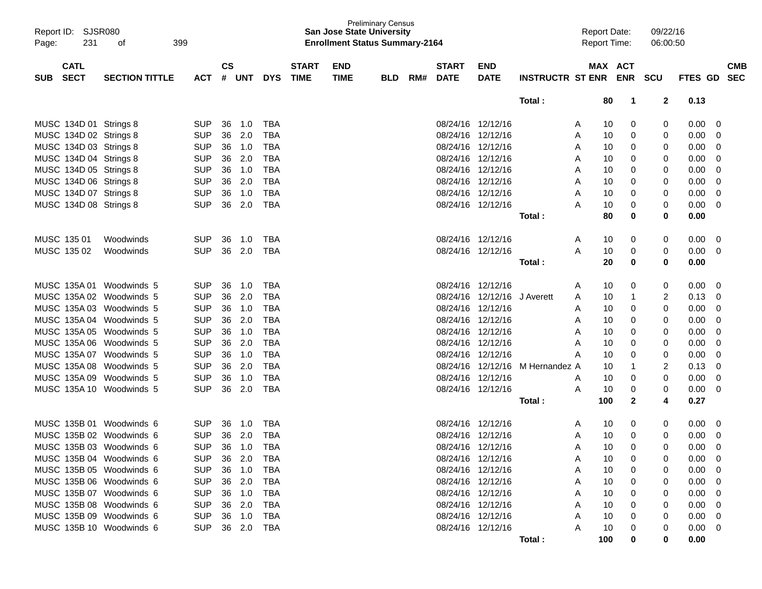|       | Report ID: SJSR080     |                          |            |               |            |            |              |             | <b>Preliminary Census</b><br><b>San Jose State University</b> |     |                   |                   |                          |     | <b>Report Date:</b> | 09/22/16     |                |                |
|-------|------------------------|--------------------------|------------|---------------|------------|------------|--------------|-------------|---------------------------------------------------------------|-----|-------------------|-------------------|--------------------------|-----|---------------------|--------------|----------------|----------------|
| Page: | 231                    | 399<br>οf                |            |               |            |            |              |             | <b>Enrollment Status Summary-2164</b>                         |     |                   |                   |                          |     | <b>Report Time:</b> | 06:00:50     |                |                |
|       |                        |                          |            |               |            |            |              |             |                                                               |     |                   |                   |                          |     |                     |              |                |                |
|       | <b>CATL</b>            |                          |            | $\mathsf{cs}$ |            |            | <b>START</b> | <b>END</b>  |                                                               |     | <b>START</b>      | <b>END</b>        |                          |     | MAX ACT             |              |                | <b>CMB</b>     |
| SUB   | <b>SECT</b>            | <b>SECTION TITTLE</b>    | <b>ACT</b> |               | # UNT      | <b>DYS</b> | <b>TIME</b>  | <b>TIME</b> | <b>BLD</b>                                                    | RM# | <b>DATE</b>       | <b>DATE</b>       | INSTRUCTR ST ENR ENR SCU |     |                     |              | FTES GD        | <b>SEC</b>     |
|       |                        |                          |            |               |            |            |              |             |                                                               |     |                   |                   |                          |     |                     |              |                |                |
|       |                        |                          |            |               |            |            |              |             |                                                               |     |                   |                   | Total:                   |     | 80<br>1             | $\mathbf{2}$ | 0.13           |                |
|       |                        |                          |            |               |            |            |              |             |                                                               |     |                   |                   |                          |     |                     |              |                |                |
|       | MUSC 134D 01 Strings 8 |                          | <b>SUP</b> | 36            | 1.0        | TBA        |              |             |                                                               |     | 08/24/16 12/12/16 |                   |                          | A   | 10<br>0             | 0            | 0.00           | $\overline{0}$ |
|       | MUSC 134D 02 Strings 8 |                          | <b>SUP</b> | 36            | 2.0        | <b>TBA</b> |              |             |                                                               |     | 08/24/16 12/12/16 |                   |                          | A   | 10<br>0             | 0            | 0.00           | 0              |
|       | MUSC 134D 03 Strings 8 |                          | <b>SUP</b> | 36            | 1.0        | <b>TBA</b> |              |             |                                                               |     |                   | 08/24/16 12/12/16 |                          | A   | 10<br>0             | 0            | 0.00           | 0              |
|       | MUSC 134D 04 Strings 8 |                          | <b>SUP</b> | 36            | 2.0        | <b>TBA</b> |              |             |                                                               |     |                   | 08/24/16 12/12/16 |                          | A   | 10<br>0             | 0            | 0.00           | 0              |
|       | MUSC 134D 05 Strings 8 |                          | <b>SUP</b> | 36            | 1.0        | <b>TBA</b> |              |             |                                                               |     |                   | 08/24/16 12/12/16 |                          | A   | 10<br>0             | 0            | 0.00           | 0              |
|       | MUSC 134D 06 Strings 8 |                          | <b>SUP</b> | 36            | 2.0        | <b>TBA</b> |              |             |                                                               |     |                   | 08/24/16 12/12/16 |                          | A   | 10<br>0             | 0            | 0.00           | 0              |
|       | MUSC 134D 07 Strings 8 |                          | <b>SUP</b> | 36            | 1.0        | <b>TBA</b> |              |             |                                                               |     | 08/24/16 12/12/16 |                   |                          | Α   | 10<br>0             | 0            | 0.00           | 0              |
|       | MUSC 134D 08 Strings 8 |                          | <b>SUP</b> | 36            | 2.0        | <b>TBA</b> |              |             |                                                               |     | 08/24/16 12/12/16 |                   |                          | А   | 0<br>10             | 0            | 0.00           | 0              |
|       |                        |                          |            |               |            |            |              |             |                                                               |     |                   |                   | Total:                   |     | 80<br>0             | 0            | 0.00           |                |
|       | MUSC 135 01            | Woodwinds                | <b>SUP</b> | 36            | 1.0        | TBA        |              |             |                                                               |     | 08/24/16 12/12/16 |                   |                          |     |                     |              |                |                |
|       |                        |                          |            |               |            |            |              |             |                                                               |     |                   |                   |                          | A   | 0<br>10             | 0            | 0.00           | $\overline{0}$ |
|       | MUSC 135 02            | Woodwinds                | <b>SUP</b> | 36            | 2.0        | <b>TBA</b> |              |             |                                                               |     | 08/24/16 12/12/16 |                   | Total:                   | Α   | 0<br>10<br>20<br>0  | 0<br>0       | 0.00<br>0.00   | 0              |
|       |                        |                          |            |               |            |            |              |             |                                                               |     |                   |                   |                          |     |                     |              |                |                |
|       |                        | MUSC 135A 01 Woodwinds 5 | <b>SUP</b> | 36            | 1.0        | TBA        |              |             |                                                               |     | 08/24/16 12/12/16 |                   |                          | A   | 10<br>0             | 0            | 0.00           | 0              |
|       |                        | MUSC 135A 02 Woodwinds 5 | <b>SUP</b> | 36            | 2.0        | <b>TBA</b> |              |             |                                                               |     |                   | 08/24/16 12/12/16 | J Averett                | A   | 10<br>1             | 2            | 0.13           | 0              |
|       |                        | MUSC 135A 03 Woodwinds 5 | <b>SUP</b> | 36            | 1.0        | <b>TBA</b> |              |             |                                                               |     |                   | 08/24/16 12/12/16 |                          | A   | 10<br>0             | 0            | 0.00           | 0              |
|       |                        | MUSC 135A 04 Woodwinds 5 | <b>SUP</b> | 36            | 2.0        | <b>TBA</b> |              |             |                                                               |     |                   | 08/24/16 12/12/16 |                          | A   | 10<br>0             | 0            | 0.00           | 0              |
|       |                        | MUSC 135A 05 Woodwinds 5 | <b>SUP</b> | 36            | 1.0        | <b>TBA</b> |              |             |                                                               |     |                   | 08/24/16 12/12/16 |                          | A   | 10<br>0             | 0            | 0.00           | 0              |
|       |                        | MUSC 135A 06 Woodwinds 5 | <b>SUP</b> | 36            | 2.0        | <b>TBA</b> |              |             |                                                               |     | 08/24/16 12/12/16 |                   |                          | Α   | 10<br>0             | 0            | 0.00           | 0              |
|       |                        | MUSC 135A 07 Woodwinds 5 | <b>SUP</b> | 36            | 1.0        | <b>TBA</b> |              |             |                                                               |     | 08/24/16 12/12/16 |                   |                          | Α   | 0<br>10             | 0            | 0.00           | 0              |
|       |                        | MUSC 135A 08 Woodwinds 5 | <b>SUP</b> | 36            | 2.0        | <b>TBA</b> |              |             |                                                               |     |                   | 08/24/16 12/12/16 | M Hernandez A            |     | 10<br>1             | 2            | 0.13           | 0              |
|       |                        | MUSC 135A 09 Woodwinds 5 | <b>SUP</b> | 36            | 1.0        | <b>TBA</b> |              |             |                                                               |     | 08/24/16 12/12/16 |                   |                          | A   | 10<br>0             | 0            | 0.00           | 0              |
|       |                        | MUSC 135A 10 Woodwinds 5 | <b>SUP</b> | 36            | 2.0        | <b>TBA</b> |              |             |                                                               |     | 08/24/16 12/12/16 |                   |                          | Α   | 10<br>0             | 0            | 0.00           | 0              |
|       |                        |                          |            |               |            |            |              |             |                                                               |     |                   |                   | Total:                   | 100 | $\mathbf{2}$        | 4            | 0.27           |                |
|       |                        |                          |            |               |            |            |              |             |                                                               |     |                   |                   |                          |     |                     |              |                |                |
|       |                        | MUSC 135B 01 Woodwinds 6 | <b>SUP</b> | 36            | 1.0        | <b>TBA</b> |              |             |                                                               |     | 08/24/16 12/12/16 |                   |                          | A   | 0<br>10             | 0            | 0.00           | $\mathbf{0}$   |
|       |                        | MUSC 135B 02 Woodwinds 6 | <b>SUP</b> | 36            | 2.0        | <b>TBA</b> |              |             |                                                               |     | 08/24/16 12/12/16 |                   |                          | A   | 10<br>0             | 0            | 0.00           | 0              |
|       |                        | MUSC 135B 03 Woodwinds 6 | <b>SUP</b> | 36            | 1.0        | <b>TBA</b> |              |             |                                                               |     | 08/24/16 12/12/16 |                   |                          | A   | $\Omega$<br>10      | 0            | 0.00           | 0              |
|       |                        | MUSC 135B 04 Woodwinds 6 | <b>SUP</b> |               | 36 2.0     | TBA        |              |             |                                                               |     |                   | 08/24/16 12/12/16 |                          | A   | 10<br>0             | 0            | $0.00 \quad 0$ |                |
|       |                        | MUSC 135B 05 Woodwinds 6 | <b>SUP</b> |               | 36 1.0     | TBA        |              |             |                                                               |     |                   | 08/24/16 12/12/16 |                          | Α   | 10<br>0             |              | $0.00 \t 0$    |                |
|       |                        | MUSC 135B 06 Woodwinds 6 | <b>SUP</b> |               | 36 2.0     | <b>TBA</b> |              |             |                                                               |     |                   | 08/24/16 12/12/16 |                          | Α   | 10<br>0             | 0            | $0.00 \t 0$    |                |
|       |                        | MUSC 135B 07 Woodwinds 6 | <b>SUP</b> |               | 36 1.0     | TBA        |              |             |                                                               |     |                   | 08/24/16 12/12/16 |                          | Α   | 10<br>0             | 0            | $0.00 \quad 0$ |                |
|       |                        | MUSC 135B 08 Woodwinds 6 | <b>SUP</b> |               | 36 2.0     | TBA        |              |             |                                                               |     |                   | 08/24/16 12/12/16 |                          | Α   | 10<br>0             | 0            | $0.00 \quad 0$ |                |
|       |                        | MUSC 135B 09 Woodwinds 6 | SUP        |               | 36 1.0     | TBA        |              |             |                                                               |     |                   | 08/24/16 12/12/16 |                          | Α   | 10<br>0             | 0            | $0.00 \quad 0$ |                |
|       |                        | MUSC 135B 10 Woodwinds 6 | <b>SUP</b> |               | 36 2.0 TBA |            |              |             |                                                               |     |                   | 08/24/16 12/12/16 |                          | A   | 10<br>0             | 0            | $0.00 \quad 0$ |                |
|       |                        |                          |            |               |            |            |              |             |                                                               |     |                   |                   | Total:                   |     | 100<br>0            | 0            | 0.00           |                |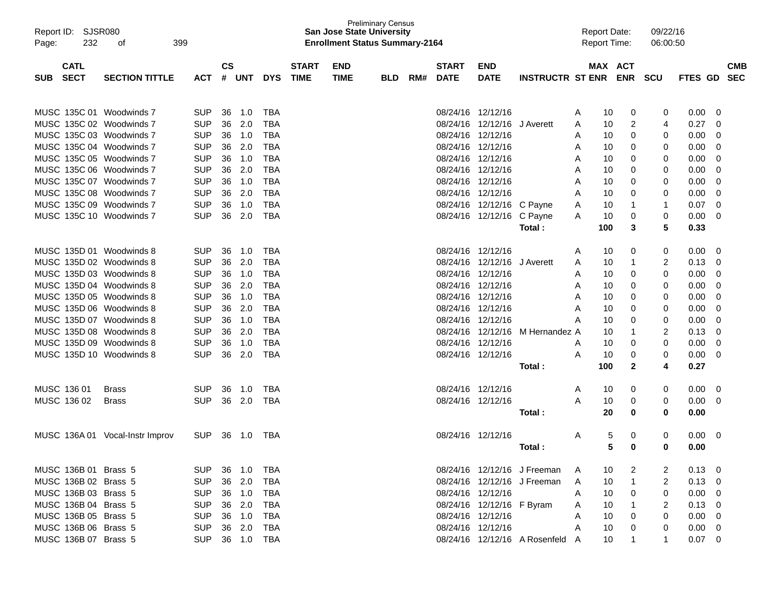| Report ID:<br>SJSR080<br>232<br>Page: | 399<br>οf                       |            |               |            |            |              | <b>San Jose State University</b><br><b>Enrollment Status Summary-2164</b> | <b>Preliminary Census</b> |     |              |                           |                                 |   | <b>Report Date:</b><br><b>Report Time:</b> |              | 09/22/16<br>06:00:50 |                |            |
|---------------------------------------|---------------------------------|------------|---------------|------------|------------|--------------|---------------------------------------------------------------------------|---------------------------|-----|--------------|---------------------------|---------------------------------|---|--------------------------------------------|--------------|----------------------|----------------|------------|
| <b>CATL</b>                           |                                 |            | $\mathsf{cs}$ |            |            | <b>START</b> | <b>END</b>                                                                |                           |     | <b>START</b> | <b>END</b>                |                                 |   | MAX ACT                                    |              |                      |                | <b>CMB</b> |
| <b>SECT</b><br><b>SUB</b>             | <b>SECTION TITTLE</b>           | <b>ACT</b> | #             | <b>UNT</b> | <b>DYS</b> | <b>TIME</b>  | <b>TIME</b>                                                               | <b>BLD</b>                | RM# | <b>DATE</b>  | <b>DATE</b>               | <b>INSTRUCTR ST ENR ENR</b>     |   |                                            |              | scu                  | FTES GD        | <b>SEC</b> |
| MUSC 135C 01 Woodwinds 7              |                                 | <b>SUP</b> | 36            | 1.0        | <b>TBA</b> |              |                                                                           |                           |     |              | 08/24/16 12/12/16         |                                 | A | 10                                         | 0            | 0                    | 0.00           | 0          |
| MUSC 135C 02 Woodwinds 7              |                                 | <b>SUP</b> | 36            | 2.0        | <b>TBA</b> |              |                                                                           |                           |     | 08/24/16     | 12/12/16                  | J Averett                       | A | 10                                         | 2            | 4                    | 0.27           | 0          |
| MUSC 135C 03 Woodwinds 7              |                                 | <b>SUP</b> | 36            | 1.0        | <b>TBA</b> |              |                                                                           |                           |     |              | 08/24/16 12/12/16         |                                 | A | 10                                         | 0            | 0                    | 0.00           | 0          |
| MUSC 135C 04 Woodwinds 7              |                                 | <b>SUP</b> | 36            | 2.0        | <b>TBA</b> |              |                                                                           |                           |     |              | 08/24/16 12/12/16         |                                 | A | 10                                         | 0            | 0                    | 0.00           | 0          |
| MUSC 135C 05 Woodwinds 7              |                                 | <b>SUP</b> | 36            | 1.0        | <b>TBA</b> |              |                                                                           |                           |     |              | 08/24/16 12/12/16         |                                 | A | 10                                         | 0            | 0                    | 0.00           | 0          |
| MUSC 135C 06 Woodwinds 7              |                                 | <b>SUP</b> | 36            | 2.0        | <b>TBA</b> |              |                                                                           |                           |     |              | 08/24/16 12/12/16         |                                 | A | 10                                         | 0            | 0                    | 0.00           | 0          |
| MUSC 135C 07 Woodwinds 7              |                                 | <b>SUP</b> | 36            | 1.0        | <b>TBA</b> |              |                                                                           |                           |     |              | 08/24/16 12/12/16         |                                 | A | 10                                         | 0            | 0                    | 0.00           | 0          |
| MUSC 135C 08 Woodwinds 7              |                                 | <b>SUP</b> | 36            | 2.0        | <b>TBA</b> |              |                                                                           |                           |     | 08/24/16     | 12/12/16                  |                                 | A | 10                                         | 0            | 0                    | 0.00           | 0          |
| MUSC 135C 09 Woodwinds 7              |                                 | <b>SUP</b> | 36            | 1.0        | <b>TBA</b> |              |                                                                           |                           |     |              | 08/24/16 12/12/16 C Payne |                                 | A | 10                                         | 1            | 1                    | 0.07           | 0          |
| MUSC 135C 10 Woodwinds 7              |                                 | <b>SUP</b> | 36            | 2.0        | <b>TBA</b> |              |                                                                           |                           |     |              | 08/24/16 12/12/16 C Payne |                                 | A | 10                                         | 0            | 0                    | 0.00           | 0          |
|                                       |                                 |            |               |            |            |              |                                                                           |                           |     |              |                           | Total:                          |   | 100                                        | 3            | 5                    | 0.33           |            |
| MUSC 135D 01 Woodwinds 8              |                                 | <b>SUP</b> | 36            | 1.0        | <b>TBA</b> |              |                                                                           |                           |     |              | 08/24/16 12/12/16         |                                 | A | 10                                         | 0            | 0                    | 0.00           | 0          |
| MUSC 135D 02 Woodwinds 8              |                                 | <b>SUP</b> | 36            | 2.0        | <b>TBA</b> |              |                                                                           |                           |     | 08/24/16     | 12/12/16                  | J Averett                       | A | 10                                         | 1            | 2                    | 0.13           | 0          |
| MUSC 135D 03 Woodwinds 8              |                                 | <b>SUP</b> | 36            | 1.0        | <b>TBA</b> |              |                                                                           |                           |     |              | 08/24/16 12/12/16         |                                 | A | 10                                         | 0            | 0                    | 0.00           | 0          |
| MUSC 135D 04 Woodwinds 8              |                                 | <b>SUP</b> | 36            | 2.0        | <b>TBA</b> |              |                                                                           |                           |     |              | 08/24/16 12/12/16         |                                 | A | 10                                         | 0            | 0                    | 0.00           | 0          |
| MUSC 135D 05 Woodwinds 8              |                                 | <b>SUP</b> | 36            | 1.0        | <b>TBA</b> |              |                                                                           |                           |     |              | 08/24/16 12/12/16         |                                 | A | 10                                         | 0            | 0                    | 0.00           | 0          |
| MUSC 135D 06 Woodwinds 8              |                                 | <b>SUP</b> | 36            | 2.0        | <b>TBA</b> |              |                                                                           |                           |     |              | 08/24/16 12/12/16         |                                 | A | 10                                         | 0            | 0                    | 0.00           | 0          |
| MUSC 135D 07 Woodwinds 8              |                                 | <b>SUP</b> | 36            | 1.0        | <b>TBA</b> |              |                                                                           |                           |     |              | 08/24/16 12/12/16         |                                 | A | 10                                         | 0            | 0                    | 0.00           | 0          |
| MUSC 135D 08 Woodwinds 8              |                                 | <b>SUP</b> | 36            | 2.0        | <b>TBA</b> |              |                                                                           |                           |     |              | 08/24/16 12/12/16         | M Hernandez A                   |   | 10                                         | 1            | 2                    | 0.13           | 0          |
| MUSC 135D 09 Woodwinds 8              |                                 | <b>SUP</b> | 36            | 1.0        | <b>TBA</b> |              |                                                                           |                           |     |              | 08/24/16 12/12/16         |                                 | A | 10                                         | 0            | 0                    | 0.00           | 0          |
| MUSC 135D 10 Woodwinds 8              |                                 | <b>SUP</b> | 36            | 2.0        | <b>TBA</b> |              |                                                                           |                           |     |              | 08/24/16 12/12/16         |                                 | A | 10                                         | 0            | 0                    | 0.00           | 0          |
|                                       |                                 |            |               |            |            |              |                                                                           |                           |     |              |                           | Total:                          |   | 100                                        | $\mathbf{2}$ | 4                    | 0.27           |            |
| MUSC 136 01                           | <b>Brass</b>                    | <b>SUP</b> | 36            | 1.0        | <b>TBA</b> |              |                                                                           |                           |     |              | 08/24/16 12/12/16         |                                 | A | 10                                         | 0            | 0                    | 0.00           | 0          |
| MUSC 136 02                           | <b>Brass</b>                    | <b>SUP</b> | 36            | 2.0        | <b>TBA</b> |              |                                                                           |                           |     |              | 08/24/16 12/12/16         |                                 | A | 10                                         | 0            | 0                    | 0.00           | 0          |
|                                       |                                 |            |               |            |            |              |                                                                           |                           |     |              |                           | Total:                          |   | 20                                         | 0            | 0                    | 0.00           |            |
|                                       | MUSC 136A 01 Vocal-Instr Improv | <b>SUP</b> | 36            | 1.0        | TBA        |              |                                                                           |                           |     |              | 08/24/16 12/12/16         |                                 | A | 5                                          | 0            | 0                    | 0.00           | 0          |
|                                       |                                 |            |               |            |            |              |                                                                           |                           |     |              |                           | Total :                         |   | 5                                          | 0            | 0                    | 0.00           |            |
| MUSC 136B 01 Brass 5                  |                                 | <b>SUP</b> |               | 36 1.0     | TBA        |              |                                                                           |                           |     |              |                           | 08/24/16 12/12/16 J Freeman     | A | 10                                         | 2            |                      | 0.13           | -0         |
| MUSC 136B 02 Brass 5                  |                                 | <b>SUP</b> |               | 36 2.0     | <b>TBA</b> |              |                                                                           |                           |     |              |                           | 08/24/16 12/12/16 J Freeman     | A | 10                                         | 1            | 2                    | 0.13           | 0          |
| MUSC 136B 03 Brass 5                  |                                 | <b>SUP</b> |               | 36 1.0     | <b>TBA</b> |              |                                                                           |                           |     |              | 08/24/16 12/12/16         |                                 | A | 10                                         | 0            | 0                    | 0.00           | 0          |
| MUSC 136B 04 Brass 5                  |                                 | <b>SUP</b> |               | 36 2.0     | <b>TBA</b> |              |                                                                           |                           |     |              | 08/24/16 12/12/16 F Byram |                                 | A | 10                                         |              | 2                    | 0.13           | 0          |
| MUSC 136B 05 Brass 5                  |                                 | <b>SUP</b> |               | 36 1.0     | <b>TBA</b> |              |                                                                           |                           |     |              | 08/24/16 12/12/16         |                                 | A | 10                                         | 0            | 0                    | 0.00           | 0          |
| MUSC 136B 06 Brass 5                  |                                 | <b>SUP</b> |               | 36 2.0     | <b>TBA</b> |              |                                                                           |                           |     |              | 08/24/16 12/12/16         |                                 | A | 10                                         | 0            | 0                    | 0.00           | 0          |
| MUSC 136B 07 Brass 5                  |                                 | <b>SUP</b> |               | 36 1.0     | TBA        |              |                                                                           |                           |     |              |                           | 08/24/16 12/12/16 A Rosenfeld A |   | 10                                         |              | 1.                   | $0.07 \quad 0$ |            |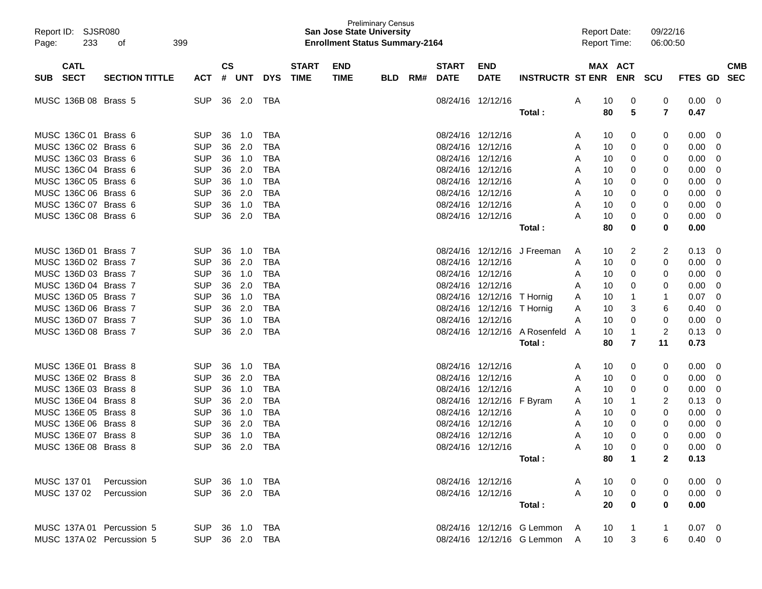| Report ID: SJSR080<br>233<br>Page: | 399<br>οf             |                |               |        |            |                             | <b>San Jose State University</b><br><b>Enrollment Status Summary-2164</b> | <b>Preliminary Census</b> |     |                   |                            |                              |   | <b>Report Date:</b><br><b>Report Time:</b> |                | 09/22/16<br>06:00:50 |                |                          |
|------------------------------------|-----------------------|----------------|---------------|--------|------------|-----------------------------|---------------------------------------------------------------------------|---------------------------|-----|-------------------|----------------------------|------------------------------|---|--------------------------------------------|----------------|----------------------|----------------|--------------------------|
| <b>CATL</b><br><b>SECT</b>         |                       |                | $\mathsf{cs}$ |        |            | <b>START</b><br><b>TIME</b> | <b>END</b>                                                                |                           |     | <b>START</b>      | <b>END</b>                 |                              |   |                                            | <b>MAX ACT</b> |                      | FTES GD        | <b>CMB</b><br><b>SEC</b> |
| <b>SUB</b>                         | <b>SECTION TITTLE</b> | <b>ACT</b>     |               | # UNT  | <b>DYS</b> |                             | <b>TIME</b>                                                               | <b>BLD</b>                | RM# | <b>DATE</b>       | <b>DATE</b>                | <b>INSTRUCTR ST ENR ENR</b>  |   |                                            |                | <b>SCU</b>           |                |                          |
| MUSC 136B 08 Brass 5               |                       | <b>SUP</b>     | 36            | 2.0    | TBA        |                             |                                                                           |                           |     |                   | 08/24/16 12/12/16          |                              | A | 10                                         | 0              | 0                    | 0.00           | - 0                      |
|                                    |                       |                |               |        |            |                             |                                                                           |                           |     |                   |                            | Total :                      |   | 80                                         | 5              | $\overline{7}$       | 0.47           |                          |
| MUSC 136C 01 Brass 6               |                       | <b>SUP</b>     | 36            | 1.0    | TBA        |                             |                                                                           |                           |     | 08/24/16 12/12/16 |                            |                              | A | 10                                         | 0              | 0                    | 0.00           | - 0                      |
| MUSC 136C 02 Brass 6               |                       | <b>SUP</b>     | 36            | 2.0    | TBA        |                             |                                                                           |                           |     | 08/24/16 12/12/16 |                            |                              | A | 10                                         | 0              | 0                    | 0.00           | 0                        |
| MUSC 136C 03 Brass 6               |                       | <b>SUP</b>     | 36            | 1.0    | TBA        |                             |                                                                           |                           |     |                   | 08/24/16 12/12/16          |                              | A | 10                                         | 0              | 0                    | 0.00           | 0                        |
| MUSC 136C 04 Brass 6               |                       | <b>SUP</b>     | 36            | 2.0    | TBA        |                             |                                                                           |                           |     |                   | 08/24/16 12/12/16          |                              | A | 10                                         | 0              | 0                    | 0.00           | 0                        |
| MUSC 136C 05 Brass 6               |                       | <b>SUP</b>     | 36            | 1.0    | TBA        |                             |                                                                           |                           |     |                   | 08/24/16 12/12/16          |                              | A | 10                                         | 0              | 0                    | 0.00           | 0                        |
| MUSC 136C 06 Brass 6               |                       | <b>SUP</b>     | 36            | 2.0    | TBA        |                             |                                                                           |                           |     |                   | 08/24/16 12/12/16          |                              | A | 10                                         | 0              | 0                    | 0.00           | 0                        |
| MUSC 136C 07 Brass 6               |                       | <b>SUP</b>     | 36            | 1.0    | TBA        |                             |                                                                           |                           |     |                   | 08/24/16 12/12/16          |                              | A | 10                                         | 0              | 0                    | 0.00           | 0                        |
| MUSC 136C 08 Brass 6               |                       | <b>SUP</b>     | 36            | 2.0    | <b>TBA</b> |                             |                                                                           |                           |     |                   | 08/24/16 12/12/16          |                              | А | 10                                         | 0              | 0                    | 0.00           | 0                        |
|                                    |                       |                |               |        |            |                             |                                                                           |                           |     |                   |                            | Total :                      |   | 80                                         | 0              | 0                    | 0.00           |                          |
| MUSC 136D 01 Brass 7               |                       | <b>SUP</b>     | 36            | 1.0    | TBA        |                             |                                                                           |                           |     |                   | 08/24/16 12/12/16          | J Freeman                    | A | 10                                         | 2              | 2                    | 0.13           | 0                        |
| MUSC 136D 02 Brass 7               |                       | <b>SUP</b>     | 36            | 2.0    | TBA        |                             |                                                                           |                           |     |                   | 08/24/16 12/12/16          |                              | A | 10                                         | 0              | 0                    | 0.00           | 0                        |
| MUSC 136D 03 Brass 7               |                       | <b>SUP</b>     | 36            | 1.0    | TBA        |                             |                                                                           |                           |     |                   | 08/24/16 12/12/16          |                              | A | 10                                         | 0              | 0                    | 0.00           | 0                        |
| MUSC 136D 04 Brass 7               |                       | <b>SUP</b>     | 36            | 2.0    | TBA        |                             |                                                                           |                           |     |                   | 08/24/16 12/12/16          |                              | A | 10                                         | 0              | 0                    | 0.00           | 0                        |
| MUSC 136D 05 Brass 7               |                       | <b>SUP</b>     | 36            | 1.0    | TBA        |                             |                                                                           |                           |     |                   | 08/24/16 12/12/16 T Hornig |                              | Α | 10                                         | 1              | 1                    | 0.07           | 0                        |
| MUSC 136D 06 Brass 7               |                       | <b>SUP</b>     | 36            | 2.0    | <b>TBA</b> |                             |                                                                           |                           |     |                   | 08/24/16 12/12/16 T Hornig |                              | A | 10                                         | 3              | 6                    | 0.40           | 0                        |
| MUSC 136D 07 Brass 7               |                       | <b>SUP</b>     | 36            | 1.0    | TBA        |                             |                                                                           |                           |     |                   | 08/24/16 12/12/16          |                              | A | 10                                         | 0              | 0                    | 0.00           | 0                        |
| MUSC 136D 08 Brass 7               |                       | <b>SUP</b>     | 36            | 2.0    | <b>TBA</b> |                             |                                                                           |                           |     |                   | 08/24/16 12/12/16          | A Rosenfeld                  | A | 10                                         | 1              | $\overline{c}$       | 0.13           | 0                        |
|                                    |                       |                |               |        |            |                             |                                                                           |                           |     |                   |                            | Total:                       |   | 80                                         | 7              | 11                   | 0.73           |                          |
| MUSC 136E 01 Brass 8               |                       | <b>SUP</b>     | 36            | 1.0    | TBA        |                             |                                                                           |                           |     | 08/24/16 12/12/16 |                            |                              | A | 10                                         | 0              | 0                    | 0.00           | - 0                      |
| MUSC 136E 02 Brass 8               |                       | <b>SUP</b>     | 36            | 2.0    | TBA        |                             |                                                                           |                           |     |                   | 08/24/16 12/12/16          |                              | A | 10                                         | 0              | 0                    | 0.00           | 0                        |
| MUSC 136E 03 Brass 8               |                       | <b>SUP</b>     | 36            | 1.0    | TBA        |                             |                                                                           |                           |     | 08/24/16 12/12/16 |                            |                              | A | 10                                         | 0              | 0                    | 0.00           | 0                        |
| MUSC 136E 04 Brass 8               |                       | <b>SUP</b>     | 36            | 2.0    | TBA        |                             |                                                                           |                           |     |                   | 08/24/16 12/12/16 F Byram  |                              | A | 10                                         | 1              | 2                    | 0.13           | 0                        |
| MUSC 136E 05 Brass 8               |                       | <b>SUP</b>     | 36            | 1.0    | TBA        |                             |                                                                           |                           |     |                   | 08/24/16 12/12/16          |                              | A | 10                                         | 0              | 0                    | 0.00           | 0                        |
| MUSC 136E 06 Brass 8               |                       | <b>SUP</b>     | 36            | 2.0    | TBA        |                             |                                                                           |                           |     | 08/24/16 12/12/16 |                            |                              | A | 10                                         | 0              | 0                    | 0.00           | 0                        |
| MUSC 136E 07 Brass 8               |                       | <b>SUP</b>     | 36            | 1.0    | <b>TBA</b> |                             |                                                                           |                           |     | 08/24/16 12/12/16 |                            |                              | A | 10                                         | 0              | 0                    | 0.00           | 0                        |
| MUSC 136E 08 Brass 8               |                       | <b>SUP</b>     |               | 36 2.0 | TBA        |                             |                                                                           |                           |     |                   | 08/24/16 12/12/16          |                              |   | 10                                         | 0              | 0                    | 0.00           | $\Omega$                 |
|                                    |                       |                |               |        |            |                             |                                                                           |                           |     |                   |                            | Total:                       |   | 80                                         | 1              | $\mathbf{2}$         | 0.13           |                          |
| MUSC 137 01                        | Percussion            | SUP 36 1.0 TBA |               |        |            |                             |                                                                           |                           |     |                   | 08/24/16 12/12/16          |                              | A | 10                                         | 0              | 0                    | $0.00 \quad 0$ |                          |
| MUSC 137 02                        | Percussion            | SUP 36 2.0 TBA |               |        |            |                             |                                                                           |                           |     |                   | 08/24/16 12/12/16          |                              | A | 10                                         | 0              | 0                    | $0.00 \ 0$     |                          |
|                                    |                       |                |               |        |            |                             |                                                                           |                           |     |                   |                            | Total:                       |   | 20                                         | $\bf{0}$       | 0                    | 0.00           |                          |
| MUSC 137A 01 Percussion 5          |                       | SUP 36 1.0 TBA |               |        |            |                             |                                                                           |                           |     |                   |                            | 08/24/16 12/12/16 G Lemmon A |   | 10                                         | 1              |                      | $0.07 \quad 0$ |                          |
| MUSC 137A 02 Percussion 5          |                       | SUP 36 2.0 TBA |               |        |            |                             |                                                                           |                           |     |                   |                            | 08/24/16 12/12/16 G Lemmon A |   | 10 <sup>1</sup>                            | 3              | 6                    | $0.40 \quad 0$ |                          |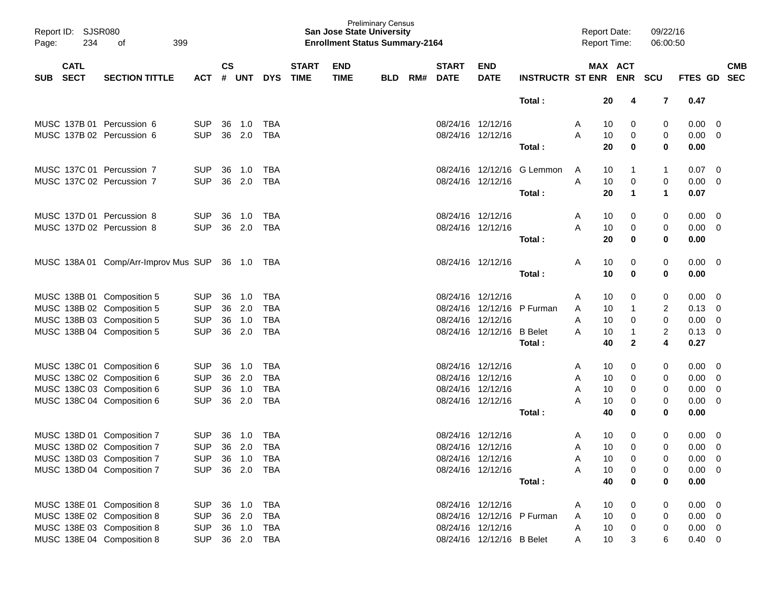| Report ID:<br>Page:       | SJSR080<br>234<br>399<br>οf<br><b>CATL</b> |                                             |                |                    |            |            |                             | <b>San Jose State University</b><br><b>Enrollment Status Summary-2164</b> | <b>Preliminary Census</b> |     |                             |                           |                            |   | <b>Report Date:</b><br><b>Report Time:</b> |              | 09/22/16<br>06:00:50 |                |                          |
|---------------------------|--------------------------------------------|---------------------------------------------|----------------|--------------------|------------|------------|-----------------------------|---------------------------------------------------------------------------|---------------------------|-----|-----------------------------|---------------------------|----------------------------|---|--------------------------------------------|--------------|----------------------|----------------|--------------------------|
| <b>SECT</b><br><b>SUB</b> |                                            | <b>SECTION TITTLE</b>                       | <b>ACT</b>     | $\mathsf{cs}$<br># | <b>UNT</b> | <b>DYS</b> | <b>START</b><br><b>TIME</b> | <b>END</b><br><b>TIME</b>                                                 | <b>BLD</b>                | RM# | <b>START</b><br><b>DATE</b> | <b>END</b><br><b>DATE</b> | <b>INSTRUCTR ST ENR</b>    |   | MAX ACT                                    | <b>ENR</b>   | <b>SCU</b>           | <b>FTES GD</b> | <b>CMB</b><br><b>SEC</b> |
|                           |                                            |                                             |                |                    |            |            |                             |                                                                           |                           |     |                             |                           |                            |   |                                            |              |                      |                |                          |
|                           |                                            |                                             |                |                    |            |            |                             |                                                                           |                           |     |                             |                           | Total:                     |   | 20                                         | 4            | $\overline{7}$       | 0.47           |                          |
|                           |                                            | MUSC 137B 01 Percussion 6                   | <b>SUP</b>     | 36                 | 1.0        | TBA        |                             |                                                                           |                           |     |                             | 08/24/16 12/12/16         |                            | A | 10                                         | 0            | 0                    | 0.00           | 0                        |
|                           |                                            | MUSC 137B 02 Percussion 6                   | <b>SUP</b>     | 36                 | 2.0        | <b>TBA</b> |                             |                                                                           |                           |     |                             | 08/24/16 12/12/16         |                            | A | 10                                         | 0            | 0                    | 0.00           | 0                        |
|                           |                                            |                                             |                |                    |            |            |                             |                                                                           |                           |     |                             |                           | Total:                     |   | 20                                         | 0            | 0                    | 0.00           |                          |
|                           |                                            | MUSC 137C 01 Percussion 7                   | <b>SUP</b>     | 36                 | 1.0        | TBA        |                             |                                                                           |                           |     |                             | 08/24/16 12/12/16         | G Lemmon                   | A | 10                                         | 1            | $\mathbf{1}$         | 0.07           | 0                        |
|                           |                                            | MUSC 137C 02 Percussion 7                   | <b>SUP</b>     | 36                 | 2.0        | <b>TBA</b> |                             |                                                                           |                           |     |                             | 08/24/16 12/12/16         |                            | A | 10                                         | 0            | 0                    | 0.00           | 0                        |
|                           |                                            |                                             |                |                    |            |            |                             |                                                                           |                           |     |                             |                           | Total:                     |   | 20                                         | 1            | $\mathbf 1$          | 0.07           |                          |
|                           |                                            | MUSC 137D 01 Percussion 8                   | <b>SUP</b>     | 36                 | 1.0        | TBA        |                             |                                                                           |                           |     | 08/24/16 12/12/16           |                           |                            | A | 10                                         | 0            | 0                    | 0.00           | 0                        |
|                           |                                            | MUSC 137D 02 Percussion 8                   | <b>SUP</b>     | 36                 | 2.0        | <b>TBA</b> |                             |                                                                           |                           |     |                             | 08/24/16 12/12/16         |                            | A | 10                                         | 0            | 0                    | 0.00           | 0                        |
|                           |                                            |                                             |                |                    |            |            |                             |                                                                           |                           |     |                             |                           | Total:                     |   | 20                                         | 0            | 0                    | 0.00           |                          |
|                           |                                            | MUSC 138A 01 Comp/Arr-Improv Mus SUP 36 1.0 |                |                    |            | TBA        |                             |                                                                           |                           |     |                             | 08/24/16 12/12/16         |                            | A | 10                                         | 0            | 0                    | 0.00           | $\overline{0}$           |
|                           |                                            |                                             |                |                    |            |            |                             |                                                                           |                           |     |                             |                           | Total:                     |   | 10                                         | 0            | 0                    | 0.00           |                          |
|                           |                                            | MUSC 138B 01 Composition 5                  | <b>SUP</b>     | 36                 | 1.0        | TBA        |                             |                                                                           |                           |     | 08/24/16 12/12/16           |                           |                            | A | 10                                         | 0            | 0                    | 0.00           | 0                        |
|                           |                                            | MUSC 138B 02 Composition 5                  | <b>SUP</b>     | 36                 | 2.0        | <b>TBA</b> |                             |                                                                           |                           |     |                             | 08/24/16 12/12/16         | P Furman                   | A | 10                                         | 1            | $\overline{c}$       | 0.13           | 0                        |
|                           |                                            | MUSC 138B 03 Composition 5                  | <b>SUP</b>     | 36                 | 1.0        | <b>TBA</b> |                             |                                                                           |                           |     | 08/24/16 12/12/16           |                           |                            | A | 10                                         | 0            | 0                    | 0.00           | 0                        |
|                           |                                            | MUSC 138B 04 Composition 5                  | <b>SUP</b>     | 36                 | 2.0        | <b>TBA</b> |                             |                                                                           |                           |     |                             | 08/24/16 12/12/16         | <b>B</b> Belet             | A | 10                                         | 1            | $\overline{c}$       | 0.13           | 0                        |
|                           |                                            |                                             |                |                    |            |            |                             |                                                                           |                           |     |                             |                           | Total:                     |   | 40                                         | $\mathbf{2}$ | 4                    | 0.27           |                          |
|                           |                                            | MUSC 138C 01 Composition 6                  | <b>SUP</b>     | 36                 | 1.0        | TBA        |                             |                                                                           |                           |     | 08/24/16 12/12/16           |                           |                            | A | 10                                         | 0            | 0                    | 0.00           | 0                        |
|                           |                                            | MUSC 138C 02 Composition 6                  | <b>SUP</b>     | 36                 | 2.0        | <b>TBA</b> |                             |                                                                           |                           |     |                             | 08/24/16 12/12/16         |                            | A | 10                                         | 0            | 0                    | 0.00           | 0                        |
|                           |                                            | MUSC 138C 03 Composition 6                  | <b>SUP</b>     | 36                 | 1.0        | <b>TBA</b> |                             |                                                                           |                           |     |                             | 08/24/16 12/12/16         |                            | A | 10                                         | 0            | 0                    | 0.00           | 0                        |
|                           |                                            | MUSC 138C 04 Composition 6                  | <b>SUP</b>     | 36                 | 2.0        | <b>TBA</b> |                             |                                                                           |                           |     |                             | 08/24/16 12/12/16         |                            | Α | 10                                         | 0            | 0                    | 0.00           | 0                        |
|                           |                                            |                                             |                |                    |            |            |                             |                                                                           |                           |     |                             |                           | Total:                     |   | 40                                         | 0            | 0                    | 0.00           |                          |
|                           |                                            | MUSC 138D 01 Composition 7                  | <b>SUP</b>     | 36                 | 1.0        | TBA        |                             |                                                                           |                           |     | 08/24/16 12/12/16           |                           |                            | A | 10                                         | 0            | 0                    | 0.00           | 0                        |
|                           |                                            | MUSC 138D 02 Composition 7                  | SUP 36 2.0 TBA |                    |            |            |                             |                                                                           |                           |     | 08/24/16 12/12/16           |                           |                            | Α | 10                                         | 0            | $\overline{0}$       | $0.00 \t 0$    |                          |
|                           |                                            | MUSC 138D 03 Composition 7                  | <b>SUP</b>     |                    | 36 1.0     | TBA        |                             |                                                                           |                           |     |                             | 08/24/16 12/12/16         |                            | A | 10                                         | 0            | 0                    | 0.00           | $\overline{\mathbf{0}}$  |
|                           |                                            | MUSC 138D 04 Composition 7                  | <b>SUP</b>     |                    | 36 2.0     | TBA        |                             |                                                                           |                           |     |                             | 08/24/16 12/12/16         |                            | A | 10                                         | 0            | 0                    | 0.00           | $\overline{\mathbf{0}}$  |
|                           |                                            |                                             |                |                    |            |            |                             |                                                                           |                           |     |                             |                           | Total:                     |   | 40                                         | 0            | 0                    | 0.00           |                          |
|                           |                                            | MUSC 138E 01 Composition 8                  | <b>SUP</b>     |                    | 36 1.0     | TBA        |                             |                                                                           |                           |     |                             | 08/24/16 12/12/16         |                            | A | 10                                         | 0            | 0                    | 0.00           | $\overline{\mathbf{0}}$  |
|                           |                                            | MUSC 138E 02 Composition 8                  | <b>SUP</b>     |                    | 36 2.0     | TBA        |                             |                                                                           |                           |     |                             |                           | 08/24/16 12/12/16 P Furman | A | 10                                         | 0            | 0                    | 0.00           | - 0                      |
|                           |                                            | MUSC 138E 03 Composition 8                  | <b>SUP</b>     |                    | 36 1.0     | TBA        |                             |                                                                           |                           |     |                             | 08/24/16 12/12/16         |                            | Α | 10                                         | 0            | 0                    | 0.00           | $\overline{0}$           |
|                           |                                            | MUSC 138E 04 Composition 8                  | <b>SUP</b>     |                    | 36 2.0 TBA |            |                             |                                                                           |                           |     |                             | 08/24/16 12/12/16 B Belet |                            | A | 10                                         | 3            | 6                    | $0.40 \ 0$     |                          |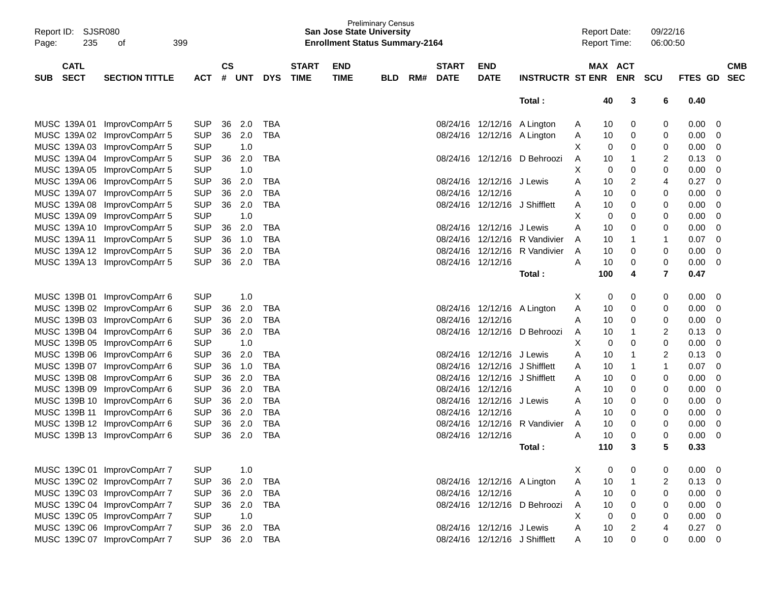| Report ID: SJSR080        |                              |            |               |            |            |              |             | <b>Preliminary Census</b><br><b>San Jose State University</b> |     |                   |                               |                              | <b>Report Date:</b> |                               | 09/22/16                |                |                |            |
|---------------------------|------------------------------|------------|---------------|------------|------------|--------------|-------------|---------------------------------------------------------------|-----|-------------------|-------------------------------|------------------------------|---------------------|-------------------------------|-------------------------|----------------|----------------|------------|
| 235<br>Page:              | 399<br>οf                    |            |               |            |            |              |             | <b>Enrollment Status Summary-2164</b>                         |     |                   |                               |                              | <b>Report Time:</b> |                               | 06:00:50                |                |                |            |
|                           |                              |            |               |            |            |              |             |                                                               |     |                   |                               |                              |                     |                               |                         |                |                |            |
| <b>CATL</b>               |                              |            | $\mathsf{cs}$ |            |            | <b>START</b> | <b>END</b>  |                                                               |     | <b>START</b>      | <b>END</b>                    |                              |                     | MAX ACT                       |                         |                |                | <b>CMB</b> |
| <b>SECT</b><br><b>SUB</b> | <b>SECTION TITTLE</b>        | <b>ACT</b> | #             | <b>UNT</b> | <b>DYS</b> | <b>TIME</b>  | <b>TIME</b> | <b>BLD</b>                                                    | RM# | <b>DATE</b>       | <b>DATE</b>                   | <b>INSTRUCTR ST ENR</b>      |                     | <b>ENR</b>                    | <b>SCU</b>              | <b>FTES GD</b> |                | <b>SEC</b> |
|                           |                              |            |               |            |            |              |             |                                                               |     |                   |                               |                              |                     |                               |                         |                |                |            |
|                           |                              |            |               |            |            |              |             |                                                               |     |                   |                               | Total:                       |                     | 40<br>3                       | 6                       | 0.40           |                |            |
| MUSC 139A 01              | ImprovCompArr 5              | <b>SUP</b> | 36            | 2.0        | TBA        |              |             |                                                               |     |                   | 08/24/16 12/12/16 A Lington   |                              | A                   | 0<br>10                       | 0                       | 0.00           | 0              |            |
|                           | MUSC 139A 02 ImprovCompArr 5 | <b>SUP</b> | 36            | 2.0        | <b>TBA</b> |              |             |                                                               |     |                   | 08/24/16 12/12/16 A Lington   |                              | Α                   | 0<br>10                       | 0                       | 0.00           | 0              |            |
|                           | MUSC 139A 03 ImprovCompArr 5 | <b>SUP</b> |               | 1.0        |            |              |             |                                                               |     |                   |                               |                              | х                   | 0<br>0                        | 0                       | 0.00           | $\mathbf 0$    |            |
|                           | MUSC 139A 04 ImprovCompArr 5 | <b>SUP</b> | 36            | 2.0        | <b>TBA</b> |              |             |                                                               |     |                   | 08/24/16 12/12/16             | D Behroozi                   | A                   | 10<br>$\mathbf 1$             | 2                       | 0.13           | $\mathbf 0$    |            |
|                           | MUSC 139A 05 ImprovCompArr 5 | <b>SUP</b> |               | 1.0        |            |              |             |                                                               |     |                   |                               |                              | х                   | 0<br>0                        | 0                       | 0.00           | 0              |            |
|                           | MUSC 139A 06 ImprovCompArr 5 | <b>SUP</b> | 36            | 2.0        | <b>TBA</b> |              |             |                                                               |     | 08/24/16          | 12/12/16 J Lewis              |                              | Α                   | $\overline{\mathbf{c}}$<br>10 | 4                       | 0.27           | $\mathbf 0$    |            |
| MUSC 139A 07              | ImprovCompArr 5              | <b>SUP</b> | 36            | 2.0        | <b>TBA</b> |              |             |                                                               |     |                   | 08/24/16 12/12/16             |                              | A                   | $\mathbf 0$<br>10             | 0                       | 0.00           | $\mathbf 0$    |            |
|                           | MUSC 139A 08 ImprovCompArr 5 | <b>SUP</b> | 36            | 2.0        | <b>TBA</b> |              |             |                                                               |     |                   | 08/24/16 12/12/16 J Shifflett |                              | A                   | 0<br>10                       | 0                       | 0.00           | $\mathbf 0$    |            |
|                           | MUSC 139A 09 ImprovCompArr 5 | <b>SUP</b> |               | 1.0        |            |              |             |                                                               |     |                   |                               |                              | Χ                   | 0<br>0                        | 0                       | 0.00           | $\mathbf 0$    |            |
|                           | MUSC 139A 10 ImprovCompArr 5 | <b>SUP</b> | 36            | 2.0        | <b>TBA</b> |              |             |                                                               |     | 08/24/16          | 12/12/16                      | J Lewis                      | Α                   | 0<br>10                       | 0                       | 0.00           | $\mathbf 0$    |            |
| MUSC 139A 11              | ImprovCompArr 5              | <b>SUP</b> | 36            | 1.0        | <b>TBA</b> |              |             |                                                               |     | 08/24/16          | 12/12/16                      | R Vandivier                  | A                   | $\mathbf{1}$<br>10            | 1                       | 0.07           | $\mathbf 0$    |            |
|                           | MUSC 139A 12 ImprovCompArr 5 | <b>SUP</b> | 36            | 2.0        | <b>TBA</b> |              |             |                                                               |     | 08/24/16          | 12/12/16                      | R Vandivier                  | Α                   | 0<br>10                       | 0                       | 0.00           | $\mathbf 0$    |            |
|                           | MUSC 139A 13 ImprovCompArr 5 | <b>SUP</b> | 36            | 2.0        | <b>TBA</b> |              |             |                                                               |     |                   | 08/24/16 12/12/16             |                              | A                   | 10<br>0                       | 0                       | 0.00           | $\mathbf 0$    |            |
|                           |                              |            |               |            |            |              |             |                                                               |     |                   |                               | Total:                       | 100                 | 4                             | $\overline{7}$          | 0.47           |                |            |
|                           |                              |            |               |            |            |              |             |                                                               |     |                   |                               |                              |                     |                               |                         |                |                |            |
|                           | MUSC 139B 01 ImprovCompArr 6 | <b>SUP</b> |               | 1.0        |            |              |             |                                                               |     |                   |                               |                              | Χ                   | 0<br>0                        | 0                       | 0.00           | 0              |            |
|                           | MUSC 139B 02 ImprovCompArr 6 | <b>SUP</b> | 36            | 2.0        | <b>TBA</b> |              |             |                                                               |     |                   | 08/24/16 12/12/16 A Lington   |                              | Α                   | 10<br>0                       | 0                       | 0.00           | 0              |            |
|                           | MUSC 139B 03 ImprovCompArr 6 | <b>SUP</b> | 36            | 2.0        | <b>TBA</b> |              |             |                                                               |     |                   | 08/24/16 12/12/16             |                              | Α                   | 0<br>10                       | 0                       | 0.00           | $\mathbf 0$    |            |
|                           | MUSC 139B 04 ImprovCompArr 6 | <b>SUP</b> | 36            | 2.0        | <b>TBA</b> |              |             |                                                               |     |                   | 08/24/16 12/12/16             | D Behroozi                   | A                   | 10<br>-1                      | $\overline{\mathbf{c}}$ | 0.13           | $\mathbf 0$    |            |
|                           | MUSC 139B 05 ImprovCompArr 6 | <b>SUP</b> |               | 1.0        |            |              |             |                                                               |     |                   |                               |                              | х                   | 0<br>0                        | 0                       | 0.00           | $\mathbf 0$    |            |
|                           | MUSC 139B 06 ImprovCompArr 6 | <b>SUP</b> | 36            | 2.0        | <b>TBA</b> |              |             |                                                               |     | 08/24/16          | 12/12/16                      | J Lewis                      | Α                   | 10<br>-1                      | 2                       | 0.13           | $\mathbf 0$    |            |
|                           | MUSC 139B 07 ImprovCompArr 6 | <b>SUP</b> | 36            | 1.0        | <b>TBA</b> |              |             |                                                               |     |                   | 08/24/16 12/12/16             | J Shifflett                  | A                   | 10<br>-1                      | 1                       | 0.07           | $\mathbf 0$    |            |
|                           | MUSC 139B 08 ImprovCompArr 6 | <b>SUP</b> | 36            | 2.0        | <b>TBA</b> |              |             |                                                               |     |                   | 08/24/16 12/12/16 J Shifflett |                              | Α                   | 0<br>10                       | 0                       | 0.00           | 0              |            |
|                           | MUSC 139B 09 ImprovCompArr 6 | <b>SUP</b> | 36            | 2.0        | <b>TBA</b> |              |             |                                                               |     | 08/24/16 12/12/16 |                               |                              | A                   | 0<br>10                       | 0                       | 0.00           | $\mathbf 0$    |            |
|                           | MUSC 139B 10 ImprovCompArr 6 | <b>SUP</b> | 36            | 2.0        | <b>TBA</b> |              |             |                                                               |     |                   | 08/24/16 12/12/16             | J Lewis                      | A                   | 0<br>10                       | 0                       | 0.00           | $\mathbf 0$    |            |
|                           | MUSC 139B 11 ImprovCompArr 6 | <b>SUP</b> | 36            | 2.0        | <b>TBA</b> |              |             |                                                               |     | 08/24/16 12/12/16 |                               |                              | A                   | 0<br>10                       | 0                       | 0.00           | $\mathbf 0$    |            |
|                           | MUSC 139B 12 ImprovCompArr 6 | <b>SUP</b> | 36            | 2.0        | <b>TBA</b> |              |             |                                                               |     |                   | 08/24/16 12/12/16             | R Vandivier                  | A                   | 0<br>10                       | 0                       | 0.00           | $\mathbf 0$    |            |
|                           | MUSC 139B 13 ImprovCompArr 6 | <b>SUP</b> | 36            | 2.0        | <b>TBA</b> |              |             |                                                               |     |                   | 08/24/16 12/12/16             |                              | Α                   | 0<br>10                       | 0                       | 0.00           | $\mathbf 0$    |            |
|                           |                              |            |               |            |            |              |             |                                                               |     |                   |                               | Total:                       | 110                 | 3                             | 5                       | 0.33           |                |            |
|                           |                              |            |               |            |            |              |             |                                                               |     |                   |                               |                              |                     |                               |                         |                |                |            |
|                           | MUSC 139C 01 ImprovCompArr 7 | <b>SUP</b> |               | 1.0        |            |              |             |                                                               |     |                   |                               |                              | Χ                   | 0<br>0                        | 0                       | 0.00           | - 0            |            |
|                           | MUSC 139C 02 ImprovCompArr 7 | <b>SUP</b> | 36            | 2.0        | <b>TBA</b> |              |             |                                                               |     |                   | 08/24/16 12/12/16 A Lington   |                              | Α                   | 10<br>$\mathbf{1}$            | $\overline{\mathbf{c}}$ | 0.13           | 0              |            |
|                           | MUSC 139C 03 ImprovCompArr 7 | <b>SUP</b> |               | 36 2.0     | <b>TBA</b> |              |             |                                                               |     |                   | 08/24/16 12/12/16             |                              | Α                   | $\pmb{0}$<br>10               | 0                       | 0.00           | $\overline{0}$ |            |
|                           | MUSC 139C 04 ImprovCompArr 7 | <b>SUP</b> |               | 36 2.0     | <b>TBA</b> |              |             |                                                               |     |                   |                               | 08/24/16 12/12/16 D Behroozi | A                   | 10<br>0                       | 0                       | 0.00           | $\overline{0}$ |            |
|                           | MUSC 139C 05 ImprovCompArr 7 | <b>SUP</b> |               | 1.0        |            |              |             |                                                               |     |                   |                               |                              | X                   | $\pmb{0}$<br>0                | 0                       | 0.00           | $\overline{0}$ |            |
|                           | MUSC 139C 06 ImprovCompArr 7 | <b>SUP</b> | 36            | 2.0        | <b>TBA</b> |              |             |                                                               |     |                   | 08/24/16 12/12/16 J Lewis     |                              | A                   | $\overline{c}$<br>10          | 4                       | 0.27           | $\overline{0}$ |            |
|                           | MUSC 139C 07 ImprovCompArr 7 | <b>SUP</b> |               | 36 2.0     | TBA        |              |             |                                                               |     |                   | 08/24/16 12/12/16 J Shifflett |                              | A                   | $\mathbf 0$<br>10             | 0                       | 0.00           | $\overline{0}$ |            |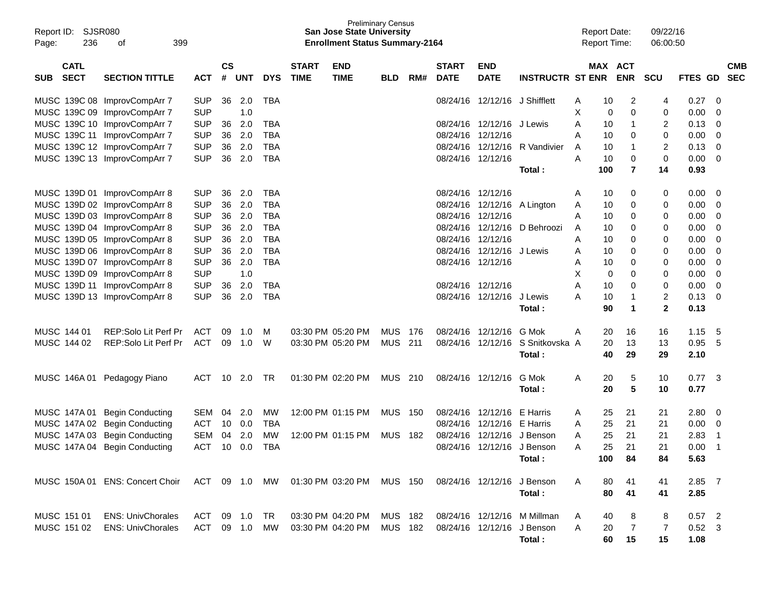| Report ID:<br>236<br>Page: | SJSR080<br>399<br>οf                                                                               |               |               |            |            |              | <b>Preliminary Census</b><br>San Jose State University<br><b>Enrollment Status Summary-2164</b> |            |       |              |                             |                             |   | <b>Report Date:</b><br><b>Report Time:</b> |                | 09/22/16<br>06:00:50 |          |    |            |
|----------------------------|----------------------------------------------------------------------------------------------------|---------------|---------------|------------|------------|--------------|-------------------------------------------------------------------------------------------------|------------|-------|--------------|-----------------------------|-----------------------------|---|--------------------------------------------|----------------|----------------------|----------|----|------------|
| <b>CATL</b>                |                                                                                                    |               | $\mathsf{cs}$ |            |            | <b>START</b> | <b>END</b>                                                                                      |            |       | <b>START</b> | <b>END</b>                  |                             |   | MAX ACT                                    |                |                      |          |    | <b>CMB</b> |
| <b>SECT</b><br><b>SUB</b>  | <b>SECTION TITTLE</b>                                                                              | <b>ACT</b>    | #             | <b>UNT</b> | <b>DYS</b> | <b>TIME</b>  | <b>TIME</b>                                                                                     | <b>BLD</b> | RM#   | <b>DATE</b>  | <b>DATE</b>                 | <b>INSTRUCTR ST ENR</b>     |   |                                            | <b>ENR</b>     | <b>SCU</b>           | FTES GD  |    | <b>SEC</b> |
|                            | MUSC 139C 08 ImprovCompArr 7                                                                       | <b>SUP</b>    | 36            | 2.0        | TBA        |              |                                                                                                 |            |       | 08/24/16     | 12/12/16 J Shifflett        |                             | Α | 10                                         | 2              | 4                    | 0.27     | 0  |            |
|                            | MUSC 139C 09 ImprovCompArr 7                                                                       | <b>SUP</b>    |               | 1.0        |            |              |                                                                                                 |            |       |              |                             |                             | х | 0                                          | 0              | 0                    | 0.00     | 0  |            |
|                            | MUSC 139C 10 ImprovCompArr 7                                                                       | <b>SUP</b>    | 36            | 2.0        | <b>TBA</b> |              |                                                                                                 |            |       |              | 08/24/16 12/12/16 J Lewis   |                             | A | 10                                         | -1             | 2                    | 0.13     | 0  |            |
|                            | MUSC 139C 11 ImprovCompArr 7                                                                       | <b>SUP</b>    | 36            | 2.0        | TBA        |              |                                                                                                 |            |       |              | 08/24/16 12/12/16           |                             | A | 10                                         | 0              | 0                    | 0.00     | 0  |            |
|                            | MUSC 139C 12 ImprovCompArr 7                                                                       | <b>SUP</b>    | 36            | 2.0        | TBA        |              |                                                                                                 |            |       |              | 08/24/16 12/12/16           | R Vandivier                 | A | 10                                         | -1             | 2                    | 0.13     | 0  |            |
|                            | MUSC 139C 13 ImprovCompArr 7                                                                       | <b>SUP</b>    | 36            | 2.0        | TBA        |              |                                                                                                 |            |       |              | 08/24/16 12/12/16           |                             | A | 10                                         | 0              | 0                    | 0.00     | 0  |            |
|                            |                                                                                                    |               |               |            |            |              |                                                                                                 |            |       |              |                             | Total:                      |   | 100                                        | $\overline{7}$ | 14                   | 0.93     |    |            |
|                            | MUSC 139D 01 ImprovCompArr 8                                                                       | <b>SUP</b>    | 36            | 2.0        | <b>TBA</b> |              |                                                                                                 |            |       |              | 08/24/16 12/12/16           |                             | Α | 10                                         | 0              | 0                    | 0.00     | 0  |            |
|                            | MUSC 139D 02 ImprovCompArr 8                                                                       | <b>SUP</b>    | 36            | 2.0        | TBA        |              |                                                                                                 |            |       |              | 08/24/16 12/12/16 A Lington |                             | Α | 10                                         | 0              | 0                    | 0.00     | 0  |            |
|                            | MUSC 139D 03 ImprovCompArr 8                                                                       | <b>SUP</b>    | 36            | 2.0        | TBA        |              |                                                                                                 |            |       | 08/24/16     | 12/12/16                    |                             | A | 10                                         | 0              | 0                    | 0.00     | 0  |            |
|                            | MUSC 139D 04 ImprovCompArr 8                                                                       | <b>SUP</b>    | 36            | 2.0        | TBA        |              |                                                                                                 |            |       |              | 08/24/16 12/12/16           | D Behroozi                  | Α | 10                                         | 0              | 0                    | 0.00     | 0  |            |
|                            | MUSC 139D 05 ImprovCompArr 8                                                                       | <b>SUP</b>    | 36            | 2.0        | <b>TBA</b> |              |                                                                                                 |            |       | 08/24/16     | 12/12/16                    |                             | A | 10                                         | 0              | 0                    | 0.00     | 0  |            |
|                            | MUSC 139D 06 ImprovCompArr 8                                                                       | <b>SUP</b>    | 36            | 2.0        | <b>TBA</b> |              |                                                                                                 |            |       |              | 08/24/16 12/12/16           | J Lewis                     | A | 10                                         | 0              | 0                    | 0.00     | 0  |            |
|                            | MUSC 139D 07 ImprovCompArr 8                                                                       | <b>SUP</b>    | 36            | 2.0        | <b>TBA</b> |              |                                                                                                 |            |       |              | 08/24/16 12/12/16           |                             | Α | 10                                         | 0              | 0                    | 0.00     | 0  |            |
|                            | MUSC 139D 09 ImprovCompArr 8                                                                       | <b>SUP</b>    |               | 1.0        |            |              |                                                                                                 |            |       |              |                             |                             | Х | 0                                          | 0              | 0                    | 0.00     | 0  |            |
|                            | MUSC 139D 11 ImprovCompArr 8                                                                       | <b>SUP</b>    | 36            | 2.0        | TBA        |              |                                                                                                 |            |       |              | 08/24/16 12/12/16           |                             | A | 10                                         | 0              | 0                    | 0.00     | 0  |            |
|                            | MUSC 139D 13 ImprovCompArr 8                                                                       | <b>SUP</b>    | 36            | 2.0        | <b>TBA</b> |              |                                                                                                 |            |       |              | 08/24/16 12/12/16           | J Lewis                     | Α | 10                                         | -1             | 2                    | 0.13     | 0  |            |
|                            |                                                                                                    |               |               |            |            |              |                                                                                                 |            |       |              |                             | Total :                     |   | 90                                         | 1              | $\mathbf{2}$         | 0.13     |    |            |
| MUSC 144 01                | REP:Solo Lit Perf Pr                                                                               | <b>ACT</b>    | 09            | 1.0        | M          |              | 03:30 PM 05:20 PM                                                                               | <b>MUS</b> | 176   |              | 08/24/16 12/12/16           | G Mok                       | Α | 20                                         | 16             | 16                   | 1.15     | 5  |            |
| MUSC 144 02                | REP:Solo Lit Perf Pr                                                                               | <b>ACT</b>    | 09            | 1.0        | W          |              | 03:30 PM 05:20 PM                                                                               | MUS        | 211   |              | 08/24/16 12/12/16           | S Snitkovska A              |   | 20                                         | 13             | 13                   | 0.95     | 5  |            |
|                            |                                                                                                    |               |               |            |            |              |                                                                                                 |            |       |              |                             | Total:                      |   | 40                                         | 29             | 29                   | 2.10     |    |            |
|                            | MUSC 146A 01 Pedagogy Piano                                                                        | <b>ACT</b>    | 10            | 2.0        | TR         |              | 01:30 PM 02:20 PM                                                                               | MUS        | 210   |              | 08/24/16 12/12/16           | G Mok                       | Α | 20                                         | 5              | 10                   | 0.77     | -3 |            |
|                            |                                                                                                    |               |               |            |            |              |                                                                                                 |            |       |              |                             | Total:                      |   | 20                                         | 5              | 10                   | 0.77     |    |            |
| MUSC 147A 01               | <b>Begin Conducting</b>                                                                            | SEM           | 04            | 2.0        | MW         |              | 12:00 PM 01:15 PM                                                                               | MUS        | - 150 |              | 08/24/16 12/12/16           | E Harris                    | A | 25                                         | 21             | 21                   | 2.80     | 0  |            |
| MUSC 147A 02               | <b>Begin Conducting</b>                                                                            | <b>ACT</b>    | 10            | 0.0        | TBA        |              |                                                                                                 |            |       | 08/24/16     | 12/12/16                    | E Harris                    | A | 25                                         | 21             | 21                   | 0.00     | 0  |            |
|                            | MUSC 147A 03 Begin Conducting                                                                      | <b>SEM</b>    | 04            | 2.0        | MW         |              | 12:00 PM 01:15 PM                                                                               | <b>MUS</b> | 182   |              | 08/24/16 12/12/16 J Benson  |                             | Α | 25                                         | 21             | 21                   | 2.83     | -1 |            |
|                            | MUSC 147A 04 Begin Conducting                                                                      | ACT 10 0.0    |               |            | <b>TBA</b> |              |                                                                                                 |            |       |              | 08/24/16 12/12/16 J Benson  |                             | Α | 25                                         | 21             | 21                   | 0.00     | -1 |            |
|                            |                                                                                                    |               |               |            |            |              |                                                                                                 |            |       |              |                             | Total:                      |   | 100                                        | 84             | 84                   | 5.63     |    |            |
|                            |                                                                                                    |               |               |            |            |              |                                                                                                 |            |       |              |                             |                             |   |                                            |                |                      |          |    |            |
|                            | MUSC 150A 01 ENS: Concert Choir ACT 09 1.0 MW 01:30 PM 03:20 PM MUS 150 08/24/16 12/12/16 J Benson |               |               |            |            |              |                                                                                                 |            |       |              |                             |                             | A | 80                                         | 41             | 41                   | $2.85$ 7 |    |            |
|                            |                                                                                                    |               |               |            |            |              |                                                                                                 |            |       |              |                             | Total:                      |   | 80                                         | 41             | 41                   | 2.85     |    |            |
| MUSC 151 01                | <b>ENS: UnivChorales</b>                                                                           | ACT 09 1.0 TR |               |            |            |              | 03:30 PM 04:20 PM MUS 182                                                                       |            |       |              |                             | 08/24/16 12/12/16 M Millman | A | 40                                         | 8              | 8                    | $0.57$ 2 |    |            |
| MUSC 151 02                | <b>ENS: UnivChorales</b>                                                                           | ACT 09 1.0    |               |            | MW         |              | 03:30 PM 04:20 PM                                                                               | MUS 182    |       |              | 08/24/16 12/12/16 J Benson  |                             | A | 20                                         | -7             | 7                    | $0.52$ 3 |    |            |
|                            |                                                                                                    |               |               |            |            |              |                                                                                                 |            |       |              |                             | Total:                      |   | 60                                         | 15             | 15                   | 1.08     |    |            |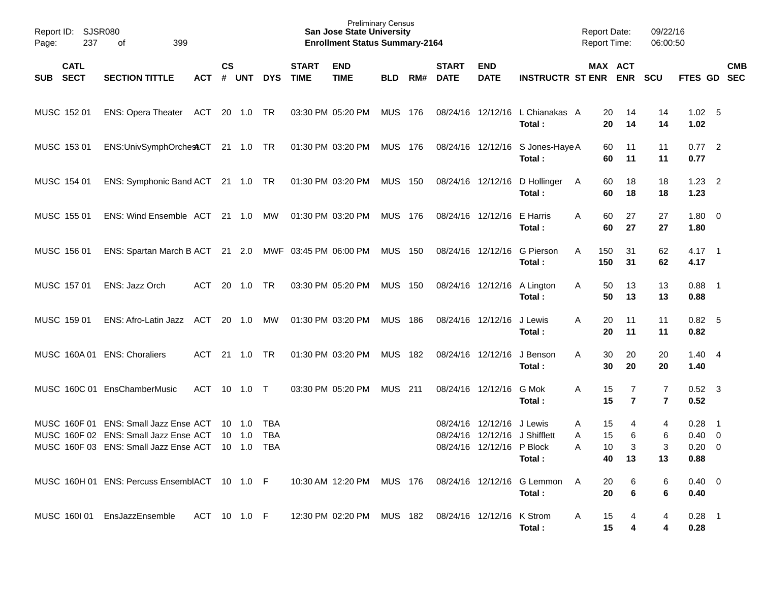| Report ID: SJSR080<br>237<br>Page:       | 399<br>of                                                                                                               |              |           |                                                    |                                 |                             | <b>Preliminary Census</b><br><b>San Jose State University</b><br><b>Enrollment Status Summary-2164</b> |                |     |                             |                                                        |                                            | <b>Report Date:</b><br>Report Time: |                     | 09/22/16<br>06:00:50             |                                                  |            |
|------------------------------------------|-------------------------------------------------------------------------------------------------------------------------|--------------|-----------|----------------------------------------------------|---------------------------------|-----------------------------|--------------------------------------------------------------------------------------------------------|----------------|-----|-----------------------------|--------------------------------------------------------|--------------------------------------------|-------------------------------------|---------------------|----------------------------------|--------------------------------------------------|------------|
| <b>CATL</b><br><b>SECT</b><br><b>SUB</b> | <b>SECTION TITTLE</b>                                                                                                   | <b>ACT</b>   | <b>CS</b> | # UNT                                              | <b>DYS</b>                      | <b>START</b><br><b>TIME</b> | <b>END</b><br><b>TIME</b>                                                                              | <b>BLD</b>     | RM# | <b>START</b><br><b>DATE</b> | <b>END</b><br><b>DATE</b>                              | <b>INSTRUCTR ST ENR ENR</b>                | MAX ACT                             |                     | <b>SCU</b>                       | FTES GD SEC                                      | <b>CMB</b> |
| MUSC 152 01                              | ENS: Opera Theater ACT 20 1.0 TR                                                                                        |              |           |                                                    |                                 |                             | 03:30 PM 05:20 PM                                                                                      | <b>MUS 176</b> |     |                             |                                                        | 08/24/16 12/12/16 L Chianakas A<br>Total:  | 20<br>20                            | 14<br>14            | 14<br>14                         | 1.02 <sub>5</sub><br>1.02                        |            |
| MUSC 153 01                              | ENS:UnivSymphOrchesACT 21 1.0 TR                                                                                        |              |           |                                                    |                                 |                             | 01:30 PM 03:20 PM MUS 176                                                                              |                |     |                             |                                                        | 08/24/16 12/12/16 S Jones-Haye A<br>Total: | 60<br>60                            | 11<br>11            | 11<br>11                         | $0.77$ 2<br>0.77                                 |            |
| MUSC 154 01                              | ENS: Symphonic Band ACT 21 1.0 TR                                                                                       |              |           |                                                    |                                 |                             | 01:30 PM 03:20 PM MUS 150                                                                              |                |     |                             |                                                        | 08/24/16 12/12/16 D Hollinger<br>Total:    | 60<br>A<br>60                       | 18<br>18            | 18<br>18                         | $1.23 \quad 2$<br>1.23                           |            |
| MUSC 155 01                              | ENS: Wind Ensemble ACT 21 1.0 MW                                                                                        |              |           |                                                    |                                 |                             | 01:30 PM 03:20 PM                                                                                      | MUS 176        |     |                             | 08/24/16 12/12/16 E Harris                             | Total:                                     | 60<br>A<br>60                       | 27<br>27            | 27<br>27                         | $1.80 \ 0$<br>1.80                               |            |
| MUSC 156 01                              | ENS: Spartan March B ACT 21 2.0 MWF 03:45 PM 06:00 PM MUS 150                                                           |              |           |                                                    |                                 |                             |                                                                                                        |                |     |                             |                                                        | 08/24/16 12/12/16 G Pierson<br>Total:      | 150<br>A<br>150                     | 31<br>31            | 62<br>62                         | $4.17$ 1<br>4.17                                 |            |
| MUSC 157 01                              | ENS: Jazz Orch                                                                                                          | ACT          |           | 20 1.0                                             | TR                              |                             | 03:30 PM 05:20 PM                                                                                      | <b>MUS 150</b> |     |                             |                                                        | 08/24/16 12/12/16 A Lington<br>Total:      | 50<br>A<br>50                       | 13<br>13            | 13<br>13                         | $0.88$ 1<br>0.88                                 |            |
| MUSC 159 01                              | ENS: Afro-Latin Jazz ACT 20 1.0 MW                                                                                      |              |           |                                                    |                                 |                             | 01:30 PM 03:20 PM                                                                                      | MUS 186        |     | 08/24/16 12/12/16           |                                                        | J Lewis<br>Total:                          | 20<br>A<br>20                       | 11<br>11            | 11<br>11                         | $0.82$ 5<br>0.82                                 |            |
|                                          | MUSC 160A 01 ENS: Choraliers                                                                                            | ACT          |           | 21  1.0                                            | TR                              |                             | 01:30 PM 03:20 PM                                                                                      | MUS 182        |     | 08/24/16 12/12/16           |                                                        | J Benson<br>Total:                         | A<br>30<br>30                       | 20<br>20            | 20<br>20                         | $1.40 \quad 4$<br>1.40                           |            |
|                                          | MUSC 160C 01 EnsChamberMusic                                                                                            | ACT          |           | 10 1.0 T                                           |                                 |                             | 03:30 PM 05:20 PM                                                                                      | <b>MUS 211</b> |     |                             | 08/24/16 12/12/16                                      | G Mok<br>Total:                            | Α<br>15<br>15                       | 7<br>$\overline{7}$ | $\overline{7}$<br>$\overline{7}$ | $0.52$ 3<br>0.52                                 |            |
|                                          | MUSC 160F 01 ENS: Small Jazz Ense ACT<br>MUSC 160F 02 ENS: Small Jazz Ense ACT<br>MUSC 160F 03 ENS: Small Jazz Ense ACT |              |           | $10 \quad 1.0$<br>$10 \quad 1.0$<br>$10 \quad 1.0$ | TBA<br><b>TBA</b><br><b>TBA</b> |                             |                                                                                                        |                |     | 08/24/16                    | 08/24/16 12/12/16 J Lewis<br>08/24/16 12/12/16 P Block | 12/12/16 J Shifflett<br>Total:             | 15<br>A<br>15<br>A<br>A<br>10<br>40 | 4<br>6<br>3<br>13   | 4<br>6<br>3<br>13                | $0.28$ 1<br>$0.40 \quad 0$<br>$0.20 \ 0$<br>0.88 |            |
|                                          | MUSC 160H 01 ENS: Percuss EnsemblACT 10 1.0 F                                                                           |              |           |                                                    |                                 |                             | 10:30 AM_12:20 PM  MUS 176                                                                             |                |     |                             |                                                        | 08/24/16 12/12/16 G Lemmon<br>Total:       | 20<br>A<br>20                       | 6<br>6              | 6<br>6                           | $0.40 \quad 0$<br>0.40                           |            |
|                                          | MUSC 1601 01 EnsJazzEnsemble                                                                                            | ACT 10 1.0 F |           |                                                    |                                 |                             | 12:30 PM 02:20 PM MUS 182                                                                              |                |     |                             | 08/24/16 12/12/16 K Strom                              | Total:                                     | 15<br>A<br>15                       | 4                   | 4<br>4                           | $0.28$ 1<br>0.28                                 |            |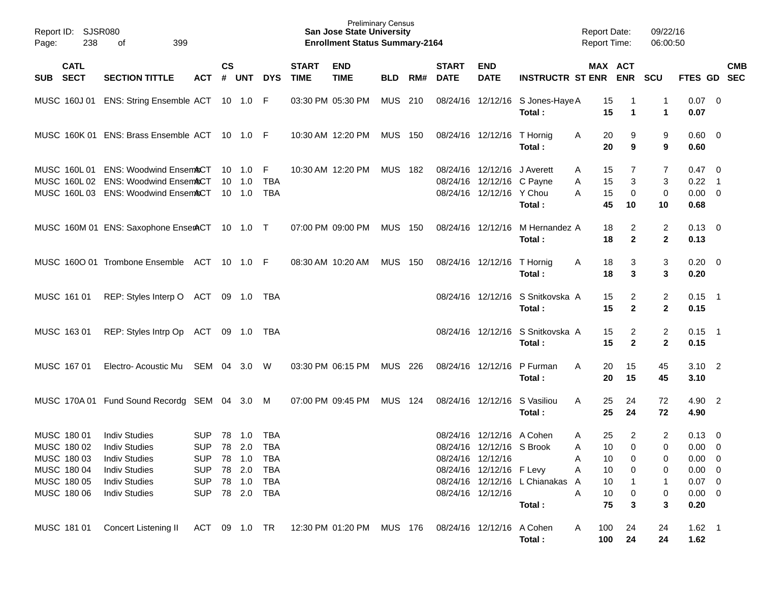| Report ID:<br>238<br>Page:                                                             | SJSR080<br>399<br>οf                                                                                                                         |                                                                                          |                    |                                         |                                        |                             | <b>Preliminary Census</b><br><b>San Jose State University</b><br><b>Enrollment Status Summary-2164</b> |                |     |                             |                                                                                                                              |                                             | <b>Report Date:</b><br><b>Report Time:</b>                                   |                                                   | 09/22/16<br>06:00:50                                 |                                                                                                |                          |
|----------------------------------------------------------------------------------------|----------------------------------------------------------------------------------------------------------------------------------------------|------------------------------------------------------------------------------------------|--------------------|-----------------------------------------|----------------------------------------|-----------------------------|--------------------------------------------------------------------------------------------------------|----------------|-----|-----------------------------|------------------------------------------------------------------------------------------------------------------------------|---------------------------------------------|------------------------------------------------------------------------------|---------------------------------------------------|------------------------------------------------------|------------------------------------------------------------------------------------------------|--------------------------|
| <b>CATL</b><br><b>SECT</b><br><b>SUB</b>                                               | <b>SECTION TITTLE</b>                                                                                                                        | <b>ACT</b>                                                                               | $\mathsf{cs}$<br># | <b>UNT</b>                              | <b>DYS</b>                             | <b>START</b><br><b>TIME</b> | <b>END</b><br><b>TIME</b>                                                                              | <b>BLD</b>     | RM# | <b>START</b><br><b>DATE</b> | <b>END</b><br><b>DATE</b>                                                                                                    | <b>INSTRUCTR ST ENR</b>                     |                                                                              | MAX ACT<br><b>ENR</b>                             | <b>SCU</b>                                           | FTES GD                                                                                        | <b>CMB</b><br><b>SEC</b> |
| MUSC 160J 01                                                                           | <b>ENS: String Ensemble ACT</b>                                                                                                              |                                                                                          |                    | 10 1.0                                  | -F                                     |                             | 03:30 PM 05:30 PM                                                                                      | <b>MUS</b>     | 210 |                             | 08/24/16 12/12/16                                                                                                            | S Jones-Haye A<br>Total:                    | 15<br>15                                                                     | 1                                                 | 1<br>1                                               | $0.07$ 0<br>0.07                                                                               |                          |
| MUSC 160K 01                                                                           | <b>ENS: Brass Ensemble ACT</b>                                                                                                               |                                                                                          |                    | 10 1.0                                  | - F                                    |                             | 10:30 AM 12:20 PM                                                                                      | <b>MUS</b>     | 150 |                             | 08/24/16 12/12/16                                                                                                            | T Hornig<br>Total:                          | 20<br>A<br>20                                                                | 9<br>9                                            | 9<br>9                                               | $0.60 \quad 0$<br>0.60                                                                         |                          |
| MUSC 160L 01<br>MUSC 160L02<br>MUSC 160L03                                             | <b>ENS: Woodwind Ensem&amp;CT</b><br><b>ENS: Woodwind Ensem&amp;CT</b><br><b>ENS: Woodwind Ensem&amp;CT</b>                                  |                                                                                          | 10                 | 1.0<br>$10 \quad 1.0$<br>$10 \quad 1.0$ | F<br><b>TBA</b><br><b>TBA</b>          |                             | 10:30 AM 12:20 PM                                                                                      | <b>MUS 182</b> |     | 08/24/16<br>08/24/16        | 12/12/16<br>12/12/16 C Payne<br>08/24/16 12/12/16 Y Chou                                                                     | J Averett<br>Total :                        | 15<br>Α<br>15<br>Α<br>15<br>Α<br>45                                          | 7<br>3<br>0<br>10                                 | 7<br>3<br>$\mathbf 0$<br>10                          | $0.47 \quad 0$<br>0.22<br>$0.00 \ 0$<br>0.68                                                   | $\overline{\phantom{1}}$ |
|                                                                                        | MUSC 160M 01 ENS: Saxophone EnserACT 10 1.0 T                                                                                                |                                                                                          |                    |                                         |                                        |                             | 07:00 PM 09:00 PM                                                                                      | <b>MUS</b>     | 150 | 08/24/16                    | 12/12/16                                                                                                                     | M Hernandez A<br>Total :                    | 18<br>18                                                                     | 2<br>$\mathbf{2}$                                 | 2<br>$\mathbf{2}$                                    | $0.13 \quad 0$<br>0.13                                                                         |                          |
|                                                                                        | MUSC 1600 01 Trombone Ensemble                                                                                                               | ACT                                                                                      |                    | $10 \quad 1.0$                          | - F                                    |                             | 08:30 AM 10:20 AM                                                                                      | <b>MUS</b>     | 150 |                             | 08/24/16 12/12/16                                                                                                            | T Hornig<br>Total :                         | 18<br>Α<br>18                                                                | 3<br>3                                            | 3<br>3                                               | $0.20 \ 0$<br>0.20                                                                             |                          |
| MUSC 161 01                                                                            | REP: Styles Interp O                                                                                                                         | ACT                                                                                      |                    | 09 1.0                                  | TBA                                    |                             |                                                                                                        |                |     |                             |                                                                                                                              | 08/24/16 12/12/16 S Snitkovska A<br>Total : | 15<br>15                                                                     | 2<br>$\mathbf{2}$                                 | 2<br>$\mathbf{2}$                                    | $0.15$ 1<br>0.15                                                                               |                          |
| MUSC 163 01                                                                            | REP: Styles Intrp Op                                                                                                                         | ACT                                                                                      |                    | 09 1.0                                  | TBA                                    |                             |                                                                                                        |                |     |                             | 08/24/16 12/12/16                                                                                                            | S Snitkovska A<br>Total :                   | 15<br>15                                                                     | 2<br>$\mathbf{2}$                                 | 2<br>$\mathbf{2}$                                    | $0.15$ 1<br>0.15                                                                               |                          |
| MUSC 167 01                                                                            | Electro-Acoustic Mu                                                                                                                          | SEM 04                                                                                   |                    | 3.0                                     | W                                      |                             | 03:30 PM 06:15 PM                                                                                      | MUS            | 226 |                             | 08/24/16 12/12/16                                                                                                            | P Furman<br>Total:                          | A<br>20<br>20                                                                | 15<br>15                                          | 45<br>45                                             | $3.10$ 2<br>3.10                                                                               |                          |
|                                                                                        | MUSC 170A 01 Fund Sound Recordg SEM 04 3.0                                                                                                   |                                                                                          |                    |                                         | M                                      |                             | 07:00 PM 09:45 PM                                                                                      | <b>MUS 124</b> |     |                             | 08/24/16 12/12/16                                                                                                            | S Vasiliou<br>Total:                        | 25<br>A<br>25                                                                | 24<br>24                                          | 72<br>72                                             | 4.90 2<br>4.90                                                                                 |                          |
| MUSC 180 01<br>MUSC 180 02<br>MUSC 180 03<br>MUSC 180 04<br>MUSC 180 05<br>MUSC 180 06 | <b>Indiv Studies</b><br><b>Indiv Studies</b><br><b>Indiv Studies</b><br><b>Indiv Studies</b><br><b>Indiv Studies</b><br><b>Indiv Studies</b> | <b>SUP</b><br>SUP 78 2.0 TBA<br>SUP 78 1.0<br><b>SUP</b><br><b>SUP</b><br>SUP 78 2.0 TBA |                    | 78 1.0<br>78 2.0<br>78 1.0              | <b>TBA</b><br>TBA<br><b>TBA</b><br>TBA |                             |                                                                                                        |                |     |                             | 08/24/16 12/12/16 A Cohen<br>08/24/16 12/12/16 S Brook<br>08/24/16 12/12/16<br>08/24/16 12/12/16 F Levy<br>08/24/16 12/12/16 | 08/24/16 12/12/16 L Chianakas A<br>Total:   | 25<br>Α<br>10 <sup>°</sup><br>A<br>A<br>10<br>10<br>Α<br>10<br>A<br>10<br>75 | $\overline{2}$<br>$\mathbf 0$<br>0<br>0<br>0<br>3 | $\overline{2}$<br>$\overline{0}$<br>0<br>0<br>0<br>3 | $0.13 \quad 0$<br>$0.00 \t 0$<br>$0.00 \t 0$<br>$0.00 \t 0$<br>$0.07$ 0<br>$0.00 \t 0$<br>0.20 |                          |
|                                                                                        | MUSC 181 01 Concert Listening II ACT 09 1.0 TR 12:30 PM 01:20 PM MUS 176 08/24/16 12/12/16 A Cohen                                           |                                                                                          |                    |                                         |                                        |                             |                                                                                                        |                |     |                             |                                                                                                                              | Total:                                      | 100<br>A<br>100                                                              | 24<br>24                                          | 24<br>24                                             | $1.62$ 1<br>1.62                                                                               |                          |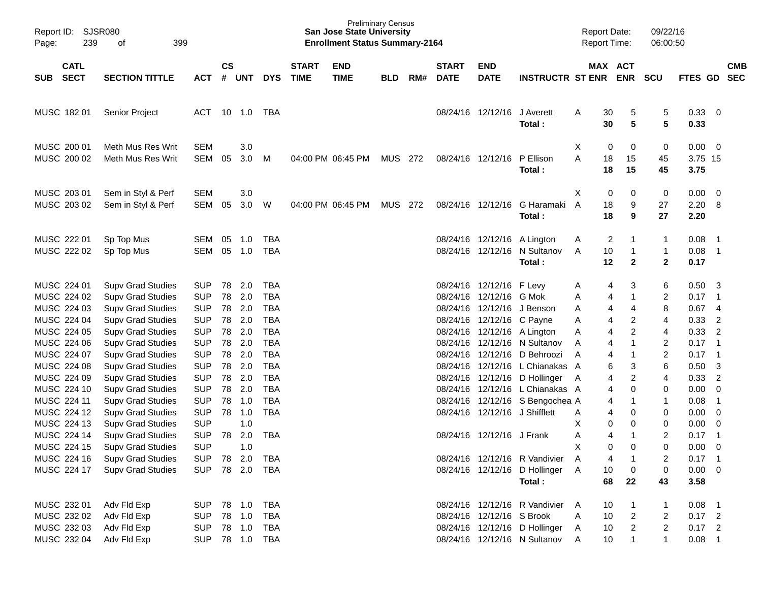| Report ID:<br>Page:                                                                                                                                                                                                                                         | <b>SJSR080</b><br>239      | 399<br>οf                                                                                                                                                                                                                                                                                                                                                                                                                                                                                |                                                                                                                                                                                                                                                |                                                                            |                                                                                                                 |                                                                                                                                                                                           |                             | <b>Preliminary Census</b><br><b>San Jose State University</b><br><b>Enrollment Status Summary-2164</b> |            |     |                                                                                              |                                                                                                                                                         |                                                                                                                                                                                                                                                                             | <b>Report Date:</b><br><b>Report Time:</b>                |                                                                                          |                                                                                                                                                                       | 09/22/16<br>06:00:50                                                                                                           |                                                                                                                                                         |                                                                                                                                                                                                                                                                                |                          |
|-------------------------------------------------------------------------------------------------------------------------------------------------------------------------------------------------------------------------------------------------------------|----------------------------|------------------------------------------------------------------------------------------------------------------------------------------------------------------------------------------------------------------------------------------------------------------------------------------------------------------------------------------------------------------------------------------------------------------------------------------------------------------------------------------|------------------------------------------------------------------------------------------------------------------------------------------------------------------------------------------------------------------------------------------------|----------------------------------------------------------------------------|-----------------------------------------------------------------------------------------------------------------|-------------------------------------------------------------------------------------------------------------------------------------------------------------------------------------------|-----------------------------|--------------------------------------------------------------------------------------------------------|------------|-----|----------------------------------------------------------------------------------------------|---------------------------------------------------------------------------------------------------------------------------------------------------------|-----------------------------------------------------------------------------------------------------------------------------------------------------------------------------------------------------------------------------------------------------------------------------|-----------------------------------------------------------|------------------------------------------------------------------------------------------|-----------------------------------------------------------------------------------------------------------------------------------------------------------------------|--------------------------------------------------------------------------------------------------------------------------------|---------------------------------------------------------------------------------------------------------------------------------------------------------|--------------------------------------------------------------------------------------------------------------------------------------------------------------------------------------------------------------------------------------------------------------------------------|--------------------------|
| <b>SUB</b>                                                                                                                                                                                                                                                  | <b>CATL</b><br><b>SECT</b> | <b>SECTION TITTLE</b>                                                                                                                                                                                                                                                                                                                                                                                                                                                                    | <b>ACT</b>                                                                                                                                                                                                                                     | $\mathsf{cs}$<br>#                                                         | <b>UNT</b>                                                                                                      | <b>DYS</b>                                                                                                                                                                                | <b>START</b><br><b>TIME</b> | <b>END</b><br><b>TIME</b>                                                                              | <b>BLD</b> | RM# | <b>START</b><br><b>DATE</b>                                                                  | <b>END</b><br><b>DATE</b>                                                                                                                               | <b>INSTRUCTR ST ENR</b>                                                                                                                                                                                                                                                     |                                                           |                                                                                          | MAX ACT<br><b>ENR</b>                                                                                                                                                 | <b>SCU</b>                                                                                                                     | FTES GD                                                                                                                                                 |                                                                                                                                                                                                                                                                                | <b>CMB</b><br><b>SEC</b> |
| MUSC 182 01                                                                                                                                                                                                                                                 |                            | Senior Project                                                                                                                                                                                                                                                                                                                                                                                                                                                                           | <b>ACT</b>                                                                                                                                                                                                                                     | 10                                                                         | 1.0                                                                                                             | TBA                                                                                                                                                                                       |                             |                                                                                                        |            |     |                                                                                              | 08/24/16 12/12/16                                                                                                                                       | J Averett<br>Total:                                                                                                                                                                                                                                                         | A                                                         | 30<br>30                                                                                 | 5<br>5                                                                                                                                                                | 5<br>5                                                                                                                         | 0.33<br>0.33                                                                                                                                            | $\overline{\mathbf{0}}$                                                                                                                                                                                                                                                        |                          |
| MUSC 200 01<br>MUSC 200 02                                                                                                                                                                                                                                  |                            | Meth Mus Res Writ<br>Meth Mus Res Writ                                                                                                                                                                                                                                                                                                                                                                                                                                                   | <b>SEM</b><br>SEM                                                                                                                                                                                                                              | 05                                                                         | 3.0<br>3.0                                                                                                      | м                                                                                                                                                                                         |                             | 04:00 PM 06:45 PM                                                                                      | MUS        | 272 |                                                                                              | 08/24/16 12/12/16                                                                                                                                       | P Ellison<br>Total:                                                                                                                                                                                                                                                         | X<br>A                                                    | 0<br>18<br>18                                                                            | 0<br>15<br>15                                                                                                                                                         | 0<br>45<br>45                                                                                                                  | 0.00<br>3.75 15<br>3.75                                                                                                                                 | - 0                                                                                                                                                                                                                                                                            |                          |
| MUSC 203 01<br>MUSC 203 02                                                                                                                                                                                                                                  |                            | Sem in Styl & Perf<br>Sem in Styl & Perf                                                                                                                                                                                                                                                                                                                                                                                                                                                 | <b>SEM</b><br>SEM                                                                                                                                                                                                                              | 05                                                                         | 3.0<br>3.0                                                                                                      | W                                                                                                                                                                                         |                             | 04:00 PM 06:45 PM                                                                                      | MUS        | 272 |                                                                                              | 08/24/16 12/12/16                                                                                                                                       | G Haramaki<br>Total:                                                                                                                                                                                                                                                        | Χ<br>A                                                    | 0<br>18<br>18                                                                            | 0<br>9<br>9                                                                                                                                                           | 0<br>27<br>27                                                                                                                  | 0.00<br>2.20<br>2.20                                                                                                                                    | $\overline{0}$<br>- 8                                                                                                                                                                                                                                                          |                          |
| MUSC 222 01<br>MUSC 222 02                                                                                                                                                                                                                                  |                            | Sp Top Mus<br>Sp Top Mus                                                                                                                                                                                                                                                                                                                                                                                                                                                                 | SEM<br>SEM                                                                                                                                                                                                                                     | 05<br>05                                                                   | 1.0<br>1.0                                                                                                      | <b>TBA</b><br><b>TBA</b>                                                                                                                                                                  |                             |                                                                                                        |            |     |                                                                                              | 08/24/16 12/12/16<br>08/24/16 12/12/16                                                                                                                  | A Lington<br>N Sultanov<br>Total:                                                                                                                                                                                                                                           | A<br>A                                                    | 2<br>10<br>12                                                                            | -1<br>$\overline{1}$<br>$\mathbf{2}$                                                                                                                                  | 1<br>$\mathbf{1}$<br>$\mathbf{2}$                                                                                              | 0.08<br>0.08<br>0.17                                                                                                                                    | $\overline{1}$<br>$\overline{1}$                                                                                                                                                                                                                                               |                          |
| MUSC 224 01<br>MUSC 224 02<br>MUSC 224 03<br>MUSC 224 04<br>MUSC 224 05<br>MUSC 224 06<br>MUSC 224 07<br>MUSC 224 08<br>MUSC 224 09<br>MUSC 224 10<br>MUSC 224 11<br>MUSC 224 12<br>MUSC 224 13<br>MUSC 224 14<br>MUSC 224 15<br>MUSC 224 16<br>MUSC 224 17 |                            | <b>Supv Grad Studies</b><br><b>Supv Grad Studies</b><br><b>Supv Grad Studies</b><br><b>Supv Grad Studies</b><br><b>Supv Grad Studies</b><br><b>Supv Grad Studies</b><br><b>Supv Grad Studies</b><br><b>Supv Grad Studies</b><br><b>Supv Grad Studies</b><br><b>Supv Grad Studies</b><br><b>Supv Grad Studies</b><br><b>Supv Grad Studies</b><br><b>Supv Grad Studies</b><br><b>Supv Grad Studies</b><br><b>Supv Grad Studies</b><br><b>Supv Grad Studies</b><br><b>Supv Grad Studies</b> | <b>SUP</b><br><b>SUP</b><br><b>SUP</b><br><b>SUP</b><br><b>SUP</b><br><b>SUP</b><br><b>SUP</b><br><b>SUP</b><br><b>SUP</b><br><b>SUP</b><br><b>SUP</b><br><b>SUP</b><br><b>SUP</b><br><b>SUP</b><br><b>SUP</b><br>SUP 78 2.0 TBA<br><b>SUP</b> | 78<br>78<br>78<br>78<br>78<br>78<br>78<br>78<br>78<br>78<br>78<br>78<br>78 | 2.0<br>2.0<br>2.0<br>2.0<br>2.0<br>2.0<br>2.0<br>2.0<br>2.0<br>2.0<br>1.0<br>1.0<br>1.0<br>2.0<br>1.0<br>78 2.0 | <b>TBA</b><br><b>TBA</b><br><b>TBA</b><br><b>TBA</b><br><b>TBA</b><br><b>TBA</b><br><b>TBA</b><br><b>TBA</b><br><b>TBA</b><br><b>TBA</b><br><b>TBA</b><br><b>TBA</b><br><b>TBA</b><br>TBA |                             |                                                                                                        |            |     | 08/24/16<br>08/24/16<br>08/24/16<br>08/24/16<br>08/24/16<br>08/24/16<br>08/24/16<br>08/24/16 | 08/24/16 12/12/16 F Levy<br>12/12/16<br>12/12/16<br>08/24/16 12/12/16 C Payne<br>12/12/16<br>08/24/16 12/12/16 J Shifflett<br>08/24/16 12/12/16 J Frank | G Mok<br>J Benson<br>08/24/16 12/12/16 A Lington<br>12/12/16 N Sultanov<br>D Behroozi<br>12/12/16 L Chianakas A<br>12/12/16 D Hollinger<br>12/12/16 L Chianakas A<br>12/12/16 S Bengochea A<br>08/24/16 12/12/16 R Vandivier A<br>08/24/16 12/12/16 D Hollinger A<br>Total: | Α<br>A<br>A<br>Α<br>A<br>A<br>A<br>A<br>Α<br>X<br>A<br>X. | 4<br>4<br>4<br>4<br>4<br>4<br>4<br>6<br>4<br>4<br>4<br>4<br>0<br>4<br>0<br>4<br>10<br>68 | 3<br>$\overline{\mathbf{1}}$<br>4<br>$\overline{c}$<br>$\overline{c}$<br>-1<br>-1<br>3<br>$\overline{c}$<br>0<br>-1<br>0<br>0<br>-1<br>0<br>$\overline{1}$<br>0<br>22 | 6<br>2<br>8<br>4<br>4<br>$\overline{c}$<br>$\overline{c}$<br>6<br>4<br>0<br>1<br>0<br>0<br>$\overline{c}$<br>0<br>2<br>0<br>43 | 0.50<br>0.17<br>0.67<br>0.33<br>0.33<br>0.17<br>0.17<br>0.50<br>0.33<br>0.00<br>0.08<br>0.00<br>0.00<br>0.17<br>0.00<br>$0.17$ 1<br>$0.00 \t 0$<br>3.58 | $\overline{\mathbf{3}}$<br>$\overline{\phantom{0}}$ 1<br>- 4<br>$\overline{2}$<br>$\overline{2}$<br>$\overline{1}$<br>$\overline{1}$<br>-3<br>$\overline{2}$<br>$\mathbf 0$<br>$\overline{1}$<br>$\overline{0}$<br>$\overline{0}$<br>$\overline{1}$<br>$\overline{\mathbf{0}}$ |                          |
| MUSC 232 01<br>MUSC 232 02<br>MUSC 232 03<br>MUSC 232 04                                                                                                                                                                                                    |                            | Adv Fld Exp<br>Adv Fld Exp<br>Adv Fld Exp<br>Adv Fld Exp                                                                                                                                                                                                                                                                                                                                                                                                                                 | <b>SUP</b><br><b>SUP</b><br><b>SUP</b><br>SUP 78 1.0 TBA                                                                                                                                                                                       |                                                                            | 78 1.0<br>78 1.0<br>78 1.0                                                                                      | <b>TBA</b><br>TBA<br>TBA                                                                                                                                                                  |                             |                                                                                                        |            |     |                                                                                              | 08/24/16 12/12/16 S Brook                                                                                                                               | 08/24/16 12/12/16 R Vandivier A<br>08/24/16 12/12/16 D Hollinger<br>08/24/16 12/12/16 N Sultanov                                                                                                                                                                            | A<br>A<br>A                                               | 10<br>10<br>10<br>10                                                                     | $\overline{c}$<br>$\overline{c}$<br>$\mathbf{1}$                                                                                                                      | 1<br>2<br>$\overline{c}$<br>$\mathbf{1}$                                                                                       | $0.08$ 1<br>$0.17$ 2<br>$0.17$ 2<br>$0.08$ 1                                                                                                            |                                                                                                                                                                                                                                                                                |                          |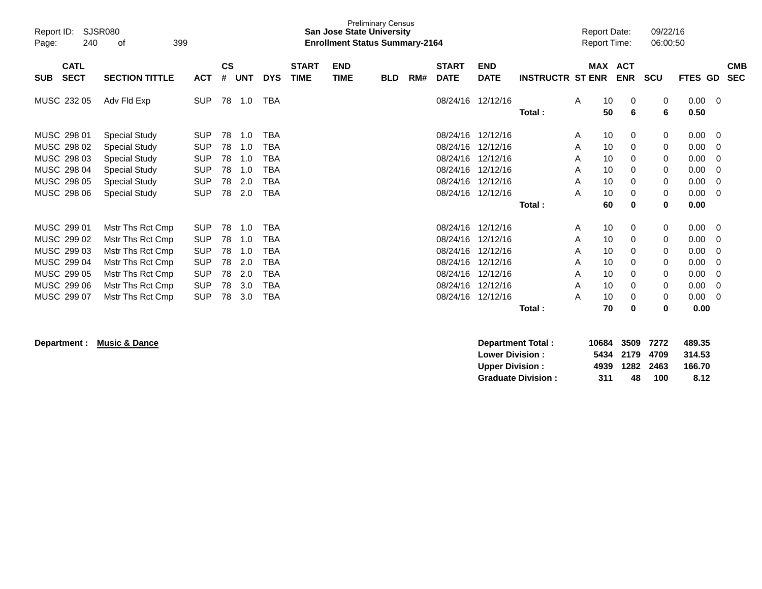| Report ID:<br>240<br>Page:               | SJSR080<br>399<br>οf                 |                          |                    |            |            |                             | <b>San Jose State University</b><br><b>Enrollment Status Summary-2164</b> | <b>Preliminary Census</b> |     |                             |                           |                         |        | <b>Report Date:</b><br><b>Report Time:</b> |                          | 09/22/16<br>06:00:50 |                |                          |
|------------------------------------------|--------------------------------------|--------------------------|--------------------|------------|------------|-----------------------------|---------------------------------------------------------------------------|---------------------------|-----|-----------------------------|---------------------------|-------------------------|--------|--------------------------------------------|--------------------------|----------------------|----------------|--------------------------|
| <b>CATL</b><br><b>SECT</b><br><b>SUB</b> | <b>SECTION TITTLE</b>                | <b>ACT</b>               | $\mathsf{cs}$<br># | <b>UNT</b> | <b>DYS</b> | <b>START</b><br><b>TIME</b> | <b>END</b><br><b>TIME</b>                                                 | <b>BLD</b>                | RM# | <b>START</b><br><b>DATE</b> | <b>END</b><br><b>DATE</b> | <b>INSTRUCTR ST ENR</b> |        | <b>MAX</b>                                 | <b>ACT</b><br><b>ENR</b> | <b>SCU</b>           | <b>FTES GD</b> | <b>CMB</b><br><b>SEC</b> |
|                                          |                                      |                          |                    |            |            |                             |                                                                           |                           |     |                             |                           |                         |        |                                            |                          |                      |                |                          |
| MUSC 232 05                              | Adv Fld Exp                          | <b>SUP</b>               | 78                 | 1.0        | <b>TBA</b> |                             |                                                                           |                           |     | 08/24/16                    | 12/12/16                  |                         | A      | 10<br>50                                   | 0<br>6                   | 0<br>6               | 0.00<br>0.50   | - 0                      |
|                                          |                                      |                          |                    |            |            |                             |                                                                           |                           |     |                             |                           | Total:                  |        |                                            |                          |                      |                |                          |
| MUSC 298 01                              | <b>Special Study</b>                 | <b>SUP</b>               | 78                 | 1.0        | <b>TBA</b> |                             |                                                                           |                           |     | 08/24/16                    | 12/12/16                  |                         | A      | 10                                         | 0                        | 0                    | 0.00           | - 0                      |
| MUSC 298 02                              | <b>Special Study</b>                 | <b>SUP</b>               | 78                 | 1.0        | <b>TBA</b> |                             |                                                                           |                           |     | 08/24/16                    | 12/12/16                  |                         | A      | 10                                         | 0                        | 0                    | 0.00           | 0                        |
| MUSC 298 03                              | <b>Special Study</b>                 | <b>SUP</b>               | 78                 | 1.0        | <b>TBA</b> |                             |                                                                           |                           |     | 08/24/16                    | 12/12/16                  |                         | A      | 10                                         | 0                        | 0                    | 0.00           | 0                        |
| MUSC 298 04                              | <b>Special Study</b>                 | <b>SUP</b>               | 78                 | 1.0        | <b>TBA</b> |                             |                                                                           |                           |     | 08/24/16                    | 12/12/16                  |                         | A      | 10                                         | 0                        | 0                    | 0.00           | 0                        |
| MUSC 298 05                              | <b>Special Study</b>                 | <b>SUP</b>               | 78                 | 2.0        | <b>TBA</b> |                             |                                                                           |                           |     | 08/24/16                    | 12/12/16                  |                         | A      | 10                                         | 0                        | 0                    | 0.00           | 0                        |
| MUSC 298 06                              | <b>Special Study</b>                 | <b>SUP</b>               | 78                 | 2.0        | <b>TBA</b> |                             |                                                                           |                           |     |                             | 08/24/16 12/12/16         |                         | Α      | 10                                         | 0                        | 0                    | 0.00           | $\overline{0}$           |
|                                          |                                      |                          |                    |            |            |                             |                                                                           |                           |     |                             |                           | Total:                  |        | 60                                         | 0                        | 0                    | 0.00           |                          |
| MUSC 299 01                              |                                      |                          |                    | 1.0        | <b>TBA</b> |                             |                                                                           |                           |     | 08/24/16                    | 12/12/16                  |                         |        |                                            |                          |                      |                |                          |
| MUSC 299 02                              | Mstr Ths Rct Cmp<br>Mstr Ths Rct Cmp | <b>SUP</b><br><b>SUP</b> | 78<br>78           | 1.0        | <b>TBA</b> |                             |                                                                           |                           |     | 08/24/16                    | 12/12/16                  |                         | A<br>A | 10<br>10                                   | 0<br>0                   | 0<br>0               | 0.00<br>0.00   | - 0<br>0                 |
| MUSC 299 03                              | Mstr Ths Rct Cmp                     | <b>SUP</b>               | 78                 | 1.0        | <b>TBA</b> |                             |                                                                           |                           |     | 08/24/16                    | 12/12/16                  |                         | A      | 10                                         | 0                        | 0                    | 0.00           | 0                        |
| MUSC 299 04                              | Mstr Ths Rct Cmp                     | <b>SUP</b>               | 78                 | 2.0        | <b>TBA</b> |                             |                                                                           |                           |     | 08/24/16                    | 12/12/16                  |                         | A      | 10                                         | 0                        | 0                    | 0.00           | 0                        |
| MUSC 299 05                              | Mstr Ths Rct Cmp                     | <b>SUP</b>               | 78                 | 2.0        | <b>TBA</b> |                             |                                                                           |                           |     | 08/24/16                    | 12/12/16                  |                         | A      | 10                                         | 0                        | 0                    | 0.00           | $\Omega$                 |
| MUSC 299 06                              | Mstr Ths Rct Cmp                     | <b>SUP</b>               | 78                 | 3.0        | <b>TBA</b> |                             |                                                                           |                           |     | 08/24/16                    | 12/12/16                  |                         | A      | 10                                         | 0                        | 0                    | 0.00           | $\Omega$                 |
| MUSC 299 07                              | Mstr Ths Rct Cmp                     | <b>SUP</b>               | 78                 | 3.0        | <b>TBA</b> |                             |                                                                           |                           |     | 08/24/16                    | 12/12/16                  |                         | A      | 10                                         | 0                        | 0                    | 0.00           | $\Omega$                 |
|                                          |                                      |                          |                    |            |            |                             |                                                                           |                           |     |                             |                           | Total:                  |        | 70                                         | 0                        | 0                    | 0.00           |                          |
|                                          |                                      |                          |                    |            |            |                             |                                                                           |                           |     |                             |                           |                         |        |                                            |                          |                      |                |                          |
|                                          |                                      |                          |                    |            |            |                             |                                                                           |                           |     |                             |                           |                         |        |                                            |                          |                      |                |                          |

**Department : Music & Dance** 

| Department Total:         | 10684 3509 7272 |                |     | 489.35 |
|---------------------------|-----------------|----------------|-----|--------|
| <b>Lower Division:</b>    |                 | 5434 2179 4709 |     | 314.53 |
| Upper Division:           |                 | 4939 1282 2463 |     | 166.70 |
| <b>Graduate Division:</b> | 311             | 48.            | 100 | 8.12   |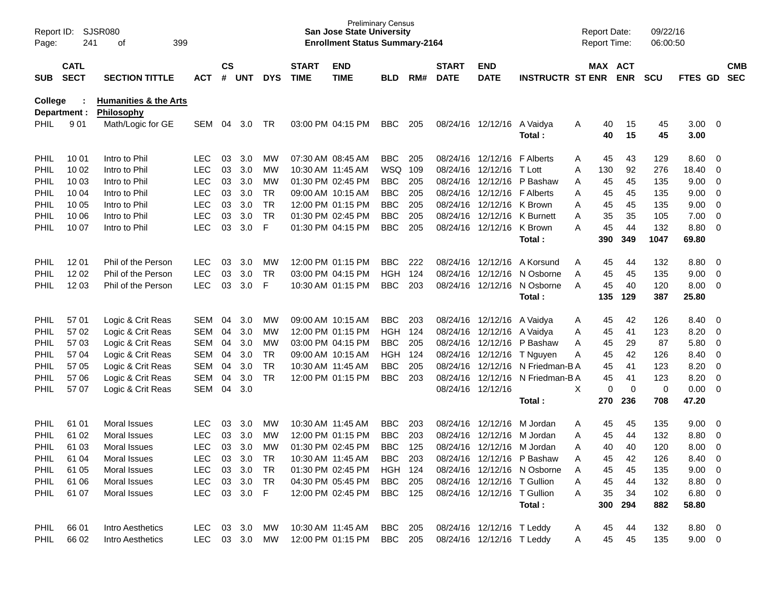| Page:       | SJSR080<br>Report ID:<br>241<br>399<br>оf |                                                       |               | <b>CS</b> |        |            |                             | <b>Preliminary Census</b><br><b>San Jose State University</b><br><b>Enrollment Status Summary-2164</b> |                |       |                             |                             |                             |               | <b>Report Date:</b><br>Report Time: | 09/22/16<br>06:00:50 |                |                          |                          |
|-------------|-------------------------------------------|-------------------------------------------------------|---------------|-----------|--------|------------|-----------------------------|--------------------------------------------------------------------------------------------------------|----------------|-------|-----------------------------|-----------------------------|-----------------------------|---------------|-------------------------------------|----------------------|----------------|--------------------------|--------------------------|
| <b>SUB</b>  | <b>CATL</b><br><b>SECT</b>                | <b>SECTION TITTLE</b>                                 | <b>ACT</b>    | #         | UNT    | <b>DYS</b> | <b>START</b><br><b>TIME</b> | <b>END</b><br><b>TIME</b>                                                                              | BLD            | RM#   | <b>START</b><br><b>DATE</b> | <b>END</b><br><b>DATE</b>   | <b>INSTRUCTR ST ENR</b>     |               | MAX ACT<br><b>ENR</b>               | <b>SCU</b>           | <b>FTES GD</b> |                          | <b>CMB</b><br><b>SEC</b> |
| College     | Department :                              | <b>Humanities &amp; the Arts</b><br><b>Philosophy</b> |               |           |        |            |                             |                                                                                                        |                |       |                             |                             |                             |               |                                     |                      |                |                          |                          |
| <b>PHIL</b> | 901                                       | Math/Logic for GE                                     | <b>SEM</b>    | 04        | 3.0    | TR         |                             | 03:00 PM 04:15 PM                                                                                      | <b>BBC</b>     | 205   |                             | 08/24/16 12/12/16           | A Vaidya<br>Total:          | 40<br>Α<br>40 | 15<br>15                            | 45<br>45             | 3.00<br>3.00   | $\overline{\phantom{0}}$ |                          |
| PHIL        | 10 01                                     | Intro to Phil                                         | LEC.          | 03        | 3.0    | MW         |                             | 07:30 AM 08:45 AM                                                                                      | <b>BBC</b>     | 205   |                             | 08/24/16 12/12/16           | <b>F</b> Alberts            | 45<br>Α       | 43                                  | 129                  | 8.60           | $\overline{\mathbf{0}}$  |                          |
| PHIL        | 10 02                                     | Intro to Phil                                         | <b>LEC</b>    | 03        | 3.0    | МW         |                             | 10:30 AM 11:45 AM                                                                                      | WSQ            | 109   |                             | 08/24/16 12/12/16           | T Lott                      | 130<br>Α      | 92                                  | 276                  | 18.40          | 0                        |                          |
| <b>PHIL</b> | 10 03                                     | Intro to Phil                                         | <b>LEC</b>    | 03        | 3.0    | МW         |                             | 01:30 PM 02:45 PM                                                                                      | <b>BBC</b>     | 205   |                             | 08/24/16 12/12/16           | P Bashaw                    | 45<br>Α       | 45                                  | 135                  | 9.00           | 0                        |                          |
| <b>PHIL</b> | 10 04                                     | Intro to Phil                                         | <b>LEC</b>    | 03        | 3.0    | <b>TR</b>  |                             | 09:00 AM 10:15 AM                                                                                      | <b>BBC</b>     | 205   |                             | 08/24/16 12/12/16           | <b>F</b> Alberts            | 45<br>Α       | 45                                  | 135                  | 9.00           | $\mathbf 0$              |                          |
| <b>PHIL</b> | 10 05                                     | Intro to Phil                                         | <b>LEC</b>    | 03        | 3.0    | <b>TR</b>  |                             | 12:00 PM 01:15 PM                                                                                      | <b>BBC</b>     | 205   |                             | 08/24/16 12/12/16           | K Brown                     | Α<br>45       | 45                                  | 135                  | 9.00           | $\overline{0}$           |                          |
| <b>PHIL</b> | 10 06                                     | Intro to Phil                                         | <b>LEC</b>    | 03        | 3.0    | <b>TR</b>  |                             | 01:30 PM 02:45 PM                                                                                      | <b>BBC</b>     | 205   |                             | 08/24/16 12/12/16           | K Burnett                   | 35<br>Α       | 35                                  | 105                  | 7.00           | $\overline{0}$           |                          |
| <b>PHIL</b> | 10 07                                     | Intro to Phil                                         | <b>LEC</b>    | 03        | 3.0    | F          |                             | 01:30 PM 04:15 PM                                                                                      | <b>BBC</b>     | 205   |                             | 08/24/16 12/12/16           | K Brown                     | 45<br>Α       | 44                                  | 132                  | 8.80           | $\overline{0}$           |                          |
|             |                                           |                                                       |               |           |        |            |                             |                                                                                                        |                |       |                             |                             | Total:                      | 390           | 349                                 | 1047                 | 69.80          |                          |                          |
| PHIL        | 12 01                                     | Phil of the Person                                    | <b>LEC</b>    | 03        | 3.0    | MW         |                             | 12:00 PM 01:15 PM                                                                                      | <b>BBC</b>     | 222   |                             | 08/24/16 12/12/16           | A Korsund                   | 45<br>Α       | 44                                  | 132                  | 8.80           | $\overline{\mathbf{0}}$  |                          |
| PHIL        | 12 02                                     | Phil of the Person                                    | <b>LEC</b>    | 03        | 3.0    | TR         |                             | 03:00 PM 04:15 PM                                                                                      | <b>HGH</b>     | 124   |                             | 08/24/16 12/12/16           | N Osborne                   | 45<br>Α       | 45                                  | 135                  | 9.00           | $\overline{0}$           |                          |
| <b>PHIL</b> | 12 03                                     | Phil of the Person                                    | <b>LEC</b>    | 03        | 3.0    | F          |                             | 10:30 AM 01:15 PM                                                                                      | <b>BBC</b>     | 203   |                             | 08/24/16 12/12/16           | N Osborne                   | 45<br>A       | 40                                  | 120                  | 8.00           | $\overline{\mathbf{0}}$  |                          |
|             |                                           |                                                       |               |           |        |            |                             |                                                                                                        |                |       |                             |                             | Total:                      | 135           | 129                                 | 387                  | 25.80          |                          |                          |
| PHIL        | 57 01                                     | Logic & Crit Reas                                     | <b>SEM</b>    | 04        | 3.0    | MW         |                             | 09:00 AM 10:15 AM                                                                                      | <b>BBC</b>     | 203   |                             | 08/24/16 12/12/16           | A Vaidya                    | 45<br>A       | 42                                  | 126                  | 8.40           | $\overline{\mathbf{0}}$  |                          |
| PHIL        | 57 02                                     | Logic & Crit Reas                                     | <b>SEM</b>    | 04        | 3.0    | MW         |                             | 12:00 PM 01:15 PM                                                                                      | <b>HGH</b>     | - 124 |                             | 08/24/16 12/12/16           | A Vaidya                    | 45<br>Α       | 41                                  | 123                  | 8.20           | 0                        |                          |
| PHIL        | 57 03                                     | Logic & Crit Reas                                     | SEM           | 04        | 3.0    | MW         |                             | 03:00 PM 04:15 PM                                                                                      | <b>BBC</b>     | 205   |                             | 08/24/16 12/12/16           | P Bashaw                    | 45<br>Α       | 29                                  | 87                   | 5.80           | $\mathbf 0$              |                          |
| <b>PHIL</b> | 57 04                                     | Logic & Crit Reas                                     | SEM           | 04        | 3.0    | <b>TR</b>  |                             | 09:00 AM 10:15 AM                                                                                      | <b>HGH</b>     | - 124 |                             |                             | 08/24/16 12/12/16 T Nguyen  | 45<br>Α       | 42                                  | 126                  | 8.40           | $\mathbf 0$              |                          |
| <b>PHIL</b> | 57 05                                     | Logic & Crit Reas                                     | SEM           | 04        | 3.0    | <b>TR</b>  |                             | 10:30 AM 11:45 AM                                                                                      | <b>BBC</b>     | 205   |                             | 08/24/16 12/12/16           | N Friedman-B A              | 45            | 41                                  | 123                  | 8.20           | $\overline{0}$           |                          |
| PHIL        | 57 06                                     | Logic & Crit Reas                                     | SEM           | 04        | 3.0    | <b>TR</b>  |                             | 12:00 PM 01:15 PM                                                                                      | <b>BBC</b>     | 203   |                             | 08/24/16 12/12/16           | N Friedman-B A              | 45            | 41                                  | 123                  | 8.20           | $\mathbf 0$              |                          |
| <b>PHIL</b> | 57 07                                     | Logic & Crit Reas                                     | SEM           | 04        | 3.0    |            |                             |                                                                                                        |                |       |                             | 08/24/16 12/12/16           |                             | Χ             | 0<br>$\mathbf 0$                    | 0                    | 0.00           | $\overline{0}$           |                          |
|             |                                           |                                                       |               |           |        |            |                             |                                                                                                        |                |       |                             |                             | Total:                      | 270           | 236                                 | 708                  | 47.20          |                          |                          |
| PHIL        | 61 01                                     | <b>Moral Issues</b>                                   | <b>LEC</b>    | 03        | 3.0    | <b>MW</b>  |                             | 10:30 AM 11:45 AM                                                                                      | <b>BBC</b>     | 203   |                             | 08/24/16 12/12/16           | M Jordan                    | 45<br>Α       | 45                                  | 135                  | 9.00           | $\overline{\mathbf{0}}$  |                          |
| <b>PHIL</b> | 61 02                                     | <b>Moral Issues</b>                                   | <b>LEC</b>    | 03        | 3.0    | MW         |                             | 12:00 PM 01:15 PM                                                                                      | <b>BBC</b>     | 203   |                             | 08/24/16 12/12/16           | M Jordan                    | 45<br>Α       | 44                                  | 132                  | 8.80           | 0                        |                          |
| <b>PHIL</b> | 61 03                                     | Moral Issues                                          | <b>LEC</b>    | 03        | 3.0    | MW         |                             | 01:30 PM 02:45 PM                                                                                      | <b>BBC</b>     | 125   |                             | 08/24/16 12/12/16           | M Jordan                    | 40<br>Α       | 40                                  | 120                  | 8.00           | 0                        |                          |
| <b>PHIL</b> | 61 04                                     | Moral Issues                                          | LEC.          |           | 03 3.0 | TR         |                             | 10:30 AM 11:45 AM                                                                                      | <b>BBC</b> 203 |       |                             |                             | 08/24/16 12/12/16 P Bashaw  | 45<br>Α       | 42                                  | 126                  | 8.40 0         |                          |                          |
| <b>PHIL</b> | 61 05                                     | Moral Issues                                          | <b>LEC</b>    |           | 03 3.0 | TR         |                             | 01:30 PM 02:45 PM                                                                                      | <b>HGH 124</b> |       |                             |                             | 08/24/16 12/12/16 N Osborne | 45<br>A       | 45                                  | 135                  | $9.00 \t 0$    |                          |                          |
| PHIL        | 61 06                                     | Moral Issues                                          | <b>LEC</b>    |           | 03 3.0 | TR         |                             | 04:30 PM 05:45 PM                                                                                      | BBC 205        |       |                             | 08/24/16 12/12/16 T Gullion |                             | 45<br>A       | 44                                  | 132                  | 8.80 0         |                          |                          |
| PHIL        | 61 07                                     | Moral Issues                                          | <b>LEC</b>    |           | 03 3.0 | - F        |                             | 12:00 PM 02:45 PM                                                                                      | <b>BBC</b> 125 |       |                             | 08/24/16 12/12/16 T Gullion |                             | 35<br>A       | 34                                  | 102                  | $6.80\ 0$      |                          |                          |
|             |                                           |                                                       |               |           |        |            |                             |                                                                                                        |                |       |                             |                             | Total:                      | 300           | 294                                 | 882                  | 58.80          |                          |                          |
| PHIL        | 66 01                                     | Intro Aesthetics                                      | LEC           |           | 03 3.0 | MW         |                             | 10:30 AM 11:45 AM                                                                                      | BBC 205        |       |                             | 08/24/16 12/12/16 T Leddy   |                             | 45<br>A       | 44                                  | 132                  | 8.80 0         |                          |                          |
| PHIL        | 66 02                                     | Intro Aesthetics                                      | LEC 03 3.0 MW |           |        |            |                             | 12:00 PM 01:15 PM                                                                                      | BBC 205        |       |                             | 08/24/16 12/12/16 T Leddy   |                             | 45<br>A       | 45                                  | 135                  | $9.00 \t 0$    |                          |                          |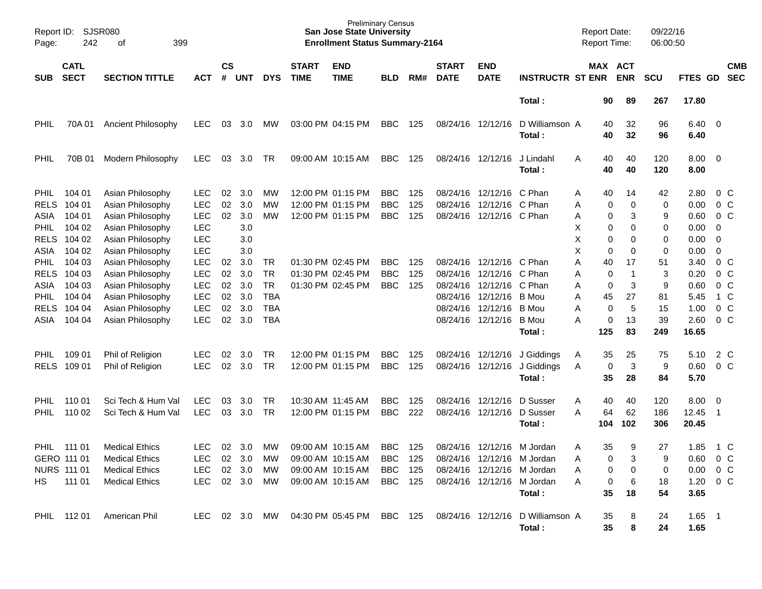| Report ID:<br>Page: | SJSR080<br>242             | 399<br>оf                            |                          |                |            |                 |                             | <b>San Jose State University</b><br><b>Enrollment Status Summary-2164</b> | Preliminary Census       |            |                             |                                        |                                  | <b>Report Date:</b><br><b>Report Time:</b> |          |                       | 09/22/16<br>06:00:50 |                  |                         |                                  |
|---------------------|----------------------------|--------------------------------------|--------------------------|----------------|------------|-----------------|-----------------------------|---------------------------------------------------------------------------|--------------------------|------------|-----------------------------|----------------------------------------|----------------------------------|--------------------------------------------|----------|-----------------------|----------------------|------------------|-------------------------|----------------------------------|
| <b>SUB</b>          | <b>CATL</b><br><b>SECT</b> | <b>SECTION TITTLE</b>                | ACT                      | <b>CS</b><br># | UNT        | <b>DYS</b>      | <b>START</b><br><b>TIME</b> | <b>END</b><br><b>TIME</b>                                                 | <b>BLD</b>               | RM#        | <b>START</b><br><b>DATE</b> | <b>END</b><br><b>DATE</b>              | <b>INSTRUCTR ST ENR</b>          |                                            |          | MAX ACT<br><b>ENR</b> | <b>SCU</b>           | <b>FTES GD</b>   |                         | <b>CMB</b><br><b>SEC</b>         |
|                     |                            |                                      |                          |                |            |                 |                             |                                                                           |                          |            |                             |                                        | Total:                           |                                            | 90       | 89                    | 267                  | 17.80            |                         |                                  |
| <b>PHIL</b>         | 70A 01                     | <b>Ancient Philosophy</b>            | <b>LEC</b>               | 03             | 3.0        | MW.             |                             | 03:00 PM 04:15 PM                                                         | <b>BBC</b>               | 125        | 08/24/16 12/12/16           |                                        | D Williamson A<br>Total:         |                                            | 40<br>40 | 32<br>32              | 96<br>96             | 6.40<br>6.40     | $\overline{\mathbf{0}}$ |                                  |
| <b>PHIL</b>         | 70B 01                     | <b>Modern Philosophy</b>             | <b>LEC</b>               | 03             | 3.0        | <b>TR</b>       |                             | 09:00 AM 10:15 AM                                                         | <b>BBC</b>               | 125        |                             | 08/24/16 12/12/16                      | J Lindahl<br>Total:              | Α                                          | 40<br>40 | 40<br>40              | 120<br>120           | 8.00<br>8.00     | - 0                     |                                  |
| <b>PHIL</b>         | 104 01                     | Asian Philosophy                     | <b>LEC</b>               | 02             | 3.0        | <b>MW</b>       |                             | 12:00 PM 01:15 PM                                                         | <b>BBC</b>               | 125        |                             | 08/24/16 12/12/16                      | C Phan                           | A                                          | 40       | 14                    | 42                   | 2.80             |                         | $0\,$ C                          |
| <b>RELS</b>         | 104 01                     | Asian Philosophy                     | <b>LEC</b>               | 02             | 3.0        | MW              |                             | 12:00 PM 01:15 PM                                                         | <b>BBC</b>               | 125        |                             | 08/24/16 12/12/16                      | C Phan                           | Α                                          | 0        | 0                     | 0                    | 0.00             |                         | 0 <sup>o</sup>                   |
| ASIA                | 104 01                     | Asian Philosophy                     | <b>LEC</b>               | 02             | 3.0        | MW              |                             | 12:00 PM 01:15 PM                                                         | <b>BBC</b>               | 125        |                             | 08/24/16 12/12/16 C Phan               |                                  | Α                                          | 0        | 3                     | 9                    | 0.60             |                         | 0 <sup>o</sup>                   |
| <b>PHIL</b>         | 104 02                     | Asian Philosophy                     | <b>LEC</b>               |                | 3.0        |                 |                             |                                                                           |                          |            |                             |                                        |                                  | X                                          | 0        | 0                     | 0                    | 0.00             | 0                       |                                  |
| <b>RELS</b>         | 104 02                     | Asian Philosophy                     | <b>LEC</b>               |                | 3.0        |                 |                             |                                                                           |                          |            |                             |                                        |                                  | X                                          | 0        | 0                     | 0                    | 0.00             | 0                       |                                  |
| ASIA                | 104 02                     | Asian Philosophy                     | <b>LEC</b>               |                | 3.0        |                 |                             |                                                                           |                          |            |                             |                                        |                                  | X                                          | 0        | 0                     | 0                    | 0.00             | 0                       |                                  |
| <b>PHIL</b>         | 104 03                     | Asian Philosophy                     | <b>LEC</b>               | 02             | 3.0        | TR              |                             | 01:30 PM 02:45 PM                                                         | <b>BBC</b>               | 125        |                             | 08/24/16 12/12/16<br>08/24/16 12/12/16 | C Phan                           | Α                                          | 40       | 17<br>-1              | 51                   | 3.40             |                         | $0\,$ C                          |
| <b>RELS</b><br>ASIA | 104 03<br>104 03           | Asian Philosophy<br>Asian Philosophy | <b>LEC</b><br><b>LEC</b> | 02<br>02       | 3.0<br>3.0 | TR<br><b>TR</b> |                             | 01:30 PM 02:45 PM<br>01:30 PM 02:45 PM                                    | <b>BBC</b><br><b>BBC</b> | 125<br>125 |                             | 08/24/16 12/12/16                      | C Phan<br>C Phan                 | Α                                          | 0<br>0   | 3                     | 3<br>9               | 0.20<br>0.60     |                         | 0 <sup>o</sup><br>0 <sup>o</sup> |
| <b>PHIL</b>         | 104 04                     | Asian Philosophy                     | <b>LEC</b>               | 02             | 3.0        | <b>TBA</b>      |                             |                                                                           |                          |            |                             | 08/24/16 12/12/16                      | B Mou                            | Α<br>A                                     | 45       | 27                    | 81                   | 5.45             |                         | 1 C                              |
| <b>RELS</b>         | 104 04                     | Asian Philosophy                     | LEC                      | 02             | 3.0        | <b>TBA</b>      |                             |                                                                           |                          |            |                             | 08/24/16 12/12/16                      | B Mou                            | Α                                          | 0        | 5                     | 15                   | 1.00             |                         | 0 <sup>o</sup>                   |
| ASIA                | 104 04                     | Asian Philosophy                     | <b>LEC</b>               | 02             | 3.0        | <b>TBA</b>      |                             |                                                                           |                          |            |                             | 08/24/16 12/12/16                      | B Mou                            | Α                                          | 0        | 13                    | 39                   | 2.60             |                         | 0 <sup>o</sup>                   |
|                     |                            |                                      |                          |                |            |                 |                             |                                                                           |                          |            |                             |                                        | Total:                           |                                            | 125      | 83                    | 249                  | 16.65            |                         |                                  |
|                     |                            |                                      |                          |                |            |                 |                             |                                                                           |                          |            |                             |                                        |                                  |                                            |          |                       |                      |                  |                         |                                  |
| <b>PHIL</b>         | 109 01                     | Phil of Religion                     | <b>LEC</b>               | 02             | 3.0        | TR              |                             | 12:00 PM 01:15 PM                                                         | <b>BBC</b>               | 125        |                             | 08/24/16 12/12/16                      | J Giddings                       | A                                          | 35       | 25                    | 75                   | 5.10             |                         | 2 C                              |
| <b>RELS</b>         | 109 01                     | Phil of Religion                     | <b>LEC</b>               | 02             | 3.0        | TR              |                             | 12:00 PM 01:15 PM                                                         | <b>BBC</b>               | 125        |                             | 08/24/16 12/12/16                      | J Giddings                       | A                                          | 0        | 3                     | 9                    | 0.60             |                         | 0 <sup>o</sup>                   |
|                     |                            |                                      |                          |                |            |                 |                             |                                                                           |                          |            |                             |                                        | Total:                           |                                            | 35       | 28                    | 84                   | 5.70             |                         |                                  |
| PHIL.               | 110 01                     | Sci Tech & Hum Val                   | <b>LEC</b>               | 03             | 3.0        | <b>TR</b>       | 10:30 AM 11:45 AM           |                                                                           | <b>BBC</b>               | 125        |                             | 08/24/16 12/12/16                      | D Susser                         | Α                                          | 40       | 40                    | 120                  | 8.00             | - 0                     |                                  |
| <b>PHIL</b>         | 110 02                     | Sci Tech & Hum Val                   | <b>LEC</b>               | 03             | 3.0        | TR              |                             | 12:00 PM 01:15 PM                                                         | <b>BBC</b>               | 222        |                             | 08/24/16 12/12/16                      | D Susser                         | A                                          | 64       | 62                    | 186                  | 12.45            | -1                      |                                  |
|                     |                            |                                      |                          |                |            |                 |                             |                                                                           |                          |            |                             |                                        | Total:                           |                                            | 104      | 102                   | 306                  | 20.45            |                         |                                  |
| PHIL                | 111 01                     | <b>Medical Ethics</b>                | <b>LEC</b>               | 02             | 3.0        | MW              |                             | 09:00 AM 10:15 AM                                                         | <b>BBC</b>               | 125        |                             | 08/24/16 12/12/16                      | M Jordan                         | A                                          | 35       | 9                     | 27                   | 1.85             |                         | 1 C                              |
| GERO 111 01         |                            | <b>Medical Ethics</b>                | LEC                      |                | 02 3.0     | MW              |                             | 09:00 AM 10:15 AM                                                         | <b>BBC</b> 125           |            |                             |                                        | 08/24/16 12/12/16 M Jordan       |                                            | 0        | 3                     | 9                    | $0.60 \t 0 \t C$ |                         |                                  |
| NURS 111 01         |                            | <b>Medical Ethics</b>                | LEC                      |                | 02 3.0     | MW              |                             | 09:00 AM 10:15 AM                                                         | BBC 125                  |            |                             |                                        | 08/24/16 12/12/16 M Jordan       | Α                                          | 0        | 0                     | 0                    | $0.00 \t 0 C$    |                         |                                  |
| HS.                 | 111 01                     | <b>Medical Ethics</b>                | LEC 02 3.0               |                |            | MW              |                             | 09:00 AM 10:15 AM                                                         | <b>BBC</b> 125           |            |                             |                                        | 08/24/16 12/12/16 M Jordan       | A                                          | 0        | 6                     | 18                   | $1.20 \t 0 C$    |                         |                                  |
|                     |                            |                                      |                          |                |            |                 |                             |                                                                           |                          |            |                             |                                        | Total:                           |                                            | 35       | 18                    | 54                   | 3.65             |                         |                                  |
|                     | PHIL 112 01                | American Phil                        |                          |                |            |                 |                             | LEC 02 3.0 MW 04:30 PM 05:45 PM BBC 125                                   |                          |            |                             |                                        | 08/24/16 12/12/16 D Williamson A |                                            | 35       | 8                     | 24                   | $1.65$ 1         |                         |                                  |
|                     |                            |                                      |                          |                |            |                 |                             |                                                                           |                          |            |                             |                                        | Total:                           |                                            | 35       | 8                     | 24                   | 1.65             |                         |                                  |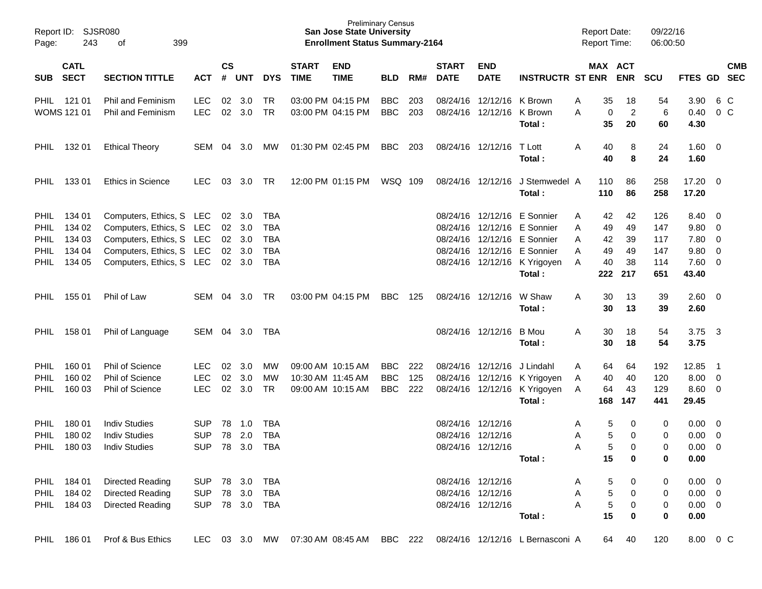| Page:                                             | Report ID: SJSR080<br>243<br>399<br>0f              |                                                                                                                                          |                                        |                    |                                                          | <b>Preliminary Census</b><br><b>San Jose State University</b><br><b>Enrollment Status Summary-2164</b> |                             |                                                             |                                        |                   |                             | <b>Report Date:</b>                                         | Report Time:                                                                                                                                                       | 09/22/16<br>06:00:50         |                                                                 |                                        |                                                      |                                                                               |            |
|---------------------------------------------------|-----------------------------------------------------|------------------------------------------------------------------------------------------------------------------------------------------|----------------------------------------|--------------------|----------------------------------------------------------|--------------------------------------------------------------------------------------------------------|-----------------------------|-------------------------------------------------------------|----------------------------------------|-------------------|-----------------------------|-------------------------------------------------------------|--------------------------------------------------------------------------------------------------------------------------------------------------------------------|------------------------------|-----------------------------------------------------------------|----------------------------------------|------------------------------------------------------|-------------------------------------------------------------------------------|------------|
| <b>SUB</b>                                        | <b>CATL</b><br><b>SECT</b>                          | <b>SECTION TITTLE</b>                                                                                                                    | <b>ACT</b>                             | $\mathsf{cs}$<br># | <b>UNT</b>                                               | <b>DYS</b>                                                                                             | <b>START</b><br><b>TIME</b> | <b>END</b><br><b>TIME</b>                                   | <b>BLD</b>                             | RM#               | <b>START</b><br><b>DATE</b> | <b>END</b><br><b>DATE</b>                                   | <b>INSTRUCTR ST ENR ENR</b>                                                                                                                                        |                              | MAX ACT                                                         | <b>SCU</b>                             | FTES GD SEC                                          |                                                                               | <b>CMB</b> |
|                                                   | PHIL 121 01<br>WOMS 121 01                          | Phil and Feminism<br>Phil and Feminism                                                                                                   | <b>LEC</b><br><b>LEC</b>               | 02<br>02           | 3.0<br>3.0                                               | TR<br><b>TR</b>                                                                                        |                             | 03:00 PM 04:15 PM<br>03:00 PM 04:15 PM                      | <b>BBC</b><br><b>BBC</b>               | 203<br>203        |                             | 08/24/16 12/12/16 K Brown<br>08/24/16 12/12/16              | K Brown<br>Total:                                                                                                                                                  | Α<br>A                       | 35<br>18<br>$\overline{2}$<br>$\mathbf 0$<br>35<br>20           | 54<br>6<br>60                          | 3.90<br>0.40<br>4.30                                 | 6 C<br>$0\,C$                                                                 |            |
| PHIL                                              | 132 01                                              | <b>Ethical Theory</b>                                                                                                                    | SEM                                    | 04                 | 3.0                                                      | МW                                                                                                     |                             | 01:30 PM 02:45 PM                                           | <b>BBC</b>                             | 203               |                             | 08/24/16 12/12/16                                           | T Lott<br>Total:                                                                                                                                                   | Α                            | 8<br>40<br>40<br>8                                              | 24<br>24                               | $1.60 \quad 0$<br>1.60                               |                                                                               |            |
| <b>PHIL</b>                                       | 133 01                                              | <b>Ethics in Science</b>                                                                                                                 | <b>LEC</b>                             | 03                 | 3.0                                                      | TR                                                                                                     |                             | 12:00 PM 01:15 PM                                           | WSQ 109                                |                   |                             | 08/24/16 12/12/16                                           | J Stemwedel A<br>Total:                                                                                                                                            | 110<br>110                   | 86<br>86                                                        | 258<br>258                             | $17.20 \t 0$<br>17.20                                |                                                                               |            |
| <b>PHIL</b><br>PHIL<br><b>PHIL</b><br><b>PHIL</b> | PHIL 134 01<br>134 02<br>134 03<br>134 04<br>134 05 | Computers, Ethics, S LEC<br>Computers, Ethics, S LEC<br>Computers, Ethics, S LEC<br>Computers, Ethics, S LEC<br>Computers, Ethics, S LEC |                                        | 02<br>02           | $02 \quad 3.0$<br>3.0<br>3.0<br>02 3.0<br>$02 \quad 3.0$ | TBA<br><b>TBA</b><br><b>TBA</b><br><b>TBA</b><br><b>TBA</b>                                            |                             |                                                             |                                        |                   |                             |                                                             | 08/24/16 12/12/16 E Sonnier<br>08/24/16 12/12/16 E Sonnier<br>08/24/16 12/12/16 E Sonnier<br>08/24/16 12/12/16 E Sonnier<br>08/24/16 12/12/16 K Yrigoyen<br>Total: | Α<br>Α<br>Α<br>Α<br>A<br>222 | 42<br>42<br>49<br>49<br>42<br>39<br>49<br>49<br>40<br>38<br>217 | 126<br>147<br>117<br>147<br>114<br>651 | 8.40<br>9.80<br>7.80<br>9.80<br>$7.60 \t 0$<br>43.40 | $\overline{\mathbf{0}}$<br>$\overline{0}$<br>$\overline{0}$<br>$\overline{0}$ |            |
| <b>PHIL</b>                                       | 155 01                                              | Phil of Law                                                                                                                              | SEM                                    | 04                 | 3.0                                                      | <b>TR</b>                                                                                              |                             | 03:00 PM 04:15 PM                                           | <b>BBC</b>                             | 125               |                             | 08/24/16 12/12/16                                           | W Shaw<br>Total:                                                                                                                                                   | A                            | 30<br>13<br>30<br>13                                            | 39<br>39                               | $2.60 \quad 0$<br>2.60                               |                                                                               |            |
| <b>PHIL</b>                                       | 158 01                                              | Phil of Language                                                                                                                         | SEM                                    | 04                 | 3.0                                                      | TBA                                                                                                    |                             |                                                             |                                        |                   |                             | 08/24/16 12/12/16                                           | <b>B</b> Mou<br>Total:                                                                                                                                             | Α                            | 18<br>30<br>30<br>18                                            | 54<br>54                               | 3.75<br>3.75                                         | $\overline{\mathbf{3}}$                                                       |            |
| <b>PHIL</b><br><b>PHIL</b><br><b>PHIL</b>         | 160 01<br>160 02<br>160 03                          | Phil of Science<br>Phil of Science<br>Phil of Science                                                                                    | <b>LEC</b><br><b>LEC</b><br><b>LEC</b> | 02<br>02<br>02     | 3.0<br>3.0<br>3.0                                        | МW<br>MW<br>TR                                                                                         |                             | 09:00 AM 10:15 AM<br>10:30 AM 11:45 AM<br>09:00 AM 10:15 AM | <b>BBC</b><br><b>BBC</b><br><b>BBC</b> | 222<br>125<br>222 |                             | 08/24/16 12/12/16<br>08/24/16 12/12/16                      | J Lindahl<br>08/24/16 12/12/16 K Yrigoyen<br>K Yrigoyen<br>Total:                                                                                                  | Α<br>A<br>A<br>168           | 64<br>64<br>40<br>40<br>64<br>43<br>147                         | 192<br>120<br>129<br>441               | 12.85<br>8.00<br>8.60 0<br>29.45                     | $\overline{1}$<br>$\overline{\mathbf{0}}$                                     |            |
| <b>PHIL</b><br>PHIL<br><b>PHIL</b>                | 180 01<br>180 02<br>180 03                          | <b>Indiv Studies</b><br><b>Indiv Studies</b><br><b>Indiv Studies</b>                                                                     | <b>SUP</b><br><b>SUP</b><br><b>SUP</b> | 78<br>78<br>78     | 1.0<br>2.0<br>3.0                                        | TBA<br><b>TBA</b><br><b>TBA</b>                                                                        |                             |                                                             |                                        |                   |                             | 08/24/16 12/12/16<br>08/24/16 12/12/16<br>08/24/16 12/12/16 | Total:                                                                                                                                                             | Α<br>Α<br>A                  | 5<br>0<br>5<br>0<br>5<br>$\Omega$<br>15<br>0                    | 0<br>0<br>$\Omega$<br>0                | 0.00<br>0.00<br>0.00<br>0.00                         | $\overline{\mathbf{0}}$<br>$\overline{0}$<br>$\overline{0}$                   |            |
|                                                   | PHIL 184 01<br>PHIL 184 02<br>PHIL 184 03           | Directed Reading<br><b>Directed Reading</b><br><b>Directed Reading</b>                                                                   | <b>SUP</b><br><b>SUP</b><br><b>SUP</b> | 78                 | 3.0<br>78 3.0<br>78 3.0                                  | TBA<br><b>TBA</b><br>TBA                                                                               |                             |                                                             |                                        |                   |                             | 08/24/16 12/12/16<br>08/24/16 12/12/16<br>08/24/16 12/12/16 | Total:                                                                                                                                                             | Α<br>Α                       | 5<br>0<br>$\,$ 5 $\,$<br>0<br>$\mathbf 5$<br>0<br>15<br>0       | 0<br>0<br>0<br>$\bf{0}$                | $0.00 \t 0$<br>$0.00 \t 0$<br>$0.00 \t 0$<br>0.00    |                                                                               |            |
|                                                   | PHIL 186 01                                         | Prof & Bus Ethics                                                                                                                        | LEC                                    |                    | 03 3.0                                                   | MW                                                                                                     |                             | 07:30 AM 08:45 AM                                           | BBC 222                                |                   |                             |                                                             | 08/24/16 12/12/16 L Bernasconi A                                                                                                                                   |                              | 64<br>40                                                        | 120                                    | 8.00                                                 | $0\,C$                                                                        |            |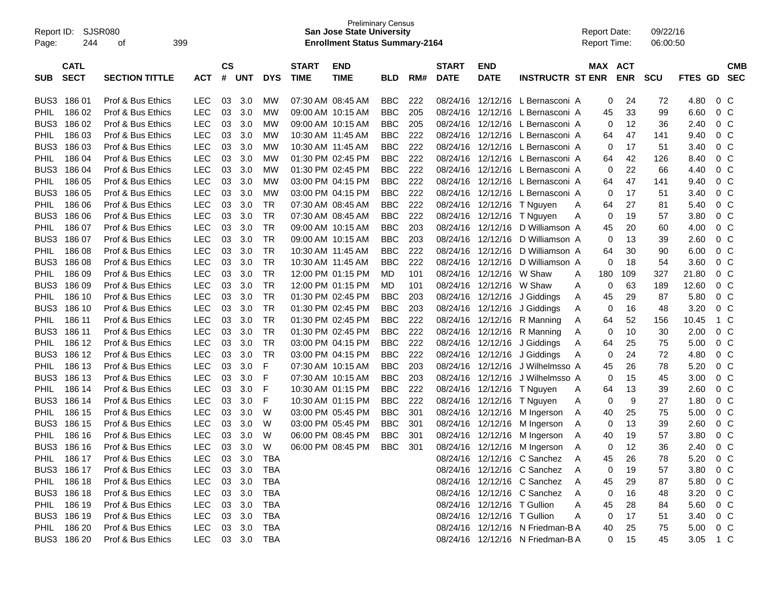| $\mathsf{cs}$<br><b>END</b><br>MAX ACT<br><b>CMB</b><br><b>CATL</b><br><b>START</b><br><b>END</b><br><b>START</b><br><b>SECT</b><br><b>SECTION TITTLE</b><br>#<br><b>UNT</b><br><b>TIME</b><br><b>TIME</b><br><b>DATE</b><br><b>DATE</b><br><b>INSTRUCTR ST ENR</b><br><b>ENR</b><br><b>SCU</b><br>FTES GD<br><b>SEC</b><br><b>ACT</b><br><b>DYS</b><br><b>BLD</b><br>RM#<br><b>SUB</b><br>18601<br>Prof & Bus Ethics<br>03<br>3.0<br>07:30 AM 08:45 AM<br>222<br>12/12/16<br>L Bernasconi A<br>24<br>0 C<br>BUS3<br>LEC<br>мw<br>BBC.<br>08/24/16<br>0<br>72<br>4.80<br><b>LEC</b><br>03<br>L Bernasconi A<br>6.60<br>0 <sup>o</sup><br>186 02<br>Prof & Bus Ethics<br>3.0<br>МW<br>09:00 AM 10:15 AM<br><b>BBC</b><br>205<br>08/24/16<br>12/12/16<br>33<br>99<br><b>PHIL</b><br>45<br>BUS3<br><b>LEC</b><br>12/12/16<br>12<br>0 <sup>o</sup><br>186 02<br>Prof & Bus Ethics<br>03<br>3.0<br>МW<br>09:00 AM 10:15 AM<br><b>BBC</b><br>205<br>08/24/16<br>L Bernasconi A<br>36<br>2.40<br>0<br><b>LEC</b><br>222<br>12/12/16<br>47<br>$0\,C$<br>18603<br>Prof & Bus Ethics<br>03<br>3.0<br>МW<br>10:30 AM 11:45 AM<br><b>BBC</b><br>08/24/16<br>L Bernasconi A<br>141<br>9.40<br><b>PHIL</b><br>64<br>BUS3<br><b>LEC</b><br>03<br>222<br>12/12/16<br>L Bernasconi A<br>17<br>$0\,C$<br>18603<br>Prof & Bus Ethics<br>3.0<br>МW<br>10:30 AM 11:45 AM<br><b>BBC</b><br>08/24/16<br>51<br>3.40<br>0<br><b>LEC</b><br>222<br>12/12/16<br>L Bernasconi A<br>$0\,C$<br>186 04<br>Prof & Bus Ethics<br>03<br>3.0<br>МW<br>01:30 PM 02:45 PM<br><b>BBC</b><br>08/24/16<br>42<br>126<br>8.40<br><b>PHIL</b><br>64<br>BUS3<br><b>LEC</b><br>222<br>12/12/16<br>L Bernasconi A<br>22<br>66<br>0 <sup>o</sup><br>186 04<br>Prof & Bus Ethics<br>03<br>3.0<br>МW<br>01:30 PM 02:45 PM<br><b>BBC</b><br>08/24/16<br>0<br>4.40<br>47<br><b>LEC</b><br>03<br>222<br>12/12/16<br>L Bernasconi A<br>$0\,C$<br>186 05<br>Prof & Bus Ethics<br>3.0<br>МW<br>03:00 PM 04:15 PM<br><b>BBC</b><br>08/24/16<br>141<br>9.40<br><b>PHIL</b><br>64<br>BUS3<br><b>LEC</b><br>03<br>222<br>12/12/16<br>17<br>$0\,C$<br>186 05<br>Prof & Bus Ethics<br>3.0<br>MW<br>03:00 PM 04:15 PM<br><b>BBC</b><br>08/24/16<br>L Bernasconi A<br>51<br>3.40<br>0<br><b>LEC</b><br>222<br>0 <sup>o</sup><br>186 06<br>Prof & Bus Ethics<br>03<br>3.0<br>TR.<br>07:30 AM 08:45 AM<br><b>BBC</b><br>08/24/16<br>12/12/16<br>T Nguyen<br>27<br>81<br>5.40<br><b>PHIL</b><br>64<br>Α<br>BUS3<br><b>LEC</b><br>03<br>222<br>19<br>0 <sup>o</sup><br>186 06<br>Prof & Bus Ethics<br>3.0<br>TR<br>07:30 AM 08:45 AM<br><b>BBC</b><br>08/24/16<br>12/12/16<br>T Nguyen<br>57<br>3.80<br>0<br>A<br><b>LEC</b><br>03<br>0 <sup>o</sup><br>186 07<br>Prof & Bus Ethics<br>3.0<br>TR<br>09:00 AM 10:15 AM<br><b>BBC</b><br>203<br>08/24/16<br>12/12/16<br>D Williamson A<br>20<br>60<br>4.00<br><b>PHIL</b><br>45<br>BUS3<br><b>LEC</b><br><b>TR</b><br>D Williamson A<br>13<br>0 <sup>o</sup><br>186 07<br>Prof & Bus Ethics<br>03<br>3.0<br>09:00 AM 10:15 AM<br><b>BBC</b><br>203<br>08/24/16<br>12/12/16<br>39<br>2.60<br>0<br><b>LEC</b><br>222<br>0 <sup>o</sup><br>18608<br>Prof & Bus Ethics<br>03<br>3.0<br>TR<br>10:30 AM 11:45 AM<br><b>BBC</b><br>08/24/16<br>12/12/16 D Williamson A<br>30<br>90<br>6.00<br><b>PHIL</b><br>64<br>BUS3<br><b>LEC</b><br>03<br>222<br>12/12/16<br>18<br>3.60<br>0 <sup>o</sup><br>18608<br>Prof & Bus Ethics<br>3.0<br>TR<br>10:30 AM 11:45 AM<br><b>BBC</b><br>08/24/16<br>D Williamson A<br>0<br>54<br><b>LEC</b><br>03<br><b>TR</b><br>12/12/16 W Shaw<br>180<br>327<br>21.80<br>$0\,C$<br>186 09<br>Prof & Bus Ethics<br>3.0<br>12:00 PM 01:15 PM<br>101<br>08/24/16<br>109<br><b>PHIL</b><br>MD.<br>A<br>BUS3<br><b>LEC</b><br><b>TR</b><br>12/12/16 W Shaw<br>63<br>12.60<br>0 <sup>o</sup><br>186 09<br>Prof & Bus Ethics<br>03<br>3.0<br>12:00 PM 01:15 PM<br>08/24/16<br>0<br>189<br>MD.<br>101<br>Α<br><b>LEC</b><br>03<br>5.80<br>0 <sup>o</sup><br>186 10<br>Prof & Bus Ethics<br>3.0<br>TR<br>01:30 PM 02:45 PM<br><b>BBC</b><br>203<br>08/24/16<br>12/12/16<br>45<br>29<br>87<br><b>PHIL</b><br>J Giddings<br>Α<br>16<br>BUS3<br><b>LEC</b><br>03<br>3.20<br>$0\,C$<br>186 10<br>Prof & Bus Ethics<br>3.0<br>TR<br>01:30 PM 02:45 PM<br><b>BBC</b><br>203<br>08/24/16<br>12/12/16 J Giddings<br>0<br>48<br>A<br><b>LEC</b><br><b>TR</b><br>222<br>1 C<br>186 11<br>Prof & Bus Ethics<br>03<br>3.0<br>01:30 PM 02:45 PM<br><b>BBC</b><br>08/24/16<br>12/12/16<br>R Manning<br>52<br>156<br>10.45<br><b>PHIL</b><br>A<br>64<br>BUS3<br><b>LEC</b><br>222<br>10<br>2.00<br>$0\,C$<br>186 11<br>Prof & Bus Ethics<br>03<br>3.0<br>TR<br>01:30 PM 02:45 PM<br><b>BBC</b><br>08/24/16<br>12/12/16<br>R Manning<br>0<br>30<br>A<br><b>LEC</b><br>03<br>222<br>5.00<br>0 <sup>o</sup><br>186 12<br>Prof & Bus Ethics<br>3.0<br>TR<br>03:00 PM 04:15 PM<br><b>BBC</b><br>08/24/16<br>12/12/16 J Giddings<br>25<br>75<br><b>PHIL</b><br>64<br>A<br>BUS3<br><b>LEC</b><br>03<br>222<br>24<br>72<br>$0\,C$<br>186 12<br>Prof & Bus Ethics<br>3.0<br>TR<br>03:00 PM 04:15 PM<br><b>BBC</b><br>08/24/16<br>12/12/16 J Giddings<br>0<br>4.80<br>A<br><b>LEC</b><br>03<br>F<br>0 <sup>o</sup><br>186 13<br>Prof & Bus Ethics<br>3.0<br>07:30 AM 10:15 AM<br><b>BBC</b><br>203<br>08/24/16<br>12/12/16<br>J Wilhelmsso A<br>26<br>78<br>5.20<br><b>PHIL</b><br>45<br>BUS3<br><b>LEC</b><br>03<br>15<br>3.00<br>0 <sup>o</sup><br>186 13<br>Prof & Bus Ethics<br>3.0<br>F<br>07:30 AM 10:15 AM<br><b>BBC</b><br>203<br>08/24/16<br>12/12/16<br>J Wilhelmsso A<br>45<br>0<br><b>LEC</b><br>03<br>222<br>13<br>2.60<br>0 <sup>o</sup><br>186 14<br>Prof & Bus Ethics<br>3.0<br>F<br>10:30 AM 01:15 PM<br><b>BBC</b><br>08/24/16<br>12/12/16<br>39<br><b>PHIL</b><br>T Nguyen<br>64<br>Α<br>BUS3<br><b>LEC</b><br>9<br>0 <sup>o</sup><br>186 14<br>Prof & Bus Ethics<br>03<br>3.0<br>F<br>10:30 AM 01:15 PM<br><b>BBC</b><br>222<br>08/24/16<br>12/12/16<br>27<br>1.80<br>T Nguyen<br>0<br>Α<br><b>LEC</b><br>0 <sup>o</sup><br>186 15<br>Prof & Bus Ethics<br>03<br>3.0<br>03:00 PM 05:45 PM<br><b>BBC</b><br>301<br>08/24/16<br>12/12/16 M Ingerson<br>40<br>25<br>75<br>5.00<br><b>PHIL</b><br>W<br>A<br>BUS3<br><b>LEC</b><br>03<br>13<br>2.60<br>0 <sup>o</sup><br>186 15<br>Prof & Bus Ethics<br>3.0<br>W<br>03:00 PM 05:45 PM<br><b>BBC</b><br>301<br>08/24/16<br>12/12/16 M Ingerson<br>39<br>0<br>A<br><b>LEC</b><br>03<br>06:00 PM 08:45 PM<br><b>BBC</b><br>08/24/16 12/12/16 M Ingerson<br>3.80<br>0 <sup>o</sup><br><b>PHIL</b><br>186 16<br>Prof & Bus Ethics<br>3.0<br>W<br>301<br>40<br>19<br>57<br>A<br>BUS3 186 16<br>LEC<br>06:00 PM 08:45 PM BBC 301<br>08/24/16 12/12/16 M Ingerson<br>Prof & Bus Ethics<br>03 3.0 W<br>12<br>36<br>2.40 0 C<br>0<br>PHIL 186 17<br>08/24/16 12/12/16 C Sanchez<br>5.20<br>0 C<br>Prof & Bus Ethics<br>LEC<br>03 3.0<br>TBA<br>45<br>26<br>78<br>A<br>BUS3 186 17<br>03 3.0<br>08/24/16 12/12/16 C Sanchez<br>19<br>$0\,C$<br>Prof & Bus Ethics<br>LEC<br>TBA<br>3.80<br>- A<br>0<br>57<br>03 3.0<br>08/24/16 12/12/16 C Sanchez<br>$0\,C$<br>PHIL 186 18<br>Prof & Bus Ethics<br>LEC<br>TBA<br>29<br>5.80<br>A<br>45<br>87<br>BUS3 186 18<br>03 3.0<br>08/24/16 12/12/16 C Sanchez<br>16<br>Prof & Bus Ethics<br>LEC<br>TBA<br>0<br>3.20<br>$0\,$ C<br>A<br>48<br>PHIL 186 19<br>03 3.0<br>08/24/16 12/12/16 T Gullion<br>Prof & Bus Ethics<br>LEC<br>TBA<br>45<br>28<br>5.60<br>$0\,$ C<br>A<br>84 | Report ID:<br>Page: | <b>SJSR080</b><br>244 | οf | 399 | <b>Preliminary Census</b><br><b>San Jose State University</b><br><b>Enrollment Status Summary-2164</b> |  |  |  |  |  |  |  |  | <b>Report Date:</b><br><b>Report Time:</b> | 09/22/16<br>06:00:50 |  |  |  |  |
|----------------------------------------------------------------------------------------------------------------------------------------------------------------------------------------------------------------------------------------------------------------------------------------------------------------------------------------------------------------------------------------------------------------------------------------------------------------------------------------------------------------------------------------------------------------------------------------------------------------------------------------------------------------------------------------------------------------------------------------------------------------------------------------------------------------------------------------------------------------------------------------------------------------------------------------------------------------------------------------------------------------------------------------------------------------------------------------------------------------------------------------------------------------------------------------------------------------------------------------------------------------------------------------------------------------------------------------------------------------------------------------------------------------------------------------------------------------------------------------------------------------------------------------------------------------------------------------------------------------------------------------------------------------------------------------------------------------------------------------------------------------------------------------------------------------------------------------------------------------------------------------------------------------------------------------------------------------------------------------------------------------------------------------------------------------------------------------------------------------------------------------------------------------------------------------------------------------------------------------------------------------------------------------------------------------------------------------------------------------------------------------------------------------------------------------------------------------------------------------------------------------------------------------------------------------------------------------------------------------------------------------------------------------------------------------------------------------------------------------------------------------------------------------------------------------------------------------------------------------------------------------------------------------------------------------------------------------------------------------------------------------------------------------------------------------------------------------------------------------------------------------------------------------------------------------------------------------------------------------------------------------------------------------------------------------------------------------------------------------------------------------------------------------------------------------------------------------------------------------------------------------------------------------------------------------------------------------------------------------------------------------------------------------------------------------------------------------------------------------------------------------------------------------------------------------------------------------------------------------------------------------------------------------------------------------------------------------------------------------------------------------------------------------------------------------------------------------------------------------------------------------------------------------------------------------------------------------------------------------------------------------------------------------------------------------------------------------------------------------------------------------------------------------------------------------------------------------------------------------------------------------------------------------------------------------------------------------------------------------------------------------------------------------------------------------------------------------------------------------------------------------------------------------------------------------------------------------------------------------------------------------------------------------------------------------------------------------------------------------------------------------------------------------------------------------------------------------------------------------------------------------------------------------------------------------------------------------------------------------------------------------------------------------------------------------------------------------------------------------------------------------------------------------------------------------------------------------------------------------------------------------------------------------------------------------------------------------------------------------------------------------------------------------------------------------------------------------------------------------------------------------------------------------------------------------------------------------------------------------------------------------------------------------------------------------------------------------------------------------------------------------------------------------------------------------------------------------------------------------------------------------------------------------------------------------------------------------------------------------------------------------------------------------------------------------------------------------------------------------------------------------------------------------------------------------------------------------------------------------------------------------------------------------------------------------------------------------------------------------------------------------------------------------------------------------------------------------------------------------------------------------------------------------------------------------------------------------------------------------------------------------------------------------------------------------------------------------------------------------------------------------------------------------------------------------------------------------------------------------------------------------------------------------------------------------------------------------------------------------------------------------------------------------------------------------------------------------------------------------------------------------------------------------------------------------|---------------------|-----------------------|----|-----|--------------------------------------------------------------------------------------------------------|--|--|--|--|--|--|--|--|--------------------------------------------|----------------------|--|--|--|--|
|                                                                                                                                                                                                                                                                                                                                                                                                                                                                                                                                                                                                                                                                                                                                                                                                                                                                                                                                                                                                                                                                                                                                                                                                                                                                                                                                                                                                                                                                                                                                                                                                                                                                                                                                                                                                                                                                                                                                                                                                                                                                                                                                                                                                                                                                                                                                                                                                                                                                                                                                                                                                                                                                                                                                                                                                                                                                                                                                                                                                                                                                                                                                                                                                                                                                                                                                                                                                                                                                                                                                                                                                                                                                                                                                                                                                                                                                                                                                                                                                                                                                                                                                                                                                                                                                                                                                                                                                                                                                                                                                                                                                                                                                                                                                                                                                                                                                                                                                                                                                                                                                                                                                                                                                                                                                                                                                                                                                                                                                                                                                                                                                                                                                                                                                                                                                                                                                                                                                                                                                                                                                                                                                                                                                                                                                                                                                                                                                                                                                                                                                                                                                                                                                                                                                                                                                                                                                                                                                                                                                                                                                                                                                                                                                                                                                                                                                                                                                                                        |                     |                       |    |     |                                                                                                        |  |  |  |  |  |  |  |  |                                            |                      |  |  |  |  |
|                                                                                                                                                                                                                                                                                                                                                                                                                                                                                                                                                                                                                                                                                                                                                                                                                                                                                                                                                                                                                                                                                                                                                                                                                                                                                                                                                                                                                                                                                                                                                                                                                                                                                                                                                                                                                                                                                                                                                                                                                                                                                                                                                                                                                                                                                                                                                                                                                                                                                                                                                                                                                                                                                                                                                                                                                                                                                                                                                                                                                                                                                                                                                                                                                                                                                                                                                                                                                                                                                                                                                                                                                                                                                                                                                                                                                                                                                                                                                                                                                                                                                                                                                                                                                                                                                                                                                                                                                                                                                                                                                                                                                                                                                                                                                                                                                                                                                                                                                                                                                                                                                                                                                                                                                                                                                                                                                                                                                                                                                                                                                                                                                                                                                                                                                                                                                                                                                                                                                                                                                                                                                                                                                                                                                                                                                                                                                                                                                                                                                                                                                                                                                                                                                                                                                                                                                                                                                                                                                                                                                                                                                                                                                                                                                                                                                                                                                                                                                                        |                     |                       |    |     |                                                                                                        |  |  |  |  |  |  |  |  |                                            |                      |  |  |  |  |
|                                                                                                                                                                                                                                                                                                                                                                                                                                                                                                                                                                                                                                                                                                                                                                                                                                                                                                                                                                                                                                                                                                                                                                                                                                                                                                                                                                                                                                                                                                                                                                                                                                                                                                                                                                                                                                                                                                                                                                                                                                                                                                                                                                                                                                                                                                                                                                                                                                                                                                                                                                                                                                                                                                                                                                                                                                                                                                                                                                                                                                                                                                                                                                                                                                                                                                                                                                                                                                                                                                                                                                                                                                                                                                                                                                                                                                                                                                                                                                                                                                                                                                                                                                                                                                                                                                                                                                                                                                                                                                                                                                                                                                                                                                                                                                                                                                                                                                                                                                                                                                                                                                                                                                                                                                                                                                                                                                                                                                                                                                                                                                                                                                                                                                                                                                                                                                                                                                                                                                                                                                                                                                                                                                                                                                                                                                                                                                                                                                                                                                                                                                                                                                                                                                                                                                                                                                                                                                                                                                                                                                                                                                                                                                                                                                                                                                                                                                                                                                        |                     |                       |    |     |                                                                                                        |  |  |  |  |  |  |  |  |                                            |                      |  |  |  |  |
|                                                                                                                                                                                                                                                                                                                                                                                                                                                                                                                                                                                                                                                                                                                                                                                                                                                                                                                                                                                                                                                                                                                                                                                                                                                                                                                                                                                                                                                                                                                                                                                                                                                                                                                                                                                                                                                                                                                                                                                                                                                                                                                                                                                                                                                                                                                                                                                                                                                                                                                                                                                                                                                                                                                                                                                                                                                                                                                                                                                                                                                                                                                                                                                                                                                                                                                                                                                                                                                                                                                                                                                                                                                                                                                                                                                                                                                                                                                                                                                                                                                                                                                                                                                                                                                                                                                                                                                                                                                                                                                                                                                                                                                                                                                                                                                                                                                                                                                                                                                                                                                                                                                                                                                                                                                                                                                                                                                                                                                                                                                                                                                                                                                                                                                                                                                                                                                                                                                                                                                                                                                                                                                                                                                                                                                                                                                                                                                                                                                                                                                                                                                                                                                                                                                                                                                                                                                                                                                                                                                                                                                                                                                                                                                                                                                                                                                                                                                                                                        |                     |                       |    |     |                                                                                                        |  |  |  |  |  |  |  |  |                                            |                      |  |  |  |  |
|                                                                                                                                                                                                                                                                                                                                                                                                                                                                                                                                                                                                                                                                                                                                                                                                                                                                                                                                                                                                                                                                                                                                                                                                                                                                                                                                                                                                                                                                                                                                                                                                                                                                                                                                                                                                                                                                                                                                                                                                                                                                                                                                                                                                                                                                                                                                                                                                                                                                                                                                                                                                                                                                                                                                                                                                                                                                                                                                                                                                                                                                                                                                                                                                                                                                                                                                                                                                                                                                                                                                                                                                                                                                                                                                                                                                                                                                                                                                                                                                                                                                                                                                                                                                                                                                                                                                                                                                                                                                                                                                                                                                                                                                                                                                                                                                                                                                                                                                                                                                                                                                                                                                                                                                                                                                                                                                                                                                                                                                                                                                                                                                                                                                                                                                                                                                                                                                                                                                                                                                                                                                                                                                                                                                                                                                                                                                                                                                                                                                                                                                                                                                                                                                                                                                                                                                                                                                                                                                                                                                                                                                                                                                                                                                                                                                                                                                                                                                                                        |                     |                       |    |     |                                                                                                        |  |  |  |  |  |  |  |  |                                            |                      |  |  |  |  |
|                                                                                                                                                                                                                                                                                                                                                                                                                                                                                                                                                                                                                                                                                                                                                                                                                                                                                                                                                                                                                                                                                                                                                                                                                                                                                                                                                                                                                                                                                                                                                                                                                                                                                                                                                                                                                                                                                                                                                                                                                                                                                                                                                                                                                                                                                                                                                                                                                                                                                                                                                                                                                                                                                                                                                                                                                                                                                                                                                                                                                                                                                                                                                                                                                                                                                                                                                                                                                                                                                                                                                                                                                                                                                                                                                                                                                                                                                                                                                                                                                                                                                                                                                                                                                                                                                                                                                                                                                                                                                                                                                                                                                                                                                                                                                                                                                                                                                                                                                                                                                                                                                                                                                                                                                                                                                                                                                                                                                                                                                                                                                                                                                                                                                                                                                                                                                                                                                                                                                                                                                                                                                                                                                                                                                                                                                                                                                                                                                                                                                                                                                                                                                                                                                                                                                                                                                                                                                                                                                                                                                                                                                                                                                                                                                                                                                                                                                                                                                                        |                     |                       |    |     |                                                                                                        |  |  |  |  |  |  |  |  |                                            |                      |  |  |  |  |
|                                                                                                                                                                                                                                                                                                                                                                                                                                                                                                                                                                                                                                                                                                                                                                                                                                                                                                                                                                                                                                                                                                                                                                                                                                                                                                                                                                                                                                                                                                                                                                                                                                                                                                                                                                                                                                                                                                                                                                                                                                                                                                                                                                                                                                                                                                                                                                                                                                                                                                                                                                                                                                                                                                                                                                                                                                                                                                                                                                                                                                                                                                                                                                                                                                                                                                                                                                                                                                                                                                                                                                                                                                                                                                                                                                                                                                                                                                                                                                                                                                                                                                                                                                                                                                                                                                                                                                                                                                                                                                                                                                                                                                                                                                                                                                                                                                                                                                                                                                                                                                                                                                                                                                                                                                                                                                                                                                                                                                                                                                                                                                                                                                                                                                                                                                                                                                                                                                                                                                                                                                                                                                                                                                                                                                                                                                                                                                                                                                                                                                                                                                                                                                                                                                                                                                                                                                                                                                                                                                                                                                                                                                                                                                                                                                                                                                                                                                                                                                        |                     |                       |    |     |                                                                                                        |  |  |  |  |  |  |  |  |                                            |                      |  |  |  |  |
|                                                                                                                                                                                                                                                                                                                                                                                                                                                                                                                                                                                                                                                                                                                                                                                                                                                                                                                                                                                                                                                                                                                                                                                                                                                                                                                                                                                                                                                                                                                                                                                                                                                                                                                                                                                                                                                                                                                                                                                                                                                                                                                                                                                                                                                                                                                                                                                                                                                                                                                                                                                                                                                                                                                                                                                                                                                                                                                                                                                                                                                                                                                                                                                                                                                                                                                                                                                                                                                                                                                                                                                                                                                                                                                                                                                                                                                                                                                                                                                                                                                                                                                                                                                                                                                                                                                                                                                                                                                                                                                                                                                                                                                                                                                                                                                                                                                                                                                                                                                                                                                                                                                                                                                                                                                                                                                                                                                                                                                                                                                                                                                                                                                                                                                                                                                                                                                                                                                                                                                                                                                                                                                                                                                                                                                                                                                                                                                                                                                                                                                                                                                                                                                                                                                                                                                                                                                                                                                                                                                                                                                                                                                                                                                                                                                                                                                                                                                                                                        |                     |                       |    |     |                                                                                                        |  |  |  |  |  |  |  |  |                                            |                      |  |  |  |  |
|                                                                                                                                                                                                                                                                                                                                                                                                                                                                                                                                                                                                                                                                                                                                                                                                                                                                                                                                                                                                                                                                                                                                                                                                                                                                                                                                                                                                                                                                                                                                                                                                                                                                                                                                                                                                                                                                                                                                                                                                                                                                                                                                                                                                                                                                                                                                                                                                                                                                                                                                                                                                                                                                                                                                                                                                                                                                                                                                                                                                                                                                                                                                                                                                                                                                                                                                                                                                                                                                                                                                                                                                                                                                                                                                                                                                                                                                                                                                                                                                                                                                                                                                                                                                                                                                                                                                                                                                                                                                                                                                                                                                                                                                                                                                                                                                                                                                                                                                                                                                                                                                                                                                                                                                                                                                                                                                                                                                                                                                                                                                                                                                                                                                                                                                                                                                                                                                                                                                                                                                                                                                                                                                                                                                                                                                                                                                                                                                                                                                                                                                                                                                                                                                                                                                                                                                                                                                                                                                                                                                                                                                                                                                                                                                                                                                                                                                                                                                                                        |                     |                       |    |     |                                                                                                        |  |  |  |  |  |  |  |  |                                            |                      |  |  |  |  |
|                                                                                                                                                                                                                                                                                                                                                                                                                                                                                                                                                                                                                                                                                                                                                                                                                                                                                                                                                                                                                                                                                                                                                                                                                                                                                                                                                                                                                                                                                                                                                                                                                                                                                                                                                                                                                                                                                                                                                                                                                                                                                                                                                                                                                                                                                                                                                                                                                                                                                                                                                                                                                                                                                                                                                                                                                                                                                                                                                                                                                                                                                                                                                                                                                                                                                                                                                                                                                                                                                                                                                                                                                                                                                                                                                                                                                                                                                                                                                                                                                                                                                                                                                                                                                                                                                                                                                                                                                                                                                                                                                                                                                                                                                                                                                                                                                                                                                                                                                                                                                                                                                                                                                                                                                                                                                                                                                                                                                                                                                                                                                                                                                                                                                                                                                                                                                                                                                                                                                                                                                                                                                                                                                                                                                                                                                                                                                                                                                                                                                                                                                                                                                                                                                                                                                                                                                                                                                                                                                                                                                                                                                                                                                                                                                                                                                                                                                                                                                                        |                     |                       |    |     |                                                                                                        |  |  |  |  |  |  |  |  |                                            |                      |  |  |  |  |
|                                                                                                                                                                                                                                                                                                                                                                                                                                                                                                                                                                                                                                                                                                                                                                                                                                                                                                                                                                                                                                                                                                                                                                                                                                                                                                                                                                                                                                                                                                                                                                                                                                                                                                                                                                                                                                                                                                                                                                                                                                                                                                                                                                                                                                                                                                                                                                                                                                                                                                                                                                                                                                                                                                                                                                                                                                                                                                                                                                                                                                                                                                                                                                                                                                                                                                                                                                                                                                                                                                                                                                                                                                                                                                                                                                                                                                                                                                                                                                                                                                                                                                                                                                                                                                                                                                                                                                                                                                                                                                                                                                                                                                                                                                                                                                                                                                                                                                                                                                                                                                                                                                                                                                                                                                                                                                                                                                                                                                                                                                                                                                                                                                                                                                                                                                                                                                                                                                                                                                                                                                                                                                                                                                                                                                                                                                                                                                                                                                                                                                                                                                                                                                                                                                                                                                                                                                                                                                                                                                                                                                                                                                                                                                                                                                                                                                                                                                                                                                        |                     |                       |    |     |                                                                                                        |  |  |  |  |  |  |  |  |                                            |                      |  |  |  |  |
|                                                                                                                                                                                                                                                                                                                                                                                                                                                                                                                                                                                                                                                                                                                                                                                                                                                                                                                                                                                                                                                                                                                                                                                                                                                                                                                                                                                                                                                                                                                                                                                                                                                                                                                                                                                                                                                                                                                                                                                                                                                                                                                                                                                                                                                                                                                                                                                                                                                                                                                                                                                                                                                                                                                                                                                                                                                                                                                                                                                                                                                                                                                                                                                                                                                                                                                                                                                                                                                                                                                                                                                                                                                                                                                                                                                                                                                                                                                                                                                                                                                                                                                                                                                                                                                                                                                                                                                                                                                                                                                                                                                                                                                                                                                                                                                                                                                                                                                                                                                                                                                                                                                                                                                                                                                                                                                                                                                                                                                                                                                                                                                                                                                                                                                                                                                                                                                                                                                                                                                                                                                                                                                                                                                                                                                                                                                                                                                                                                                                                                                                                                                                                                                                                                                                                                                                                                                                                                                                                                                                                                                                                                                                                                                                                                                                                                                                                                                                                                        |                     |                       |    |     |                                                                                                        |  |  |  |  |  |  |  |  |                                            |                      |  |  |  |  |
|                                                                                                                                                                                                                                                                                                                                                                                                                                                                                                                                                                                                                                                                                                                                                                                                                                                                                                                                                                                                                                                                                                                                                                                                                                                                                                                                                                                                                                                                                                                                                                                                                                                                                                                                                                                                                                                                                                                                                                                                                                                                                                                                                                                                                                                                                                                                                                                                                                                                                                                                                                                                                                                                                                                                                                                                                                                                                                                                                                                                                                                                                                                                                                                                                                                                                                                                                                                                                                                                                                                                                                                                                                                                                                                                                                                                                                                                                                                                                                                                                                                                                                                                                                                                                                                                                                                                                                                                                                                                                                                                                                                                                                                                                                                                                                                                                                                                                                                                                                                                                                                                                                                                                                                                                                                                                                                                                                                                                                                                                                                                                                                                                                                                                                                                                                                                                                                                                                                                                                                                                                                                                                                                                                                                                                                                                                                                                                                                                                                                                                                                                                                                                                                                                                                                                                                                                                                                                                                                                                                                                                                                                                                                                                                                                                                                                                                                                                                                                                        |                     |                       |    |     |                                                                                                        |  |  |  |  |  |  |  |  |                                            |                      |  |  |  |  |
|                                                                                                                                                                                                                                                                                                                                                                                                                                                                                                                                                                                                                                                                                                                                                                                                                                                                                                                                                                                                                                                                                                                                                                                                                                                                                                                                                                                                                                                                                                                                                                                                                                                                                                                                                                                                                                                                                                                                                                                                                                                                                                                                                                                                                                                                                                                                                                                                                                                                                                                                                                                                                                                                                                                                                                                                                                                                                                                                                                                                                                                                                                                                                                                                                                                                                                                                                                                                                                                                                                                                                                                                                                                                                                                                                                                                                                                                                                                                                                                                                                                                                                                                                                                                                                                                                                                                                                                                                                                                                                                                                                                                                                                                                                                                                                                                                                                                                                                                                                                                                                                                                                                                                                                                                                                                                                                                                                                                                                                                                                                                                                                                                                                                                                                                                                                                                                                                                                                                                                                                                                                                                                                                                                                                                                                                                                                                                                                                                                                                                                                                                                                                                                                                                                                                                                                                                                                                                                                                                                                                                                                                                                                                                                                                                                                                                                                                                                                                                                        |                     |                       |    |     |                                                                                                        |  |  |  |  |  |  |  |  |                                            |                      |  |  |  |  |
|                                                                                                                                                                                                                                                                                                                                                                                                                                                                                                                                                                                                                                                                                                                                                                                                                                                                                                                                                                                                                                                                                                                                                                                                                                                                                                                                                                                                                                                                                                                                                                                                                                                                                                                                                                                                                                                                                                                                                                                                                                                                                                                                                                                                                                                                                                                                                                                                                                                                                                                                                                                                                                                                                                                                                                                                                                                                                                                                                                                                                                                                                                                                                                                                                                                                                                                                                                                                                                                                                                                                                                                                                                                                                                                                                                                                                                                                                                                                                                                                                                                                                                                                                                                                                                                                                                                                                                                                                                                                                                                                                                                                                                                                                                                                                                                                                                                                                                                                                                                                                                                                                                                                                                                                                                                                                                                                                                                                                                                                                                                                                                                                                                                                                                                                                                                                                                                                                                                                                                                                                                                                                                                                                                                                                                                                                                                                                                                                                                                                                                                                                                                                                                                                                                                                                                                                                                                                                                                                                                                                                                                                                                                                                                                                                                                                                                                                                                                                                                        |                     |                       |    |     |                                                                                                        |  |  |  |  |  |  |  |  |                                            |                      |  |  |  |  |
|                                                                                                                                                                                                                                                                                                                                                                                                                                                                                                                                                                                                                                                                                                                                                                                                                                                                                                                                                                                                                                                                                                                                                                                                                                                                                                                                                                                                                                                                                                                                                                                                                                                                                                                                                                                                                                                                                                                                                                                                                                                                                                                                                                                                                                                                                                                                                                                                                                                                                                                                                                                                                                                                                                                                                                                                                                                                                                                                                                                                                                                                                                                                                                                                                                                                                                                                                                                                                                                                                                                                                                                                                                                                                                                                                                                                                                                                                                                                                                                                                                                                                                                                                                                                                                                                                                                                                                                                                                                                                                                                                                                                                                                                                                                                                                                                                                                                                                                                                                                                                                                                                                                                                                                                                                                                                                                                                                                                                                                                                                                                                                                                                                                                                                                                                                                                                                                                                                                                                                                                                                                                                                                                                                                                                                                                                                                                                                                                                                                                                                                                                                                                                                                                                                                                                                                                                                                                                                                                                                                                                                                                                                                                                                                                                                                                                                                                                                                                                                        |                     |                       |    |     |                                                                                                        |  |  |  |  |  |  |  |  |                                            |                      |  |  |  |  |
|                                                                                                                                                                                                                                                                                                                                                                                                                                                                                                                                                                                                                                                                                                                                                                                                                                                                                                                                                                                                                                                                                                                                                                                                                                                                                                                                                                                                                                                                                                                                                                                                                                                                                                                                                                                                                                                                                                                                                                                                                                                                                                                                                                                                                                                                                                                                                                                                                                                                                                                                                                                                                                                                                                                                                                                                                                                                                                                                                                                                                                                                                                                                                                                                                                                                                                                                                                                                                                                                                                                                                                                                                                                                                                                                                                                                                                                                                                                                                                                                                                                                                                                                                                                                                                                                                                                                                                                                                                                                                                                                                                                                                                                                                                                                                                                                                                                                                                                                                                                                                                                                                                                                                                                                                                                                                                                                                                                                                                                                                                                                                                                                                                                                                                                                                                                                                                                                                                                                                                                                                                                                                                                                                                                                                                                                                                                                                                                                                                                                                                                                                                                                                                                                                                                                                                                                                                                                                                                                                                                                                                                                                                                                                                                                                                                                                                                                                                                                                                        |                     |                       |    |     |                                                                                                        |  |  |  |  |  |  |  |  |                                            |                      |  |  |  |  |
|                                                                                                                                                                                                                                                                                                                                                                                                                                                                                                                                                                                                                                                                                                                                                                                                                                                                                                                                                                                                                                                                                                                                                                                                                                                                                                                                                                                                                                                                                                                                                                                                                                                                                                                                                                                                                                                                                                                                                                                                                                                                                                                                                                                                                                                                                                                                                                                                                                                                                                                                                                                                                                                                                                                                                                                                                                                                                                                                                                                                                                                                                                                                                                                                                                                                                                                                                                                                                                                                                                                                                                                                                                                                                                                                                                                                                                                                                                                                                                                                                                                                                                                                                                                                                                                                                                                                                                                                                                                                                                                                                                                                                                                                                                                                                                                                                                                                                                                                                                                                                                                                                                                                                                                                                                                                                                                                                                                                                                                                                                                                                                                                                                                                                                                                                                                                                                                                                                                                                                                                                                                                                                                                                                                                                                                                                                                                                                                                                                                                                                                                                                                                                                                                                                                                                                                                                                                                                                                                                                                                                                                                                                                                                                                                                                                                                                                                                                                                                                        |                     |                       |    |     |                                                                                                        |  |  |  |  |  |  |  |  |                                            |                      |  |  |  |  |
|                                                                                                                                                                                                                                                                                                                                                                                                                                                                                                                                                                                                                                                                                                                                                                                                                                                                                                                                                                                                                                                                                                                                                                                                                                                                                                                                                                                                                                                                                                                                                                                                                                                                                                                                                                                                                                                                                                                                                                                                                                                                                                                                                                                                                                                                                                                                                                                                                                                                                                                                                                                                                                                                                                                                                                                                                                                                                                                                                                                                                                                                                                                                                                                                                                                                                                                                                                                                                                                                                                                                                                                                                                                                                                                                                                                                                                                                                                                                                                                                                                                                                                                                                                                                                                                                                                                                                                                                                                                                                                                                                                                                                                                                                                                                                                                                                                                                                                                                                                                                                                                                                                                                                                                                                                                                                                                                                                                                                                                                                                                                                                                                                                                                                                                                                                                                                                                                                                                                                                                                                                                                                                                                                                                                                                                                                                                                                                                                                                                                                                                                                                                                                                                                                                                                                                                                                                                                                                                                                                                                                                                                                                                                                                                                                                                                                                                                                                                                                                        |                     |                       |    |     |                                                                                                        |  |  |  |  |  |  |  |  |                                            |                      |  |  |  |  |
|                                                                                                                                                                                                                                                                                                                                                                                                                                                                                                                                                                                                                                                                                                                                                                                                                                                                                                                                                                                                                                                                                                                                                                                                                                                                                                                                                                                                                                                                                                                                                                                                                                                                                                                                                                                                                                                                                                                                                                                                                                                                                                                                                                                                                                                                                                                                                                                                                                                                                                                                                                                                                                                                                                                                                                                                                                                                                                                                                                                                                                                                                                                                                                                                                                                                                                                                                                                                                                                                                                                                                                                                                                                                                                                                                                                                                                                                                                                                                                                                                                                                                                                                                                                                                                                                                                                                                                                                                                                                                                                                                                                                                                                                                                                                                                                                                                                                                                                                                                                                                                                                                                                                                                                                                                                                                                                                                                                                                                                                                                                                                                                                                                                                                                                                                                                                                                                                                                                                                                                                                                                                                                                                                                                                                                                                                                                                                                                                                                                                                                                                                                                                                                                                                                                                                                                                                                                                                                                                                                                                                                                                                                                                                                                                                                                                                                                                                                                                                                        |                     |                       |    |     |                                                                                                        |  |  |  |  |  |  |  |  |                                            |                      |  |  |  |  |
|                                                                                                                                                                                                                                                                                                                                                                                                                                                                                                                                                                                                                                                                                                                                                                                                                                                                                                                                                                                                                                                                                                                                                                                                                                                                                                                                                                                                                                                                                                                                                                                                                                                                                                                                                                                                                                                                                                                                                                                                                                                                                                                                                                                                                                                                                                                                                                                                                                                                                                                                                                                                                                                                                                                                                                                                                                                                                                                                                                                                                                                                                                                                                                                                                                                                                                                                                                                                                                                                                                                                                                                                                                                                                                                                                                                                                                                                                                                                                                                                                                                                                                                                                                                                                                                                                                                                                                                                                                                                                                                                                                                                                                                                                                                                                                                                                                                                                                                                                                                                                                                                                                                                                                                                                                                                                                                                                                                                                                                                                                                                                                                                                                                                                                                                                                                                                                                                                                                                                                                                                                                                                                                                                                                                                                                                                                                                                                                                                                                                                                                                                                                                                                                                                                                                                                                                                                                                                                                                                                                                                                                                                                                                                                                                                                                                                                                                                                                                                                        |                     |                       |    |     |                                                                                                        |  |  |  |  |  |  |  |  |                                            |                      |  |  |  |  |
|                                                                                                                                                                                                                                                                                                                                                                                                                                                                                                                                                                                                                                                                                                                                                                                                                                                                                                                                                                                                                                                                                                                                                                                                                                                                                                                                                                                                                                                                                                                                                                                                                                                                                                                                                                                                                                                                                                                                                                                                                                                                                                                                                                                                                                                                                                                                                                                                                                                                                                                                                                                                                                                                                                                                                                                                                                                                                                                                                                                                                                                                                                                                                                                                                                                                                                                                                                                                                                                                                                                                                                                                                                                                                                                                                                                                                                                                                                                                                                                                                                                                                                                                                                                                                                                                                                                                                                                                                                                                                                                                                                                                                                                                                                                                                                                                                                                                                                                                                                                                                                                                                                                                                                                                                                                                                                                                                                                                                                                                                                                                                                                                                                                                                                                                                                                                                                                                                                                                                                                                                                                                                                                                                                                                                                                                                                                                                                                                                                                                                                                                                                                                                                                                                                                                                                                                                                                                                                                                                                                                                                                                                                                                                                                                                                                                                                                                                                                                                                        |                     |                       |    |     |                                                                                                        |  |  |  |  |  |  |  |  |                                            |                      |  |  |  |  |
|                                                                                                                                                                                                                                                                                                                                                                                                                                                                                                                                                                                                                                                                                                                                                                                                                                                                                                                                                                                                                                                                                                                                                                                                                                                                                                                                                                                                                                                                                                                                                                                                                                                                                                                                                                                                                                                                                                                                                                                                                                                                                                                                                                                                                                                                                                                                                                                                                                                                                                                                                                                                                                                                                                                                                                                                                                                                                                                                                                                                                                                                                                                                                                                                                                                                                                                                                                                                                                                                                                                                                                                                                                                                                                                                                                                                                                                                                                                                                                                                                                                                                                                                                                                                                                                                                                                                                                                                                                                                                                                                                                                                                                                                                                                                                                                                                                                                                                                                                                                                                                                                                                                                                                                                                                                                                                                                                                                                                                                                                                                                                                                                                                                                                                                                                                                                                                                                                                                                                                                                                                                                                                                                                                                                                                                                                                                                                                                                                                                                                                                                                                                                                                                                                                                                                                                                                                                                                                                                                                                                                                                                                                                                                                                                                                                                                                                                                                                                                                        |                     |                       |    |     |                                                                                                        |  |  |  |  |  |  |  |  |                                            |                      |  |  |  |  |
|                                                                                                                                                                                                                                                                                                                                                                                                                                                                                                                                                                                                                                                                                                                                                                                                                                                                                                                                                                                                                                                                                                                                                                                                                                                                                                                                                                                                                                                                                                                                                                                                                                                                                                                                                                                                                                                                                                                                                                                                                                                                                                                                                                                                                                                                                                                                                                                                                                                                                                                                                                                                                                                                                                                                                                                                                                                                                                                                                                                                                                                                                                                                                                                                                                                                                                                                                                                                                                                                                                                                                                                                                                                                                                                                                                                                                                                                                                                                                                                                                                                                                                                                                                                                                                                                                                                                                                                                                                                                                                                                                                                                                                                                                                                                                                                                                                                                                                                                                                                                                                                                                                                                                                                                                                                                                                                                                                                                                                                                                                                                                                                                                                                                                                                                                                                                                                                                                                                                                                                                                                                                                                                                                                                                                                                                                                                                                                                                                                                                                                                                                                                                                                                                                                                                                                                                                                                                                                                                                                                                                                                                                                                                                                                                                                                                                                                                                                                                                                        |                     |                       |    |     |                                                                                                        |  |  |  |  |  |  |  |  |                                            |                      |  |  |  |  |
|                                                                                                                                                                                                                                                                                                                                                                                                                                                                                                                                                                                                                                                                                                                                                                                                                                                                                                                                                                                                                                                                                                                                                                                                                                                                                                                                                                                                                                                                                                                                                                                                                                                                                                                                                                                                                                                                                                                                                                                                                                                                                                                                                                                                                                                                                                                                                                                                                                                                                                                                                                                                                                                                                                                                                                                                                                                                                                                                                                                                                                                                                                                                                                                                                                                                                                                                                                                                                                                                                                                                                                                                                                                                                                                                                                                                                                                                                                                                                                                                                                                                                                                                                                                                                                                                                                                                                                                                                                                                                                                                                                                                                                                                                                                                                                                                                                                                                                                                                                                                                                                                                                                                                                                                                                                                                                                                                                                                                                                                                                                                                                                                                                                                                                                                                                                                                                                                                                                                                                                                                                                                                                                                                                                                                                                                                                                                                                                                                                                                                                                                                                                                                                                                                                                                                                                                                                                                                                                                                                                                                                                                                                                                                                                                                                                                                                                                                                                                                                        |                     |                       |    |     |                                                                                                        |  |  |  |  |  |  |  |  |                                            |                      |  |  |  |  |
|                                                                                                                                                                                                                                                                                                                                                                                                                                                                                                                                                                                                                                                                                                                                                                                                                                                                                                                                                                                                                                                                                                                                                                                                                                                                                                                                                                                                                                                                                                                                                                                                                                                                                                                                                                                                                                                                                                                                                                                                                                                                                                                                                                                                                                                                                                                                                                                                                                                                                                                                                                                                                                                                                                                                                                                                                                                                                                                                                                                                                                                                                                                                                                                                                                                                                                                                                                                                                                                                                                                                                                                                                                                                                                                                                                                                                                                                                                                                                                                                                                                                                                                                                                                                                                                                                                                                                                                                                                                                                                                                                                                                                                                                                                                                                                                                                                                                                                                                                                                                                                                                                                                                                                                                                                                                                                                                                                                                                                                                                                                                                                                                                                                                                                                                                                                                                                                                                                                                                                                                                                                                                                                                                                                                                                                                                                                                                                                                                                                                                                                                                                                                                                                                                                                                                                                                                                                                                                                                                                                                                                                                                                                                                                                                                                                                                                                                                                                                                                        |                     |                       |    |     |                                                                                                        |  |  |  |  |  |  |  |  |                                            |                      |  |  |  |  |
|                                                                                                                                                                                                                                                                                                                                                                                                                                                                                                                                                                                                                                                                                                                                                                                                                                                                                                                                                                                                                                                                                                                                                                                                                                                                                                                                                                                                                                                                                                                                                                                                                                                                                                                                                                                                                                                                                                                                                                                                                                                                                                                                                                                                                                                                                                                                                                                                                                                                                                                                                                                                                                                                                                                                                                                                                                                                                                                                                                                                                                                                                                                                                                                                                                                                                                                                                                                                                                                                                                                                                                                                                                                                                                                                                                                                                                                                                                                                                                                                                                                                                                                                                                                                                                                                                                                                                                                                                                                                                                                                                                                                                                                                                                                                                                                                                                                                                                                                                                                                                                                                                                                                                                                                                                                                                                                                                                                                                                                                                                                                                                                                                                                                                                                                                                                                                                                                                                                                                                                                                                                                                                                                                                                                                                                                                                                                                                                                                                                                                                                                                                                                                                                                                                                                                                                                                                                                                                                                                                                                                                                                                                                                                                                                                                                                                                                                                                                                                                        |                     |                       |    |     |                                                                                                        |  |  |  |  |  |  |  |  |                                            |                      |  |  |  |  |
|                                                                                                                                                                                                                                                                                                                                                                                                                                                                                                                                                                                                                                                                                                                                                                                                                                                                                                                                                                                                                                                                                                                                                                                                                                                                                                                                                                                                                                                                                                                                                                                                                                                                                                                                                                                                                                                                                                                                                                                                                                                                                                                                                                                                                                                                                                                                                                                                                                                                                                                                                                                                                                                                                                                                                                                                                                                                                                                                                                                                                                                                                                                                                                                                                                                                                                                                                                                                                                                                                                                                                                                                                                                                                                                                                                                                                                                                                                                                                                                                                                                                                                                                                                                                                                                                                                                                                                                                                                                                                                                                                                                                                                                                                                                                                                                                                                                                                                                                                                                                                                                                                                                                                                                                                                                                                                                                                                                                                                                                                                                                                                                                                                                                                                                                                                                                                                                                                                                                                                                                                                                                                                                                                                                                                                                                                                                                                                                                                                                                                                                                                                                                                                                                                                                                                                                                                                                                                                                                                                                                                                                                                                                                                                                                                                                                                                                                                                                                                                        |                     |                       |    |     |                                                                                                        |  |  |  |  |  |  |  |  |                                            |                      |  |  |  |  |
|                                                                                                                                                                                                                                                                                                                                                                                                                                                                                                                                                                                                                                                                                                                                                                                                                                                                                                                                                                                                                                                                                                                                                                                                                                                                                                                                                                                                                                                                                                                                                                                                                                                                                                                                                                                                                                                                                                                                                                                                                                                                                                                                                                                                                                                                                                                                                                                                                                                                                                                                                                                                                                                                                                                                                                                                                                                                                                                                                                                                                                                                                                                                                                                                                                                                                                                                                                                                                                                                                                                                                                                                                                                                                                                                                                                                                                                                                                                                                                                                                                                                                                                                                                                                                                                                                                                                                                                                                                                                                                                                                                                                                                                                                                                                                                                                                                                                                                                                                                                                                                                                                                                                                                                                                                                                                                                                                                                                                                                                                                                                                                                                                                                                                                                                                                                                                                                                                                                                                                                                                                                                                                                                                                                                                                                                                                                                                                                                                                                                                                                                                                                                                                                                                                                                                                                                                                                                                                                                                                                                                                                                                                                                                                                                                                                                                                                                                                                                                                        |                     |                       |    |     |                                                                                                        |  |  |  |  |  |  |  |  |                                            |                      |  |  |  |  |
|                                                                                                                                                                                                                                                                                                                                                                                                                                                                                                                                                                                                                                                                                                                                                                                                                                                                                                                                                                                                                                                                                                                                                                                                                                                                                                                                                                                                                                                                                                                                                                                                                                                                                                                                                                                                                                                                                                                                                                                                                                                                                                                                                                                                                                                                                                                                                                                                                                                                                                                                                                                                                                                                                                                                                                                                                                                                                                                                                                                                                                                                                                                                                                                                                                                                                                                                                                                                                                                                                                                                                                                                                                                                                                                                                                                                                                                                                                                                                                                                                                                                                                                                                                                                                                                                                                                                                                                                                                                                                                                                                                                                                                                                                                                                                                                                                                                                                                                                                                                                                                                                                                                                                                                                                                                                                                                                                                                                                                                                                                                                                                                                                                                                                                                                                                                                                                                                                                                                                                                                                                                                                                                                                                                                                                                                                                                                                                                                                                                                                                                                                                                                                                                                                                                                                                                                                                                                                                                                                                                                                                                                                                                                                                                                                                                                                                                                                                                                                                        |                     |                       |    |     |                                                                                                        |  |  |  |  |  |  |  |  |                                            |                      |  |  |  |  |
|                                                                                                                                                                                                                                                                                                                                                                                                                                                                                                                                                                                                                                                                                                                                                                                                                                                                                                                                                                                                                                                                                                                                                                                                                                                                                                                                                                                                                                                                                                                                                                                                                                                                                                                                                                                                                                                                                                                                                                                                                                                                                                                                                                                                                                                                                                                                                                                                                                                                                                                                                                                                                                                                                                                                                                                                                                                                                                                                                                                                                                                                                                                                                                                                                                                                                                                                                                                                                                                                                                                                                                                                                                                                                                                                                                                                                                                                                                                                                                                                                                                                                                                                                                                                                                                                                                                                                                                                                                                                                                                                                                                                                                                                                                                                                                                                                                                                                                                                                                                                                                                                                                                                                                                                                                                                                                                                                                                                                                                                                                                                                                                                                                                                                                                                                                                                                                                                                                                                                                                                                                                                                                                                                                                                                                                                                                                                                                                                                                                                                                                                                                                                                                                                                                                                                                                                                                                                                                                                                                                                                                                                                                                                                                                                                                                                                                                                                                                                                                        |                     |                       |    |     |                                                                                                        |  |  |  |  |  |  |  |  |                                            |                      |  |  |  |  |
|                                                                                                                                                                                                                                                                                                                                                                                                                                                                                                                                                                                                                                                                                                                                                                                                                                                                                                                                                                                                                                                                                                                                                                                                                                                                                                                                                                                                                                                                                                                                                                                                                                                                                                                                                                                                                                                                                                                                                                                                                                                                                                                                                                                                                                                                                                                                                                                                                                                                                                                                                                                                                                                                                                                                                                                                                                                                                                                                                                                                                                                                                                                                                                                                                                                                                                                                                                                                                                                                                                                                                                                                                                                                                                                                                                                                                                                                                                                                                                                                                                                                                                                                                                                                                                                                                                                                                                                                                                                                                                                                                                                                                                                                                                                                                                                                                                                                                                                                                                                                                                                                                                                                                                                                                                                                                                                                                                                                                                                                                                                                                                                                                                                                                                                                                                                                                                                                                                                                                                                                                                                                                                                                                                                                                                                                                                                                                                                                                                                                                                                                                                                                                                                                                                                                                                                                                                                                                                                                                                                                                                                                                                                                                                                                                                                                                                                                                                                                                                        |                     |                       |    |     |                                                                                                        |  |  |  |  |  |  |  |  |                                            |                      |  |  |  |  |
|                                                                                                                                                                                                                                                                                                                                                                                                                                                                                                                                                                                                                                                                                                                                                                                                                                                                                                                                                                                                                                                                                                                                                                                                                                                                                                                                                                                                                                                                                                                                                                                                                                                                                                                                                                                                                                                                                                                                                                                                                                                                                                                                                                                                                                                                                                                                                                                                                                                                                                                                                                                                                                                                                                                                                                                                                                                                                                                                                                                                                                                                                                                                                                                                                                                                                                                                                                                                                                                                                                                                                                                                                                                                                                                                                                                                                                                                                                                                                                                                                                                                                                                                                                                                                                                                                                                                                                                                                                                                                                                                                                                                                                                                                                                                                                                                                                                                                                                                                                                                                                                                                                                                                                                                                                                                                                                                                                                                                                                                                                                                                                                                                                                                                                                                                                                                                                                                                                                                                                                                                                                                                                                                                                                                                                                                                                                                                                                                                                                                                                                                                                                                                                                                                                                                                                                                                                                                                                                                                                                                                                                                                                                                                                                                                                                                                                                                                                                                                                        |                     |                       |    |     |                                                                                                        |  |  |  |  |  |  |  |  |                                            |                      |  |  |  |  |
|                                                                                                                                                                                                                                                                                                                                                                                                                                                                                                                                                                                                                                                                                                                                                                                                                                                                                                                                                                                                                                                                                                                                                                                                                                                                                                                                                                                                                                                                                                                                                                                                                                                                                                                                                                                                                                                                                                                                                                                                                                                                                                                                                                                                                                                                                                                                                                                                                                                                                                                                                                                                                                                                                                                                                                                                                                                                                                                                                                                                                                                                                                                                                                                                                                                                                                                                                                                                                                                                                                                                                                                                                                                                                                                                                                                                                                                                                                                                                                                                                                                                                                                                                                                                                                                                                                                                                                                                                                                                                                                                                                                                                                                                                                                                                                                                                                                                                                                                                                                                                                                                                                                                                                                                                                                                                                                                                                                                                                                                                                                                                                                                                                                                                                                                                                                                                                                                                                                                                                                                                                                                                                                                                                                                                                                                                                                                                                                                                                                                                                                                                                                                                                                                                                                                                                                                                                                                                                                                                                                                                                                                                                                                                                                                                                                                                                                                                                                                                                        |                     |                       |    |     |                                                                                                        |  |  |  |  |  |  |  |  |                                            |                      |  |  |  |  |
|                                                                                                                                                                                                                                                                                                                                                                                                                                                                                                                                                                                                                                                                                                                                                                                                                                                                                                                                                                                                                                                                                                                                                                                                                                                                                                                                                                                                                                                                                                                                                                                                                                                                                                                                                                                                                                                                                                                                                                                                                                                                                                                                                                                                                                                                                                                                                                                                                                                                                                                                                                                                                                                                                                                                                                                                                                                                                                                                                                                                                                                                                                                                                                                                                                                                                                                                                                                                                                                                                                                                                                                                                                                                                                                                                                                                                                                                                                                                                                                                                                                                                                                                                                                                                                                                                                                                                                                                                                                                                                                                                                                                                                                                                                                                                                                                                                                                                                                                                                                                                                                                                                                                                                                                                                                                                                                                                                                                                                                                                                                                                                                                                                                                                                                                                                                                                                                                                                                                                                                                                                                                                                                                                                                                                                                                                                                                                                                                                                                                                                                                                                                                                                                                                                                                                                                                                                                                                                                                                                                                                                                                                                                                                                                                                                                                                                                                                                                                                                        |                     |                       |    |     |                                                                                                        |  |  |  |  |  |  |  |  |                                            |                      |  |  |  |  |
|                                                                                                                                                                                                                                                                                                                                                                                                                                                                                                                                                                                                                                                                                                                                                                                                                                                                                                                                                                                                                                                                                                                                                                                                                                                                                                                                                                                                                                                                                                                                                                                                                                                                                                                                                                                                                                                                                                                                                                                                                                                                                                                                                                                                                                                                                                                                                                                                                                                                                                                                                                                                                                                                                                                                                                                                                                                                                                                                                                                                                                                                                                                                                                                                                                                                                                                                                                                                                                                                                                                                                                                                                                                                                                                                                                                                                                                                                                                                                                                                                                                                                                                                                                                                                                                                                                                                                                                                                                                                                                                                                                                                                                                                                                                                                                                                                                                                                                                                                                                                                                                                                                                                                                                                                                                                                                                                                                                                                                                                                                                                                                                                                                                                                                                                                                                                                                                                                                                                                                                                                                                                                                                                                                                                                                                                                                                                                                                                                                                                                                                                                                                                                                                                                                                                                                                                                                                                                                                                                                                                                                                                                                                                                                                                                                                                                                                                                                                                                                        |                     |                       |    |     |                                                                                                        |  |  |  |  |  |  |  |  |                                            |                      |  |  |  |  |
|                                                                                                                                                                                                                                                                                                                                                                                                                                                                                                                                                                                                                                                                                                                                                                                                                                                                                                                                                                                                                                                                                                                                                                                                                                                                                                                                                                                                                                                                                                                                                                                                                                                                                                                                                                                                                                                                                                                                                                                                                                                                                                                                                                                                                                                                                                                                                                                                                                                                                                                                                                                                                                                                                                                                                                                                                                                                                                                                                                                                                                                                                                                                                                                                                                                                                                                                                                                                                                                                                                                                                                                                                                                                                                                                                                                                                                                                                                                                                                                                                                                                                                                                                                                                                                                                                                                                                                                                                                                                                                                                                                                                                                                                                                                                                                                                                                                                                                                                                                                                                                                                                                                                                                                                                                                                                                                                                                                                                                                                                                                                                                                                                                                                                                                                                                                                                                                                                                                                                                                                                                                                                                                                                                                                                                                                                                                                                                                                                                                                                                                                                                                                                                                                                                                                                                                                                                                                                                                                                                                                                                                                                                                                                                                                                                                                                                                                                                                                                                        |                     |                       |    |     |                                                                                                        |  |  |  |  |  |  |  |  |                                            |                      |  |  |  |  |
|                                                                                                                                                                                                                                                                                                                                                                                                                                                                                                                                                                                                                                                                                                                                                                                                                                                                                                                                                                                                                                                                                                                                                                                                                                                                                                                                                                                                                                                                                                                                                                                                                                                                                                                                                                                                                                                                                                                                                                                                                                                                                                                                                                                                                                                                                                                                                                                                                                                                                                                                                                                                                                                                                                                                                                                                                                                                                                                                                                                                                                                                                                                                                                                                                                                                                                                                                                                                                                                                                                                                                                                                                                                                                                                                                                                                                                                                                                                                                                                                                                                                                                                                                                                                                                                                                                                                                                                                                                                                                                                                                                                                                                                                                                                                                                                                                                                                                                                                                                                                                                                                                                                                                                                                                                                                                                                                                                                                                                                                                                                                                                                                                                                                                                                                                                                                                                                                                                                                                                                                                                                                                                                                                                                                                                                                                                                                                                                                                                                                                                                                                                                                                                                                                                                                                                                                                                                                                                                                                                                                                                                                                                                                                                                                                                                                                                                                                                                                                                        |                     |                       |    |     |                                                                                                        |  |  |  |  |  |  |  |  |                                            |                      |  |  |  |  |
| BUS3 186 19<br>03 3.0<br>08/24/16 12/12/16 T Gullion<br>Prof & Bus Ethics<br>LEC<br>TBA<br>Α<br>0<br>51<br>3.40 0 C                                                                                                                                                                                                                                                                                                                                                                                                                                                                                                                                                                                                                                                                                                                                                                                                                                                                                                                                                                                                                                                                                                                                                                                                                                                                                                                                                                                                                                                                                                                                                                                                                                                                                                                                                                                                                                                                                                                                                                                                                                                                                                                                                                                                                                                                                                                                                                                                                                                                                                                                                                                                                                                                                                                                                                                                                                                                                                                                                                                                                                                                                                                                                                                                                                                                                                                                                                                                                                                                                                                                                                                                                                                                                                                                                                                                                                                                                                                                                                                                                                                                                                                                                                                                                                                                                                                                                                                                                                                                                                                                                                                                                                                                                                                                                                                                                                                                                                                                                                                                                                                                                                                                                                                                                                                                                                                                                                                                                                                                                                                                                                                                                                                                                                                                                                                                                                                                                                                                                                                                                                                                                                                                                                                                                                                                                                                                                                                                                                                                                                                                                                                                                                                                                                                                                                                                                                                                                                                                                                                                                                                                                                                                                                                                                                                                                                                    |                     |                       |    |     |                                                                                                        |  |  |  |  |  |  |  |  |                                            | 17                   |  |  |  |  |
| <b>LEC</b><br>03 3.0<br>08/24/16 12/12/16 N Friedman-B A<br>$0\,$ C<br>PHIL 186 20<br>Prof & Bus Ethics<br>TBA<br>25<br>5.00<br>40<br>75                                                                                                                                                                                                                                                                                                                                                                                                                                                                                                                                                                                                                                                                                                                                                                                                                                                                                                                                                                                                                                                                                                                                                                                                                                                                                                                                                                                                                                                                                                                                                                                                                                                                                                                                                                                                                                                                                                                                                                                                                                                                                                                                                                                                                                                                                                                                                                                                                                                                                                                                                                                                                                                                                                                                                                                                                                                                                                                                                                                                                                                                                                                                                                                                                                                                                                                                                                                                                                                                                                                                                                                                                                                                                                                                                                                                                                                                                                                                                                                                                                                                                                                                                                                                                                                                                                                                                                                                                                                                                                                                                                                                                                                                                                                                                                                                                                                                                                                                                                                                                                                                                                                                                                                                                                                                                                                                                                                                                                                                                                                                                                                                                                                                                                                                                                                                                                                                                                                                                                                                                                                                                                                                                                                                                                                                                                                                                                                                                                                                                                                                                                                                                                                                                                                                                                                                                                                                                                                                                                                                                                                                                                                                                                                                                                                                                               |                     |                       |    |     |                                                                                                        |  |  |  |  |  |  |  |  |                                            |                      |  |  |  |  |
| BUS3 186 20<br>LEC 03 3.0 TBA<br>08/24/16 12/12/16 N Friedman-B A<br>$\overline{0}$<br>15<br>3.05 1 C<br>Prof & Bus Ethics<br>45                                                                                                                                                                                                                                                                                                                                                                                                                                                                                                                                                                                                                                                                                                                                                                                                                                                                                                                                                                                                                                                                                                                                                                                                                                                                                                                                                                                                                                                                                                                                                                                                                                                                                                                                                                                                                                                                                                                                                                                                                                                                                                                                                                                                                                                                                                                                                                                                                                                                                                                                                                                                                                                                                                                                                                                                                                                                                                                                                                                                                                                                                                                                                                                                                                                                                                                                                                                                                                                                                                                                                                                                                                                                                                                                                                                                                                                                                                                                                                                                                                                                                                                                                                                                                                                                                                                                                                                                                                                                                                                                                                                                                                                                                                                                                                                                                                                                                                                                                                                                                                                                                                                                                                                                                                                                                                                                                                                                                                                                                                                                                                                                                                                                                                                                                                                                                                                                                                                                                                                                                                                                                                                                                                                                                                                                                                                                                                                                                                                                                                                                                                                                                                                                                                                                                                                                                                                                                                                                                                                                                                                                                                                                                                                                                                                                                                       |                     |                       |    |     |                                                                                                        |  |  |  |  |  |  |  |  |                                            |                      |  |  |  |  |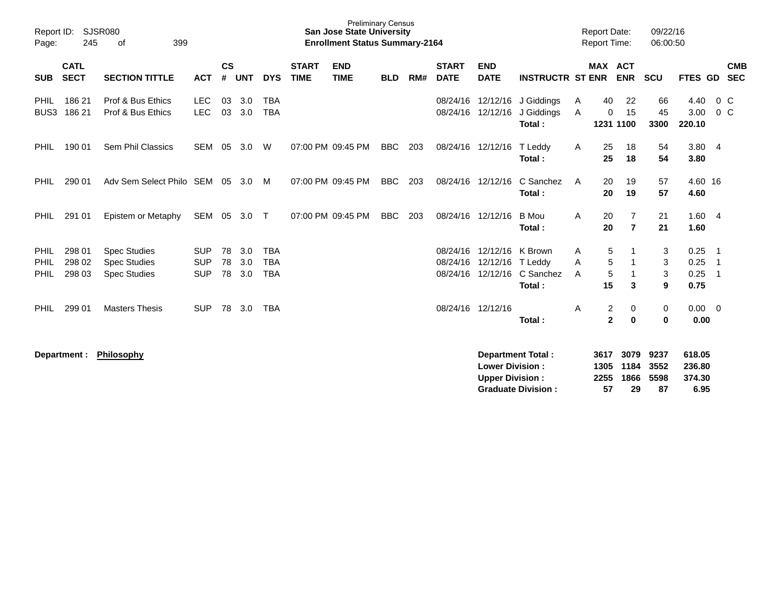| Page:                           | Report ID: SJSR080<br>245<br>399<br>of |                                                                   |                                        |                |                   |                                        | <b>Preliminary Census</b><br><b>San Jose State University</b><br><b>Enrollment Status Summary-2164</b> |                           |            |     |                             |                                                                    | <b>Report Date:</b><br>Report Time:                   |                   |                                | 09/22/16<br>06:00:50             |                            |                                    |                                                                                      |            |
|---------------------------------|----------------------------------------|-------------------------------------------------------------------|----------------------------------------|----------------|-------------------|----------------------------------------|--------------------------------------------------------------------------------------------------------|---------------------------|------------|-----|-----------------------------|--------------------------------------------------------------------|-------------------------------------------------------|-------------------|--------------------------------|----------------------------------|----------------------------|------------------------------------|--------------------------------------------------------------------------------------|------------|
| <b>SUB</b>                      | <b>CATL</b><br><b>SECT</b>             | <b>SECTION TITTLE</b>                                             | <b>ACT</b>                             | <b>CS</b><br># | <b>UNT</b>        | <b>DYS</b>                             | <b>START</b><br><b>TIME</b>                                                                            | <b>END</b><br><b>TIME</b> | <b>BLD</b> | RM# | <b>START</b><br><b>DATE</b> | <b>END</b><br><b>DATE</b>                                          | <b>INSTRUCTR ST ENR</b>                               |                   | <b>MAX ACT</b>                 | <b>ENR</b>                       | <b>SCU</b>                 | FTES GD SEC                        |                                                                                      | <b>CMB</b> |
| <b>PHIL</b><br>BUS <sub>3</sub> | 186 21<br>186 21                       | Prof & Bus Ethics<br>Prof & Bus Ethics                            | <b>LEC</b><br><b>LEC</b>               | 03<br>03       | 3.0<br>3.0        | <b>TBA</b><br><b>TBA</b>               |                                                                                                        |                           |            |     | 08/24/16                    | 12/12/16<br>08/24/16 12/12/16                                      | J Giddings<br>J Giddings<br>Total:                    | A<br>$\mathsf{A}$ | 40<br>0<br>1231 1100           | 22<br>15                         | 66<br>45<br>3300           | 4.40<br>3.00<br>220.10             | $0\,$ C<br>$0\,C$                                                                    |            |
| <b>PHIL</b>                     | 190 01                                 | Sem Phil Classics                                                 | SEM                                    | 05             | 3.0               | W                                      |                                                                                                        | 07:00 PM 09:45 PM         | <b>BBC</b> | 203 |                             | 08/24/16 12/12/16 T Leddy                                          | Total:                                                | A                 | 25<br>25                       | 18<br>18                         | 54<br>54                   | 3.804<br>3.80                      |                                                                                      |            |
| <b>PHIL</b>                     | 290 01                                 | Adv Sem Select Philo SEM                                          |                                        |                | 05 3.0            | M                                      |                                                                                                        | 07:00 PM 09:45 PM         | <b>BBC</b> | 203 |                             | 08/24/16 12/12/16                                                  | C Sanchez<br>Total:                                   | A                 | 20<br>20                       | 19<br>19                         | 57<br>57                   | 4.60 16<br>4.60                    |                                                                                      |            |
| <b>PHIL</b>                     | 291 01                                 | Epistem or Metaphy                                                | SEM 05 3.0 T                           |                |                   |                                        |                                                                                                        | 07:00 PM 09:45 PM         | <b>BBC</b> | 203 |                             | 08/24/16 12/12/16                                                  | B Mou<br>Total:                                       | A                 | 20<br>20                       | $\overline{7}$<br>$\overline{7}$ | 21<br>21                   | 1.604<br>1.60                      |                                                                                      |            |
| PHIL<br>PHIL<br>PHIL            | 298 01<br>298 02<br>298 03             | <b>Spec Studies</b><br><b>Spec Studies</b><br><b>Spec Studies</b> | <b>SUP</b><br><b>SUP</b><br><b>SUP</b> | 78<br>78<br>78 | 3.0<br>3.0<br>3.0 | <b>TBA</b><br><b>TBA</b><br><b>TBA</b> |                                                                                                        |                           |            |     | 08/24/16                    | 12/12/16 K Brown<br>08/24/16 12/12/16 T Leddy<br>08/24/16 12/12/16 | C Sanchez<br>Total:                                   | A<br>A<br>A       | 5<br>5<br>5<br>15              | 3                                | 3<br>3<br>$\sqrt{3}$<br>9  | 0.25<br>0.25<br>0.25<br>0.75       | $\overline{\phantom{0}}$ 1<br>$\overline{\phantom{0}}$<br>$\overline{\phantom{0}}$ 1 |            |
| <b>PHIL</b>                     | 299 01                                 | <b>Masters Thesis</b>                                             | <b>SUP</b>                             | 78             | 3.0               | <b>TBA</b>                             |                                                                                                        |                           |            |     |                             | 08/24/16 12/12/16                                                  | Total:                                                | Α                 | $\overline{c}$<br>$\mathbf{2}$ | 0<br>0                           | 0<br>$\mathbf 0$           | 0.00<br>0.00                       | $\overline{\mathbf{0}}$                                                              |            |
|                                 | Department :                           | <b>Philosophy</b>                                                 |                                        |                |                   |                                        |                                                                                                        |                           |            |     |                             | <b>Lower Division:</b><br><b>Upper Division:</b>                   | <b>Department Total:</b><br><b>Graduate Division:</b> |                   | 3617<br>1305<br>2255<br>57     | 3079<br>1184<br>1866<br>29       | 9237<br>3552<br>5598<br>87 | 618.05<br>236.80<br>374.30<br>6.95 |                                                                                      |            |